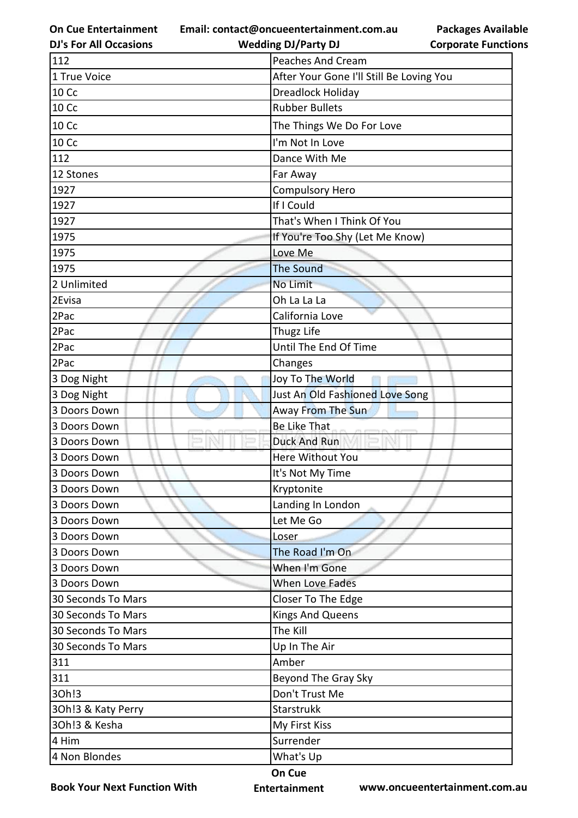**On Cue Entertainment DJ's For All Occasions**

**Email: contact@oncueentertainment.com.au Wedding DJ/Party DJ** 

**Packages Available Corporate Functions**

| 112                | <b>Peaches And Cream</b>                 |
|--------------------|------------------------------------------|
| 1 True Voice       | After Your Gone I'll Still Be Loving You |
| 10 Cc              | Dreadlock Holiday                        |
| <b>10 Cc</b>       | <b>Rubber Bullets</b>                    |
| <b>10 Cc</b>       | The Things We Do For Love                |
| <b>10 Cc</b>       | I'm Not In Love                          |
| 112                | Dance With Me                            |
| 12 Stones          | Far Away                                 |
| 1927               | Compulsory Hero                          |
| 1927               | If I Could                               |
| 1927               | That's When I Think Of You               |
| 1975               | If You're Too Shy (Let Me Know)          |
| 1975               | Love Me                                  |
| 1975               | <b>The Sound</b>                         |
| 2 Unlimited        | No Limit                                 |
| 2Evisa             | Oh La La La                              |
| 2Pac               | California Love                          |
| 2Pac               | Thugz Life                               |
| 2Pac               | Until The End Of Time                    |
| 2Pac               | Changes                                  |
| 3 Dog Night        | Joy To The World                         |
| 3 Dog Night        | Just An Old Fashioned Love Song          |
| 3 Doors Down       | <b>Away From The Sun</b>                 |
| 3 Doors Down       | Be Like That                             |
| 3 Doors Down       | <b>Duck And Run</b>                      |
| 3 Doors Down       | Here Without You                         |
| 3 Doors Down       | It's Not My Time                         |
| 3 Doors Down       | Kryptonite                               |
| 3 Doors Down       | Landing In London                        |
| 3 Doors Down       | Let Me Go                                |
| 3 Doors Down       | Loser                                    |
| 3 Doors Down       | The Road I'm On                          |
| 3 Doors Down       | When I'm Gone                            |
| 3 Doors Down       | When Love Fades                          |
| 30 Seconds To Mars | Closer To The Edge                       |
| 30 Seconds To Mars | <b>Kings And Queens</b>                  |
| 30 Seconds To Mars | The Kill                                 |
| 30 Seconds To Mars | Up In The Air                            |
| 311                | Amber                                    |
| 311                | Beyond The Gray Sky                      |
| 30h!3              | Don't Trust Me                           |
| 30h!3 & Katy Perry | Starstrukk                               |
| 30h!3 & Kesha      | My First Kiss                            |
| 4 Him              | Surrender                                |
| 4 Non Blondes      | What's Up                                |
|                    |                                          |

**Book Your Next Function With**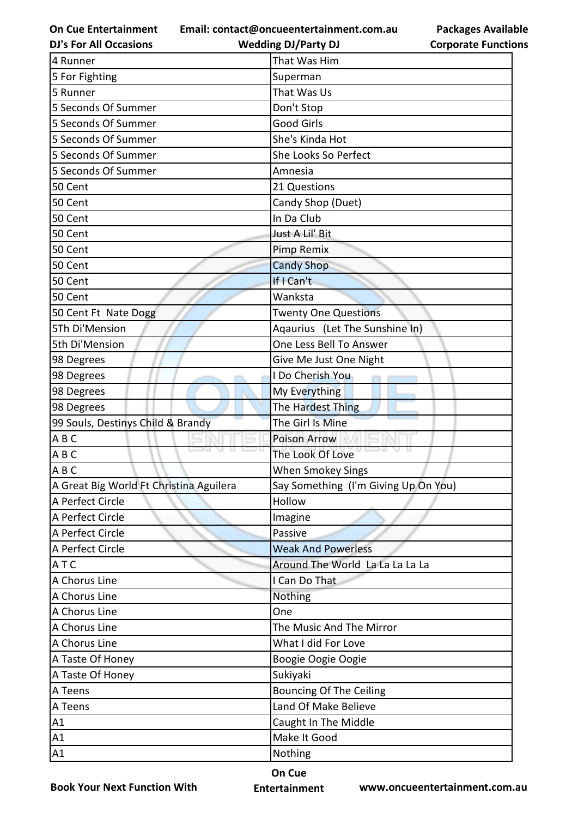**Email: contact@oncueentertainment.com.au Wedding DJ/Party DJ** 

**DJ's For All Occasions**

**Packages Available Corporate Functions**

| 4 Runner                                | That Was Him                         |
|-----------------------------------------|--------------------------------------|
| 5 For Fighting                          | Superman                             |
| 5 Runner                                | That Was Us                          |
| 5 Seconds Of Summer                     | Don't Stop                           |
| 5 Seconds Of Summer                     | <b>Good Girls</b>                    |
| 5 Seconds Of Summer                     | She's Kinda Hot                      |
| 5 Seconds Of Summer                     | She Looks So Perfect                 |
| 5 Seconds Of Summer                     | Amnesia                              |
| 50 Cent                                 | 21 Questions                         |
| 50 Cent                                 | Candy Shop (Duet)                    |
| 50 Cent                                 | In Da Club                           |
| 50 Cent                                 | Just A Lil' Bit                      |
| 50 Cent                                 | Pimp Remix                           |
| 50 Cent                                 | <b>Candy Shop</b>                    |
| 50 Cent                                 | If I Can't                           |
| 50 Cent                                 | Wanksta                              |
| 50 Cent Ft Nate Dogg                    | <b>Twenty One Questions</b>          |
| 5Th Di'Mension                          | Aqaurius (Let The Sunshine In)       |
| 5th Di'Mension                          | One Less Bell To Answer              |
| 98 Degrees                              | Give Me Just One Night               |
| 98 Degrees                              | I Do Cherish You                     |
| 98 Degrees                              | My Everything                        |
| 98 Degrees                              | The Hardest Thing                    |
| 99 Souls, Destinys Child & Brandy       | The Girl Is Mine                     |
| ABC                                     | <b>Poison Arrow</b>                  |
| ABC                                     | The Look Of Love                     |
| ABC                                     | When Smokey Sings                    |
| A Great Big World Ft Christina Aguilera | Say Something (I'm Giving Up On You) |
| A Perfect Circle                        | Hollow                               |
| A Perfect Circle                        | Imagine                              |
| A Perfect Circle                        | Passive                              |
| A Perfect Circle                        | <b>Weak And Powerless</b>            |
| ATC                                     | Around The World La La La La La      |
| A Chorus Line                           | I Can Do That                        |
| A Chorus Line                           | Nothing                              |
| A Chorus Line                           | One                                  |
| A Chorus Line                           | The Music And The Mirror             |
| A Chorus Line                           | What I did For Love                  |
| A Taste Of Honey                        | Boogie Oogie Oogie                   |
| A Taste Of Honey                        | Sukiyaki                             |
| A Teens                                 | <b>Bouncing Of The Ceiling</b>       |
| A Teens                                 | Land Of Make Believe                 |
| A1                                      | Caught In The Middle                 |
| A1                                      | Make It Good                         |
| A1                                      | Nothing                              |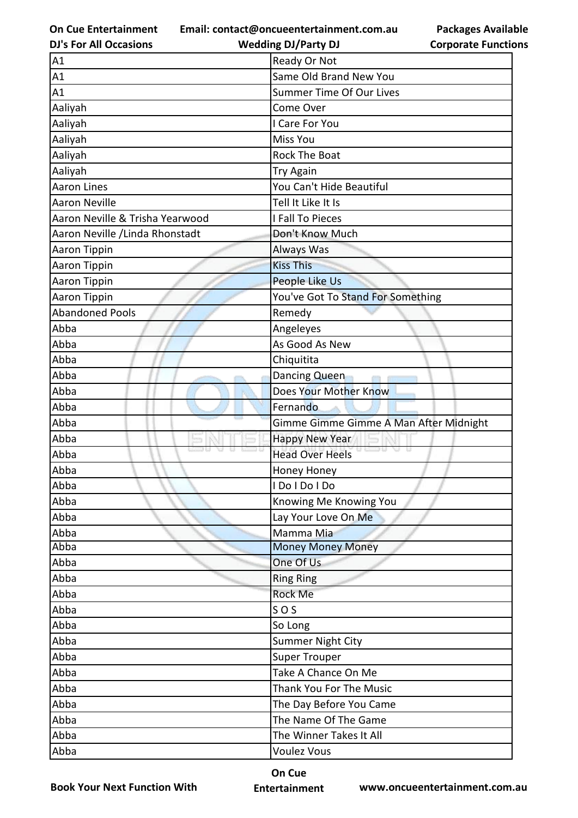**Email: contact@oncueentertainment.com.au**

| <b>DJ's For All Occasions</b>   | <b>Wedding DJ/Party DJ</b>             | <b>Corporate Functio</b> |
|---------------------------------|----------------------------------------|--------------------------|
| A1                              | Ready Or Not                           |                          |
| A1                              | Same Old Brand New You                 |                          |
| A1                              | <b>Summer Time Of Our Lives</b>        |                          |
| Aaliyah                         | Come Over                              |                          |
| Aaliyah                         | I Care For You                         |                          |
| Aaliyah                         | <b>Miss You</b>                        |                          |
| Aaliyah                         | <b>Rock The Boat</b>                   |                          |
| Aaliyah                         | <b>Try Again</b>                       |                          |
| <b>Aaron Lines</b>              | You Can't Hide Beautiful               |                          |
| <b>Aaron Neville</b>            | Tell It Like It Is                     |                          |
| Aaron Neville & Trisha Yearwood | I Fall To Pieces                       |                          |
| Aaron Neville / Linda Rhonstadt | Don't Know Much                        |                          |
| Aaron Tippin                    | Always Was                             |                          |
| Aaron Tippin                    | <b>Kiss This</b>                       |                          |
| Aaron Tippin                    | People Like Us                         |                          |
| Aaron Tippin                    | You've Got To Stand For Something      |                          |
| <b>Abandoned Pools</b>          | Remedy                                 |                          |
| Abba                            | Angeleyes                              |                          |
| Abba                            | As Good As New                         |                          |
| Abba                            | Chiquitita                             |                          |
| Abba                            | Dancing Queen                          |                          |
| Abba                            | Does Your Mother Know                  |                          |
| Abba                            | Fernando                               |                          |
| Abba                            | Gimme Gimme Gimme A Man After Midnight |                          |
| Abba                            | <b>Happy New Year</b>                  |                          |
| Abba                            | <b>Head Over Heels</b>                 |                          |
| Abba                            | Honey Honey                            |                          |
| Abba                            | I Do I Do I Do                         |                          |
| Abba                            | Knowing Me Knowing You                 |                          |
| Abba                            | Lay Your Love On Me                    |                          |
| Abba                            | Mamma Mia                              |                          |
| Abba                            | <b>Money Money Money</b>               |                          |
| Abba                            | One Of Us                              |                          |
| Abba                            | <b>Ring Ring</b>                       |                          |
| Abba                            | Rock Me                                |                          |
| Abba                            | SOS                                    |                          |
| Abba                            | So Long                                |                          |
| Abba                            | Summer Night City                      |                          |
| Abba                            | <b>Super Trouper</b>                   |                          |
| Abba                            | Take A Chance On Me                    |                          |
| Abba                            | Thank You For The Music                |                          |
| Abba                            | The Day Before You Came                |                          |
| Abba                            | The Name Of The Game                   |                          |
| Abba                            | The Winner Takes It All                |                          |
| Abba                            | <b>Voulez Vous</b>                     |                          |
|                                 |                                        |                          |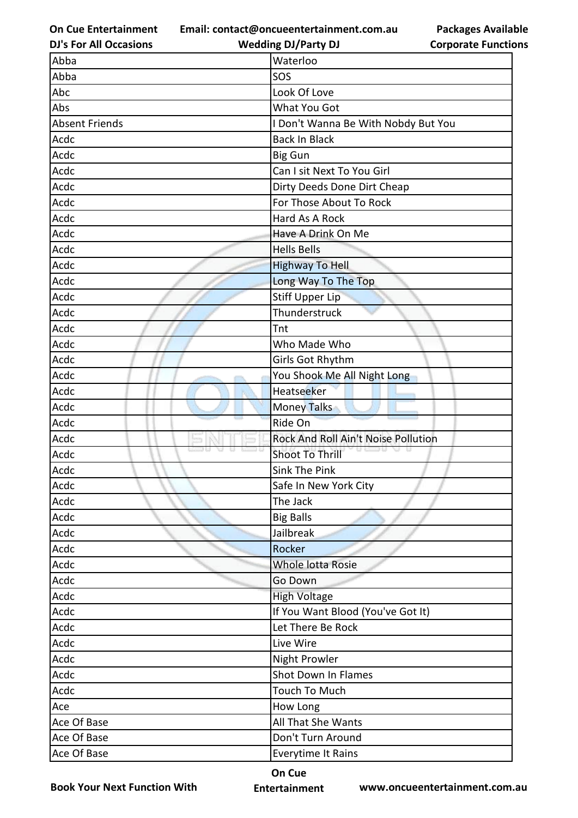**Email: contact@oncueentertainment.com.au Wedding DJ/Party DJ** 

**DJ's For All Occasions**

**Packages Available Corporate Functions**

| Abba                  | Waterloo                            |
|-----------------------|-------------------------------------|
| Abba                  | SOS                                 |
| Abc                   | Look Of Love                        |
| Abs                   | What You Got                        |
| <b>Absent Friends</b> | I Don't Wanna Be With Nobdy But You |
| Acdc                  | <b>Back In Black</b>                |
| Acdc                  | <b>Big Gun</b>                      |
| Acdc                  | Can I sit Next To You Girl          |
| Acdc                  | Dirty Deeds Done Dirt Cheap         |
| Acdc                  | For Those About To Rock             |
| Acdc                  | Hard As A Rock                      |
| Acdc                  | Have A Drink On Me                  |
| Acdc                  | <b>Hells Bells</b>                  |
| Acdc                  | <b>Highway To Hell</b>              |
| Acdc                  | Long Way To The Top                 |
| Acdc                  | <b>Stiff Upper Lip</b>              |
| Acdc                  | Thunderstruck                       |
| Acdc                  | Tnt                                 |
| Acdc                  | Who Made Who                        |
| Acdc                  | Girls Got Rhythm                    |
| Acdc                  | You Shook Me All Night Long         |
| Acdc                  | Heatseeker                          |
| Acdc                  | Money Talks                         |
| Acdc                  | Ride On                             |
| Acdc                  | Rock And Roll Ain't Noise Pollution |
| Acdc                  | <b>Shoot To Thrill</b>              |
| Acdc                  | <b>Sink The Pink</b>                |
| Acdc                  | Safe In New York City               |
| Acdc                  | The Jack                            |
| Acdc                  | <b>Big Balls</b>                    |
| Acdc                  | Jailbreak                           |
| Acdc                  | Rocker                              |
| Acdc                  | Whole lotta Rosie                   |
| Acdc                  | Go Down                             |
| Acdc                  | <b>High Voltage</b>                 |
| Acdc                  | If You Want Blood (You've Got It)   |
| Acdc                  | Let There Be Rock                   |
| Acdc                  | Live Wire                           |
| Acdc                  | Night Prowler                       |
| Acdc                  | Shot Down In Flames                 |
| Acdc                  | Touch To Much                       |
| Ace                   | How Long                            |
| Ace Of Base           | All That She Wants                  |
| Ace Of Base           | Don't Turn Around                   |
| Ace Of Base           | Everytime It Rains                  |

**Book Your Next Function With**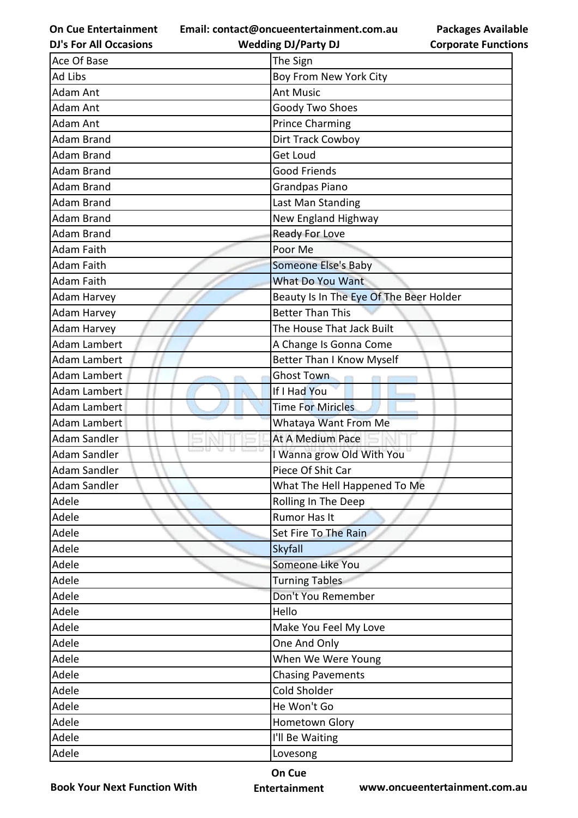**Email: contact@oncueentertainment.com.au Wedding DJ/Party DJ** 

**DJ's For All Occasions**

**Packages Available Corporate Functions**

| Ace Of Base         | The Sign                                |  |
|---------------------|-----------------------------------------|--|
| Ad Libs             | Boy From New York City                  |  |
| Adam Ant            | <b>Ant Music</b>                        |  |
| Adam Ant            | Goody Two Shoes                         |  |
| <b>Adam Ant</b>     | <b>Prince Charming</b>                  |  |
| <b>Adam Brand</b>   | Dirt Track Cowboy                       |  |
| <b>Adam Brand</b>   | <b>Get Loud</b>                         |  |
| <b>Adam Brand</b>   | <b>Good Friends</b>                     |  |
| <b>Adam Brand</b>   | Grandpas Piano                          |  |
| <b>Adam Brand</b>   | Last Man Standing                       |  |
| <b>Adam Brand</b>   | New England Highway                     |  |
| <b>Adam Brand</b>   | <b>Ready For Love</b>                   |  |
| <b>Adam Faith</b>   | Poor Me                                 |  |
| Adam Faith          | Someone Else's Baby                     |  |
| <b>Adam Faith</b>   | <b>What Do You Want</b>                 |  |
| Adam Harvey         | Beauty Is In The Eye Of The Beer Holder |  |
| <b>Adam Harvey</b>  | <b>Better Than This</b>                 |  |
| <b>Adam Harvey</b>  | The House That Jack Built               |  |
| <b>Adam Lambert</b> | A Change Is Gonna Come                  |  |
| <b>Adam Lambert</b> | <b>Better Than I Know Myself</b>        |  |
| Adam Lambert        | Ghost Town                              |  |
| Adam Lambert        | If I Had You                            |  |
| <b>Adam Lambert</b> | <b>Time For Miricles</b>                |  |
| <b>Adam Lambert</b> | Whataya Want From Me                    |  |
| <b>Adam Sandler</b> | At A Medium Pace                        |  |
| <b>Adam Sandler</b> | I Wanna grow Old With You               |  |
| Adam Sandler        | Piece Of Shit Car                       |  |
| <b>Adam Sandler</b> | What The Hell Happened To Me            |  |
| Adele               | Rolling In The Deep                     |  |
| Adele               | Rumor Has It                            |  |
| Adele               | Set Fire To The Rain                    |  |
| Adele               | Skyfall                                 |  |
| Adele               | Someone Like You                        |  |
| Adele               | <b>Turning Tables</b>                   |  |
| Adele               | Don't You Remember                      |  |
| Adele               | Hello                                   |  |
| Adele               | Make You Feel My Love                   |  |
| Adele               | One And Only                            |  |
| Adele               | When We Were Young                      |  |
| Adele               | <b>Chasing Pavements</b>                |  |
| Adele               | Cold Sholder                            |  |
| Adele               | He Won't Go                             |  |
| Adele               | Hometown Glory                          |  |
| Adele               | I'll Be Waiting                         |  |
| Adele               | Lovesong                                |  |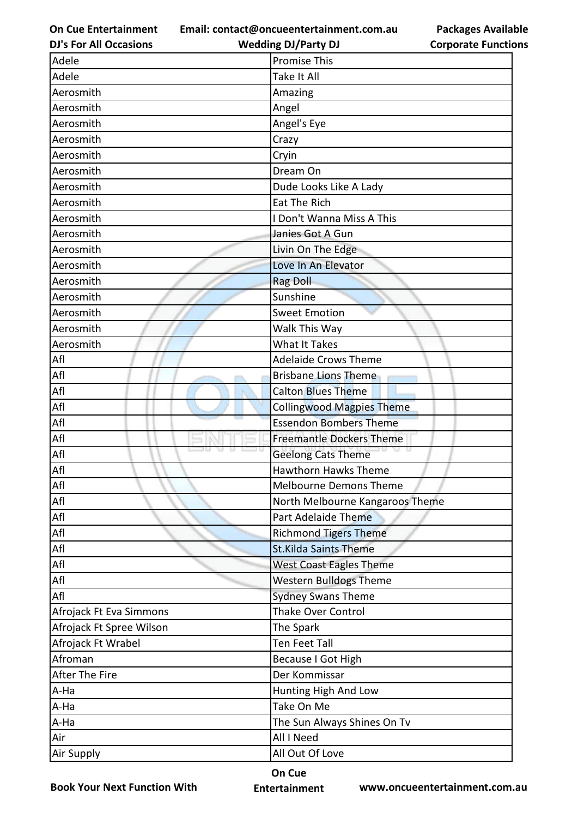**Email: contact@oncueentertainment.com.au**

**DJ's For All Occasions**

**Packages Available Corporate Functions**

| <b>DJ's For All Occasions</b> | <b>Wedding DJ/Party DJ</b>       | <b>Corporate Functio</b> |
|-------------------------------|----------------------------------|--------------------------|
| Adele                         | <b>Promise This</b>              |                          |
| Adele                         | Take It All                      |                          |
| Aerosmith                     | Amazing                          |                          |
| Aerosmith                     | Angel                            |                          |
| Aerosmith                     | Angel's Eye                      |                          |
| Aerosmith                     | Crazy                            |                          |
| Aerosmith                     | Cryin                            |                          |
| Aerosmith                     | Dream On                         |                          |
| Aerosmith                     | Dude Looks Like A Lady           |                          |
| Aerosmith                     | <b>Eat The Rich</b>              |                          |
| Aerosmith                     | I Don't Wanna Miss A This        |                          |
| Aerosmith                     | Janies Got A Gun                 |                          |
| Aerosmith                     | Livin On The Edge                |                          |
| Aerosmith                     | Love In An Elevator              |                          |
| Aerosmith                     | <b>Rag Doll</b>                  |                          |
| Aerosmith                     | Sunshine                         |                          |
| Aerosmith                     | <b>Sweet Emotion</b>             |                          |
| Aerosmith                     | Walk This Way                    |                          |
| Aerosmith                     | <b>What It Takes</b>             |                          |
| Afl                           | <b>Adelaide Crows Theme</b>      |                          |
| Afl                           | <b>Brisbane Lions Theme</b>      |                          |
| Afl                           | <b>Calton Blues Theme</b>        |                          |
| Afl                           | <b>Collingwood Magpies Theme</b> |                          |
| Afl                           | <b>Essendon Bombers Theme</b>    |                          |
| Afl                           | <b>Freemantle Dockers Theme</b>  |                          |
| Afl                           | <b>Geelong Cats Theme</b>        |                          |
| Afl                           | <b>Hawthorn Hawks Theme</b>      |                          |
| Afl                           | <b>Melbourne Demons Theme</b>    |                          |
| Afl                           | North Melbourne Kangaroos Theme  |                          |
| $\mathsf{Aff}{}$              | Part Adelaide Theme              |                          |
| Afl                           | <b>Richmond Tigers Theme</b>     |                          |
| Afl                           | <b>St.Kilda Saints Theme</b>     |                          |
| Afl                           | <b>West Coast Eagles Theme</b>   |                          |
| Afl                           | <b>Western Bulldogs Theme</b>    |                          |
| Afl                           | <b>Sydney Swans Theme</b>        |                          |
| Afrojack Ft Eva Simmons       | <b>Thake Over Control</b>        |                          |
| Afrojack Ft Spree Wilson      | The Spark                        |                          |
| Afrojack Ft Wrabel            | <b>Ten Feet Tall</b>             |                          |
| Afroman                       | Because I Got High               |                          |
| After The Fire                | Der Kommissar                    |                          |
| A-Ha                          | Hunting High And Low             |                          |
| A-Ha                          | Take On Me                       |                          |
| A-Ha                          | The Sun Always Shines On Tv      |                          |
| Air                           | All I Need                       |                          |
| Air Supply                    | All Out Of Love                  |                          |

**Book Your Next Function With**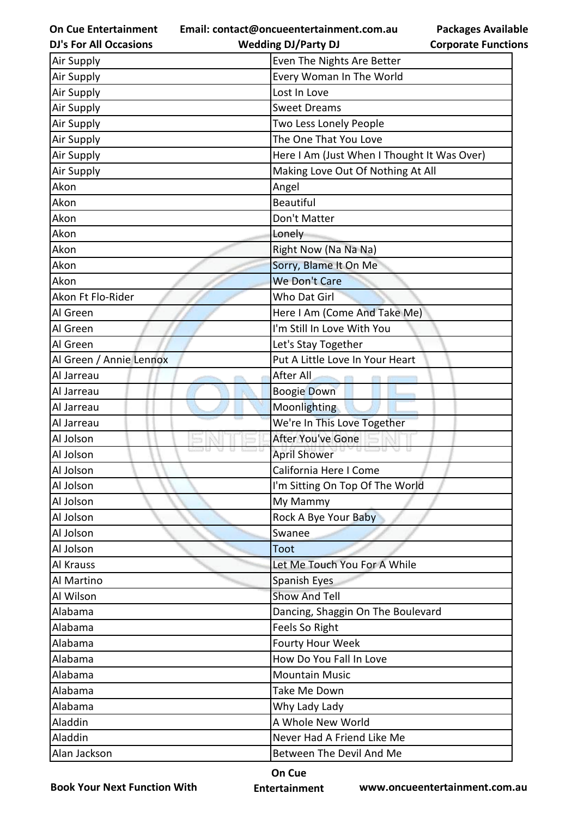**Email: contact@oncueentertainment.com.au Wedding DJ/Party DJ** 

**Packages Available Corporate Functions**

| <b>DJ's For All Occasions</b> | <b>Wedding DJ/Party DJ</b>                  | <b>Corporate Function</b> |  |
|-------------------------------|---------------------------------------------|---------------------------|--|
| <b>Air Supply</b>             | Even The Nights Are Better                  |                           |  |
| Air Supply                    | Every Woman In The World                    |                           |  |
| Air Supply                    | Lost In Love                                |                           |  |
| Air Supply                    | <b>Sweet Dreams</b>                         |                           |  |
| Air Supply                    | Two Less Lonely People                      |                           |  |
| Air Supply                    | The One That You Love                       |                           |  |
| Air Supply                    | Here I Am (Just When I Thought It Was Over) |                           |  |
| Air Supply                    | Making Love Out Of Nothing At All           |                           |  |
| Akon                          | Angel                                       |                           |  |
| Akon                          | <b>Beautiful</b>                            |                           |  |
| Akon                          | Don't Matter                                |                           |  |
| Akon                          | Lonely                                      |                           |  |
| Akon                          | Right Now (Na Na Na)                        |                           |  |
| Akon                          | Sorry, Blame It On Me                       |                           |  |
| Akon                          | We Don't Care                               |                           |  |
| Akon Ft Flo-Rider             | Who Dat Girl                                |                           |  |
| Al Green                      | Here I Am (Come And Take Me)                |                           |  |
| Al Green                      | I'm Still In Love With You                  |                           |  |
| Al Green                      | Let's Stay Together                         |                           |  |
| Al Green / Annie Lennox       | Put A Little Love In Your Heart             |                           |  |
| Al Jarreau                    | After All                                   |                           |  |
| Al Jarreau                    | <b>Boogie Down</b>                          |                           |  |
| Al Jarreau                    | Moonlighting                                |                           |  |
| Al Jarreau                    | We're In This Love Together                 |                           |  |
| Al Jolson                     | After You've Gone                           |                           |  |
| Al Jolson                     | <b>April Shower</b>                         |                           |  |
| Al Jolson                     | California Here I Come                      |                           |  |
| Al Jolson                     | I'm Sitting On Top Of The World             |                           |  |
| Al Jolson                     | My Mammy                                    |                           |  |
| Al Jolson                     | Rock A Bye Your Baby                        |                           |  |
| Al Jolson                     | Swanee                                      |                           |  |
| Al Jolson                     | Toot                                        |                           |  |
| Al Krauss                     | Let Me Touch You For A While                |                           |  |
| Al Martino                    | Spanish Eyes                                |                           |  |
| Al Wilson                     | <b>Show And Tell</b>                        |                           |  |
| Alabama                       | Dancing, Shaggin On The Boulevard           |                           |  |
| Alabama                       | Feels So Right                              |                           |  |
| Alabama                       | <b>Fourty Hour Week</b>                     |                           |  |
| Alabama                       | How Do You Fall In Love                     |                           |  |
| Alabama                       | <b>Mountain Music</b>                       |                           |  |
| Alabama                       | Take Me Down                                |                           |  |
| Alabama                       | Why Lady Lady                               |                           |  |
| Aladdin                       | A Whole New World                           |                           |  |
| Aladdin                       | Never Had A Friend Like Me                  |                           |  |
| Alan Jackson                  | Between The Devil And Me                    |                           |  |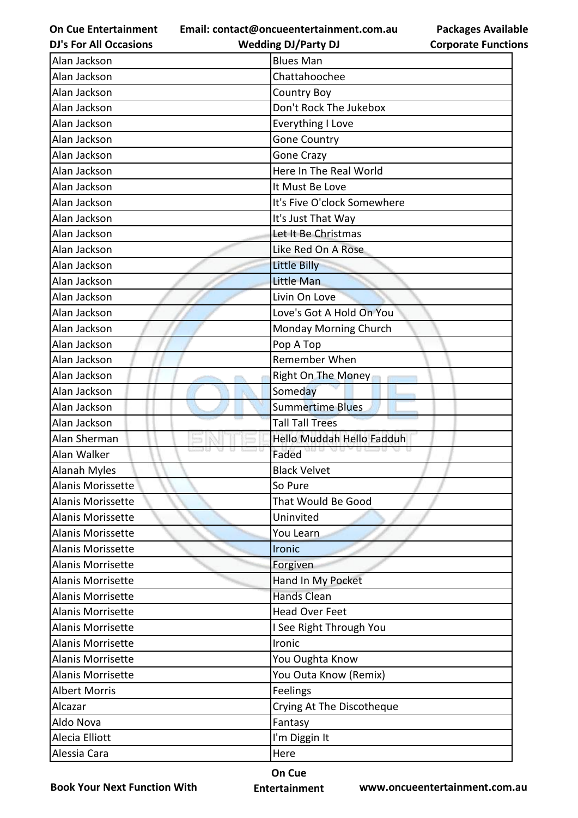**Email: contact@oncueentertainment.com.au**

| <b>DJ's For All Occasions</b> | <b>Wedding DJ/Party DJ</b>  | <b>Corporate Function</b> |
|-------------------------------|-----------------------------|---------------------------|
| Alan Jackson                  | <b>Blues Man</b>            |                           |
| Alan Jackson                  | Chattahoochee               |                           |
| Alan Jackson                  | <b>Country Boy</b>          |                           |
| Alan Jackson                  | Don't Rock The Jukebox      |                           |
| Alan Jackson                  | Everything I Love           |                           |
| Alan Jackson                  | <b>Gone Country</b>         |                           |
| Alan Jackson                  | Gone Crazy                  |                           |
| Alan Jackson                  | Here In The Real World      |                           |
| Alan Jackson                  | It Must Be Love             |                           |
| Alan Jackson                  | It's Five O'clock Somewhere |                           |
| Alan Jackson                  | It's Just That Way          |                           |
| Alan Jackson                  | Let It Be Christmas         |                           |
| Alan Jackson                  | Like Red On A Rose          |                           |
| Alan Jackson                  | <b>Little Billy</b>         |                           |
| Alan Jackson                  | Little Man                  |                           |
| Alan Jackson                  | Livin On Love               |                           |
| Alan Jackson                  | Love's Got A Hold On You    |                           |
| Alan Jackson                  | Monday Morning Church       |                           |
| Alan Jackson                  | Pop A Top                   |                           |
| Alan Jackson                  | Remember When               |                           |
| Alan Jackson                  | Right On The Money          |                           |
| Alan Jackson                  | Someday                     |                           |
| Alan Jackson                  | <b>Summertime Blues</b>     |                           |
| Alan Jackson                  | <b>Tall Tall Trees</b>      |                           |
| Alan Sherman                  | Hello Muddah Hello Fadduh   |                           |
| Alan Walker                   | Faded                       |                           |
| <b>Alanah Myles</b>           | <b>Black Velvet</b>         |                           |
| Alanis Morissette             | So Pure                     |                           |
| Alanis Morissette             | That Would Be Good          |                           |
| Alanis Morissette             | Uninvited                   |                           |
| <b>Alanis Morissette</b>      | You Learn                   |                           |
| Alanis Morissette             | <b>Ironic</b>               |                           |
| <b>Alanis Morrisette</b>      | Forgiven                    |                           |
| Alanis Morrisette             | Hand In My Pocket           |                           |
| Alanis Morrisette             | <b>Hands Clean</b>          |                           |
| <b>Alanis Morrisette</b>      | <b>Head Over Feet</b>       |                           |
| Alanis Morrisette             | I See Right Through You     |                           |
| <b>Alanis Morrisette</b>      | Ironic                      |                           |
| <b>Alanis Morrisette</b>      | You Oughta Know             |                           |
| <b>Alanis Morrisette</b>      | You Outa Know (Remix)       |                           |
| <b>Albert Morris</b>          | Feelings                    |                           |
| Alcazar                       | Crying At The Discotheque   |                           |
| Aldo Nova                     | Fantasy                     |                           |
| Alecia Elliott                | I'm Diggin It               |                           |
| Alessia Cara                  | Here                        |                           |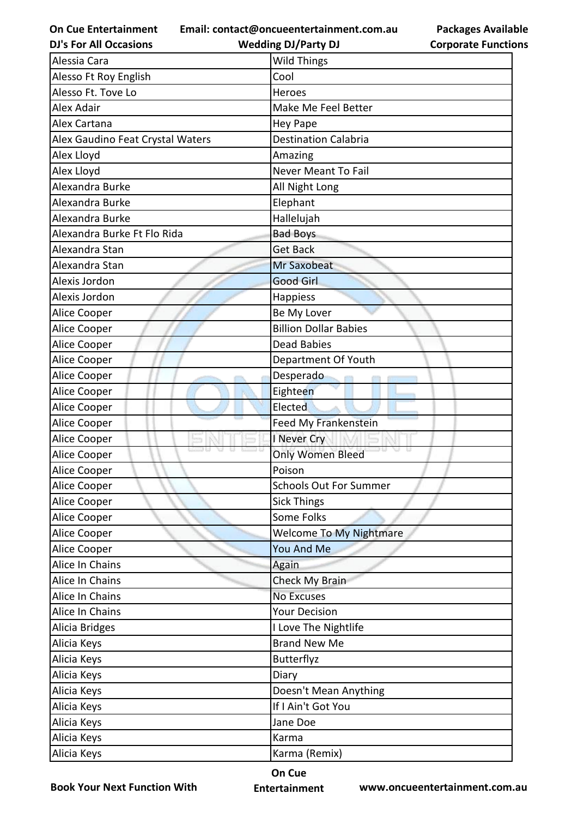**Email: contact@oncueentertainment.com.au**

**DJ's For All Occasions**

**Wedding DJ/Party DJ** 

**Packages Available Corporate Functions**

| Alessia Cara                     | <b>Wild Things</b>             |
|----------------------------------|--------------------------------|
| Alesso Ft Roy English            | Cool                           |
| Alesso Ft. Tove Lo               | Heroes                         |
| Alex Adair                       | Make Me Feel Better            |
| Alex Cartana                     | <b>Hey Pape</b>                |
| Alex Gaudino Feat Crystal Waters | <b>Destination Calabria</b>    |
| Alex Lloyd                       | Amazing                        |
| Alex Lloyd                       | <b>Never Meant To Fail</b>     |
| Alexandra Burke                  | All Night Long                 |
| Alexandra Burke                  | Elephant                       |
| Alexandra Burke                  | Hallelujah                     |
| Alexandra Burke Ft Flo Rida      | <b>Bad Boys</b>                |
| Alexandra Stan                   | <b>Get Back</b>                |
| Alexandra Stan                   | <b>Mr Saxobeat</b>             |
| Alexis Jordon                    | <b>Good Girl</b>               |
| Alexis Jordon                    | Happiess                       |
| Alice Cooper                     | Be My Lover                    |
| Alice Cooper                     | <b>Billion Dollar Babies</b>   |
| Alice Cooper                     | <b>Dead Babies</b>             |
| Alice Cooper                     | Department Of Youth            |
| Alice Cooper                     | Desperado                      |
| Alice Cooper                     | Eighteen                       |
| Alice Cooper                     | Elected                        |
| Alice Cooper                     | Feed My Frankenstein           |
| Alice Cooper                     | I Never Cry                    |
| Alice Cooper                     | <b>Only Women Bleed</b>        |
| Alice Cooper                     | Poison                         |
| Alice Cooper                     | <b>Schools Out For Summer</b>  |
| Alice Cooper                     | <b>Sick Things</b>             |
| Alice Cooper                     | Some Folks                     |
| Alice Cooper                     | <b>Welcome To My Nightmare</b> |
| Alice Cooper                     | You And Me                     |
| Alice In Chains                  | Again                          |
| Alice In Chains                  | Check My Brain                 |
| Alice In Chains                  | No Excuses                     |
| Alice In Chains                  | <b>Your Decision</b>           |
| Alicia Bridges                   | I Love The Nightlife           |
| Alicia Keys                      | <b>Brand New Me</b>            |
| Alicia Keys                      | Butterflyz                     |
| Alicia Keys                      | Diary                          |
| Alicia Keys                      | Doesn't Mean Anything          |
| Alicia Keys                      | If I Ain't Got You             |
| Alicia Keys                      | Jane Doe                       |
| Alicia Keys                      | Karma                          |
| Alicia Keys                      | Karma (Remix)                  |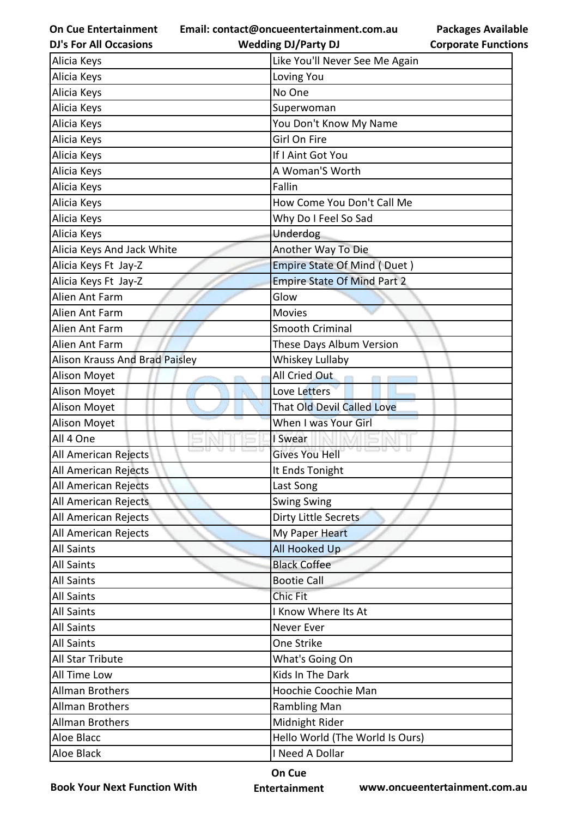**Email: contact@oncueentertainment.com.au Wedding DJ/Party DJ** 

**DJ's For All Occasions**

**Packages Available Corporate Functions**

| Alicia Keys                           | Like You'll Never See Me Again     |
|---------------------------------------|------------------------------------|
| Alicia Keys                           | Loving You                         |
| Alicia Keys                           | No One                             |
| Alicia Keys                           | Superwoman                         |
| Alicia Keys                           | You Don't Know My Name             |
| Alicia Keys                           | Girl On Fire                       |
| Alicia Keys                           | If I Aint Got You                  |
| Alicia Keys                           | A Woman'S Worth                    |
| Alicia Keys                           | Fallin                             |
| Alicia Keys                           | How Come You Don't Call Me         |
| Alicia Keys                           | Why Do I Feel So Sad               |
| Alicia Keys                           | Underdog                           |
| Alicia Keys And Jack White            | Another Way To Die                 |
| Alicia Keys Ft Jay-Z                  | <b>Empire State Of Mind (Duet)</b> |
| Alicia Keys Ft Jay-Z                  | <b>Empire State Of Mind Part 2</b> |
| Alien Ant Farm                        | Glow                               |
| Alien Ant Farm                        | <b>Movies</b>                      |
| Alien Ant Farm                        | <b>Smooth Criminal</b>             |
| Alien Ant Farm                        | These Days Album Version           |
| <b>Alison Krauss And Brad Paisley</b> | Whiskey Lullaby                    |
| Alison Moyet                          | All Cried Out                      |
| Alison Moyet                          | Love Letters                       |
| Alison Moyet                          | <b>That Old Devil Called Love</b>  |
| Alison Moyet                          | When I was Your Girl               |
| All 4 One                             | I Swear                            |
| All American Rejects                  | <b>Gives You Hell</b>              |
| All American Rejects                  | It Ends Tonight                    |
| All American Rejects                  | Last Song                          |
| All American Rejects                  | <b>Swing Swing</b>                 |
| All American Rejects                  | Dirty Little Secrets               |
| All American Rejects                  | My Paper Heart                     |
| <b>All Saints</b>                     | <b>All Hooked Up</b>               |
| <b>All Saints</b>                     | <b>Black Coffee</b>                |
| <b>All Saints</b>                     | <b>Bootie Call</b>                 |
| All Saints                            | <b>Chic Fit</b>                    |
| <b>All Saints</b>                     | I Know Where Its At                |
| <b>All Saints</b>                     | Never Ever                         |
| <b>All Saints</b>                     | One Strike                         |
| All Star Tribute                      | What's Going On                    |
| All Time Low                          | Kids In The Dark                   |
| <b>Allman Brothers</b>                | Hoochie Coochie Man                |
| <b>Allman Brothers</b>                | <b>Rambling Man</b>                |
| <b>Allman Brothers</b>                | Midnight Rider                     |
| Aloe Blacc                            | Hello World (The World Is Ours)    |
| Aloe Black                            | I Need A Dollar                    |

**Book Your Next Function With**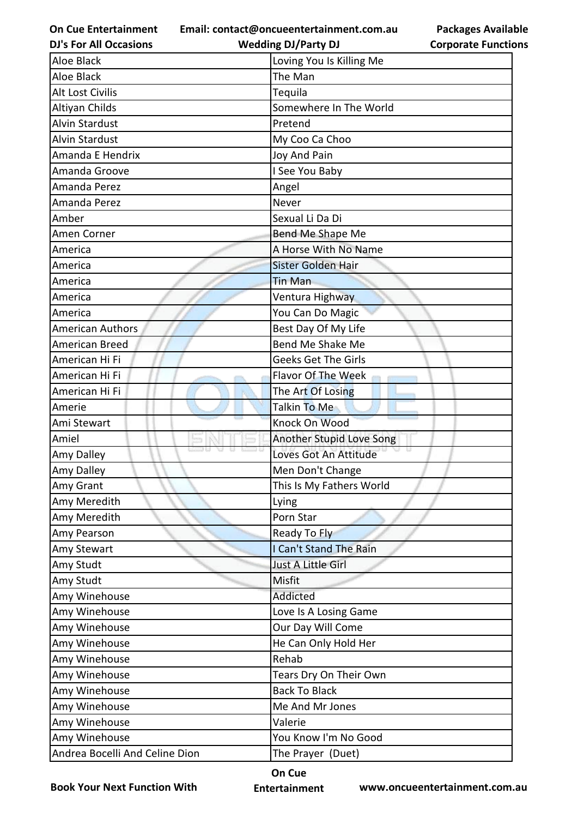**Email: contact@oncueentertainment.com.au**

**DJ's For All Occasions**

| <b>Packages Available</b>  |
|----------------------------|
| <b>Corporate Functions</b> |

| <b>DJ's For All Occasions</b>  | <b>Wedding DJ/Party DJ</b> | <b>Corporate Functio</b> |
|--------------------------------|----------------------------|--------------------------|
| Aloe Black                     | Loving You Is Killing Me   |                          |
| Aloe Black                     | The Man                    |                          |
| Alt Lost Civilis               | Tequila                    |                          |
| Altiyan Childs                 | Somewhere In The World     |                          |
| <b>Alvin Stardust</b>          | Pretend                    |                          |
| <b>Alvin Stardust</b>          | My Coo Ca Choo             |                          |
| Amanda E Hendrix               | Joy And Pain               |                          |
| Amanda Groove                  | I See You Baby             |                          |
| Amanda Perez                   | Angel                      |                          |
| Amanda Perez                   | Never                      |                          |
| Amber                          | Sexual Li Da Di            |                          |
| Amen Corner                    | Bend Me Shape Me           |                          |
| America                        | A Horse With No Name       |                          |
| America                        | Sister Golden Hair         |                          |
| America                        | <b>Tin Man</b>             |                          |
| America                        | Ventura Highway            |                          |
| America                        | You Can Do Magic           |                          |
| <b>American Authors</b>        | Best Day Of My Life        |                          |
| American Breed                 | Bend Me Shake Me           |                          |
| American Hi Fi                 | <b>Geeks Get The Girls</b> |                          |
| American Hi Fi                 | Flavor Of The Week         |                          |
| American Hi Fi                 | The Art Of Losing          |                          |
| Amerie                         | Talkin To Me               |                          |
| Ami Stewart                    | Knock On Wood              |                          |
| Amiel                          | Another Stupid Love Song   |                          |
| Amy Dalley                     | Loves Got An Attitude      |                          |
| Amy Dalley                     | Men Don't Change           |                          |
| Amy Grant                      | This Is My Fathers World   |                          |
| Amy Meredith                   | Lying                      |                          |
| Amy Meredith                   | Porn Star                  |                          |
| Amy Pearson                    | Ready To Fly               |                          |
| Amy Stewart                    | I Can't Stand The Rain     |                          |
| Amy Studt                      | Just A Little Girl         |                          |
| Amy Studt                      | Misfit                     |                          |
| Amy Winehouse                  | Addicted                   |                          |
| Amy Winehouse                  | Love Is A Losing Game      |                          |
| Amy Winehouse                  | Our Day Will Come          |                          |
| Amy Winehouse                  | He Can Only Hold Her       |                          |
| Amy Winehouse                  | Rehab                      |                          |
| Amy Winehouse                  | Tears Dry On Their Own     |                          |
| Amy Winehouse                  | <b>Back To Black</b>       |                          |
| Amy Winehouse                  | Me And Mr Jones            |                          |
| Amy Winehouse                  | Valerie                    |                          |
| Amy Winehouse                  | You Know I'm No Good       |                          |
| Andrea Bocelli And Celine Dion | The Prayer (Duet)          |                          |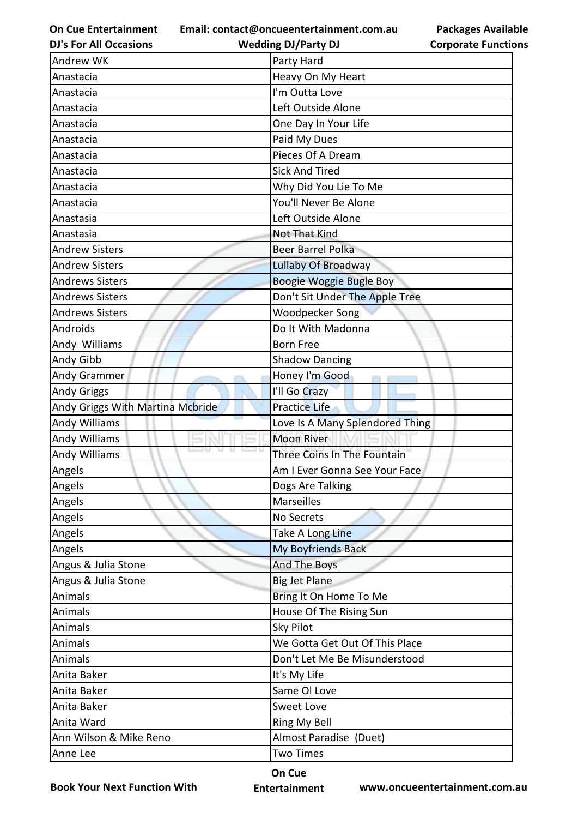**Email: contact@oncueentertainment.com.au Wedding DJ/Party DJ** 

**DJ's For All Occasions**

**Packages Available Corporate Functions**

| Andrew WK                        | Party Hard                      |  |
|----------------------------------|---------------------------------|--|
| Anastacia                        | Heavy On My Heart               |  |
| Anastacia                        | I'm Outta Love                  |  |
| Anastacia                        | Left Outside Alone              |  |
| Anastacia                        | One Day In Your Life            |  |
| Anastacia                        | Paid My Dues                    |  |
| Anastacia                        | Pieces Of A Dream               |  |
| Anastacia                        | <b>Sick And Tired</b>           |  |
| Anastacia                        | Why Did You Lie To Me           |  |
| Anastacia                        | You'll Never Be Alone           |  |
| Anastasia                        | Left Outside Alone              |  |
| Anastasia                        | Not That Kind                   |  |
| <b>Andrew Sisters</b>            | <b>Beer Barrel Polka</b>        |  |
| <b>Andrew Sisters</b>            | Lullaby Of Broadway             |  |
| <b>Andrews Sisters</b>           | Boogie Woggie Bugle Boy         |  |
| <b>Andrews Sisters</b>           | Don't Sit Under The Apple Tree  |  |
| <b>Andrews Sisters</b>           | Woodpecker Song                 |  |
| Androids                         | Do It With Madonna              |  |
| Andy Williams                    | <b>Born Free</b>                |  |
| Andy Gibb                        | <b>Shadow Dancing</b>           |  |
| Andy Grammer                     | Honey I'm Good                  |  |
| <b>Andy Griggs</b>               | I'll Go Crazy                   |  |
| Andy Griggs With Martina Mcbride | Practice Life                   |  |
| Andy Williams                    | Love Is A Many Splendored Thing |  |
| <b>Andy Williams</b>             | <b>Moon River</b>               |  |
| Andy Williams                    | Three Coins In The Fountain     |  |
| Angels                           | Am I Ever Gonna See Your Face   |  |
| Angels                           | Dogs Are Talking                |  |
| Angels                           | Marseilles                      |  |
| Angels                           | No Secrets                      |  |
| Angels                           | Take A Long Line                |  |
| Angels                           | My Boyfriends Back              |  |
| Angus & Julia Stone              | And The Boys                    |  |
| Angus & Julia Stone              | <b>Big Jet Plane</b>            |  |
| Animals                          | Bring It On Home To Me          |  |
| Animals                          | House Of The Rising Sun         |  |
| Animals                          | Sky Pilot                       |  |
| Animals                          | We Gotta Get Out Of This Place  |  |
| Animals                          | Don't Let Me Be Misunderstood   |  |
| Anita Baker                      | It's My Life                    |  |
| Anita Baker                      | Same Ol Love                    |  |
| Anita Baker                      | Sweet Love                      |  |
| Anita Ward                       | Ring My Bell                    |  |
| Ann Wilson & Mike Reno           | Almost Paradise (Duet)          |  |
| Anne Lee                         | <b>Two Times</b>                |  |

**Book Your Next Function With**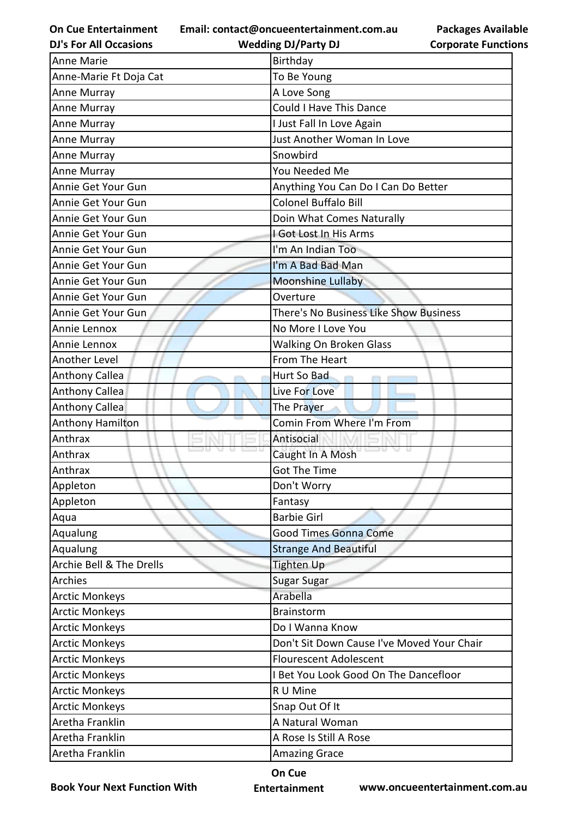**Email: contact@oncueentertainment.com.au Wedding DJ/Party DJ** 

**DJ's For All Occasions**

**Packages Available Corporate Functions**

| <b>Anne Marie</b>        | Birthday                                   |  |
|--------------------------|--------------------------------------------|--|
| Anne-Marie Ft Doja Cat   | To Be Young                                |  |
| Anne Murray              | A Love Song                                |  |
| Anne Murray              | Could I Have This Dance                    |  |
| Anne Murray              | I Just Fall In Love Again                  |  |
| Anne Murray              | Just Another Woman In Love                 |  |
| Anne Murray              | Snowbird                                   |  |
| Anne Murray              | You Needed Me                              |  |
| Annie Get Your Gun       | Anything You Can Do I Can Do Better        |  |
| Annie Get Your Gun       | <b>Colonel Buffalo Bill</b>                |  |
| Annie Get Your Gun       | Doin What Comes Naturally                  |  |
| Annie Get Your Gun       | I Got Lost In His Arms                     |  |
| Annie Get Your Gun       | I'm An Indian Too                          |  |
| Annie Get Your Gun       | I'm A Bad Bad Man                          |  |
| Annie Get Your Gun       | <b>Moonshine Lullaby</b>                   |  |
| Annie Get Your Gun       | Overture                                   |  |
| Annie Get Your Gun       | There's No Business Like Show Business     |  |
| Annie Lennox             | No More I Love You                         |  |
| Annie Lennox             | <b>Walking On Broken Glass</b>             |  |
| Another Level            | From The Heart                             |  |
| <b>Anthony Callea</b>    | Hurt So Bad                                |  |
| <b>Anthony Callea</b>    | Live For Love                              |  |
| <b>Anthony Callea</b>    | The Prayer                                 |  |
| <b>Anthony Hamilton</b>  | Comin From Where I'm From                  |  |
| Anthrax                  | Antisocial                                 |  |
| Anthrax                  | Caught In A Mosh                           |  |
| Anthrax                  | <b>Got The Time</b>                        |  |
| Appleton                 | Don't Worry                                |  |
| Appleton                 | Fantasy                                    |  |
| Aqua                     | <b>Barbie Girl</b>                         |  |
| Aqualung                 | <b>Good Times Gonna Come</b>               |  |
| Aqualung                 | <b>Strange And Beautiful</b>               |  |
| Archie Bell & The Drells | <b>Tighten Up</b>                          |  |
| Archies                  | Sugar Sugar                                |  |
| <b>Arctic Monkeys</b>    | Arabella                                   |  |
| <b>Arctic Monkeys</b>    | Brainstorm                                 |  |
| <b>Arctic Monkeys</b>    | Do I Wanna Know                            |  |
| <b>Arctic Monkeys</b>    | Don't Sit Down Cause I've Moved Your Chair |  |
| <b>Arctic Monkeys</b>    | <b>Flourescent Adolescent</b>              |  |
| <b>Arctic Monkeys</b>    | I Bet You Look Good On The Dancefloor      |  |
| <b>Arctic Monkeys</b>    | R U Mine                                   |  |
| <b>Arctic Monkeys</b>    | Snap Out Of It                             |  |
| Aretha Franklin          | A Natural Woman                            |  |
| Aretha Franklin          | A Rose Is Still A Rose                     |  |
| Aretha Franklin          | <b>Amazing Grace</b>                       |  |
|                          |                                            |  |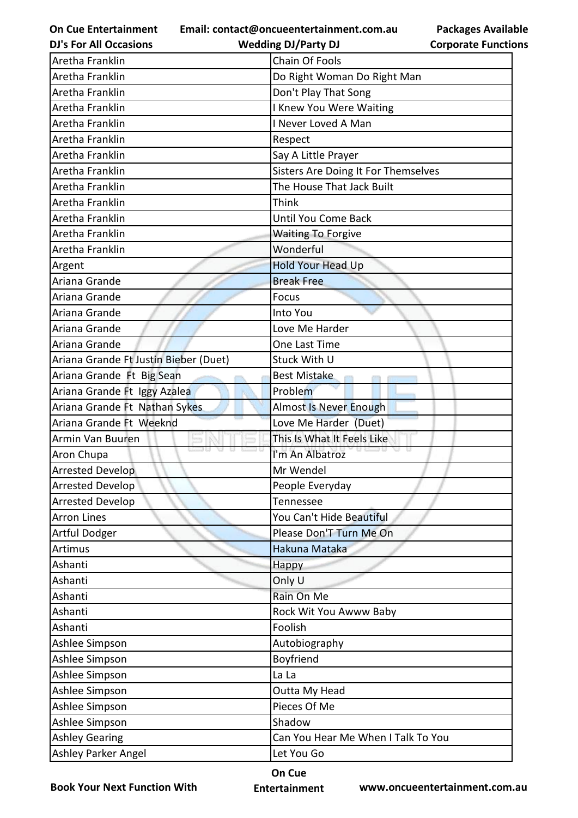**Email: contact@oncueentertainment.com.au**

**DJ's For All Occasions**

**Wedding DJ/Party DJ** 

**Packages Available Corporate Functions**

| Aretha Franklin                       | <b>Chain Of Fools</b>               |  |
|---------------------------------------|-------------------------------------|--|
| Aretha Franklin                       | Do Right Woman Do Right Man         |  |
| Aretha Franklin                       | Don't Play That Song                |  |
| Aretha Franklin                       | I Knew You Were Waiting             |  |
| Aretha Franklin                       | I Never Loved A Man                 |  |
| Aretha Franklin                       | Respect                             |  |
| Aretha Franklin                       | Say A Little Prayer                 |  |
| Aretha Franklin                       | Sisters Are Doing It For Themselves |  |
| Aretha Franklin                       | The House That Jack Built           |  |
| Aretha Franklin                       | Think                               |  |
| Aretha Franklin                       | <b>Until You Come Back</b>          |  |
| Aretha Franklin                       | <b>Waiting To Forgive</b>           |  |
| Aretha Franklin                       | Wonderful                           |  |
| Argent                                | <b>Hold Your Head Up</b>            |  |
| Ariana Grande                         | <b>Break Free</b>                   |  |
| Ariana Grande                         | Focus                               |  |
| Ariana Grande                         | Into You                            |  |
| Ariana Grande                         | Love Me Harder                      |  |
| Ariana Grande                         | One Last Time                       |  |
| Ariana Grande Ft Justin Bieber (Duet) | Stuck With U                        |  |
| Ariana Grande Ft Big Sean             | <b>Best Mistake</b>                 |  |
| Ariana Grande Ft Iggy Azalea          | Problem                             |  |
| Ariana Grande Ft Nathan Sykes         | <b>Almost Is Never Enough</b>       |  |
| Ariana Grande Ft Weeknd               | Love Me Harder (Duet)               |  |
| Armin Van Buuren                      | This Is What It Feels Like          |  |
| Aron Chupa                            | I'm An Albatroz                     |  |
| <b>Arrested Develop</b>               | Mr Wendel                           |  |
| <b>Arrested Develop</b>               | People Everyday                     |  |
| <b>Arrested Develop</b>               | Tennessee                           |  |
| <b>Arron Lines</b>                    | You Can't Hide Beautiful            |  |
| Artful Dodger                         | Please Don'T Turn Me On             |  |
| Artimus                               | Hakuna Mataka                       |  |
| Ashanti                               | Happy                               |  |
| Ashanti                               | Only U                              |  |
| Ashanti                               | Rain On Me                          |  |
| Ashanti                               | Rock Wit You Awww Baby              |  |
| Ashanti                               | Foolish                             |  |
| Ashlee Simpson                        | Autobiography                       |  |
| Ashlee Simpson                        | Boyfriend                           |  |
| Ashlee Simpson                        | La La                               |  |
| Ashlee Simpson                        | Outta My Head                       |  |
| Ashlee Simpson                        | Pieces Of Me                        |  |
| Ashlee Simpson                        | Shadow                              |  |
| <b>Ashley Gearing</b>                 | Can You Hear Me When I Talk To You  |  |
| Ashley Parker Angel                   | Let You Go                          |  |

**Book Your Next Function With**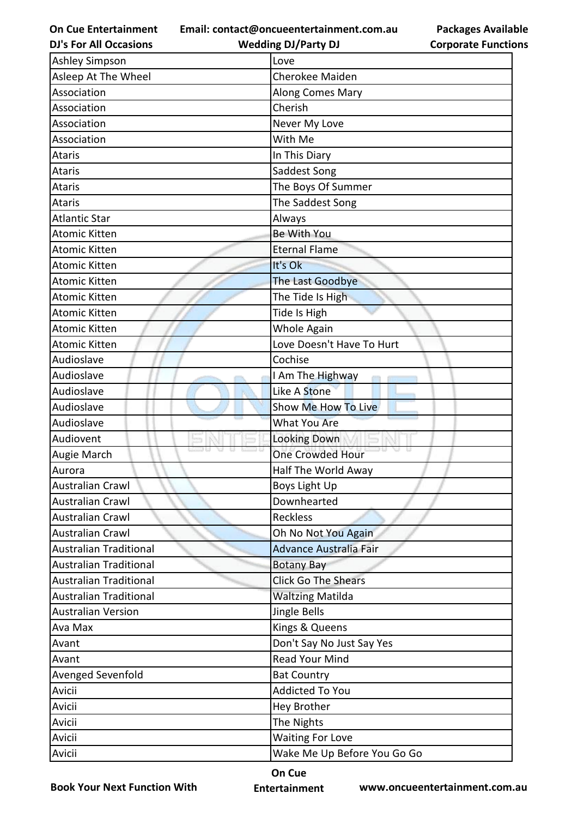**Email: contact@oncueentertainment.com.au Wedding DJ/Party DJ** 

**DJ's For All Occasions**

| <b>Packages Available</b>  |
|----------------------------|
| <b>Corporate Functions</b> |

| <b>Ashley Simpson</b>         | Love                          |
|-------------------------------|-------------------------------|
| Asleep At The Wheel           | <b>Cherokee Maiden</b>        |
| Association                   | Along Comes Mary              |
| Association                   | Cherish                       |
| Association                   | Never My Love                 |
| Association                   | With Me                       |
| Ataris                        | In This Diary                 |
| <b>Ataris</b>                 | Saddest Song                  |
| Ataris                        | The Boys Of Summer            |
| Ataris                        | The Saddest Song              |
| <b>Atlantic Star</b>          | Always                        |
| <b>Atomic Kitten</b>          | Be With You                   |
| <b>Atomic Kitten</b>          | <b>Eternal Flame</b>          |
| <b>Atomic Kitten</b>          | It's Ok                       |
| <b>Atomic Kitten</b>          | The Last Goodbye              |
| <b>Atomic Kitten</b>          | The Tide Is High              |
| <b>Atomic Kitten</b>          | Tide Is High                  |
| <b>Atomic Kitten</b>          | Whole Again                   |
| <b>Atomic Kitten</b>          | Love Doesn't Have To Hurt     |
| Audioslave                    | Cochise                       |
| Audioslave                    | I Am The Highway              |
| Audioslave                    | Like A Stone                  |
| Audioslave                    | Show Me How To Live           |
| Audioslave                    | <b>What You Are</b>           |
| Audiovent                     | <b>Looking Down</b>           |
| Augie March                   | <b>One Crowded Hour</b>       |
| Aurora                        | Half The World Away           |
| Australian Crawl              | Boys Light Up                 |
| <b>Australian Crawl</b>       | Downhearted                   |
| <b>Australian Crawl</b>       | Reckless                      |
| <b>Australian Crawl</b>       | Oh No Not You Again           |
| <b>Australian Traditional</b> | <b>Advance Australia Fair</b> |
| <b>Australian Traditional</b> | <b>Botany Bay</b>             |
| <b>Australian Traditional</b> | <b>Click Go The Shears</b>    |
| <b>Australian Traditional</b> | <b>Waltzing Matilda</b>       |
| <b>Australian Version</b>     | Jingle Bells                  |
| Ava Max                       | Kings & Queens                |
| Avant                         | Don't Say No Just Say Yes     |
| Avant                         | Read Your Mind                |
| Avenged Sevenfold             | <b>Bat Country</b>            |
| Avicii                        | <b>Addicted To You</b>        |
| Avicii                        | Hey Brother                   |
| Avicii                        | The Nights                    |
| Avicii                        | <b>Waiting For Love</b>       |
| Avicii                        | Wake Me Up Before You Go Go   |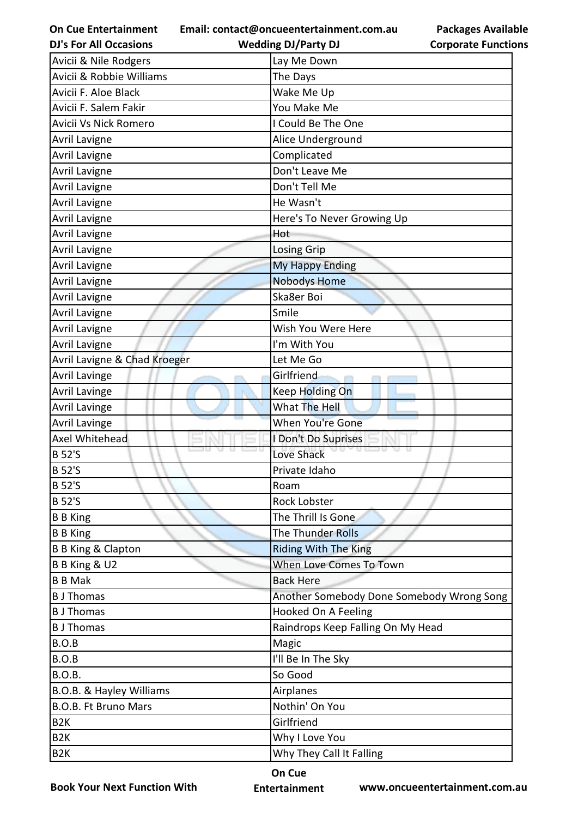|  | <b>On Cue Entertainment</b> |  |
|--|-----------------------------|--|
|--|-----------------------------|--|

**Email: contact@oncueentertainment.com.au**

**DJ's For All Occasions**

| <b>Packages Available</b>  |  |
|----------------------------|--|
| <b>Corporate Functions</b> |  |

| <b>DJ's For All Occasions</b> | <b>Wedding DJ/Party DJ</b>        | <b>Corporate Functio</b>                  |
|-------------------------------|-----------------------------------|-------------------------------------------|
| Avicii & Nile Rodgers         | Lay Me Down                       |                                           |
| Avicii & Robbie Williams      | The Days                          |                                           |
| Avicii F. Aloe Black          | Wake Me Up                        |                                           |
| Avicii F. Salem Fakir         | You Make Me                       |                                           |
| Avicii Vs Nick Romero         | I Could Be The One                |                                           |
| Avril Lavigne                 | Alice Underground                 |                                           |
| <b>Avril Lavigne</b>          | Complicated                       |                                           |
| <b>Avril Lavigne</b>          | Don't Leave Me                    |                                           |
| <b>Avril Lavigne</b>          | Don't Tell Me                     |                                           |
| <b>Avril Lavigne</b>          | He Wasn't                         |                                           |
| <b>Avril Lavigne</b>          | Here's To Never Growing Up        |                                           |
| <b>Avril Lavigne</b>          | Hot                               |                                           |
| <b>Avril Lavigne</b>          | Losing Grip                       |                                           |
| <b>Avril Lavigne</b>          | <b>My Happy Ending</b>            |                                           |
| Avril Lavigne                 | <b>Nobodys Home</b>               |                                           |
| <b>Avril Lavigne</b>          | Ska8er Boi                        |                                           |
| <b>Avril Lavigne</b>          | Smile                             |                                           |
| <b>Avril Lavigne</b>          | Wish You Were Here                |                                           |
| <b>Avril Lavigne</b>          | I'm With You                      |                                           |
| Avril Lavigne & Chad Kroeger  | Let Me Go                         |                                           |
| <b>Avril Lavinge</b>          | Girlfriend                        |                                           |
| <b>Avril Lavinge</b>          | <b>Keep Holding On</b>            |                                           |
| <b>Avril Lavinge</b>          | What The Hell                     |                                           |
| <b>Avril Lavinge</b>          | When You're Gone                  |                                           |
| Axel Whitehead                | I Don't Do Suprises               |                                           |
| <b>B</b> 52'S                 | Love Shack                        |                                           |
| <b>B</b> 52'S                 | Private Idaho                     |                                           |
| <b>B</b> 52'S                 | Roam                              |                                           |
| <b>B</b> 52'S                 | Rock Lobster                      |                                           |
| <b>B</b> B King               | The Thrill Is Gone                |                                           |
| <b>B</b> B King               | The Thunder Rolls                 |                                           |
| <b>B B King &amp; Clapton</b> | <b>Riding With The King</b>       |                                           |
| B B King & U2                 | When Love Comes To Town           |                                           |
| <b>B B Mak</b>                | <b>Back Here</b>                  |                                           |
| <b>B</b> J Thomas             |                                   | Another Somebody Done Somebody Wrong Song |
| <b>B</b> J Thomas             | Hooked On A Feeling               |                                           |
| <b>B</b> J Thomas             | Raindrops Keep Falling On My Head |                                           |
| B.O.B                         | Magic                             |                                           |
| B.O.B                         | I'll Be In The Sky                |                                           |
| <b>B.O.B.</b>                 | So Good                           |                                           |
| B.O.B. & Hayley Williams      | Airplanes                         |                                           |
| <b>B.O.B. Ft Bruno Mars</b>   | Nothin' On You                    |                                           |
| B <sub>2</sub> K              | Girlfriend                        |                                           |
| B <sub>2</sub> K              | Why I Love You                    |                                           |
| B <sub>2</sub> K              | Why They Call It Falling          |                                           |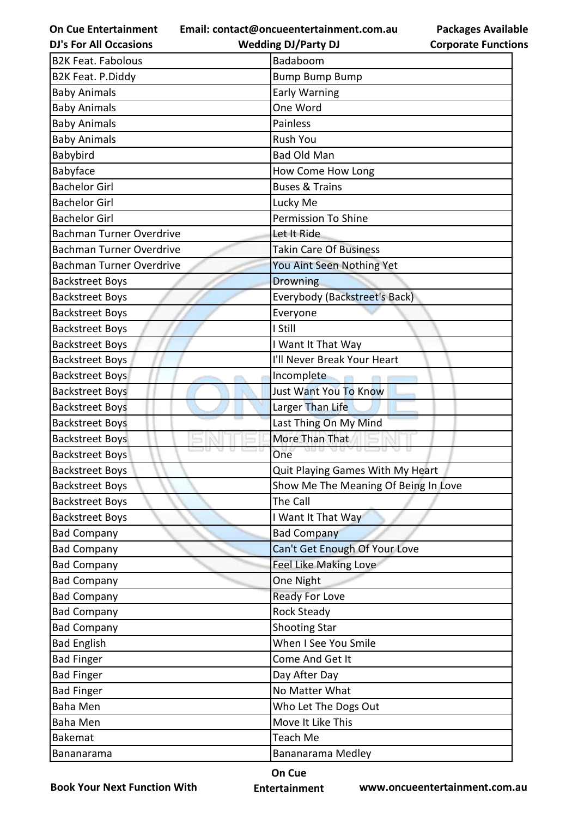**Email: contact@oncueentertainment.com.au Wedding DJ/Party DJ** 

**DJ's For All Occasions**

**Packages Available Corporate Functions**

| <b>B2K Feat. Fabolous</b>       | Badaboom                             |
|---------------------------------|--------------------------------------|
| B2K Feat. P.Diddy               | <b>Bump Bump Bump</b>                |
| <b>Baby Animals</b>             | <b>Early Warning</b>                 |
| <b>Baby Animals</b>             | One Word                             |
| <b>Baby Animals</b>             | Painless                             |
| <b>Baby Animals</b>             | Rush You                             |
| Babybird                        | <b>Bad Old Man</b>                   |
| Babyface                        | How Come How Long                    |
| <b>Bachelor Girl</b>            | <b>Buses &amp; Trains</b>            |
| <b>Bachelor Girl</b>            | Lucky Me                             |
| <b>Bachelor Girl</b>            | <b>Permission To Shine</b>           |
| <b>Bachman Turner Overdrive</b> | Let It Ride                          |
| <b>Bachman Turner Overdrive</b> | <b>Takin Care Of Business</b>        |
| <b>Bachman Turner Overdrive</b> | You Aint Seen Nothing Yet            |
| <b>Backstreet Boys</b>          | Drowning                             |
| <b>Backstreet Boys</b>          | Everybody (Backstreet's Back)        |
| <b>Backstreet Boys</b>          | Everyone                             |
| <b>Backstreet Boys</b>          | I Still                              |
| <b>Backstreet Boys</b>          | I Want It That Way                   |
| <b>Backstreet Boys</b>          | I'll Never Break Your Heart          |
| <b>Backstreet Boys</b>          | Incomplete                           |
| <b>Backstreet Boys</b>          | Just Want You To Know                |
| <b>Backstreet Boys</b>          | Larger Than Life                     |
| <b>Backstreet Boys</b>          | Last Thing On My Mind                |
| <b>Backstreet Boys</b>          | More Than That                       |
| <b>Backstreet Boys</b>          | One                                  |
| <b>Backstreet Boys</b>          | Quit Playing Games With My Heart     |
| <b>Backstreet Boys</b>          | Show Me The Meaning Of Being In Love |
| <b>Backstreet Boys</b>          | The Call                             |
| <b>Backstreet Boys</b>          | I Want It That Way                   |
| <b>Bad Company</b>              | <b>Bad Company</b>                   |
| <b>Bad Company</b>              | Can't Get Enough Of Your Love        |
| <b>Bad Company</b>              | <b>Feel Like Making Love</b>         |
| <b>Bad Company</b>              | One Night                            |
| <b>Bad Company</b>              | <b>Ready For Love</b>                |
| <b>Bad Company</b>              | <b>Rock Steady</b>                   |
| <b>Bad Company</b>              | <b>Shooting Star</b>                 |
| <b>Bad English</b>              | When I See You Smile                 |
| <b>Bad Finger</b>               | Come And Get It                      |
| <b>Bad Finger</b>               | Day After Day                        |
| <b>Bad Finger</b>               | No Matter What                       |
| Baha Men                        | Who Let The Dogs Out                 |
| Baha Men                        | Move It Like This                    |
| <b>Bakemat</b>                  | <b>Teach Me</b>                      |
| Bananarama                      | Bananarama Medley                    |

**Book Your Next Function With**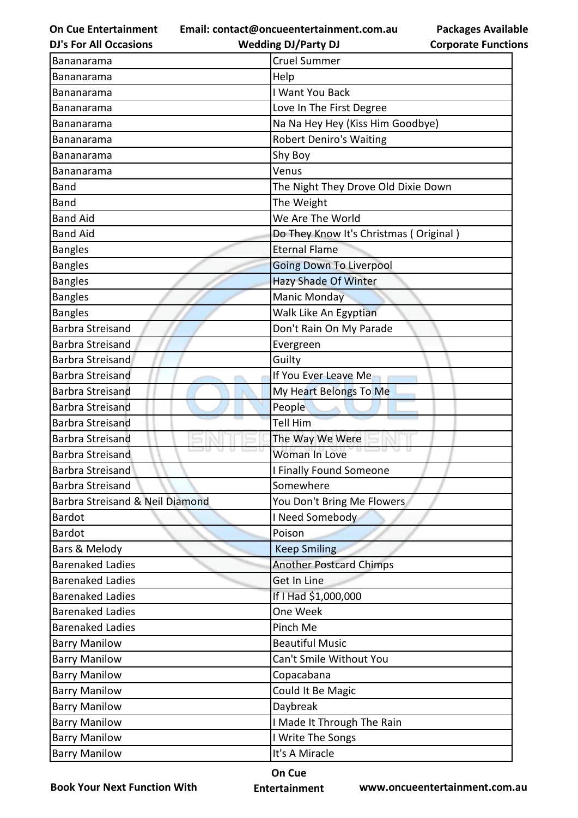**Email: contact@oncueentertainment.com.au Wedding DJ/Party DJ** 

**DJ's For All Occasions**

## **Packages Available Corporate Functions**

| Bananarama                      | <b>Cruel Summer</b>                    |  |
|---------------------------------|----------------------------------------|--|
| <b>Bananarama</b>               | Help                                   |  |
| Bananarama                      | I Want You Back                        |  |
| Bananarama                      | Love In The First Degree               |  |
| Bananarama                      | Na Na Hey Hey (Kiss Him Goodbye)       |  |
| Bananarama                      | <b>Robert Deniro's Waiting</b>         |  |
| Bananarama                      | Shy Boy                                |  |
| Bananarama                      | Venus                                  |  |
| <b>Band</b>                     | The Night They Drove Old Dixie Down    |  |
| <b>Band</b>                     | The Weight                             |  |
| <b>Band Aid</b>                 | We Are The World                       |  |
| <b>Band Aid</b>                 | Do They Know It's Christmas (Original) |  |
| <b>Bangles</b>                  | <b>Eternal Flame</b>                   |  |
| <b>Bangles</b>                  | <b>Going Down To Liverpool</b>         |  |
| <b>Bangles</b>                  | <b>Hazy Shade Of Winter</b>            |  |
| <b>Bangles</b>                  | <b>Manic Monday</b>                    |  |
| <b>Bangles</b>                  | Walk Like An Egyptian                  |  |
| Barbra Streisand                | Don't Rain On My Parade                |  |
| Barbra Streisand                | Evergreen                              |  |
| Barbra Streisand                | Guilty                                 |  |
| <b>Barbra Streisand</b>         | If You Ever Leave Me                   |  |
| Barbra Streisand                | My Heart Belongs To Me                 |  |
| <b>Barbra Streisand</b>         | People                                 |  |
| Barbra Streisand                | Tell Him                               |  |
| <b>Barbra Streisand</b>         | The Way We Were                        |  |
| Barbra Streisand                | Woman In Love                          |  |
| <b>Barbra Streisand</b>         | I Finally Found Someone                |  |
| Barbra Streisand                | Somewhere                              |  |
| Barbra Streisand & Neil Diamond | You Don't Bring Me Flowers             |  |
| <b>Bardot</b>                   | I Need Somebody                        |  |
| <b>Bardot</b>                   | Poison                                 |  |
| Bars & Melody                   | <b>Keep Smiling</b>                    |  |
| <b>Barenaked Ladies</b>         | <b>Another Postcard Chimps</b>         |  |
| <b>Barenaked Ladies</b>         | Get In Line                            |  |
| <b>Barenaked Ladies</b>         | If I Had \$1,000,000                   |  |
| <b>Barenaked Ladies</b>         | One Week                               |  |
| <b>Barenaked Ladies</b>         | Pinch Me                               |  |
| <b>Barry Manilow</b>            | <b>Beautiful Music</b>                 |  |
| <b>Barry Manilow</b>            | Can't Smile Without You                |  |
| <b>Barry Manilow</b>            | Copacabana                             |  |
| <b>Barry Manilow</b>            | Could It Be Magic                      |  |
| <b>Barry Manilow</b>            | Daybreak                               |  |
| <b>Barry Manilow</b>            | I Made It Through The Rain             |  |
| <b>Barry Manilow</b>            | I Write The Songs                      |  |
| <b>Barry Manilow</b>            | It's A Miracle                         |  |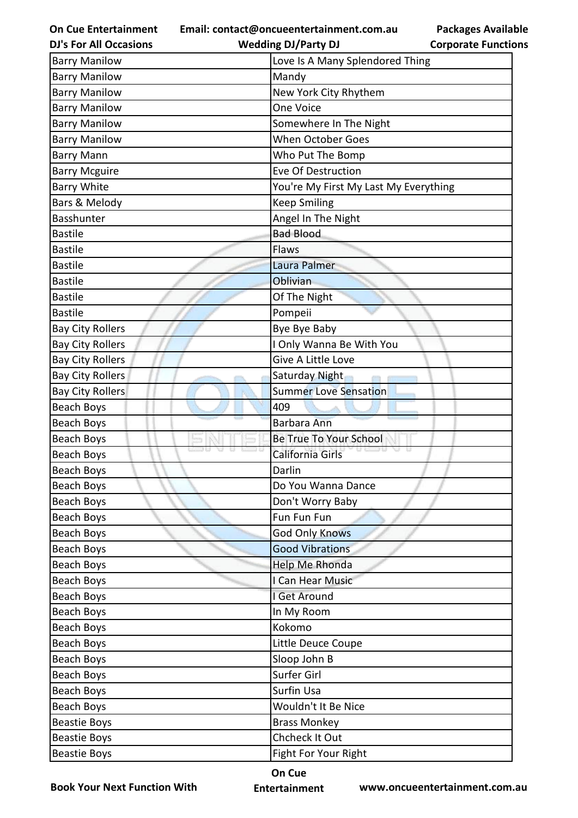**Email: contact@oncueentertainment.com.au**

**DJ's For All Occasions**

**Packages Available Corporate Functions**

| <b>DJ's For All Occasions</b> | <b>Wedding DJ/Party DJ</b>            | <b>Corporate Functio</b> |
|-------------------------------|---------------------------------------|--------------------------|
| <b>Barry Manilow</b>          | Love Is A Many Splendored Thing       |                          |
| <b>Barry Manilow</b>          | Mandy                                 |                          |
| <b>Barry Manilow</b>          | New York City Rhythem                 |                          |
| <b>Barry Manilow</b>          | One Voice                             |                          |
| <b>Barry Manilow</b>          | Somewhere In The Night                |                          |
| <b>Barry Manilow</b>          | <b>When October Goes</b>              |                          |
| <b>Barry Mann</b>             | Who Put The Bomp                      |                          |
| <b>Barry Mcguire</b>          | <b>Eve Of Destruction</b>             |                          |
| <b>Barry White</b>            | You're My First My Last My Everything |                          |
| Bars & Melody                 | <b>Keep Smiling</b>                   |                          |
| Basshunter                    | Angel In The Night                    |                          |
| <b>Bastile</b>                | <b>Bad Blood</b>                      |                          |
| <b>Bastile</b>                | Flaws                                 |                          |
| <b>Bastile</b>                | Laura Palmer                          |                          |
| <b>Bastile</b>                | Oblivian                              |                          |
| <b>Bastile</b>                | Of The Night                          |                          |
| <b>Bastile</b>                | Pompeii                               |                          |
| <b>Bay City Rollers</b>       | Bye Bye Baby                          |                          |
| <b>Bay City Rollers</b>       | I Only Wanna Be With You              |                          |
| <b>Bay City Rollers</b>       | Give A Little Love                    |                          |
| <b>Bay City Rollers</b>       | Saturday Night                        |                          |
| <b>Bay City Rollers</b>       | <b>Summer Love Sensation</b>          |                          |
| Beach Boys                    | 409                                   |                          |
| Beach Boys                    | <b>Barbara Ann</b>                    |                          |
| Beach Boys                    | Be True To Your School                |                          |
| Beach Boys                    | California Girls                      |                          |
| <b>Beach Boys</b>             | Darlin                                |                          |
| <b>Beach Boys</b>             | Do You Wanna Dance                    |                          |
| <b>Beach Boys</b>             | Don't Worry Baby                      |                          |
| Beach Boys                    | Fun Fun Fun                           |                          |
| <b>Beach Boys</b>             | <b>God Only Knows</b>                 |                          |
| Beach Boys                    | <b>Good Vibrations</b>                |                          |
| <b>Beach Boys</b>             | Help Me Rhonda                        |                          |
| Beach Boys                    | I Can Hear Music                      |                          |
| Beach Boys                    | I Get Around                          |                          |
| Beach Boys                    | In My Room                            |                          |
| <b>Beach Boys</b>             | Kokomo                                |                          |
| Beach Boys                    | Little Deuce Coupe                    |                          |
| Beach Boys                    | Sloop John B                          |                          |
| <b>Beach Boys</b>             | Surfer Girl                           |                          |
| Beach Boys                    | Surfin Usa                            |                          |
| Beach Boys                    | Wouldn't It Be Nice                   |                          |
| <b>Beastie Boys</b>           | <b>Brass Monkey</b>                   |                          |
| <b>Beastie Boys</b>           | Chcheck It Out                        |                          |
| <b>Beastie Boys</b>           | Fight For Your Right                  |                          |
|                               |                                       |                          |

**Book Your Next Function With**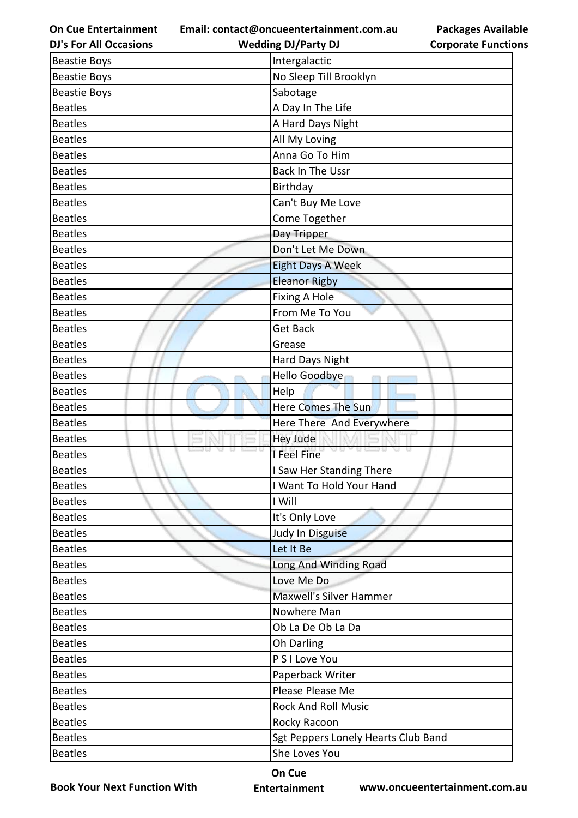**Email: contact@oncueentertainment.com.au Wedding DJ/Party DJ** 

**DJ's For All Occasions**

**Packages Available Corporate Functions**

| <b>Beastie Boys</b> | Intergalactic                       |
|---------------------|-------------------------------------|
| <b>Beastie Boys</b> | No Sleep Till Brooklyn              |
| <b>Beastie Boys</b> | Sabotage                            |
| <b>Beatles</b>      | A Day In The Life                   |
| <b>Beatles</b>      | A Hard Days Night                   |
| <b>Beatles</b>      | All My Loving                       |
| <b>Beatles</b>      | Anna Go To Him                      |
| <b>Beatles</b>      | Back In The Ussr                    |
| <b>Beatles</b>      | Birthday                            |
| <b>Beatles</b>      | Can't Buy Me Love                   |
| <b>Beatles</b>      | Come Together                       |
| <b>Beatles</b>      | Day Tripper                         |
| <b>Beatles</b>      | Don't Let Me Down                   |
| <b>Beatles</b>      | Eight Days A Week                   |
| <b>Beatles</b>      | <b>Eleanor Rigby</b>                |
| <b>Beatles</b>      | <b>Fixing A Hole</b>                |
| <b>Beatles</b>      | From Me To You                      |
| <b>Beatles</b>      | <b>Get Back</b>                     |
| <b>Beatles</b>      | Grease                              |
| <b>Beatles</b>      | Hard Days Night                     |
| <b>Beatles</b>      | Hello Goodbye                       |
| <b>Beatles</b>      | Help                                |
| <b>Beatles</b>      | Here Comes The Sun                  |
| <b>Beatles</b>      | Here There And Everywhere           |
| <b>Beatles</b>      | <b>Hey Jude</b>                     |
| <b>Beatles</b>      | 33 QU<br>u u<br>I Feel Fine         |
| <b>Beatles</b>      | I Saw Her Standing There            |
| <b>Beatles</b>      | I Want To Hold Your Hand            |
| <b>Beatles</b>      | I Will                              |
| <b>Beatles</b>      | It's Only Love                      |
| <b>Beatles</b>      | Judy In Disguise                    |
| <b>Beatles</b>      | Let It Be                           |
| <b>Beatles</b>      | Long And Winding Road               |
| <b>Beatles</b>      | Love Me Do                          |
| <b>Beatles</b>      | <b>Maxwell's Silver Hammer</b>      |
| <b>Beatles</b>      | Nowhere Man                         |
| <b>Beatles</b>      | Ob La De Ob La Da                   |
| <b>Beatles</b>      | Oh Darling                          |
| <b>Beatles</b>      | P S I Love You                      |
| <b>Beatles</b>      | Paperback Writer                    |
| <b>Beatles</b>      | Please Please Me                    |
| <b>Beatles</b>      | <b>Rock And Roll Music</b>          |
| <b>Beatles</b>      | Rocky Racoon                        |
| <b>Beatles</b>      | Sgt Peppers Lonely Hearts Club Band |
| <b>Beatles</b>      | She Loves You                       |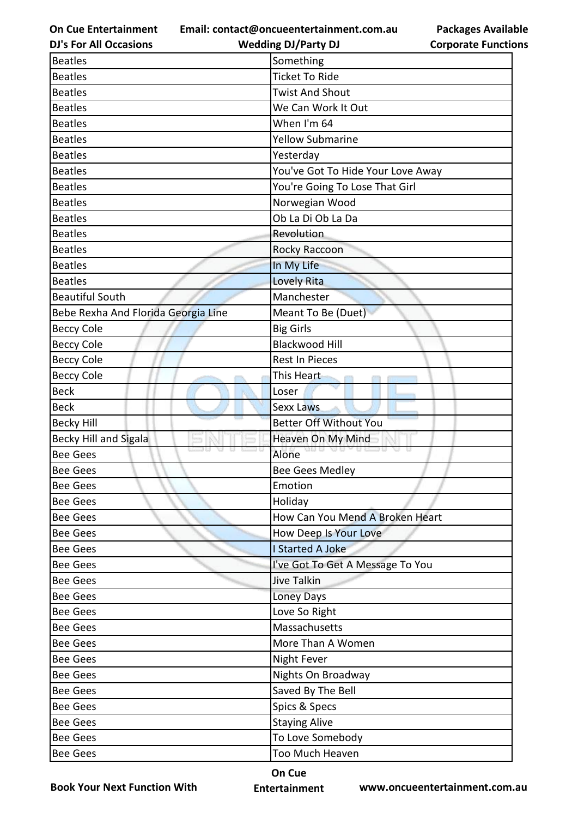**Email: contact@oncueentertainment.com.au**

**Packages Available Corporate Functions**

| <b>DJ's For All Occasions</b>       | <b>Wedding DJ/Party DJ</b>        | <b>Corporate Functio</b> |
|-------------------------------------|-----------------------------------|--------------------------|
| <b>Beatles</b>                      | Something                         |                          |
| <b>Beatles</b>                      | <b>Ticket To Ride</b>             |                          |
| <b>Beatles</b>                      | <b>Twist And Shout</b>            |                          |
| <b>Beatles</b>                      | We Can Work It Out                |                          |
| <b>Beatles</b>                      | When I'm 64                       |                          |
| <b>Beatles</b>                      | <b>Yellow Submarine</b>           |                          |
| <b>Beatles</b>                      | Yesterday                         |                          |
| <b>Beatles</b>                      | You've Got To Hide Your Love Away |                          |
| <b>Beatles</b>                      | You're Going To Lose That Girl    |                          |
| <b>Beatles</b>                      | Norwegian Wood                    |                          |
| <b>Beatles</b>                      | Ob La Di Ob La Da                 |                          |
| <b>Beatles</b>                      | Revolution                        |                          |
| <b>Beatles</b>                      | Rocky Raccoon                     |                          |
| <b>Beatles</b>                      | In My Life                        |                          |
| <b>Beatles</b>                      | <b>Lovely Rita</b>                |                          |
| <b>Beautiful South</b>              | Manchester                        |                          |
| Bebe Rexha And Florida Georgia Line | Meant To Be (Duet)                |                          |
| <b>Beccy Cole</b>                   | <b>Big Girls</b>                  |                          |
| <b>Beccy Cole</b>                   | <b>Blackwood Hill</b>             |                          |
| <b>Beccy Cole</b>                   | <b>Rest In Pieces</b>             |                          |
| <b>Beccy Cole</b>                   | This Heart                        |                          |
| <b>Beck</b>                         | Loser                             |                          |
| <b>Beck</b>                         | <b>Sexx Laws</b>                  |                          |
| <b>Becky Hill</b>                   | <b>Better Off Without You</b>     |                          |
| <b>Becky Hill and Sigala</b>        | Heaven On My Mind                 |                          |
| <b>Bee Gees</b>                     | Alone                             |                          |
| <b>Bee Gees</b>                     | Bee Gees Medley                   |                          |
| <b>Bee Gees</b>                     | Emotion                           |                          |
| <b>Bee Gees</b>                     | Holiday                           |                          |
| <b>Bee Gees</b>                     | How Can You Mend A Broken Heart   |                          |
| <b>Bee Gees</b>                     | How Deep Is Your Love             |                          |
| <b>Bee Gees</b>                     | I Started A Joke                  |                          |
| <b>Bee Gees</b>                     | I've Got To Get A Message To You  |                          |
| <b>Bee Gees</b>                     | Jive Talkin                       |                          |
| <b>Bee Gees</b>                     | Loney Days                        |                          |
| <b>Bee Gees</b>                     | Love So Right                     |                          |
| <b>Bee Gees</b>                     | Massachusetts                     |                          |
| <b>Bee Gees</b>                     | More Than A Women                 |                          |
| <b>Bee Gees</b>                     | <b>Night Fever</b>                |                          |
| <b>Bee Gees</b>                     | Nights On Broadway                |                          |
| <b>Bee Gees</b>                     | Saved By The Bell                 |                          |
| <b>Bee Gees</b>                     | Spics & Specs                     |                          |
| <b>Bee Gees</b>                     | <b>Staying Alive</b>              |                          |
| <b>Bee Gees</b>                     | To Love Somebody                  |                          |
| <b>Bee Gees</b>                     | Too Much Heaven                   |                          |
|                                     |                                   |                          |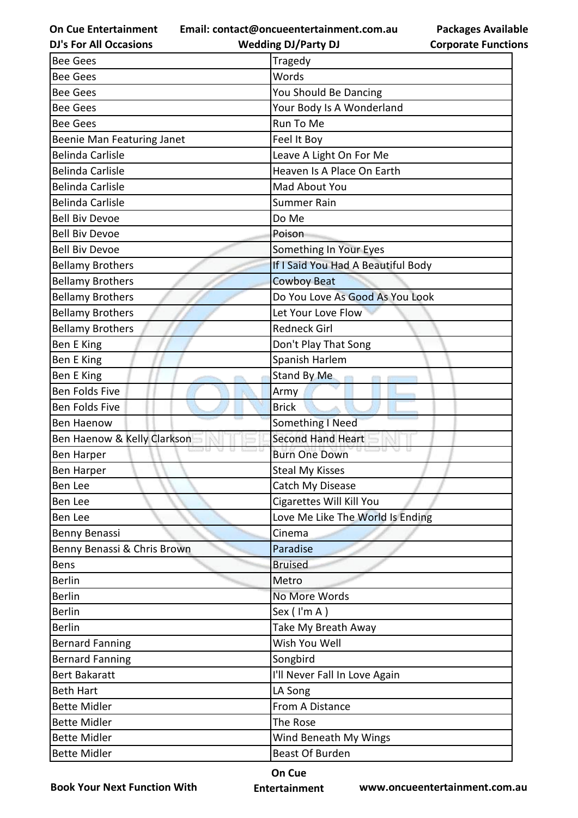**Email: contact@oncueentertainment.com.au Wedding DJ/Party DJ** 

**DJ's For All Occasions**

**Packages Available Corporate Functions**

| <b>Bee Gees</b>             | Tragedy                            |
|-----------------------------|------------------------------------|
| <b>Bee Gees</b>             | Words                              |
| <b>Bee Gees</b>             | You Should Be Dancing              |
| <b>Bee Gees</b>             | Your Body Is A Wonderland          |
| <b>Bee Gees</b>             | Run To Me                          |
| Beenie Man Featuring Janet  | Feel It Boy                        |
| <b>Belinda Carlisle</b>     | Leave A Light On For Me            |
| <b>Belinda Carlisle</b>     | Heaven Is A Place On Earth         |
| <b>Belinda Carlisle</b>     | Mad About You                      |
| <b>Belinda Carlisle</b>     | <b>Summer Rain</b>                 |
| <b>Bell Biv Devoe</b>       | Do Me                              |
| <b>Bell Biv Devoe</b>       | Poison                             |
| <b>Bell Biv Devoe</b>       | Something In Your Eyes             |
| <b>Bellamy Brothers</b>     | If I Said You Had A Beautiful Body |
| <b>Bellamy Brothers</b>     | <b>Cowboy Beat</b>                 |
| <b>Bellamy Brothers</b>     | Do You Love As Good As You Look    |
| <b>Bellamy Brothers</b>     | Let Your Love Flow                 |
| <b>Bellamy Brothers</b>     | <b>Redneck Girl</b>                |
| Ben E King                  | Don't Play That Song               |
| Ben E King                  | Spanish Harlem                     |
| Ben E King                  | Stand By Me                        |
| Ben Folds Five              | Army                               |
| Ben Folds Five              | <b>Brick</b>                       |
| <b>Ben Haenow</b>           | Something I Need                   |
| Ben Haenow & Kelly Clarkson | <b>Second Hand Heart</b>           |
| <b>Ben Harper</b>           | <b>Burn One Down</b>               |
| <b>Ben Harper</b>           | <b>Steal My Kisses</b>             |
| Ben Lee                     | Catch My Disease                   |
| Ben Lee                     | Cigarettes Will Kill You           |
| Ben Lee                     | Love Me Like The World Is Ending   |
| Benny Benassi               | Cinema                             |
| Benny Benassi & Chris Brown | Paradise                           |
| Bens                        | <b>Bruised</b>                     |
| <b>Berlin</b>               | Metro                              |
| <b>Berlin</b>               | No More Words                      |
| <b>Berlin</b>               | Sex (I'm A)                        |
| <b>Berlin</b>               | Take My Breath Away                |
| <b>Bernard Fanning</b>      | Wish You Well                      |
| <b>Bernard Fanning</b>      | Songbird                           |
| <b>Bert Bakaratt</b>        | I'll Never Fall In Love Again      |
| <b>Beth Hart</b>            | LA Song                            |
| <b>Bette Midler</b>         | From A Distance                    |
| <b>Bette Midler</b>         | The Rose                           |
| <b>Bette Midler</b>         | Wind Beneath My Wings              |
| <b>Bette Midler</b>         | <b>Beast Of Burden</b>             |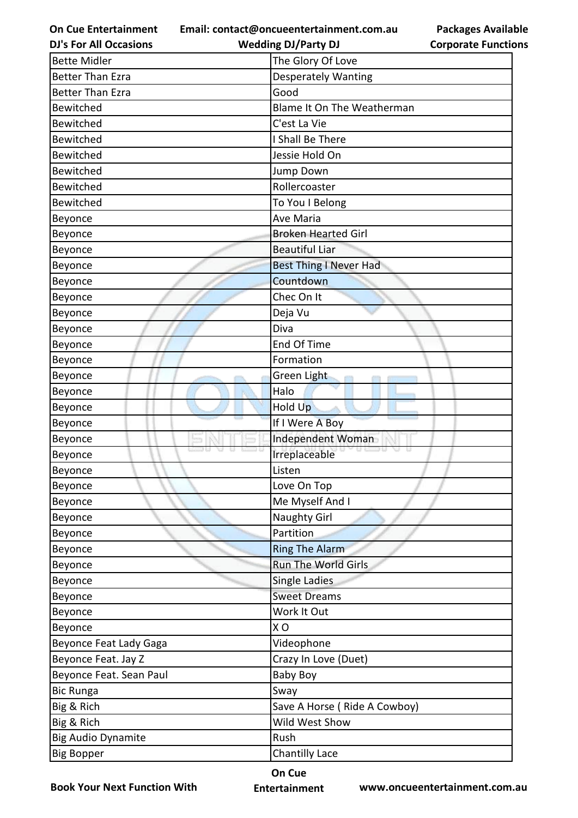**Email: contact@oncueentertainment.com.au Wedding DJ/Party DJ** 

**DJ's For All Occasions**

| <b>Packages Available</b>  |
|----------------------------|
| <b>Corporate Functions</b> |

| <b>Bette Midler</b>       | The Glory Of Love             |
|---------------------------|-------------------------------|
| <b>Better Than Ezra</b>   | <b>Desperately Wanting</b>    |
| <b>Better Than Ezra</b>   | Good                          |
| <b>Bewitched</b>          | Blame It On The Weatherman    |
| <b>Bewitched</b>          | C'est La Vie                  |
| Bewitched                 | I Shall Be There              |
| Bewitched                 | Jessie Hold On                |
| <b>Bewitched</b>          | Jump Down                     |
| <b>Bewitched</b>          | Rollercoaster                 |
| <b>Bewitched</b>          | To You I Belong               |
| Beyonce                   | Ave Maria                     |
| Beyonce                   | <b>Broken Hearted Girl</b>    |
| Beyonce                   | <b>Beautiful Liar</b>         |
| Beyonce                   | <b>Best Thing I Never Had</b> |
| Beyonce                   | Countdown                     |
| Beyonce                   | Chec On It                    |
| Beyonce                   | Deja Vu                       |
| Beyonce                   | Diva                          |
| Beyonce                   | End Of Time                   |
| Beyonce                   | Formation                     |
| Beyonce                   | Green Light                   |
| Beyonce                   | Halo                          |
| Beyonce                   | Hold Up                       |
| Beyonce                   | If I Were A Boy               |
| Beyonce                   | Independent Woman             |
| Beyonce                   | Irreplaceable                 |
| Beyonce                   | Listen                        |
| Beyonce                   | Love On Top                   |
| Beyonce                   | Me Myself And I               |
| Beyonce                   | <b>Naughty Girl</b>           |
| Beyonce                   | Partition                     |
| Beyonce                   | <b>Ring The Alarm</b>         |
| Beyonce                   | <b>Run The World Girls</b>    |
| Beyonce                   | Single Ladies                 |
| Beyonce                   | <b>Sweet Dreams</b>           |
| Beyonce                   | Work It Out                   |
| Beyonce                   | XO                            |
| Beyonce Feat Lady Gaga    | Videophone                    |
| Beyonce Feat. Jay Z       | Crazy In Love (Duet)          |
| Beyonce Feat. Sean Paul   | <b>Baby Boy</b>               |
| <b>Bic Runga</b>          | Sway                          |
| Big & Rich                | Save A Horse (Ride A Cowboy)  |
| Big & Rich                | Wild West Show                |
| <b>Big Audio Dynamite</b> | Rush                          |
| <b>Big Bopper</b>         | Chantilly Lace                |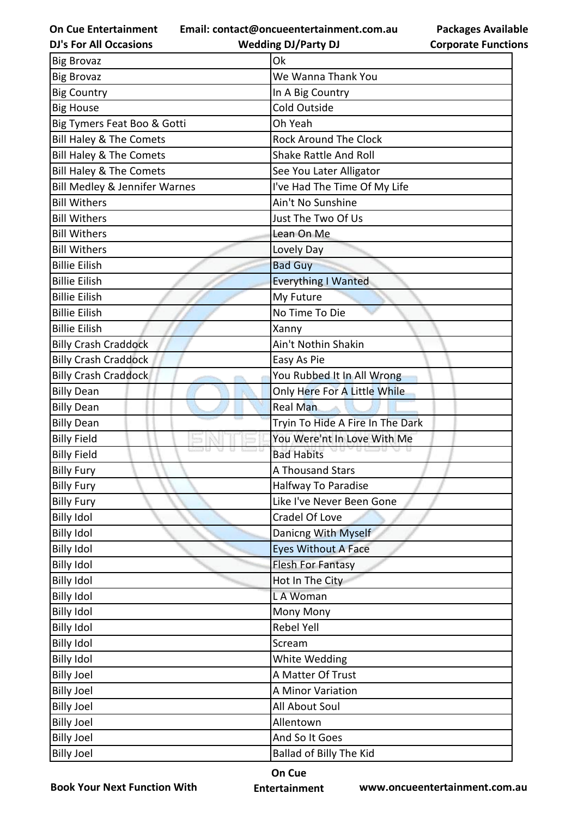**Email: contact@oncueentertainment.com.au**

**Packages Available Corporate Functions**

| <b>DJ's For All Occasions</b>            | <b>Wedding DJ/Party DJ</b>       | <b>Corporate Functio</b> |
|------------------------------------------|----------------------------------|--------------------------|
| <b>Big Brovaz</b>                        | Ok                               |                          |
| <b>Big Brovaz</b>                        | We Wanna Thank You               |                          |
| <b>Big Country</b>                       | In A Big Country                 |                          |
| <b>Big House</b>                         | Cold Outside                     |                          |
| Big Tymers Feat Boo & Gotti              | Oh Yeah                          |                          |
| Bill Haley & The Comets                  | <b>Rock Around The Clock</b>     |                          |
| Bill Haley & The Comets                  | <b>Shake Rattle And Roll</b>     |                          |
| <b>Bill Haley &amp; The Comets</b>       | See You Later Alligator          |                          |
| <b>Bill Medley &amp; Jennifer Warnes</b> | I've Had The Time Of My Life     |                          |
| <b>Bill Withers</b>                      | Ain't No Sunshine                |                          |
| <b>Bill Withers</b>                      | Just The Two Of Us               |                          |
| <b>Bill Withers</b>                      | Lean On Me                       |                          |
| <b>Bill Withers</b>                      | Lovely Day                       |                          |
| <b>Billie Eilish</b>                     | <b>Bad Guy</b>                   |                          |
| <b>Billie Eilish</b>                     | <b>Everything I Wanted</b>       |                          |
| <b>Billie Eilish</b>                     | My Future                        |                          |
| <b>Billie Eilish</b>                     | No Time To Die                   |                          |
| <b>Billie Eilish</b>                     | Xanny                            |                          |
| <b>Billy Crash Craddock</b>              | Ain't Nothin Shakin              |                          |
| <b>Billy Crash Craddock</b>              | Easy As Pie                      |                          |
| <b>Billy Crash Craddock</b>              | You Rubbed It In All Wrong       |                          |
| <b>Billy Dean</b>                        | Only Here For A Little While     |                          |
| <b>Billy Dean</b>                        | <b>Real Man</b>                  |                          |
| <b>Billy Dean</b>                        | Tryin To Hide A Fire In The Dark |                          |
| <b>Billy Field</b>                       | You Were'nt In Love With Me      |                          |
| <b>Billy Field</b>                       | <b>Bad Habits</b>                |                          |
| <b>Billy Fury</b>                        | A Thousand Stars                 |                          |
| <b>Billy Fury</b>                        | Halfway To Paradise              |                          |
| <b>Billy Fury</b>                        | Like I've Never Been Gone        |                          |
| <b>Billy Idol</b>                        | Cradel Of Love                   |                          |
| <b>Billy Idol</b>                        | Danicng With Myself              |                          |
| <b>Billy Idol</b>                        | <b>Eyes Without A Face</b>       |                          |
| <b>Billy Idol</b>                        | <b>Flesh For Fantasy</b>         |                          |
| <b>Billy Idol</b>                        | Hot In The City                  |                          |
| <b>Billy Idol</b>                        | L A Woman                        |                          |
| <b>Billy Idol</b>                        | Mony Mony                        |                          |
| <b>Billy Idol</b>                        | <b>Rebel Yell</b>                |                          |
| <b>Billy Idol</b>                        | Scream                           |                          |
| <b>Billy Idol</b>                        | White Wedding                    |                          |
| <b>Billy Joel</b>                        | A Matter Of Trust                |                          |
| <b>Billy Joel</b>                        | A Minor Variation                |                          |
| <b>Billy Joel</b>                        | <b>All About Soul</b>            |                          |
| <b>Billy Joel</b>                        | Allentown                        |                          |
| <b>Billy Joel</b>                        | And So It Goes                   |                          |
| <b>Billy Joel</b>                        | Ballad of Billy The Kid          |                          |
|                                          |                                  |                          |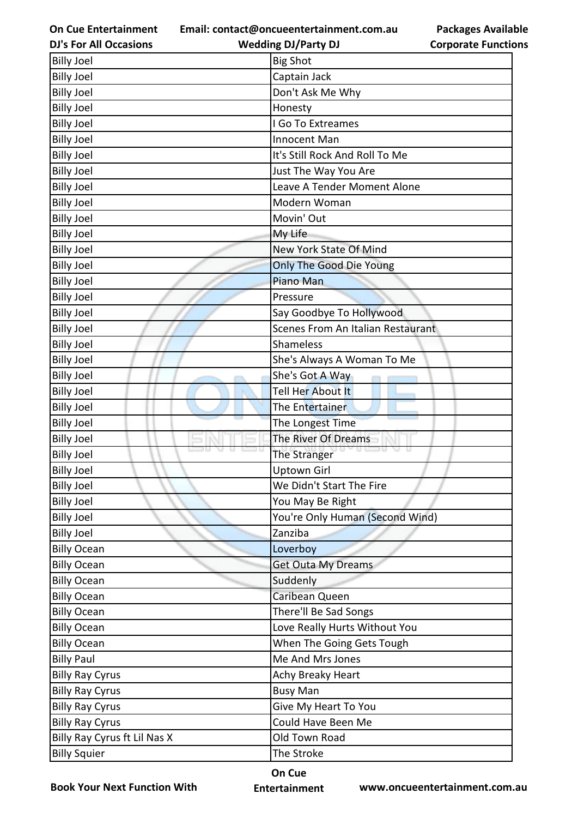**Email: contact@oncueentertainment.com.au Wedding DJ/Party DJ** 

**DJ's For All Occasions**

**Packages Available Corporate Functions**

| <b>Billy Joel</b>            | <b>Big Shot</b>                   |
|------------------------------|-----------------------------------|
| <b>Billy Joel</b>            | Captain Jack                      |
| <b>Billy Joel</b>            | Don't Ask Me Why                  |
| <b>Billy Joel</b>            | Honesty                           |
| <b>Billy Joel</b>            | I Go To Extreames                 |
| <b>Billy Joel</b>            | Innocent Man                      |
| <b>Billy Joel</b>            | It's Still Rock And Roll To Me    |
| <b>Billy Joel</b>            | Just The Way You Are              |
| <b>Billy Joel</b>            | Leave A Tender Moment Alone       |
| <b>Billy Joel</b>            | Modern Woman                      |
| <b>Billy Joel</b>            | Movin' Out                        |
| <b>Billy Joel</b>            | My Life                           |
| <b>Billy Joel</b>            | New York State Of Mind            |
| <b>Billy Joel</b>            | Only The Good Die Young           |
| <b>Billy Joel</b>            | Piano Man                         |
| <b>Billy Joel</b>            | Pressure                          |
| <b>Billy Joel</b>            | Say Goodbye To Hollywood          |
| <b>Billy Joel</b>            | Scenes From An Italian Restaurant |
| <b>Billy Joel</b>            | Shameless                         |
| <b>Billy Joel</b>            | She's Always A Woman To Me        |
| <b>Billy Joel</b>            | She's Got A Way                   |
| <b>Billy Joel</b>            | Tell Her About It                 |
| <b>Billy Joel</b>            | The Entertainer                   |
| <b>Billy Joel</b>            | The Longest Time                  |
| <b>Billy Joel</b>            | The River Of Dreams               |
| <b>Billy Joel</b>            | The Stranger                      |
| <b>Billy Joel</b>            | <b>Uptown Girl</b>                |
| <b>Billy Joel</b>            | We Didn't Start The Fire          |
| <b>Billy Joel</b>            | You May Be Right                  |
| <b>Billy Joel</b>            | You're Only Human (Second Wind)   |
| <b>Billy Joel</b>            | Zanziba                           |
| <b>Billy Ocean</b>           | Loverboy                          |
| <b>Billy Ocean</b>           | <b>Get Outa My Dreams</b>         |
| <b>Billy Ocean</b>           | Suddenly                          |
| <b>Billy Ocean</b>           | Caribean Queen                    |
| <b>Billy Ocean</b>           | There'll Be Sad Songs             |
| <b>Billy Ocean</b>           | Love Really Hurts Without You     |
| <b>Billy Ocean</b>           | When The Going Gets Tough         |
| <b>Billy Paul</b>            | Me And Mrs Jones                  |
| <b>Billy Ray Cyrus</b>       | Achy Breaky Heart                 |
| <b>Billy Ray Cyrus</b>       | <b>Busy Man</b>                   |
| <b>Billy Ray Cyrus</b>       | Give My Heart To You              |
| <b>Billy Ray Cyrus</b>       | Could Have Been Me                |
| Billy Ray Cyrus ft Lil Nas X | Old Town Road                     |
| <b>Billy Squier</b>          | The Stroke                        |

**Book Your Next Function With**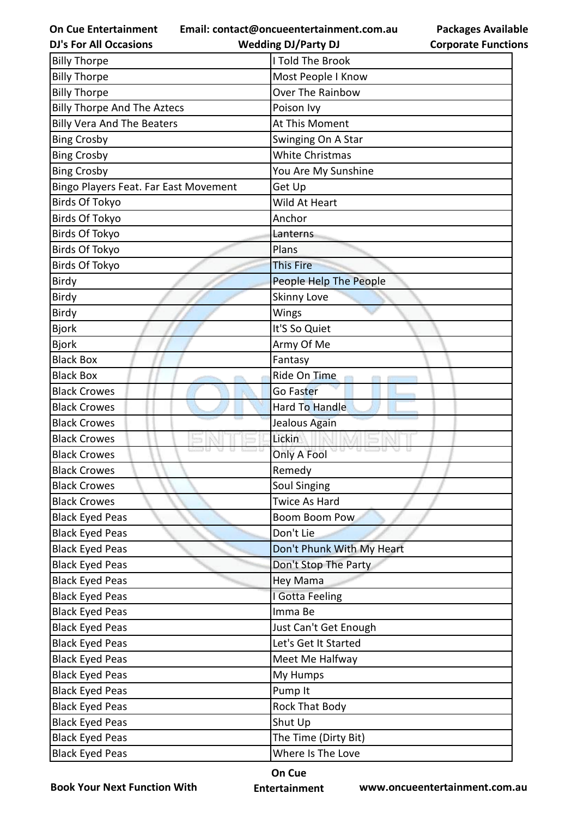**Email: contact@oncueentertainment.com.au**

|  | <b>DJ's For All Occasions</b> |  |
|--|-------------------------------|--|
|  |                               |  |

| <b>Corporate Functions</b> |
|----------------------------|

**Packages Available** 

| <b>DJ's For All Occasions</b>         | <b>Wedding DJ/Party DJ</b> | <b>Corporate Functio</b> |
|---------------------------------------|----------------------------|--------------------------|
| <b>Billy Thorpe</b>                   | I Told The Brook           |                          |
| <b>Billy Thorpe</b>                   | Most People I Know         |                          |
| <b>Billy Thorpe</b>                   | Over The Rainbow           |                          |
| <b>Billy Thorpe And The Aztecs</b>    | Poison Ivy                 |                          |
| <b>Billy Vera And The Beaters</b>     | At This Moment             |                          |
| <b>Bing Crosby</b>                    | Swinging On A Star         |                          |
| <b>Bing Crosby</b>                    | <b>White Christmas</b>     |                          |
| <b>Bing Crosby</b>                    | You Are My Sunshine        |                          |
| Bingo Players Feat. Far East Movement | Get Up                     |                          |
| <b>Birds Of Tokyo</b>                 | Wild At Heart              |                          |
| <b>Birds Of Tokyo</b>                 | Anchor                     |                          |
| Birds Of Tokyo                        | Lanterns                   |                          |
| Birds Of Tokyo                        | Plans                      |                          |
| Birds Of Tokyo                        | <b>This Fire</b>           |                          |
| <b>Birdy</b>                          | People Help The People     |                          |
| Birdy                                 | Skinny Love                |                          |
| Birdy                                 | Wings                      |                          |
| <b>Bjork</b>                          | It'S So Quiet              |                          |
| <b>Bjork</b>                          | Army Of Me                 |                          |
| <b>Black Box</b>                      | Fantasy                    |                          |
| <b>Black Box</b>                      | Ride On Time               |                          |
| <b>Black Crowes</b>                   | Go Faster                  |                          |
| <b>Black Crowes</b>                   | Hard To Handle             |                          |
| <b>Black Crowes</b>                   | Jealous Again              |                          |
| <b>Black Crowes</b>                   | Lickin                     |                          |
| <b>Black Crowes</b>                   | u u<br>Only A Fool         |                          |
| <b>Black Crowes</b>                   | Remedy                     |                          |
| <b>Black Crowes</b>                   | <b>Soul Singing</b>        |                          |
| <b>Black Crowes</b>                   | <b>Twice As Hard</b>       |                          |
| <b>Black Eyed Peas</b>                | <b>Boom Boom Pow</b>       |                          |
| <b>Black Eyed Peas</b>                | Don't Lie                  |                          |
| <b>Black Eyed Peas</b>                | Don't Phunk With My Heart  |                          |
| <b>Black Eyed Peas</b>                | Don't Stop The Party       |                          |
| <b>Black Eyed Peas</b>                | Hey Mama                   |                          |
| <b>Black Eyed Peas</b>                | I Gotta Feeling            |                          |
| <b>Black Eyed Peas</b>                | Imma Be                    |                          |
| <b>Black Eyed Peas</b>                | Just Can't Get Enough      |                          |
| <b>Black Eyed Peas</b>                | Let's Get It Started       |                          |
| <b>Black Eyed Peas</b>                | Meet Me Halfway            |                          |
| <b>Black Eyed Peas</b>                | My Humps                   |                          |
| <b>Black Eyed Peas</b>                | Pump It                    |                          |
| <b>Black Eyed Peas</b>                | <b>Rock That Body</b>      |                          |
| <b>Black Eyed Peas</b>                | Shut Up                    |                          |
| <b>Black Eyed Peas</b>                | The Time (Dirty Bit)       |                          |
| <b>Black Eyed Peas</b>                | Where Is The Love          |                          |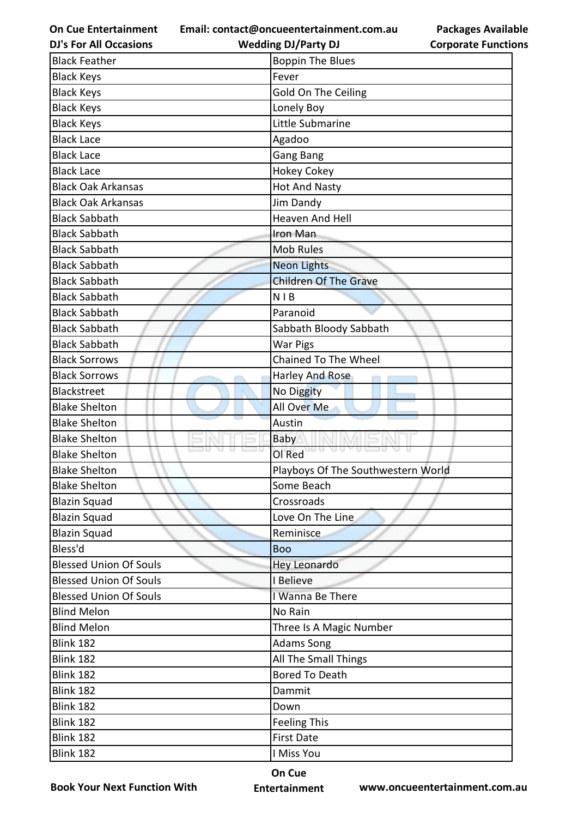**Email: contact@oncueentertainment.com.au**

**DJ's For All Occasions**

| <b>Packages Available</b>  |  |
|----------------------------|--|
| <b>Corporate Functions</b> |  |

| <b>DJ's For All Occasions</b> | <b>Wedding DJ/Party DJ</b>         | <b>Corporate Functio</b> |
|-------------------------------|------------------------------------|--------------------------|
| <b>Black Feather</b>          | <b>Boppin The Blues</b>            |                          |
| <b>Black Keys</b>             | Fever                              |                          |
| <b>Black Keys</b>             | Gold On The Ceiling                |                          |
| <b>Black Keys</b>             | Lonely Boy                         |                          |
| <b>Black Keys</b>             | Little Submarine                   |                          |
| <b>Black Lace</b>             | Agadoo                             |                          |
| <b>Black Lace</b>             | Gang Bang                          |                          |
| <b>Black Lace</b>             | <b>Hokey Cokey</b>                 |                          |
| <b>Black Oak Arkansas</b>     | <b>Hot And Nasty</b>               |                          |
| <b>Black Oak Arkansas</b>     | <b>Jim Dandy</b>                   |                          |
| <b>Black Sabbath</b>          | <b>Heaven And Hell</b>             |                          |
| <b>Black Sabbath</b>          | Iron Man                           |                          |
| <b>Black Sabbath</b>          | <b>Mob Rules</b>                   |                          |
| <b>Black Sabbath</b>          | <b>Neon Lights</b>                 |                          |
| <b>Black Sabbath</b>          | <b>Children Of The Grave</b>       |                          |
| <b>Black Sabbath</b>          | <b>NIB</b>                         |                          |
| <b>Black Sabbath</b>          | Paranoid                           |                          |
| <b>Black Sabbath</b>          | Sabbath Bloody Sabbath             |                          |
| <b>Black Sabbath</b>          | <b>War Pigs</b>                    |                          |
| <b>Black Sorrows</b>          | <b>Chained To The Wheel</b>        |                          |
| <b>Black Sorrows</b>          | Harley And Rose                    |                          |
| Blackstreet                   | No Diggity                         |                          |
| <b>Blake Shelton</b>          | All Over Me                        |                          |
| <b>Blake Shelton</b>          | Austin                             |                          |
| <b>Blake Shelton</b>          | <b>Baby</b>                        |                          |
| <b>Blake Shelton</b>          | OI Red                             |                          |
| <b>Blake Shelton</b>          | Playboys Of The Southwestern World |                          |
| <b>Blake Shelton</b>          | Some Beach                         |                          |
| <b>Blazin Squad</b>           | Crossroads                         |                          |
| <b>Blazin Squad</b>           | Love On The Line                   |                          |
| <b>Blazin Squad</b>           | Reminisce                          |                          |
| Bless'd                       | <b>Boo</b>                         |                          |
| <b>Blessed Union Of Souls</b> | <b>Hey Leonardo</b>                |                          |
| <b>Blessed Union Of Souls</b> | I Believe                          |                          |
| <b>Blessed Union Of Souls</b> | I Wanna Be There                   |                          |
| <b>Blind Melon</b>            | No Rain                            |                          |
| <b>Blind Melon</b>            | Three Is A Magic Number            |                          |
| Blink 182                     | <b>Adams Song</b>                  |                          |
| <b>Blink 182</b>              | All The Small Things               |                          |
| Blink 182                     | <b>Bored To Death</b>              |                          |
| Blink 182                     | Dammit                             |                          |
| Blink 182                     | Down                               |                          |
| Blink 182                     | <b>Feeling This</b>                |                          |
| <b>Blink 182</b>              | <b>First Date</b>                  |                          |
| Blink 182                     | I Miss You                         |                          |

**Book Your Next Function With**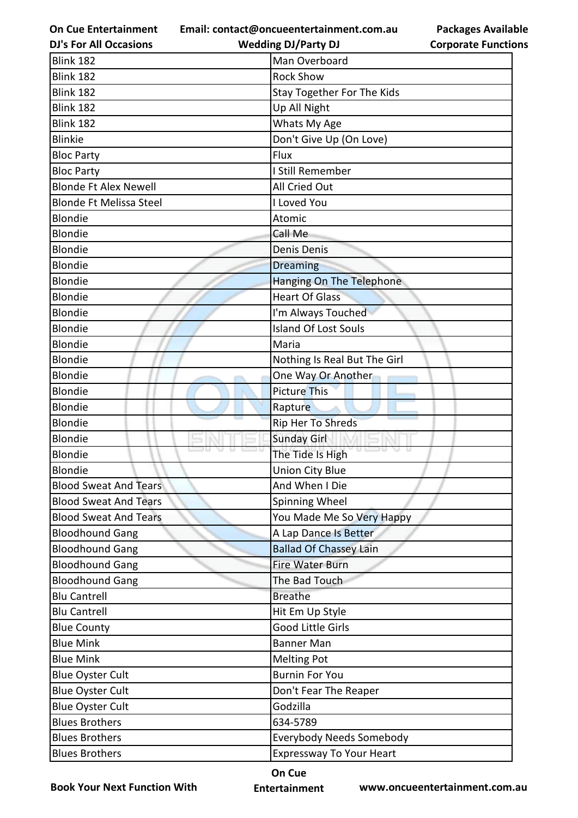**Email: contact@oncueentertainment.com.au**

**DJ's For All Occasions**

**Packages Available Corporate Functions**

| <b>DJ's For All Occasions</b>  | <b>Wedding DJ/Party DJ</b>         | <b>Corporate Function</b> |
|--------------------------------|------------------------------------|---------------------------|
| <b>Blink 182</b>               | Man Overboard                      |                           |
| Blink 182                      | <b>Rock Show</b>                   |                           |
| <b>Blink 182</b>               | <b>Stay Together For The Kids</b>  |                           |
| <b>Blink 182</b>               | Up All Night                       |                           |
| Blink 182                      | Whats My Age                       |                           |
| <b>Blinkie</b>                 | Don't Give Up (On Love)            |                           |
| <b>Bloc Party</b>              | Flux                               |                           |
| <b>Bloc Party</b>              | I Still Remember                   |                           |
| <b>Blonde Ft Alex Newell</b>   | All Cried Out                      |                           |
| <b>Blonde Ft Melissa Steel</b> | I Loved You                        |                           |
| Blondie                        | Atomic                             |                           |
| Blondie                        | Call Me                            |                           |
| <b>Blondie</b>                 | Denis Denis                        |                           |
| Blondie                        | <b>Dreaming</b>                    |                           |
| Blondie                        | <b>Hanging On The Telephone</b>    |                           |
| <b>Blondie</b>                 | <b>Heart Of Glass</b>              |                           |
| Blondie                        | I'm Always Touched                 |                           |
| Blondie                        | <b>Island Of Lost Souls</b>        |                           |
| Blondie                        | Maria                              |                           |
| Blondie                        | Nothing Is Real But The Girl       |                           |
| Blondie                        | One Way Or Another                 |                           |
| Blondie                        | <b>Picture This</b>                |                           |
| Blondie                        | Rapture                            |                           |
| <b>Blondie</b>                 | Rip Her To Shreds                  |                           |
| Blondie                        | <b>Sunday Girl</b>                 |                           |
| <b>Blondie</b>                 | <b>0 630 U</b><br>The Tide Is High |                           |
| <b>Blondie</b>                 | <b>Union City Blue</b>             |                           |
| <b>Blood Sweat And Tears</b>   | And When I Die                     |                           |
| <b>Blood Sweat And Tears</b>   | Spinning Wheel                     |                           |
| <b>Blood Sweat And Tears</b>   | You Made Me So Very Happy          |                           |
| <b>Bloodhound Gang</b>         | A Lap Dance Is Better              |                           |
| <b>Bloodhound Gang</b>         | <b>Ballad Of Chassey Lain</b>      |                           |
| <b>Bloodhound Gang</b>         | <b>Fire Water Burn</b>             |                           |
| <b>Bloodhound Gang</b>         | The Bad Touch                      |                           |
| <b>Blu Cantrell</b>            | <b>Breathe</b>                     |                           |
| <b>Blu Cantrell</b>            | Hit Em Up Style                    |                           |
| <b>Blue County</b>             | Good Little Girls                  |                           |
| <b>Blue Mink</b>               | <b>Banner Man</b>                  |                           |
| <b>Blue Mink</b>               | <b>Melting Pot</b>                 |                           |
| <b>Blue Oyster Cult</b>        | <b>Burnin For You</b>              |                           |
| <b>Blue Oyster Cult</b>        | Don't Fear The Reaper              |                           |
| <b>Blue Oyster Cult</b>        | Godzilla                           |                           |
| <b>Blues Brothers</b>          | 634-5789                           |                           |
| <b>Blues Brothers</b>          | <b>Everybody Needs Somebody</b>    |                           |
| <b>Blues Brothers</b>          | <b>Expressway To Your Heart</b>    |                           |
|                                |                                    |                           |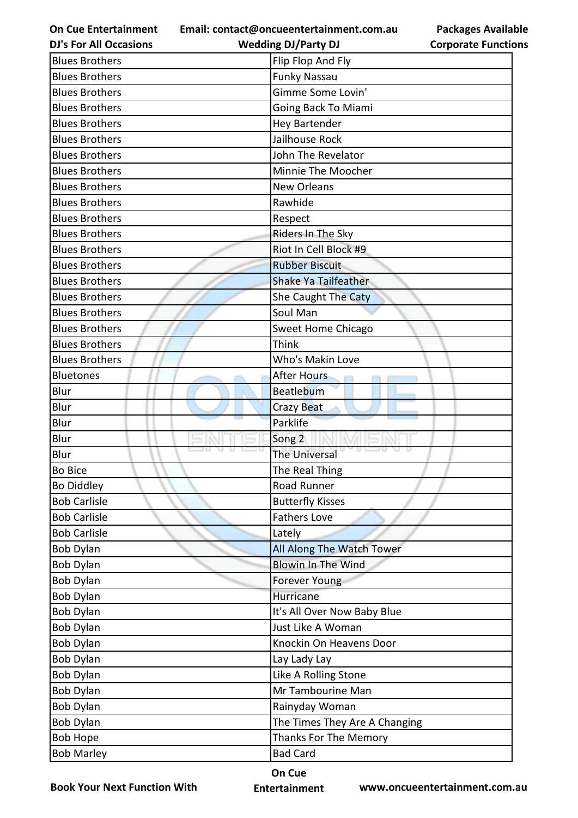**Email: contact@oncueentertainment.com.au**

**DJ's For All Occasions**

**Wedding DJ/Party DJ** 

**Packages Available Corporate Functions**

| <b>Blues Brothers</b> | Flip Flop And Fly             |
|-----------------------|-------------------------------|
| <b>Blues Brothers</b> | <b>Funky Nassau</b>           |
| <b>Blues Brothers</b> | Gimme Some Lovin'             |
| <b>Blues Brothers</b> | Going Back To Miami           |
| <b>Blues Brothers</b> | <b>Hey Bartender</b>          |
| <b>Blues Brothers</b> | Jailhouse Rock                |
| <b>Blues Brothers</b> | John The Revelator            |
| <b>Blues Brothers</b> | Minnie The Moocher            |
| <b>Blues Brothers</b> | <b>New Orleans</b>            |
| <b>Blues Brothers</b> | Rawhide                       |
| <b>Blues Brothers</b> | Respect                       |
| <b>Blues Brothers</b> | Riders In The Sky             |
| <b>Blues Brothers</b> | Riot In Cell Block #9         |
| <b>Blues Brothers</b> | <b>Rubber Biscuit</b>         |
| <b>Blues Brothers</b> | <b>Shake Ya Tailfeather</b>   |
| <b>Blues Brothers</b> | She Caught The Caty           |
| <b>Blues Brothers</b> | Soul Man                      |
| <b>Blues Brothers</b> | <b>Sweet Home Chicago</b>     |
| <b>Blues Brothers</b> | Think                         |
| <b>Blues Brothers</b> | Who's Makin Love              |
| <b>Bluetones</b>      | <b>After Hours</b>            |
| Blur                  | Beatlebum                     |
| Blur                  | Crazy Beat                    |
| Blur                  | Parklife                      |
| Blur                  | Song <sub>2</sub>             |
| Blur                  | The Universal                 |
| <b>Bo Bice</b>        | The Real Thing                |
| <b>Bo Diddley</b>     | Road Runner                   |
| <b>Bob Carlisle</b>   | <b>Butterfly Kisses</b>       |
| <b>Bob Carlisle</b>   | <b>Fathers Love</b>           |
| <b>Bob Carlisle</b>   | Lately                        |
| Bob Dylan             | All Along The Watch Tower     |
| Bob Dylan             | <b>Blowin In The Wind</b>     |
| <b>Bob Dylan</b>      | <b>Forever Young</b>          |
| <b>Bob Dylan</b>      | Hurricane                     |
| <b>Bob Dylan</b>      | It's All Over Now Baby Blue   |
| Bob Dylan             | Just Like A Woman             |
| <b>Bob Dylan</b>      | Knockin On Heavens Door       |
| Bob Dylan             | Lay Lady Lay                  |
| Bob Dylan             | Like A Rolling Stone          |
| <b>Bob Dylan</b>      | Mr Tambourine Man             |
| Bob Dylan             | Rainyday Woman                |
| Bob Dylan             | The Times They Are A Changing |
| <b>Bob Hope</b>       | Thanks For The Memory         |
| <b>Bob Marley</b>     | <b>Bad Card</b>               |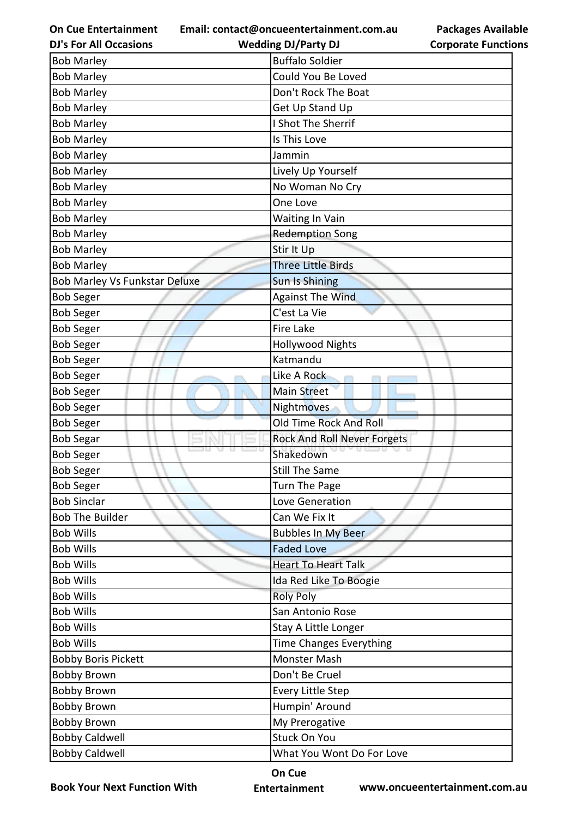**Email: contact@oncueentertainment.com.au**

| <b>DJ's For All Occasions</b> | <b>Wedding DJ/Party DJ</b>     | <b>Corporate Functio</b> |
|-------------------------------|--------------------------------|--------------------------|
| <b>Bob Marley</b>             | <b>Buffalo Soldier</b>         |                          |
| <b>Bob Marley</b>             | Could You Be Loved             |                          |
| <b>Bob Marley</b>             | Don't Rock The Boat            |                          |
| <b>Bob Marley</b>             | Get Up Stand Up                |                          |
| <b>Bob Marley</b>             | I Shot The Sherrif             |                          |
| <b>Bob Marley</b>             | Is This Love                   |                          |
| <b>Bob Marley</b>             | Jammin                         |                          |
| <b>Bob Marley</b>             | Lively Up Yourself             |                          |
| <b>Bob Marley</b>             | No Woman No Cry                |                          |
| <b>Bob Marley</b>             | One Love                       |                          |
| <b>Bob Marley</b>             | Waiting In Vain                |                          |
| <b>Bob Marley</b>             | <b>Redemption Song</b>         |                          |
| <b>Bob Marley</b>             | Stir It Up                     |                          |
| <b>Bob Marley</b>             | <b>Three Little Birds</b>      |                          |
| Bob Marley Vs Funkstar Deluxe | <b>Sun Is Shining</b>          |                          |
| <b>Bob Seger</b>              | <b>Against The Wind</b>        |                          |
| <b>Bob Seger</b>              | C'est La Vie                   |                          |
| <b>Bob Seger</b>              | Fire Lake                      |                          |
| <b>Bob Seger</b>              | <b>Hollywood Nights</b>        |                          |
| <b>Bob Seger</b>              | Katmandu                       |                          |
| <b>Bob Seger</b>              | Like A Rock                    |                          |
| <b>Bob Seger</b>              | <b>Main Street</b>             |                          |
| <b>Bob Seger</b>              | Nightmoves                     |                          |
| <b>Bob Seger</b>              | Old Time Rock And Roll         |                          |
| <b>Bob Segar</b>              | Rock And Roll Never Forgets    |                          |
| <b>Bob Seger</b>              | Shakedown                      |                          |
| <b>Bob Seger</b>              | <b>Still The Same</b>          |                          |
| <b>Bob Seger</b>              | Turn The Page                  |                          |
| <b>Bob Sinclar</b>            | Love Generation                |                          |
| <b>Bob The Builder</b>        | Can We Fix It                  |                          |
| <b>Bob Wills</b>              | <b>Bubbles In My Beer</b>      |                          |
| <b>Bob Wills</b>              | <b>Faded Love</b>              |                          |
| <b>Bob Wills</b>              | <b>Heart To Heart Talk</b>     |                          |
| <b>Bob Wills</b>              | Ida Red Like To Boogie         |                          |
| <b>Bob Wills</b>              | <b>Roly Poly</b>               |                          |
| <b>Bob Wills</b>              | San Antonio Rose               |                          |
| <b>Bob Wills</b>              | Stay A Little Longer           |                          |
| <b>Bob Wills</b>              | <b>Time Changes Everything</b> |                          |
| <b>Bobby Boris Pickett</b>    | Monster Mash                   |                          |
| <b>Bobby Brown</b>            | Don't Be Cruel                 |                          |
| <b>Bobby Brown</b>            | <b>Every Little Step</b>       |                          |
| <b>Bobby Brown</b>            | Humpin' Around                 |                          |
| <b>Bobby Brown</b>            | My Prerogative                 |                          |
| <b>Bobby Caldwell</b>         | <b>Stuck On You</b>            |                          |
| <b>Bobby Caldwell</b>         | What You Wont Do For Love      |                          |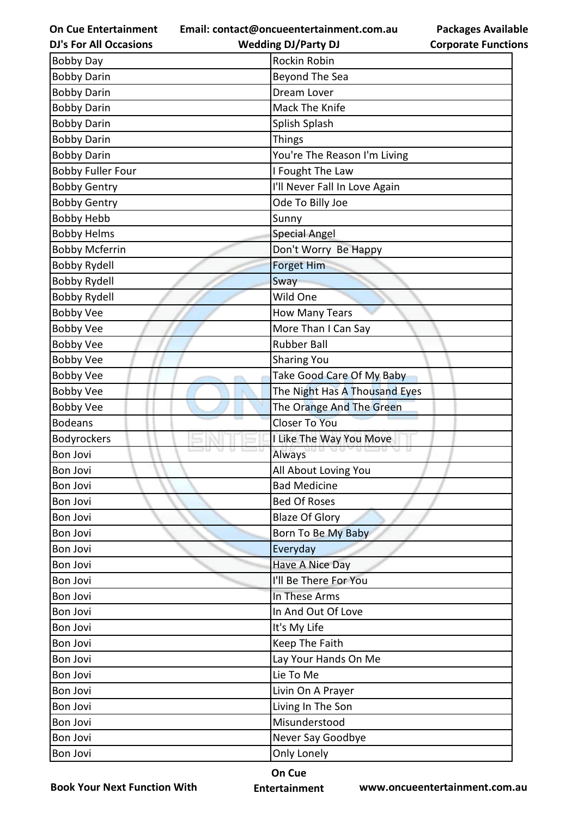**Email: contact@oncueentertainment.com.au**

| <b>DJ's For All Occasions</b> |  |
|-------------------------------|--|
|                               |  |

**Corporate Functions**

**Packages Available** 

| <b>DJ's For All Occasions</b> | <b>Wedding DJ/Party DJ</b>    | <b>Corporate Function</b> |
|-------------------------------|-------------------------------|---------------------------|
| <b>Bobby Day</b>              | Rockin Robin                  |                           |
| <b>Bobby Darin</b>            | Beyond The Sea                |                           |
| <b>Bobby Darin</b>            | Dream Lover                   |                           |
| <b>Bobby Darin</b>            | Mack The Knife                |                           |
| <b>Bobby Darin</b>            | Splish Splash                 |                           |
| <b>Bobby Darin</b>            | <b>Things</b>                 |                           |
| <b>Bobby Darin</b>            | You're The Reason I'm Living  |                           |
| <b>Bobby Fuller Four</b>      | I Fought The Law              |                           |
| <b>Bobby Gentry</b>           | I'll Never Fall In Love Again |                           |
| <b>Bobby Gentry</b>           | Ode To Billy Joe              |                           |
| <b>Bobby Hebb</b>             | Sunny                         |                           |
| <b>Bobby Helms</b>            | <b>Special Angel</b>          |                           |
| <b>Bobby Mcferrin</b>         | Don't Worry Be Happy          |                           |
| <b>Bobby Rydell</b>           | <b>Forget Him</b>             |                           |
| <b>Bobby Rydell</b>           | Sway                          |                           |
| <b>Bobby Rydell</b>           | Wild One                      |                           |
| <b>Bobby Vee</b>              | <b>How Many Tears</b>         |                           |
| <b>Bobby Vee</b>              | More Than I Can Say           |                           |
| <b>Bobby Vee</b>              | <b>Rubber Ball</b>            |                           |
| <b>Bobby Vee</b>              | <b>Sharing You</b>            |                           |
| <b>Bobby Vee</b>              | Take Good Care Of My Baby     |                           |
| <b>Bobby Vee</b>              | The Night Has A Thousand Eyes |                           |
| <b>Bobby Vee</b>              | The Orange And The Green      |                           |
| <b>Bodeans</b>                | <b>Closer To You</b>          |                           |
| Bodyrockers                   | I Like The Way You Move       |                           |
| <b>Bon Jovi</b>               | Always                        | 79 D                      |
| <b>Bon Jovi</b>               | All About Loving You          |                           |
| Bon Jovi                      | <b>Bad Medicine</b>           |                           |
| Bon Jovi                      | <b>Bed Of Roses</b>           |                           |
| Bon Jovi                      | <b>Blaze Of Glory</b>         |                           |
| <b>Bon Jovi</b>               | Born To Be My Baby            |                           |
| <b>Bon Jovi</b>               | Everyday                      |                           |
| Bon Jovi                      | <b>Have A Nice Day</b>        |                           |
| <b>Bon Jovi</b>               | I'll Be There For You         |                           |
| <b>Bon Jovi</b>               | In These Arms                 |                           |
| Bon Jovi                      | In And Out Of Love            |                           |
| <b>Bon Jovi</b>               | It's My Life                  |                           |
| <b>Bon Jovi</b>               | Keep The Faith                |                           |
| Bon Jovi                      | Lay Your Hands On Me          |                           |
| Bon Jovi                      | Lie To Me                     |                           |
| Bon Jovi                      | Livin On A Prayer             |                           |
| <b>Bon Jovi</b>               | Living In The Son             |                           |
| Bon Jovi                      | Misunderstood                 |                           |
| Bon Jovi                      | Never Say Goodbye             |                           |
| Bon Jovi                      | Only Lonely                   |                           |
|                               |                               |                           |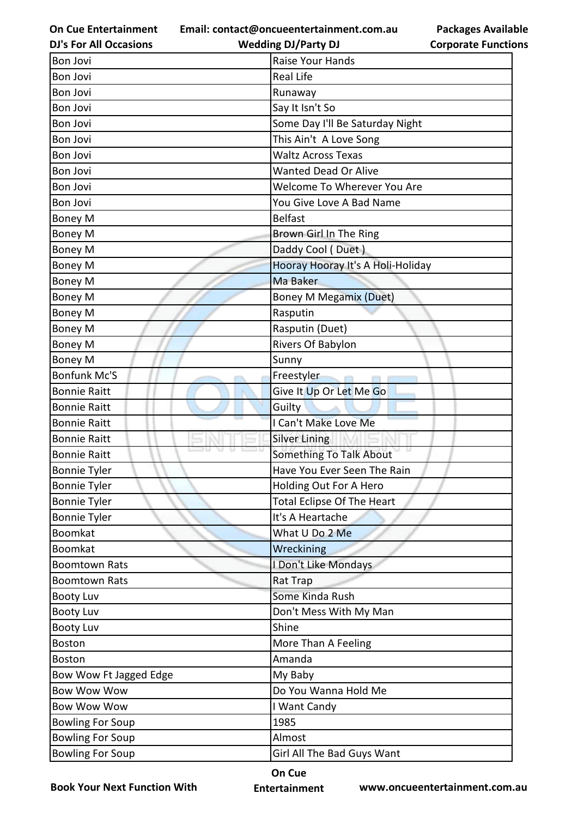**Email: contact@oncueentertainment.com.au Wedding DJ/Party DJ** 

**DJ's For All Occasions**

**Packages Available Corporate Functions**

| Bon Jovi                | Raise Your Hands                  |
|-------------------------|-----------------------------------|
| <b>Bon Jovi</b>         | <b>Real Life</b>                  |
| <b>Bon Jovi</b>         | Runaway                           |
| <b>Bon Jovi</b>         | Say It Isn't So                   |
| <b>Bon Jovi</b>         | Some Day I'll Be Saturday Night   |
| <b>Bon Jovi</b>         | This Ain't A Love Song            |
| Bon Jovi                | <b>Waltz Across Texas</b>         |
| Bon Jovi                | <b>Wanted Dead Or Alive</b>       |
| <b>Bon Jovi</b>         | Welcome To Wherever You Are       |
| <b>Bon Jovi</b>         | You Give Love A Bad Name          |
| Boney M                 | <b>Belfast</b>                    |
| <b>Boney M</b>          | Brown Girl In The Ring            |
| <b>Boney M</b>          | Daddy Cool (Duet)                 |
| Boney M                 | Hooray Hooray It's A Holi-Holiday |
| Boney M                 | Ma Baker                          |
| Boney M                 | <b>Boney M Megamix (Duet)</b>     |
| Boney M                 | Rasputin                          |
| Boney M                 | Rasputin (Duet)                   |
| Boney M                 | Rivers Of Babylon                 |
| <b>Boney M</b>          | Sunny                             |
| <b>Bonfunk Mc'S</b>     | Freestyler                        |
| <b>Bonnie Raitt</b>     | Give It Up Or Let Me Go           |
| <b>Bonnie Raitt</b>     | Guilty                            |
| <b>Bonnie Raitt</b>     | I Can't Make Love Me              |
| <b>Bonnie Raitt</b>     | <b>Silver Lining</b>              |
| <b>Bonnie Raitt</b>     | Something To Talk About           |
| <b>Bonnie Tyler</b>     | Have You Ever Seen The Rain       |
| <b>Bonnie Tyler</b>     | Holding Out For A Hero            |
| <b>Bonnie Tyler</b>     | Total Eclipse Of The Heart        |
| <b>Bonnie Tyler</b>     | It's A Heartache                  |
| <b>Boomkat</b>          | What U Do 2 Me                    |
| <b>Boomkat</b>          | Wreckining                        |
| <b>Boomtown Rats</b>    | I Don't Like Mondays              |
| Boomtown Rats           | Rat Trap                          |
| <b>Booty Luv</b>        | Some Kinda Rush                   |
| <b>Booty Luv</b>        | Don't Mess With My Man            |
| <b>Booty Luv</b>        | Shine                             |
| <b>Boston</b>           | More Than A Feeling               |
| Boston                  | Amanda                            |
| Bow Wow Ft Jagged Edge  | My Baby                           |
| <b>Bow Wow Wow</b>      | Do You Wanna Hold Me              |
| <b>Bow Wow Wow</b>      | I Want Candy                      |
| <b>Bowling For Soup</b> | 1985                              |
| <b>Bowling For Soup</b> | Almost                            |
| <b>Bowling For Soup</b> | Girl All The Bad Guys Want        |

**Book Your Next Function With**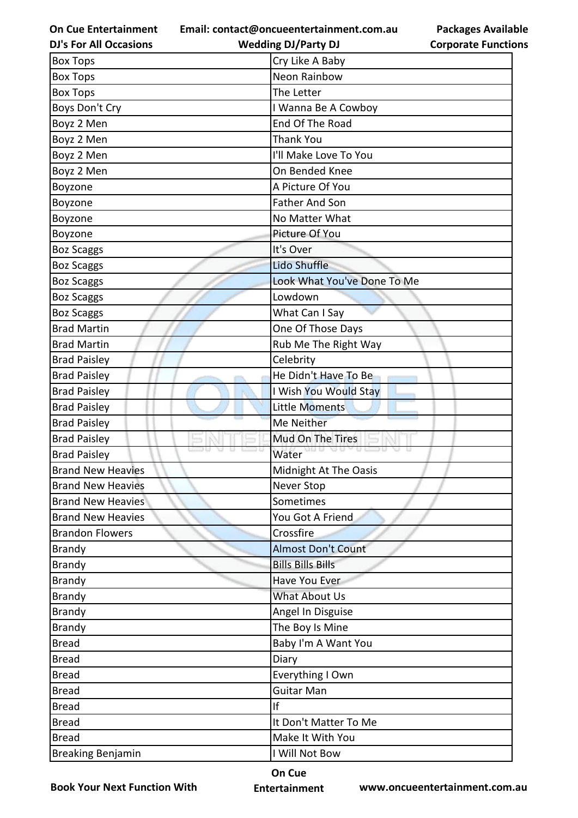**Email: contact@oncueentertainment.com.au**

| <b>Packages Available</b>  |  |
|----------------------------|--|
| <b>Corporate Functions</b> |  |

| <b>DJ's For All Occasions</b> | <b>Wedding DJ/Party DJ</b>  | <b>Corporate Function</b> |
|-------------------------------|-----------------------------|---------------------------|
| <b>Box Tops</b>               | Cry Like A Baby             |                           |
| <b>Box Tops</b>               | Neon Rainbow                |                           |
| <b>Box Tops</b>               | The Letter                  |                           |
| Boys Don't Cry                | I Wanna Be A Cowboy         |                           |
| Boyz 2 Men                    | End Of The Road             |                           |
| Boyz 2 Men                    | <b>Thank You</b>            |                           |
| Boyz 2 Men                    | I'll Make Love To You       |                           |
| Boyz 2 Men                    | On Bended Knee              |                           |
| Boyzone                       | A Picture Of You            |                           |
| Boyzone                       | <b>Father And Son</b>       |                           |
| Boyzone                       | No Matter What              |                           |
| Boyzone                       | Picture Of You              |                           |
| <b>Boz Scaggs</b>             | It's Over                   |                           |
| <b>Boz Scaggs</b>             | <b>Lido Shuffle</b>         |                           |
| <b>Boz Scaggs</b>             | Look What You've Done To Me |                           |
| <b>Boz Scaggs</b>             | Lowdown                     |                           |
| <b>Boz Scaggs</b>             | What Can I Say              |                           |
| <b>Brad Martin</b>            | One Of Those Days           |                           |
| <b>Brad Martin</b>            | Rub Me The Right Way        |                           |
| <b>Brad Paisley</b>           | Celebrity                   |                           |
| <b>Brad Paisley</b>           | He Didn't Have To Be        |                           |
| <b>Brad Paisley</b>           | I Wish You Would Stay       |                           |
| <b>Brad Paisley</b>           | <b>Little Moments</b>       |                           |
| <b>Brad Paisley</b>           | Me Neither                  |                           |
| <b>Brad Paisley</b>           | Mud On The Tires            |                           |
| <b>Brad Paisley</b>           | Water                       |                           |
| <b>Brand New Heavies</b>      | Midnight At The Oasis       |                           |
| <b>Brand New Heavies</b>      | Never Stop                  |                           |
| <b>Brand New Heavies</b>      | Sometimes                   |                           |
| <b>Brand New Heavies</b>      | You Got A Friend            |                           |
| <b>Brandon Flowers</b>        | Crossfire                   |                           |
| <b>Brandy</b>                 | <b>Almost Don't Count</b>   |                           |
| <b>Brandy</b>                 | <b>Bills Bills Bills</b>    |                           |
| <b>Brandy</b>                 | Have You Ever               |                           |
| <b>Brandy</b>                 | What About Us               |                           |
| <b>Brandy</b>                 | Angel In Disguise           |                           |
| <b>Brandy</b>                 | The Boy Is Mine             |                           |
| <b>Bread</b>                  | Baby I'm A Want You         |                           |
| <b>Bread</b>                  | Diary                       |                           |
| <b>Bread</b>                  | Everything I Own            |                           |
| <b>Bread</b>                  | <b>Guitar Man</b>           |                           |
| <b>Bread</b>                  | If                          |                           |
| <b>Bread</b>                  | It Don't Matter To Me       |                           |
| <b>Bread</b>                  | Make It With You            |                           |
| <b>Breaking Benjamin</b>      | I Will Not Bow              |                           |

**Book Your Next Function With**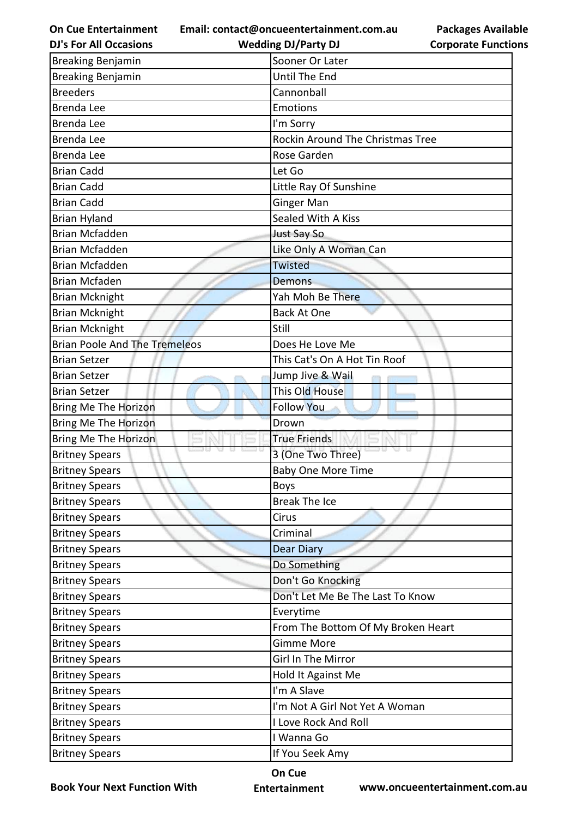**Email: contact@oncueentertainment.com.au**

**On Cue Entertainment DJ's For All Occasions**

**Wedding DJ/Party DJ** 

**Packages Available Corporate Functions**

| <b>Breaking Benjamin</b>             | Sooner Or Later                    |
|--------------------------------------|------------------------------------|
| <b>Breaking Benjamin</b>             | Until The End                      |
| <b>Breeders</b>                      | Cannonball                         |
| Brenda Lee                           | <b>Emotions</b>                    |
| <b>Brenda Lee</b>                    | I'm Sorry                          |
| <b>Brenda Lee</b>                    | Rockin Around The Christmas Tree   |
| <b>Brenda Lee</b>                    | Rose Garden                        |
| <b>Brian Cadd</b>                    | Let Go                             |
| <b>Brian Cadd</b>                    | Little Ray Of Sunshine             |
| <b>Brian Cadd</b>                    | <b>Ginger Man</b>                  |
| <b>Brian Hyland</b>                  | Sealed With A Kiss                 |
| <b>Brian Mcfadden</b>                | Just Say So                        |
| <b>Brian Mcfadden</b>                | Like Only A Woman Can              |
| <b>Brian Mcfadden</b>                | Twisted                            |
| <b>Brian Mcfaden</b>                 | Demons                             |
| <b>Brian Mcknight</b>                | Yah Moh Be There                   |
| <b>Brian Mcknight</b>                | <b>Back At One</b>                 |
| <b>Brian Mcknight</b>                | Still                              |
| <b>Brian Poole And The Tremeleos</b> | Does He Love Me                    |
| <b>Brian Setzer</b>                  | This Cat's On A Hot Tin Roof       |
| <b>Brian Setzer</b>                  | Jump Jive & Wail                   |
| <b>Brian Setzer</b>                  | This Old House                     |
| Bring Me The Horizon                 | <b>Follow You</b>                  |
| Bring Me The Horizon                 | Drown                              |
| Bring Me The Horizon                 | <b>True Friends</b>                |
| <b>Britney Spears</b>                | 3 (One Two Three)                  |
| <b>Britney Spears</b>                | <b>Baby One More Time</b>          |
| <b>Britney Spears</b>                | <b>Boys</b>                        |
| <b>Britney Spears</b>                | Break The Ice                      |
| <b>Britney Spears</b>                | Cirus                              |
| <b>Britney Spears</b>                | Criminal                           |
| <b>Britney Spears</b>                | <b>Dear Diary</b>                  |
| <b>Britney Spears</b>                | Do Something                       |
| <b>Britney Spears</b>                | Don't Go Knocking                  |
| <b>Britney Spears</b>                | Don't Let Me Be The Last To Know   |
| <b>Britney Spears</b>                | Everytime                          |
| <b>Britney Spears</b>                | From The Bottom Of My Broken Heart |
| <b>Britney Spears</b>                | <b>Gimme More</b>                  |
| <b>Britney Spears</b>                | Girl In The Mirror                 |
| <b>Britney Spears</b>                | Hold It Against Me                 |
| <b>Britney Spears</b>                | I'm A Slave                        |
| <b>Britney Spears</b>                | I'm Not A Girl Not Yet A Woman     |
| <b>Britney Spears</b>                | I Love Rock And Roll               |
| <b>Britney Spears</b>                | I Wanna Go                         |
| <b>Britney Spears</b>                | If You Seek Amy                    |

**Book Your Next Function With**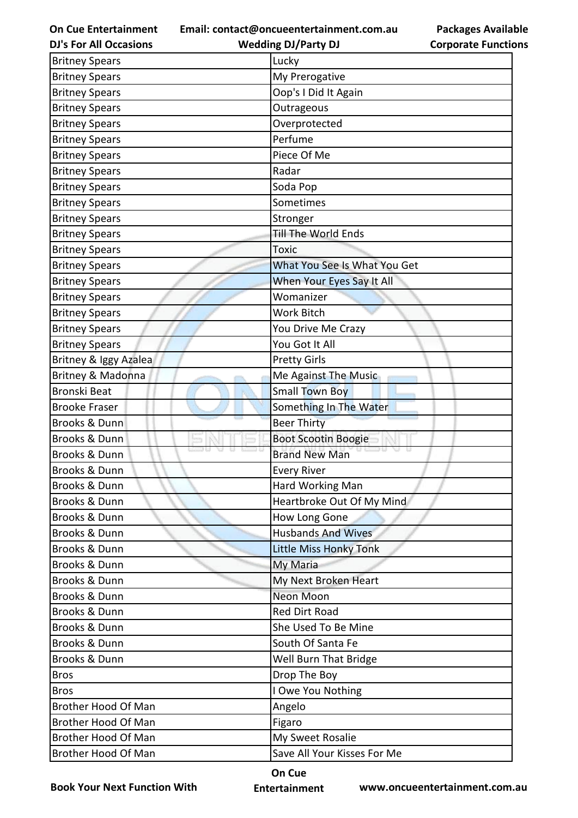**Email: contact@oncueentertainment.com.au**

**DJ's For All Occasions**

| <b>Packages Available</b>  |  |
|----------------------------|--|
| <b>Corporate Functions</b> |  |

| <b>DJ's For All Occasions</b> | <b>Wedding DJ/Party DJ</b>   | <b>Corporate Functio</b> |
|-------------------------------|------------------------------|--------------------------|
| <b>Britney Spears</b>         | Lucky                        |                          |
| <b>Britney Spears</b>         | My Prerogative               |                          |
| <b>Britney Spears</b>         | Oop's I Did It Again         |                          |
| <b>Britney Spears</b>         | Outrageous                   |                          |
| <b>Britney Spears</b>         | Overprotected                |                          |
| <b>Britney Spears</b>         | Perfume                      |                          |
| <b>Britney Spears</b>         | Piece Of Me                  |                          |
| <b>Britney Spears</b>         | Radar                        |                          |
| <b>Britney Spears</b>         | Soda Pop                     |                          |
| <b>Britney Spears</b>         | Sometimes                    |                          |
| <b>Britney Spears</b>         | Stronger                     |                          |
| <b>Britney Spears</b>         | Till The World Ends          |                          |
| <b>Britney Spears</b>         | <b>Toxic</b>                 |                          |
| <b>Britney Spears</b>         | What You See Is What You Get |                          |
| <b>Britney Spears</b>         | When Your Eyes Say It All    |                          |
| <b>Britney Spears</b>         | Womanizer                    |                          |
| <b>Britney Spears</b>         | Work Bitch                   |                          |
| <b>Britney Spears</b>         | You Drive Me Crazy           |                          |
| <b>Britney Spears</b>         | You Got It All               |                          |
| Britney & Iggy Azalea         | <b>Pretty Girls</b>          |                          |
| Britney & Madonna             | Me Against The Music         |                          |
| <b>Bronski Beat</b>           | <b>Small Town Boy</b>        |                          |
| <b>Brooke Fraser</b>          | Something In The Water       |                          |
| Brooks & Dunn                 | <b>Beer Thirty</b>           |                          |
| Brooks & Dunn                 | <b>Boot Scootin Boogie</b>   |                          |
| Brooks & Dunn                 | <b>Brand New Man</b>         |                          |
| Brooks & Dunn                 | <b>Every River</b>           |                          |
| Brooks & Dunn                 | Hard Working Man             |                          |
| Brooks & Dunn                 | Heartbroke Out Of My Mind    |                          |
| Brooks & Dunn                 | How Long Gone                |                          |
| Brooks & Dunn                 | <b>Husbands And Wives</b>    |                          |
| <b>Brooks &amp; Dunn</b>      | Little Miss Honky Tonk       |                          |
| Brooks & Dunn                 | My Maria                     |                          |
| Brooks & Dunn                 | My Next Broken Heart         |                          |
| Brooks & Dunn                 | Neon Moon                    |                          |
| Brooks & Dunn                 | <b>Red Dirt Road</b>         |                          |
| Brooks & Dunn                 | She Used To Be Mine          |                          |
| Brooks & Dunn                 | South Of Santa Fe            |                          |
| Brooks & Dunn                 | Well Burn That Bridge        |                          |
| <b>Bros</b>                   | Drop The Boy                 |                          |
| <b>Bros</b>                   | I Owe You Nothing            |                          |
| Brother Hood Of Man           | Angelo                       |                          |
| Brother Hood Of Man           | Figaro                       |                          |
| Brother Hood Of Man           | My Sweet Rosalie             |                          |
| Brother Hood Of Man           | Save All Your Kisses For Me  |                          |

**Book Your Next Function With**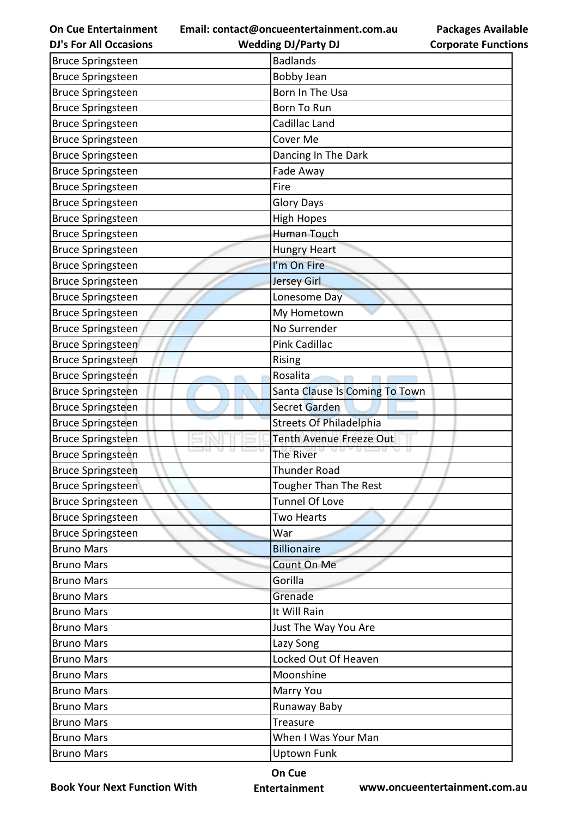**Email: contact@oncueentertainment.com.au Wedding DJ/Party DJ** 

**DJ's For All Occasions**

**Corporate Functions**

**Packages Available** 

| <b>Bruce Springsteen</b> | <b>Badlands</b>                |
|--------------------------|--------------------------------|
| <b>Bruce Springsteen</b> | <b>Bobby Jean</b>              |
| <b>Bruce Springsteen</b> | Born In The Usa                |
| <b>Bruce Springsteen</b> | Born To Run                    |
| <b>Bruce Springsteen</b> | Cadillac Land                  |
| <b>Bruce Springsteen</b> | Cover Me                       |
| <b>Bruce Springsteen</b> | Dancing In The Dark            |
| <b>Bruce Springsteen</b> | Fade Away                      |
| <b>Bruce Springsteen</b> | Fire                           |
| <b>Bruce Springsteen</b> | <b>Glory Days</b>              |
| <b>Bruce Springsteen</b> | <b>High Hopes</b>              |
| <b>Bruce Springsteen</b> | <b>Human Touch</b>             |
| <b>Bruce Springsteen</b> | <b>Hungry Heart</b>            |
| <b>Bruce Springsteen</b> | I'm On Fire                    |
| <b>Bruce Springsteen</b> | <b>Jersey Girl</b>             |
| <b>Bruce Springsteen</b> | Lonesome Day                   |
| <b>Bruce Springsteen</b> | My Hometown                    |
| <b>Bruce Springsteen</b> | No Surrender                   |
| <b>Bruce Springsteen</b> | Pink Cadillac                  |
| <b>Bruce Springsteen</b> | Rising                         |
| <b>Bruce Springsteen</b> | Rosalita                       |
| <b>Bruce Springsteen</b> | Santa Clause Is Coming To Town |
| <b>Bruce Springsteen</b> | Secret Garden                  |
| <b>Bruce Springsteen</b> | Streets Of Philadelphia        |
| <b>Bruce Springsteen</b> | <b>Tenth Avenue Freeze Out</b> |
| <b>Bruce Springsteen</b> | The River                      |
| <b>Bruce Springsteen</b> | <b>Thunder Road</b>            |
| <b>Bruce Springsteen</b> | Tougher Than The Rest          |
| <b>Bruce Springsteen</b> | <b>Tunnel Of Love</b>          |
| <b>Bruce Springsteen</b> | <b>Two Hearts</b>              |
| <b>Bruce Springsteen</b> | War                            |
| <b>Bruno Mars</b>        | <b>Billionaire</b>             |
| <b>Bruno Mars</b>        | Count On Me                    |
| <b>Bruno Mars</b>        | Gorilla                        |
| <b>Bruno Mars</b>        | Grenade                        |
| <b>Bruno Mars</b>        | It Will Rain                   |
| <b>Bruno Mars</b>        | Just The Way You Are           |
| <b>Bruno Mars</b>        | Lazy Song                      |
| <b>Bruno Mars</b>        | Locked Out Of Heaven           |
| <b>Bruno Mars</b>        | Moonshine                      |
| <b>Bruno Mars</b>        | Marry You                      |
| <b>Bruno Mars</b>        | Runaway Baby                   |
| <b>Bruno Mars</b>        | Treasure                       |
| <b>Bruno Mars</b>        | When I Was Your Man            |
| <b>Bruno Mars</b>        | <b>Uptown Funk</b>             |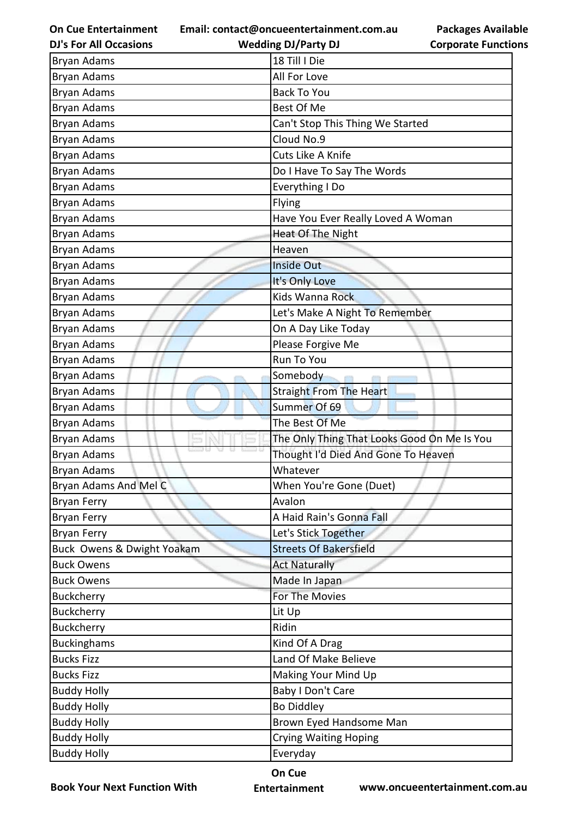**Email: contact@oncueentertainment.com.au Wedding DJ/Party DJ** 

**DJ's For All Occasions**

**Packages Available Corporate Functions**

| <b>Bryan Adams</b>         | 18 Till I Die                               |
|----------------------------|---------------------------------------------|
| Bryan Adams                | All For Love                                |
| Bryan Adams                | <b>Back To You</b>                          |
| Bryan Adams                | Best Of Me                                  |
| Bryan Adams                | Can't Stop This Thing We Started            |
| Bryan Adams                | Cloud No.9                                  |
| <b>Bryan Adams</b>         | Cuts Like A Knife                           |
| <b>Bryan Adams</b>         | Do I Have To Say The Words                  |
| Bryan Adams                | Everything I Do                             |
| Bryan Adams                | Flying                                      |
| Bryan Adams                | Have You Ever Really Loved A Woman          |
| Bryan Adams                | Heat Of The Night                           |
| Bryan Adams                | Heaven                                      |
| Bryan Adams                | <b>Inside Out</b>                           |
| Bryan Adams                | It's Only Love                              |
| Bryan Adams                | Kids Wanna Rock                             |
| <b>Bryan Adams</b>         | Let's Make A Night To Remember              |
| Bryan Adams                | On A Day Like Today                         |
| Bryan Adams                | Please Forgive Me                           |
| Bryan Adams                | Run To You                                  |
| Bryan Adams                | Somebody                                    |
| Bryan Adams                | <b>Straight From The Heart</b>              |
| Bryan Adams                | Summer Of 69                                |
| Bryan Adams                | The Best Of Me                              |
| Bryan Adams                | The Only Thing That Looks Good On Me Is You |
| Bryan Adams                | Thought I'd Died And Gone To Heaven         |
| <b>Bryan Adams</b>         | Whatever                                    |
| Bryan Adams And Mel C      | When You're Gone (Duet)                     |
| Bryan Ferry                | Avalon                                      |
| <b>Bryan Ferry</b>         | A Haid Rain's Gonna Fall                    |
| <b>Bryan Ferry</b>         | Let's Stick Together                        |
| Buck Owens & Dwight Yoakam | <b>Streets Of Bakersfield</b>               |
| <b>Buck Owens</b>          | <b>Act Naturally</b>                        |
| <b>Buck Owens</b>          | Made In Japan                               |
| Buckcherry                 | For The Movies                              |
| Buckcherry                 | Lit Up                                      |
| <b>Buckcherry</b>          | Ridin                                       |
| <b>Buckinghams</b>         | Kind Of A Drag                              |
| <b>Bucks Fizz</b>          | Land Of Make Believe                        |
| <b>Bucks Fizz</b>          | Making Your Mind Up                         |
| <b>Buddy Holly</b>         | <b>Baby I Don't Care</b>                    |
| <b>Buddy Holly</b>         | <b>Bo Diddley</b>                           |
| <b>Buddy Holly</b>         | Brown Eyed Handsome Man                     |
| <b>Buddy Holly</b>         | <b>Crying Waiting Hoping</b>                |
| <b>Buddy Holly</b>         | Everyday                                    |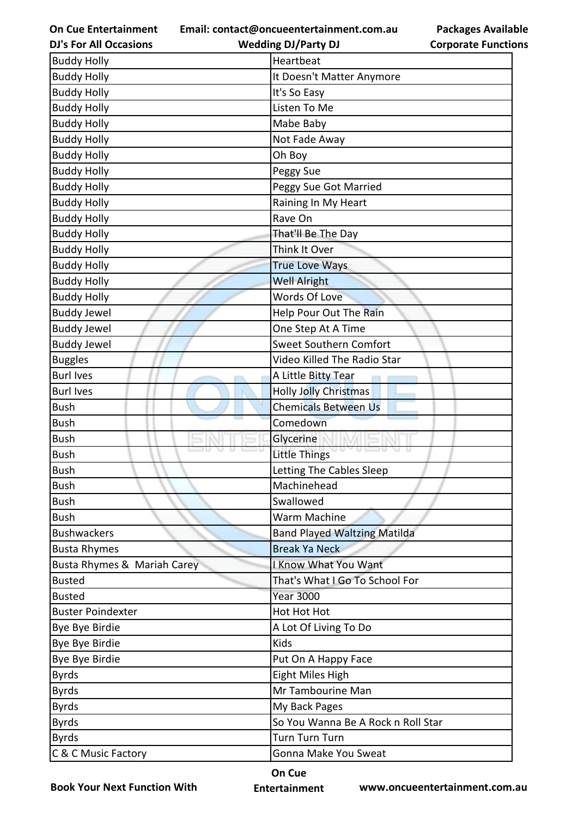**Email: contact@oncueentertainment.com.au Wedding DJ/Party DJ** 

**DJ's For All Occasions**

**Packages Available Corporate Functions**

| <b>Buddy Holly</b>          | Heartbeat                           |
|-----------------------------|-------------------------------------|
| <b>Buddy Holly</b>          | It Doesn't Matter Anymore           |
| <b>Buddy Holly</b>          | It's So Easy                        |
| <b>Buddy Holly</b>          | Listen To Me                        |
| <b>Buddy Holly</b>          | Mabe Baby                           |
| <b>Buddy Holly</b>          | Not Fade Away                       |
| <b>Buddy Holly</b>          | Oh Boy                              |
| <b>Buddy Holly</b>          | Peggy Sue                           |
| <b>Buddy Holly</b>          | Peggy Sue Got Married               |
| <b>Buddy Holly</b>          | Raining In My Heart                 |
| <b>Buddy Holly</b>          | Rave On                             |
| <b>Buddy Holly</b>          | That'll Be The Day                  |
| <b>Buddy Holly</b>          | Think It Over                       |
| <b>Buddy Holly</b>          | <b>True Love Ways</b>               |
| <b>Buddy Holly</b>          | <b>Well Alright</b>                 |
| <b>Buddy Holly</b>          | <b>Words Of Love</b>                |
| <b>Buddy Jewel</b>          | Help Pour Out The Rain              |
| <b>Buddy Jewel</b>          | One Step At A Time                  |
| <b>Buddy Jewel</b>          | <b>Sweet Southern Comfort</b>       |
| <b>Buggles</b>              | Video Killed The Radio Star         |
| <b>Burl Ives</b>            | A Little Bitty Tear                 |
| <b>Burl Ives</b>            | <b>Holly Jolly Christmas</b>        |
| <b>Bush</b>                 | <b>Chemicals Between Us</b>         |
| <b>Bush</b>                 | Comedown                            |
| <b>Bush</b>                 | Glycerine                           |
| <b>Bush</b>                 | Little Things                       |
| <b>Bush</b>                 | Letting The Cables Sleep            |
| <b>Bush</b>                 | Machinehead                         |
| <b>Bush</b>                 | Swallowed                           |
| <b>Bush</b>                 | Warm Machine                        |
| <b>Bushwackers</b>          | <b>Band Played Waltzing Matilda</b> |
| <b>Busta Rhymes</b>         | <b>Break Ya Neck</b>                |
| Busta Rhymes & Mariah Carey | <b>I Know What You Want</b>         |
| <b>Busted</b>               | That's What I Go To School For      |
| <b>Busted</b>               | <b>Year 3000</b>                    |
| <b>Buster Poindexter</b>    | Hot Hot Hot                         |
| Bye Bye Birdie              | A Lot Of Living To Do               |
| Bye Bye Birdie              | Kids                                |
| Bye Bye Birdie              | Put On A Happy Face                 |
| <b>Byrds</b>                | Eight Miles High                    |
| <b>Byrds</b>                | Mr Tambourine Man                   |
| <b>Byrds</b>                | My Back Pages                       |
| <b>Byrds</b>                | So You Wanna Be A Rock n Roll Star  |
| <b>Byrds</b>                | <b>Turn Turn Turn</b>               |
| C & C Music Factory         | Gonna Make You Sweat                |

**Book Your Next Function With**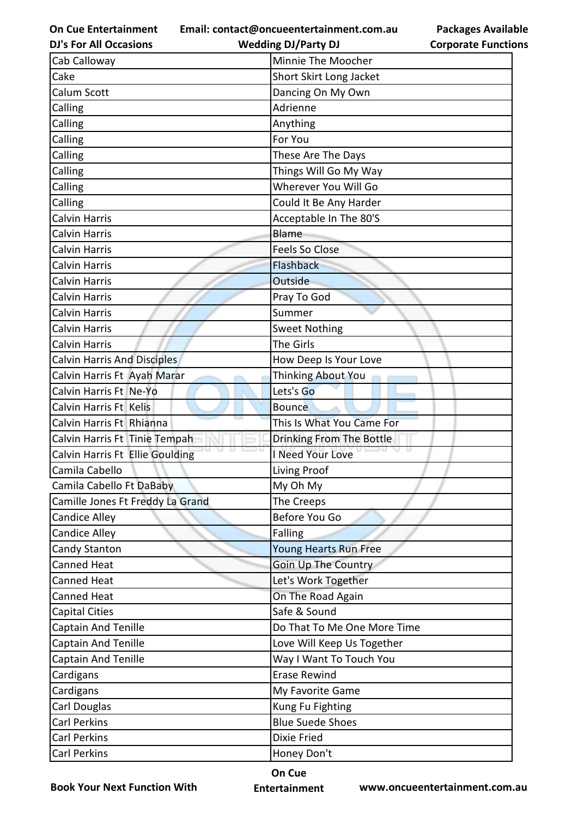**Email: contact@oncueentertainment.com.au Wedding DJ/Party DJ** 

**DJ's For All Occasions**

**Packages Available Corporate Functions**

| Cab Calloway                       | Minnie The Moocher          |
|------------------------------------|-----------------------------|
| Cake                               | Short Skirt Long Jacket     |
| <b>Calum Scott</b>                 | Dancing On My Own           |
| Calling                            | Adrienne                    |
| Calling                            | Anything                    |
| Calling                            | For You                     |
| Calling                            | These Are The Days          |
| Calling                            | Things Will Go My Way       |
| Calling                            | Wherever You Will Go        |
| Calling                            | Could It Be Any Harder      |
| <b>Calvin Harris</b>               | Acceptable In The 80'S      |
| <b>Calvin Harris</b>               | Blame                       |
| <b>Calvin Harris</b>               | <b>Feels So Close</b>       |
| <b>Calvin Harris</b>               | <b>Flashback</b>            |
| <b>Calvin Harris</b>               | Outside                     |
| <b>Calvin Harris</b>               | Pray To God                 |
| <b>Calvin Harris</b>               | Summer                      |
| <b>Calvin Harris</b>               | <b>Sweet Nothing</b>        |
| <b>Calvin Harris</b>               | The Girls                   |
| <b>Calvin Harris And Disciples</b> | How Deep Is Your Love       |
| Calvin Harris Ft Ayah Marar        | Thinking About You          |
| Calvin Harris Ft Ne-Yo             | Lets's Go                   |
| Calvin Harris Ft Kelis             | <b>Bounce</b>               |
| Calvin Harris Ft Rhianna           | This Is What You Came For   |
| Calvin Harris Ft Tinie Tempah      | Drinking From The Bottle    |
| Calvin Harris Ft Ellie Goulding    | I Need Your Love            |
| Camila Cabello                     | Living Proof                |
| Camila Cabello Ft DaBaby           | My Oh My                    |
| Camille Jones Ft Freddy La Grand   | The Creeps                  |
| Candice Alley                      | Before You Go               |
| <b>Candice Alley</b>               | <b>Falling</b>              |
| <b>Candy Stanton</b>               | Young Hearts Run Free       |
| <b>Canned Heat</b>                 | <b>Goin Up The Country</b>  |
| <b>Canned Heat</b>                 | Let's Work Together         |
| <b>Canned Heat</b>                 | On The Road Again           |
| <b>Capital Cities</b>              | Safe & Sound                |
| <b>Captain And Tenille</b>         | Do That To Me One More Time |
| <b>Captain And Tenille</b>         | Love Will Keep Us Together  |
| <b>Captain And Tenille</b>         | Way I Want To Touch You     |
| Cardigans                          | <b>Erase Rewind</b>         |
| Cardigans                          | My Favorite Game            |
| <b>Carl Douglas</b>                | Kung Fu Fighting            |
| <b>Carl Perkins</b>                | <b>Blue Suede Shoes</b>     |
| <b>Carl Perkins</b>                | Dixie Fried                 |
| <b>Carl Perkins</b>                | Honey Don't                 |

**Book Your Next Function With**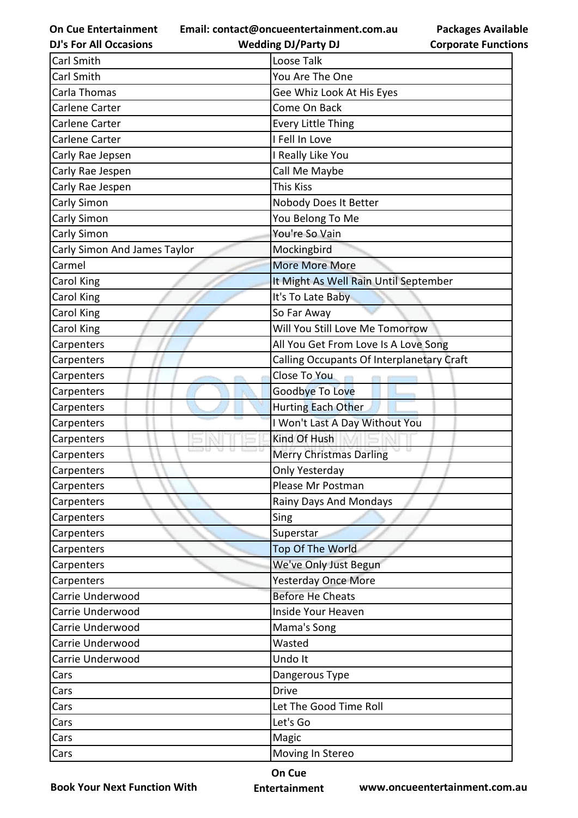**Email: contact@oncueentertainment.com.au**

| <b>DJ's For All Occasions</b> | <b>Wedding DJ/Party DJ</b>                | <b>Corporate Functio</b> |
|-------------------------------|-------------------------------------------|--------------------------|
| Carl Smith                    | Loose Talk                                |                          |
| Carl Smith                    | You Are The One                           |                          |
| Carla Thomas                  | Gee Whiz Look At His Eyes                 |                          |
| Carlene Carter                | Come On Back                              |                          |
| Carlene Carter                | <b>Every Little Thing</b>                 |                          |
| Carlene Carter                | I Fell In Love                            |                          |
| Carly Rae Jepsen              | I Really Like You                         |                          |
| Carly Rae Jespen              | Call Me Maybe                             |                          |
| Carly Rae Jespen              | <b>This Kiss</b>                          |                          |
| Carly Simon                   | Nobody Does It Better                     |                          |
| Carly Simon                   | You Belong To Me                          |                          |
| Carly Simon                   | You're So Vain                            |                          |
| Carly Simon And James Taylor  | Mockingbird                               |                          |
| Carmel                        | <b>More More More</b>                     |                          |
| Carol King                    | It Might As Well Rain Until September     |                          |
| Carol King                    | It's To Late Baby                         |                          |
| Carol King                    | So Far Away                               |                          |
| Carol King                    | Will You Still Love Me Tomorrow           |                          |
| Carpenters                    | All You Get From Love Is A Love Song      |                          |
| Carpenters                    | Calling Occupants Of Interplanetary Craft |                          |
| Carpenters                    | Close To You                              |                          |
| Carpenters                    | Goodbye To Love                           |                          |
| Carpenters                    | Hurting Each Other                        |                          |
| Carpenters                    | I Won't Last A Day Without You            |                          |
| Carpenters                    | Kind Of Hush                              |                          |
| Carpenters                    | <b>Merry Christmas Darling</b>            | a a                      |
| Carpenters                    | Only Yesterday                            |                          |
| Carpenters                    | Please Mr Postman                         |                          |
| Carpenters                    | Rainy Days And Mondays                    |                          |
| Carpenters                    | Sing                                      |                          |
| Carpenters                    | Superstar                                 |                          |
| Carpenters                    | Top Of The World                          |                          |
| Carpenters                    | We've Only Just Begun                     |                          |
| Carpenters                    | <b>Yesterday Once More</b>                |                          |
| Carrie Underwood              | <b>Before He Cheats</b>                   |                          |
| Carrie Underwood              | Inside Your Heaven                        |                          |
| Carrie Underwood              | Mama's Song                               |                          |
| Carrie Underwood              | Wasted                                    |                          |
| Carrie Underwood              | Undo It                                   |                          |
| Cars                          | Dangerous Type                            |                          |
| Cars                          | <b>Drive</b>                              |                          |
| Cars                          | Let The Good Time Roll                    |                          |
| Cars                          | Let's Go                                  |                          |
| Cars                          | Magic                                     |                          |
| Cars                          | Moving In Stereo                          |                          |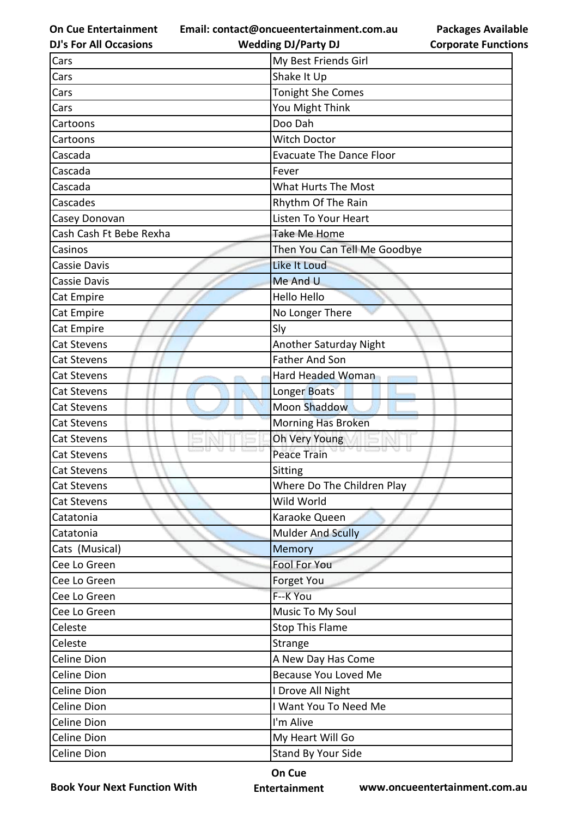**Email: contact@oncueentertainment.com.au Wedding DJ/Party DJ** 

|  | <b>DJ's For All Occasions</b> |
|--|-------------------------------|
|  |                               |

**Corporate Functions**

**Packages Available** 

| Cars                    | My Best Friends Girl            |
|-------------------------|---------------------------------|
| Cars                    | Shake It Up                     |
| Cars                    | <b>Tonight She Comes</b>        |
| Cars                    | You Might Think                 |
| Cartoons                | Doo Dah                         |
| Cartoons                | <b>Witch Doctor</b>             |
| Cascada                 | <b>Evacuate The Dance Floor</b> |
| Cascada                 | Fever                           |
| Cascada                 | What Hurts The Most             |
| Cascades                | Rhythm Of The Rain              |
| Casey Donovan           | Listen To Your Heart            |
| Cash Cash Ft Bebe Rexha | Take Me Home                    |
| Casinos                 | Then You Can Tell Me Goodbye    |
| Cassie Davis            | Like It Loud                    |
| <b>Cassie Davis</b>     | Me And U                        |
| Cat Empire              | <b>Hello Hello</b>              |
| Cat Empire              | No Longer There                 |
| Cat Empire              | Sly                             |
| <b>Cat Stevens</b>      | <b>Another Saturday Night</b>   |
| <b>Cat Stevens</b>      | <b>Father And Son</b>           |
| Cat Stevens             | Hard Headed Woman               |
| <b>Cat Stevens</b>      | Longer Boats                    |
| <b>Cat Stevens</b>      | <b>Moon Shaddow</b>             |
| <b>Cat Stevens</b>      | <b>Morning Has Broken</b>       |
| <b>Cat Stevens</b>      | Oh Very Young                   |
| Cat Stevens             | <b>Peace Train</b>              |
| <b>Cat Stevens</b>      | Sitting                         |
| Cat Stevens             | Where Do The Children Play      |
| Cat Stevens             | Wild World                      |
| Catatonia               | Karaoke Queen                   |
| Catatonia               | <b>Mulder And Scully</b>        |
| Cats (Musical)          | Memory                          |
| Cee Lo Green            | Fool For You                    |
| Cee Lo Green            | Forget You                      |
| Cee Lo Green            | F--K You                        |
| Cee Lo Green            | Music To My Soul                |
| Celeste                 | <b>Stop This Flame</b>          |
| Celeste                 | Strange                         |
| Celine Dion             | A New Day Has Come              |
| Celine Dion             | <b>Because You Loved Me</b>     |
| Celine Dion             | I Drove All Night               |
| Celine Dion             | I Want You To Need Me           |
| Celine Dion             | I'm Alive                       |
| Celine Dion             | My Heart Will Go                |
| Celine Dion             | Stand By Your Side              |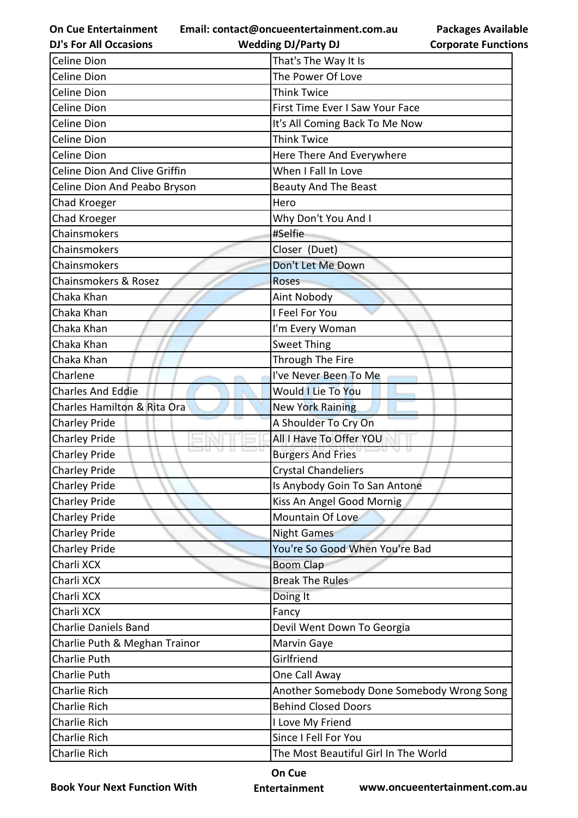**Email: contact@oncueentertainment.com.au**

| <b>Packages Available</b>  |
|----------------------------|
| <b>Corporate Functions</b> |

| <b>DJ's For All Occasions</b> | <b>Wedding DJ/Party DJ</b>                | <b>Corporate Functio</b> |
|-------------------------------|-------------------------------------------|--------------------------|
| Celine Dion                   | That's The Way It Is                      |                          |
| Celine Dion                   | The Power Of Love                         |                          |
| Celine Dion                   | <b>Think Twice</b>                        |                          |
| Celine Dion                   | First Time Ever I Saw Your Face           |                          |
| Celine Dion                   | It's All Coming Back To Me Now            |                          |
| Celine Dion                   | <b>Think Twice</b>                        |                          |
| Celine Dion                   | Here There And Everywhere                 |                          |
| Celine Dion And Clive Griffin | When I Fall In Love                       |                          |
| Celine Dion And Peabo Bryson  | <b>Beauty And The Beast</b>               |                          |
| Chad Kroeger                  | Hero                                      |                          |
| Chad Kroeger                  | Why Don't You And I                       |                          |
| Chainsmokers                  | #Selfie                                   |                          |
| Chainsmokers                  | Closer (Duet)                             |                          |
| Chainsmokers                  | Don't Let Me Down                         |                          |
| Chainsmokers & Rosez          | <b>Roses</b>                              |                          |
| Chaka Khan                    | <b>Aint Nobody</b>                        |                          |
| Chaka Khan                    | I Feel For You                            |                          |
| Chaka Khan                    | I'm Every Woman                           |                          |
| Chaka Khan                    | <b>Sweet Thing</b>                        |                          |
| Chaka Khan                    | Through The Fire                          |                          |
| Charlene                      | I've Never Been To Me                     |                          |
| <b>Charles And Eddie</b>      | <b>Would I Lie To You</b>                 |                          |
| Charles Hamilton & Rita Ora   | <b>New York Raining</b>                   |                          |
| <b>Charley Pride</b>          | A Shoulder To Cry On                      |                          |
| <b>Charley Pride</b>          | All I Have To Offer YOU                   |                          |
| <b>Charley Pride</b>          | <b>Burgers And Fries</b>                  |                          |
| <b>Charley Pride</b>          | <b>Crystal Chandeliers</b>                |                          |
| <b>Charley Pride</b>          | Is Anybody Goin To San Antone             |                          |
| <b>Charley Pride</b>          | Kiss An Angel Good Mornig                 |                          |
| <b>Charley Pride</b>          | Mountain Of Love                          |                          |
| <b>Charley Pride</b>          | <b>Night Games</b>                        |                          |
| <b>Charley Pride</b>          | You're So Good When You're Bad            |                          |
| Charli XCX                    | <b>Boom Clap</b>                          |                          |
| Charli XCX                    | <b>Break The Rules</b>                    |                          |
| Charli XCX                    | Doing It                                  |                          |
| Charli XCX                    | Fancy                                     |                          |
| <b>Charlie Daniels Band</b>   | Devil Went Down To Georgia                |                          |
| Charlie Puth & Meghan Trainor | Marvin Gaye                               |                          |
| Charlie Puth                  | Girlfriend                                |                          |
| Charlie Puth                  | One Call Away                             |                          |
| Charlie Rich                  | Another Somebody Done Somebody Wrong Song |                          |
| Charlie Rich                  | <b>Behind Closed Doors</b>                |                          |
| Charlie Rich                  | I Love My Friend                          |                          |
| Charlie Rich                  | Since I Fell For You                      |                          |
| Charlie Rich                  | The Most Beautiful Girl In The World      |                          |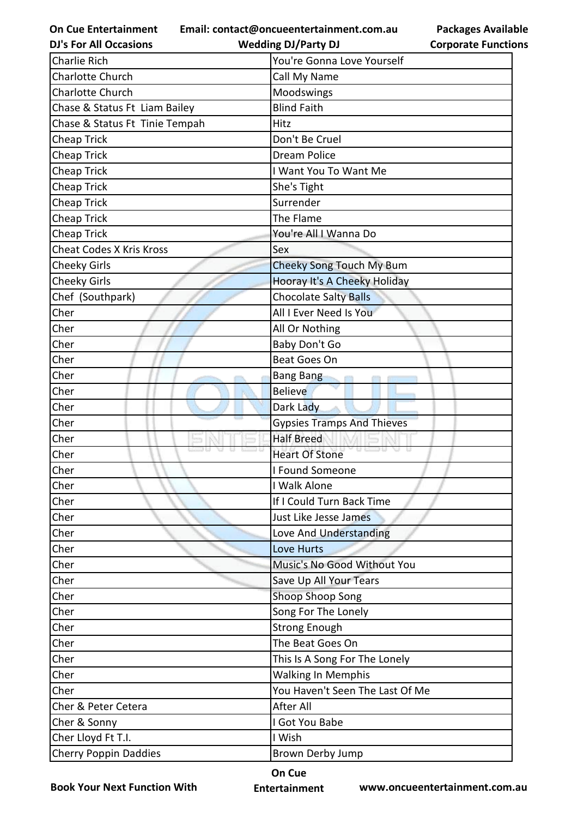**Email: contact@oncueentertainment.com.au**

**DJ's For All Occasions**

**Wedding DJ/Party DJ** 

**Packages Available Corporate Functions**

| Charlie Rich                    | You're Gonna Love Yourself        |
|---------------------------------|-----------------------------------|
| Charlotte Church                | Call My Name                      |
| <b>Charlotte Church</b>         | Moodswings                        |
| Chase & Status Ft Liam Bailey   | <b>Blind Faith</b>                |
| Chase & Status Ft Tinie Tempah  | Hitz                              |
| <b>Cheap Trick</b>              | Don't Be Cruel                    |
| <b>Cheap Trick</b>              | <b>Dream Police</b>               |
| <b>Cheap Trick</b>              | I Want You To Want Me             |
| <b>Cheap Trick</b>              | She's Tight                       |
| Cheap Trick                     | Surrender                         |
| <b>Cheap Trick</b>              | The Flame                         |
| <b>Cheap Trick</b>              | You're All I Wanna Do             |
| <b>Cheat Codes X Kris Kross</b> | Sex                               |
| <b>Cheeky Girls</b>             | <b>Cheeky Song Touch My Bum</b>   |
| <b>Cheeky Girls</b>             | Hooray It's A Cheeky Holiday      |
| Chef (Southpark)                | <b>Chocolate Salty Balls</b>      |
| Cher                            | All I Ever Need Is You            |
| Cher                            | All Or Nothing                    |
| Cher                            | Baby Don't Go                     |
| Cher                            | Beat Goes On                      |
| Cher                            | <b>Bang Bang</b>                  |
| Cher                            | <b>Believe</b>                    |
| Cher                            | Dark Lady                         |
| Cher                            | <b>Gypsies Tramps And Thieves</b> |
| Cher                            | <b>Half Breed</b>                 |
| Cher                            | <b>Heart Of Stone</b>             |
| Cher                            | I Found Someone                   |
| Cher                            | I Walk Alone                      |
| Cher                            | If I Could Turn Back Time         |
| Cher                            | Just Like Jesse James             |
| Cher                            | Love And Understanding            |
| Cher                            | Love Hurts                        |
| Cher                            | Music's No Good Without You       |
| Cher                            | Save Up All Your Tears            |
| Cher                            | Shoop Shoop Song                  |
| Cher                            | Song For The Lonely               |
| Cher                            | <b>Strong Enough</b>              |
| Cher                            | The Beat Goes On                  |
| Cher                            | This Is A Song For The Lonely     |
| Cher                            | <b>Walking In Memphis</b>         |
| Cher                            | You Haven't Seen The Last Of Me   |
| Cher & Peter Cetera             | After All                         |
| Cher & Sonny                    | I Got You Babe                    |
| Cher Lloyd Ft T.I.              | I Wish                            |
| <b>Cherry Poppin Daddies</b>    | Brown Derby Jump                  |

**Book Your Next Function With**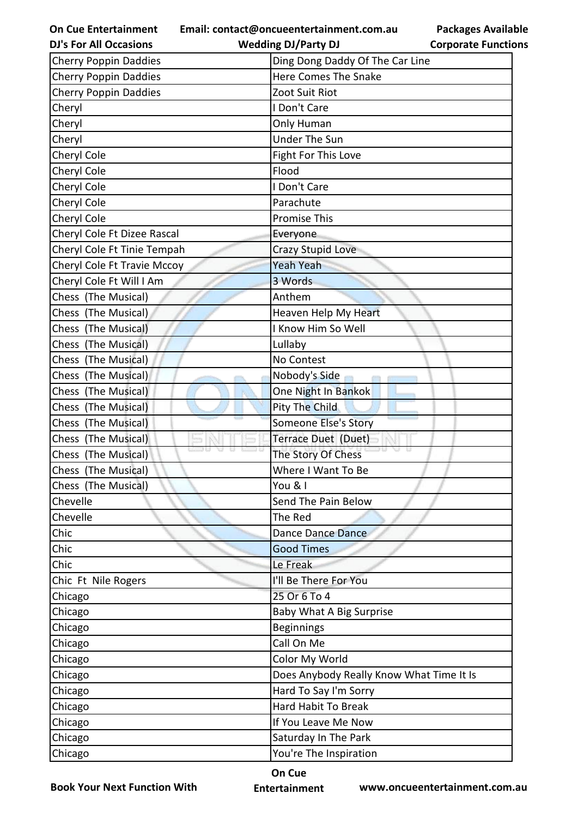**Email: contact@oncueentertainment.com.au**

**On Cue Entertainment DJ's For All Occasions**

**Wedding DJ/Party DJ** 

| <b>Cherry Poppin Daddies</b> | Ding Dong Daddy Of The Car Line          |
|------------------------------|------------------------------------------|
| <b>Cherry Poppin Daddies</b> | <b>Here Comes The Snake</b>              |
| <b>Cherry Poppin Daddies</b> | Zoot Suit Riot                           |
| Cheryl                       | I Don't Care                             |
| Cheryl                       | Only Human                               |
| Cheryl                       | <b>Under The Sun</b>                     |
| Cheryl Cole                  | Fight For This Love                      |
| Cheryl Cole                  | Flood                                    |
| Cheryl Cole                  | I Don't Care                             |
| Cheryl Cole                  | Parachute                                |
| Cheryl Cole                  | <b>Promise This</b>                      |
| Cheryl Cole Ft Dizee Rascal  | Everyone                                 |
| Cheryl Cole Ft Tinie Tempah  | Crazy Stupid Love                        |
| Cheryl Cole Ft Travie Mccoy  | <b>Yeah Yeah</b>                         |
| Cheryl Cole Ft Will I Am     | 3 Words                                  |
| Chess (The Musical)          | Anthem                                   |
| Chess (The Musical)          | Heaven Help My Heart                     |
| Chess (The Musical)          | I Know Him So Well                       |
| Chess (The Musical)          | Lullaby                                  |
| Chess (The Musical)          | No Contest                               |
| Chess (The Musical)          | Nobody's Side                            |
| Chess (The Musical)          | One Night In Bankok                      |
| Chess (The Musical)          | Pity The Child                           |
| Chess (The Musical)          | Someone Else's Story                     |
| Chess (The Musical)          | Terrace Duet (Duet)                      |
| Chess (The Musical)          | The Story Of Chess                       |
| Chess (The Musical)          | Where I Want To Be                       |
| Chess (The Musical)          | You & I                                  |
| Chevelle                     | Send The Pain Below                      |
| Chevelle                     | The Red                                  |
| Chic                         | Dance Dance Dance                        |
| Chic                         | <b>Good Times</b>                        |
| Chic                         | Le Freak                                 |
| Chic Ft Nile Rogers          | I'll Be There For You                    |
| Chicago                      | 25 Or 6 To 4                             |
| Chicago                      | Baby What A Big Surprise                 |
| Chicago                      | <b>Beginnings</b>                        |
| Chicago                      | Call On Me                               |
| Chicago                      | Color My World                           |
| Chicago                      | Does Anybody Really Know What Time It Is |
| Chicago                      | Hard To Say I'm Sorry                    |
| Chicago                      | Hard Habit To Break                      |
| Chicago                      | If You Leave Me Now                      |
| Chicago                      | Saturday In The Park                     |
| Chicago                      | You're The Inspiration                   |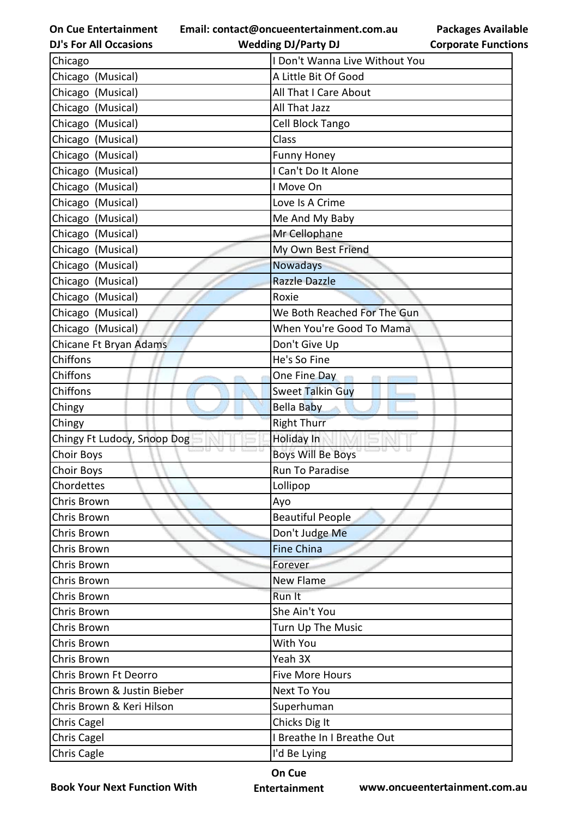**Email: contact@oncueentertainment.com.au**

**DJ's For All Occasions**

**Packages Available Corporate Functions**

| <b>DJ's For All Occasions</b> | <b>Wedding DJ/Party DJ</b>     | <b>Corporate Functio</b> |
|-------------------------------|--------------------------------|--------------------------|
| Chicago                       | I Don't Wanna Live Without You |                          |
| Chicago (Musical)             | A Little Bit Of Good           |                          |
| Chicago (Musical)             | All That I Care About          |                          |
| Chicago (Musical)             | All That Jazz                  |                          |
| Chicago (Musical)             | Cell Block Tango               |                          |
| Chicago (Musical)             | Class                          |                          |
| Chicago (Musical)             | <b>Funny Honey</b>             |                          |
| Chicago (Musical)             | I Can't Do It Alone            |                          |
| Chicago (Musical)             | I Move On                      |                          |
| Chicago (Musical)             | Love Is A Crime                |                          |
| Chicago (Musical)             | Me And My Baby                 |                          |
| Chicago (Musical)             | Mr Cellophane                  |                          |
| Chicago (Musical)             | My Own Best Friend             |                          |
| Chicago (Musical)             | <b>Nowadays</b>                |                          |
| Chicago (Musical)             | <b>Razzle Dazzle</b>           |                          |
| Chicago (Musical)             | Roxie                          |                          |
| Chicago (Musical)             | We Both Reached For The Gun    |                          |
| Chicago (Musical)             | When You're Good To Mama       |                          |
| Chicane Ft Bryan Adams        | Don't Give Up                  |                          |
| <b>Chiffons</b>               | He's So Fine                   |                          |
| Chiffons                      | One Fine Day                   |                          |
| Chiffons                      | <b>Sweet Talkin Guy</b>        |                          |
| Chingy                        | <b>Bella Baby</b>              |                          |
| Chingy                        | <b>Right Thurr</b>             |                          |
| Chingy Ft Ludocy, Snoop Dog   | Holiday In                     |                          |
| Choir Boys                    | <b>Boys Will Be Boys</b>       |                          |
| <b>Choir Boys</b>             | Run To Paradise                |                          |
| Chordettes                    | Lollipop                       |                          |
| Chris Brown                   | Ayo                            |                          |
| Chris Brown                   | <b>Beautiful People</b>        |                          |
| Chris Brown                   | Don't Judge Me                 |                          |
| Chris Brown                   | <b>Fine China</b>              |                          |
| Chris Brown                   | Forever                        |                          |
| Chris Brown                   | New Flame                      |                          |
| Chris Brown                   | Run It                         |                          |
| Chris Brown                   | She Ain't You                  |                          |
| Chris Brown                   | Turn Up The Music              |                          |
| Chris Brown                   | With You                       |                          |
| Chris Brown                   | Yeah 3X                        |                          |
| Chris Brown Ft Deorro         | <b>Five More Hours</b>         |                          |
| Chris Brown & Justin Bieber   | Next To You                    |                          |
| Chris Brown & Keri Hilson     | Superhuman                     |                          |
| Chris Cagel                   | Chicks Dig It                  |                          |
| <b>Chris Cagel</b>            | I Breathe In I Breathe Out     |                          |
| Chris Cagle                   | I'd Be Lying                   |                          |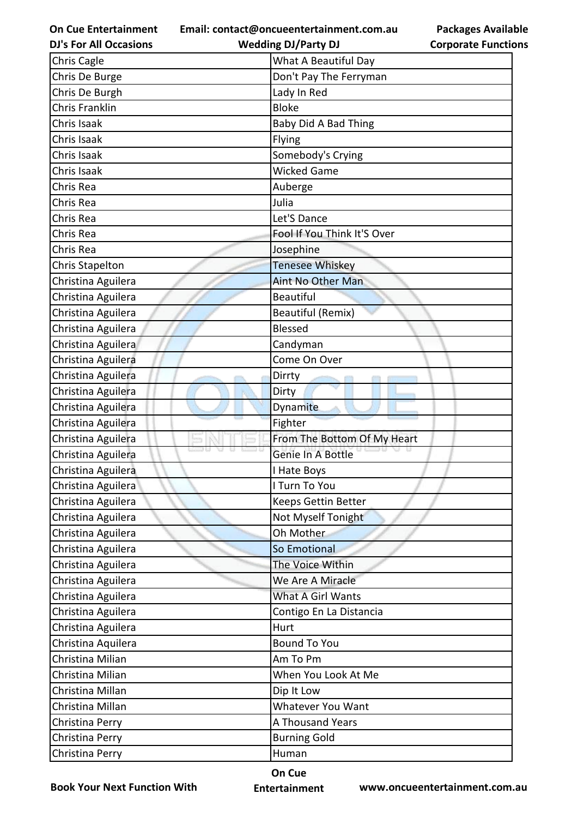**Email: contact@oncueentertainment.com.au**

**DJ's For All Occasions**

**Packages Available Corporate Functions**

| <b>DJ's For All Occasions</b> | <b>Wedding DJ/Party DJ</b>  | <b>Corporate Functio</b> |
|-------------------------------|-----------------------------|--------------------------|
| Chris Cagle                   | What A Beautiful Day        |                          |
| Chris De Burge                | Don't Pay The Ferryman      |                          |
| Chris De Burgh                | Lady In Red                 |                          |
| <b>Chris Franklin</b>         | <b>Bloke</b>                |                          |
| Chris Isaak                   | Baby Did A Bad Thing        |                          |
| Chris Isaak                   | Flying                      |                          |
| Chris Isaak                   | Somebody's Crying           |                          |
| Chris Isaak                   | <b>Wicked Game</b>          |                          |
| Chris Rea                     | Auberge                     |                          |
| Chris Rea                     | Julia                       |                          |
| Chris Rea                     | Let'S Dance                 |                          |
| Chris Rea                     | Fool If You Think It'S Over |                          |
| Chris Rea                     | Josephine                   |                          |
| <b>Chris Stapelton</b>        | Tenesee Whiskey             |                          |
| Christina Aguilera            | <b>Aint No Other Man</b>    |                          |
| Christina Aguilera            | <b>Beautiful</b>            |                          |
| Christina Aguilera            | <b>Beautiful (Remix)</b>    |                          |
| Christina Aguilera            | <b>Blessed</b>              |                          |
| Christina Aguilera            | Candyman                    |                          |
| Christina Aguilera            | Come On Over                |                          |
| Christina Aguilera            | Dirrty                      |                          |
| Christina Aguilera            | Dirty                       |                          |
| Christina Aguilera            | Dynamite                    |                          |
| Christina Aguilera            | Fighter                     |                          |
| Christina Aguilera            | From The Bottom Of My Heart |                          |
| Christina Aguilera            | Genie In A Bottle           |                          |
| Christina Aguilera            | I Hate Boys                 |                          |
| Christina Aguilera            | I Turn To You               |                          |
| Christina Aguilera            | Keeps Gettin Better         |                          |
| Christina Aguilera            | Not Myself Tonight          |                          |
| Christina Aguilera            | Oh Mother                   |                          |
| Christina Aguilera            | So Emotional                |                          |
| Christina Aguilera            | The Voice Within            |                          |
| Christina Aguilera            | We Are A Miracle            |                          |
| Christina Aguilera            | What A Girl Wants           |                          |
| Christina Aguilera            | Contigo En La Distancia     |                          |
| Christina Aguilera            | Hurt                        |                          |
| Christina Aquilera            | <b>Bound To You</b>         |                          |
| Christina Milian              | Am To Pm                    |                          |
| Christina Milian              | When You Look At Me         |                          |
| Christina Millan              | Dip It Low                  |                          |
| Christina Millan              | Whatever You Want           |                          |
| Christina Perry               | A Thousand Years            |                          |
| Christina Perry               | <b>Burning Gold</b>         |                          |
| Christina Perry               | Human                       |                          |
|                               |                             |                          |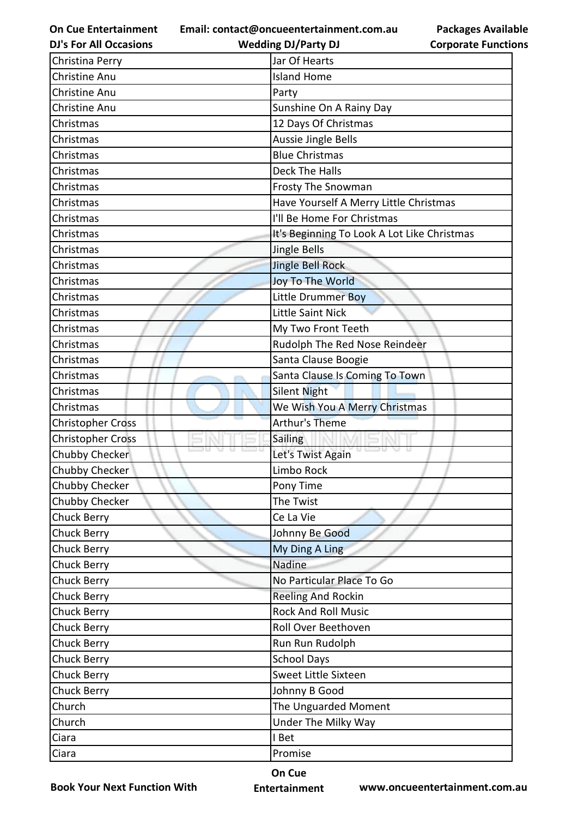**Email: contact@oncueentertainment.com.au Wedding DJ/Party DJ** 

**DJ's For All Occasions**

**Packages Available Corporate Functions**

| Christina Perry          | Jar Of Hearts                               |
|--------------------------|---------------------------------------------|
| <b>Christine Anu</b>     | <b>Island Home</b>                          |
| Christine Anu            | Party                                       |
| Christine Anu            | Sunshine On A Rainy Day                     |
| Christmas                | 12 Days Of Christmas                        |
| Christmas                | <b>Aussie Jingle Bells</b>                  |
| Christmas                | <b>Blue Christmas</b>                       |
| Christmas                | Deck The Halls                              |
| Christmas                | Frosty The Snowman                          |
| Christmas                | Have Yourself A Merry Little Christmas      |
| Christmas                | I'll Be Home For Christmas                  |
| Christmas                | It's Beginning To Look A Lot Like Christmas |
| Christmas                | Jingle Bells                                |
| Christmas                | <b>Jingle Bell Rock</b>                     |
| Christmas                | Joy To The World                            |
| Christmas                | Little Drummer Boy                          |
| Christmas                | Little Saint Nick                           |
| Christmas                | My Two Front Teeth                          |
| Christmas                | Rudolph The Red Nose Reindeer               |
| Christmas                | Santa Clause Boogie                         |
| Christmas                | Santa Clause Is Coming To Town              |
| Christmas                | <b>Silent Night</b>                         |
| Christmas                | We Wish You A Merry Christmas               |
| <b>Christopher Cross</b> | Arthur's Theme                              |
| <b>Christopher Cross</b> | Sailing                                     |
| Chubby Checker           | 9 C.<br>Let's Twist Again                   |
| Chubby Checker           | Limbo Rock                                  |
| Chubby Checker           | Pony Time                                   |
| Chubby Checker           | The Twist                                   |
| Chuck Berry              | Ce La Vie                                   |
| Chuck Berry              | Johnny Be Good                              |
| <b>Chuck Berry</b>       | My Ding A Ling                              |
| Chuck Berry              | Nadine                                      |
| <b>Chuck Berry</b>       | No Particular Place To Go                   |
| Chuck Berry              | <b>Reeling And Rockin</b>                   |
| Chuck Berry              | <b>Rock And Roll Music</b>                  |
| Chuck Berry              | Roll Over Beethoven                         |
| <b>Chuck Berry</b>       | Run Run Rudolph                             |
| Chuck Berry              | <b>School Days</b>                          |
| Chuck Berry              | Sweet Little Sixteen                        |
| Chuck Berry              | Johnny B Good                               |
| Church                   | The Unguarded Moment                        |
| Church                   | Under The Milky Way                         |
| Ciara                    | I Bet                                       |
| Ciara                    | Promise                                     |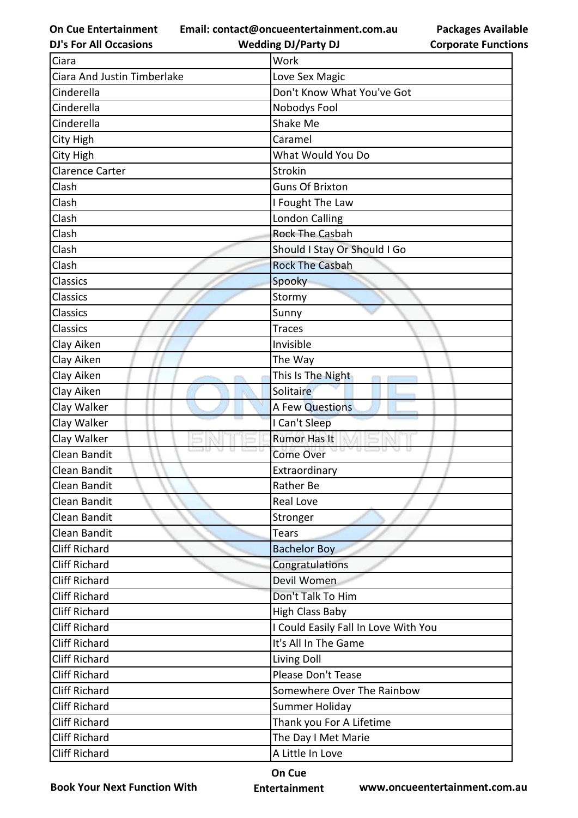**Email: contact@oncueentertainment.com.au Wedding DJ/Party DJ** 

**DJ's For All Occasions**

**Packages Available Corporate Functions**

| Ciara                       | Work                                 |  |
|-----------------------------|--------------------------------------|--|
| Ciara And Justin Timberlake | Love Sex Magic                       |  |
| Cinderella                  | Don't Know What You've Got           |  |
| Cinderella                  | Nobodys Fool                         |  |
| Cinderella                  | Shake Me                             |  |
| City High                   | Caramel                              |  |
| City High                   | What Would You Do                    |  |
| <b>Clarence Carter</b>      | Strokin                              |  |
| Clash                       | <b>Guns Of Brixton</b>               |  |
| Clash                       | I Fought The Law                     |  |
| Clash                       | <b>London Calling</b>                |  |
| Clash                       | <b>Rock The Casbah</b>               |  |
| Clash                       | Should I Stay Or Should I Go         |  |
| Clash                       | <b>Rock The Casbah</b>               |  |
| <b>Classics</b>             | Spooky                               |  |
| <b>Classics</b>             | Stormy                               |  |
| <b>Classics</b>             | Sunny                                |  |
| Classics                    | <b>Traces</b>                        |  |
| Clay Aiken                  | Invisible                            |  |
| Clay Aiken                  | The Way                              |  |
| Clay Aiken                  | This Is The Night                    |  |
| Clay Aiken                  | Solitaire                            |  |
| Clay Walker                 | A Few Questions                      |  |
| Clay Walker                 | I Can't Sleep                        |  |
| Clay Walker                 | <b>Rumor Has It</b>                  |  |
| Clean Bandit                | <b>Come Over</b>                     |  |
| Clean Bandit                | Extraordinary                        |  |
| Clean Bandit                | <b>Rather Be</b>                     |  |
| Clean Bandit                | Real Love                            |  |
| Clean Bandit                | Stronger                             |  |
| Clean Bandit                | <b>Tears</b>                         |  |
| <b>Cliff Richard</b>        | <b>Bachelor Boy</b>                  |  |
| <b>Cliff Richard</b>        | Congratulations                      |  |
| <b>Cliff Richard</b>        | Devil Women                          |  |
| <b>Cliff Richard</b>        | Don't Talk To Him                    |  |
| <b>Cliff Richard</b>        | <b>High Class Baby</b>               |  |
| <b>Cliff Richard</b>        | I Could Easily Fall In Love With You |  |
| <b>Cliff Richard</b>        | It's All In The Game                 |  |
| Cliff Richard               | Living Doll                          |  |
| <b>Cliff Richard</b>        | Please Don't Tease                   |  |
| <b>Cliff Richard</b>        | Somewhere Over The Rainbow           |  |
| Cliff Richard               | Summer Holiday                       |  |
| <b>Cliff Richard</b>        | Thank you For A Lifetime             |  |
| <b>Cliff Richard</b>        | The Day I Met Marie                  |  |
| <b>Cliff Richard</b>        | A Little In Love                     |  |

**Book Your Next Function With**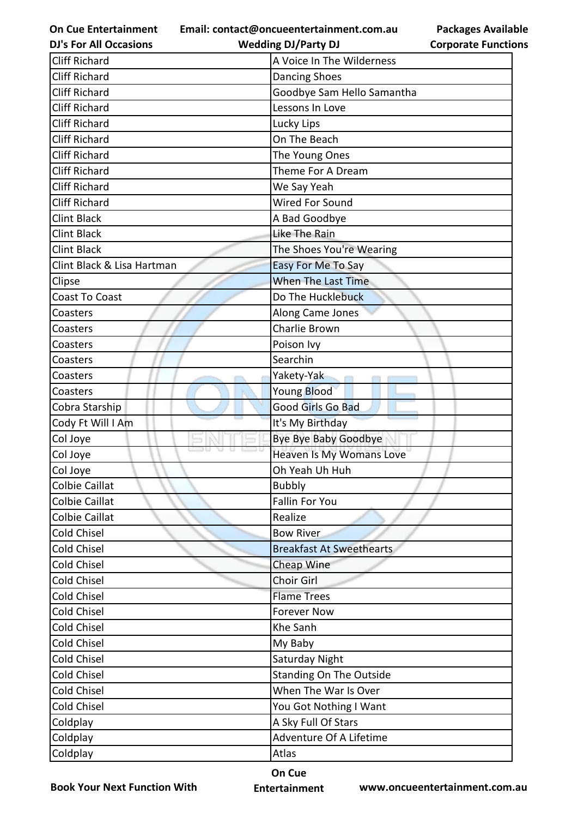**Email: contact@oncueentertainment.com.au Wedding DJ/Party DJ** 

**DJ's For All Occasions**

**Packages Available Corporate Functions**

| <b>Cliff Richard</b>       | A Voice In The Wilderness       |
|----------------------------|---------------------------------|
| <b>Cliff Richard</b>       | <b>Dancing Shoes</b>            |
| <b>Cliff Richard</b>       | Goodbye Sam Hello Samantha      |
| <b>Cliff Richard</b>       | Lessons In Love                 |
| <b>Cliff Richard</b>       | Lucky Lips                      |
| <b>Cliff Richard</b>       | On The Beach                    |
| <b>Cliff Richard</b>       | The Young Ones                  |
| <b>Cliff Richard</b>       | Theme For A Dream               |
| <b>Cliff Richard</b>       | We Say Yeah                     |
| <b>Cliff Richard</b>       | Wired For Sound                 |
| <b>Clint Black</b>         | A Bad Goodbye                   |
| <b>Clint Black</b>         | Like The Rain                   |
| <b>Clint Black</b>         | The Shoes You're Wearing        |
| Clint Black & Lisa Hartman | <b>Easy For Me To Say</b>       |
| Clipse                     | <b>When The Last Time</b>       |
| <b>Coast To Coast</b>      | Do The Hucklebuck               |
| Coasters                   | Along Came Jones                |
| Coasters                   | Charlie Brown                   |
| Coasters                   | Poison Ivy                      |
| Coasters                   | Searchin                        |
| Coasters                   | Yakety-Yak                      |
| Coasters                   | Young Blood                     |
| Cobra Starship             | Good Girls Go Bad               |
| Cody Ft Will I Am          | It's My Birthday                |
| Col Joye                   | Bye Bye Baby Goodbye            |
| Col Joye                   | Heaven Is My Womans Love        |
| Col Joye                   | Oh Yeah Uh Huh                  |
| Colbie Caillat             | <b>Bubbly</b>                   |
| <b>Colbie Caillat</b>      | <b>Fallin For You</b>           |
| <b>Colbie Caillat</b>      | Realize                         |
| Cold Chisel                | <b>Bow River</b>                |
| Cold Chisel                | <b>Breakfast At Sweethearts</b> |
| Cold Chisel                | Cheap Wine                      |
| Cold Chisel                | Choir Girl                      |
| Cold Chisel                | <b>Flame Trees</b>              |
| Cold Chisel                | <b>Forever Now</b>              |
| <b>Cold Chisel</b>         | Khe Sanh                        |
| Cold Chisel                | My Baby                         |
| Cold Chisel                | Saturday Night                  |
| Cold Chisel                | <b>Standing On The Outside</b>  |
| Cold Chisel                | When The War Is Over            |
| Cold Chisel                | You Got Nothing I Want          |
| Coldplay                   | A Sky Full Of Stars             |
| Coldplay                   | Adventure Of A Lifetime         |
| Coldplay                   | Atlas                           |

**Book Your Next Function With**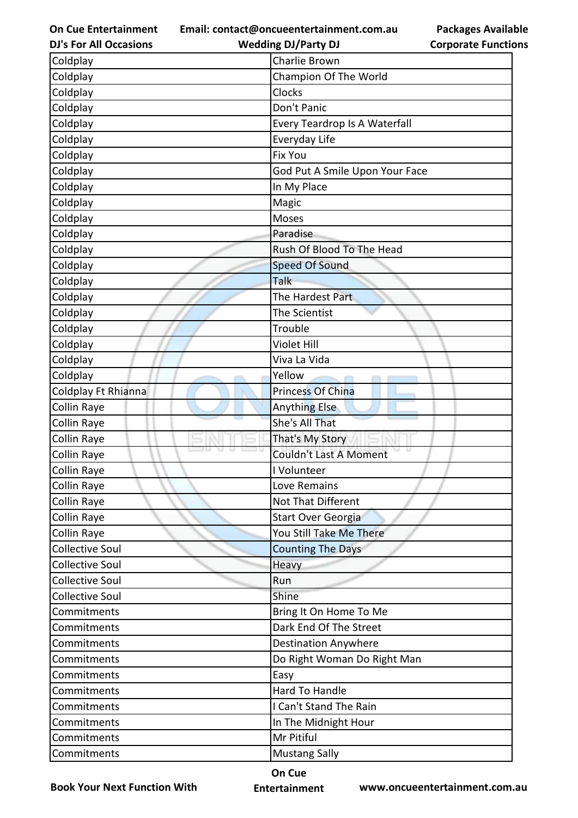**Email: contact@oncueentertainment.com.au Wedding DJ/Party DJ** 

**DJ's For All Occasions**

**Packages Available Corporate Functions**

| Coldplay               | Charlie Brown                  |
|------------------------|--------------------------------|
| Coldplay               | Champion Of The World          |
| Coldplay               | Clocks                         |
| Coldplay               | Don't Panic                    |
| Coldplay               | Every Teardrop Is A Waterfall  |
| Coldplay               | Everyday Life                  |
| Coldplay               | <b>Fix You</b>                 |
| Coldplay               | God Put A Smile Upon Your Face |
| Coldplay               | In My Place                    |
| Coldplay               | Magic                          |
| Coldplay               | Moses                          |
| Coldplay               | Paradise                       |
| Coldplay               | Rush Of Blood To The Head      |
| Coldplay               | <b>Speed Of Sound</b>          |
| Coldplay               | Talk                           |
| Coldplay               | The Hardest Part               |
| Coldplay               | The Scientist                  |
| Coldplay               | Trouble                        |
| Coldplay               | <b>Violet Hill</b>             |
| Coldplay               | Viva La Vida                   |
| Coldplay               | Yellow                         |
| Coldplay Ft Rhianna    | <b>Princess Of China</b>       |
| <b>Collin Raye</b>     | <b>Anything Else</b>           |
| Collin Raye            | She's All That                 |
| Collin Raye            | That's My Story                |
| Collin Raye            | <b>Couldn't Last A Moment</b>  |
| Collin Raye            | I Volunteer                    |
| Collin Raye            | Love Remains                   |
| Collin Raye            | Not That Different             |
| Collin Raye            | <b>Start Over Georgia</b>      |
| Collin Raye            | You Still Take Me There        |
| Collective Soul        | <b>Counting The Days</b>       |
| <b>Collective Soul</b> | Heavy                          |
| <b>Collective Soul</b> | Run                            |
| <b>Collective Soul</b> | Shine                          |
| Commitments            | Bring It On Home To Me         |
| Commitments            | Dark End Of The Street         |
| Commitments            | <b>Destination Anywhere</b>    |
| Commitments            | Do Right Woman Do Right Man    |
| Commitments            | Easy                           |
| Commitments            | Hard To Handle                 |
| Commitments            | I Can't Stand The Rain         |
| Commitments            | In The Midnight Hour           |
| Commitments            | Mr Pitiful                     |
| Commitments            | <b>Mustang Sally</b>           |

**Book Your Next Function With**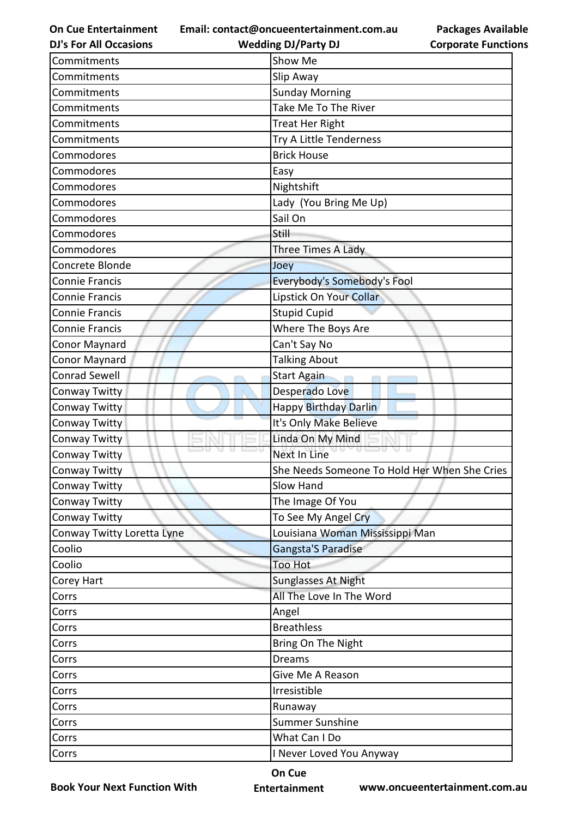**Email: contact@oncueentertainment.com.au**

**DJ's For All Occasions**

| <b>Packages Available</b>  |
|----------------------------|
| <b>Corporate Functions</b> |

| <b>DJ's For All Occasions</b> | <b>Wedding DJ/Party DJ</b>                   | <b>Corporate Functio</b> |
|-------------------------------|----------------------------------------------|--------------------------|
| Commitments                   | Show Me                                      |                          |
| Commitments                   | Slip Away                                    |                          |
| Commitments                   | <b>Sunday Morning</b>                        |                          |
| Commitments                   | Take Me To The River                         |                          |
| Commitments                   | <b>Treat Her Right</b>                       |                          |
| Commitments                   | Try A Little Tenderness                      |                          |
| Commodores                    | <b>Brick House</b>                           |                          |
| Commodores                    | Easy                                         |                          |
| Commodores                    | Nightshift                                   |                          |
| Commodores                    | Lady (You Bring Me Up)                       |                          |
| Commodores                    | Sail On                                      |                          |
| Commodores                    | Still                                        |                          |
| Commodores                    | Three Times A Lady                           |                          |
| Concrete Blonde               | Joey                                         |                          |
| <b>Connie Francis</b>         | Everybody's Somebody's Fool                  |                          |
| <b>Connie Francis</b>         | Lipstick On Your Collar                      |                          |
| <b>Connie Francis</b>         | <b>Stupid Cupid</b>                          |                          |
| <b>Connie Francis</b>         | Where The Boys Are                           |                          |
| Conor Maynard                 | Can't Say No                                 |                          |
| Conor Maynard                 | <b>Talking About</b>                         |                          |
| <b>Conrad Sewell</b>          | <b>Start Again</b>                           |                          |
| Conway Twitty                 | Desperado Love                               |                          |
| Conway Twitty                 | <b>Happy Birthday Darlin</b>                 |                          |
| Conway Twitty                 | It's Only Make Believe                       |                          |
| Conway Twitty                 | Linda On My Mind                             |                          |
| Conway Twitty                 | <b>CODU</b><br>Next In Line                  |                          |
| Conway Twitty                 | She Needs Someone To Hold Her When She Cries |                          |
| Conway Twitty                 | Slow Hand                                    |                          |
| Conway Twitty                 | The Image Of You                             |                          |
| Conway Twitty                 | To See My Angel Cry                          |                          |
| Conway Twitty Loretta Lyne    | Louisiana Woman Mississippi Man              |                          |
| Coolio                        | Gangsta'S Paradise                           |                          |
| Coolio                        | <b>Too Hot</b>                               |                          |
| Corey Hart                    | <b>Sunglasses At Night</b>                   |                          |
| Corrs                         | All The Love In The Word                     |                          |
| Corrs                         | Angel                                        |                          |
| Corrs                         | <b>Breathless</b>                            |                          |
| Corrs                         | Bring On The Night                           |                          |
| Corrs                         | <b>Dreams</b>                                |                          |
| Corrs                         | Give Me A Reason                             |                          |
| Corrs                         | Irresistible                                 |                          |
| Corrs                         | Runaway                                      |                          |
| Corrs                         | <b>Summer Sunshine</b>                       |                          |
| Corrs                         | What Can I Do                                |                          |
| Corrs                         | I Never Loved You Anyway                     |                          |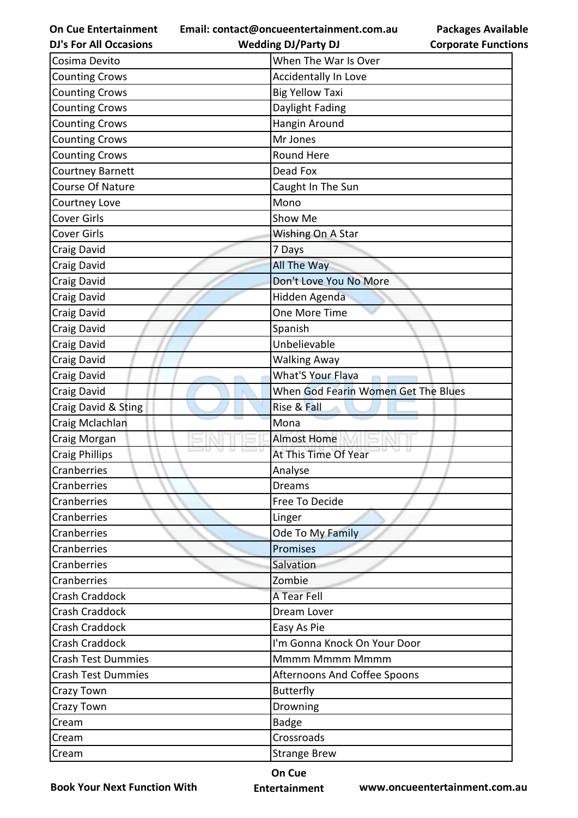**Email: contact@oncueentertainment.com.au Wedding DJ/Party DJ** 

Cosima Devito **National Cosima Devito** When The War Is Over Counting Crows Accidentally In Love

|  | <b>DJ's For All Occasions</b> |  |
|--|-------------------------------|--|
|  |                               |  |

**Packages Available Corporate Functions**

| Daylight Fading<br>Hangin Around<br>Mr Jones<br><b>Round Here</b><br>Dead Fox<br>Caught In The Sun<br>Mono<br>Show Me<br>Wishing On A Star<br>7 Days<br><b>All The Way</b><br>Don't Love You No More<br>Hidden Agenda<br>One More Time<br>Spanish<br>Unbelievable<br><b>Walking Away</b><br>What'S Your Flava<br>When God Fearin Women Get The Blues<br>Rise & Fall<br>Mona<br><b>Almost Home</b><br>At This Time Of Year<br>Analyse<br><b>Dreams</b><br>Free To Decide<br>Linger<br>Ode To My Family<br><b>Promises</b><br>Salvation<br>Zombie<br>A Tear Fell<br>Dream Lover<br>Easy As Pie<br>I'm Gonna Knock On Your Door<br>Mmmm Mmmm Mmmm<br><b>Afternoons And Coffee Spoons</b><br><b>Butterfly</b><br>Drowning<br><b>Badge</b><br>Crossroads<br><b>Strange Brew</b> | <b>Counting Crows</b>     | <b>Big Yellow Taxi</b> |  |
|----------------------------------------------------------------------------------------------------------------------------------------------------------------------------------------------------------------------------------------------------------------------------------------------------------------------------------------------------------------------------------------------------------------------------------------------------------------------------------------------------------------------------------------------------------------------------------------------------------------------------------------------------------------------------------------------------------------------------------------------------------------------------|---------------------------|------------------------|--|
|                                                                                                                                                                                                                                                                                                                                                                                                                                                                                                                                                                                                                                                                                                                                                                            | <b>Counting Crows</b>     |                        |  |
|                                                                                                                                                                                                                                                                                                                                                                                                                                                                                                                                                                                                                                                                                                                                                                            | <b>Counting Crows</b>     |                        |  |
|                                                                                                                                                                                                                                                                                                                                                                                                                                                                                                                                                                                                                                                                                                                                                                            | <b>Counting Crows</b>     |                        |  |
|                                                                                                                                                                                                                                                                                                                                                                                                                                                                                                                                                                                                                                                                                                                                                                            | <b>Counting Crows</b>     |                        |  |
|                                                                                                                                                                                                                                                                                                                                                                                                                                                                                                                                                                                                                                                                                                                                                                            | <b>Courtney Barnett</b>   |                        |  |
|                                                                                                                                                                                                                                                                                                                                                                                                                                                                                                                                                                                                                                                                                                                                                                            | Course Of Nature          |                        |  |
|                                                                                                                                                                                                                                                                                                                                                                                                                                                                                                                                                                                                                                                                                                                                                                            | Courtney Love             |                        |  |
|                                                                                                                                                                                                                                                                                                                                                                                                                                                                                                                                                                                                                                                                                                                                                                            | <b>Cover Girls</b>        |                        |  |
|                                                                                                                                                                                                                                                                                                                                                                                                                                                                                                                                                                                                                                                                                                                                                                            | Cover Girls               |                        |  |
|                                                                                                                                                                                                                                                                                                                                                                                                                                                                                                                                                                                                                                                                                                                                                                            | Craig David               |                        |  |
|                                                                                                                                                                                                                                                                                                                                                                                                                                                                                                                                                                                                                                                                                                                                                                            | Craig David               |                        |  |
|                                                                                                                                                                                                                                                                                                                                                                                                                                                                                                                                                                                                                                                                                                                                                                            | Craig David               |                        |  |
|                                                                                                                                                                                                                                                                                                                                                                                                                                                                                                                                                                                                                                                                                                                                                                            | Craig David               |                        |  |
|                                                                                                                                                                                                                                                                                                                                                                                                                                                                                                                                                                                                                                                                                                                                                                            | Craig David               |                        |  |
|                                                                                                                                                                                                                                                                                                                                                                                                                                                                                                                                                                                                                                                                                                                                                                            | Craig David               |                        |  |
|                                                                                                                                                                                                                                                                                                                                                                                                                                                                                                                                                                                                                                                                                                                                                                            | Craig David               |                        |  |
|                                                                                                                                                                                                                                                                                                                                                                                                                                                                                                                                                                                                                                                                                                                                                                            | Craig David               |                        |  |
|                                                                                                                                                                                                                                                                                                                                                                                                                                                                                                                                                                                                                                                                                                                                                                            | Craig David               |                        |  |
|                                                                                                                                                                                                                                                                                                                                                                                                                                                                                                                                                                                                                                                                                                                                                                            | Craig David               |                        |  |
|                                                                                                                                                                                                                                                                                                                                                                                                                                                                                                                                                                                                                                                                                                                                                                            | Craig David & Sting       |                        |  |
|                                                                                                                                                                                                                                                                                                                                                                                                                                                                                                                                                                                                                                                                                                                                                                            | Craig Mclachlan           |                        |  |
|                                                                                                                                                                                                                                                                                                                                                                                                                                                                                                                                                                                                                                                                                                                                                                            | Craig Morgan              |                        |  |
|                                                                                                                                                                                                                                                                                                                                                                                                                                                                                                                                                                                                                                                                                                                                                                            | <b>Craig Phillips</b>     |                        |  |
|                                                                                                                                                                                                                                                                                                                                                                                                                                                                                                                                                                                                                                                                                                                                                                            | Cranberries               |                        |  |
|                                                                                                                                                                                                                                                                                                                                                                                                                                                                                                                                                                                                                                                                                                                                                                            | Cranberries               |                        |  |
|                                                                                                                                                                                                                                                                                                                                                                                                                                                                                                                                                                                                                                                                                                                                                                            | Cranberries               |                        |  |
|                                                                                                                                                                                                                                                                                                                                                                                                                                                                                                                                                                                                                                                                                                                                                                            | Cranberries               |                        |  |
|                                                                                                                                                                                                                                                                                                                                                                                                                                                                                                                                                                                                                                                                                                                                                                            | Cranberries               |                        |  |
|                                                                                                                                                                                                                                                                                                                                                                                                                                                                                                                                                                                                                                                                                                                                                                            | Cranberries               |                        |  |
|                                                                                                                                                                                                                                                                                                                                                                                                                                                                                                                                                                                                                                                                                                                                                                            | Cranberries               |                        |  |
|                                                                                                                                                                                                                                                                                                                                                                                                                                                                                                                                                                                                                                                                                                                                                                            | Cranberries               |                        |  |
|                                                                                                                                                                                                                                                                                                                                                                                                                                                                                                                                                                                                                                                                                                                                                                            | Crash Craddock            |                        |  |
|                                                                                                                                                                                                                                                                                                                                                                                                                                                                                                                                                                                                                                                                                                                                                                            | Crash Craddock            |                        |  |
|                                                                                                                                                                                                                                                                                                                                                                                                                                                                                                                                                                                                                                                                                                                                                                            | Crash Craddock            |                        |  |
|                                                                                                                                                                                                                                                                                                                                                                                                                                                                                                                                                                                                                                                                                                                                                                            | <b>Crash Craddock</b>     |                        |  |
|                                                                                                                                                                                                                                                                                                                                                                                                                                                                                                                                                                                                                                                                                                                                                                            | <b>Crash Test Dummies</b> |                        |  |
|                                                                                                                                                                                                                                                                                                                                                                                                                                                                                                                                                                                                                                                                                                                                                                            | <b>Crash Test Dummies</b> |                        |  |
|                                                                                                                                                                                                                                                                                                                                                                                                                                                                                                                                                                                                                                                                                                                                                                            | Crazy Town                |                        |  |
|                                                                                                                                                                                                                                                                                                                                                                                                                                                                                                                                                                                                                                                                                                                                                                            | Crazy Town                |                        |  |
|                                                                                                                                                                                                                                                                                                                                                                                                                                                                                                                                                                                                                                                                                                                                                                            | Cream                     |                        |  |
|                                                                                                                                                                                                                                                                                                                                                                                                                                                                                                                                                                                                                                                                                                                                                                            | Cream                     |                        |  |
|                                                                                                                                                                                                                                                                                                                                                                                                                                                                                                                                                                                                                                                                                                                                                                            | Cream                     |                        |  |
|                                                                                                                                                                                                                                                                                                                                                                                                                                                                                                                                                                                                                                                                                                                                                                            |                           | On Cue                 |  |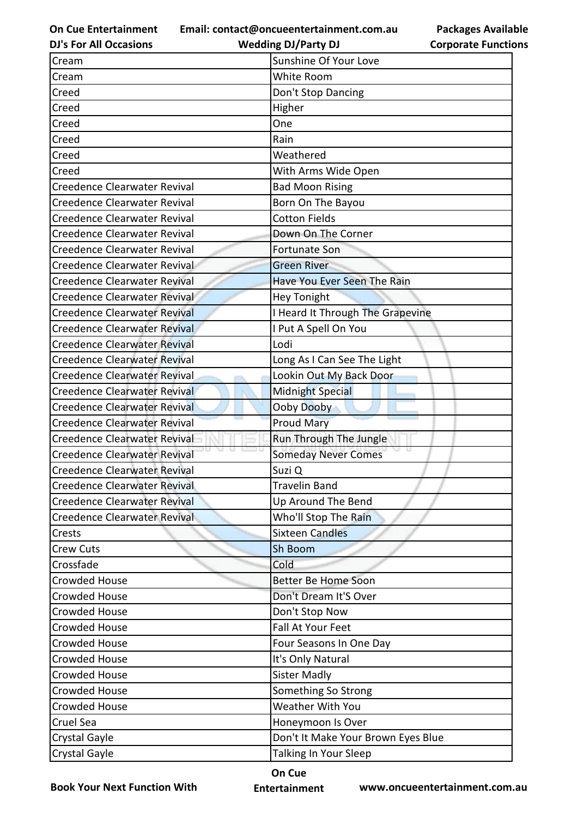**Email: contact@oncueentertainment.com.au Wedding DJ/Party DJ** 

**DJ's For All Occasions**

| <b>Corporate Functions</b> |
|----------------------------|

**Packages Available** 

| Cream                               | Sunshine Of Your Love              |
|-------------------------------------|------------------------------------|
| Cream                               | White Room                         |
| Creed                               | Don't Stop Dancing                 |
| Creed                               | Higher                             |
| Creed                               | One                                |
| Creed                               | Rain                               |
| Creed                               | Weathered                          |
| Creed                               | With Arms Wide Open                |
| Creedence Clearwater Revival        | <b>Bad Moon Rising</b>             |
| Creedence Clearwater Revival        | Born On The Bayou                  |
| Creedence Clearwater Revival        | <b>Cotton Fields</b>               |
| Creedence Clearwater Revival        | Down On The Corner                 |
| Creedence Clearwater Revival        | <b>Fortunate Son</b>               |
| Creedence Clearwater Revival        | <b>Green River</b>                 |
| Creedence Clearwater Revival        | Have You Ever Seen The Rain        |
| <b>Creedence Clearwater Revival</b> | <b>Hey Tonight</b>                 |
| <b>Creedence Clearwater Revival</b> | I Heard It Through The Grapevine   |
| <b>Creedence Clearwater Revival</b> | I Put A Spell On You               |
| <b>Creedence Clearwater Revival</b> | Lodi                               |
| <b>Creedence Clearwater Revival</b> | Long As I Can See The Light        |
| Creedence Clearwater Revival        | Lookin Out My Back Door            |
| <b>Creedence Clearwater Revival</b> | Midnight Special                   |
| <b>Creedence Clearwater Revival</b> | Ooby Dooby                         |
| Creedence Clearwater Revival        | <b>Proud Mary</b>                  |
| <b>Creedence Clearwater Revival</b> | Run Through The Jungle             |
| Creedence Clearwater Revival        | <b>Someday Never Comes</b>         |
| <b>Creedence Clearwater Revival</b> | Suzi Q                             |
| Creedence Clearwater Revival        | <b>Travelin Band</b>               |
| <b>Creedence Clearwater Revival</b> | Up Around The Bend                 |
| <b>Creedence Clearwater Revival</b> | Who'll Stop The Rain               |
| Crests                              | <b>Sixteen Candles</b>             |
| Crew Cuts                           | Sh Boom                            |
| Crossfade                           | Cold                               |
| Crowded House                       | Better Be Home Soon                |
| <b>Crowded House</b>                | Don't Dream It'S Over              |
| Crowded House                       | Don't Stop Now                     |
| Crowded House                       | Fall At Your Feet                  |
| <b>Crowded House</b>                | Four Seasons In One Day            |
| Crowded House                       | It's Only Natural                  |
| Crowded House                       | <b>Sister Madly</b>                |
| <b>Crowded House</b>                | Something So Strong                |
| Crowded House                       | <b>Weather With You</b>            |
| Cruel Sea                           | Honeymoon Is Over                  |
| Crystal Gayle                       | Don't It Make Your Brown Eyes Blue |
| <b>Crystal Gayle</b>                | Talking In Your Sleep              |

**Book Your Next Function With**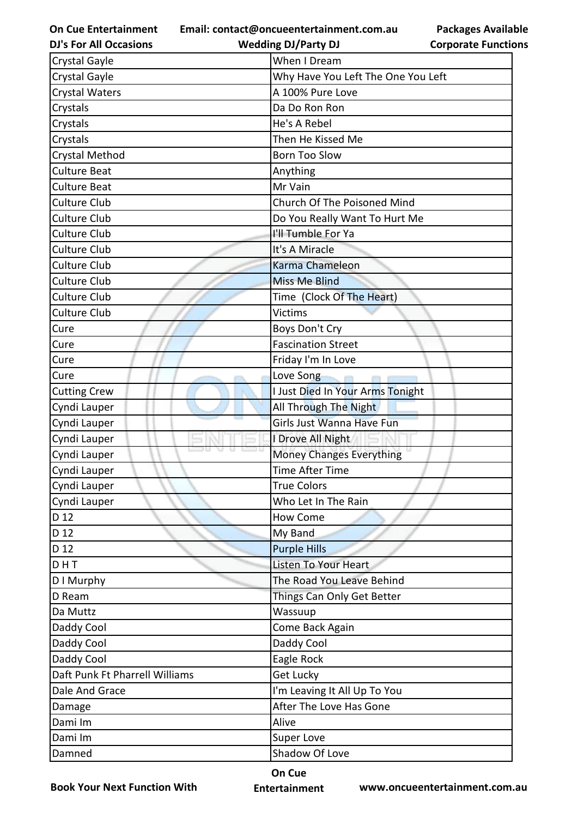**On Cue Entertainment DJ's For All Occasions**

**Email: contact@oncueentertainment.com.au**

**Packages Available Corporate Functions**

| <b>DJ's For All Occasions</b>  | <b>Wedding DJ/Party DJ</b>         | <b>Corporate Functio</b> |
|--------------------------------|------------------------------------|--------------------------|
| Crystal Gayle                  | When I Dream                       |                          |
| Crystal Gayle                  | Why Have You Left The One You Left |                          |
| <b>Crystal Waters</b>          | A 100% Pure Love                   |                          |
| Crystals                       | Da Do Ron Ron                      |                          |
| Crystals                       | He's A Rebel                       |                          |
| Crystals                       | Then He Kissed Me                  |                          |
| Crystal Method                 | <b>Born Too Slow</b>               |                          |
| <b>Culture Beat</b>            | Anything                           |                          |
| <b>Culture Beat</b>            | Mr Vain                            |                          |
| Culture Club                   | Church Of The Poisoned Mind        |                          |
| Culture Club                   | Do You Really Want To Hurt Me      |                          |
| Culture Club                   | I'll Tumble For Ya                 |                          |
| Culture Club                   | It's A Miracle                     |                          |
| Culture Club                   | Karma Chameleon                    |                          |
| <b>Culture Club</b>            | <b>Miss Me Blind</b>               |                          |
| Culture Club                   | Time (Clock Of The Heart)          |                          |
| Culture Club                   | <b>Victims</b>                     |                          |
| Cure                           | Boys Don't Cry                     |                          |
| Cure                           | <b>Fascination Street</b>          |                          |
| Cure                           | Friday I'm In Love                 |                          |
| Cure                           | Love Song                          |                          |
| <b>Cutting Crew</b>            | I Just Died In Your Arms Tonight   |                          |
| Cyndi Lauper                   | All Through The Night              |                          |
| Cyndi Lauper                   | Girls Just Wanna Have Fun          |                          |
| Cyndi Lauper                   | I Drove All Night                  |                          |
| Cyndi Lauper                   | <b>Money Changes Everything</b>    |                          |
| Cyndi Lauper                   | <b>Time After Time</b>             |                          |
| Cyndi Lauper                   | <b>True Colors</b>                 |                          |
| Cyndi Lauper                   | Who Let In The Rain                |                          |
| D 12                           | <b>How Come</b>                    |                          |
| D 12                           | My Band                            |                          |
| D 12                           | <b>Purple Hills</b>                |                          |
| DHT                            | Listen To Your Heart               |                          |
| D I Murphy                     | The Road You Leave Behind          |                          |
| D Ream                         | Things Can Only Get Better         |                          |
| Da Muttz                       | Wassuup                            |                          |
| Daddy Cool                     | Come Back Again                    |                          |
| Daddy Cool                     | Daddy Cool                         |                          |
| Daddy Cool                     | Eagle Rock                         |                          |
| Daft Punk Ft Pharrell Williams | <b>Get Lucky</b>                   |                          |
| Dale And Grace                 | I'm Leaving It All Up To You       |                          |
| Damage                         | After The Love Has Gone            |                          |
| Dami Im                        | Alive                              |                          |
| Dami Im                        | Super Love                         |                          |
| Damned                         | Shadow Of Love                     |                          |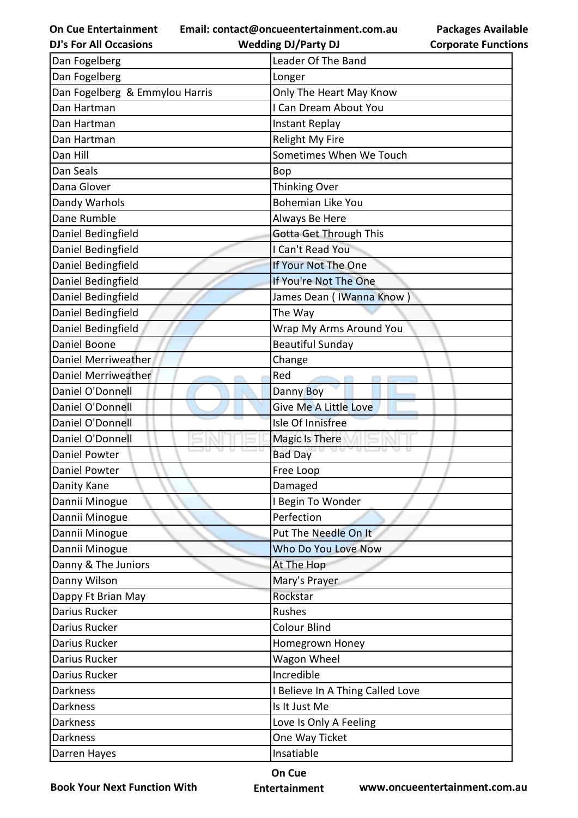**Email: contact@oncueentertainment.com.au**

|                            | <b>Packages Available</b> |
|----------------------------|---------------------------|
| <b>Corporate Functions</b> |                           |

| <b>DJ's For All Occasions</b>  | <b>Wedding DJ/Party DJ</b>       | <b>Corporate Functio</b> |
|--------------------------------|----------------------------------|--------------------------|
| Dan Fogelberg                  | Leader Of The Band               |                          |
| Dan Fogelberg                  | Longer                           |                          |
| Dan Fogelberg & Emmylou Harris | Only The Heart May Know          |                          |
| Dan Hartman                    | I Can Dream About You            |                          |
| Dan Hartman                    | Instant Replay                   |                          |
| Dan Hartman                    | Relight My Fire                  |                          |
| Dan Hill                       | Sometimes When We Touch          |                          |
| Dan Seals                      | <b>Bop</b>                       |                          |
| Dana Glover                    | Thinking Over                    |                          |
| Dandy Warhols                  | <b>Bohemian Like You</b>         |                          |
| Dane Rumble                    | Always Be Here                   |                          |
| Daniel Bedingfield             | Gotta Get Through This           |                          |
| Daniel Bedingfield             | I Can't Read You                 |                          |
| Daniel Bedingfield             | If Your Not The One              |                          |
| Daniel Bedingfield             | If You're Not The One            |                          |
| Daniel Bedingfield             | James Dean (IWanna Know)         |                          |
| Daniel Bedingfield             | The Way                          |                          |
| Daniel Bedingfield             | Wrap My Arms Around You          |                          |
| Daniel Boone                   | <b>Beautiful Sunday</b>          |                          |
| Daniel Merriweather            | Change                           |                          |
| Daniel Merriweather            | Red                              |                          |
| Daniel O'Donnell               | Danny Boy                        |                          |
| Daniel O'Donnell               | Give Me A Little Love            |                          |
| Daniel O'Donnell               | Isle Of Innisfree                |                          |
| Daniel O'Donnell               | Magic Is There                   |                          |
| <b>Daniel Powter</b>           | <b>Bad Day</b>                   |                          |
| Daniel Powter                  | Free Loop                        |                          |
| Danity Kane                    | Damaged                          |                          |
| Dannii Minogue                 | I Begin To Wonder                |                          |
| Dannii Minogue                 | Perfection                       |                          |
| Dannii Minogue                 | Put The Needle On It             |                          |
| Dannii Minogue                 | Who Do You Love Now              |                          |
| Danny & The Juniors            | At The Hop                       |                          |
| Danny Wilson                   | Mary's Prayer                    |                          |
| Dappy Ft Brian May             | Rockstar                         |                          |
| Darius Rucker                  | Rushes                           |                          |
| Darius Rucker                  | <b>Colour Blind</b>              |                          |
| Darius Rucker                  | Homegrown Honey                  |                          |
| Darius Rucker                  | Wagon Wheel                      |                          |
| Darius Rucker                  | Incredible                       |                          |
| <b>Darkness</b>                | I Believe In A Thing Called Love |                          |
| <b>Darkness</b>                | Is It Just Me                    |                          |
| <b>Darkness</b>                | Love Is Only A Feeling           |                          |
| <b>Darkness</b>                | One Way Ticket                   |                          |
| Darren Hayes                   | Insatiable                       |                          |
|                                |                                  |                          |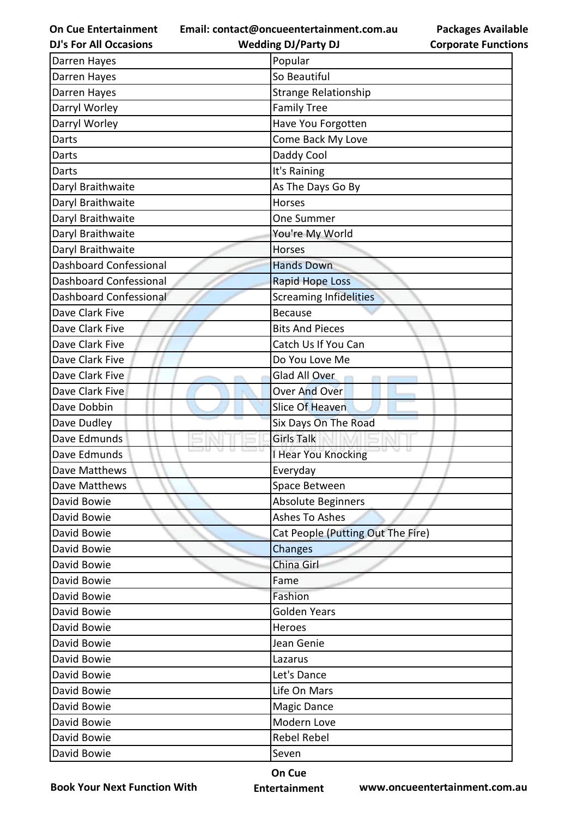**Email: contact@oncueentertainment.com.au**

**DJ's For All Occasions**

|                            | <b>Packages Available</b> |
|----------------------------|---------------------------|
| <b>Corporate Functions</b> |                           |

| <b>DJ's For All Occasions</b> | <b>Wedding DJ/Party DJ</b>        | <b>Corporate Functio</b> |
|-------------------------------|-----------------------------------|--------------------------|
| Darren Hayes                  | Popular                           |                          |
| Darren Hayes                  | So Beautiful                      |                          |
| Darren Hayes                  | <b>Strange Relationship</b>       |                          |
| Darryl Worley                 | <b>Family Tree</b>                |                          |
| Darryl Worley                 | Have You Forgotten                |                          |
| Darts                         | Come Back My Love                 |                          |
| Darts                         | Daddy Cool                        |                          |
| Darts                         | It's Raining                      |                          |
| Daryl Braithwaite             | As The Days Go By                 |                          |
| Daryl Braithwaite             | Horses                            |                          |
| Daryl Braithwaite             | One Summer                        |                          |
| Daryl Braithwaite             | You're My World                   |                          |
| Daryl Braithwaite             | <b>Horses</b>                     |                          |
| <b>Dashboard Confessional</b> | <b>Hands Down</b>                 |                          |
| <b>Dashboard Confessional</b> | <b>Rapid Hope Loss</b>            |                          |
| Dashboard Confessional        | <b>Screaming Infidelities</b>     |                          |
| Dave Clark Five               | <b>Because</b>                    |                          |
| Dave Clark Five               | <b>Bits And Pieces</b>            |                          |
| Dave Clark Five               | Catch Us If You Can               |                          |
| Dave Clark Five               | Do You Love Me                    |                          |
| Dave Clark Five               | Glad All Over                     |                          |
| Dave Clark Five               | <b>Over And Over</b>              |                          |
| Dave Dobbin                   | Slice Of Heaven                   |                          |
| Dave Dudley                   | Six Days On The Road              |                          |
| Dave Edmunds                  | <b>Girls Talk</b>                 |                          |
| Dave Edmunds                  | I Hear You Knocking               |                          |
| Dave Matthews                 | Everyday                          |                          |
| Dave Matthews                 | Space Between                     |                          |
| David Bowie                   | <b>Absolute Beginners</b>         |                          |
| David Bowie                   | Ashes To Ashes                    |                          |
| David Bowie                   | Cat People (Putting Out The Fire) |                          |
| David Bowie                   | Changes                           |                          |
| David Bowie                   | China Girl                        |                          |
| David Bowie                   | Fame                              |                          |
| David Bowie                   | Fashion                           |                          |
| David Bowie                   | <b>Golden Years</b>               |                          |
| David Bowie                   | Heroes                            |                          |
| David Bowie                   | Jean Genie                        |                          |
| David Bowie                   | Lazarus                           |                          |
| David Bowie                   | Let's Dance                       |                          |
| David Bowie                   | Life On Mars                      |                          |
| David Bowie                   | Magic Dance                       |                          |
| David Bowie                   | Modern Love                       |                          |
| David Bowie                   | Rebel Rebel                       |                          |
| David Bowie                   | Seven                             |                          |

**Book Your Next Function With**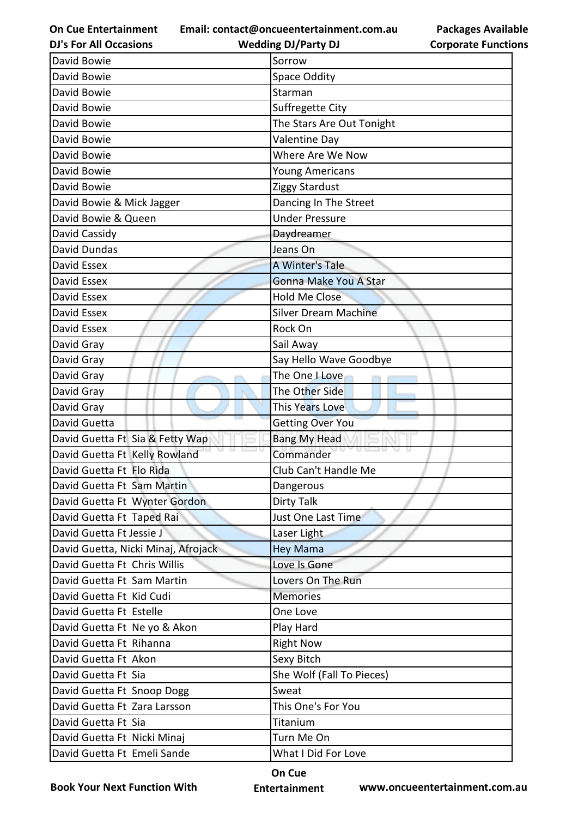**Email: contact@oncueentertainment.com.au Wedding DJ/Party DJ** 

**DJ's For All Occasions**

**Packages Available Corporate Functions**

| David Bowie                         | Sorrow                      |
|-------------------------------------|-----------------------------|
| David Bowie                         | <b>Space Oddity</b>         |
| David Bowie                         | Starman                     |
| David Bowie                         | Suffregette City            |
| David Bowie                         | The Stars Are Out Tonight   |
| David Bowie                         | <b>Valentine Day</b>        |
| David Bowie                         | Where Are We Now            |
| David Bowie                         | Young Americans             |
| David Bowie                         | Ziggy Stardust              |
| David Bowie & Mick Jagger           | Dancing In The Street       |
| David Bowie & Queen                 | <b>Under Pressure</b>       |
| David Cassidy                       | Daydreamer                  |
| <b>David Dundas</b>                 | Jeans On                    |
| David Essex                         | A Winter's Tale             |
| David Essex                         | Gonna Make You A Star       |
| David Essex                         | <b>Hold Me Close</b>        |
| David Essex                         | <b>Silver Dream Machine</b> |
| David Essex                         | Rock On                     |
| David Gray                          | Sail Away                   |
| David Gray                          | Say Hello Wave Goodbye      |
| David Gray                          | The One I Love              |
| David Gray                          | The Other Side              |
| David Gray                          | This Years Love             |
| David Guetta                        | <b>Getting Over You</b>     |
| David Guetta Ft Sia & Fetty Wap     | <b>Bang My Head</b>         |
| David Guetta Ft Kelly Rowland       | Commander                   |
| David Guetta Ft Flo Rida            | Club Can't Handle Me        |
| David Guetta Ft Sam Martin          | Dangerous                   |
| David Guetta Ft Wynter Gordon       | Dirty Talk                  |
| David Guetta Ft Taped Rai           | Just One Last Time          |
| David Guetta Ft Jessie J            | Laser Light                 |
| David Guetta, Nicki Minaj, Afrojack | <b>Hey Mama</b>             |
| David Guetta Ft Chris Willis        | Love Is Gone                |
| David Guetta Ft Sam Martin          | Lovers On The Run           |
| David Guetta Ft Kid Cudi            | <b>Memories</b>             |
| David Guetta Ft Estelle             | One Love                    |
| David Guetta Ft Ne yo & Akon        | Play Hard                   |
| David Guetta Ft Rihanna             | <b>Right Now</b>            |
| David Guetta Ft Akon                | Sexy Bitch                  |
| David Guetta Ft Sia                 | She Wolf (Fall To Pieces)   |
| David Guetta Ft Snoop Dogg          | Sweat                       |
| David Guetta Ft Zara Larsson        | This One's For You          |
| David Guetta Ft Sia                 | Titanium                    |
| David Guetta Ft Nicki Minaj         | Turn Me On                  |
| David Guetta Ft Emeli Sande         | What I Did For Love         |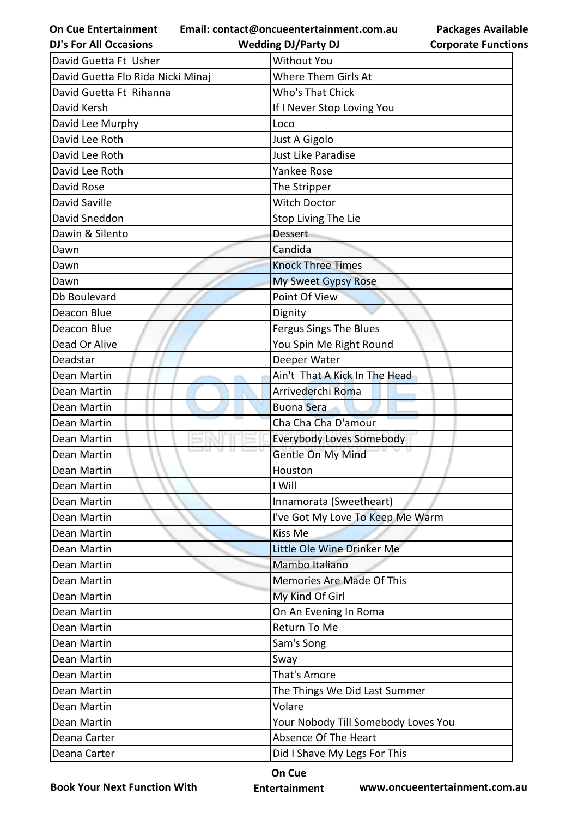**Email: contact@oncueentertainment.com.au Wedding DJ/Party DJ** 

**DJ's For All Occasions**

**Packages Available Corporate Functions**

| David Guetta Ft Usher             | <b>Without You</b>                  |
|-----------------------------------|-------------------------------------|
| David Guetta Flo Rida Nicki Minaj | <b>Where Them Girls At</b>          |
| David Guetta Ft Rihanna           | Who's That Chick                    |
| David Kersh                       | If I Never Stop Loving You          |
| David Lee Murphy                  | Loco                                |
| David Lee Roth                    | Just A Gigolo                       |
| David Lee Roth                    | Just Like Paradise                  |
| David Lee Roth                    | <b>Yankee Rose</b>                  |
| David Rose                        | The Stripper                        |
| <b>David Saville</b>              | <b>Witch Doctor</b>                 |
| David Sneddon                     | Stop Living The Lie                 |
| Dawin & Silento                   | <b>Dessert</b>                      |
| Dawn                              | Candida                             |
| Dawn                              | <b>Knock Three Times</b>            |
| Dawn                              | <b>My Sweet Gypsy Rose</b>          |
| Db Boulevard                      | Point Of View                       |
| Deacon Blue                       | Dignity                             |
| Deacon Blue                       | Fergus Sings The Blues              |
| Dead Or Alive                     | You Spin Me Right Round             |
| Deadstar                          | Deeper Water                        |
| Dean Martin                       | Ain't That A Kick In The Head       |
| Dean Martin                       | Arrivederchi Roma                   |
| Dean Martin                       | <b>Buona Sera</b>                   |
| Dean Martin                       | Cha Cha Cha D'amour                 |
| Dean Martin                       | <b>Everybody Loves Somebody</b>     |
| Dean Martin                       | Gentle On My Mind                   |
| Dean Martin                       | Houston                             |
| Dean Martin                       | I Will                              |
| Dean Martin                       | Innamorata (Sweetheart)             |
| Dean Martin                       | I've Got My Love To Keep Me Warm    |
| Dean Martin                       | Kiss Me                             |
| Dean Martin                       | Little Ole Wine Drinker Me          |
| Dean Martin                       | Mambo Italiano                      |
| Dean Martin                       | Memories Are Made Of This           |
| Dean Martin                       | My Kind Of Girl                     |
| Dean Martin                       | On An Evening In Roma               |
| Dean Martin                       | Return To Me                        |
| Dean Martin                       | Sam's Song                          |
| Dean Martin                       | Sway                                |
| Dean Martin                       | That's Amore                        |
| Dean Martin                       | The Things We Did Last Summer       |
| Dean Martin                       | Volare                              |
| Dean Martin                       | Your Nobody Till Somebody Loves You |
| Deana Carter                      | Absence Of The Heart                |
| Deana Carter                      | Did I Shave My Legs For This        |

**Book Your Next Function With**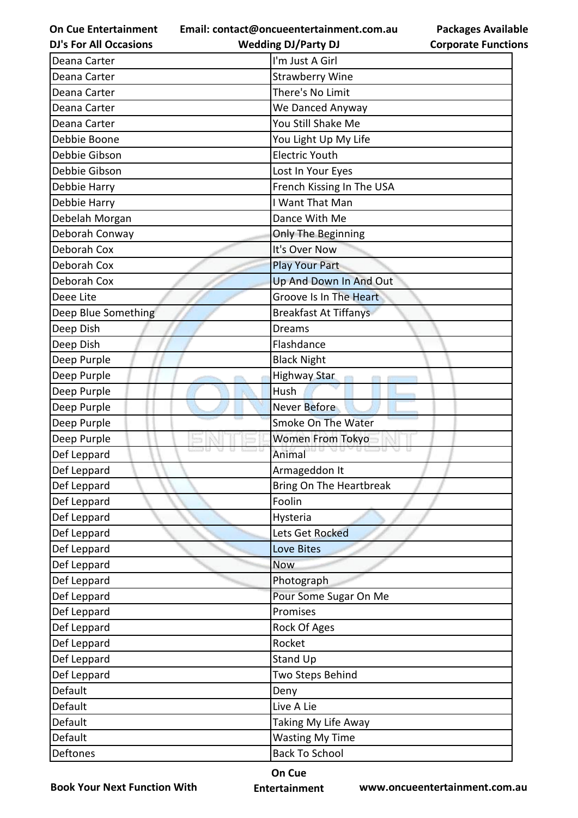**Email: contact@oncueentertainment.com.au**

**Packages Available Corporate Functions**

| I'm Just A Girl<br>Deana Carter<br><b>Strawberry Wine</b><br>Deana Carter<br>There's No Limit<br>Deana Carter<br>We Danced Anyway<br>Deana Carter<br>You Still Shake Me<br>Deana Carter<br>Debbie Boone<br>You Light Up My Life<br><b>Electric Youth</b><br>Debbie Gibson<br>Debbie Gibson<br>Lost In Your Eyes<br>French Kissing In The USA<br>Debbie Harry<br>I Want That Man<br>Debbie Harry<br>Dance With Me<br>Debelah Morgan<br>Deborah Conway<br>Only The Beginning<br>Deborah Cox<br>It's Over Now<br>Deborah Cox<br><b>Play Your Part</b><br>Deborah Cox<br>Up And Down In And Out<br>Groove Is In The Heart<br>Deee Lite<br>Deep Blue Something<br><b>Breakfast At Tiffanys</b><br>Deep Dish<br><b>Dreams</b><br>Deep Dish<br>Flashdance<br>Deep Purple<br><b>Black Night</b><br>Deep Purple<br>Highway Star<br>Deep Purple<br>Hush<br>Deep Purple<br>Never Before<br>Deep Purple<br>Smoke On The Water<br>Deep Purple<br>Women From Tokyo<br>Animal<br>Def Leppard<br>Def Leppard<br>Armageddon It<br>Bring On The Heartbreak<br>Def Leppard<br>Foolin<br>Def Leppard<br>Def Leppard<br>Hysteria<br>Def Leppard<br>Lets Get Rocked<br>Def Leppard<br><b>Love Bites</b> |
|-----------------------------------------------------------------------------------------------------------------------------------------------------------------------------------------------------------------------------------------------------------------------------------------------------------------------------------------------------------------------------------------------------------------------------------------------------------------------------------------------------------------------------------------------------------------------------------------------------------------------------------------------------------------------------------------------------------------------------------------------------------------------------------------------------------------------------------------------------------------------------------------------------------------------------------------------------------------------------------------------------------------------------------------------------------------------------------------------------------------------------------------------------------------------------------|
|                                                                                                                                                                                                                                                                                                                                                                                                                                                                                                                                                                                                                                                                                                                                                                                                                                                                                                                                                                                                                                                                                                                                                                                   |
|                                                                                                                                                                                                                                                                                                                                                                                                                                                                                                                                                                                                                                                                                                                                                                                                                                                                                                                                                                                                                                                                                                                                                                                   |
|                                                                                                                                                                                                                                                                                                                                                                                                                                                                                                                                                                                                                                                                                                                                                                                                                                                                                                                                                                                                                                                                                                                                                                                   |
|                                                                                                                                                                                                                                                                                                                                                                                                                                                                                                                                                                                                                                                                                                                                                                                                                                                                                                                                                                                                                                                                                                                                                                                   |
|                                                                                                                                                                                                                                                                                                                                                                                                                                                                                                                                                                                                                                                                                                                                                                                                                                                                                                                                                                                                                                                                                                                                                                                   |
|                                                                                                                                                                                                                                                                                                                                                                                                                                                                                                                                                                                                                                                                                                                                                                                                                                                                                                                                                                                                                                                                                                                                                                                   |
|                                                                                                                                                                                                                                                                                                                                                                                                                                                                                                                                                                                                                                                                                                                                                                                                                                                                                                                                                                                                                                                                                                                                                                                   |
|                                                                                                                                                                                                                                                                                                                                                                                                                                                                                                                                                                                                                                                                                                                                                                                                                                                                                                                                                                                                                                                                                                                                                                                   |
|                                                                                                                                                                                                                                                                                                                                                                                                                                                                                                                                                                                                                                                                                                                                                                                                                                                                                                                                                                                                                                                                                                                                                                                   |
|                                                                                                                                                                                                                                                                                                                                                                                                                                                                                                                                                                                                                                                                                                                                                                                                                                                                                                                                                                                                                                                                                                                                                                                   |
|                                                                                                                                                                                                                                                                                                                                                                                                                                                                                                                                                                                                                                                                                                                                                                                                                                                                                                                                                                                                                                                                                                                                                                                   |
|                                                                                                                                                                                                                                                                                                                                                                                                                                                                                                                                                                                                                                                                                                                                                                                                                                                                                                                                                                                                                                                                                                                                                                                   |
|                                                                                                                                                                                                                                                                                                                                                                                                                                                                                                                                                                                                                                                                                                                                                                                                                                                                                                                                                                                                                                                                                                                                                                                   |
|                                                                                                                                                                                                                                                                                                                                                                                                                                                                                                                                                                                                                                                                                                                                                                                                                                                                                                                                                                                                                                                                                                                                                                                   |
|                                                                                                                                                                                                                                                                                                                                                                                                                                                                                                                                                                                                                                                                                                                                                                                                                                                                                                                                                                                                                                                                                                                                                                                   |
|                                                                                                                                                                                                                                                                                                                                                                                                                                                                                                                                                                                                                                                                                                                                                                                                                                                                                                                                                                                                                                                                                                                                                                                   |
|                                                                                                                                                                                                                                                                                                                                                                                                                                                                                                                                                                                                                                                                                                                                                                                                                                                                                                                                                                                                                                                                                                                                                                                   |
|                                                                                                                                                                                                                                                                                                                                                                                                                                                                                                                                                                                                                                                                                                                                                                                                                                                                                                                                                                                                                                                                                                                                                                                   |
|                                                                                                                                                                                                                                                                                                                                                                                                                                                                                                                                                                                                                                                                                                                                                                                                                                                                                                                                                                                                                                                                                                                                                                                   |
|                                                                                                                                                                                                                                                                                                                                                                                                                                                                                                                                                                                                                                                                                                                                                                                                                                                                                                                                                                                                                                                                                                                                                                                   |
|                                                                                                                                                                                                                                                                                                                                                                                                                                                                                                                                                                                                                                                                                                                                                                                                                                                                                                                                                                                                                                                                                                                                                                                   |
|                                                                                                                                                                                                                                                                                                                                                                                                                                                                                                                                                                                                                                                                                                                                                                                                                                                                                                                                                                                                                                                                                                                                                                                   |
|                                                                                                                                                                                                                                                                                                                                                                                                                                                                                                                                                                                                                                                                                                                                                                                                                                                                                                                                                                                                                                                                                                                                                                                   |
|                                                                                                                                                                                                                                                                                                                                                                                                                                                                                                                                                                                                                                                                                                                                                                                                                                                                                                                                                                                                                                                                                                                                                                                   |
|                                                                                                                                                                                                                                                                                                                                                                                                                                                                                                                                                                                                                                                                                                                                                                                                                                                                                                                                                                                                                                                                                                                                                                                   |
|                                                                                                                                                                                                                                                                                                                                                                                                                                                                                                                                                                                                                                                                                                                                                                                                                                                                                                                                                                                                                                                                                                                                                                                   |
|                                                                                                                                                                                                                                                                                                                                                                                                                                                                                                                                                                                                                                                                                                                                                                                                                                                                                                                                                                                                                                                                                                                                                                                   |
|                                                                                                                                                                                                                                                                                                                                                                                                                                                                                                                                                                                                                                                                                                                                                                                                                                                                                                                                                                                                                                                                                                                                                                                   |
|                                                                                                                                                                                                                                                                                                                                                                                                                                                                                                                                                                                                                                                                                                                                                                                                                                                                                                                                                                                                                                                                                                                                                                                   |
|                                                                                                                                                                                                                                                                                                                                                                                                                                                                                                                                                                                                                                                                                                                                                                                                                                                                                                                                                                                                                                                                                                                                                                                   |
|                                                                                                                                                                                                                                                                                                                                                                                                                                                                                                                                                                                                                                                                                                                                                                                                                                                                                                                                                                                                                                                                                                                                                                                   |
|                                                                                                                                                                                                                                                                                                                                                                                                                                                                                                                                                                                                                                                                                                                                                                                                                                                                                                                                                                                                                                                                                                                                                                                   |
| Def Leppard<br><b>Now</b>                                                                                                                                                                                                                                                                                                                                                                                                                                                                                                                                                                                                                                                                                                                                                                                                                                                                                                                                                                                                                                                                                                                                                         |
| Def Leppard<br>Photograph                                                                                                                                                                                                                                                                                                                                                                                                                                                                                                                                                                                                                                                                                                                                                                                                                                                                                                                                                                                                                                                                                                                                                         |
| Def Leppard<br>Pour Some Sugar On Me                                                                                                                                                                                                                                                                                                                                                                                                                                                                                                                                                                                                                                                                                                                                                                                                                                                                                                                                                                                                                                                                                                                                              |
| Def Leppard<br>Promises                                                                                                                                                                                                                                                                                                                                                                                                                                                                                                                                                                                                                                                                                                                                                                                                                                                                                                                                                                                                                                                                                                                                                           |
| Def Leppard<br>Rock Of Ages                                                                                                                                                                                                                                                                                                                                                                                                                                                                                                                                                                                                                                                                                                                                                                                                                                                                                                                                                                                                                                                                                                                                                       |
| Rocket<br>Def Leppard                                                                                                                                                                                                                                                                                                                                                                                                                                                                                                                                                                                                                                                                                                                                                                                                                                                                                                                                                                                                                                                                                                                                                             |
| Def Leppard<br><b>Stand Up</b>                                                                                                                                                                                                                                                                                                                                                                                                                                                                                                                                                                                                                                                                                                                                                                                                                                                                                                                                                                                                                                                                                                                                                    |
| Def Leppard<br>Two Steps Behind                                                                                                                                                                                                                                                                                                                                                                                                                                                                                                                                                                                                                                                                                                                                                                                                                                                                                                                                                                                                                                                                                                                                                   |
| Default<br>Deny                                                                                                                                                                                                                                                                                                                                                                                                                                                                                                                                                                                                                                                                                                                                                                                                                                                                                                                                                                                                                                                                                                                                                                   |
| Default<br>Live A Lie                                                                                                                                                                                                                                                                                                                                                                                                                                                                                                                                                                                                                                                                                                                                                                                                                                                                                                                                                                                                                                                                                                                                                             |
| Default<br>Taking My Life Away                                                                                                                                                                                                                                                                                                                                                                                                                                                                                                                                                                                                                                                                                                                                                                                                                                                                                                                                                                                                                                                                                                                                                    |
| Default<br><b>Wasting My Time</b>                                                                                                                                                                                                                                                                                                                                                                                                                                                                                                                                                                                                                                                                                                                                                                                                                                                                                                                                                                                                                                                                                                                                                 |
| Deftones<br><b>Back To School</b>                                                                                                                                                                                                                                                                                                                                                                                                                                                                                                                                                                                                                                                                                                                                                                                                                                                                                                                                                                                                                                                                                                                                                 |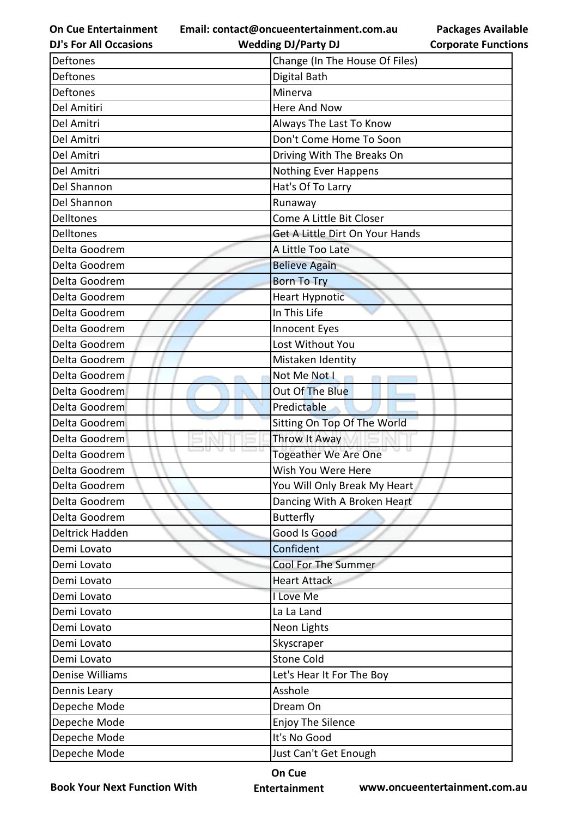**Email: contact@oncueentertainment.com.au**

**DJ's For All Occasions**

**Packages Available Corporate Functions**

| <b>DJ's For All Occasions</b> | <b>Wedding DJ/Party DJ</b>      | <b>Corporate Functio</b> |
|-------------------------------|---------------------------------|--------------------------|
| Deftones                      | Change (In The House Of Files)  |                          |
| <b>Deftones</b>               | Digital Bath                    |                          |
| Deftones                      | Minerva                         |                          |
| Del Amitiri                   | <b>Here And Now</b>             |                          |
| Del Amitri                    | Always The Last To Know         |                          |
| Del Amitri                    | Don't Come Home To Soon         |                          |
| Del Amitri                    | Driving With The Breaks On      |                          |
| Del Amitri                    | <b>Nothing Ever Happens</b>     |                          |
| Del Shannon                   | Hat's Of To Larry               |                          |
| Del Shannon                   | Runaway                         |                          |
| <b>Delltones</b>              | Come A Little Bit Closer        |                          |
| <b>Delltones</b>              | Get A Little Dirt On Your Hands |                          |
| Delta Goodrem                 | A Little Too Late               |                          |
| Delta Goodrem                 | <b>Believe Again</b>            |                          |
| Delta Goodrem                 | <b>Born To Try</b>              |                          |
| Delta Goodrem                 | <b>Heart Hypnotic</b>           |                          |
| Delta Goodrem                 | In This Life                    |                          |
| Delta Goodrem                 | Innocent Eyes                   |                          |
| Delta Goodrem                 | Lost Without You                |                          |
| Delta Goodrem                 | Mistaken Identity               |                          |
| Delta Goodrem                 | Not Me Not I                    |                          |
| Delta Goodrem                 | Out Of The Blue                 |                          |
| Delta Goodrem                 | Predictable                     |                          |
| Delta Goodrem                 | Sitting On Top Of The World     |                          |
| Delta Goodrem                 | Throw It Away                   |                          |
| Delta Goodrem                 | a a<br>Togeather We Are One     |                          |
| Delta Goodrem                 | Wish You Were Here              |                          |
| Delta Goodrem                 | You Will Only Break My Heart    |                          |
| Delta Goodrem                 | Dancing With A Broken Heart     |                          |
| Delta Goodrem                 | <b>Butterfly</b>                |                          |
| Deltrick Hadden               | Good Is Good                    |                          |
| Demi Lovato                   | Confident                       |                          |
| Demi Lovato                   | Cool For The Summer             |                          |
| Demi Lovato                   | <b>Heart Attack</b>             |                          |
| Demi Lovato                   | I Love Me                       |                          |
| Demi Lovato                   | La La Land                      |                          |
| Demi Lovato                   | Neon Lights                     |                          |
| Demi Lovato                   | Skyscraper                      |                          |
| Demi Lovato                   | <b>Stone Cold</b>               |                          |
| Denise Williams               | Let's Hear It For The Boy       |                          |
| Dennis Leary                  | Asshole                         |                          |
| Depeche Mode                  | Dream On                        |                          |
| Depeche Mode                  | Enjoy The Silence               |                          |
| Depeche Mode                  | It's No Good                    |                          |
| Depeche Mode                  | Just Can't Get Enough           |                          |

**Book Your Next Function With**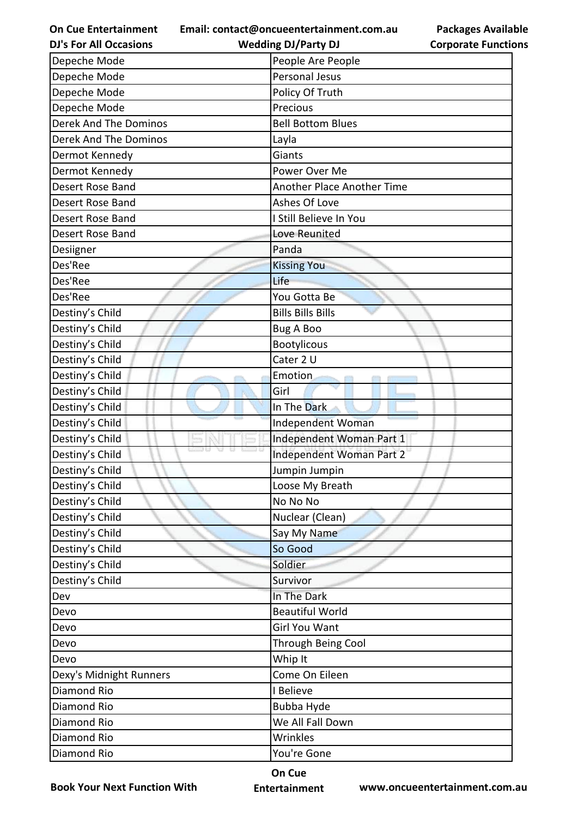**Email: contact@oncueentertainment.com.au**

**DJ's For All Occasions**

**Wedding DJ/Party DJ** 

**Packages Available Corporate Functions**

| Depeche Mode                 | People Are People          |
|------------------------------|----------------------------|
| Depeche Mode                 | Personal Jesus             |
| Depeche Mode                 | Policy Of Truth            |
| Depeche Mode                 | Precious                   |
| <b>Derek And The Dominos</b> | <b>Bell Bottom Blues</b>   |
| <b>Derek And The Dominos</b> | Layla                      |
| Dermot Kennedy               | Giants                     |
| Dermot Kennedy               | Power Over Me              |
| Desert Rose Band             | Another Place Another Time |
| Desert Rose Band             | Ashes Of Love              |
| Desert Rose Band             | I Still Believe In You     |
| Desert Rose Band             | Love Reunited              |
| Desiigner                    | Panda                      |
| Des'Ree                      | <b>Kissing You</b>         |
| Des'Ree                      | Life                       |
| Des'Ree                      | You Gotta Be               |
| Destiny's Child              | <b>Bills Bills Bills</b>   |
| Destiny's Child              | <b>Bug A Boo</b>           |
| Destiny's Child              | <b>Bootylicous</b>         |
| Destiny's Child              | Cater 2 U                  |
| Destiny's Child              | Emotion                    |
| Destiny's Child              | Girl                       |
| Destiny's Child              | In The Dark                |
| Destiny's Child              | Independent Woman          |
| Destiny's Child              | Independent Woman Part 1   |
| Destiny's Child              | Independent Woman Part 2   |
| Destiny's Child              | Jumpin Jumpin              |
| Destiny's Child              | Loose My Breath            |
| Destiny's Child              | No No No                   |
| Destiny's Child              | Nuclear (Clean)            |
| Destiny's Child              | Say My Name                |
| Destiny's Child              | So Good                    |
| Destiny's Child              | Soldier                    |
| Destiny's Child              | Survivor                   |
| Dev                          | In The Dark                |
| Devo                         | <b>Beautiful World</b>     |
| Devo                         | <b>Girl You Want</b>       |
| Devo                         | Through Being Cool         |
| Devo                         | Whip It                    |
| Dexy's Midnight Runners      | Come On Eileen             |
| Diamond Rio                  | I Believe                  |
| Diamond Rio                  | Bubba Hyde                 |
| Diamond Rio                  | We All Fall Down           |
| Diamond Rio                  | Wrinkles                   |
| Diamond Rio                  | You're Gone                |

**Book Your Next Function With**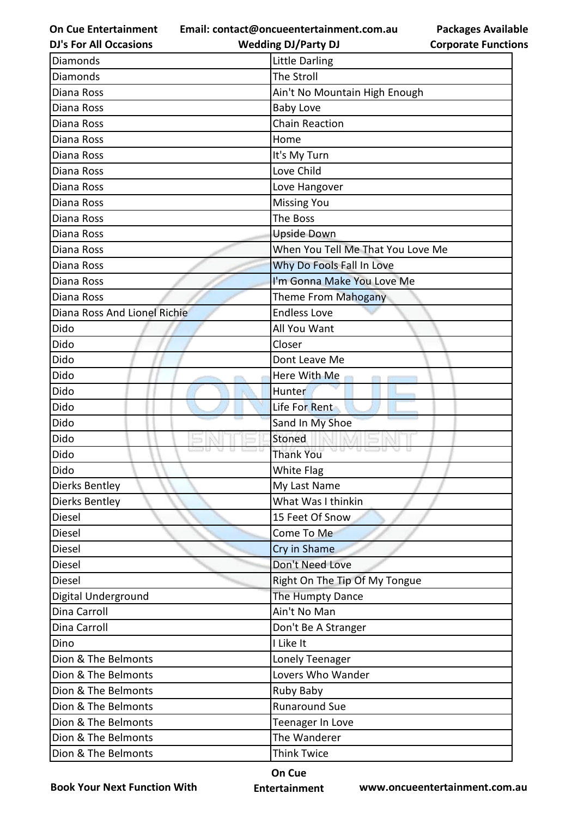**Email: contact@oncueentertainment.com.au Wedding DJ/Party DJ** 

**DJ's For All Occasions**

| <b>Packages Available</b>  |
|----------------------------|
| <b>Corporate Functions</b> |

| Diamonds                     | <b>Little Darling</b>             |
|------------------------------|-----------------------------------|
| <b>Diamonds</b>              | The Stroll                        |
| Diana Ross                   | Ain't No Mountain High Enough     |
| Diana Ross                   | <b>Baby Love</b>                  |
| Diana Ross                   | <b>Chain Reaction</b>             |
| Diana Ross                   | Home                              |
| Diana Ross                   | It's My Turn                      |
| Diana Ross                   | Love Child                        |
| Diana Ross                   | Love Hangover                     |
| Diana Ross                   | <b>Missing You</b>                |
| Diana Ross                   | The Boss                          |
| Diana Ross                   | <b>Upside Down</b>                |
| Diana Ross                   | When You Tell Me That You Love Me |
| Diana Ross                   | Why Do Fools Fall In Love         |
| Diana Ross                   | I'm Gonna Make You Love Me        |
| Diana Ross                   | Theme From Mahogany               |
| Diana Ross And Lionel Richie | <b>Endless Love</b>               |
| Dido                         | All You Want                      |
| Dido                         | Closer                            |
| Dido                         | Dont Leave Me                     |
| Dido                         | Here With Me                      |
| Dido                         | Hunter                            |
| Dido                         | Life For Rent                     |
| Dido                         | Sand In My Shoe                   |
| Dido                         | Stoned                            |
| Dido                         | <b>Thank You</b>                  |
| Dido                         | White Flag                        |
| <b>Dierks Bentley</b>        | My Last Name                      |
| Dierks Bentley               | What Was I thinkin                |
| Diesel                       | 15 Feet Of Snow                   |
| Diesel                       | Come To Me                        |
| Diesel                       | Cry in Shame                      |
| Diesel                       | Don't Need Love                   |
| Diesel                       | Right On The Tip Of My Tongue     |
| Digital Underground          | The Humpty Dance                  |
| Dina Carroll                 | Ain't No Man                      |
| Dina Carroll                 | Don't Be A Stranger               |
| Dino                         | I Like It                         |
| Dion & The Belmonts          | Lonely Teenager                   |
| Dion & The Belmonts          | Lovers Who Wander                 |
| Dion & The Belmonts          | Ruby Baby                         |
| Dion & The Belmonts          | <b>Runaround Sue</b>              |
| Dion & The Belmonts          | Teenager In Love                  |
| Dion & The Belmonts          | The Wanderer                      |
| Dion & The Belmonts          | <b>Think Twice</b>                |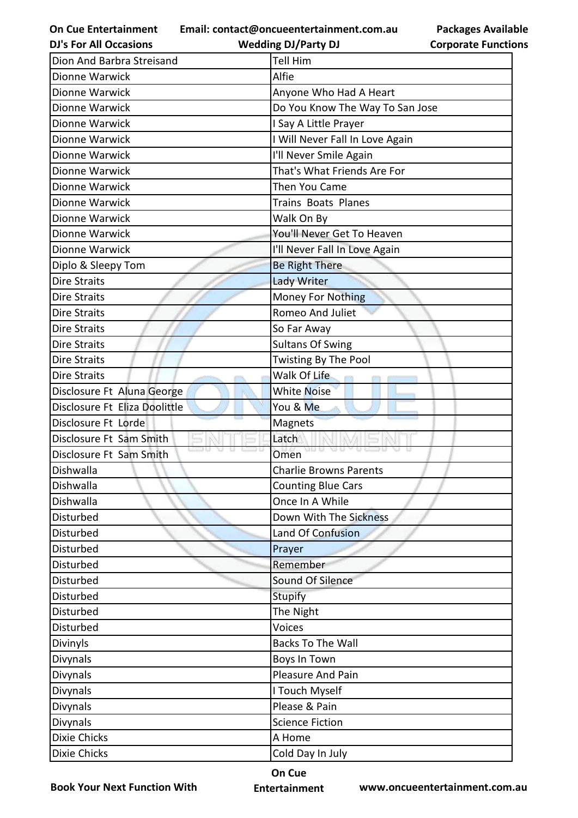**On Cue Entertainment DJ's For All Occasions**

**Email: contact@oncueentertainment.com.au Wedding DJ/Party DJ** 

**Packages Available Corporate Functions**

| Dion And Barbra Streisand     | <b>Tell Him</b>                 |
|-------------------------------|---------------------------------|
| Dionne Warwick                | Alfie                           |
| Dionne Warwick                | Anyone Who Had A Heart          |
| Dionne Warwick                | Do You Know The Way To San Jose |
| Dionne Warwick                | I Say A Little Prayer           |
| Dionne Warwick                | I Will Never Fall In Love Again |
| Dionne Warwick                | I'll Never Smile Again          |
| Dionne Warwick                | That's What Friends Are For     |
| Dionne Warwick                | Then You Came                   |
| Dionne Warwick                | <b>Trains Boats Planes</b>      |
| Dionne Warwick                | Walk On By                      |
| Dionne Warwick                | You'll Never Get To Heaven      |
| Dionne Warwick                | I'll Never Fall In Love Again   |
| Diplo & Sleepy Tom            | <b>Be Right There</b>           |
| <b>Dire Straits</b>           | <b>Lady Writer</b>              |
| <b>Dire Straits</b>           | <b>Money For Nothing</b>        |
| <b>Dire Straits</b>           | Romeo And Juliet                |
| <b>Dire Straits</b>           | So Far Away                     |
| <b>Dire Straits</b>           | <b>Sultans Of Swing</b>         |
| <b>Dire Straits</b>           | Twisting By The Pool            |
| <b>Dire Straits</b>           | Walk Of Life                    |
| Disclosure Ft Aluna George    | <b>White Noise</b>              |
| Disclosure Ft Eliza Doolittle | You & Me                        |
| Disclosure Ft Lorde           | Magnets                         |
| Disclosure Ft Sam Smith       | Latch                           |
| Disclosure Ft Sam Smith       | Omen<br>YU 13                   |
| Dishwalla                     | <b>Charlie Browns Parents</b>   |
| Dishwalla                     | <b>Counting Blue Cars</b>       |
| Dishwalla                     | Once In A While                 |
| Disturbed                     | Down With The Sickness          |
| Disturbed                     | Land Of Confusion               |
| Disturbed                     | Prayer                          |
| Disturbed                     | Remember                        |
| Disturbed                     | Sound Of Silence                |
| Disturbed                     | <b>Stupify</b>                  |
| Disturbed                     | The Night                       |
| Disturbed                     | Voices                          |
| Divinyls                      | <b>Backs To The Wall</b>        |
| Divynals                      | Boys In Town                    |
| Divynals                      | Pleasure And Pain               |
| Divynals                      | I Touch Myself                  |
| Divynals                      | Please & Pain                   |
| Divynals                      | <b>Science Fiction</b>          |
| <b>Dixie Chicks</b>           | A Home                          |
| Dixie Chicks                  | Cold Day In July                |
|                               |                                 |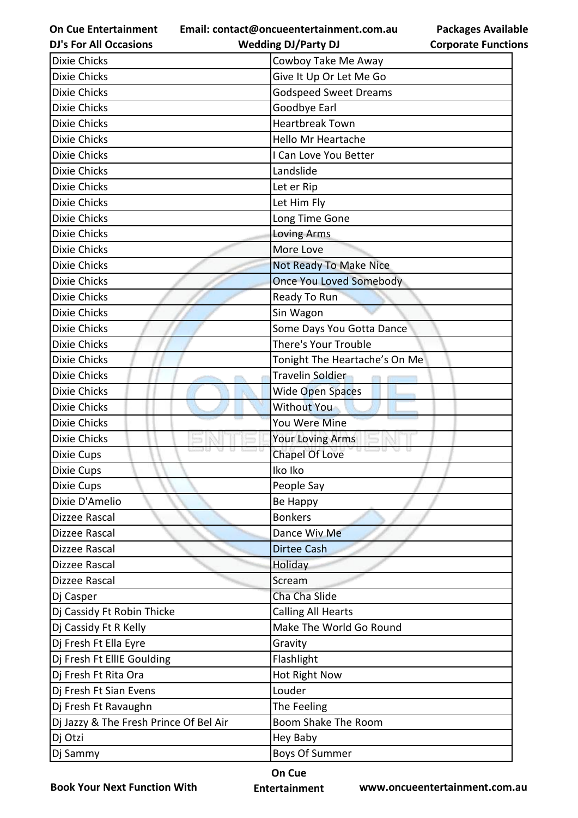**On Cue Entertainment Email: contact@oncueentertainment.com.au**

| <b>Packages Available</b>  |  |
|----------------------------|--|
| <b>Corporate Functions</b> |  |

| <b>DJ's For All Occasions</b>          | <b>Wedding DJ/Party DJ</b>     | <b>Corporate Functio</b> |
|----------------------------------------|--------------------------------|--------------------------|
| <b>Dixie Chicks</b>                    | Cowboy Take Me Away            |                          |
| <b>Dixie Chicks</b>                    | Give It Up Or Let Me Go        |                          |
| <b>Dixie Chicks</b>                    | <b>Godspeed Sweet Dreams</b>   |                          |
| <b>Dixie Chicks</b>                    | Goodbye Earl                   |                          |
| <b>Dixie Chicks</b>                    | <b>Heartbreak Town</b>         |                          |
| <b>Dixie Chicks</b>                    | <b>Hello Mr Heartache</b>      |                          |
| <b>Dixie Chicks</b>                    | I Can Love You Better          |                          |
| <b>Dixie Chicks</b>                    | Landslide                      |                          |
| <b>Dixie Chicks</b>                    | Let er Rip                     |                          |
| <b>Dixie Chicks</b>                    | Let Him Fly                    |                          |
| <b>Dixie Chicks</b>                    | Long Time Gone                 |                          |
| <b>Dixie Chicks</b>                    | <b>Loving Arms</b>             |                          |
| <b>Dixie Chicks</b>                    | More Love                      |                          |
| <b>Dixie Chicks</b>                    | Not Ready To Make Nice         |                          |
| <b>Dixie Chicks</b>                    | <b>Once You Loved Somebody</b> |                          |
| <b>Dixie Chicks</b>                    | Ready To Run                   |                          |
| <b>Dixie Chicks</b>                    | Sin Wagon                      |                          |
| <b>Dixie Chicks</b>                    | Some Days You Gotta Dance      |                          |
| <b>Dixie Chicks</b>                    | There's Your Trouble           |                          |
| <b>Dixie Chicks</b>                    | Tonight The Heartache's On Me  |                          |
| <b>Dixie Chicks</b>                    | <b>Travelin Soldier</b>        |                          |
| <b>Dixie Chicks</b>                    | Wide Open Spaces               |                          |
| <b>Dixie Chicks</b>                    | Without You                    |                          |
| <b>Dixie Chicks</b>                    | You Were Mine                  |                          |
| <b>Dixie Chicks</b>                    | Your Loving Arms               |                          |
| Dixie Cups                             | <b>Chapel Of Love</b>          |                          |
| Dixie Cups                             | Iko Iko                        |                          |
| Dixie Cups                             | People Say                     |                          |
| Dixie D'Amelio                         | Be Happy                       |                          |
| Dizzee Rascal                          | <b>Bonkers</b>                 |                          |
| Dizzee Rascal                          | Dance Wiv Me                   |                          |
| Dizzee Rascal                          | <b>Dirtee Cash</b>             |                          |
| Dizzee Rascal                          | Holiday                        |                          |
| Dizzee Rascal                          | Scream                         |                          |
| Dj Casper                              | Cha Cha Slide                  |                          |
| Dj Cassidy Ft Robin Thicke             | <b>Calling All Hearts</b>      |                          |
| Dj Cassidy Ft R Kelly                  | Make The World Go Round        |                          |
| Dj Fresh Ft Ella Eyre                  | Gravity                        |                          |
| Dj Fresh Ft EllIE Goulding             | Flashlight                     |                          |
| Dj Fresh Ft Rita Ora                   | Hot Right Now                  |                          |
| Dj Fresh Ft Sian Evens                 | Louder                         |                          |
| Dj Fresh Ft Ravaughn                   | The Feeling                    |                          |
| Dj Jazzy & The Fresh Prince Of Bel Air | Boom Shake The Room            |                          |
| Dj Otzi                                | Hey Baby                       |                          |
| Dj Sammy                               | <b>Boys Of Summer</b>          |                          |

**Book Your Next Function With**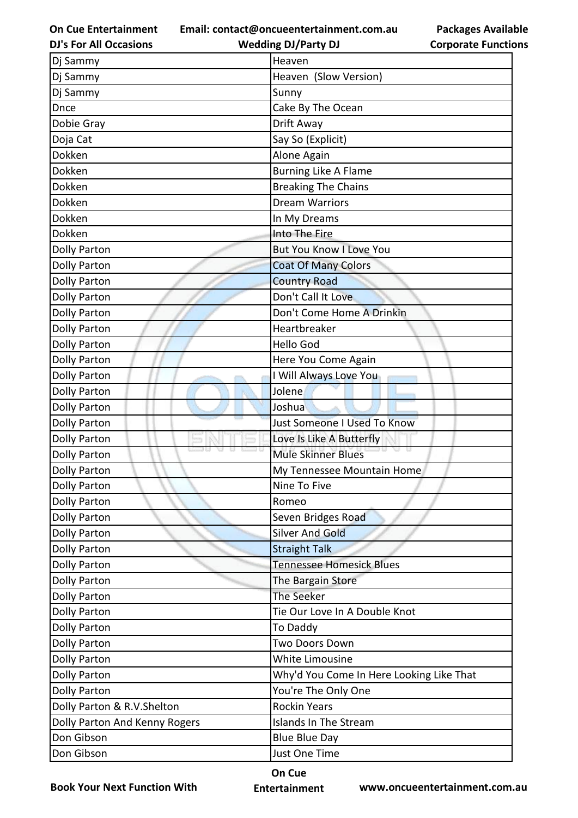**On Cue Entertainment DJ's For All Occasions**

**Email: contact@oncueentertainment.com.au**

**Packages Available Corporate Functions**

| <b>DJ's For All Occasions</b> | <b>Wedding DJ/Party DJ</b>               | <b>Corporate Functio</b> |
|-------------------------------|------------------------------------------|--------------------------|
| Dj Sammy                      | Heaven                                   |                          |
| Dj Sammy                      | Heaven (Slow Version)                    |                          |
| Dj Sammy                      | Sunny                                    |                          |
| Dnce                          | Cake By The Ocean                        |                          |
| Dobie Gray                    | Drift Away                               |                          |
| Doja Cat                      | Say So (Explicit)                        |                          |
| Dokken                        | Alone Again                              |                          |
| Dokken                        | <b>Burning Like A Flame</b>              |                          |
| Dokken                        | <b>Breaking The Chains</b>               |                          |
| Dokken                        | <b>Dream Warriors</b>                    |                          |
| Dokken                        | In My Dreams                             |                          |
| Dokken                        | Into The Fire                            |                          |
| Dolly Parton                  | <b>But You Know I Love You</b>           |                          |
| <b>Dolly Parton</b>           | <b>Coat Of Many Colors</b>               |                          |
| <b>Dolly Parton</b>           | <b>Country Road</b>                      |                          |
| <b>Dolly Parton</b>           | Don't Call It Love                       |                          |
| <b>Dolly Parton</b>           | Don't Come Home A Drinkin                |                          |
| <b>Dolly Parton</b>           | Heartbreaker                             |                          |
| <b>Dolly Parton</b>           | <b>Hello God</b>                         |                          |
| <b>Dolly Parton</b>           | Here You Come Again                      |                          |
| <b>Dolly Parton</b>           | I Will Always Love You                   |                          |
| <b>Dolly Parton</b>           | Jolene                                   |                          |
| <b>Dolly Parton</b>           | Joshua                                   |                          |
| <b>Dolly Parton</b>           | Just Someone I Used To Know              |                          |
| <b>Dolly Parton</b>           | Love Is Like A Butterfly                 |                          |
| <b>Dolly Parton</b>           | <b>Mule Skinner Blues</b>                |                          |
| <b>Dolly Parton</b>           | My Tennessee Mountain Home               |                          |
| <b>Dolly Parton</b>           | Nine To Five                             |                          |
| <b>Dolly Parton</b>           | Romeo                                    |                          |
| <b>Dolly Parton</b>           | Seven Bridges Road                       |                          |
| <b>Dolly Parton</b>           | <b>Silver And Gold</b>                   |                          |
| <b>Dolly Parton</b>           | <b>Straight Talk</b>                     |                          |
| <b>Dolly Parton</b>           | <b>Tennessee Homesick Blues</b>          |                          |
| <b>Dolly Parton</b>           | The Bargain Store                        |                          |
| <b>Dolly Parton</b>           | <b>The Seeker</b>                        |                          |
| <b>Dolly Parton</b>           | Tie Our Love In A Double Knot            |                          |
| <b>Dolly Parton</b>           | To Daddy                                 |                          |
| <b>Dolly Parton</b>           | Two Doors Down                           |                          |
| <b>Dolly Parton</b>           | White Limousine                          |                          |
| <b>Dolly Parton</b>           | Why'd You Come In Here Looking Like That |                          |
| <b>Dolly Parton</b>           | You're The Only One                      |                          |
| Dolly Parton & R.V.Shelton    | <b>Rockin Years</b>                      |                          |
| Dolly Parton And Kenny Rogers | Islands In The Stream                    |                          |
| Don Gibson                    | <b>Blue Blue Day</b>                     |                          |
| Don Gibson                    | Just One Time                            |                          |
|                               |                                          |                          |

**Book Your Next Function With**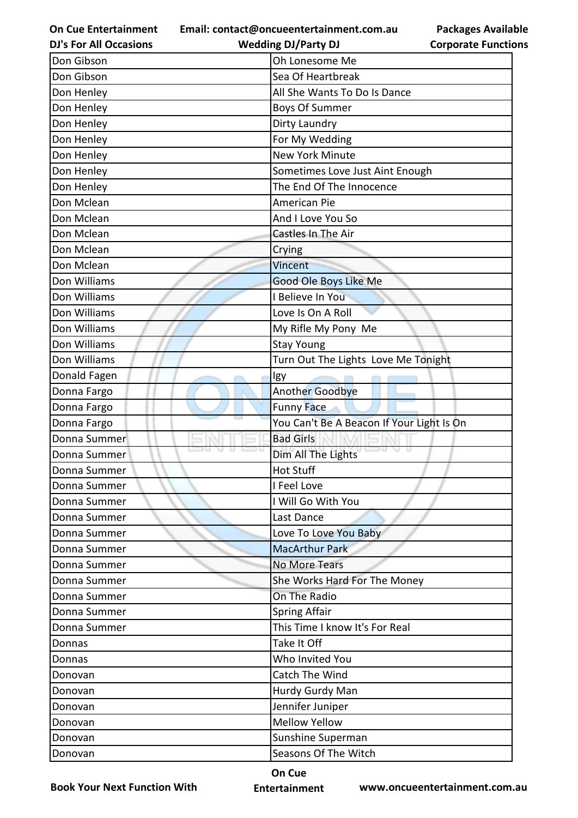**Email: contact@oncueentertainment.com.au**

**Packages Available Corporate Functions**

| <b>DJ's For All Occasions</b> | <b>Wedding DJ/Party DJ</b>                | <b>Corporate Functio</b> |
|-------------------------------|-------------------------------------------|--------------------------|
| Don Gibson                    | Oh Lonesome Me                            |                          |
| Don Gibson                    | Sea Of Heartbreak                         |                          |
| Don Henley                    | All She Wants To Do Is Dance              |                          |
| Don Henley                    | <b>Boys Of Summer</b>                     |                          |
| Don Henley                    | Dirty Laundry                             |                          |
| Don Henley                    | For My Wedding                            |                          |
| Don Henley                    | New York Minute                           |                          |
| Don Henley                    | Sometimes Love Just Aint Enough           |                          |
| Don Henley                    | The End Of The Innocence                  |                          |
| Don Mclean                    | American Pie                              |                          |
| Don Mclean                    | And I Love You So                         |                          |
| Don Mclean                    | Castles In The Air                        |                          |
| Don Mclean                    | Crying                                    |                          |
| Don Mclean                    | Vincent                                   |                          |
| Don Williams                  | Good Ole Boys Like Me                     |                          |
| Don Williams                  | I Believe In You                          |                          |
| Don Williams                  | Love Is On A Roll                         |                          |
| Don Williams                  | My Rifle My Pony Me                       |                          |
| Don Williams                  | <b>Stay Young</b>                         |                          |
| Don Williams                  | Turn Out The Lights Love Me Tonight       |                          |
| Donald Fagen                  | Igy                                       |                          |
| Donna Fargo                   | Another Goodbye                           |                          |
| Donna Fargo                   | <b>Funny Face</b>                         |                          |
| Donna Fargo                   | You Can't Be A Beacon If Your Light Is On |                          |
| Donna Summer                  | <b>Bad Girls</b>                          |                          |
| Donna Summer                  | Dim All The Lights                        |                          |
| Donna Summer                  | <b>Hot Stuff</b>                          |                          |
| Donna Summer                  | I Feel Love                               |                          |
| Donna Summer                  | I Will Go With You                        |                          |
| Donna Summer                  | Last Dance                                |                          |
| Donna Summer                  | Love To Love You Baby                     |                          |
| Donna Summer                  | <b>MacArthur Park</b>                     |                          |
| Donna Summer                  | <b>No More Tears</b>                      |                          |
| Donna Summer                  | She Works Hard For The Money              |                          |
| Donna Summer                  | On The Radio                              |                          |
| Donna Summer                  | <b>Spring Affair</b>                      |                          |
| Donna Summer                  | This Time I know It's For Real            |                          |
| Donnas                        | Take It Off                               |                          |
| Donnas                        | Who Invited You                           |                          |
| Donovan                       | Catch The Wind                            |                          |
| Donovan                       | Hurdy Gurdy Man                           |                          |
| Donovan                       | Jennifer Juniper                          |                          |
| Donovan                       | <b>Mellow Yellow</b>                      |                          |
| Donovan                       | Sunshine Superman                         |                          |
| Donovan                       | Seasons Of The Witch                      |                          |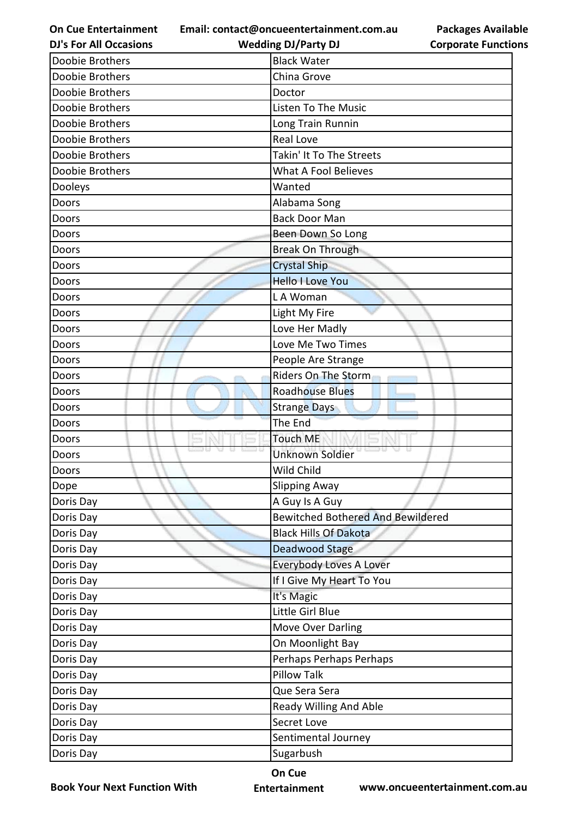**Email: contact@oncueentertainment.com.au Wedding DJ/Party DJ** 

**DJ's For All Occasions**

**Packages Available Corporate Functions**

| Doobie Brothers | <b>Black Water</b>                       |
|-----------------|------------------------------------------|
| Doobie Brothers | China Grove                              |
| Doobie Brothers | Doctor                                   |
| Doobie Brothers | Listen To The Music                      |
| Doobie Brothers | Long Train Runnin                        |
| Doobie Brothers | <b>Real Love</b>                         |
| Doobie Brothers | Takin' It To The Streets                 |
| Doobie Brothers | <b>What A Fool Believes</b>              |
| Dooleys         | Wanted                                   |
| Doors           | Alabama Song                             |
| Doors           | <b>Back Door Man</b>                     |
| Doors           | Been Down So Long                        |
| Doors           | Break On Through                         |
| Doors           | <b>Crystal Ship</b>                      |
| Doors           | <b>Hello I Love You</b>                  |
| Doors           | LA Woman                                 |
| Doors           | Light My Fire                            |
| Doors           | Love Her Madly                           |
| Doors           | Love Me Two Times                        |
| Doors           | People Are Strange                       |
| Doors           | Riders On The Storm                      |
| Doors           | <b>Roadhouse Blues</b>                   |
| Doors           | <b>Strange Days</b>                      |
| Doors           | The End                                  |
| Doors           | <b>Touch ME</b>                          |
| Doors           | <b>Unknown Soldier</b>                   |
| Doors           | Wild Child                               |
| Dope            | Slipping Away                            |
| Doris Day       | A Guy Is A Guy                           |
| Doris Day       | <b>Bewitched Bothered And Bewildered</b> |
| Doris Day       | <b>Black Hills Of Dakota</b>             |
| Doris Day       | Deadwood Stage                           |
| Doris Day       | <b>Everybody Loves A Lover</b>           |
| Doris Day       | If I Give My Heart To You                |
| Doris Day       | It's Magic                               |
| Doris Day       | Little Girl Blue                         |
| Doris Day       | <b>Move Over Darling</b>                 |
| Doris Day       | On Moonlight Bay                         |
| Doris Day       | Perhaps Perhaps Perhaps                  |
| Doris Day       | <b>Pillow Talk</b>                       |
| Doris Day       | Que Sera Sera                            |
| Doris Day       | Ready Willing And Able                   |
| Doris Day       | Secret Love                              |
| Doris Day       | Sentimental Journey                      |
| Doris Day       | Sugarbush                                |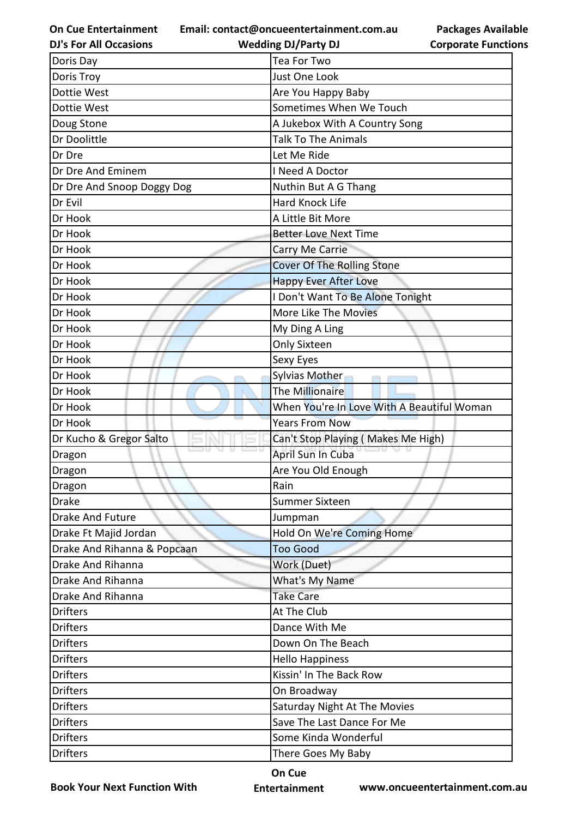**Email: contact@oncueentertainment.com.au**

**Packages Available Corporate Functions**

| <b>Wedding DJ/Party DJ</b>        | <b>Corporate Functio</b>                                                                                                                                                                                                                                                                          |
|-----------------------------------|---------------------------------------------------------------------------------------------------------------------------------------------------------------------------------------------------------------------------------------------------------------------------------------------------|
| Tea For Two                       |                                                                                                                                                                                                                                                                                                   |
| Just One Look                     |                                                                                                                                                                                                                                                                                                   |
| Are You Happy Baby                |                                                                                                                                                                                                                                                                                                   |
|                                   |                                                                                                                                                                                                                                                                                                   |
|                                   |                                                                                                                                                                                                                                                                                                   |
| <b>Talk To The Animals</b>        |                                                                                                                                                                                                                                                                                                   |
| Let Me Ride                       |                                                                                                                                                                                                                                                                                                   |
| I Need A Doctor                   |                                                                                                                                                                                                                                                                                                   |
| Nuthin But A G Thang              |                                                                                                                                                                                                                                                                                                   |
| <b>Hard Knock Life</b>            |                                                                                                                                                                                                                                                                                                   |
| A Little Bit More                 |                                                                                                                                                                                                                                                                                                   |
| <b>Better Love Next Time</b>      |                                                                                                                                                                                                                                                                                                   |
| Carry Me Carrie                   |                                                                                                                                                                                                                                                                                                   |
| <b>Cover Of The Rolling Stone</b> |                                                                                                                                                                                                                                                                                                   |
| <b>Happy Ever After Love</b>      |                                                                                                                                                                                                                                                                                                   |
|                                   |                                                                                                                                                                                                                                                                                                   |
| <b>More Like The Movies</b>       |                                                                                                                                                                                                                                                                                                   |
| My Ding A Ling                    |                                                                                                                                                                                                                                                                                                   |
| <b>Only Sixteen</b>               |                                                                                                                                                                                                                                                                                                   |
| Sexy Eyes                         |                                                                                                                                                                                                                                                                                                   |
| Sylvias Mother                    |                                                                                                                                                                                                                                                                                                   |
| <b>The Millionaire</b>            |                                                                                                                                                                                                                                                                                                   |
|                                   |                                                                                                                                                                                                                                                                                                   |
| <b>Years From Now</b>             |                                                                                                                                                                                                                                                                                                   |
|                                   |                                                                                                                                                                                                                                                                                                   |
| April Sun In Cuba                 |                                                                                                                                                                                                                                                                                                   |
| Are You Old Enough                |                                                                                                                                                                                                                                                                                                   |
| Rain                              |                                                                                                                                                                                                                                                                                                   |
| <b>Summer Sixteen</b>             |                                                                                                                                                                                                                                                                                                   |
| Jumpman                           |                                                                                                                                                                                                                                                                                                   |
|                                   |                                                                                                                                                                                                                                                                                                   |
| <b>Too Good</b>                   |                                                                                                                                                                                                                                                                                                   |
| Work (Duet)                       |                                                                                                                                                                                                                                                                                                   |
| What's My Name                    |                                                                                                                                                                                                                                                                                                   |
| <b>Take Care</b>                  |                                                                                                                                                                                                                                                                                                   |
| At The Club                       |                                                                                                                                                                                                                                                                                                   |
| Dance With Me                     |                                                                                                                                                                                                                                                                                                   |
| Down On The Beach                 |                                                                                                                                                                                                                                                                                                   |
| <b>Hello Happiness</b>            |                                                                                                                                                                                                                                                                                                   |
| Kissin' In The Back Row           |                                                                                                                                                                                                                                                                                                   |
| On Broadway                       |                                                                                                                                                                                                                                                                                                   |
|                                   |                                                                                                                                                                                                                                                                                                   |
|                                   |                                                                                                                                                                                                                                                                                                   |
| Some Kinda Wonderful              |                                                                                                                                                                                                                                                                                                   |
|                                   |                                                                                                                                                                                                                                                                                                   |
|                                   | Sometimes When We Touch<br>A Jukebox With A Country Song<br>I Don't Want To Be Alone Tonight<br>When You're In Love With A Beautiful Woman<br>Can't Stop Playing (Makes Me High)<br>Hold On We're Coming Home<br>Saturday Night At The Movies<br>Save The Last Dance For Me<br>There Goes My Baby |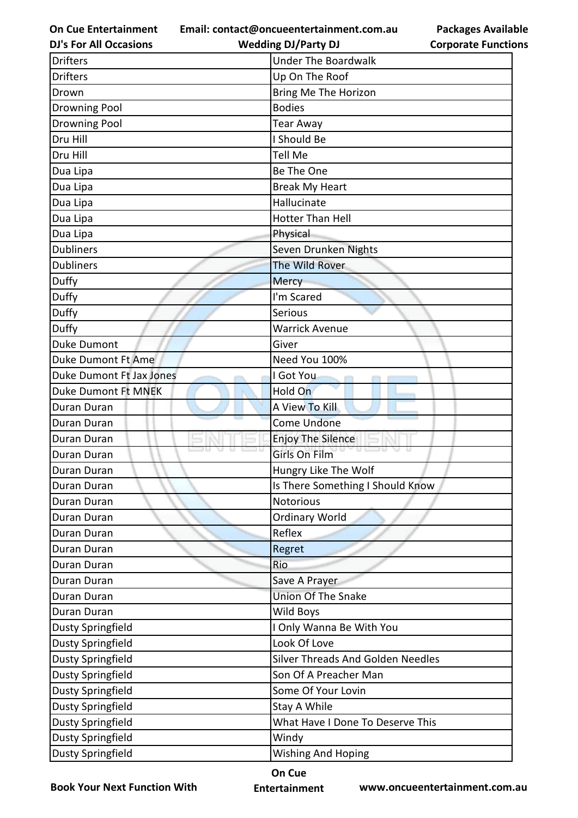**Email: contact@oncueentertainment.com.au**

**Packages Available Corporate Functions**

| <b>DJ's For All Occasions</b> | <b>Wedding DJ/Party DJ</b>        | <b>Corporate Functio</b> |
|-------------------------------|-----------------------------------|--------------------------|
| <b>Drifters</b>               | <b>Under The Boardwalk</b>        |                          |
| <b>Drifters</b>               | Up On The Roof                    |                          |
| Drown                         | Bring Me The Horizon              |                          |
| Drowning Pool                 | <b>Bodies</b>                     |                          |
| <b>Drowning Pool</b>          | <b>Tear Away</b>                  |                          |
| Dru Hill                      | I Should Be                       |                          |
| Dru Hill                      | Tell Me                           |                          |
| Dua Lipa                      | Be The One                        |                          |
| Dua Lipa                      | <b>Break My Heart</b>             |                          |
| Dua Lipa                      | Hallucinate                       |                          |
| Dua Lipa                      | Hotter Than Hell                  |                          |
| Dua Lipa                      | Physical                          |                          |
| <b>Dubliners</b>              | Seven Drunken Nights              |                          |
| <b>Dubliners</b>              | The Wild Rover                    |                          |
| Duffy                         | <b>Mercy</b>                      |                          |
| Duffy                         | I'm Scared                        |                          |
| Duffy                         | Serious                           |                          |
| Duffy                         | <b>Warrick Avenue</b>             |                          |
| Duke Dumont                   | Giver                             |                          |
| Duke Dumont Ft Ame            | Need You 100%                     |                          |
| Duke Dumont Ft Jax Jones      | I Got You                         |                          |
| <b>Duke Dumont Ft MNEK</b>    | Hold On                           |                          |
| Duran Duran                   | A View To Kill                    |                          |
| Duran Duran                   | <b>Come Undone</b>                |                          |
| Duran Duran                   | <b>Enjoy The Silence</b>          |                          |
| Duran Duran                   | <b>Girls On Film</b>              |                          |
| Duran Duran                   | Hungry Like The Wolf              |                          |
| Duran Duran                   | Is There Something I Should Know  |                          |
| Duran Duran                   | Notorious                         |                          |
| Duran Duran                   | <b>Ordinary World</b>             |                          |
| Duran Duran                   | Reflex                            |                          |
| Duran Duran                   | Regret                            |                          |
| Duran Duran                   | Rio                               |                          |
| Duran Duran                   | Save A Prayer                     |                          |
| Duran Duran                   | <b>Union Of The Snake</b>         |                          |
| Duran Duran                   | <b>Wild Boys</b>                  |                          |
| <b>Dusty Springfield</b>      | I Only Wanna Be With You          |                          |
| Dusty Springfield             | Look Of Love                      |                          |
| Dusty Springfield             | Silver Threads And Golden Needles |                          |
| Dusty Springfield             | Son Of A Preacher Man             |                          |
| Dusty Springfield             | Some Of Your Lovin                |                          |
| Dusty Springfield             | Stay A While                      |                          |
| Dusty Springfield             | What Have I Done To Deserve This  |                          |
| <b>Dusty Springfield</b>      | Windy                             |                          |
| <b>Dusty Springfield</b>      | <b>Wishing And Hoping</b>         |                          |
|                               |                                   |                          |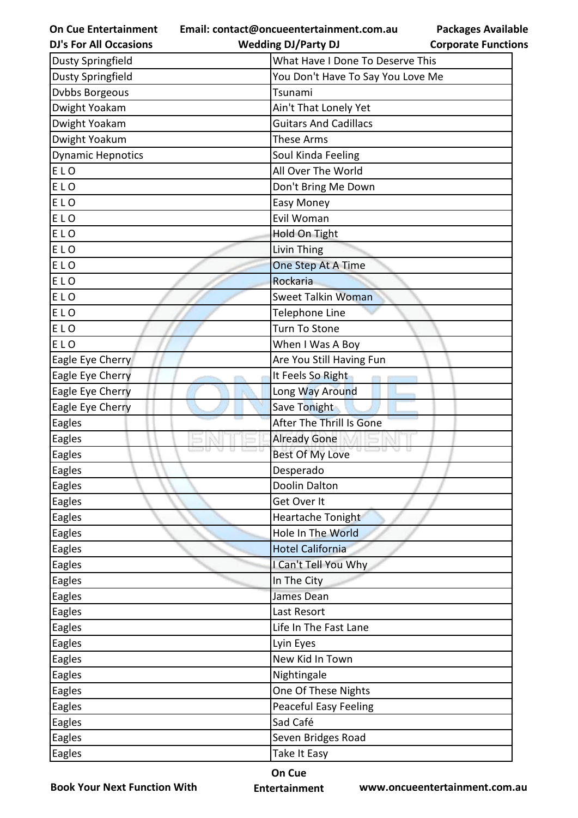**On Cue Entertainment Email: contact@oncueentertainment.com.au Wedding DJ/Party DJ** 

**Packages Available Corporate Functions**

| <b>DJ's For All Occasions</b> | <b>Wedding DJ/Party DJ</b>        | <b>Corporate Function</b> |
|-------------------------------|-----------------------------------|---------------------------|
| <b>Dusty Springfield</b>      | What Have I Done To Deserve This  |                           |
| <b>Dusty Springfield</b>      | You Don't Have To Say You Love Me |                           |
| Dvbbs Borgeous                | Tsunami                           |                           |
| Dwight Yoakam                 | Ain't That Lonely Yet             |                           |
| Dwight Yoakam                 | <b>Guitars And Cadillacs</b>      |                           |
| Dwight Yoakum                 | These Arms                        |                           |
| <b>Dynamic Hepnotics</b>      | Soul Kinda Feeling                |                           |
| ELO                           | All Over The World                |                           |
| ELO                           | Don't Bring Me Down               |                           |
| ELO                           | Easy Money                        |                           |
| ELO                           | Evil Woman                        |                           |
| ELO                           | Hold On Tight                     |                           |
| ELO                           | Livin Thing                       |                           |
| ELO                           | One Step At A Time                |                           |
| ELO                           | Rockaria                          |                           |
| ELO                           | Sweet Talkin Woman                |                           |
| ELO                           | Telephone Line                    |                           |
| ELO                           | Turn To Stone                     |                           |
| ELO                           | When I Was A Boy                  |                           |
| Eagle Eye Cherry              | Are You Still Having Fun          |                           |
| Eagle Eye Cherry              | It Feels So Right                 |                           |
| Eagle Eye Cherry              | Long Way Around                   |                           |
| Eagle Eye Cherry              | Save Tonight                      |                           |
| Eagles                        | After The Thrill Is Gone          |                           |
| Eagles                        | <b>Already Gone</b>               |                           |
| Eagles                        | <b>Best Of My Love</b>            |                           |
| Eagles                        | Desperado                         |                           |
| Eagles                        | Doolin Dalton                     |                           |
| Eagles                        | Get Over It                       |                           |
| <b>Eagles</b>                 | Heartache Tonight                 |                           |
| <b>Eagles</b>                 | Hole In The World                 |                           |
| <b>Eagles</b>                 | <b>Hotel California</b>           |                           |
| Eagles                        | I Can't Tell You Why              |                           |
| Eagles                        | In The City                       |                           |
| Eagles                        | James Dean                        |                           |
| <b>Eagles</b>                 | Last Resort                       |                           |
| <b>Eagles</b>                 | Life In The Fast Lane             |                           |
| <b>Eagles</b>                 | Lyin Eyes                         |                           |
| <b>Eagles</b>                 | New Kid In Town                   |                           |
| Eagles                        | Nightingale                       |                           |
| Eagles                        | One Of These Nights               |                           |
| <b>Eagles</b>                 | <b>Peaceful Easy Feeling</b>      |                           |
| <b>Eagles</b>                 | Sad Café                          |                           |
| <b>Eagles</b>                 | Seven Bridges Road                |                           |
| <b>Eagles</b>                 | Take It Easy                      |                           |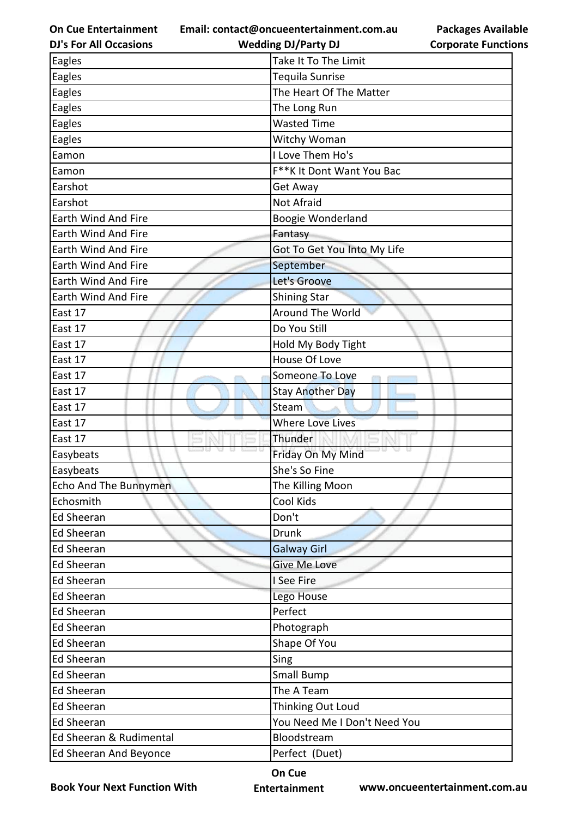**Email: contact@oncueentertainment.com.au**

| <b>DJ's For All Occasions</b> | <b>Wedding DJ/Party DJ</b>   | <b>Corporate Function</b> |
|-------------------------------|------------------------------|---------------------------|
| Eagles                        | Take It To The Limit         |                           |
| Eagles                        | Tequila Sunrise              |                           |
| Eagles                        | The Heart Of The Matter      |                           |
| Eagles                        | The Long Run                 |                           |
| Eagles                        | <b>Wasted Time</b>           |                           |
| Eagles                        | Witchy Woman                 |                           |
| Eamon                         | I Love Them Ho's             |                           |
| Eamon                         | F**K It Dont Want You Bac    |                           |
| Earshot                       | Get Away                     |                           |
| Earshot                       | <b>Not Afraid</b>            |                           |
| Earth Wind And Fire           | Boogie Wonderland            |                           |
| Earth Wind And Fire           | Fantasy                      |                           |
| <b>Earth Wind And Fire</b>    | Got To Get You Into My Life  |                           |
| Earth Wind And Fire           | September                    |                           |
| Earth Wind And Fire           | Let's Groove                 |                           |
| <b>Earth Wind And Fire</b>    | <b>Shining Star</b>          |                           |
| East 17                       | Around The World             |                           |
| East 17                       | Do You Still                 |                           |
| East 17                       | Hold My Body Tight           |                           |
| East 17                       | House Of Love                |                           |
| East 17                       | Someone To Love              |                           |
| East 17                       | <b>Stay Another Day</b>      |                           |
| East 17                       | Steam                        |                           |
| East 17                       | <b>Where Love Lives</b>      |                           |
| East 17                       | Thunder                      |                           |
| Easybeats                     | Friday On My Mind            |                           |
| Easybeats                     | She's So Fine                |                           |
| Echo And The Bunnymen         | The Killing Moon             |                           |
| Echosmith                     | Cool Kids                    |                           |
| <b>Ed Sheeran</b>             | Don't                        |                           |
| <b>Ed Sheeran</b>             | <b>Drunk</b>                 |                           |
| <b>Ed Sheeran</b>             | <b>Galway Girl</b>           |                           |
| <b>Ed Sheeran</b>             | <b>Give Me Love</b>          |                           |
| <b>Ed Sheeran</b>             | I See Fire                   |                           |
| <b>Ed Sheeran</b>             | Lego House                   |                           |
| <b>Ed Sheeran</b>             | Perfect                      |                           |
| <b>Ed Sheeran</b>             | Photograph                   |                           |
| <b>Ed Sheeran</b>             | Shape Of You                 |                           |
| <b>Ed Sheeran</b>             | Sing                         |                           |
| <b>Ed Sheeran</b>             | Small Bump                   |                           |
| <b>Ed Sheeran</b>             | The A Team                   |                           |
| <b>Ed Sheeran</b>             | Thinking Out Loud            |                           |
| <b>Ed Sheeran</b>             | You Need Me I Don't Need You |                           |
| Ed Sheeran & Rudimental       | Bloodstream                  |                           |
| Ed Sheeran And Beyonce        | Perfect (Duet)               |                           |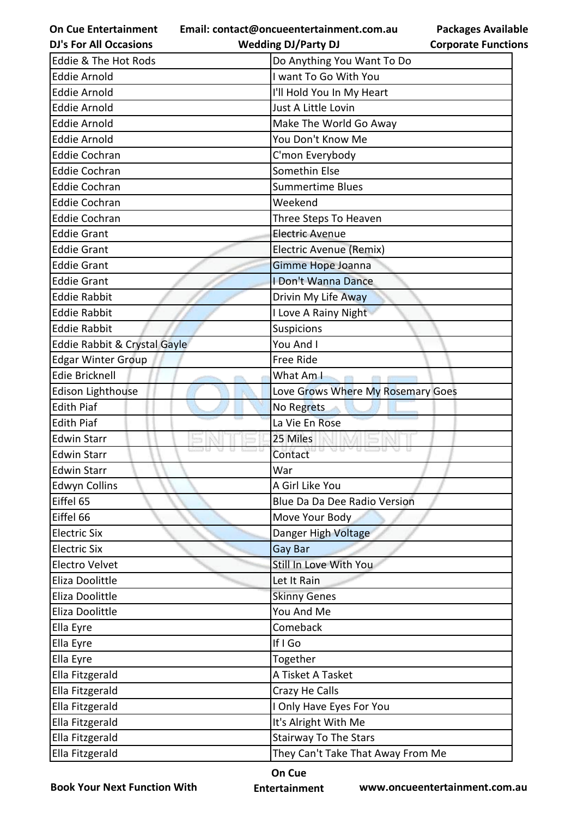**Email: contact@oncueentertainment.com.au**

**Packages Available Corporate Functions**

| <b>DJ's For All Occasions</b> | <b>Wedding DJ/Party DJ</b>        | <b>Corporate Functio</b> |
|-------------------------------|-----------------------------------|--------------------------|
| Eddie & The Hot Rods          | Do Anything You Want To Do        |                          |
| <b>Eddie Arnold</b>           | I want To Go With You             |                          |
| Eddie Arnold                  | I'll Hold You In My Heart         |                          |
| <b>Eddie Arnold</b>           | Just A Little Lovin               |                          |
| <b>Eddie Arnold</b>           | Make The World Go Away            |                          |
| <b>Eddie Arnold</b>           | You Don't Know Me                 |                          |
| <b>Eddie Cochran</b>          | C'mon Everybody                   |                          |
| <b>Eddie Cochran</b>          | Somethin Else                     |                          |
| <b>Eddie Cochran</b>          | <b>Summertime Blues</b>           |                          |
| <b>Eddie Cochran</b>          | Weekend                           |                          |
| <b>Eddie Cochran</b>          | Three Steps To Heaven             |                          |
| <b>Eddie Grant</b>            | <b>Electric Avenue</b>            |                          |
| <b>Eddie Grant</b>            | Electric Avenue (Remix)           |                          |
| <b>Eddie Grant</b>            | Gimme Hope Joanna                 |                          |
| <b>Eddie Grant</b>            | I Don't Wanna Dance               |                          |
| <b>Eddie Rabbit</b>           | Drivin My Life Away               |                          |
| <b>Eddie Rabbit</b>           | I Love A Rainy Night              |                          |
| <b>Eddie Rabbit</b>           | <b>Suspicions</b>                 |                          |
| Eddie Rabbit & Crystal Gayle  | You And I                         |                          |
| <b>Edgar Winter Group</b>     | <b>Free Ride</b>                  |                          |
| <b>Edie Bricknell</b>         | What Am I<br><b>COTT</b>          |                          |
| <b>Edison Lighthouse</b>      | Love Grows Where My Rosemary Goes |                          |
| <b>Edith Piaf</b>             | No Regrets                        |                          |
| <b>Edith Piaf</b>             | La Vie En Rose                    |                          |
| <b>Edwin Starr</b>            | 25 Miles                          |                          |
| <b>Edwin Starr</b>            | Contact                           |                          |
| <b>Edwin Starr</b>            | War                               |                          |
| <b>Edwyn Collins</b>          | A Girl Like You                   |                          |
| Eiffel 65                     | Blue Da Da Dee Radio Version      |                          |
| Eiffel 66                     | Move Your Body                    |                          |
| <b>Electric Six</b>           | Danger High Voltage               |                          |
| <b>Electric Six</b>           | Gay Bar                           |                          |
| Electro Velvet                | Still In Love With You            |                          |
| Eliza Doolittle               | Let It Rain                       |                          |
| Eliza Doolittle               | <b>Skinny Genes</b>               |                          |
| Eliza Doolittle               | You And Me                        |                          |
| Ella Eyre                     | Comeback                          |                          |
| Ella Eyre                     | If I Go                           |                          |
| Ella Eyre                     | Together                          |                          |
| Ella Fitzgerald               | A Tisket A Tasket                 |                          |
| Ella Fitzgerald               | Crazy He Calls                    |                          |
| Ella Fitzgerald               | I Only Have Eyes For You          |                          |
| Ella Fitzgerald               | It's Alright With Me              |                          |
| Ella Fitzgerald               | <b>Stairway To The Stars</b>      |                          |
| Ella Fitzgerald               | They Can't Take That Away From Me |                          |

**Book Your Next Function With**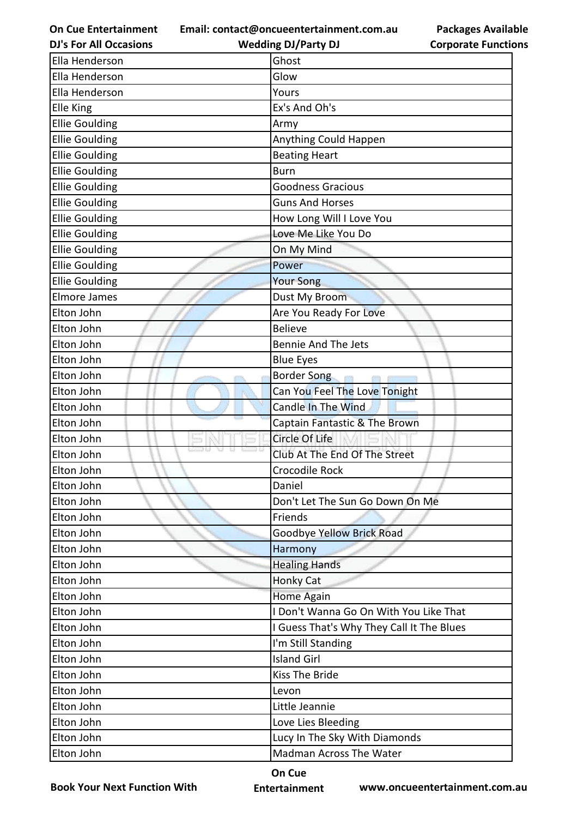**Email: contact@oncueentertainment.com.au**

**DJ's For All Occasions**

**Wedding DJ/Party DJ** 

|                            | <b>Packages Available</b> |
|----------------------------|---------------------------|
| <b>Corporate Functions</b> |                           |

| Ella Henderson        | Ghost                                     |  |  |
|-----------------------|-------------------------------------------|--|--|
| Ella Henderson        | Glow                                      |  |  |
| Ella Henderson        | Yours                                     |  |  |
| Elle King             | Ex's And Oh's                             |  |  |
| <b>Ellie Goulding</b> | Army                                      |  |  |
| <b>Ellie Goulding</b> | Anything Could Happen                     |  |  |
| <b>Ellie Goulding</b> | <b>Beating Heart</b>                      |  |  |
| <b>Ellie Goulding</b> | <b>Burn</b>                               |  |  |
| <b>Ellie Goulding</b> | <b>Goodness Gracious</b>                  |  |  |
| <b>Ellie Goulding</b> | <b>Guns And Horses</b>                    |  |  |
| <b>Ellie Goulding</b> | How Long Will I Love You                  |  |  |
| <b>Ellie Goulding</b> | Love Me Like You Do                       |  |  |
| <b>Ellie Goulding</b> | On My Mind                                |  |  |
| <b>Ellie Goulding</b> | Power                                     |  |  |
| <b>Ellie Goulding</b> | <b>Your Song</b>                          |  |  |
| <b>Elmore James</b>   | Dust My Broom                             |  |  |
| Elton John            | Are You Ready For Love                    |  |  |
| Elton John            | <b>Believe</b>                            |  |  |
| Elton John            | <b>Bennie And The Jets</b>                |  |  |
| Elton John            | <b>Blue Eyes</b>                          |  |  |
| Elton John            | <b>Border Song</b>                        |  |  |
| Elton John            | Can You Feel The Love Tonight             |  |  |
| Elton John            | Candle In The Wind                        |  |  |
| Elton John            | Captain Fantastic & The Brown             |  |  |
| Elton John            | Circle Of Life                            |  |  |
| Elton John            | Club At The End Of The Street             |  |  |
| Elton John            | Crocodile Rock                            |  |  |
| Elton John            | Daniel                                    |  |  |
| Elton John            | Don't Let The Sun Go Down On Me           |  |  |
| Elton John            | Friends                                   |  |  |
| Elton John            | Goodbye Yellow Brick Road                 |  |  |
| Elton John            | Harmony                                   |  |  |
| Elton John            | <b>Healing Hands</b>                      |  |  |
| Elton John            | Honky Cat                                 |  |  |
| Elton John            | Home Again                                |  |  |
| Elton John            | I Don't Wanna Go On With You Like That    |  |  |
| Elton John            | I Guess That's Why They Call It The Blues |  |  |
| Elton John            | I'm Still Standing                        |  |  |
| Elton John            | <b>Island Girl</b>                        |  |  |
| Elton John            | <b>Kiss The Bride</b>                     |  |  |
| Elton John            | Levon                                     |  |  |
| Elton John            | Little Jeannie                            |  |  |
| Elton John            | Love Lies Bleeding                        |  |  |
| Elton John            | Lucy In The Sky With Diamonds             |  |  |
| Elton John            | Madman Across The Water                   |  |  |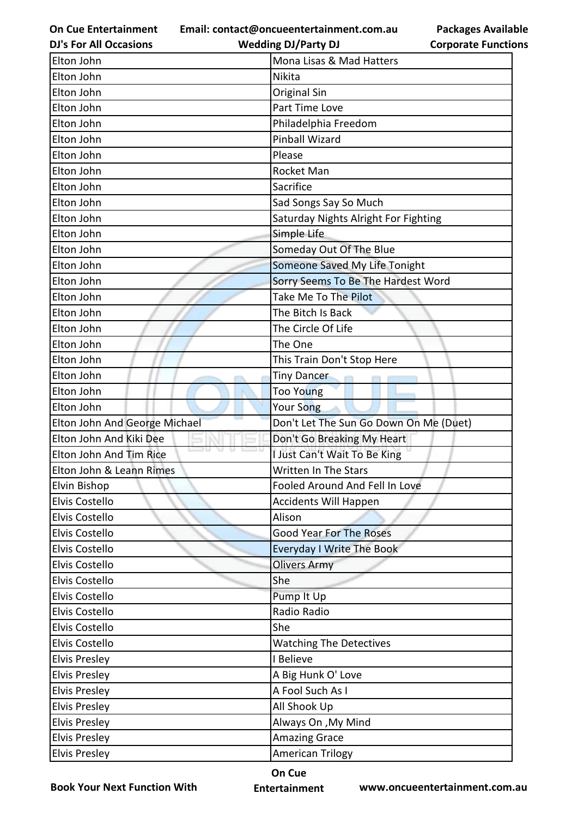**Email: contact@oncueentertainment.com.au**

**DJ's For All Occasions**

## **Wedding DJ/Party DJ**

| <b>Packages Available</b>  |
|----------------------------|
| <b>Corporate Functions</b> |

| Elton John                    | Mona Lisas & Mad Hatters               |  |  |
|-------------------------------|----------------------------------------|--|--|
| Elton John                    | Nikita                                 |  |  |
| Elton John                    | <b>Original Sin</b>                    |  |  |
| Elton John                    | Part Time Love                         |  |  |
| Elton John                    | Philadelphia Freedom                   |  |  |
| Elton John                    | <b>Pinball Wizard</b>                  |  |  |
| Elton John                    | Please                                 |  |  |
| Elton John                    | Rocket Man                             |  |  |
| Elton John                    | Sacrifice                              |  |  |
| Elton John                    | Sad Songs Say So Much                  |  |  |
| Elton John                    | Saturday Nights Alright For Fighting   |  |  |
| Elton John                    | Simple Life                            |  |  |
| Elton John                    | Someday Out Of The Blue                |  |  |
| Elton John                    | Someone Saved My Life Tonight          |  |  |
| Elton John                    | Sorry Seems To Be The Hardest Word     |  |  |
| Elton John                    | Take Me To The Pilot                   |  |  |
| Elton John                    | The Bitch Is Back                      |  |  |
| Elton John                    | The Circle Of Life                     |  |  |
| Elton John                    | The One                                |  |  |
| Elton John                    | This Train Don't Stop Here             |  |  |
| Elton John                    | <b>Tiny Dancer</b>                     |  |  |
| Elton John                    | Too Young                              |  |  |
| Elton John                    | Your Song                              |  |  |
| Elton John And George Michael | Don't Let The Sun Go Down On Me (Duet) |  |  |
| Elton John And Kiki Dee       | Don't Go Breaking My Heart             |  |  |
| Elton John And Tim Rice       | I Just Can't Wait To Be King           |  |  |
| Elton John & Leann Rimes      | Written In The Stars                   |  |  |
| Elvin Bishop                  | Fooled Around And Fell In Love         |  |  |
| Elvis Costello                | <b>Accidents Will Happen</b>           |  |  |
| Elvis Costello                | Alison                                 |  |  |
| Elvis Costello                | <b>Good Year For The Roses</b>         |  |  |
| Elvis Costello                | <b>Everyday I Write The Book</b>       |  |  |
| Elvis Costello                | <b>Olivers Army</b>                    |  |  |
| Elvis Costello                | She                                    |  |  |
| Elvis Costello                | Pump It Up                             |  |  |
| Elvis Costello                | Radio Radio                            |  |  |
| Elvis Costello                | She                                    |  |  |
| Elvis Costello                | <b>Watching The Detectives</b>         |  |  |
| <b>Elvis Presley</b>          | I Believe                              |  |  |
| <b>Elvis Presley</b>          | A Big Hunk O' Love                     |  |  |
| <b>Elvis Presley</b>          | A Fool Such As I                       |  |  |
| <b>Elvis Presley</b>          | All Shook Up                           |  |  |
| <b>Elvis Presley</b>          | Always On , My Mind                    |  |  |
| <b>Elvis Presley</b>          | <b>Amazing Grace</b>                   |  |  |
| <b>Elvis Presley</b>          | <b>American Trilogy</b>                |  |  |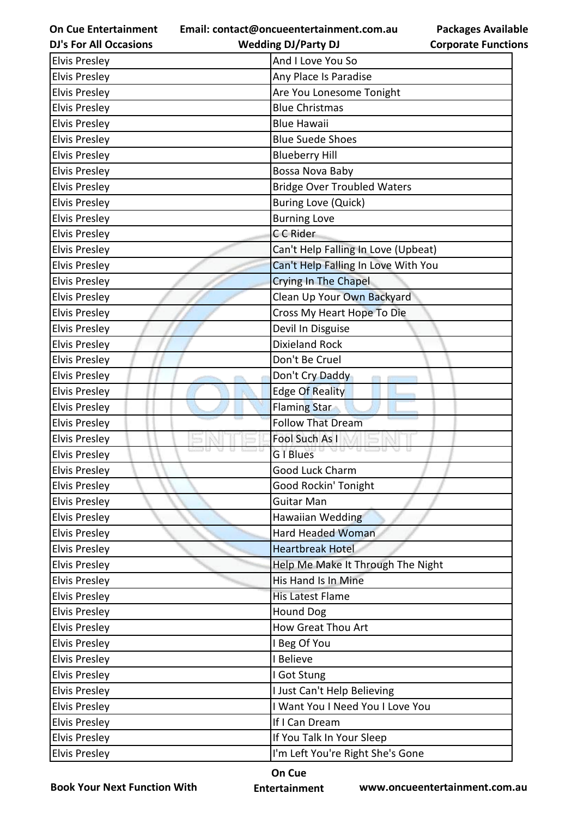**Email: contact@oncueentertainment.com.au Wedding DJ/Party DJ** 

**DJ's For All Occasions**

**Corporate Functions**

**Packages Available** 

| <b>Elvis Presley</b> | And I Love You So                   |
|----------------------|-------------------------------------|
| <b>Elvis Presley</b> | Any Place Is Paradise               |
| <b>Elvis Presley</b> | Are You Lonesome Tonight            |
| <b>Elvis Presley</b> | <b>Blue Christmas</b>               |
| <b>Elvis Presley</b> | <b>Blue Hawaii</b>                  |
| <b>Elvis Presley</b> | <b>Blue Suede Shoes</b>             |
| <b>Elvis Presley</b> | <b>Blueberry Hill</b>               |
| <b>Elvis Presley</b> | Bossa Nova Baby                     |
| <b>Elvis Presley</b> | <b>Bridge Over Troubled Waters</b>  |
| <b>Elvis Presley</b> | <b>Buring Love (Quick)</b>          |
| <b>Elvis Presley</b> | <b>Burning Love</b>                 |
| <b>Elvis Presley</b> | C C Rider                           |
| <b>Elvis Presley</b> | Can't Help Falling In Love (Upbeat) |
| <b>Elvis Presley</b> | Can't Help Falling In Love With You |
| <b>Elvis Presley</b> | <b>Crying In The Chapel</b>         |
| <b>Elvis Presley</b> | Clean Up Your Own Backyard          |
| <b>Elvis Presley</b> | Cross My Heart Hope To Die          |
| <b>Elvis Presley</b> | Devil In Disguise                   |
| <b>Elvis Presley</b> | <b>Dixieland Rock</b>               |
| <b>Elvis Presley</b> | Don't Be Cruel                      |
| <b>Elvis Presley</b> | Don't Cry Daddy                     |
| <b>Elvis Presley</b> | <b>Edge Of Reality</b>              |
| <b>Elvis Presley</b> | <b>Flaming Star</b>                 |
| <b>Elvis Presley</b> | <b>Follow That Dream</b>            |
| <b>Elvis Presley</b> | Fool Such As I                      |
| <b>Elvis Presley</b> | <b>G</b> I Blues                    |
| <b>Elvis Presley</b> | <b>Good Luck Charm</b>              |
| <b>Elvis Presley</b> | Good Rockin' Tonight                |
| <b>Elvis Presley</b> | Guitar Man                          |
| <b>Elvis Presley</b> | Hawaiian Wedding                    |
| <b>Elvis Presley</b> | <b>Hard Headed Woman</b>            |
| <b>Elvis Presley</b> | <b>Heartbreak Hotel</b>             |
| <b>Elvis Presley</b> | Help Me Make It Through The Night   |
| <b>Elvis Presley</b> | His Hand Is In Mine                 |
| <b>Elvis Presley</b> | <b>His Latest Flame</b>             |
| <b>Elvis Presley</b> | <b>Hound Dog</b>                    |
| <b>Elvis Presley</b> | How Great Thou Art                  |
| <b>Elvis Presley</b> | I Beg Of You                        |
| <b>Elvis Presley</b> | I Believe                           |
| <b>Elvis Presley</b> | I Got Stung                         |
| <b>Elvis Presley</b> | I Just Can't Help Believing         |
| <b>Elvis Presley</b> | I Want You I Need You I Love You    |
| <b>Elvis Presley</b> | If I Can Dream                      |
| <b>Elvis Presley</b> | If You Talk In Your Sleep           |
| <b>Elvis Presley</b> | I'm Left You're Right She's Gone    |

**Book Your Next Function With**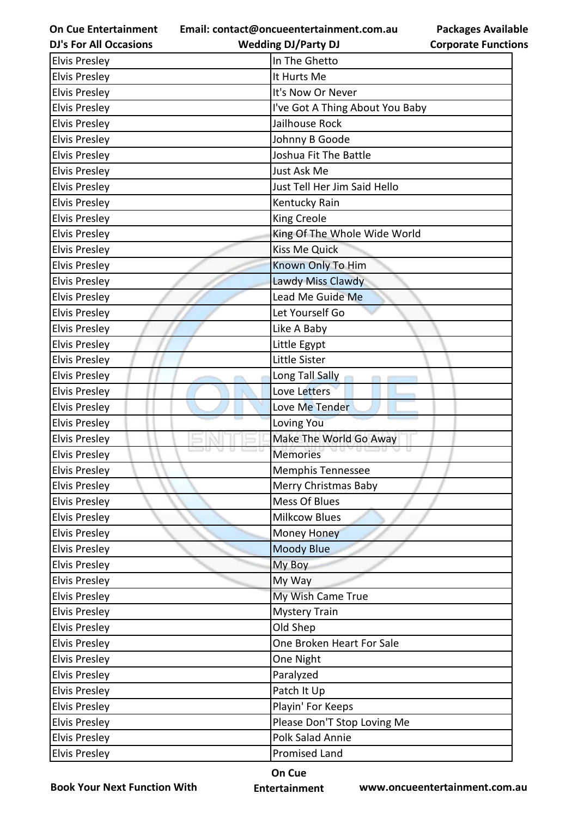**Email: contact@oncueentertainment.com.au**

**Corporate Functions**

**Packages Available** 

| <b>DJ's For All Occasions</b> | <b>Wedding DJ/Party DJ</b>      | <b>Corporate Function</b> |
|-------------------------------|---------------------------------|---------------------------|
| <b>Elvis Presley</b>          | In The Ghetto                   |                           |
| <b>Elvis Presley</b>          | It Hurts Me                     |                           |
| <b>Elvis Presley</b>          | It's Now Or Never               |                           |
| <b>Elvis Presley</b>          | I've Got A Thing About You Baby |                           |
| <b>Elvis Presley</b>          | Jailhouse Rock                  |                           |
| <b>Elvis Presley</b>          | Johnny B Goode                  |                           |
| <b>Elvis Presley</b>          | Joshua Fit The Battle           |                           |
| <b>Elvis Presley</b>          | Just Ask Me                     |                           |
| <b>Elvis Presley</b>          | Just Tell Her Jim Said Hello    |                           |
| <b>Elvis Presley</b>          | Kentucky Rain                   |                           |
| <b>Elvis Presley</b>          | King Creole                     |                           |
| <b>Elvis Presley</b>          | King Of The Whole Wide World    |                           |
| <b>Elvis Presley</b>          | <b>Kiss Me Quick</b>            |                           |
| <b>Elvis Presley</b>          | Known Only To Him               |                           |
| <b>Elvis Presley</b>          | Lawdy Miss Clawdy               |                           |
| <b>Elvis Presley</b>          | Lead Me Guide Me                |                           |
| <b>Elvis Presley</b>          | Let Yourself Go                 |                           |
| <b>Elvis Presley</b>          | Like A Baby                     |                           |
| <b>Elvis Presley</b>          | Little Egypt                    |                           |
| <b>Elvis Presley</b>          | Little Sister                   |                           |
| <b>Elvis Presley</b>          | Long Tall Sally                 |                           |
| <b>Elvis Presley</b>          | Love Letters                    |                           |
| <b>Elvis Presley</b>          | Love Me Tender                  |                           |
| <b>Elvis Presley</b>          | Loving You                      |                           |
| <b>Elvis Presley</b>          | Make The World Go Away          |                           |
| <b>Elvis Presley</b>          | <b>Memories</b>                 |                           |
| <b>Elvis Preslev</b>          | Memphis Tennessee               |                           |
| <b>Elvis Presley</b>          | Merry Christmas Baby            |                           |
| <b>Elvis Presley</b>          | <b>Mess Of Blues</b>            |                           |
| <b>Elvis Presley</b>          | <b>Milkcow Blues</b>            |                           |
| <b>Elvis Presley</b>          | Money Honey                     |                           |
| <b>Elvis Presley</b>          | <b>Moody Blue</b>               |                           |
| <b>Elvis Presley</b>          | My Boy                          |                           |
| <b>Elvis Presley</b>          | My Way                          |                           |
| <b>Elvis Presley</b>          | My Wish Came True               |                           |
| <b>Elvis Presley</b>          | <b>Mystery Train</b>            |                           |
| <b>Elvis Presley</b>          | Old Shep                        |                           |
| <b>Elvis Presley</b>          | One Broken Heart For Sale       |                           |
| <b>Elvis Presley</b>          | One Night                       |                           |
| <b>Elvis Presley</b>          | Paralyzed                       |                           |
| <b>Elvis Presley</b>          | Patch It Up                     |                           |
| <b>Elvis Presley</b>          | Playin' For Keeps               |                           |
| <b>Elvis Presley</b>          | Please Don'T Stop Loving Me     |                           |
| <b>Elvis Presley</b>          | Polk Salad Annie                |                           |
| <b>Elvis Presley</b>          | <b>Promised Land</b>            |                           |
|                               |                                 |                           |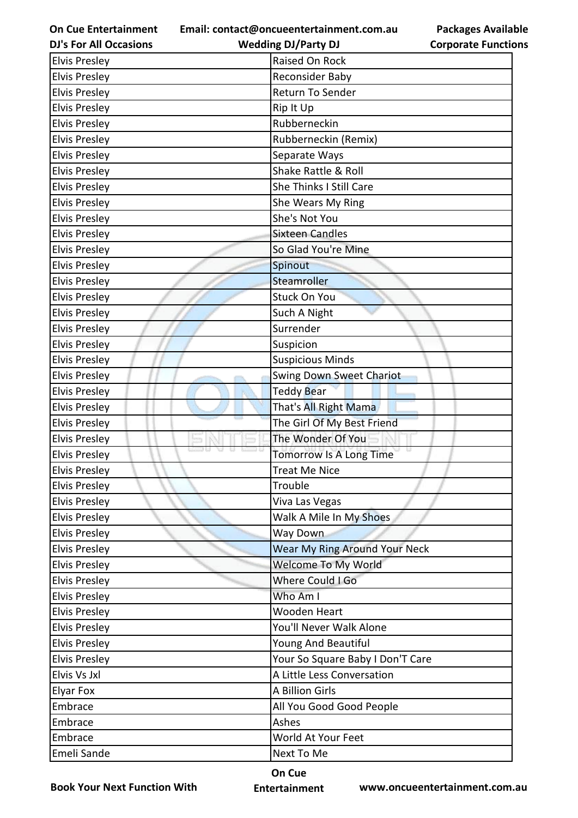**Email: contact@oncueentertainment.com.au**

**DJ's For All Occasions**

**Packages Available Corporate Functions**

| <b>DJ's For All Occasions</b> | <b>Wedding DJ/Party DJ</b>       | <b>Corporate Functio</b> |
|-------------------------------|----------------------------------|--------------------------|
| <b>Elvis Presley</b>          | Raised On Rock                   |                          |
| <b>Elvis Presley</b>          | Reconsider Baby                  |                          |
| <b>Elvis Presley</b>          | Return To Sender                 |                          |
| <b>Elvis Presley</b>          | Rip It Up                        |                          |
| <b>Elvis Presley</b>          | Rubberneckin                     |                          |
| <b>Elvis Presley</b>          | Rubberneckin (Remix)             |                          |
| <b>Elvis Presley</b>          | Separate Ways                    |                          |
| <b>Elvis Presley</b>          | Shake Rattle & Roll              |                          |
| <b>Elvis Presley</b>          | She Thinks I Still Care          |                          |
| <b>Elvis Presley</b>          | She Wears My Ring                |                          |
| <b>Elvis Presley</b>          | She's Not You                    |                          |
| <b>Elvis Presley</b>          | <b>Sixteen Candles</b>           |                          |
| <b>Elvis Presley</b>          | So Glad You're Mine              |                          |
| <b>Elvis Presley</b>          | Spinout                          |                          |
| <b>Elvis Presley</b>          | Steamroller                      |                          |
| <b>Elvis Presley</b>          | <b>Stuck On You</b>              |                          |
| <b>Elvis Presley</b>          | Such A Night                     |                          |
| <b>Elvis Presley</b>          | Surrender                        |                          |
| <b>Elvis Presley</b>          | Suspicion                        |                          |
| <b>Elvis Presley</b>          | <b>Suspicious Minds</b>          |                          |
| <b>Elvis Presley</b>          | Swing Down Sweet Chariot         |                          |
| <b>Elvis Presley</b>          | <b>Teddy Bear</b>                |                          |
| <b>Elvis Presley</b>          | That's All Right Mama            |                          |
| <b>Elvis Presley</b>          | The Girl Of My Best Friend       |                          |
| <b>Elvis Presley</b>          | The Wonder Of You                |                          |
| <b>Elvis Presley</b>          | Tomorrow Is A Long Time          |                          |
| <b>Elvis Presley</b>          | <b>Treat Me Nice</b>             |                          |
| <b>Elvis Presley</b>          | Trouble                          |                          |
| <b>Elvis Presley</b>          | Viva Las Vegas                   |                          |
| <b>Elvis Presley</b>          | Walk A Mile In My Shoes          |                          |
| <b>Elvis Presley</b>          | Way Down                         |                          |
| <b>Elvis Presley</b>          | Wear My Ring Around Your Neck    |                          |
| <b>Elvis Presley</b>          | Welcome To My World              |                          |
| <b>Elvis Presley</b>          | Where Could I Go                 |                          |
| <b>Elvis Presley</b>          | Who Am I                         |                          |
| <b>Elvis Presley</b>          | <b>Wooden Heart</b>              |                          |
| <b>Elvis Presley</b>          | You'll Never Walk Alone          |                          |
| <b>Elvis Presley</b>          | Young And Beautiful              |                          |
| <b>Elvis Presley</b>          | Your So Square Baby I Don'T Care |                          |
| Elvis Vs Jxl                  | A Little Less Conversation       |                          |
| <b>Elyar Fox</b>              | A Billion Girls                  |                          |
| Embrace                       | All You Good Good People         |                          |
| Embrace                       | Ashes                            |                          |
| Embrace                       | World At Your Feet               |                          |
| Emeli Sande                   | Next To Me                       |                          |
|                               |                                  |                          |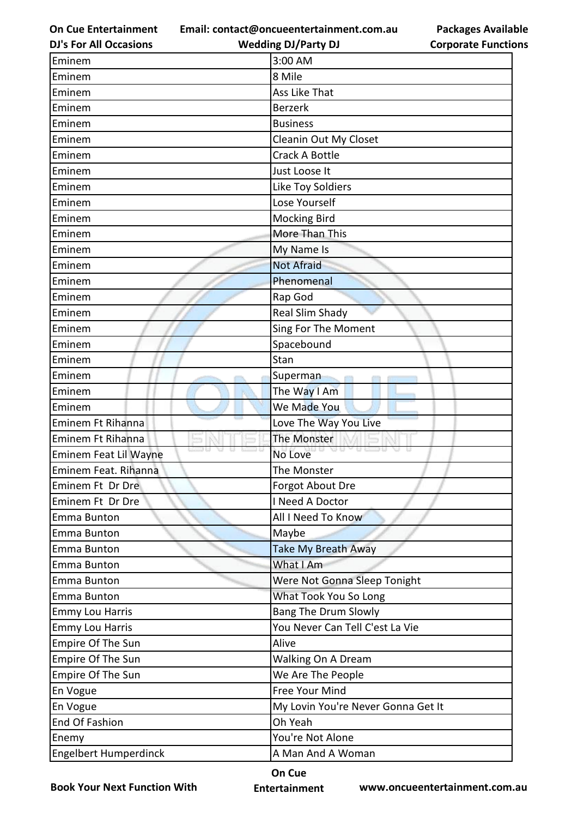**Email: contact@oncueentertainment.com.au**

**Packages Available Corporate Functions**

| <b>DJ's For All Occasions</b> | <b>Wedding DJ/Party DJ</b>         | <b>Corporate Functio</b> |
|-------------------------------|------------------------------------|--------------------------|
| Eminem                        | 3:00 AM                            |                          |
| Eminem                        | 8 Mile                             |                          |
| Eminem                        | Ass Like That                      |                          |
| Eminem                        | <b>Berzerk</b>                     |                          |
| Eminem                        | <b>Business</b>                    |                          |
| Eminem                        | Cleanin Out My Closet              |                          |
| Eminem                        | Crack A Bottle                     |                          |
| Eminem                        | Just Loose It                      |                          |
| Eminem                        | Like Toy Soldiers                  |                          |
| Eminem                        | Lose Yourself                      |                          |
| Eminem                        | <b>Mocking Bird</b>                |                          |
| Eminem                        | More Than This                     |                          |
| Eminem                        | My Name Is                         |                          |
| Eminem                        | <b>Not Afraid</b>                  |                          |
| Eminem                        | Phenomenal                         |                          |
| Eminem                        | Rap God                            |                          |
| Eminem                        | Real Slim Shady                    |                          |
| Eminem                        | Sing For The Moment                |                          |
| Eminem                        | Spacebound                         |                          |
| Eminem                        | Stan                               |                          |
| Eminem                        | Superman                           |                          |
| Eminem                        | The Way I Am                       |                          |
| Eminem                        | We Made You                        |                          |
| Eminem Ft Rihanna             | Love The Way You Live              |                          |
| Eminem Ft Rihanna             | The Monster                        |                          |
| Eminem Feat Lil Wayne         | u usu<br>No Love                   |                          |
| Eminem Feat. Rihanna          | The Monster                        |                          |
| Eminem Ft Dr Dre              | Forgot About Dre                   |                          |
| Eminem Ft Dr Dre              | I Need A Doctor                    |                          |
| Emma Bunton                   | All I Need To Know                 |                          |
| Emma Bunton                   | Maybe                              |                          |
| Emma Bunton                   | <b>Take My Breath Away</b>         |                          |
| Emma Bunton                   | What I Am                          |                          |
| Emma Bunton                   | Were Not Gonna Sleep Tonight       |                          |
| Emma Bunton                   | What Took You So Long              |                          |
| <b>Emmy Lou Harris</b>        | <b>Bang The Drum Slowly</b>        |                          |
| <b>Emmy Lou Harris</b>        | You Never Can Tell C'est La Vie    |                          |
| Empire Of The Sun             | Alive                              |                          |
| Empire Of The Sun             | Walking On A Dream                 |                          |
| Empire Of The Sun             | We Are The People                  |                          |
| En Vogue                      | Free Your Mind                     |                          |
| En Vogue                      | My Lovin You're Never Gonna Get It |                          |
| End Of Fashion                | Oh Yeah                            |                          |
| Enemy                         | You're Not Alone                   |                          |
| <b>Engelbert Humperdinck</b>  | A Man And A Woman                  |                          |
|                               |                                    |                          |

**Book Your Next Function With**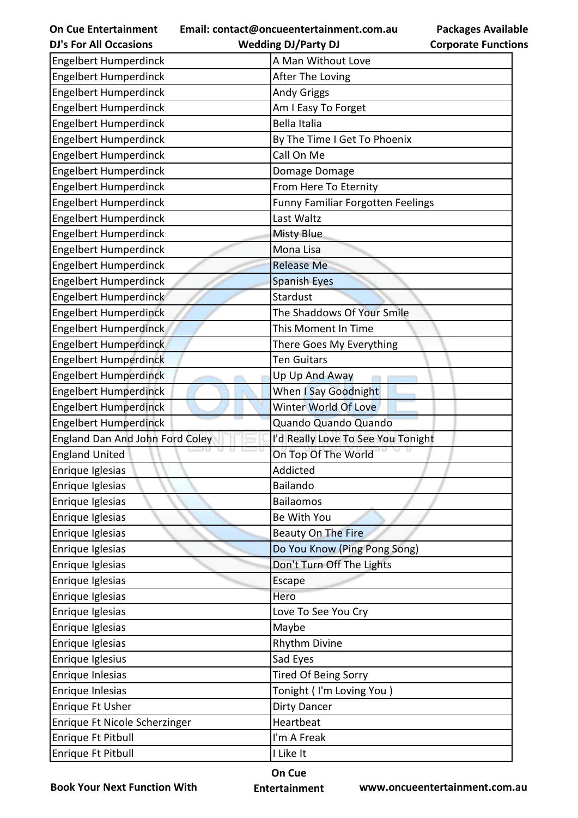| <b>On Cue Entertainment</b>     | <b>Packages Available</b><br>Email: contact@oncueentertainment.com.au |
|---------------------------------|-----------------------------------------------------------------------|
| <b>DJ's For All Occasions</b>   | <b>Wedding DJ/Party DJ</b><br><b>Corporate Functions</b>              |
| <b>Engelbert Humperdinck</b>    | A Man Without Love                                                    |
| <b>Engelbert Humperdinck</b>    | After The Loving                                                      |
| <b>Engelbert Humperdinck</b>    | <b>Andy Griggs</b>                                                    |
| Engelbert Humperdinck           | Am I Easy To Forget                                                   |
| <b>Engelbert Humperdinck</b>    | <b>Bella Italia</b>                                                   |
| <b>Engelbert Humperdinck</b>    | By The Time I Get To Phoenix                                          |
| <b>Engelbert Humperdinck</b>    | Call On Me                                                            |
| <b>Engelbert Humperdinck</b>    | Domage Domage                                                         |
| Engelbert Humperdinck           | From Here To Eternity                                                 |
| <b>Engelbert Humperdinck</b>    | <b>Funny Familiar Forgotten Feelings</b>                              |
| Engelbert Humperdinck           | Last Waltz                                                            |
| <b>Engelbert Humperdinck</b>    | <b>Misty Blue</b>                                                     |
| <b>Engelbert Humperdinck</b>    | Mona Lisa                                                             |
| Engelbert Humperdinck           | <b>Release Me</b>                                                     |
| <b>Engelbert Humperdinck</b>    | <b>Spanish Eyes</b>                                                   |
| <b>Engelbert Humperdinck</b>    | <b>Stardust</b>                                                       |
| <b>Engelbert Humperdinck</b>    | The Shaddows Of Your Smile                                            |
| <b>Engelbert Humperdinck</b>    | This Moment In Time                                                   |
| <b>Engelbert Humperdinck</b>    | There Goes My Everything                                              |
| <b>Engelbert Humperdinck</b>    | <b>Ten Guitars</b>                                                    |
| <b>Engelbert Humperdinck</b>    | Up Up And Away                                                        |
| <b>Engelbert Humperdinck</b>    | When I Say Goodnight                                                  |
| <b>Engelbert Humperdinck</b>    | Winter World Of Love                                                  |
| <b>Engelbert Humperdinck</b>    | Quando Quando Quando                                                  |
| England Dan And John Ford Coley | I'd Really Love To See You Tonight                                    |
| <b>England United</b>           | On Top Of The World                                                   |
| Enrique Iglesias                | Addicted                                                              |
| Enrique Iglesias                | Bailando                                                              |
| Enrique Iglesias                | <b>Bailaomos</b>                                                      |
| Enrique Iglesias                | Be With You                                                           |
| Enrique Iglesias                | <b>Beauty On The Fire</b>                                             |
| Enrique Iglesias                | Do You Know (Ping Pong Song)                                          |
| Enrique Iglesias                | Don't Turn Off The Lights                                             |
| Enrique Iglesias                | Escape                                                                |
| Enrique Iglesias                | Hero                                                                  |
| Enrique Iglesias                | Love To See You Cry                                                   |
| Enrique Iglesias                | Maybe                                                                 |
| Enrique Iglesias                | <b>Rhythm Divine</b>                                                  |
| Enrique Iglesius                | Sad Eyes                                                              |
| Enrique Inlesias                | <b>Tired Of Being Sorry</b>                                           |
| Enrique Inlesias                | Tonight (I'm Loving You)                                              |
| Enrique Ft Usher                | <b>Dirty Dancer</b>                                                   |
| Enrique Ft Nicole Scherzinger   | Heartbeat                                                             |
| Enrique Ft Pitbull              | I'm A Freak                                                           |
| Enrique Ft Pitbull              | I Like It                                                             |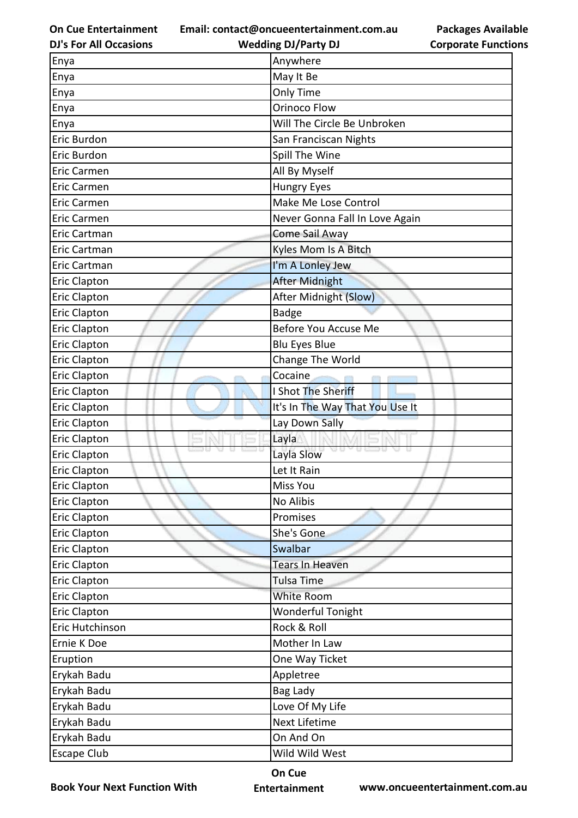**Email: contact@oncueentertainment.com.au Wedding DJ/Party DJ** 

**DJ's For All Occasions**

**Packages Available Corporate Functions**

| Enya                | Anywhere                        |  |
|---------------------|---------------------------------|--|
| Enya                | May It Be                       |  |
| Enya                | Only Time                       |  |
| Enya                | <b>Orinoco Flow</b>             |  |
| Enya                | Will The Circle Be Unbroken     |  |
| Eric Burdon         | San Franciscan Nights           |  |
| Eric Burdon         | Spill The Wine                  |  |
| <b>Eric Carmen</b>  | All By Myself                   |  |
| Eric Carmen         | <b>Hungry Eyes</b>              |  |
| <b>Eric Carmen</b>  | Make Me Lose Control            |  |
| <b>Eric Carmen</b>  | Never Gonna Fall In Love Again  |  |
| Eric Cartman        | Come Sail Away                  |  |
| Eric Cartman        | Kyles Mom Is A Bitch            |  |
| Eric Cartman        | I'm A Lonley Jew                |  |
| <b>Eric Clapton</b> | After Midnight                  |  |
| <b>Eric Clapton</b> | After Midnight (Slow)           |  |
| <b>Eric Clapton</b> | <b>Badge</b>                    |  |
| <b>Eric Clapton</b> | Before You Accuse Me            |  |
| <b>Eric Clapton</b> | <b>Blu Eyes Blue</b>            |  |
| <b>Eric Clapton</b> | Change The World                |  |
| <b>Eric Clapton</b> | Cocaine                         |  |
| <b>Eric Clapton</b> | I Shot The Sheriff              |  |
| <b>Eric Clapton</b> | It's In The Way That You Use It |  |
| <b>Eric Clapton</b> | Lay Down Sally                  |  |
| <b>Eric Clapton</b> | Layla                           |  |
| <b>Eric Clapton</b> | a a<br>Layla Slow               |  |
| <b>Eric Clapton</b> | Let It Rain                     |  |
| <b>Eric Clapton</b> | Miss You                        |  |
| <b>Eric Clapton</b> | No Alibis                       |  |
| <b>Eric Clapton</b> | Promises                        |  |
| <b>Eric Clapton</b> | She's Gone                      |  |
| <b>Eric Clapton</b> | Swalbar                         |  |
| <b>Eric Clapton</b> | Tears In Heaven                 |  |
| <b>Eric Clapton</b> | <b>Tulsa Time</b>               |  |
| <b>Eric Clapton</b> | White Room                      |  |
| <b>Eric Clapton</b> | <b>Wonderful Tonight</b>        |  |
| Eric Hutchinson     | Rock & Roll                     |  |
| Ernie K Doe         | Mother In Law                   |  |
| Eruption            | One Way Ticket                  |  |
| Erykah Badu         | Appletree                       |  |
| Erykah Badu         | Bag Lady                        |  |
| Erykah Badu         | Love Of My Life                 |  |
| Erykah Badu         | Next Lifetime                   |  |
| Erykah Badu         | On And On                       |  |
| <b>Escape Club</b>  | Wild Wild West                  |  |

**Book Your Next Function With**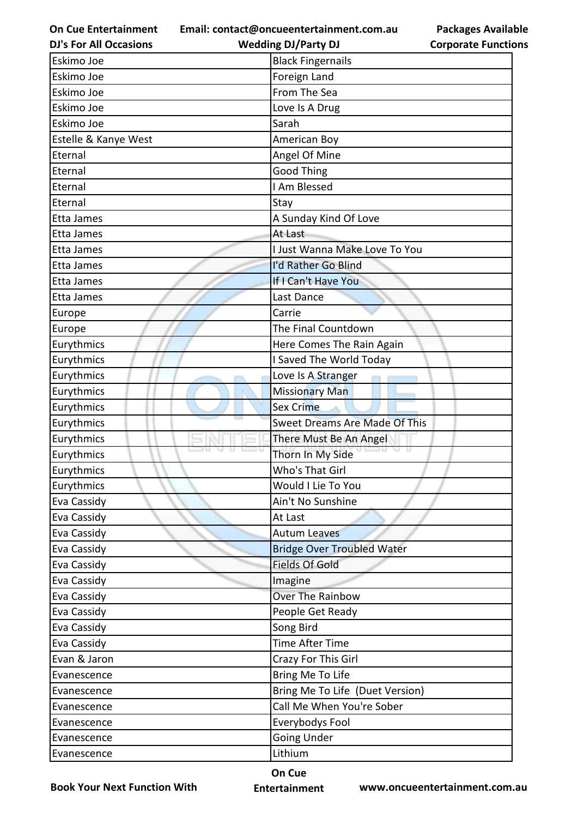**Email: contact@oncueentertainment.com.au**

| <b>Packages Available</b>  |  |
|----------------------------|--|
| <b>Corporate Functions</b> |  |

| <b>DJ's For All Occasions</b> | <b>Wedding DJ/Party DJ</b>           | <b>Corporate Functio</b> |
|-------------------------------|--------------------------------------|--------------------------|
| Eskimo Joe                    | <b>Black Fingernails</b>             |                          |
| Eskimo Joe                    | Foreign Land                         |                          |
| Eskimo Joe                    | From The Sea                         |                          |
| Eskimo Joe                    | Love Is A Drug                       |                          |
| Eskimo Joe                    | Sarah                                |                          |
| Estelle & Kanye West          | American Boy                         |                          |
| Eternal                       | Angel Of Mine                        |                          |
| Eternal                       | <b>Good Thing</b>                    |                          |
| Eternal                       | I Am Blessed                         |                          |
| Eternal                       | Stay                                 |                          |
| Etta James                    | A Sunday Kind Of Love                |                          |
| Etta James                    | At Last                              |                          |
| Etta James                    | I Just Wanna Make Love To You        |                          |
| Etta James                    | I'd Rather Go Blind                  |                          |
| Etta James                    | If I Can't Have You                  |                          |
| <b>Etta James</b>             | Last Dance                           |                          |
| Europe                        | Carrie                               |                          |
| Europe                        | The Final Countdown                  |                          |
| Eurythmics                    | Here Comes The Rain Again            |                          |
| Eurythmics                    | I Saved The World Today              |                          |
| Eurythmics                    | Love Is A Stranger                   |                          |
| Eurythmics                    | <b>Missionary Man</b>                |                          |
| Eurythmics                    | <b>Sex Crime</b>                     |                          |
| Eurythmics                    | <b>Sweet Dreams Are Made Of This</b> |                          |
| Eurythmics                    | There Must Be An Angel               |                          |
| Eurythmics                    | Thorn In My Side                     |                          |
| Eurythmics                    | Who's That Girl                      |                          |
| Eurythmics                    | Would I Lie To You                   |                          |
| Eva Cassidy                   | Ain't No Sunshine                    |                          |
| Eva Cassidy                   | At Last                              |                          |
| Eva Cassidy                   | <b>Autum Leaves</b>                  |                          |
| Eva Cassidy                   | <b>Bridge Over Troubled Water</b>    |                          |
| Eva Cassidy                   | <b>Fields Of Gold</b>                |                          |
| Eva Cassidy                   | Imagine                              |                          |
| Eva Cassidy                   | Over The Rainbow                     |                          |
| Eva Cassidy                   | People Get Ready                     |                          |
| Eva Cassidy                   | Song Bird                            |                          |
| Eva Cassidy                   | Time After Time                      |                          |
| Evan & Jaron                  | Crazy For This Girl                  |                          |
| Evanescence                   | Bring Me To Life                     |                          |
| Evanescence                   | Bring Me To Life (Duet Version)      |                          |
| Evanescence                   | Call Me When You're Sober            |                          |
| Evanescence                   | Everybodys Fool                      |                          |
| Evanescence                   | <b>Going Under</b>                   |                          |
| Evanescence                   | Lithium                              |                          |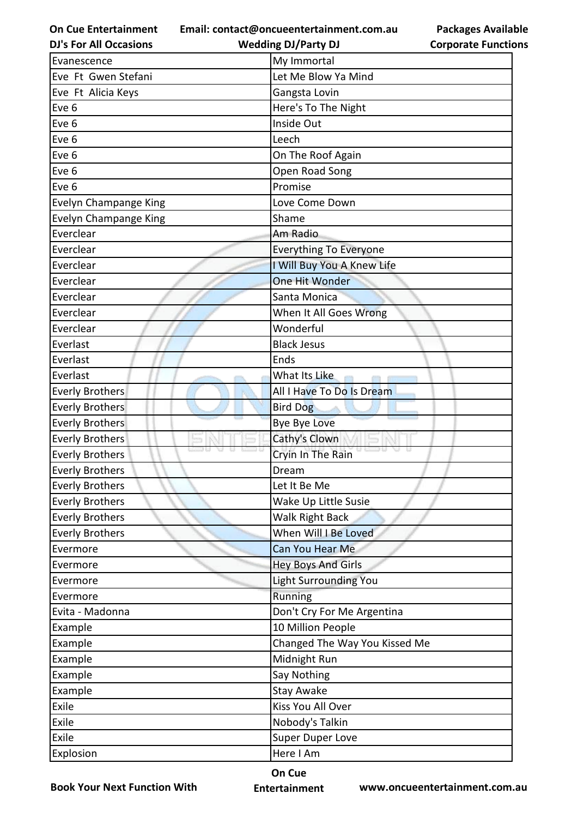**Email: contact@oncueentertainment.com.au**

**DJ's For All Occasions**

**Wedding DJ/Party DJ** 

**Packages Available Corporate Functions**

| Evanescence            | My Immortal                   |
|------------------------|-------------------------------|
| Eve Ft Gwen Stefani    | Let Me Blow Ya Mind           |
| Eve Ft Alicia Keys     | Gangsta Lovin                 |
| Eve 6                  | Here's To The Night           |
| Eve 6                  | Inside Out                    |
| Eve 6                  | Leech                         |
| Eve 6                  | On The Roof Again             |
| Eve 6                  | Open Road Song                |
| Eve 6                  | Promise                       |
| Evelyn Champange King  | Love Come Down                |
| Evelyn Champange King  | Shame                         |
| Everclear              | Am Radio                      |
| Everclear              | <b>Everything To Everyone</b> |
| Everclear              | I Will Buy You A Knew Life    |
| Everclear              | One Hit Wonder                |
| Everclear              | Santa Monica                  |
| Everclear              | When It All Goes Wrong        |
| Everclear              | Wonderful                     |
| Everlast               | <b>Black Jesus</b>            |
| Everlast               | Ends                          |
| Everlast               | What Its Like                 |
| <b>Everly Brothers</b> | All I Have To Do Is Dream     |
| <b>Everly Brothers</b> | <b>Bird Dog</b>               |
| <b>Everly Brothers</b> | Bye Bye Love                  |
| <b>Everly Brothers</b> | Cathy's Clown                 |
| <b>Everly Brothers</b> | Cryin In The Rain             |
| <b>Everly Brothers</b> | Dream                         |
| <b>Everly Brothers</b> | Let It Be Me                  |
| <b>Everly Brothers</b> | Wake Up Little Susie          |
| <b>Everly Brothers</b> | Walk Right Back               |
| <b>Everly Brothers</b> | When Will I Be Loved          |
| Evermore               | Can You Hear Me               |
| Evermore               | <b>Hey Boys And Girls</b>     |
| Evermore               | <b>Light Surrounding You</b>  |
| Evermore               | Running                       |
| Evita - Madonna        | Don't Cry For Me Argentina    |
| Example                | 10 Million People             |
| Example                | Changed The Way You Kissed Me |
| Example                | Midnight Run                  |
| Example                | Say Nothing                   |
| Example                | Stay Awake                    |
| Exile                  | Kiss You All Over             |
| Exile                  | Nobody's Talkin               |
| Exile                  | <b>Super Duper Love</b>       |
| Explosion              | Here I Am                     |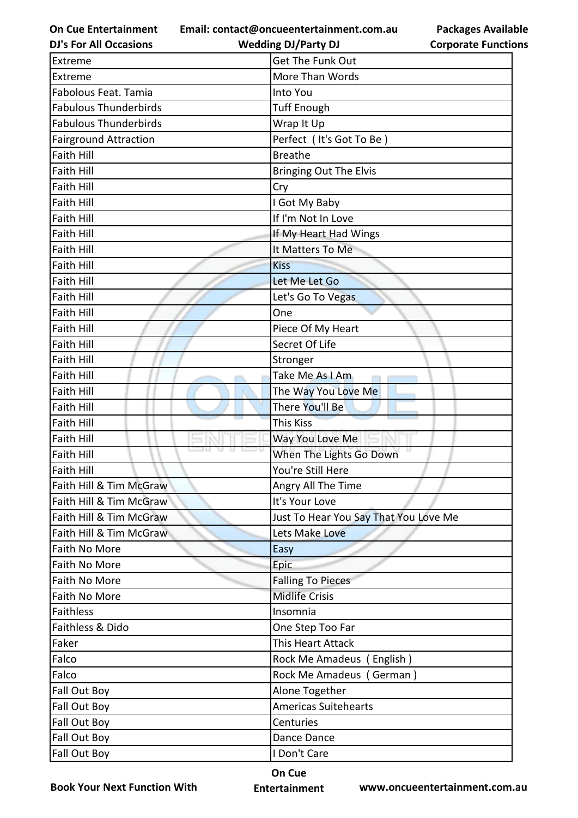**Email: contact@oncueentertainment.com.au**

**Wedding DJ/Party DJ** 

|                            | <b>Packages Available</b> |
|----------------------------|---------------------------|
| <b>Corporate Functions</b> |                           |

| <b>DJ's For All Occasions</b> | <b>Wedding DJ/Party DJ</b>            | <b>Corporate Functio</b> |
|-------------------------------|---------------------------------------|--------------------------|
| Extreme                       | Get The Funk Out                      |                          |
| Extreme                       | More Than Words                       |                          |
| Fabolous Feat. Tamia          | Into You                              |                          |
| <b>Fabulous Thunderbirds</b>  | <b>Tuff Enough</b>                    |                          |
| <b>Fabulous Thunderbirds</b>  | Wrap It Up                            |                          |
| <b>Fairground Attraction</b>  | Perfect (It's Got To Be)              |                          |
| <b>Faith Hill</b>             | <b>Breathe</b>                        |                          |
| <b>Faith Hill</b>             | <b>Bringing Out The Elvis</b>         |                          |
| <b>Faith Hill</b>             | Cry                                   |                          |
| <b>Faith Hill</b>             | I Got My Baby                         |                          |
| <b>Faith Hill</b>             | If I'm Not In Love                    |                          |
| <b>Faith Hill</b>             | If My Heart Had Wings                 |                          |
| <b>Faith Hill</b>             | It Matters To Me                      |                          |
| <b>Faith Hill</b>             | <b>Kiss</b>                           |                          |
| <b>Faith Hill</b>             | Let Me Let Go                         |                          |
| <b>Faith Hill</b>             | Let's Go To Vegas                     |                          |
| <b>Faith Hill</b>             | One                                   |                          |
| <b>Faith Hill</b>             | Piece Of My Heart                     |                          |
| <b>Faith Hill</b>             | Secret Of Life                        |                          |
| <b>Faith Hill</b>             | Stronger                              |                          |
| <b>Faith Hill</b>             | Take Me As I Am                       |                          |
| <b>Faith Hill</b>             | The Way You Love Me                   |                          |
| <b>Faith Hill</b>             | There You'll Be                       |                          |
| <b>Faith Hill</b>             | <b>This Kiss</b>                      |                          |
| <b>Faith Hill</b>             | Way You Love Me                       |                          |
| <b>Faith Hill</b>             | When The Lights Go Down               |                          |
| Faith Hill                    | You're Still Here                     |                          |
| Faith Hill & Tim McGraw       | Angry All The Time                    |                          |
| Faith Hill & Tim McGraw       | It's Your Love                        |                          |
| Faith Hill & Tim McGraw       | Just To Hear You Say That You Love Me |                          |
| Faith Hill & Tim McGraw       | Lets Make Love                        |                          |
| Faith No More                 | Easy                                  |                          |
| Faith No More                 | Epic                                  |                          |
| Faith No More                 | <b>Falling To Pieces</b>              |                          |
| Faith No More                 | <b>Midlife Crisis</b>                 |                          |
| <b>Faithless</b>              | Insomnia                              |                          |
| Faithless & Dido              | One Step Too Far                      |                          |
| Faker                         | This Heart Attack                     |                          |
| Falco                         | Rock Me Amadeus (English)             |                          |
| Falco                         | Rock Me Amadeus (German)              |                          |
| Fall Out Boy                  | Alone Together                        |                          |
| Fall Out Boy                  | <b>Americas Suitehearts</b>           |                          |
| Fall Out Boy                  | Centuries                             |                          |
| Fall Out Boy                  | Dance Dance                           |                          |
| Fall Out Boy                  | I Don't Care                          |                          |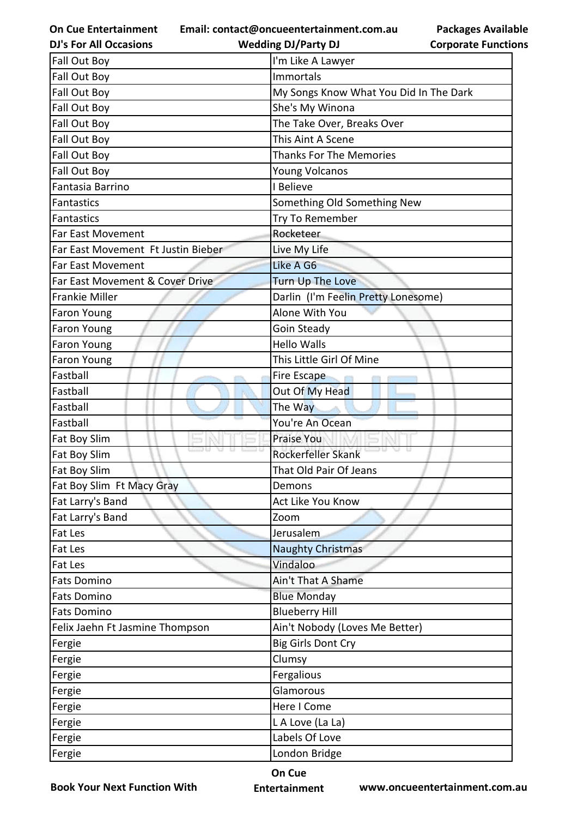**Email: contact@oncueentertainment.com.au**

| <b>DJ's For All Occasions</b>      | <b>Wedding DJ/Party DJ</b>             | <b>Corporate Functio</b> |
|------------------------------------|----------------------------------------|--------------------------|
| Fall Out Boy                       | I'm Like A Lawyer                      |                          |
| Fall Out Boy                       | Immortals                              |                          |
| Fall Out Boy                       | My Songs Know What You Did In The Dark |                          |
| Fall Out Boy                       | She's My Winona                        |                          |
| Fall Out Boy                       | The Take Over, Breaks Over             |                          |
| Fall Out Boy                       | This Aint A Scene                      |                          |
| Fall Out Boy                       | <b>Thanks For The Memories</b>         |                          |
| Fall Out Boy                       | <b>Young Volcanos</b>                  |                          |
| Fantasia Barrino                   | I Believe                              |                          |
| <b>Fantastics</b>                  | Something Old Something New            |                          |
| Fantastics                         | Try To Remember                        |                          |
| Far East Movement                  | Rocketeer                              |                          |
| Far East Movement Ft Justin Bieber | Live My Life                           |                          |
| Far East Movement                  | Like A G6                              |                          |
| Far East Movement & Cover Drive    | <b>Turn Up The Love</b>                |                          |
| <b>Frankie Miller</b>              | Darlin (I'm Feelin Pretty Lonesome)    |                          |
| Faron Young                        | Alone With You                         |                          |
| <b>Faron Young</b>                 | Goin Steady                            |                          |
| Faron Young                        | <b>Hello Walls</b>                     |                          |
| Faron Young                        | This Little Girl Of Mine               |                          |
| Fastball                           | Fire Escape                            |                          |
| Fastball                           | Out Of My Head                         |                          |
| Fastball                           | The Way                                |                          |
| Fastball                           | You're An Ocean                        |                          |
| Fat Boy Slim                       | <b>Praise You</b>                      |                          |
| Fat Boy Slim                       | Rockerfeller Skank                     |                          |
| <b>Fat Boy Slim</b>                | That Old Pair Of Jeans                 |                          |
| Fat Boy Slim Ft Macy Gray          | Demons                                 |                          |
| Fat Larry's Band                   | Act Like You Know                      |                          |
| Fat Larry's Band                   | Zoom                                   |                          |
| Fat Les                            | Jerusalem                              |                          |
| Fat Les                            | <b>Naughty Christmas</b>               |                          |
| Fat Les                            | Vindaloo                               |                          |
| <b>Fats Domino</b>                 | Ain't That A Shame                     |                          |
| <b>Fats Domino</b>                 | <b>Blue Monday</b>                     |                          |
| <b>Fats Domino</b>                 | <b>Blueberry Hill</b>                  |                          |
| Felix Jaehn Ft Jasmine Thompson    | Ain't Nobody (Loves Me Better)         |                          |
| Fergie                             | <b>Big Girls Dont Cry</b>              |                          |
| Fergie                             | Clumsy                                 |                          |
| Fergie                             | Fergalious                             |                          |
| Fergie                             | Glamorous                              |                          |
| Fergie                             | Here I Come                            |                          |
| Fergie                             | L A Love (La La)                       |                          |
| Fergie                             | Labels Of Love                         |                          |
| Fergie                             | London Bridge                          |                          |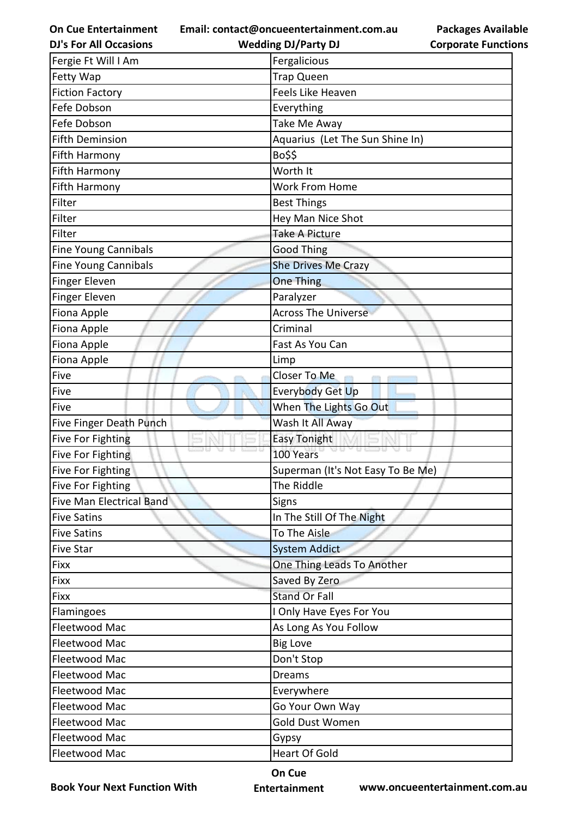**Email: contact@oncueentertainment.com.au**

| <b>DJ's For All Occasions</b>   | <b>Wedding DJ/Party DJ</b>        | <b>Corporate Functio</b> |
|---------------------------------|-----------------------------------|--------------------------|
| Fergie Ft Will I Am             | Fergalicious                      |                          |
| Fetty Wap                       | <b>Trap Queen</b>                 |                          |
| <b>Fiction Factory</b>          | Feels Like Heaven                 |                          |
| Fefe Dobson                     | Everything                        |                          |
| Fefe Dobson                     | Take Me Away                      |                          |
| <b>Fifth Deminsion</b>          | Aquarius (Let The Sun Shine In)   |                          |
| Fifth Harmony                   | Bo\$\$                            |                          |
| <b>Fifth Harmony</b>            | Worth It                          |                          |
| Fifth Harmony                   | <b>Work From Home</b>             |                          |
| Filter                          | <b>Best Things</b>                |                          |
| Filter                          | Hey Man Nice Shot                 |                          |
| Filter                          | <b>Take A Picture</b>             |                          |
| <b>Fine Young Cannibals</b>     | <b>Good Thing</b>                 |                          |
| <b>Fine Young Cannibals</b>     | <b>She Drives Me Crazy</b>        |                          |
| Finger Eleven                   | <b>One Thing</b>                  |                          |
| Finger Eleven                   | Paralyzer                         |                          |
| Fiona Apple                     | <b>Across The Universe</b>        |                          |
| Fiona Apple                     | Criminal                          |                          |
| Fiona Apple                     | Fast As You Can                   |                          |
| Fiona Apple                     | Limp                              |                          |
| Five                            | Closer To Me                      |                          |
| Five                            | Everybody Get Up                  |                          |
| Five                            | When The Lights Go Out            |                          |
| Five Finger Death Punch         | Wash It All Away                  |                          |
| <b>Five For Fighting</b>        | <b>Easy Tonight</b>               |                          |
| Five For Fighting               | 100 Years                         |                          |
| <b>Five For Fighting</b>        | Superman (It's Not Easy To Be Me) |                          |
| Five For Fighting               | The Riddle                        |                          |
| <b>Five Man Electrical Band</b> | Signs                             |                          |
| <b>Five Satins</b>              | In The Still Of The Night         |                          |
| <b>Five Satins</b>              | To The Aisle                      |                          |
| <b>Five Star</b>                | <b>System Addict</b>              |                          |
| Fixx                            | One Thing Leads To Another        |                          |
| Fixx                            | Saved By Zero                     |                          |
| Fixx                            | <b>Stand Or Fall</b>              |                          |
| Flamingoes                      | I Only Have Eyes For You          |                          |
| Fleetwood Mac                   | As Long As You Follow             |                          |
| Fleetwood Mac                   | <b>Big Love</b>                   |                          |
| Fleetwood Mac                   | Don't Stop                        |                          |
| Fleetwood Mac                   | Dreams                            |                          |
| Fleetwood Mac                   | Everywhere                        |                          |
| Fleetwood Mac                   | Go Your Own Way                   |                          |
| Fleetwood Mac                   | Gold Dust Women                   |                          |
| Fleetwood Mac                   | Gypsy                             |                          |
| Fleetwood Mac                   | <b>Heart Of Gold</b>              |                          |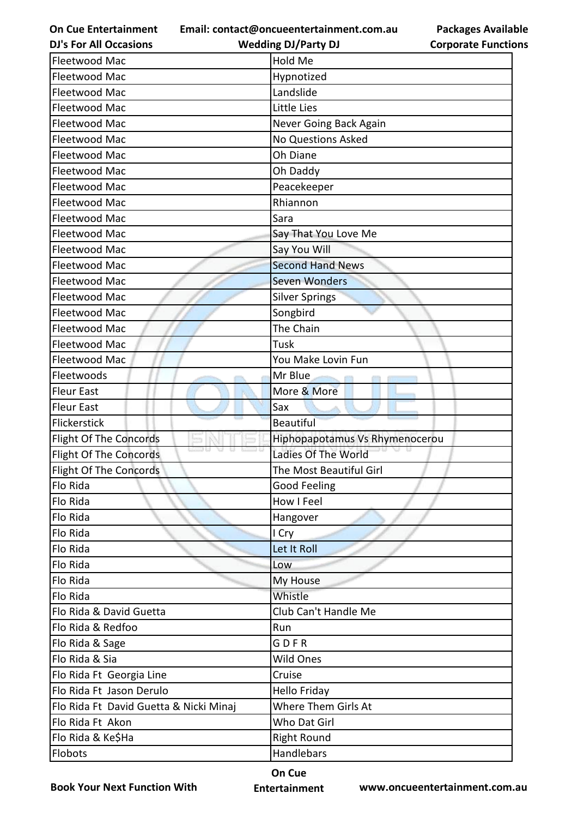**Email: contact@oncueentertainment.com.au Wedding DJ/Party DJ** 

**DJ's For All Occasions**

**Packages Available Corporate Functions**

| Fleetwood Mac                          | Hold Me                        |
|----------------------------------------|--------------------------------|
| Fleetwood Mac                          | Hypnotized                     |
| Fleetwood Mac                          | Landslide                      |
| Fleetwood Mac                          | Little Lies                    |
| Fleetwood Mac                          | Never Going Back Again         |
| Fleetwood Mac                          | <b>No Questions Asked</b>      |
| Fleetwood Mac                          | Oh Diane                       |
| Fleetwood Mac                          | Oh Daddy                       |
| Fleetwood Mac                          | Peacekeeper                    |
| Fleetwood Mac                          | Rhiannon                       |
| Fleetwood Mac                          | Sara                           |
| Fleetwood Mac                          | Say That You Love Me           |
| Fleetwood Mac                          | Say You Will                   |
| Fleetwood Mac                          | <b>Second Hand News</b>        |
| Fleetwood Mac                          | <b>Seven Wonders</b>           |
| Fleetwood Mac                          | <b>Silver Springs</b>          |
| Fleetwood Mac                          | Songbird                       |
| Fleetwood Mac                          | The Chain                      |
| Fleetwood Mac                          | Tusk                           |
| Fleetwood Mac                          | You Make Lovin Fun             |
| Fleetwoods                             | Mr Blue                        |
| <b>Fleur East</b>                      | More & More                    |
| <b>Fleur East</b>                      | Sax                            |
| Flickerstick                           | Beautiful                      |
| <b>Flight Of The Concords</b>          | Hiphopapotamus Vs Rhymenocerou |
| <b>Flight Of The Concords</b>          | Ladies Of The World            |
| Flight Of The Concords                 | The Most Beautiful Girl        |
| Flo Rida                               | Good Feeling                   |
| Flo Rida                               | How I Feel                     |
| Flo Rida                               | Hangover                       |
| Flo Rida                               | I Cry                          |
| Flo Rida                               | Let It Roll                    |
| Flo Rida                               | Low                            |
| Flo Rida                               | My House                       |
| Flo Rida                               | Whistle                        |
| Flo Rida & David Guetta                | Club Can't Handle Me           |
| Flo Rida & Redfoo                      | Run                            |
| Flo Rida & Sage                        | GDFR                           |
| Flo Rida & Sia                         | <b>Wild Ones</b>               |
| Flo Rida Ft Georgia Line               | Cruise                         |
| Flo Rida Ft Jason Derulo               | Hello Friday                   |
| Flo Rida Ft David Guetta & Nicki Minaj | Where Them Girls At            |
| Flo Rida Ft Akon                       | Who Dat Girl                   |
| Flo Rida & Ke\$Ha                      | <b>Right Round</b>             |
| Flobots                                | Handlebars                     |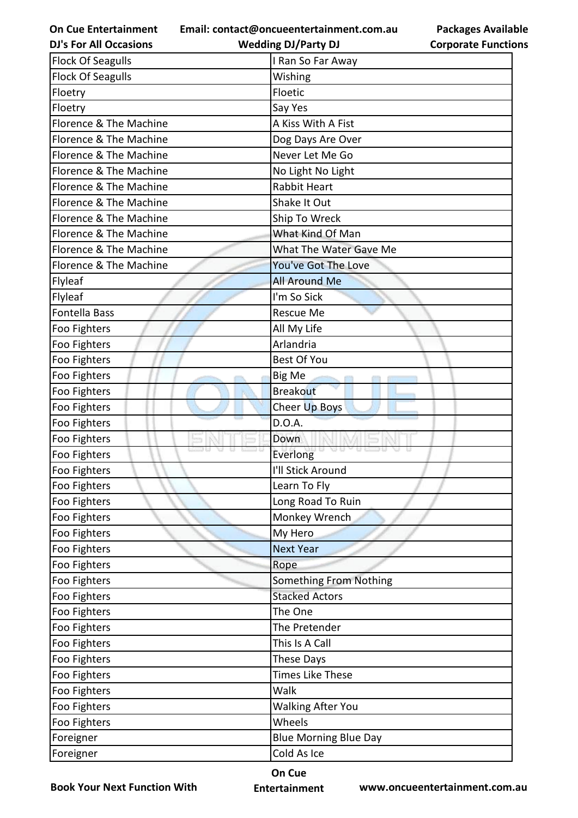**Email: contact@oncueentertainment.com.au**

**DJ's For All Occasions**

**Wedding DJ/Party DJ** 



| <b>Flock Of Seagulls</b> | I Ran So Far Away            |
|--------------------------|------------------------------|
| <b>Flock Of Seagulls</b> | Wishing                      |
| Floetry                  | Floetic                      |
| Floetry                  | Say Yes                      |
| Florence & The Machine   | A Kiss With A Fist           |
| Florence & The Machine   | Dog Days Are Over            |
| Florence & The Machine   | Never Let Me Go              |
| Florence & The Machine   | No Light No Light            |
| Florence & The Machine   | <b>Rabbit Heart</b>          |
| Florence & The Machine   | Shake It Out                 |
| Florence & The Machine   | Ship To Wreck                |
| Florence & The Machine   | What Kind Of Man             |
| Florence & The Machine   | What The Water Gave Me       |
| Florence & The Machine   | You've Got The Love          |
| Flyleaf                  | <b>All Around Me</b>         |
| Flyleaf                  | I'm So Sick                  |
| <b>Fontella Bass</b>     | Rescue Me                    |
| Foo Fighters             | All My Life                  |
| Foo Fighters             | Arlandria                    |
| Foo Fighters             | <b>Best Of You</b>           |
| Foo Fighters             | Big Me                       |
| Foo Fighters             | <b>Breakout</b>              |
| Foo Fighters             | Cheer Up Boys                |
| Foo Fighters             | D.O.A.                       |
| Foo Fighters             | Down                         |
| Foo Fighters             | Everlong                     |
| Foo Fighters             | I'll Stick Around            |
| Foo Fighters             | Learn To Fly                 |
| Foo Fighters             | Long Road To Ruin            |
| Foo Fighters             | Monkey Wrench                |
| Foo Fighters             | My Hero                      |
| Foo Fighters             | <b>Next Year</b>             |
| Foo Fighters             | Rope                         |
| Foo Fighters             | Something From Nothing       |
| Foo Fighters             | <b>Stacked Actors</b>        |
| Foo Fighters             | The One                      |
| Foo Fighters             | The Pretender                |
| Foo Fighters             | This Is A Call               |
| Foo Fighters             | These Days                   |
| Foo Fighters             | <b>Times Like These</b>      |
| Foo Fighters             | Walk                         |
| Foo Fighters             | <b>Walking After You</b>     |
| Foo Fighters             | Wheels                       |
| Foreigner                | <b>Blue Morning Blue Day</b> |
| Foreigner                | Cold As Ice                  |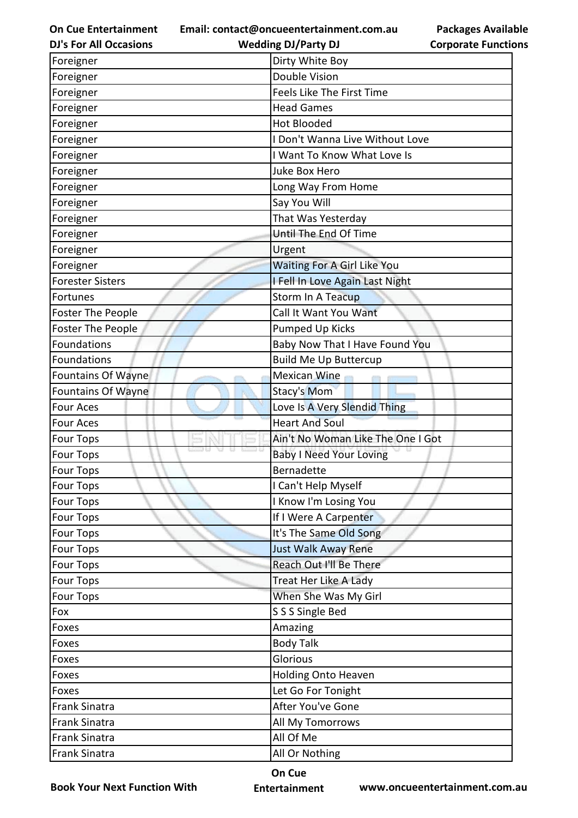**Email: contact@oncueentertainment.com.au**

**Packages Available Corporate Functions**

| <b>DJ's For All Occasions</b> | <b>Wedding DJ/Party DJ</b>         | <b>Corporate Functio</b> |
|-------------------------------|------------------------------------|--------------------------|
| Foreigner                     | Dirty White Boy                    |                          |
| Foreigner                     | <b>Double Vision</b>               |                          |
| Foreigner                     | Feels Like The First Time          |                          |
| Foreigner                     | <b>Head Games</b>                  |                          |
| Foreigner                     | <b>Hot Blooded</b>                 |                          |
| Foreigner                     | I Don't Wanna Live Without Love    |                          |
| Foreigner                     | I Want To Know What Love Is        |                          |
| Foreigner                     | <b>Juke Box Hero</b>               |                          |
| Foreigner                     | Long Way From Home                 |                          |
| Foreigner                     | Say You Will                       |                          |
| Foreigner                     | That Was Yesterday                 |                          |
| Foreigner                     | Until The End Of Time              |                          |
| Foreigner                     | Urgent                             |                          |
| Foreigner                     | <b>Waiting For A Girl Like You</b> |                          |
| <b>Forester Sisters</b>       | I Fell In Love Again Last Night    |                          |
| Fortunes                      | <b>Storm In A Teacup</b>           |                          |
| Foster The People             | Call It Want You Want              |                          |
| Foster The People             | <b>Pumped Up Kicks</b>             |                          |
| <b>Foundations</b>            | Baby Now That I Have Found You     |                          |
| Foundations                   | <b>Build Me Up Buttercup</b>       |                          |
| <b>Fountains Of Wayne</b>     | <b>Mexican Wine</b>                |                          |
| <b>Fountains Of Wayne</b>     | <b>Stacy's Mom</b>                 |                          |
| <b>Four Aces</b>              | Love Is A Very Slendid Thing       |                          |
| Four Aces                     | <b>Heart And Soul</b>              |                          |
| <b>Four Tops</b>              | Ain't No Woman Like The One I Got  |                          |
| <b>Four Tops</b>              | <b>Baby I Need Your Loving</b>     |                          |
| <b>Four Tops</b>              | <b>Bernadette</b>                  |                          |
| <b>Four Tops</b>              | I Can't Help Myself                |                          |
| <b>Four Tops</b>              | I Know I'm Losing You              |                          |
| <b>Four Tops</b>              | If I Were A Carpenter              |                          |
| <b>Four Tops</b>              | It's The Same Old Song             |                          |
| Four Tops                     | <b>Just Walk Away Rene</b>         |                          |
| <b>Four Tops</b>              | Reach Out I'll Be There            |                          |
| <b>Four Tops</b>              | Treat Her Like A Lady              |                          |
| <b>Four Tops</b>              | When She Was My Girl               |                          |
| Fox                           | S S S Single Bed                   |                          |
| Foxes                         | Amazing                            |                          |
| Foxes                         | <b>Body Talk</b>                   |                          |
| Foxes                         | Glorious                           |                          |
| Foxes                         | Holding Onto Heaven                |                          |
| Foxes                         | Let Go For Tonight                 |                          |
| Frank Sinatra                 | After You've Gone                  |                          |
| <b>Frank Sinatra</b>          | All My Tomorrows                   |                          |
| <b>Frank Sinatra</b>          | All Of Me                          |                          |
| Frank Sinatra                 | All Or Nothing                     |                          |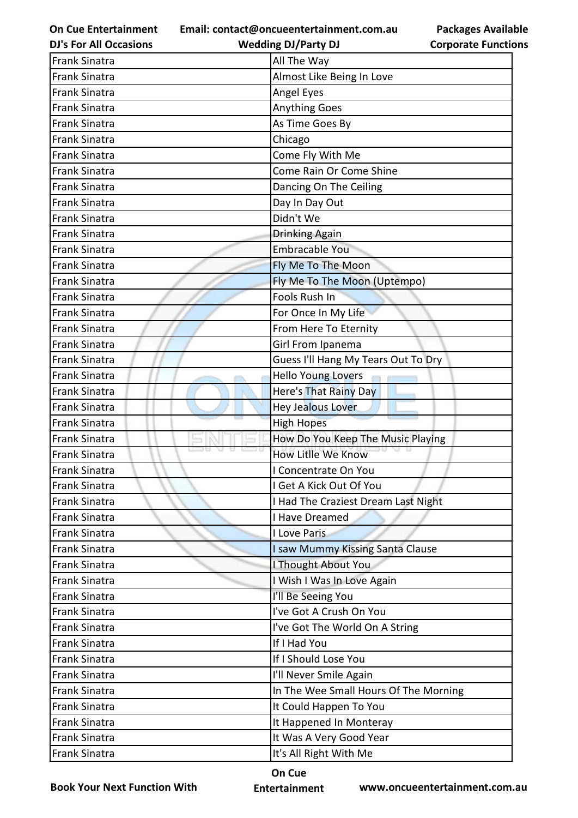**Email: contact@oncueentertainment.com.au Wedding DJ/Party DJ** 

**DJ's For All Occasions**

**Corporate Functions**

**Packages Available** 

| <b>Frank Sinatra</b> | All The Way                           |
|----------------------|---------------------------------------|
| <b>Frank Sinatra</b> | Almost Like Being In Love             |
| <b>Frank Sinatra</b> | Angel Eyes                            |
| <b>Frank Sinatra</b> | <b>Anything Goes</b>                  |
| <b>Frank Sinatra</b> | As Time Goes By                       |
| <b>Frank Sinatra</b> | Chicago                               |
| <b>Frank Sinatra</b> | Come Fly With Me                      |
| <b>Frank Sinatra</b> | Come Rain Or Come Shine               |
| <b>Frank Sinatra</b> | Dancing On The Ceiling                |
| <b>Frank Sinatra</b> | Day In Day Out                        |
| <b>Frank Sinatra</b> | Didn't We                             |
| <b>Frank Sinatra</b> | <b>Drinking Again</b>                 |
| <b>Frank Sinatra</b> | <b>Embracable You</b>                 |
| <b>Frank Sinatra</b> | Fly Me To The Moon                    |
| <b>Frank Sinatra</b> | Fly Me To The Moon (Uptempo)          |
| <b>Frank Sinatra</b> | Fools Rush In                         |
| <b>Frank Sinatra</b> | For Once In My Life                   |
| <b>Frank Sinatra</b> | From Here To Eternity                 |
| <b>Frank Sinatra</b> | Girl From Ipanema                     |
| <b>Frank Sinatra</b> | Guess I'll Hang My Tears Out To Dry   |
| <b>Frank Sinatra</b> | <b>Hello Young Lovers</b>             |
| <b>Frank Sinatra</b> | Here's That Rainy Day                 |
| <b>Frank Sinatra</b> | <b>Hey Jealous Lover</b>              |
| <b>Frank Sinatra</b> | <b>High Hopes</b>                     |
| <b>Frank Sinatra</b> | How Do You Keep The Music Playing     |
| <b>Frank Sinatra</b> | How Litlle We Know                    |
| <b>Frank Sinatra</b> | I Concentrate On You                  |
| <b>Frank Sinatra</b> | I Get A Kick Out Of You               |
| <b>Frank Sinatra</b> | I Had The Craziest Dream Last Night   |
| <b>Frank Sinatra</b> | I Have Dreamed                        |
| <b>Frank Sinatra</b> | I Love Paris                          |
| <b>Frank Sinatra</b> | I saw Mummy Kissing Santa Clause      |
| <b>Frank Sinatra</b> | I Thought About You                   |
| <b>Frank Sinatra</b> | I Wish I Was In Love Again            |
| <b>Frank Sinatra</b> | I'll Be Seeing You                    |
| <b>Frank Sinatra</b> | I've Got A Crush On You               |
| <b>Frank Sinatra</b> | I've Got The World On A String        |
| <b>Frank Sinatra</b> | If I Had You                          |
| <b>Frank Sinatra</b> | If I Should Lose You                  |
| <b>Frank Sinatra</b> | I'll Never Smile Again                |
| <b>Frank Sinatra</b> | In The Wee Small Hours Of The Morning |
| <b>Frank Sinatra</b> | It Could Happen To You                |
| <b>Frank Sinatra</b> | It Happened In Monteray               |
| <b>Frank Sinatra</b> | It Was A Very Good Year               |
| <b>Frank Sinatra</b> | It's All Right With Me                |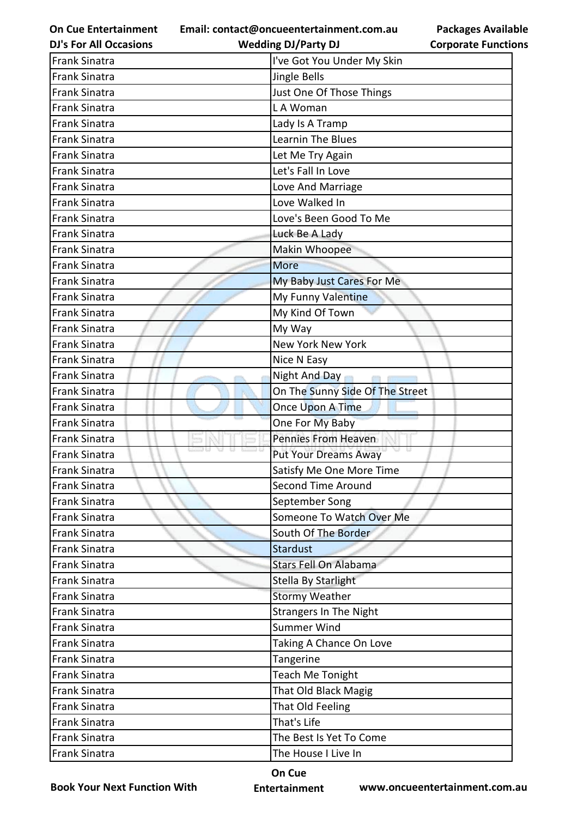**Email: contact@oncueentertainment.com.au Wedding DJ/Party DJ** 

**DJ's For All Occasions**

**Packages Available Corporate Functions**

| <b>Frank Sinatra</b> | I've Got You Under My Skin      |
|----------------------|---------------------------------|
| <b>Frank Sinatra</b> | Jingle Bells                    |
| <b>Frank Sinatra</b> | Just One Of Those Things        |
| <b>Frank Sinatra</b> | LA Woman                        |
| <b>Frank Sinatra</b> | Lady Is A Tramp                 |
| <b>Frank Sinatra</b> | Learnin The Blues               |
| <b>Frank Sinatra</b> | Let Me Try Again                |
| <b>Frank Sinatra</b> | Let's Fall In Love              |
| <b>Frank Sinatra</b> | Love And Marriage               |
| <b>Frank Sinatra</b> | Love Walked In                  |
| <b>Frank Sinatra</b> | Love's Been Good To Me          |
| <b>Frank Sinatra</b> | Luck Be A Lady                  |
| <b>Frank Sinatra</b> | Makin Whoopee                   |
| <b>Frank Sinatra</b> | <b>More</b>                     |
| <b>Frank Sinatra</b> | My Baby Just Cares For Me       |
| <b>Frank Sinatra</b> | My Funny Valentine              |
| <b>Frank Sinatra</b> | My Kind Of Town                 |
| <b>Frank Sinatra</b> | My Way                          |
| <b>Frank Sinatra</b> | New York New York               |
| <b>Frank Sinatra</b> | Nice N Easy                     |
| <b>Frank Sinatra</b> | Night And Day<br><b>COLLEGE</b> |
| <b>Frank Sinatra</b> | On The Sunny Side Of The Street |
| <b>Frank Sinatra</b> | Once Upon A Time                |
| <b>Frank Sinatra</b> | One For My Baby                 |
| <b>Frank Sinatra</b> | <b>Pennies From Heaven</b>      |
| <b>Frank Sinatra</b> | <b>Put Your Dreams Away</b>     |
| <b>Frank Sinatra</b> | Satisfy Me One More Time        |
| <b>Frank Sinatra</b> | <b>Second Time Around</b>       |
| <b>Frank Sinatra</b> | September Song                  |
| <b>Frank Sinatra</b> | Someone To Watch Over Me        |
| <b>Frank Sinatra</b> | South Of The Border             |
| <b>Frank Sinatra</b> | <b>Stardust</b>                 |
| <b>Frank Sinatra</b> | <b>Stars Fell On Alabama</b>    |
| <b>Frank Sinatra</b> | Stella By Starlight             |
| <b>Frank Sinatra</b> | <b>Stormy Weather</b>           |
| <b>Frank Sinatra</b> | <b>Strangers In The Night</b>   |
| <b>Frank Sinatra</b> | <b>Summer Wind</b>              |
| <b>Frank Sinatra</b> | Taking A Chance On Love         |
| <b>Frank Sinatra</b> | Tangerine                       |
| <b>Frank Sinatra</b> | <b>Teach Me Tonight</b>         |
| <b>Frank Sinatra</b> | That Old Black Magig            |
| <b>Frank Sinatra</b> | That Old Feeling                |
| <b>Frank Sinatra</b> | That's Life                     |
| <b>Frank Sinatra</b> | The Best Is Yet To Come         |
| Frank Sinatra        | The House I Live In             |
|                      |                                 |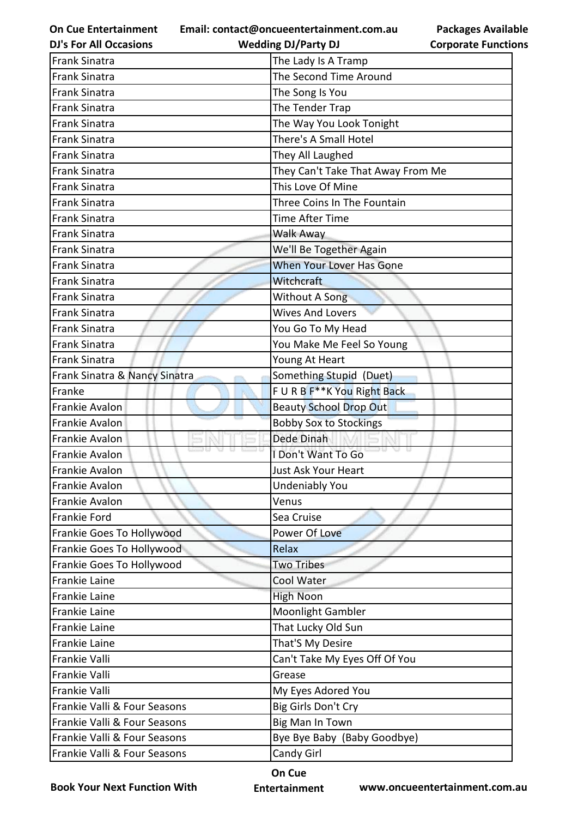**Email: contact@oncueentertainment.com.au**

**Packages Available Corporate Functions**

| <b>DJ's For All Occasions</b> | <b>Wedding DJ/Party DJ</b>        | <b>Corporate Functio</b> |
|-------------------------------|-----------------------------------|--------------------------|
| <b>Frank Sinatra</b>          | The Lady Is A Tramp               |                          |
| <b>Frank Sinatra</b>          | The Second Time Around            |                          |
| <b>Frank Sinatra</b>          | The Song Is You                   |                          |
| <b>Frank Sinatra</b>          | The Tender Trap                   |                          |
| <b>Frank Sinatra</b>          | The Way You Look Tonight          |                          |
| <b>Frank Sinatra</b>          | There's A Small Hotel             |                          |
| <b>Frank Sinatra</b>          | They All Laughed                  |                          |
| <b>Frank Sinatra</b>          | They Can't Take That Away From Me |                          |
| <b>Frank Sinatra</b>          | This Love Of Mine                 |                          |
| <b>Frank Sinatra</b>          | Three Coins In The Fountain       |                          |
| <b>Frank Sinatra</b>          | <b>Time After Time</b>            |                          |
| <b>Frank Sinatra</b>          | Walk Away                         |                          |
| <b>Frank Sinatra</b>          | We'll Be Together Again           |                          |
| <b>Frank Sinatra</b>          | When Your Lover Has Gone          |                          |
| <b>Frank Sinatra</b>          | <b>Witchcraft</b>                 |                          |
| <b>Frank Sinatra</b>          | <b>Without A Song</b>             |                          |
| <b>Frank Sinatra</b>          | <b>Wives And Lovers</b>           |                          |
| <b>Frank Sinatra</b>          | You Go To My Head                 |                          |
| <b>Frank Sinatra</b>          | You Make Me Feel So Young         |                          |
| <b>Frank Sinatra</b>          | Young At Heart                    |                          |
| Frank Sinatra & Nancy Sinatra | Something Stupid (Duet)           |                          |
| Franke                        | FURBF**K You Right Back           |                          |
| Frankie Avalon                | <b>Beauty School Drop Out</b>     |                          |
| Frankie Avalon                | <b>Bobby Sox to Stockings</b>     |                          |
| Frankie Avalon                | Dede Dinah                        |                          |
| Frankie Avalon                | I Don't Want To Go                |                          |
| Frankie Avalon                | Just Ask Your Heart               |                          |
| Frankie Avalon                | <b>Undeniably You</b>             |                          |
| Frankie Avalon                | Venus                             |                          |
| <b>Frankie Ford</b>           | Sea Cruise                        |                          |
| Frankie Goes To Hollywood     | Power Of Love                     |                          |
| Frankie Goes To Hollywood     | Relax                             |                          |
| Frankie Goes To Hollywood     | <b>Two Tribes</b>                 |                          |
| <b>Frankie Laine</b>          | Cool Water                        |                          |
| Frankie Laine                 | <b>High Noon</b>                  |                          |
| Frankie Laine                 | <b>Moonlight Gambler</b>          |                          |
| Frankie Laine                 | That Lucky Old Sun                |                          |
| Frankie Laine                 | That'S My Desire                  |                          |
| Frankie Valli                 | Can't Take My Eyes Off Of You     |                          |
| Frankie Valli                 | Grease                            |                          |
| Frankie Valli                 | My Eyes Adored You                |                          |
| Frankie Valli & Four Seasons  | Big Girls Don't Cry               |                          |
| Frankie Valli & Four Seasons  | Big Man In Town                   |                          |
| Frankie Valli & Four Seasons  | Bye Bye Baby (Baby Goodbye)       |                          |
| Frankie Valli & Four Seasons  | Candy Girl                        |                          |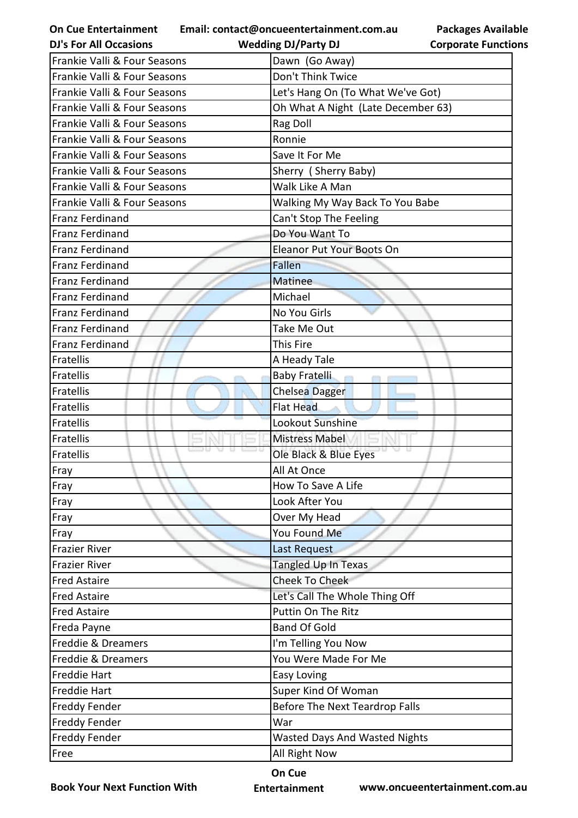| <b>On Cue Entertainment</b>   | Email: contact@oncueentertainment.com.au | <b>Packages Available</b>  |
|-------------------------------|------------------------------------------|----------------------------|
| <b>DJ's For All Occasions</b> | <b>Wedding DJ/Party DJ</b>               | <b>Corporate Functions</b> |
| Frankie Valli & Four Seasons  | Dawn (Go Away)                           |                            |
| Frankie Valli & Four Seasons  | Don't Think Twice                        |                            |
| Frankie Valli & Four Seasons  | Let's Hang On (To What We've Got)        |                            |
| Frankie Valli & Four Seasons  | Oh What A Night (Late December 63)       |                            |
| Frankie Valli & Four Seasons  | Rag Doll                                 |                            |
| Frankie Valli & Four Seasons  | Ronnie                                   |                            |
| Frankie Valli & Four Seasons  | Save It For Me                           |                            |
| Frankie Valli & Four Seasons  | Sherry (Sherry Baby)                     |                            |
| Frankie Valli & Four Seasons  | Walk Like A Man                          |                            |
| Frankie Valli & Four Seasons  | Walking My Way Back To You Babe          |                            |
| <b>Franz Ferdinand</b>        | Can't Stop The Feeling                   |                            |
| Franz Ferdinand               | Do You Want To                           |                            |
| Franz Ferdinand               | Eleanor Put Your Boots On                |                            |
| <b>Franz Ferdinand</b>        | <b>Fallen</b>                            |                            |
| <b>Franz Ferdinand</b>        | <b>Matinee</b>                           |                            |
| Franz Ferdinand               | Michael                                  |                            |
| <b>Franz Ferdinand</b>        | No You Girls                             |                            |
| <b>Franz Ferdinand</b>        | Take Me Out                              |                            |
| <b>Franz Ferdinand</b>        | This Fire                                |                            |
| Fratellis                     | A Heady Tale                             |                            |
| Fratellis                     | <b>Baby Fratelli</b>                     |                            |
| Fratellis                     | <b>Chelsea Dagger</b>                    |                            |
| Fratellis                     | <b>Flat Head</b>                         |                            |
| Fratellis                     | Lookout Sunshine                         |                            |
| Fratellis                     | <b>Mistress Mabel</b>                    |                            |
| Fratellis                     | Ole Black & Blue Eyes                    |                            |
| Fray                          | All At Once                              |                            |
| Fray                          | How To Save A Life                       |                            |
| Fray                          | Look After You                           |                            |
| Fray                          | Over My Head                             |                            |
| Fray                          | You Found Me                             |                            |
| <b>Frazier River</b>          | Last Request                             |                            |
| Frazier River                 | Tangled Up In Texas                      |                            |
| <b>Fred Astaire</b>           | <b>Cheek To Cheek</b>                    |                            |
| <b>Fred Astaire</b>           | Let's Call The Whole Thing Off           |                            |
| <b>Fred Astaire</b>           | Puttin On The Ritz                       |                            |
| Freda Payne                   | <b>Band Of Gold</b>                      |                            |
| Freddie & Dreamers            | I'm Telling You Now                      |                            |
| Freddie & Dreamers            | You Were Made For Me                     |                            |
| <b>Freddie Hart</b>           | Easy Loving                              |                            |
| <b>Freddie Hart</b>           | Super Kind Of Woman                      |                            |
| <b>Freddy Fender</b>          | Before The Next Teardrop Falls           |                            |
| <b>Freddy Fender</b>          | War                                      |                            |
| <b>Freddy Fender</b>          | <b>Wasted Days And Wasted Nights</b>     |                            |
| Free                          | All Right Now                            |                            |
|                               |                                          |                            |

**Book Your Next Function With**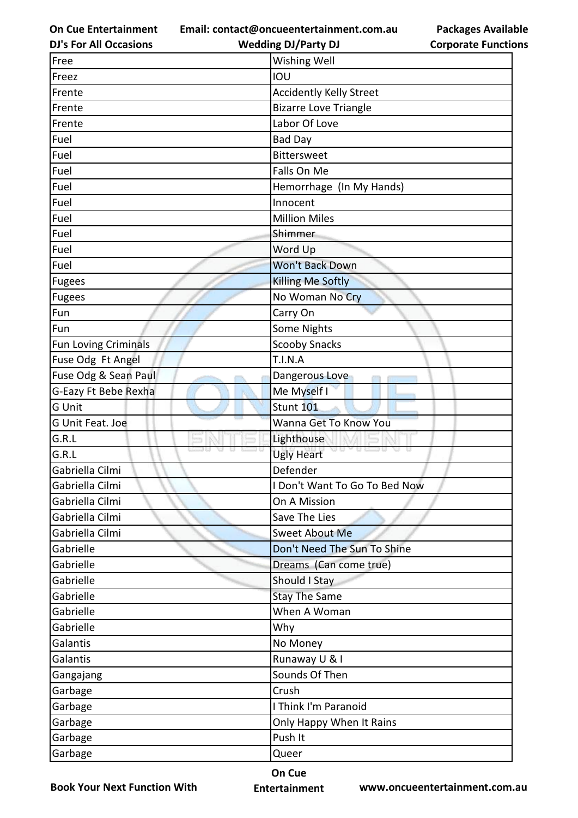**Email: contact@oncueentertainment.com.au**

**DJ's For All Occasions**

## **Packages Available Corporate Functions**

| <b>DJ's For All Occasions</b> | <b>Wedding DJ/Party DJ</b>                | <b>Corporate Functio</b> |
|-------------------------------|-------------------------------------------|--------------------------|
| Free                          | Wishing Well                              |                          |
| Freez                         | IOU                                       |                          |
| Frente                        | <b>Accidently Kelly Street</b>            |                          |
| Frente                        | <b>Bizarre Love Triangle</b>              |                          |
| Frente                        | Labor Of Love                             |                          |
| Fuel                          | Bad Day                                   |                          |
| Fuel                          | <b>Bittersweet</b>                        |                          |
| Fuel                          | Falls On Me                               |                          |
| Fuel                          | Hemorrhage (In My Hands)                  |                          |
| Fuel                          | Innocent                                  |                          |
| Fuel                          | <b>Million Miles</b>                      |                          |
| Fuel                          | Shimmer                                   |                          |
| Fuel                          | Word Up                                   |                          |
| Fuel                          | <b>Won't Back Down</b>                    |                          |
| Fugees                        | <b>Killing Me Softly</b>                  |                          |
| Fugees                        | No Woman No Cry                           |                          |
| Fun                           | Carry On                                  |                          |
| Fun                           | Some Nights                               |                          |
| <b>Fun Loving Criminals</b>   | <b>Scooby Snacks</b>                      |                          |
| Fuse Odg Ft Angel             | T.I.N.A                                   |                          |
| Fuse Odg & Sean Paul          | Dangerous Love                            |                          |
| G-Eazy Ft Bebe Rexha          | Me Myself I                               |                          |
| G Unit                        | <b>Stunt 101</b>                          |                          |
| G Unit Feat. Joe              | Wanna Get To Know You                     |                          |
| G.R.L                         | Lighthouse                                |                          |
| G.R.L                         | a e<br>$\cup$ $\cup$<br><b>Ugly Heart</b> | ÷                        |
| Gabriella Cilmi               | Defender                                  |                          |
| Gabriella Cilmi               | I Don't Want To Go To Bed Now             |                          |
| Gabriella Cilmi               | On A Mission                              |                          |
| Gabriella Cilmi               | Save The Lies                             |                          |
| Gabriella Cilmi               | <b>Sweet About Me</b>                     |                          |
| Gabrielle                     | Don't Need The Sun To Shine               |                          |
| Gabrielle                     | Dreams (Can come true)                    |                          |
| Gabrielle                     | Should I Stay                             |                          |
| Gabrielle                     | <b>Stay The Same</b>                      |                          |
| Gabrielle                     | When A Woman                              |                          |
| Gabrielle                     | Why                                       |                          |
| Galantis                      | No Money                                  |                          |
| Galantis                      | Runaway U & I                             |                          |
| Gangajang                     | Sounds Of Then                            |                          |
| Garbage                       | Crush                                     |                          |
| Garbage                       | I Think I'm Paranoid                      |                          |
| Garbage                       | Only Happy When It Rains                  |                          |
| Garbage                       | Push It                                   |                          |
| Garbage                       | Queer                                     |                          |
|                               |                                           |                          |

**Book Your Next Function With**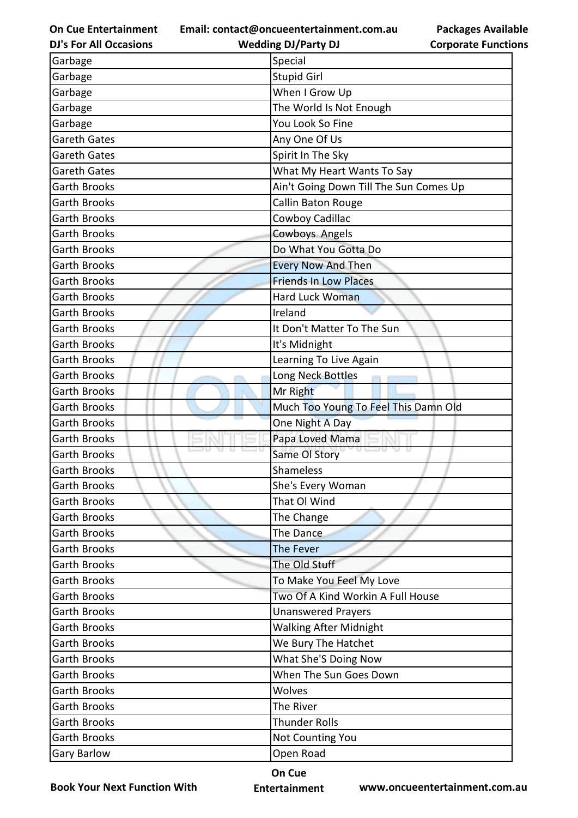**Email: contact@oncueentertainment.com.au**

**DJ's For All Occasions Wedding DJ/Party DJ** 

**Packages Available Corporate Functions**

| Garbage             | Special                                |
|---------------------|----------------------------------------|
| Garbage             | <b>Stupid Girl</b>                     |
| Garbage             | When I Grow Up                         |
| Garbage             | The World Is Not Enough                |
| Garbage             | You Look So Fine                       |
| Gareth Gates        | Any One Of Us                          |
| <b>Gareth Gates</b> | Spirit In The Sky                      |
| <b>Gareth Gates</b> | What My Heart Wants To Say             |
| <b>Garth Brooks</b> | Ain't Going Down Till The Sun Comes Up |
| <b>Garth Brooks</b> | Callin Baton Rouge                     |
| <b>Garth Brooks</b> | Cowboy Cadillac                        |
| <b>Garth Brooks</b> | Cowboys Angels                         |
| <b>Garth Brooks</b> | Do What You Gotta Do                   |
| <b>Garth Brooks</b> | <b>Every Now And Then</b>              |
| <b>Garth Brooks</b> | <b>Friends In Low Places</b>           |
| <b>Garth Brooks</b> | <b>Hard Luck Woman</b>                 |
| <b>Garth Brooks</b> | Ireland                                |
| <b>Garth Brooks</b> | It Don't Matter To The Sun             |
| <b>Garth Brooks</b> | It's Midnight                          |
| <b>Garth Brooks</b> | Learning To Live Again                 |
| <b>Garth Brooks</b> | Long Neck Bottles                      |
| <b>Garth Brooks</b> | Mr Right                               |
| <b>Garth Brooks</b> | Much Too Young To Feel This Damn Old   |
| <b>Garth Brooks</b> | One Night A Day                        |
| <b>Garth Brooks</b> | Papa Loved Mama                        |
| <b>Garth Brooks</b> | Same OI Story                          |
| <b>Garth Brooks</b> | Shameless                              |
| <b>Garth Brooks</b> | She's Every Woman                      |
| <b>Garth Brooks</b> | That OI Wind                           |
| <b>Garth Brooks</b> | The Change                             |
| <b>Garth Brooks</b> | The Dance                              |
| <b>Garth Brooks</b> | The Fever                              |
| <b>Garth Brooks</b> | The Old Stuff                          |
| <b>Garth Brooks</b> | To Make You Feel My Love               |
| <b>Garth Brooks</b> | Two Of A Kind Workin A Full House      |
| <b>Garth Brooks</b> | <b>Unanswered Prayers</b>              |
| <b>Garth Brooks</b> | <b>Walking After Midnight</b>          |
| <b>Garth Brooks</b> | We Bury The Hatchet                    |
| <b>Garth Brooks</b> | What She'S Doing Now                   |
| <b>Garth Brooks</b> | When The Sun Goes Down                 |
| <b>Garth Brooks</b> | Wolves                                 |
| <b>Garth Brooks</b> | The River                              |
| <b>Garth Brooks</b> | <b>Thunder Rolls</b>                   |
| <b>Garth Brooks</b> | Not Counting You                       |
| <b>Gary Barlow</b>  | Open Road                              |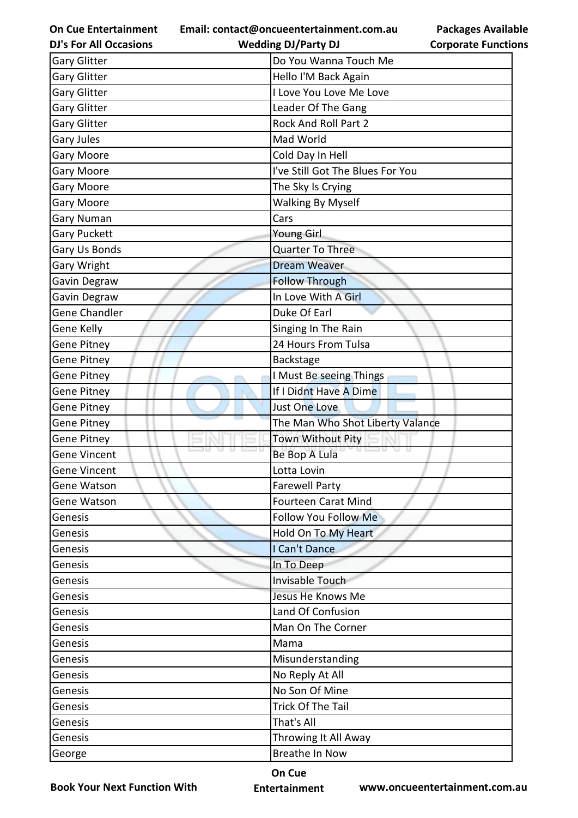**Email: contact@oncueentertainment.com.au Wedding DJ/Party DJ** 

**Packages Available Corporate Functions**

| <b>DJ's For All Occasions</b> | <b>Wedding DJ/Party DJ</b>       | <b>Corporate Functio</b> |
|-------------------------------|----------------------------------|--------------------------|
| <b>Gary Glitter</b>           | Do You Wanna Touch Me            |                          |
| <b>Gary Glitter</b>           | Hello I'M Back Again             |                          |
| <b>Gary Glitter</b>           | I Love You Love Me Love          |                          |
| <b>Gary Glitter</b>           | Leader Of The Gang               |                          |
| <b>Gary Glitter</b>           | <b>Rock And Roll Part 2</b>      |                          |
| <b>Gary Jules</b>             | Mad World                        |                          |
| <b>Gary Moore</b>             | Cold Day In Hell                 |                          |
| <b>Gary Moore</b>             | I've Still Got The Blues For You |                          |
| <b>Gary Moore</b>             | The Sky Is Crying                |                          |
| <b>Gary Moore</b>             | <b>Walking By Myself</b>         |                          |
| Gary Numan                    | Cars                             |                          |
| <b>Gary Puckett</b>           | Young Girl                       |                          |
| Gary Us Bonds                 | <b>Quarter To Three</b>          |                          |
| Gary Wright                   | <b>Dream Weaver</b>              |                          |
| Gavin Degraw                  | <b>Follow Through</b>            |                          |
| Gavin Degraw                  | In Love With A Girl              |                          |
| <b>Gene Chandler</b>          | Duke Of Earl                     |                          |
| Gene Kelly                    | Singing In The Rain              |                          |
| Gene Pitney                   | 24 Hours From Tulsa              |                          |
| <b>Gene Pitney</b>            | Backstage                        |                          |
| Gene Pitney                   | I Must Be seeing Things          |                          |
| Gene Pitney                   | If I Didnt Have A Dime           |                          |
| <b>Gene Pitney</b>            | Just One Love                    |                          |
| Gene Pitney                   | The Man Who Shot Liberty Valance |                          |
| Gene Pitney                   | <b>Town Without Pity</b>         |                          |
| <b>Gene Vincent</b>           | Be Bop A Lula                    |                          |
| Gene Vincent                  | Lotta Lovin                      |                          |
| Gene Watson                   | <b>Farewell Party</b>            |                          |
| Gene Watson                   | <b>Fourteen Carat Mind</b>       |                          |
| Genesis                       | Follow You Follow Me             |                          |
| Genesis                       | Hold On To My Heart              |                          |
| Genesis                       | I Can't Dance                    |                          |
| Genesis                       | In To Deep                       |                          |
| Genesis                       | Invisable Touch                  |                          |
| Genesis                       | Jesus He Knows Me                |                          |
| Genesis                       | Land Of Confusion                |                          |
| Genesis                       | Man On The Corner                |                          |
| Genesis                       | Mama                             |                          |
| Genesis                       | Misunderstanding                 |                          |
| Genesis                       | No Reply At All                  |                          |
| Genesis                       | No Son Of Mine                   |                          |
| Genesis                       | Trick Of The Tail                |                          |
| Genesis                       | That's All                       |                          |
| Genesis                       | Throwing It All Away             |                          |
| George                        | <b>Breathe In Now</b>            |                          |
|                               |                                  |                          |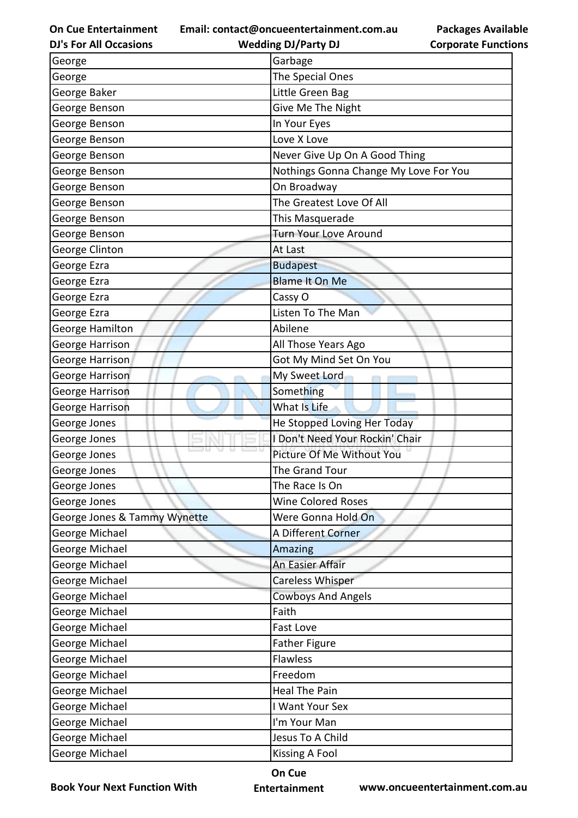**Email: contact@oncueentertainment.com.au Wedding DJ/Party DJ** 

**DJ's For All Occasions**

**Packages Available Corporate Functions**

| George                       | Garbage                               |
|------------------------------|---------------------------------------|
| George                       | The Special Ones                      |
| George Baker                 | Little Green Bag                      |
| George Benson                | Give Me The Night                     |
| George Benson                | In Your Eyes                          |
| George Benson                | Love X Love                           |
| George Benson                | Never Give Up On A Good Thing         |
| George Benson                | Nothings Gonna Change My Love For You |
| George Benson                | On Broadway                           |
| George Benson                | The Greatest Love Of All              |
| George Benson                | This Masquerade                       |
| George Benson                | Turn Your Love Around                 |
| George Clinton               | At Last                               |
| George Ezra                  | <b>Budapest</b>                       |
| George Ezra                  | <b>Blame It On Me</b>                 |
| George Ezra                  | Cassy O                               |
| George Ezra                  | Listen To The Man                     |
| George Hamilton              | Abilene                               |
| George Harrison              | All Those Years Ago                   |
| George Harrison              | Got My Mind Set On You                |
| George Harrison              | My Sweet Lord                         |
| George Harrison              | Something                             |
| George Harrison              | What Is Life                          |
| George Jones                 | He Stopped Loving Her Today           |
| George Jones                 | I Don't Need Your Rockin' Chair       |
| George Jones                 | Picture Of Me Without You             |
| George Jones                 | The Grand Tour                        |
| George Jones                 | The Race Is On                        |
| George Jones                 | <b>Wine Colored Roses</b>             |
| George Jones & Tammy Wynette | Were Gonna Hold On                    |
| George Michael               | A Different Corner                    |
| George Michael               | Amazing                               |
| George Michael               | An Easier Affair                      |
| George Michael               | <b>Careless Whisper</b>               |
| George Michael               | <b>Cowboys And Angels</b>             |
| George Michael               | Faith                                 |
| George Michael               | Fast Love                             |
| George Michael               | <b>Father Figure</b>                  |
| George Michael               | Flawless                              |
| George Michael               | Freedom                               |
| George Michael               | <b>Heal The Pain</b>                  |
| George Michael               | I Want Your Sex                       |
| George Michael               | I'm Your Man                          |
| George Michael               | Jesus To A Child                      |
| George Michael               | <b>Kissing A Fool</b>                 |

**Book Your Next Function With**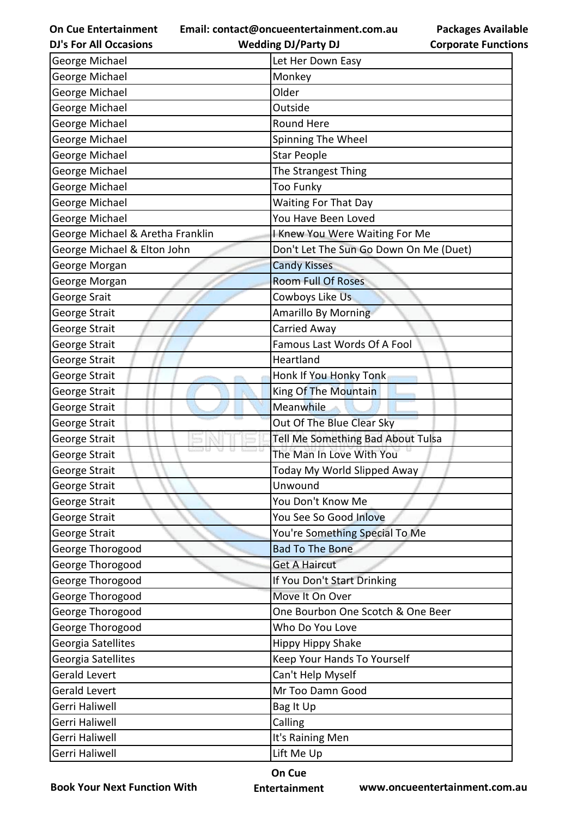**Email: contact@oncueentertainment.com.au**

**DJ's For All Occasions**

**Wedding DJ/Party DJ** 

| George Michael                   | Let Her Down Easy                      |
|----------------------------------|----------------------------------------|
| George Michael                   | Monkey                                 |
| George Michael                   | Older                                  |
| George Michael                   | Outside                                |
| George Michael                   | <b>Round Here</b>                      |
| George Michael                   | Spinning The Wheel                     |
| George Michael                   | <b>Star People</b>                     |
| George Michael                   | The Strangest Thing                    |
| George Michael                   | <b>Too Funky</b>                       |
| George Michael                   | <b>Waiting For That Day</b>            |
| George Michael                   | You Have Been Loved                    |
| George Michael & Aretha Franklin | I Knew You Were Waiting For Me         |
| George Michael & Elton John      | Don't Let The Sun Go Down On Me (Duet) |
| George Morgan                    | <b>Candy Kisses</b>                    |
| George Morgan                    | <b>Room Full Of Roses</b>              |
| George Srait                     | Cowboys Like Us                        |
| George Strait                    | Amarillo By Morning                    |
| George Strait                    | Carried Away                           |
| George Strait                    | Famous Last Words Of A Fool            |
| George Strait                    | Heartland                              |
| George Strait                    | Honk If You Honky Tonk                 |
| George Strait                    | King Of The Mountain                   |
| George Strait                    | Meanwhile                              |
| George Strait                    | Out Of The Blue Clear Sky              |
| George Strait                    | Tell Me Something Bad About Tulsa      |
| George Strait                    | The Man In Love With You               |
| George Strait                    | Today My World Slipped Away            |
| George Strait                    | Unwound                                |
| George Strait                    | You Don't Know Me                      |
| George Strait                    | You See So Good Inlove                 |
| George Strait                    | You're Something Special To Me         |
| George Thorogood                 | <b>Bad To The Bone</b>                 |
| George Thorogood                 | <b>Get A Haircut</b>                   |
| George Thorogood                 | If You Don't Start Drinking            |
| George Thorogood                 | Move It On Over                        |
| George Thorogood                 | One Bourbon One Scotch & One Beer      |
| George Thorogood                 | Who Do You Love                        |
| Georgia Satellites               | <b>Hippy Hippy Shake</b>               |
| Georgia Satellites               | Keep Your Hands To Yourself            |
| <b>Gerald Levert</b>             | Can't Help Myself                      |
| <b>Gerald Levert</b>             | Mr Too Damn Good                       |
| <b>Gerri Haliwell</b>            | Bag It Up                              |
| <b>Gerri Haliwell</b>            | Calling                                |
| <b>Gerri Haliwell</b>            | It's Raining Men                       |
| Gerri Haliwell                   | Lift Me Up                             |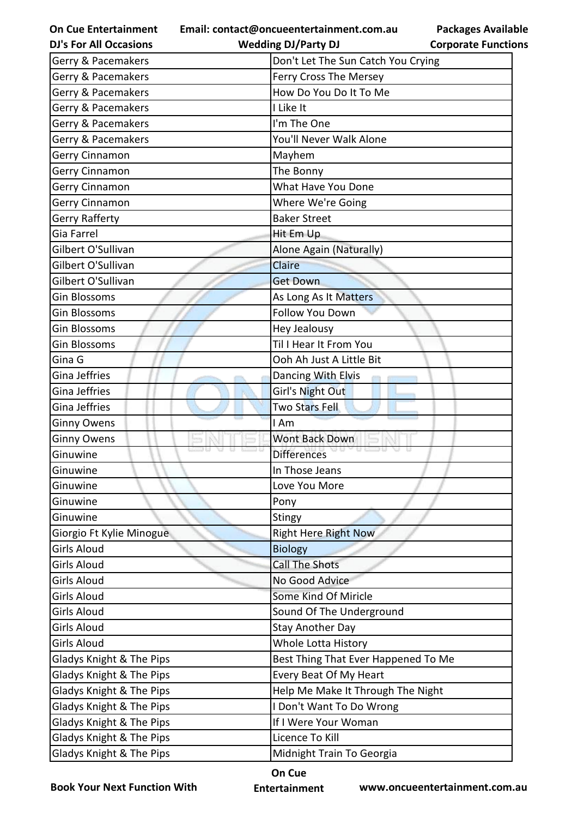**On Cue Entertainment DJ's For All Occasions**

**Wedding DJ/Party DJ** 

| Gerry & Pacemakers                  | Don't Let The Sun Catch You Crying  |
|-------------------------------------|-------------------------------------|
| Gerry & Pacemakers                  | Ferry Cross The Mersey              |
| Gerry & Pacemakers                  | How Do You Do It To Me              |
| Gerry & Pacemakers                  | I Like It                           |
| Gerry & Pacemakers                  | I'm The One                         |
| Gerry & Pacemakers                  | You'll Never Walk Alone             |
| Gerry Cinnamon                      | Mayhem                              |
| Gerry Cinnamon                      | The Bonny                           |
| Gerry Cinnamon                      | What Have You Done                  |
| Gerry Cinnamon                      | Where We're Going                   |
| <b>Gerry Rafferty</b>               | <b>Baker Street</b>                 |
| Gia Farrel                          | Hit Em Up                           |
| Gilbert O'Sullivan                  | Alone Again (Naturally)             |
| Gilbert O'Sullivan                  | Claire                              |
| Gilbert O'Sullivan                  | <b>Get Down</b>                     |
| Gin Blossoms                        | As Long As It Matters               |
| Gin Blossoms                        | Follow You Down                     |
| Gin Blossoms                        | Hey Jealousy                        |
| Gin Blossoms                        | Til I Hear It From You              |
| Gina G                              | Ooh Ah Just A Little Bit            |
| Gina Jeffries                       | Dancing With Elvis                  |
| Gina Jeffries                       | Girl's Night Out                    |
| Gina Jeffries                       | <b>Two Stars Fell</b>               |
| <b>Ginny Owens</b>                  | I Am                                |
| <b>Ginny Owens</b>                  | Wont Back Down                      |
| Ginuwine                            | <b>Differences</b>                  |
| Ginuwine                            | In Those Jeans                      |
| Ginuwine                            | Love You More                       |
| Ginuwine                            | Pony                                |
| Ginuwine                            | Stingy                              |
| Giorgio Ft Kylie Minogue            | <b>Right Here Right Now</b>         |
| Girls Aloud                         | <b>Biology</b>                      |
| Girls Aloud                         | <b>Call The Shots</b>               |
| Girls Aloud                         | No Good Advice                      |
| Girls Aloud                         | Some Kind Of Miricle                |
| Girls Aloud                         | Sound Of The Underground            |
| Girls Aloud                         | <b>Stay Another Day</b>             |
| Girls Aloud                         | Whole Lotta History                 |
| <b>Gladys Knight &amp; The Pips</b> | Best Thing That Ever Happened To Me |
| <b>Gladys Knight &amp; The Pips</b> | Every Beat Of My Heart              |
| <b>Gladys Knight &amp; The Pips</b> | Help Me Make It Through The Night   |
| Gladys Knight & The Pips            | I Don't Want To Do Wrong            |
| <b>Gladys Knight &amp; The Pips</b> | If I Were Your Woman                |
| <b>Gladys Knight &amp; The Pips</b> | Licence To Kill                     |
| Gladys Knight & The Pips            | Midnight Train To Georgia           |

**Book Your Next Function With**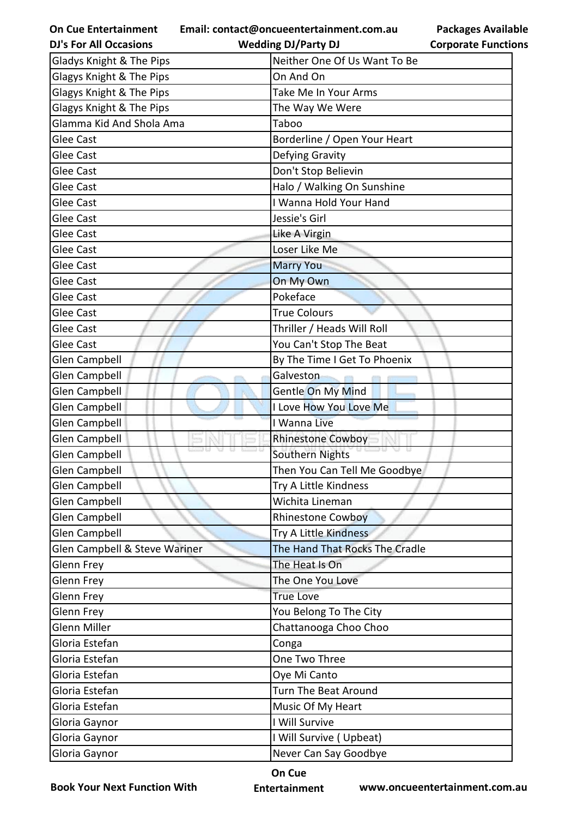| <b>On Cue Entertainment</b>   | Email: contact@oncueentertainment.com.au | <b>Packages Available</b>  |
|-------------------------------|------------------------------------------|----------------------------|
| <b>DJ's For All Occasions</b> | <b>Wedding DJ/Party DJ</b>               | <b>Corporate Functions</b> |
| Gladys Knight & The Pips      | Neither One Of Us Want To Be             |                            |
| Glagys Knight & The Pips      | On And On                                |                            |
| Glagys Knight & The Pips      | Take Me In Your Arms                     |                            |
| Glagys Knight & The Pips      | The Way We Were                          |                            |
| Glamma Kid And Shola Ama      | Taboo                                    |                            |
| <b>Glee Cast</b>              | Borderline / Open Your Heart             |                            |
| <b>Glee Cast</b>              | Defying Gravity                          |                            |
| <b>Glee Cast</b>              | Don't Stop Believin                      |                            |
| <b>Glee Cast</b>              | Halo / Walking On Sunshine               |                            |
| <b>Glee Cast</b>              | I Wanna Hold Your Hand                   |                            |
| <b>Glee Cast</b>              | Jessie's Girl                            |                            |
| <b>Glee Cast</b>              | Like A Virgin                            |                            |
| <b>Glee Cast</b>              | Loser Like Me                            |                            |
| <b>Glee Cast</b>              | <b>Marry You</b>                         |                            |
| <b>Glee Cast</b>              | On My Own                                |                            |
| <b>Glee Cast</b>              | Pokeface                                 |                            |
| <b>Glee Cast</b>              | <b>True Colours</b>                      |                            |
| <b>Glee Cast</b>              | Thriller / Heads Will Roll               |                            |
| <b>Glee Cast</b>              | You Can't Stop The Beat                  |                            |
| <b>Glen Campbell</b>          | By The Time I Get To Phoenix             |                            |
| <b>Glen Campbell</b>          | Galveston                                |                            |
| <b>Glen Campbell</b>          | Gentle On My Mind                        |                            |
| <b>Glen Campbell</b>          | I Love How You Love Me                   |                            |
| <b>Glen Campbell</b>          | I Wanna Live                             |                            |
| <b>Glen Campbell</b>          | <b>Rhinestone Cowboy</b>                 |                            |
| <b>Glen Campbell</b>          | Southern Nights                          |                            |
| Glen Campbell                 | Then You Can Tell Me Goodbye             |                            |
| <b>Glen Campbell</b>          | Try A Little Kindness                    |                            |
| <b>Glen Campbell</b>          | Wichita Lineman                          |                            |
| <b>Glen Campbell</b>          | <b>Rhinestone Cowboy</b>                 |                            |
| <b>Glen Campbell</b>          | Try A Little Kindness                    |                            |
| Glen Campbell & Steve Wariner | The Hand That Rocks The Cradle           |                            |
| Glenn Frey                    | The Heat Is On                           |                            |
| Glenn Frey                    | The One You Love                         |                            |
| Glenn Frey                    | <b>True Love</b>                         |                            |
| Glenn Frey                    | You Belong To The City                   |                            |
| Glenn Miller                  | Chattanooga Choo Choo                    |                            |
| Gloria Estefan                | Conga                                    |                            |
| Gloria Estefan                | One Two Three                            |                            |
| Gloria Estefan                | Oye Mi Canto                             |                            |
| Gloria Estefan                | Turn The Beat Around                     |                            |
| Gloria Estefan                | Music Of My Heart                        |                            |
| Gloria Gaynor                 | I Will Survive                           |                            |
| Gloria Gaynor                 | I Will Survive (Upbeat)                  |                            |
| Gloria Gaynor                 | Never Can Say Goodbye                    |                            |

**Book Your Next Function With**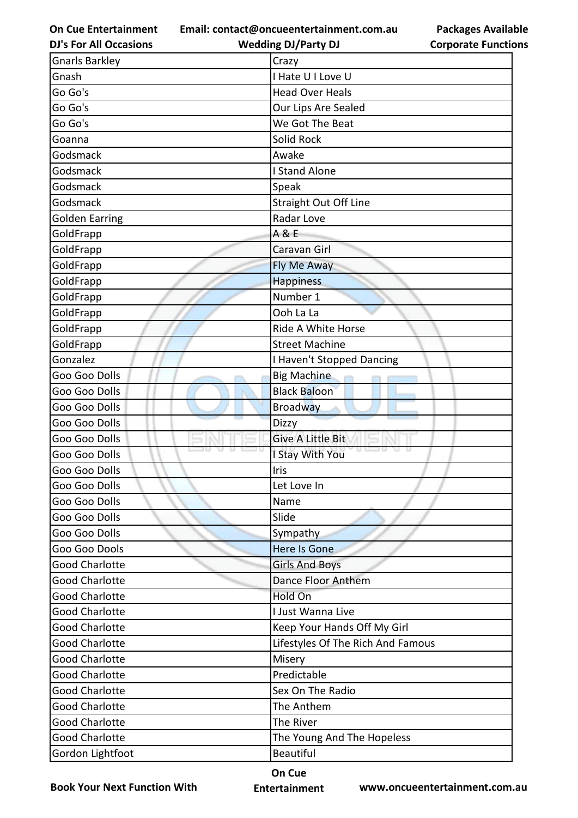**Email: contact@oncueentertainment.com.au Wedding DJ/Party DJ** 

**DJ's For All Occasions**

| <b>Packages Available</b>  |
|----------------------------|
| <b>Corporate Functions</b> |

| <b>Gnarls Barkley</b> | Crazy                             |
|-----------------------|-----------------------------------|
| Gnash                 | I Hate U I Love U                 |
| Go Go's               | <b>Head Over Heals</b>            |
| Go Go's               | Our Lips Are Sealed               |
| Go Go's               | We Got The Beat                   |
| Goanna                | Solid Rock                        |
| Godsmack              | Awake                             |
| Godsmack              | I Stand Alone                     |
| Godsmack              | Speak                             |
| Godsmack              | <b>Straight Out Off Line</b>      |
| <b>Golden Earring</b> | Radar Love                        |
| GoldFrapp             | A & E                             |
| GoldFrapp             | Caravan Girl                      |
| GoldFrapp             | Fly Me Away                       |
| GoldFrapp             | <b>Happiness</b>                  |
| GoldFrapp             | Number 1                          |
| GoldFrapp             | Ooh La La                         |
| GoldFrapp             | Ride A White Horse                |
| GoldFrapp             | <b>Street Machine</b>             |
| Gonzalez              | I Haven't Stopped Dancing         |
| Goo Goo Dolls         | <b>Big Machine</b>                |
| Goo Goo Dolls         | <b>Black Baloon</b>               |
| Goo Goo Dolls         | <b>Broadway</b>                   |
| Goo Goo Dolls         | Dizzy                             |
| Goo Goo Dolls         | <b>Give A Little Bit</b>          |
| Goo Goo Dolls         | I Stay With You                   |
| Goo Goo Dolls         | Iris                              |
| Goo Goo Dolls         | Let Love In                       |
| Goo Goo Dolls         | Name                              |
| Goo Goo Dolls         | Slide                             |
| Goo Goo Dolls         | Sympathy                          |
| Goo Goo Dools         | Here Is Gone                      |
| <b>Good Charlotte</b> | <b>Girls And Boys</b>             |
| <b>Good Charlotte</b> | Dance Floor Anthem                |
| <b>Good Charlotte</b> | Hold On                           |
| <b>Good Charlotte</b> | I Just Wanna Live                 |
| <b>Good Charlotte</b> | Keep Your Hands Off My Girl       |
| <b>Good Charlotte</b> | Lifestyles Of The Rich And Famous |
| <b>Good Charlotte</b> | Misery                            |
| <b>Good Charlotte</b> | Predictable                       |
| <b>Good Charlotte</b> | Sex On The Radio                  |
| <b>Good Charlotte</b> | The Anthem                        |
| <b>Good Charlotte</b> | The River                         |
| <b>Good Charlotte</b> | The Young And The Hopeless        |
| Gordon Lightfoot      | <b>Beautiful</b>                  |

**Book Your Next Function With**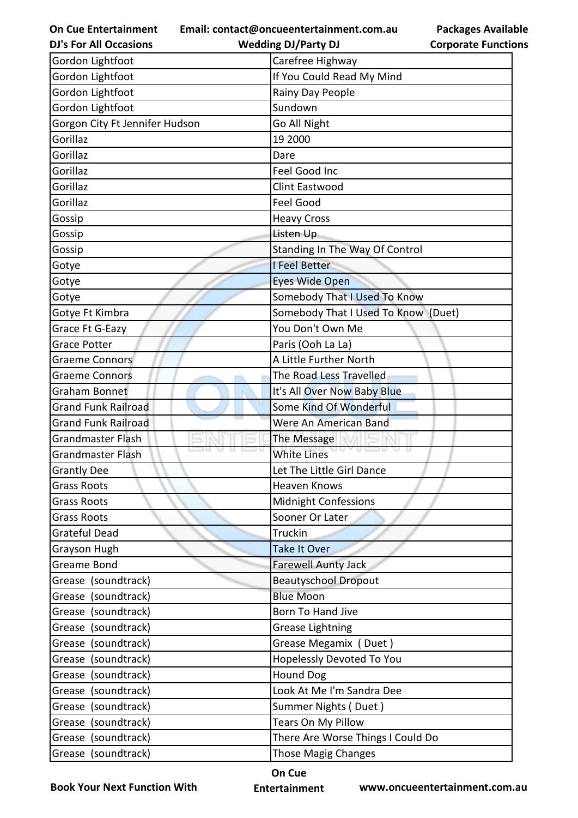**Email: contact@oncueentertainment.com.au**

**DJ's For All Occasions**

| <b>Packages Available</b>  |
|----------------------------|
| <b>Corporate Functions</b> |

| <b>DJ's For All Occasions</b>  | <b>Wedding DJ/Party DJ</b>          | <b>Corporate Functio</b> |
|--------------------------------|-------------------------------------|--------------------------|
| Gordon Lightfoot               | Carefree Highway                    |                          |
| Gordon Lightfoot               | If You Could Read My Mind           |                          |
| Gordon Lightfoot               | Rainy Day People                    |                          |
| Gordon Lightfoot               | Sundown                             |                          |
| Gorgon City Ft Jennifer Hudson | Go All Night                        |                          |
| Gorillaz                       | 19 2000                             |                          |
| Gorillaz                       | Dare                                |                          |
| Gorillaz                       | Feel Good Inc                       |                          |
| Gorillaz                       | Clint Eastwood                      |                          |
| Gorillaz                       | Feel Good                           |                          |
| Gossip                         | <b>Heavy Cross</b>                  |                          |
| Gossip                         | Listen Up                           |                          |
| Gossip                         | Standing In The Way Of Control      |                          |
| Gotye                          | <b>I Feel Better</b>                |                          |
| Gotye                          | <b>Eyes Wide Open</b>               |                          |
| Gotye                          | Somebody That I Used To Know        |                          |
| Gotye Ft Kimbra                | Somebody That I Used To Know (Duet) |                          |
| Grace Ft G-Eazy                | You Don't Own Me                    |                          |
| <b>Grace Potter</b>            | Paris (Ooh La La)                   |                          |
| <b>Graeme Connors</b>          | A Little Further North              |                          |
| <b>Graeme Connors</b>          | The Road Less Travelled             |                          |
| Graham Bonnet                  | It's All Over Now Baby Blue         |                          |
| <b>Grand Funk Railroad</b>     | Some Kind Of Wonderful              |                          |
| <b>Grand Funk Railroad</b>     | Were An American Band               |                          |
| <b>Grandmaster Flash</b>       | The Message                         |                          |
| <b>Grandmaster Flash</b>       | $\cup$ $\cup$<br><b>White Lines</b> |                          |
| <b>Grantly Dee</b>             | Let The Little Girl Dance           |                          |
| <b>Grass Roots</b>             | <b>Heaven Knows</b>                 |                          |
| <b>Grass Roots</b>             | Midnight Confessions                |                          |
| <b>Grass Roots</b>             | Sooner Or Later                     |                          |
| <b>Grateful Dead</b>           | Truckin                             |                          |
| Grayson Hugh                   | Take It Over                        |                          |
| <b>Greame Bond</b>             | <b>Farewell Aunty Jack</b>          |                          |
| Grease (soundtrack)            | <b>Beautyschool Dropout</b>         |                          |
| Grease (soundtrack)            | <b>Blue Moon</b>                    |                          |
| Grease (soundtrack)            | Born To Hand Jive                   |                          |
| (soundtrack)<br>Grease         | <b>Grease Lightning</b>             |                          |
| Grease (soundtrack)            | Grease Megamix (Duet)               |                          |
| Grease (soundtrack)            | Hopelessly Devoted To You           |                          |
| (soundtrack)<br>Grease         | <b>Hound Dog</b>                    |                          |
| (soundtrack)<br>Grease         | Look At Me I'm Sandra Dee           |                          |
| (soundtrack)<br>Grease         | Summer Nights (Duet)                |                          |
| Grease (soundtrack)            | Tears On My Pillow                  |                          |
| Grease (soundtrack)            | There Are Worse Things I Could Do   |                          |
| Grease (soundtrack)            | Those Magig Changes                 |                          |

**Book Your Next Function With**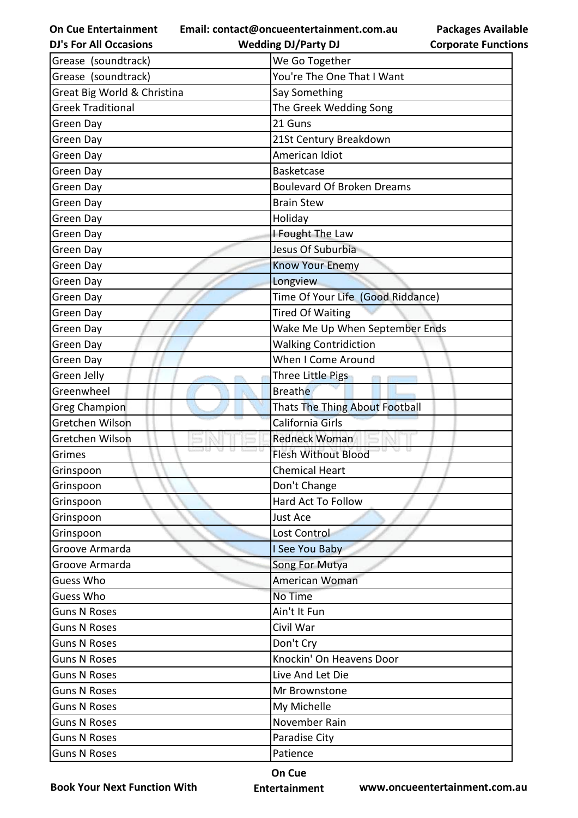**Email: contact@oncueentertainment.com.au**

**Packages Available Corporate Functions**

| <b>DJ's For All Occasions</b> | <b>Wedding DJ/Party DJ</b>            | <b>Corporate Functio</b> |
|-------------------------------|---------------------------------------|--------------------------|
| Grease (soundtrack)           | We Go Together                        |                          |
| Grease (soundtrack)           | You're The One That I Want            |                          |
| Great Big World & Christina   | Say Something                         |                          |
| <b>Greek Traditional</b>      | The Greek Wedding Song                |                          |
| Green Day                     | 21 Guns                               |                          |
| Green Day                     | 21St Century Breakdown                |                          |
| Green Day                     | American Idiot                        |                          |
| Green Day                     | <b>Basketcase</b>                     |                          |
| Green Day                     | <b>Boulevard Of Broken Dreams</b>     |                          |
| Green Day                     | <b>Brain Stew</b>                     |                          |
| Green Day                     | Holiday                               |                          |
| Green Day                     | I Fought The Law                      |                          |
| Green Day                     | Jesus Of Suburbia                     |                          |
| Green Day                     | <b>Know Your Enemy</b>                |                          |
| Green Day                     | Longview                              |                          |
| Green Day                     | Time Of Your Life (Good Riddance)     |                          |
| Green Day                     | <b>Tired Of Waiting</b>               |                          |
| Green Day                     | Wake Me Up When September Ends        |                          |
| Green Day                     | <b>Walking Contridiction</b>          |                          |
| Green Day                     | When I Come Around                    |                          |
| Green Jelly                   | Three Little Pigs                     |                          |
| Greenwheel                    | <b>Breathe</b>                        |                          |
| <b>Greg Champion</b>          | <b>Thats The Thing About Football</b> |                          |
| Gretchen Wilson               | California Girls                      |                          |
| Gretchen Wilson               | <b>Redneck Woman</b>                  |                          |
| Grimes                        | <b>Flesh Without Blood</b>            |                          |
| Grinspoon                     | <b>Chemical Heart</b>                 |                          |
| Grinspoon                     | Don't Change                          |                          |
| Grinspoon                     | Hard Act To Follow                    |                          |
| Grinspoon                     | Just Ace                              |                          |
| Grinspoon                     | Lost Control                          |                          |
| Groove Armarda                | I See You Baby                        |                          |
| Groove Armarda                | Song For Mutya                        |                          |
| Guess Who                     | American Woman                        |                          |
| Guess Who                     | No Time                               |                          |
| <b>Guns N Roses</b>           | Ain't It Fun                          |                          |
| <b>Guns N Roses</b>           | Civil War                             |                          |
| <b>Guns N Roses</b>           | Don't Cry                             |                          |
| <b>Guns N Roses</b>           | Knockin' On Heavens Door              |                          |
| <b>Guns N Roses</b>           | Live And Let Die                      |                          |
| <b>Guns N Roses</b>           | Mr Brownstone                         |                          |
| <b>Guns N Roses</b>           | My Michelle                           |                          |
| <b>Guns N Roses</b>           | November Rain                         |                          |
| <b>Guns N Roses</b>           | Paradise City                         |                          |
| <b>Guns N Roses</b>           | Patience                              |                          |
|                               |                                       |                          |

**Book Your Next Function With**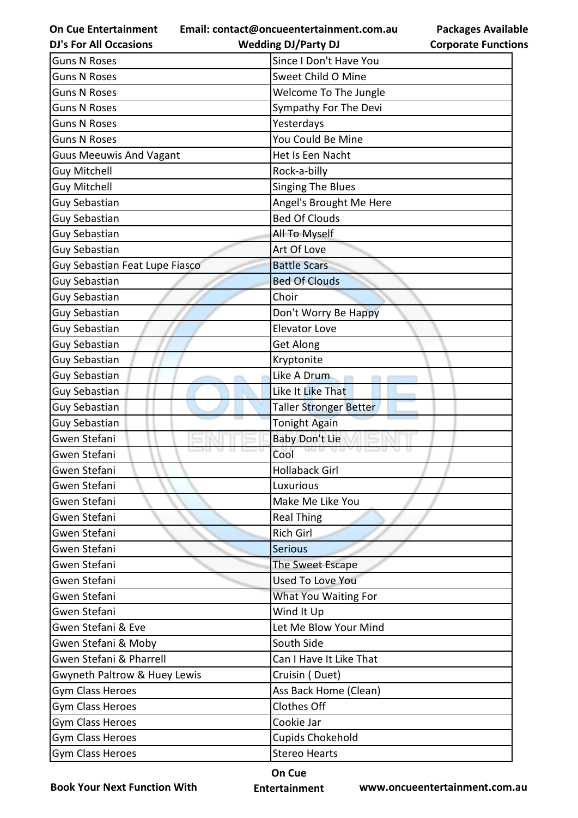**Email: contact@oncueentertainment.com.au**

**DJ's For All Occasions**

| <b>Wedding DJ/Party DJ</b> |  |
|----------------------------|--|

**Packages Available Corporate Functions**

| <b>Guns N Roses</b>            | Since I Don't Have You        |
|--------------------------------|-------------------------------|
| <b>Guns N Roses</b>            | Sweet Child O Mine            |
| <b>Guns N Roses</b>            | Welcome To The Jungle         |
| <b>Guns N Roses</b>            | Sympathy For The Devi         |
| <b>Guns N Roses</b>            | Yesterdays                    |
| <b>Guns N Roses</b>            | You Could Be Mine             |
| <b>Guus Meeuwis And Vagant</b> | Het Is Een Nacht              |
| <b>Guy Mitchell</b>            | Rock-a-billy                  |
| <b>Guy Mitchell</b>            | <b>Singing The Blues</b>      |
| <b>Guy Sebastian</b>           | Angel's Brought Me Here       |
| Guy Sebastian                  | <b>Bed Of Clouds</b>          |
| Guy Sebastian                  | All To Myself                 |
| <b>Guy Sebastian</b>           | Art Of Love                   |
| Guy Sebastian Feat Lupe Fiasco | <b>Battle Scars</b>           |
| <b>Guy Sebastian</b>           | <b>Bed Of Clouds</b>          |
| Guy Sebastian                  | Choir                         |
| <b>Guy Sebastian</b>           | Don't Worry Be Happy          |
| Guy Sebastian                  | <b>Elevator Love</b>          |
| Guy Sebastian                  | <b>Get Along</b>              |
| <b>Guy Sebastian</b>           | Kryptonite                    |
| <b>Guy Sebastian</b>           | Like A Drum                   |
| <b>Guy Sebastian</b>           | Like It Like That             |
| <b>Guy Sebastian</b>           | <b>Taller Stronger Better</b> |
| Guy Sebastian                  | <b>Tonight Again</b>          |
| Gwen Stefani                   | <b>Baby Don't Lie</b>         |
| Gwen Stefani                   | Cool                          |
| Gwen Stefani                   | <b>Hollaback Girl</b>         |
| Gwen Stefani                   | Luxurious                     |
| Gwen Stefani                   | Make Me Like You              |
| Gwen Stefani                   | <b>Real Thing</b>             |
| Gwen Stefani                   | Rich Girl                     |
| Gwen Stefani                   | <b>Serious</b>                |
| Gwen Stefani                   | The Sweet Escape              |
| Gwen Stefani                   | <b>Used To Love You</b>       |
| Gwen Stefani                   | What You Waiting For          |
| Gwen Stefani                   | Wind It Up                    |
| Gwen Stefani & Eve             | Let Me Blow Your Mind         |
| Gwen Stefani & Moby            | South Side                    |
| Gwen Stefani & Pharrell        | Can I Have It Like That       |
| Gwyneth Paltrow & Huey Lewis   | Cruisin (Duet)                |
| <b>Gym Class Heroes</b>        | Ass Back Home (Clean)         |
| Gym Class Heroes               | Clothes Off                   |
| <b>Gym Class Heroes</b>        | Cookie Jar                    |
| Gym Class Heroes               | <b>Cupids Chokehold</b>       |
| Gym Class Heroes               | <b>Stereo Hearts</b>          |

**Book Your Next Function With**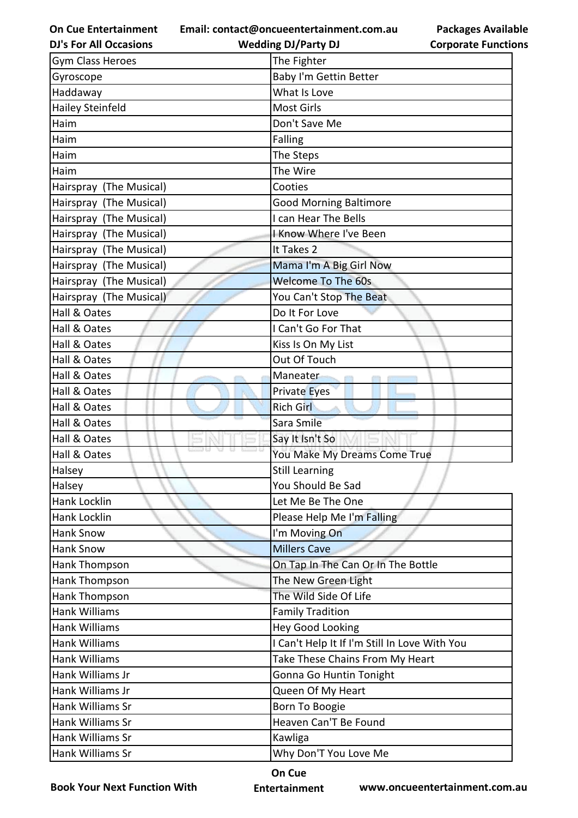**Email: contact@oncueentertainment.com.au Wedding DJ/Party DJ** 

**DJ's For All Occasions**

**Packages Available Corporate Functions**

| <b>Gym Class Heroes</b> | The Fighter                                   |
|-------------------------|-----------------------------------------------|
| Gyroscope               | Baby I'm Gettin Better                        |
| Haddaway                | What Is Love                                  |
| <b>Hailey Steinfeld</b> | <b>Most Girls</b>                             |
| Haim                    | Don't Save Me                                 |
| Haim                    | <b>Falling</b>                                |
| Haim                    | The Steps                                     |
| Haim                    | The Wire                                      |
| Hairspray (The Musical) | Cooties                                       |
| Hairspray (The Musical) | <b>Good Morning Baltimore</b>                 |
| Hairspray (The Musical) | I can Hear The Bells                          |
| Hairspray (The Musical) | I Know Where I've Been                        |
| Hairspray (The Musical) | It Takes 2                                    |
| Hairspray (The Musical) | Mama I'm A Big Girl Now                       |
| Hairspray (The Musical) | <b>Welcome To The 60s</b>                     |
| Hairspray (The Musical) | You Can't Stop The Beat                       |
| Hall & Oates            | Do It For Love                                |
| Hall & Oates            | I Can't Go For That                           |
| Hall & Oates            | Kiss Is On My List                            |
| Hall & Oates            | Out Of Touch                                  |
| Hall & Oates            | Maneater                                      |
| Hall & Oates            | <b>Private Eyes</b>                           |
| Hall & Oates            | <b>Rich Girl</b>                              |
| Hall & Oates            | Sara Smile                                    |
| Hall & Oates            | Say It Isn't So                               |
| Hall & Oates            | You Make My Dreams Come True                  |
| Halsey                  | <b>Still Learning</b>                         |
| Halsey                  | You Should Be Sad                             |
| Hank Locklin            | Let Me Be The One                             |
| Hank Locklin            | Please Help Me I'm Falling                    |
| <b>Hank Snow</b>        | I'm Moving On                                 |
| Hank Snow               | <b>Millers Cave</b>                           |
| Hank Thompson           | On Tap In The Can Or In The Bottle            |
| Hank Thompson           | The New Green Light                           |
| Hank Thompson           | The Wild Side Of Life                         |
| Hank Williams           | <b>Family Tradition</b>                       |
| Hank Williams           | <b>Hey Good Looking</b>                       |
| <b>Hank Williams</b>    | I Can't Help It If I'm Still In Love With You |
| Hank Williams           | Take These Chains From My Heart               |
| Hank Williams Jr        | Gonna Go Huntin Tonight                       |
| Hank Williams Jr        | Queen Of My Heart                             |
| Hank Williams Sr        | Born To Boogie                                |
| Hank Williams Sr        | Heaven Can'T Be Found                         |
| Hank Williams Sr        | Kawliga                                       |
| Hank Williams Sr        | Why Don'T You Love Me                         |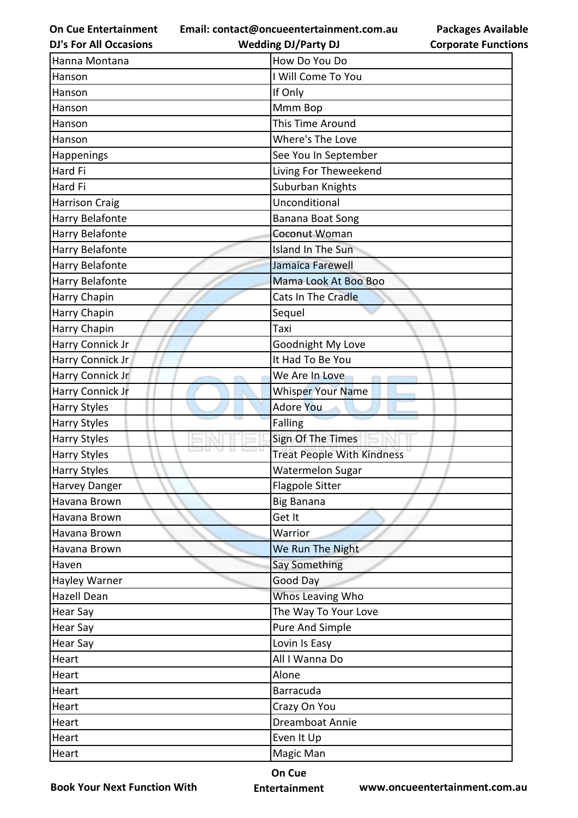**Email: contact@oncueentertainment.com.au**

**DJ's For All Occasions**

**Packages Available Corporate Functions**

| <b>DJ's For All Occasions</b> | <b>Wedding DJ/Party DJ</b>        | <b>Corporate Functio</b> |
|-------------------------------|-----------------------------------|--------------------------|
| Hanna Montana                 | How Do You Do                     |                          |
| Hanson                        | I Will Come To You                |                          |
| Hanson                        | If Only                           |                          |
| Hanson                        | Mmm Bop                           |                          |
| Hanson                        | This Time Around                  |                          |
| Hanson                        | Where's The Love                  |                          |
| Happenings                    | See You In September              |                          |
| Hard Fi                       | Living For Theweekend             |                          |
| Hard Fi                       | Suburban Knights                  |                          |
| <b>Harrison Craig</b>         | Unconditional                     |                          |
| Harry Belafonte               | Banana Boat Song                  |                          |
| Harry Belafonte               | Coconut Woman                     |                          |
| Harry Belafonte               | Island In The Sun                 |                          |
| Harry Belafonte               | Jamaica Farewell                  |                          |
| Harry Belafonte               | Mama Look At Boo Boo              |                          |
| Harry Chapin                  | Cats In The Cradle                |                          |
| Harry Chapin                  | Sequel                            |                          |
| Harry Chapin                  | Taxi                              |                          |
| Harry Connick Jr              | Goodnight My Love                 |                          |
| Harry Connick Jr              | It Had To Be You                  |                          |
| Harry Connick Jr              | We Are In Love                    |                          |
| Harry Connick Jr              | <b>Whisper Your Name</b>          |                          |
| <b>Harry Styles</b>           | <b>Adore You</b>                  |                          |
| <b>Harry Styles</b>           | Falling                           |                          |
| <b>Harry Styles</b>           | Sign Of The Times                 |                          |
| <b>Harry Styles</b>           | <b>Treat People With Kindness</b> |                          |
| <b>Harry Styles</b>           | <b>Watermelon Sugar</b>           |                          |
| Harvey Danger                 | <b>Flagpole Sitter</b>            |                          |
| Havana Brown                  | <b>Big Banana</b>                 |                          |
| Havana Brown                  | Get It                            |                          |
| Havana Brown                  | Warrior                           |                          |
| Havana Brown                  | We Run The Night                  |                          |
| Haven                         | <b>Say Something</b>              |                          |
| Hayley Warner                 | Good Day                          |                          |
| <b>Hazell Dean</b>            | Whos Leaving Who                  |                          |
| Hear Say                      | The Way To Your Love              |                          |
| <b>Hear Say</b>               | Pure And Simple                   |                          |
| <b>Hear Say</b>               | Lovin Is Easy                     |                          |
| Heart                         | All I Wanna Do                    |                          |
| Heart                         | Alone                             |                          |
| Heart                         | Barracuda                         |                          |
| Heart                         | Crazy On You                      |                          |
| Heart                         | Dreamboat Annie                   |                          |
| Heart                         | Even It Up                        |                          |
| Heart                         | Magic Man                         |                          |
|                               |                                   |                          |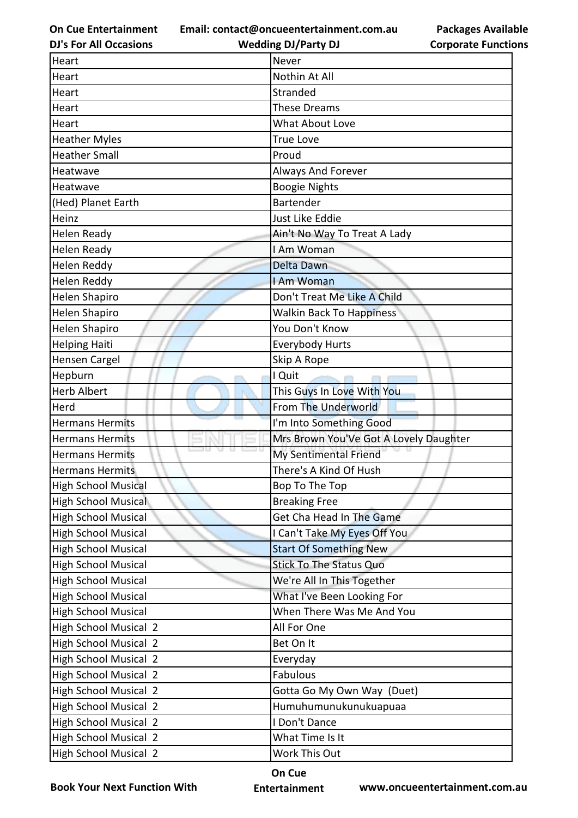**Email: contact@oncueentertainment.com.au Wedding DJ/Party DJ** 

**DJ's For All Occasions**

**Packages Available Corporate Functions**

| Heart                        | Never                                  |
|------------------------------|----------------------------------------|
| Heart                        | Nothin At All                          |
| Heart                        | Stranded                               |
| Heart                        | <b>These Dreams</b>                    |
| Heart                        | <b>What About Love</b>                 |
| <b>Heather Myles</b>         | <b>True Love</b>                       |
| <b>Heather Small</b>         | Proud                                  |
| Heatwave                     | <b>Always And Forever</b>              |
| Heatwave                     | <b>Boogie Nights</b>                   |
| (Hed) Planet Earth           | Bartender                              |
| Heinz                        | Just Like Eddie                        |
| Helen Ready                  | Ain't No Way To Treat A Lady           |
| <b>Helen Ready</b>           | I Am Woman                             |
| Helen Reddy                  | <b>Delta Dawn</b>                      |
| Helen Reddy                  | I Am Woman                             |
| <b>Helen Shapiro</b>         | Don't Treat Me Like A Child            |
| <b>Helen Shapiro</b>         | <b>Walkin Back To Happiness</b>        |
| <b>Helen Shapiro</b>         | You Don't Know                         |
| <b>Helping Haiti</b>         | <b>Everybody Hurts</b>                 |
| <b>Hensen Cargel</b>         | Skip A Rope                            |
| Hepburn                      | I Quit                                 |
| <b>Herb Albert</b>           | This Guys In Love With You             |
| Herd                         | From The Underworld                    |
| <b>Hermans Hermits</b>       | I'm Into Something Good                |
| <b>Hermans Hermits</b>       | Mrs Brown You'Ve Got A Lovely Daughter |
| <b>Hermans Hermits</b>       | My Sentimental Friend                  |
| <b>Hermans Hermits</b>       | There's A Kind Of Hush                 |
| <b>High School Musical</b>   | Bop To The Top                         |
| <b>High School Musical</b>   | <b>Breaking Free</b>                   |
| <b>High School Musical</b>   | Get Cha Head In The Game               |
| <b>High School Musical</b>   | I Can't Take My Eyes Off You           |
| <b>High School Musical</b>   | <b>Start Of Something New</b>          |
| <b>High School Musical</b>   | <b>Stick To The Status Quo</b>         |
| <b>High School Musical</b>   | We're All In This Together             |
| <b>High School Musical</b>   | What I've Been Looking For             |
| <b>High School Musical</b>   | When There Was Me And You              |
| <b>High School Musical 2</b> | All For One                            |
| <b>High School Musical 2</b> | Bet On It                              |
| <b>High School Musical 2</b> | Everyday                               |
| <b>High School Musical 2</b> | Fabulous                               |
| <b>High School Musical 2</b> | Gotta Go My Own Way (Duet)             |
| <b>High School Musical 2</b> | Humuhumunukunukuapuaa                  |
| <b>High School Musical 2</b> | I Don't Dance                          |
| <b>High School Musical 2</b> | What Time Is It                        |
| High School Musical 2        | Work This Out                          |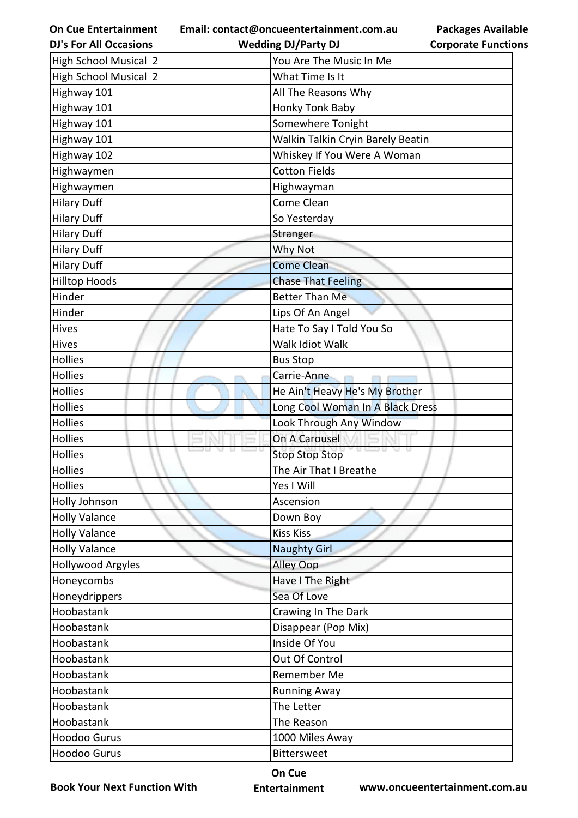| <b>On Cue Entertainment</b>   | <b>Packages Available</b><br>Email: contact@oncueentertainment.com.au |
|-------------------------------|-----------------------------------------------------------------------|
| <b>DJ's For All Occasions</b> | <b>Wedding DJ/Party DJ</b><br><b>Corporate Functions</b>              |
| <b>High School Musical 2</b>  | You Are The Music In Me                                               |
| <b>High School Musical 2</b>  | What Time Is It                                                       |
| Highway 101                   | All The Reasons Why                                                   |
| Highway 101                   | Honky Tonk Baby                                                       |
| Highway 101                   | Somewhere Tonight                                                     |
| Highway 101                   | Walkin Talkin Cryin Barely Beatin                                     |
| Highway 102                   | Whiskey If You Were A Woman                                           |
| Highwaymen                    | <b>Cotton Fields</b>                                                  |
| Highwaymen                    | Highwayman                                                            |
| <b>Hilary Duff</b>            | Come Clean                                                            |
| <b>Hilary Duff</b>            | So Yesterday                                                          |
| <b>Hilary Duff</b>            | Stranger                                                              |
| <b>Hilary Duff</b>            | Why Not                                                               |
| <b>Hilary Duff</b>            | <b>Come Clean</b>                                                     |
| <b>Hilltop Hoods</b>          | <b>Chase That Feeling</b>                                             |
| Hinder                        | <b>Better Than Me</b>                                                 |
| Hinder                        | Lips Of An Angel                                                      |
| Hives                         | Hate To Say I Told You So                                             |
| Hives                         | Walk Idiot Walk                                                       |
| Hollies                       | <b>Bus Stop</b>                                                       |
| Hollies                       | Carrie-Anne                                                           |
| Hollies                       | He Ain't Heavy He's My Brother                                        |
| Hollies                       | Long Cool Woman In A Black Dress                                      |
| Hollies                       | Look Through Any Window                                               |
| Hollies                       | On A Carousel                                                         |
| Hollies                       | <b>Stop Stop Stop</b>                                                 |
| Hollies                       | The Air That I Breathe                                                |
| Hollies                       | Yes I Will                                                            |
| Holly Johnson                 | Ascension                                                             |
| <b>Holly Valance</b>          | Down Boy                                                              |
| <b>Holly Valance</b>          | <b>Kiss Kiss</b>                                                      |
| <b>Holly Valance</b>          | <b>Naughty Girl</b>                                                   |
| Hollywood Argyles             | <b>Alley Oop</b>                                                      |
| Honeycombs                    | Have I The Right                                                      |
| Honeydrippers                 | Sea Of Love                                                           |
| Hoobastank                    | Crawing In The Dark                                                   |
| Hoobastank                    | Disappear (Pop Mix)                                                   |
| Hoobastank                    | Inside Of You                                                         |
| Hoobastank                    | Out Of Control                                                        |
| Hoobastank                    | Remember Me                                                           |
| Hoobastank                    | <b>Running Away</b>                                                   |
| Hoobastank                    | The Letter                                                            |
| Hoobastank                    | The Reason                                                            |
| Hoodoo Gurus                  | 1000 Miles Away                                                       |
| Hoodoo Gurus                  | <b>Bittersweet</b>                                                    |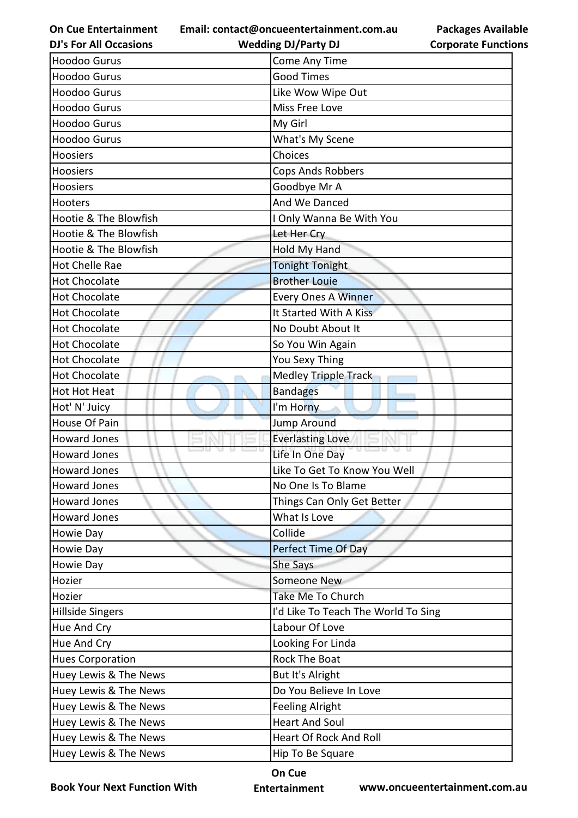**Email: contact@oncueentertainment.com.au**

**DJ's For All Occasions**

| <b>Corporate Functions</b> |
|----------------------------|
|----------------------------|

**Packages Available** 

| <b>DJ's For All Occasions</b> | <b>Wedding DJ/Party DJ</b>          | <b>Corporate Function</b> |
|-------------------------------|-------------------------------------|---------------------------|
| <b>Hoodoo Gurus</b>           | Come Any Time                       |                           |
| <b>Hoodoo Gurus</b>           | <b>Good Times</b>                   |                           |
| <b>Hoodoo Gurus</b>           | Like Wow Wipe Out                   |                           |
| <b>Hoodoo Gurus</b>           | Miss Free Love                      |                           |
| <b>Hoodoo Gurus</b>           | My Girl                             |                           |
| <b>Hoodoo Gurus</b>           | What's My Scene                     |                           |
| Hoosiers                      | Choices                             |                           |
| <b>Hoosiers</b>               | Cops Ands Robbers                   |                           |
| Hoosiers                      | Goodbye Mr A                        |                           |
| Hooters                       | And We Danced                       |                           |
| Hootie & The Blowfish         | I Only Wanna Be With You            |                           |
| Hootie & The Blowfish         | Let Her Cry                         |                           |
| Hootie & The Blowfish         | <b>Hold My Hand</b>                 |                           |
| <b>Hot Chelle Rae</b>         | <b>Tonight Tonight</b>              |                           |
| <b>Hot Chocolate</b>          | <b>Brother Louie</b>                |                           |
| <b>Hot Chocolate</b>          | <b>Every Ones A Winner</b>          |                           |
| <b>Hot Chocolate</b>          | It Started With A Kiss              |                           |
| <b>Hot Chocolate</b>          | No Doubt About It                   |                           |
| <b>Hot Chocolate</b>          | So You Win Again                    |                           |
| <b>Hot Chocolate</b>          | You Sexy Thing                      |                           |
| <b>Hot Chocolate</b>          | Medley Tripple Track                |                           |
| Hot Hot Heat                  | <b>Bandages</b>                     |                           |
| Hot' N' Juicy                 | I'm Horny                           |                           |
| House Of Pain                 | <b>Jump Around</b>                  |                           |
| <b>Howard Jones</b>           | <b>Everlasting Love</b>             |                           |
| <b>Howard Jones</b>           | Life In One Day                     |                           |
| <b>Howard Jones</b>           | Like To Get To Know You Well        |                           |
| <b>Howard Jones</b>           | No One Is To Blame                  |                           |
| <b>Howard Jones</b>           | Things Can Only Get Better          |                           |
| <b>Howard Jones</b>           | What Is Love                        |                           |
| Howie Day                     | Collide                             |                           |
| Howie Day                     | Perfect Time Of Day                 |                           |
| Howie Day                     | <b>She Says</b>                     |                           |
| Hozier                        | Someone New                         |                           |
| Hozier                        | Take Me To Church                   |                           |
| <b>Hillside Singers</b>       | I'd Like To Teach The World To Sing |                           |
| Hue And Cry                   | Labour Of Love                      |                           |
| Hue And Cry                   | Looking For Linda                   |                           |
| <b>Hues Corporation</b>       | <b>Rock The Boat</b>                |                           |
| Huey Lewis & The News         | But It's Alright                    |                           |
| Huey Lewis & The News         | Do You Believe In Love              |                           |
| Huey Lewis & The News         | <b>Feeling Alright</b>              |                           |
| Huey Lewis & The News         | <b>Heart And Soul</b>               |                           |
| Huey Lewis & The News         | <b>Heart Of Rock And Roll</b>       |                           |
| Huey Lewis & The News         | Hip To Be Square                    |                           |

**Book Your Next Function With**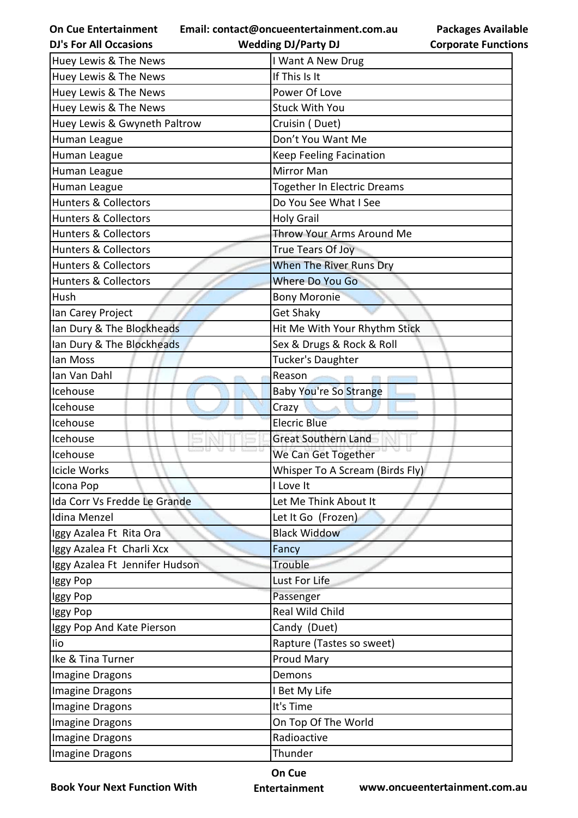| <b>On Cue Entertainment</b><br><b>DJ's For All Occasions</b> | Email: contact@oncueentertainment.com.au<br><b>Packages Available</b><br><b>Wedding DJ/Party DJ</b><br><b>Corporate Functions</b> |
|--------------------------------------------------------------|-----------------------------------------------------------------------------------------------------------------------------------|
|                                                              |                                                                                                                                   |
| Huey Lewis & The News                                        | I Want A New Drug<br>If This Is It                                                                                                |
| Huey Lewis & The News                                        |                                                                                                                                   |
| Huey Lewis & The News                                        | Power Of Love                                                                                                                     |
| Huey Lewis & The News                                        | <b>Stuck With You</b>                                                                                                             |
| Huey Lewis & Gwyneth Paltrow                                 | Cruisin (Duet)                                                                                                                    |
| Human League                                                 | Don't You Want Me                                                                                                                 |
| Human League                                                 | <b>Keep Feeling Facination</b>                                                                                                    |
| Human League                                                 | <b>Mirror Man</b>                                                                                                                 |
| Human League                                                 | <b>Together In Electric Dreams</b>                                                                                                |
| <b>Hunters &amp; Collectors</b>                              | Do You See What I See                                                                                                             |
| <b>Hunters &amp; Collectors</b>                              | <b>Holy Grail</b>                                                                                                                 |
| <b>Hunters &amp; Collectors</b>                              | Throw Your Arms Around Me                                                                                                         |
| <b>Hunters &amp; Collectors</b>                              | True Tears Of Joy                                                                                                                 |
| <b>Hunters &amp; Collectors</b>                              | When The River Runs Dry                                                                                                           |
| <b>Hunters &amp; Collectors</b>                              | <b>Where Do You Go</b>                                                                                                            |
| Hush                                                         | <b>Bony Moronie</b>                                                                                                               |
| Ian Carey Project                                            | <b>Get Shaky</b>                                                                                                                  |
| Ian Dury & The Blockheads                                    | Hit Me With Your Rhythm Stick                                                                                                     |
| Ian Dury & The Blockheads                                    | Sex & Drugs & Rock & Roll                                                                                                         |
| lan Moss                                                     | Tucker's Daughter                                                                                                                 |
| Ian Van Dahl                                                 | Reason                                                                                                                            |
| Icehouse                                                     | <b>Baby You're So Strange</b>                                                                                                     |
| Icehouse                                                     | Crazy                                                                                                                             |
| Icehouse                                                     | <b>Elecric Blue</b>                                                                                                               |
| Icehouse                                                     | <b>Great Southern Land</b>                                                                                                        |
| Icehouse                                                     | We Can Get Together                                                                                                               |
| <b>Icicle Works</b>                                          | Whisper To A Scream (Birds Fly)                                                                                                   |
| Icona Pop                                                    | I Love It                                                                                                                         |
| Ida Corr Vs Fredde Le Grande                                 | Let Me Think About It                                                                                                             |
| Idina Menzel                                                 | Let It Go (Frozen)                                                                                                                |
| Iggy Azalea Ft Rita Ora                                      | <b>Black Widdow</b>                                                                                                               |
| Iggy Azalea Ft Charli Xcx                                    | Fancy                                                                                                                             |
| Iggy Azalea Ft Jennifer Hudson                               | Trouble                                                                                                                           |
| Iggy Pop                                                     | Lust For Life                                                                                                                     |
| Iggy Pop                                                     | Passenger                                                                                                                         |
| Iggy Pop                                                     | Real Wild Child                                                                                                                   |
| Iggy Pop And Kate Pierson                                    | Candy (Duet)                                                                                                                      |
| lio                                                          | Rapture (Tastes so sweet)                                                                                                         |
| Ike & Tina Turner                                            | Proud Mary                                                                                                                        |
| Imagine Dragons                                              | Demons                                                                                                                            |
| Imagine Dragons                                              | I Bet My Life                                                                                                                     |
| Imagine Dragons                                              | It's Time                                                                                                                         |
| Imagine Dragons                                              | On Top Of The World                                                                                                               |
| Imagine Dragons                                              | Radioactive                                                                                                                       |
| Imagine Dragons                                              | Thunder                                                                                                                           |

**Book Your Next Function With**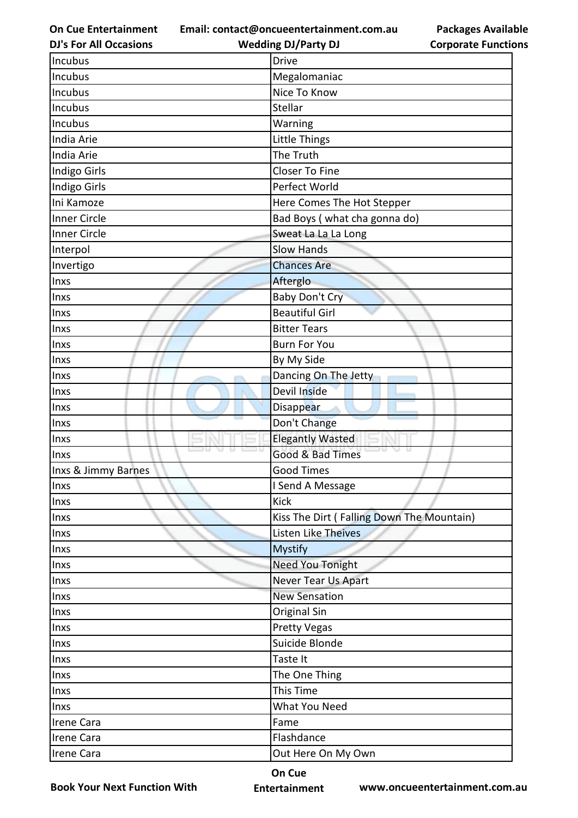**Email: contact@oncueentertainment.com.au**

**Packages Available Corporate Functions**

| <b>DJ's For All Occasions</b> | <b>Wedding DJ/Party DJ</b>                | <b>Corporate Functio</b> |
|-------------------------------|-------------------------------------------|--------------------------|
| Incubus                       | <b>Drive</b>                              |                          |
| <b>Incubus</b>                | Megalomaniac                              |                          |
| Incubus                       | Nice To Know                              |                          |
| Incubus                       | Stellar                                   |                          |
| Incubus                       | Warning                                   |                          |
| India Arie                    | Little Things                             |                          |
| India Arie                    | The Truth                                 |                          |
| Indigo Girls                  | <b>Closer To Fine</b>                     |                          |
| Indigo Girls                  | Perfect World                             |                          |
| Ini Kamoze                    | Here Comes The Hot Stepper                |                          |
| <b>Inner Circle</b>           | Bad Boys (what cha gonna do)              |                          |
| <b>Inner Circle</b>           | Sweat La La La Long                       |                          |
| Interpol                      | <b>Slow Hands</b>                         |                          |
| Invertigo                     | <b>Chances Are</b>                        |                          |
| Inxs                          | Afterglo                                  |                          |
| Inxs                          | Baby Don't Cry                            |                          |
| Inxs                          | <b>Beautiful Girl</b>                     |                          |
| Inxs                          | <b>Bitter Tears</b>                       |                          |
| Inxs                          | <b>Burn For You</b>                       |                          |
| Inxs                          | By My Side                                |                          |
| Inxs                          | Dancing On The Jetty                      |                          |
| Inxs                          | Devil Inside                              |                          |
| Inxs                          | Disappear                                 |                          |
| Inxs                          | Don't Change                              |                          |
| Inxs                          | <b>Elegantly Wasted</b>                   |                          |
| Inxs                          | Good & Bad Times                          |                          |
| Inxs & Jimmy Barnes           | <b>Good Times</b>                         |                          |
| Inxs                          | I Send A Message                          |                          |
| Inxs                          | <b>Kick</b>                               |                          |
| Inxs                          | Kiss The Dirt (Falling Down The Mountain) |                          |
| Inxs                          | Listen Like Theives                       |                          |
| Inxs                          | <b>Mystify</b>                            |                          |
| Inxs                          | Need You Tonight                          |                          |
| Inxs                          | <b>Never Tear Us Apart</b>                |                          |
| Inxs                          | <b>New Sensation</b>                      |                          |
| Inxs                          | Original Sin                              |                          |
| Inxs                          | <b>Pretty Vegas</b>                       |                          |
| Inxs                          | Suicide Blonde                            |                          |
| Inxs                          | Taste It                                  |                          |
| Inxs                          | The One Thing                             |                          |
| Inxs                          | This Time                                 |                          |
| Inxs                          | What You Need                             |                          |
| Irene Cara                    | Fame                                      |                          |
| Irene Cara                    | Flashdance                                |                          |
| Irene Cara                    | Out Here On My Own                        |                          |
|                               |                                           |                          |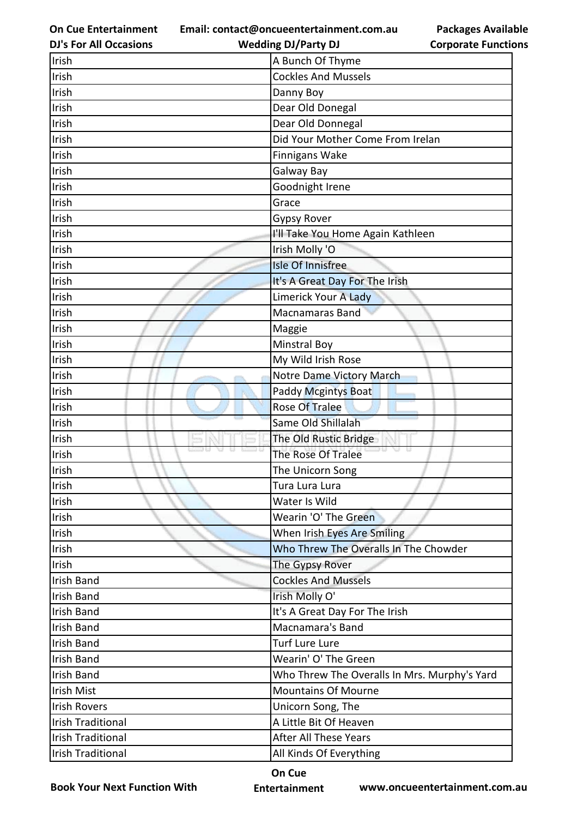**Email: contact@oncueentertainment.com.au**

**Packages Available Corporate Functions**

| <b>DJ's For All Occasions</b> | <b>Wedding DJ/Party DJ</b>                   | <b>Corporate Function</b> |
|-------------------------------|----------------------------------------------|---------------------------|
| Irish                         | A Bunch Of Thyme                             |                           |
| Irish                         | <b>Cockles And Mussels</b>                   |                           |
| Irish                         | Danny Boy                                    |                           |
| Irish                         | Dear Old Donegal                             |                           |
| Irish                         | Dear Old Donnegal                            |                           |
| Irish                         | Did Your Mother Come From Irelan             |                           |
| Irish                         | Finnigans Wake                               |                           |
| Irish                         | Galway Bay                                   |                           |
| Irish                         | Goodnight Irene                              |                           |
| Irish                         | Grace                                        |                           |
| Irish                         | <b>Gypsy Rover</b>                           |                           |
| Irish                         | I'll Take You Home Again Kathleen            |                           |
| Irish                         | Irish Molly 'O                               |                           |
| Irish                         | <b>Isle Of Innisfree</b>                     |                           |
| Irish                         | It's A Great Day For The Irish               |                           |
| Irish                         | Limerick Your A Lady                         |                           |
| Irish                         | Macnamaras Band                              |                           |
| Irish                         | Maggie                                       |                           |
| Irish                         | <b>Minstral Boy</b>                          |                           |
| Irish                         | My Wild Irish Rose                           |                           |
| Irish                         | Notre Dame Victory March                     |                           |
| Irish                         | <b>Paddy Mcgintys Boat</b>                   |                           |
| Irish                         | Rose Of Tralee                               |                           |
| Irish                         | Same Old Shillalah                           |                           |
| Irish                         | The Old Rustic Bridge                        |                           |
| Irish                         | The Rose Of Tralee                           |                           |
| Irish                         | The Unicorn Song                             |                           |
| Irish                         | Tura Lura Lura                               |                           |
| Irish                         | Water Is Wild                                |                           |
| Irish                         | Wearin 'O' The Green                         |                           |
| Irish                         | When Irish Eyes Are Smiling                  |                           |
| Irish                         | Who Threw The Overalls In The Chowder        |                           |
| Irish                         | The Gypsy Rover                              |                           |
| <b>Irish Band</b>             | <b>Cockles And Mussels</b>                   |                           |
| <b>Irish Band</b>             | Irish Molly O'                               |                           |
| <b>Irish Band</b>             | It's A Great Day For The Irish               |                           |
| <b>Irish Band</b>             | Macnamara's Band                             |                           |
| <b>Irish Band</b>             | <b>Turf Lure Lure</b>                        |                           |
| <b>Irish Band</b>             | Wearin' O' The Green                         |                           |
| <b>Irish Band</b>             | Who Threw The Overalls In Mrs. Murphy's Yard |                           |
| <b>Irish Mist</b>             | <b>Mountains Of Mourne</b>                   |                           |
| <b>Irish Rovers</b>           | Unicorn Song, The                            |                           |
| <b>Irish Traditional</b>      | A Little Bit Of Heaven                       |                           |
| <b>Irish Traditional</b>      | <b>After All These Years</b>                 |                           |
| <b>Irish Traditional</b>      | All Kinds Of Everything                      |                           |

**Book Your Next Function With**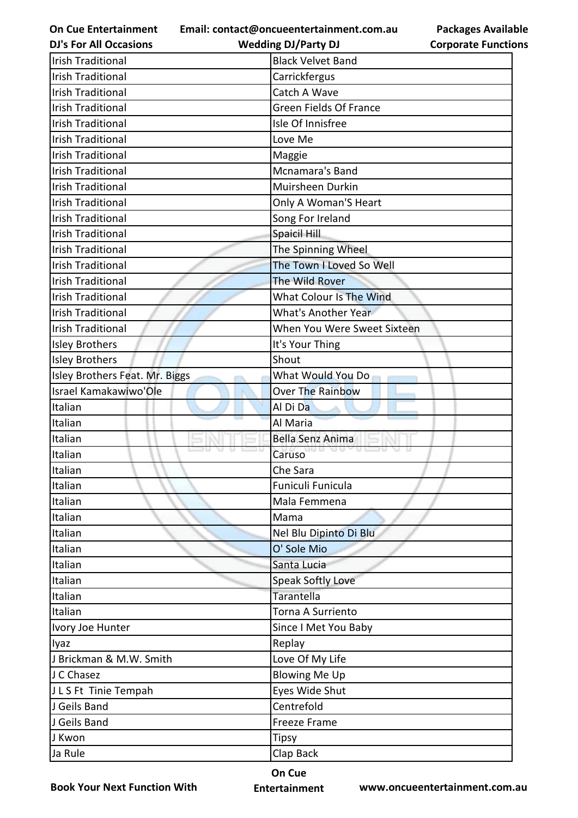**Email: contact@oncueentertainment.com.au Wedding DJ/Party DJ** 

**DJ's For All Occasions**

**Packages Available Corporate Functions**

| <b>Irish Traditional</b>       | <b>Black Velvet Band</b>      |
|--------------------------------|-------------------------------|
| <b>Irish Traditional</b>       | Carrickfergus                 |
| <b>Irish Traditional</b>       | Catch A Wave                  |
| <b>Irish Traditional</b>       | <b>Green Fields Of France</b> |
| <b>Irish Traditional</b>       | Isle Of Innisfree             |
| <b>Irish Traditional</b>       | Love Me                       |
| <b>Irish Traditional</b>       | Maggie                        |
| <b>Irish Traditional</b>       | Mcnamara's Band               |
| <b>Irish Traditional</b>       | Muirsheen Durkin              |
| <b>Irish Traditional</b>       | Only A Woman'S Heart          |
| <b>Irish Traditional</b>       | Song For Ireland              |
| <b>Irish Traditional</b>       | Spaicil Hill                  |
| <b>Irish Traditional</b>       | The Spinning Wheel            |
| <b>Irish Traditional</b>       | The Town I Loved So Well      |
| <b>Irish Traditional</b>       | The Wild Rover                |
| <b>Irish Traditional</b>       | What Colour Is The Wind       |
| <b>Irish Traditional</b>       | <b>What's Another Year</b>    |
| <b>Irish Traditional</b>       | When You Were Sweet Sixteen   |
| <b>Isley Brothers</b>          | It's Your Thing               |
| <b>Isley Brothers</b>          | Shout                         |
| Isley Brothers Feat. Mr. Biggs | What Would You Do             |
| Israel Kamakawiwo'Ole          | <b>Over The Rainbow</b>       |
| Italian                        | Al Di Da                      |
| Italian                        | Al Maria                      |
| Italian                        | Bella Senz Anima              |
| Italian                        | Caruso                        |
| Italian                        | Che Sara                      |
| Italian                        | Funiculi Funicula             |
| Italian                        | Mala Femmena                  |
| Italian                        | Mama                          |
| Italian                        | Nel Blu Dipinto Di Blu        |
| Italian                        | O' Sole Mio                   |
| Italian                        | Santa Lucia                   |
| Italian                        | <b>Speak Softly Love</b>      |
| Italian                        | Tarantella                    |
| Italian                        | Torna A Surriento             |
| Ivory Joe Hunter               | Since I Met You Baby          |
| lyaz                           | Replay                        |
| J Brickman & M.W. Smith        | Love Of My Life               |
| J C Chasez                     | <b>Blowing Me Up</b>          |
| JLS Ft Tinie Tempah            | Eyes Wide Shut                |
| J Geils Band                   | Centrefold                    |
| J Geils Band                   | <b>Freeze Frame</b>           |
| J Kwon                         | <b>Tipsy</b>                  |
| Ja Rule                        | Clap Back                     |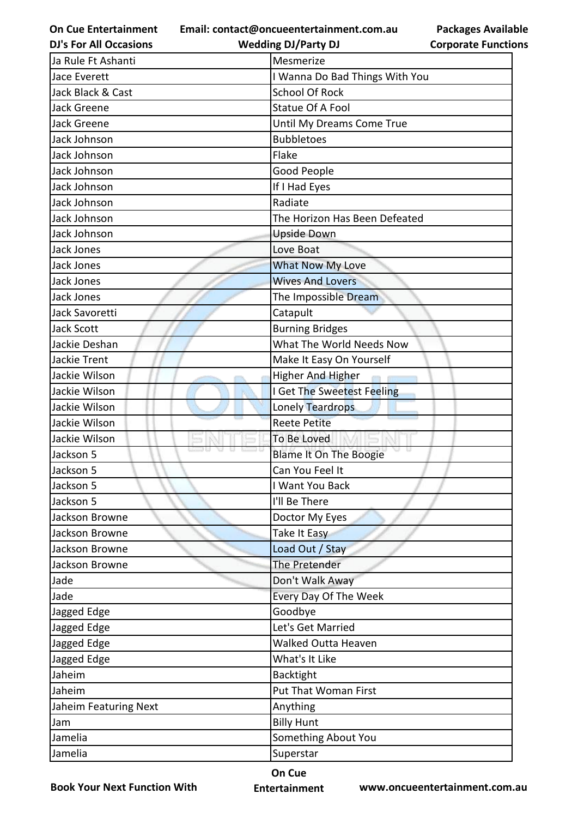**Email: contact@oncueentertainment.com.au Wedding DJ/Party DJ** 

**DJ's For All Occasions**

**Packages Available Corporate Functions**

| Ja Rule Ft Ashanti    | Mesmerize                      |
|-----------------------|--------------------------------|
| Jace Everett          | I Wanna Do Bad Things With You |
| Jack Black & Cast     | <b>School Of Rock</b>          |
| Jack Greene           | <b>Statue Of A Fool</b>        |
| Jack Greene           | Until My Dreams Come True      |
| Jack Johnson          | <b>Bubbletoes</b>              |
| Jack Johnson          | Flake                          |
| Jack Johnson          | Good People                    |
| Jack Johnson          | If I Had Eyes                  |
| Jack Johnson          | Radiate                        |
| Jack Johnson          | The Horizon Has Been Defeated  |
| Jack Johnson          | <b>Upside Down</b>             |
| Jack Jones            | Love Boat                      |
| Jack Jones            | What Now My Love               |
| Jack Jones            | <b>Wives And Lovers</b>        |
| Jack Jones            | The Impossible Dream           |
| Jack Savoretti        | Catapult                       |
| <b>Jack Scott</b>     | <b>Burning Bridges</b>         |
| Jackie Deshan         | What The World Needs Now       |
| Jackie Trent          | Make It Easy On Yourself       |
| Jackie Wilson         | Higher And Higher              |
| Jackie Wilson         | I Get The Sweetest Feeling     |
| Jackie Wilson         | Lonely Teardrops               |
| Jackie Wilson         | <b>Reete Petite</b>            |
| Jackie Wilson         | To Be Loved                    |
| 9 U I<br>Jackson 5    | <b>Blame It On The Boogie</b>  |
| Jackson 5             | Can You Feel It                |
| Jackson 5             | I Want You Back                |
| Jackson 5             | I'll Be There                  |
| Jackson Browne        | Doctor My Eyes                 |
| Jackson Browne        | Take It Easy                   |
| Jackson Browne        | Load Out / Stay                |
| Jackson Browne        | The Pretender                  |
| Jade                  | Don't Walk Away                |
| Jade                  | Every Day Of The Week          |
| Jagged Edge           | Goodbye                        |
| Jagged Edge           | Let's Get Married              |
| Jagged Edge           | <b>Walked Outta Heaven</b>     |
| Jagged Edge           | What's It Like                 |
| Jaheim                | <b>Backtight</b>               |
| Jaheim                | Put That Woman First           |
| Jaheim Featuring Next | Anything                       |
| Jam                   | <b>Billy Hunt</b>              |
| Jamelia               | Something About You            |
| Jamelia               | Superstar                      |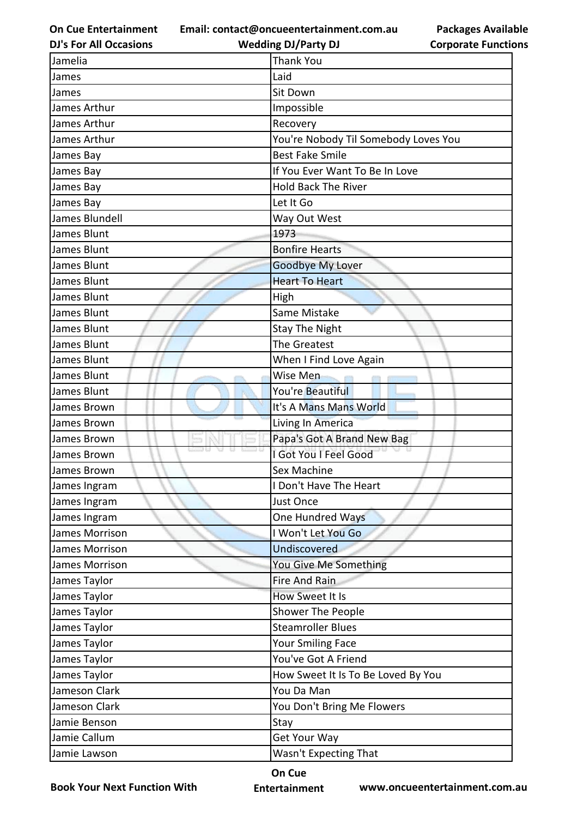**Email: contact@oncueentertainment.com.au**

**DJ's For All Occasions**

**Wedding DJ/Party DJ** 

**Packages Available Corporate Functions**

| Jamelia        | <b>Thank You</b>                     |
|----------------|--------------------------------------|
| James          | Laid                                 |
| James          | Sit Down                             |
| James Arthur   | Impossible                           |
| James Arthur   | Recovery                             |
| James Arthur   | You're Nobody Til Somebody Loves You |
| James Bay      | <b>Best Fake Smile</b>               |
| James Bay      | If You Ever Want To Be In Love       |
| James Bay      | <b>Hold Back The River</b>           |
| James Bay      | Let It Go                            |
| James Blundell | Way Out West                         |
| James Blunt    | 1973                                 |
| James Blunt    | <b>Bonfire Hearts</b>                |
| James Blunt    | <b>Goodbye My Lover</b>              |
| James Blunt    | <b>Heart To Heart</b>                |
| James Blunt    | High                                 |
| James Blunt    | Same Mistake                         |
| James Blunt    | <b>Stay The Night</b>                |
| James Blunt    | The Greatest                         |
| James Blunt    | When I Find Love Again               |
| James Blunt    | Wise Men                             |
| James Blunt    | You're Beautiful                     |
| James Brown    | It's A Mans Mans World               |
| James Brown    | Living In America                    |
| James Brown    | Papa's Got A Brand New Bag           |
| James Brown    | I Got You I Feel Good                |
| James Brown    | Sex Machine                          |
| James Ingram   | I Don't Have The Heart               |
| James Ingram   | <b>Just Once</b>                     |
| James Ingram   | One Hundred Ways                     |
| James Morrison | I Won't Let You Go                   |
| James Morrison | Undiscovered                         |
| James Morrison | You Give Me Something                |
| James Taylor   | Fire And Rain                        |
| James Taylor   | How Sweet It Is                      |
| James Taylor   | Shower The People                    |
| James Taylor   | <b>Steamroller Blues</b>             |
| James Taylor   | <b>Your Smiling Face</b>             |
| James Taylor   | You've Got A Friend                  |
| James Taylor   | How Sweet It Is To Be Loved By You   |
| Jameson Clark  | You Da Man                           |
| Jameson Clark  | You Don't Bring Me Flowers           |
| Jamie Benson   | Stay                                 |
| Jamie Callum   | Get Your Way                         |
| Jamie Lawson   | Wasn't Expecting That                |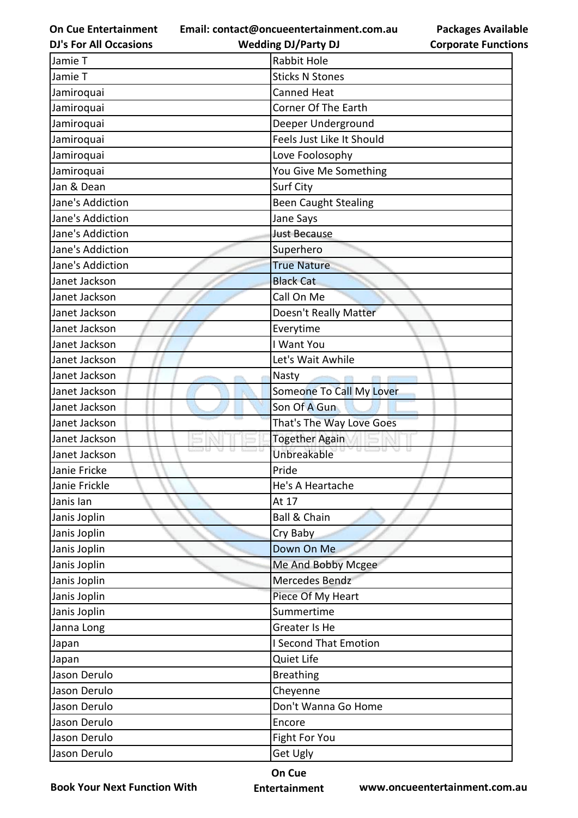**Email: contact@oncueentertainment.com.au Wedding DJ/Party DJ** 

**DJ's For All Occasions**

**Packages Available Corporate Functions**

| Jamie T          | <b>Rabbit Hole</b>           |
|------------------|------------------------------|
| Jamie T          | <b>Sticks N Stones</b>       |
| Jamiroquai       | <b>Canned Heat</b>           |
| Jamiroquai       | Corner Of The Earth          |
| Jamiroquai       | Deeper Underground           |
| Jamiroquai       | Feels Just Like It Should    |
| Jamiroquai       | Love Foolosophy              |
| Jamiroquai       | You Give Me Something        |
| Jan & Dean       | Surf City                    |
| Jane's Addiction | <b>Been Caught Stealing</b>  |
| Jane's Addiction | Jane Says                    |
| Jane's Addiction | <b>Just Because</b>          |
| Jane's Addiction | Superhero                    |
| Jane's Addiction | <b>True Nature</b>           |
| Janet Jackson    | <b>Black Cat</b>             |
| Janet Jackson    | Call On Me                   |
| Janet Jackson    | Doesn't Really Matter        |
| Janet Jackson    | Everytime                    |
| Janet Jackson    | I Want You                   |
| Janet Jackson    | Let's Wait Awhile            |
| Janet Jackson    | Nasty                        |
| Janet Jackson    | Someone To Call My Lover     |
| Janet Jackson    | Son Of A Gun                 |
| Janet Jackson    | That's The Way Love Goes     |
| Janet Jackson    | <b>Together Again</b>        |
| Janet Jackson    | Unbreakable                  |
| Janie Fricke     | Pride                        |
| Janie Frickle    | He's A Heartache             |
| Janis lan        | At 17                        |
| Janis Joplin     | <b>Ball &amp; Chain</b>      |
| Janis Joplin     | Cry Baby                     |
| Janis Joplin     | Down On Me                   |
| Janis Joplin     | Me And Bobby Mcgee           |
| Janis Joplin     | Mercedes Bendz               |
| Janis Joplin     | Piece Of My Heart            |
| Janis Joplin     | Summertime                   |
| Janna Long       | Greater Is He                |
| Japan            | <b>I Second That Emotion</b> |
| Japan            | Quiet Life                   |
| Jason Derulo     | <b>Breathing</b>             |
| Jason Derulo     | Cheyenne                     |
| Jason Derulo     | Don't Wanna Go Home          |
| Jason Derulo     | Encore                       |
| Jason Derulo     | Fight For You                |
| Jason Derulo     | <b>Get Ugly</b>              |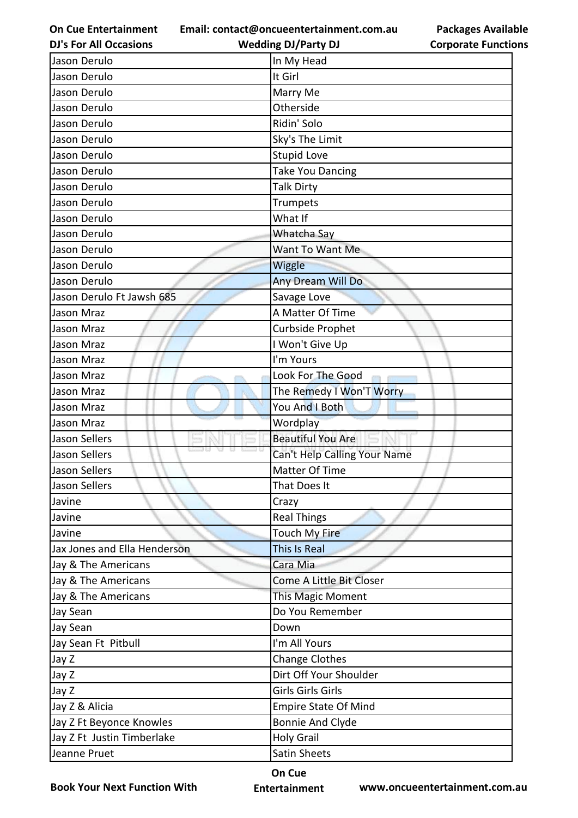**Email: contact@oncueentertainment.com.au Wedding DJ/Party DJ** 

**DJ's For All Occasions**

**Corporate Functions**

**Packages Available** 

| Jason Derulo                 | In My Head                   |
|------------------------------|------------------------------|
| Jason Derulo                 | It Girl                      |
| Jason Derulo                 | Marry Me                     |
| Jason Derulo                 | Otherside                    |
| Jason Derulo                 | Ridin' Solo                  |
| Jason Derulo                 | Sky's The Limit              |
| Jason Derulo                 | <b>Stupid Love</b>           |
| Jason Derulo                 | <b>Take You Dancing</b>      |
| Jason Derulo                 | <b>Talk Dirty</b>            |
| Jason Derulo                 | Trumpets                     |
| Jason Derulo                 | What If                      |
| Jason Derulo                 | Whatcha Say                  |
| Jason Derulo                 | Want To Want Me              |
| Jason Derulo                 | Wiggle                       |
| Jason Derulo                 | Any Dream Will Do            |
| Jason Derulo Ft Jawsh 685    | Savage Love                  |
| Jason Mraz                   | A Matter Of Time             |
| Jason Mraz                   | Curbside Prophet             |
| Jason Mraz                   | I Won't Give Up              |
| Jason Mraz                   | I'm Yours                    |
| Jason Mraz                   | Look For The Good            |
| Jason Mraz                   | The Remedy I Won'T Worry     |
| Jason Mraz                   | You And I Both               |
| Jason Mraz                   | Wordplay                     |
| Jason Sellers                | <b>Beautiful You Are</b>     |
| Jason Sellers                | Can't Help Calling Your Name |
| Jason Sellers                | Matter Of Time               |
| Jason Sellers                | That Does It                 |
| Javine                       | Crazy                        |
| Javine                       | <b>Real Things</b>           |
| Javine                       | Touch My Fire                |
| Jax Jones and Ella Henderson | This Is Real                 |
| Jay & The Americans          | Cara Mia                     |
| Jay & The Americans          | Come A Little Bit Closer     |
| Jay & The Americans          | This Magic Moment            |
| Jay Sean                     | Do You Remember              |
| Jay Sean                     | Down                         |
| Jay Sean Ft Pitbull          | I'm All Yours                |
| Jay Z                        | <b>Change Clothes</b>        |
| Jay Z                        | Dirt Off Your Shoulder       |
| Jay Z                        | Girls Girls Girls            |
| Jay Z & Alicia               | <b>Empire State Of Mind</b>  |
| Jay Z Ft Beyonce Knowles     | <b>Bonnie And Clyde</b>      |
| Jay Z Ft Justin Timberlake   | <b>Holy Grail</b>            |
| Jeanne Pruet                 | <b>Satin Sheets</b>          |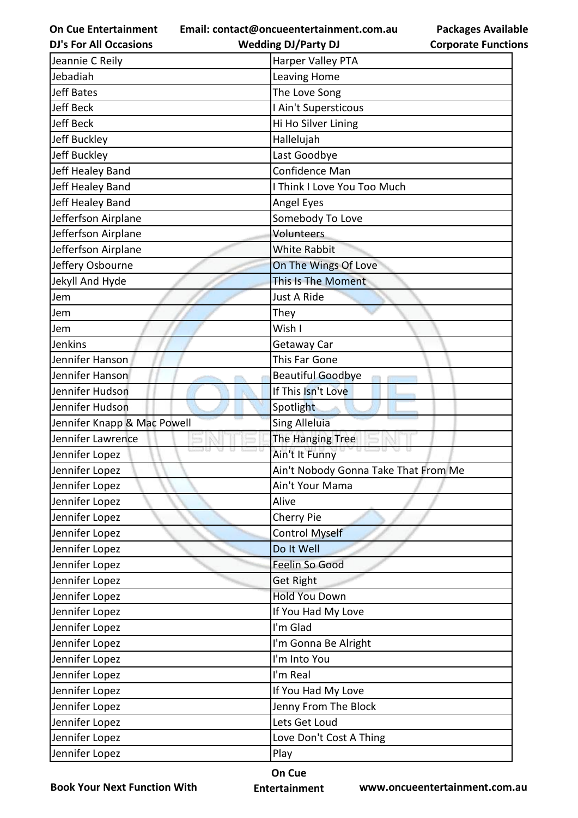**Email: contact@oncueentertainment.com.au**

**DJ's For All Occasions**

**Wedding DJ/Party DJ** 

**Packages Available Corporate Functions**

| Jeannie C Reily             | Harper Valley PTA                    |
|-----------------------------|--------------------------------------|
| Jebadiah                    | Leaving Home                         |
| <b>Jeff Bates</b>           | The Love Song                        |
| <b>Jeff Beck</b>            | I Ain't Supersticous                 |
| <b>Jeff Beck</b>            | Hi Ho Silver Lining                  |
| Jeff Buckley                | Hallelujah                           |
| Jeff Buckley                | Last Goodbye                         |
| Jeff Healey Band            | Confidence Man                       |
| Jeff Healey Band            | I Think I Love You Too Much          |
| Jeff Healey Band            | Angel Eyes                           |
| Jefferfson Airplane         | Somebody To Love                     |
| Jefferfson Airplane         | Volunteers                           |
| Jefferfson Airplane         | <b>White Rabbit</b>                  |
| Jeffery Osbourne            | On The Wings Of Love                 |
| Jekyll And Hyde             | This Is The Moment                   |
| Jem                         | Just A Ride                          |
| Jem                         | They                                 |
| Jem                         | Wish I                               |
| Jenkins                     | Getaway Car                          |
| Jennifer Hanson             | This Far Gone                        |
| Jennifer Hanson             | <b>Beautiful Goodbye</b>             |
| Jennifer Hudson             | If This Isn't Love                   |
| Jennifer Hudson             | Spotlight                            |
| Jennifer Knapp & Mac Powell | <b>Sing Alleluia</b>                 |
| Jennifer Lawrence           | The Hanging Tree                     |
| Jennifer Lopez              | Ain't It Funny                       |
| Jennifer Lopez              | Ain't Nobody Gonna Take That From Me |
| Jennifer Lopez              | Ain't Your Mama                      |
| Jennifer Lopez              | Alive                                |
| Jennifer Lopez              | Cherry Pie                           |
| Jennifer Lopez              | Control Myself                       |
| Jennifer Lopez              | Do It Well                           |
| Jennifer Lopez              | Feelin So Good                       |
| Jennifer Lopez              | <b>Get Right</b>                     |
| Jennifer Lopez              | <b>Hold You Down</b>                 |
| Jennifer Lopez              | If You Had My Love                   |
| Jennifer Lopez              | I'm Glad                             |
| Jennifer Lopez              | I'm Gonna Be Alright                 |
| Jennifer Lopez              | I'm Into You                         |
| Jennifer Lopez              | I'm Real                             |
| Jennifer Lopez              | If You Had My Love                   |
| Jennifer Lopez              | Jenny From The Block                 |
| Jennifer Lopez              | Lets Get Loud                        |
| Jennifer Lopez              | Love Don't Cost A Thing              |
| Jennifer Lopez              | Play                                 |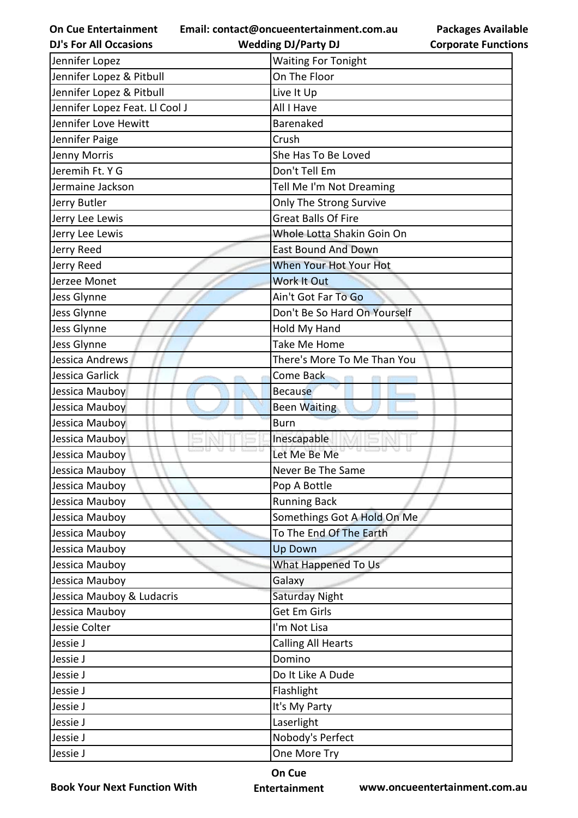**Email: contact@oncueentertainment.com.au**

**DJ's For All Occasions**

**Wedding DJ/Party DJ** 

| <b>Packages Available</b>  |
|----------------------------|
| <b>Corporate Functions</b> |

| Jennifer Lopez                 | <b>Waiting For Tonight</b>   |
|--------------------------------|------------------------------|
| Jennifer Lopez & Pitbull       | On The Floor                 |
| Jennifer Lopez & Pitbull       | Live It Up                   |
| Jennifer Lopez Feat. Ll Cool J | All I Have                   |
| Jennifer Love Hewitt           | <b>Barenaked</b>             |
| Jennifer Paige                 | Crush                        |
| Jenny Morris                   | She Has To Be Loved          |
| Jeremih Ft. Y G                | Don't Tell Em                |
| Jermaine Jackson               | Tell Me I'm Not Dreaming     |
| Jerry Butler                   | Only The Strong Survive      |
| Jerry Lee Lewis                | <b>Great Balls Of Fire</b>   |
| Jerry Lee Lewis                | Whole Lotta Shakin Goin On   |
| Jerry Reed                     | <b>East Bound And Down</b>   |
| Jerry Reed                     | When Your Hot Your Hot       |
| Jerzee Monet                   | Work It Out                  |
| Jess Glynne                    | Ain't Got Far To Go          |
| Jess Glynne                    | Don't Be So Hard On Yourself |
| Jess Glynne                    | Hold My Hand                 |
| Jess Glynne                    | Take Me Home                 |
| Jessica Andrews                | There's More To Me Than You  |
| Jessica Garlick                | Come Back                    |
| Jessica Mauboy                 | <b>Because</b>               |
| Jessica Mauboy                 | <b>Been Waiting</b>          |
| Jessica Mauboy                 | <b>Burn</b>                  |
| Jessica Mauboy                 | Inescapable                  |
| Jessica Mauboy                 | Let Me Be Me                 |
| Jessica Mauboy                 | Never Be The Same            |
| Jessica Mauboy                 | Pop A Bottle                 |
| Jessica Mauboy                 | <b>Running Back</b>          |
| Jessica Mauboy                 | Somethings Got A Hold On Me  |
| Jessica Mauboy                 | To The End Of The Earth      |
| Jessica Mauboy                 | <b>Up Down</b>               |
| Jessica Mauboy                 | What Happened To Us          |
| Jessica Mauboy                 | Galaxy                       |
| Jessica Mauboy & Ludacris      | Saturday Night               |
| Jessica Mauboy                 | Get Em Girls                 |
| Jessie Colter                  | I'm Not Lisa                 |
| Jessie J                       | <b>Calling All Hearts</b>    |
| Jessie J                       | Domino                       |
| Jessie J                       | Do It Like A Dude            |
| Jessie J                       | Flashlight                   |
| Jessie J                       | It's My Party                |
| Jessie J                       | Laserlight                   |
| Jessie J                       | Nobody's Perfect             |
| Jessie J                       | One More Try                 |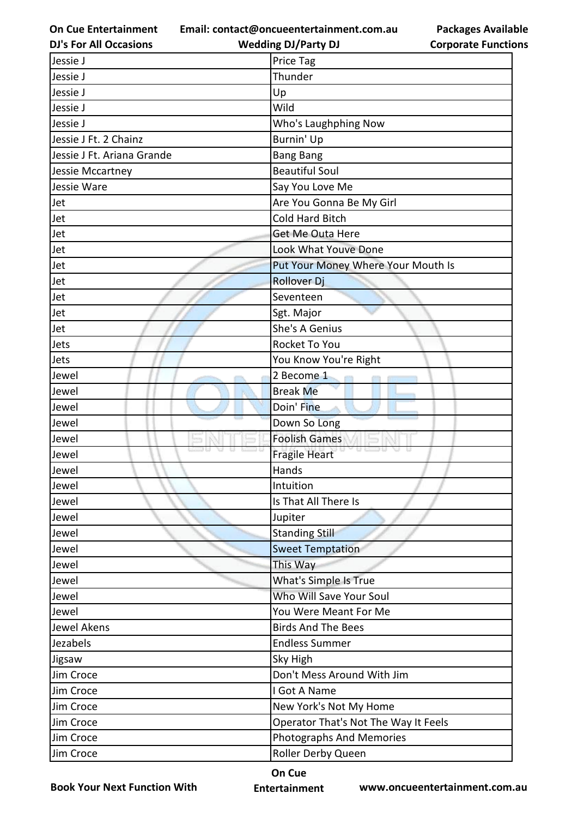**Email: contact@oncueentertainment.com.au**

**DJ's For All Occasions**

**Wedding DJ/Party DJ** 



| Jessie J                   | Price Tag                            |
|----------------------------|--------------------------------------|
| Jessie J                   | Thunder                              |
| Jessie J                   | Up                                   |
| Jessie J                   | Wild                                 |
| Jessie J                   | Who's Laughphing Now                 |
| Jessie J Ft. 2 Chainz      | Burnin' Up                           |
| Jessie J Ft. Ariana Grande | <b>Bang Bang</b>                     |
| Jessie Mccartney           | <b>Beautiful Soul</b>                |
| Jessie Ware                | Say You Love Me                      |
| Jet                        | Are You Gonna Be My Girl             |
| Jet                        | Cold Hard Bitch                      |
| Jet                        | Get Me Outa Here                     |
| Jet                        | Look What Youve Done                 |
| Jet                        | Put Your Money Where Your Mouth Is   |
| Jet                        | <b>Rollover Dj</b>                   |
| Jet                        | Seventeen                            |
| Jet                        | Sgt. Major                           |
| Jet                        | She's A Genius                       |
| Jets                       | Rocket To You                        |
| Jets                       | You Know You're Right                |
| Jewel                      | 2 Become 1                           |
| Jewel                      | <b>Break Me</b>                      |
| Jewel                      | Doin' Fine                           |
| Jewel                      | Down So Long                         |
| Jewel                      | <b>Foolish Games</b>                 |
| Jewel                      | <b>Fragile Heart</b>                 |
| Jewel                      | Hands                                |
| Jewel                      | Intuition                            |
| Jewel                      | Is That All There Is                 |
| Jewel                      | Jupiter                              |
| Jewel                      | <b>Standing Still</b>                |
| Jewel                      | <b>Sweet Temptation</b>              |
| Jewel                      | This Way                             |
| Jewel                      | What's Simple Is True                |
| Jewel                      | Who Will Save Your Soul              |
| Jewel                      | You Were Meant For Me                |
| Jewel Akens                | <b>Birds And The Bees</b>            |
| Jezabels                   | <b>Endless Summer</b>                |
| Jigsaw                     | Sky High                             |
| Jim Croce                  | Don't Mess Around With Jim           |
| Jim Croce                  | I Got A Name                         |
| Jim Croce                  | New York's Not My Home               |
| Jim Croce                  | Operator That's Not The Way It Feels |
| Jim Croce                  | <b>Photographs And Memories</b>      |
| Jim Croce                  | Roller Derby Queen                   |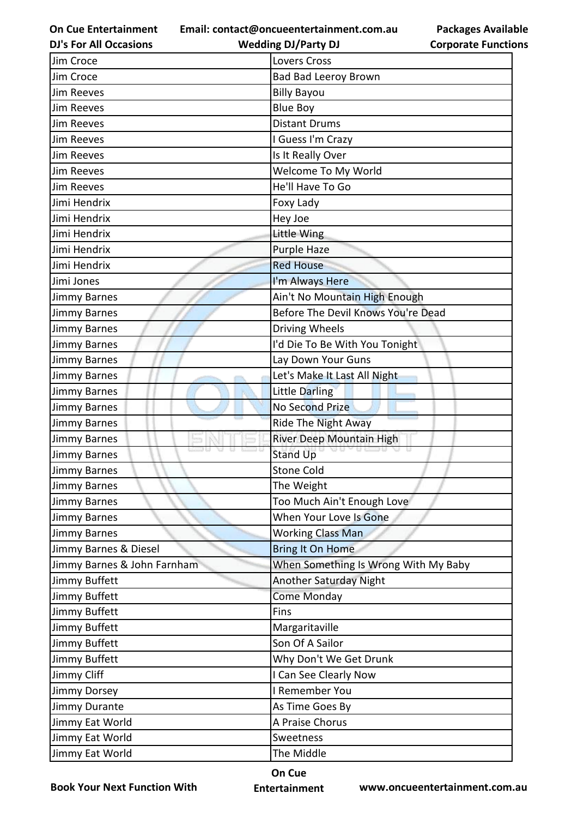**Email: contact@oncueentertainment.com.au Wedding DJ/Party DJ** 

**DJ's For All Occasions**

**Packages Available Corporate Functions**

| Jim Croce                   | Lovers Cross                         |
|-----------------------------|--------------------------------------|
| Jim Croce                   | <b>Bad Bad Leeroy Brown</b>          |
| <b>Jim Reeves</b>           | <b>Billy Bayou</b>                   |
| Jim Reeves                  | <b>Blue Boy</b>                      |
| <b>Jim Reeves</b>           | <b>Distant Drums</b>                 |
| <b>Jim Reeves</b>           | I Guess I'm Crazy                    |
| <b>Jim Reeves</b>           | Is It Really Over                    |
| <b>Jim Reeves</b>           | Welcome To My World                  |
| <b>Jim Reeves</b>           | He'll Have To Go                     |
| Jimi Hendrix                | Foxy Lady                            |
| Jimi Hendrix                | Hey Joe                              |
| Jimi Hendrix                | Little Wing                          |
| Jimi Hendrix                | Purple Haze                          |
| Jimi Hendrix                | <b>Red House</b>                     |
| Jimi Jones                  | I'm Always Here                      |
| <b>Jimmy Barnes</b>         | Ain't No Mountain High Enough        |
| <b>Jimmy Barnes</b>         | Before The Devil Knows You're Dead   |
| <b>Jimmy Barnes</b>         | Driving Wheels                       |
| <b>Jimmy Barnes</b>         | I'd Die To Be With You Tonight       |
| <b>Jimmy Barnes</b>         | Lay Down Your Guns                   |
| <b>Jimmy Barnes</b>         | Let's Make It Last All Night         |
| <b>Jimmy Barnes</b>         | <b>Little Darling</b>                |
| <b>Jimmy Barnes</b>         | <b>No Second Prize</b>               |
| <b>Jimmy Barnes</b>         | <b>Ride The Night Away</b>           |
| <b>Jimmy Barnes</b>         | River Deep Mountain High             |
| <b>Jimmy Barnes</b>         | <b>Stand Up</b>                      |
| <b>Jimmy Barnes</b>         | <b>Stone Cold</b>                    |
| <b>Jimmy Barnes</b>         | The Weight                           |
| <b>Jimmy Barnes</b>         | Too Much Ain't Enough Love           |
| <b>Jimmy Barnes</b>         | When Your Love Is Gone               |
| <b>Jimmy Barnes</b>         | <b>Working Class Man</b>             |
| Jimmy Barnes & Diesel       | <b>Bring It On Home</b>              |
| Jimmy Barnes & John Farnham | When Something Is Wrong With My Baby |
| Jimmy Buffett               | Another Saturday Night               |
| Jimmy Buffett               | Come Monday                          |
| Jimmy Buffett               | Fins                                 |
| Jimmy Buffett               | Margaritaville                       |
| Jimmy Buffett               | Son Of A Sailor                      |
| Jimmy Buffett               | Why Don't We Get Drunk               |
| Jimmy Cliff                 | I Can See Clearly Now                |
| <b>Jimmy Dorsey</b>         | I Remember You                       |
| Jimmy Durante               | As Time Goes By                      |
| Jimmy Eat World             | A Praise Chorus                      |
| Jimmy Eat World             | Sweetness                            |
| Jimmy Eat World             | The Middle                           |

**Book Your Next Function With**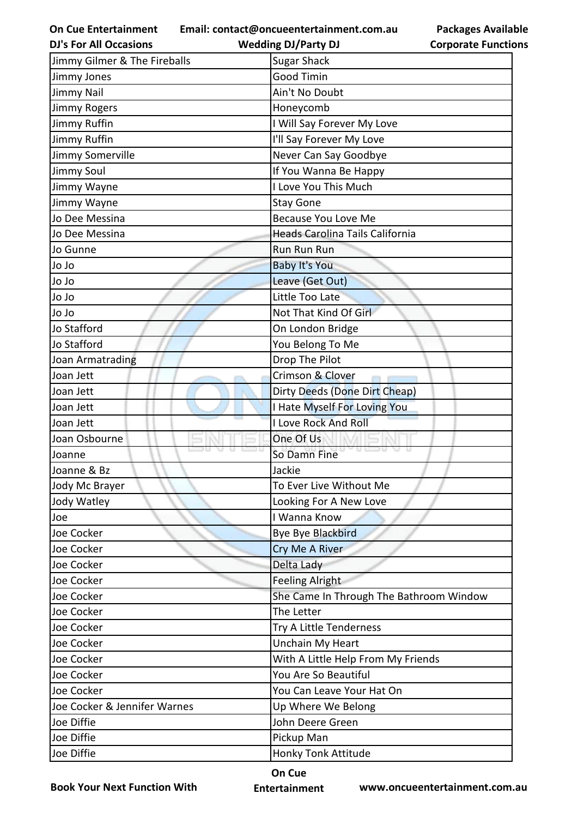**Email: contact@oncueentertainment.com.au**

**Packages Available Corporate Functions**

| <b>DJ's For All Occasions</b> | <b>Wedding DJ/Party DJ</b>              | <b>Corporate Functio</b> |
|-------------------------------|-----------------------------------------|--------------------------|
| Jimmy Gilmer & The Fireballs  | <b>Sugar Shack</b>                      |                          |
| Jimmy Jones                   | <b>Good Timin</b>                       |                          |
| <b>Jimmy Nail</b>             | Ain't No Doubt                          |                          |
| <b>Jimmy Rogers</b>           | Honeycomb                               |                          |
| Jimmy Ruffin                  | I Will Say Forever My Love              |                          |
| Jimmy Ruffin                  | I'll Say Forever My Love                |                          |
| Jimmy Somerville              | Never Can Say Goodbye                   |                          |
| <b>Jimmy Soul</b>             | If You Wanna Be Happy                   |                          |
| Jimmy Wayne                   | I Love You This Much                    |                          |
| Jimmy Wayne                   | <b>Stay Gone</b>                        |                          |
| Jo Dee Messina                | <b>Because You Love Me</b>              |                          |
| Jo Dee Messina                | Heads Carolina Tails California         |                          |
| Jo Gunne                      | <b>Run Run Run</b>                      |                          |
| Jo Jo                         | <b>Baby It's You</b>                    |                          |
| Jo Jo                         | Leave (Get Out)                         |                          |
| Jo Jo                         | Little Too Late                         |                          |
| Jo Jo                         | Not That Kind Of Girl                   |                          |
| Jo Stafford                   | On London Bridge                        |                          |
| Jo Stafford                   | You Belong To Me                        |                          |
| Joan Armatrading              | Drop The Pilot                          |                          |
| Joan Jett                     | Crimson & Clover                        |                          |
| Joan Jett                     | Dirty Deeds (Done Dirt Cheap)           |                          |
| Joan Jett                     | I Hate Myself For Loving You            |                          |
| Joan Jett                     | I Love Rock And Roll                    |                          |
| Joan Osbourne                 | One Of Us                               |                          |
| Joanne                        | <b>0500</b><br>So Damn Fine             |                          |
| Joanne & Bz                   | Jackie                                  |                          |
| Jody Mc Brayer                | To Ever Live Without Me                 |                          |
| Jody Watley                   | Looking For A New Love                  |                          |
| Joe                           | I Wanna Know                            |                          |
| Joe Cocker                    | Bye Bye Blackbird                       |                          |
| Joe Cocker                    | Cry Me A River                          |                          |
| Joe Cocker                    | Delta Lady                              |                          |
| Joe Cocker                    | <b>Feeling Alright</b>                  |                          |
| Joe Cocker                    | She Came In Through The Bathroom Window |                          |
| Joe Cocker                    | The Letter                              |                          |
| Joe Cocker                    | Try A Little Tenderness                 |                          |
| Joe Cocker                    | Unchain My Heart                        |                          |
| Joe Cocker                    | With A Little Help From My Friends      |                          |
| Joe Cocker                    | You Are So Beautiful                    |                          |
| Joe Cocker                    | You Can Leave Your Hat On               |                          |
| Joe Cocker & Jennifer Warnes  | Up Where We Belong                      |                          |
| Joe Diffie                    | John Deere Green                        |                          |
| Joe Diffie                    | Pickup Man                              |                          |
| Joe Diffie                    | Honky Tonk Attitude                     |                          |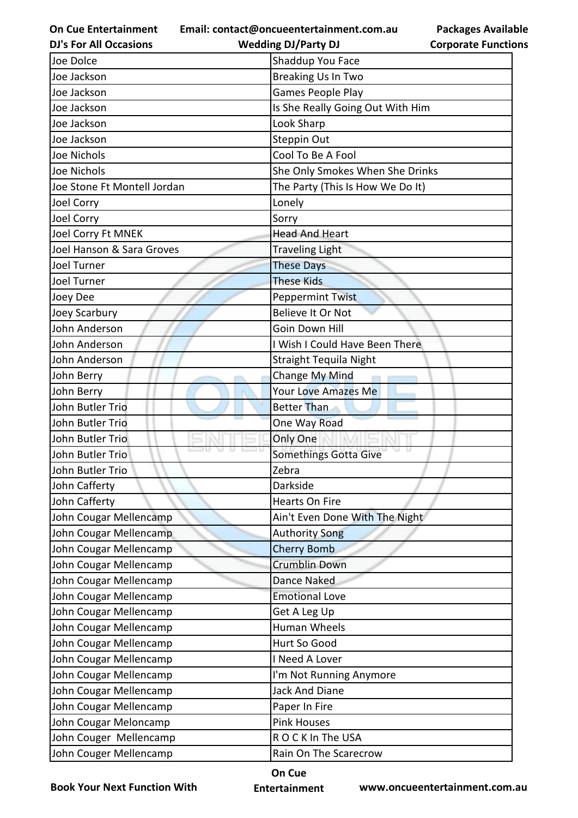**On Cue Entertainment Email: contact@oncueentertainment.com.au**

**Packages Available Corporate Functions**

| <b>DJ's For All Occasions</b> | <b>Wedding DJ/Party DJ</b>       | <b>Corporate Functio</b> |
|-------------------------------|----------------------------------|--------------------------|
| Joe Dolce                     | Shaddup You Face                 |                          |
| Joe Jackson                   | Breaking Us In Two               |                          |
| Joe Jackson                   | <b>Games People Play</b>         |                          |
| Joe Jackson                   | Is She Really Going Out With Him |                          |
| Joe Jackson                   | Look Sharp                       |                          |
| Joe Jackson                   | Steppin Out                      |                          |
| Joe Nichols                   | Cool To Be A Fool                |                          |
| Joe Nichols                   | She Only Smokes When She Drinks  |                          |
| Joe Stone Ft Montell Jordan   | The Party (This Is How We Do It) |                          |
| Joel Corry                    | Lonely                           |                          |
| Joel Corry                    | Sorry                            |                          |
| Joel Corry Ft MNEK            | <b>Head And Heart</b>            |                          |
| Joel Hanson & Sara Groves     | <b>Traveling Light</b>           |                          |
| Joel Turner                   | <b>These Days</b>                |                          |
| <b>Joel Turner</b>            | <b>These Kids</b>                |                          |
| Joey Dee                      | <b>Peppermint Twist</b>          |                          |
| Joey Scarbury                 | Believe It Or Not                |                          |
| John Anderson                 | Goin Down Hill                   |                          |
| John Anderson                 | I Wish I Could Have Been There   |                          |
| John Anderson                 | <b>Straight Tequila Night</b>    |                          |
| John Berry                    | Change My Mind                   |                          |
| John Berry                    | <b>Your Love Amazes Me</b>       |                          |
| John Butler Trio              | <b>Better Than</b>               |                          |
| John Butler Trio              | One Way Road                     |                          |
| John Butler Trio              | Only One                         |                          |
| John Butler Trio              | Somethings Gotta Give            |                          |
| John Butler Trio              | Zebra                            |                          |
| John Cafferty                 | Darkside                         |                          |
| John Cafferty                 | Hearts On Fire                   |                          |
| John Cougar Mellencamp        | Ain't Even Done With The Night   |                          |
| John Cougar Mellencamp        | <b>Authority Song</b>            |                          |
| John Cougar Mellencamp        | <b>Cherry Bomb</b>               |                          |
| John Cougar Mellencamp        | <b>Crumblin Down</b>             |                          |
| John Cougar Mellencamp        | Dance Naked                      |                          |
| John Cougar Mellencamp        | <b>Emotional Love</b>            |                          |
| John Cougar Mellencamp        | Get A Leg Up                     |                          |
| John Cougar Mellencamp        | Human Wheels                     |                          |
| John Cougar Mellencamp        | Hurt So Good                     |                          |
| John Cougar Mellencamp        | I Need A Lover                   |                          |
| John Cougar Mellencamp        | I'm Not Running Anymore          |                          |
| John Cougar Mellencamp        | <b>Jack And Diane</b>            |                          |
| John Cougar Mellencamp        | Paper In Fire                    |                          |
| John Cougar Meloncamp         | <b>Pink Houses</b>               |                          |
| John Couger Mellencamp        | ROCK In The USA                  |                          |
| John Couger Mellencamp        | Rain On The Scarecrow            |                          |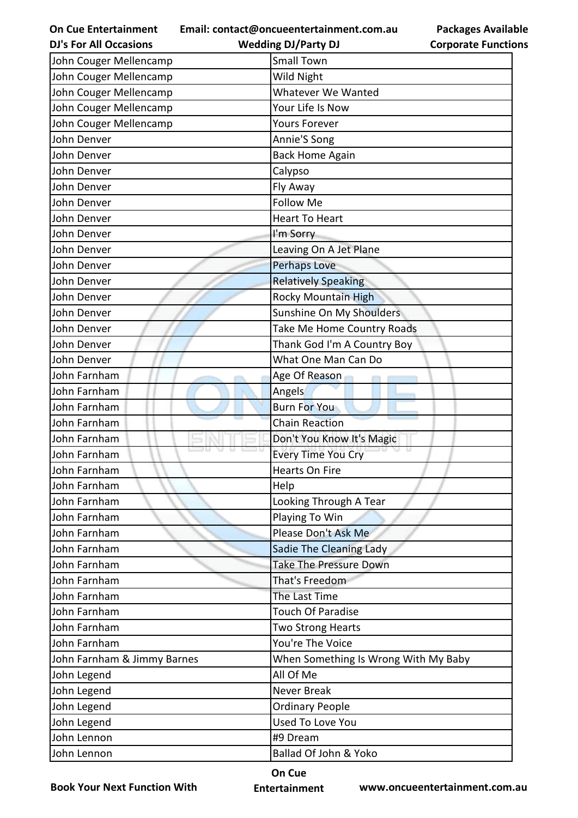**On Cue Entertainment DJ's For All Occasions**

**Email: contact@oncueentertainment.com.au Wedding DJ/Party DJ** 

| John Couger Mellencamp              | <b>Small Town</b>                    |  |
|-------------------------------------|--------------------------------------|--|
| John Couger Mellencamp              | Wild Night                           |  |
| John Couger Mellencamp              | <b>Whatever We Wanted</b>            |  |
| John Couger Mellencamp              | Your Life Is Now                     |  |
| John Couger Mellencamp              | <b>Yours Forever</b>                 |  |
| John Denver                         | Annie'S Song                         |  |
| John Denver                         | <b>Back Home Again</b>               |  |
| John Denver                         | Calypso                              |  |
| John Denver                         | Fly Away                             |  |
| John Denver                         | <b>Follow Me</b>                     |  |
| John Denver                         | <b>Heart To Heart</b>                |  |
| John Denver                         | I'm Sorry                            |  |
| John Denver                         | Leaving On A Jet Plane               |  |
| John Denver                         | <b>Perhaps Love</b>                  |  |
| John Denver                         | <b>Relatively Speaking</b>           |  |
| John Denver                         | <b>Rocky Mountain High</b>           |  |
| John Denver                         | Sunshine On My Shoulders             |  |
| John Denver                         | Take Me Home Country Roads           |  |
| John Denver                         | Thank God I'm A Country Boy          |  |
| John Denver                         | What One Man Can Do                  |  |
| John Farnham                        | Age Of Reason                        |  |
| John Farnham                        | Angels                               |  |
| John Farnham                        | <b>Burn For You</b>                  |  |
| John Farnham                        | <b>Chain Reaction</b>                |  |
| John Farnham                        | Don't You Know It's Magic            |  |
| John Farnham                        | <b>Every Time You Cry</b>            |  |
| John Farnham                        | <b>Hearts On Fire</b>                |  |
| John Farnham                        | Help                                 |  |
| John Farnham                        | Looking Through A Tear               |  |
| John Farnham                        | Playing To Win                       |  |
| Please Don't Ask Me<br>John Farnham |                                      |  |
| John Farnham                        | Sadie The Cleaning Lady              |  |
| John Farnham                        | <b>Take The Pressure Down</b>        |  |
| John Farnham                        | That's Freedom                       |  |
| John Farnham                        | The Last Time                        |  |
| John Farnham                        | <b>Touch Of Paradise</b>             |  |
| John Farnham                        | Two Strong Hearts                    |  |
| John Farnham                        | You're The Voice                     |  |
| John Farnham & Jimmy Barnes         | When Something Is Wrong With My Baby |  |
| John Legend                         | All Of Me                            |  |
| John Legend                         | Never Break                          |  |
| John Legend                         | <b>Ordinary People</b>               |  |
| John Legend                         | <b>Used To Love You</b>              |  |
| John Lennon                         | #9 Dream                             |  |
| John Lennon                         | Ballad Of John & Yoko                |  |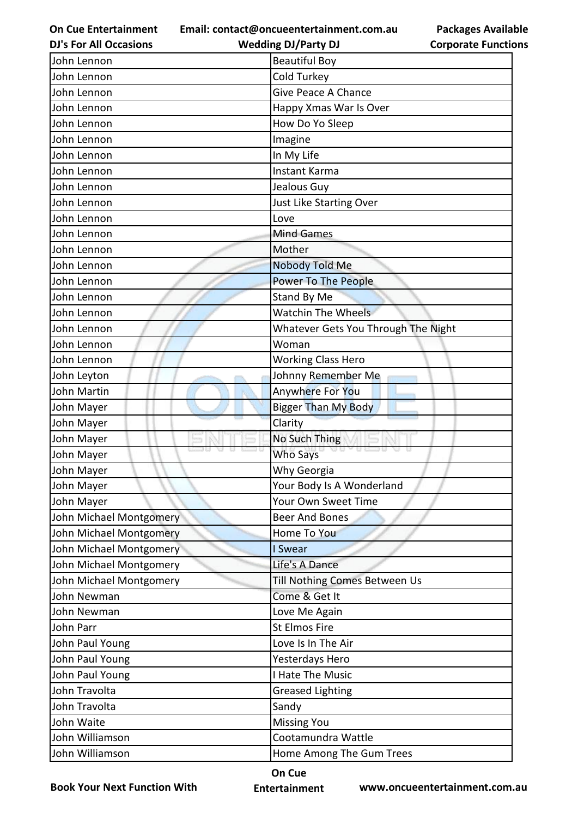**Email: contact@oncueentertainment.com.au Wedding DJ/Party DJ** 

**DJ's For All Occasions**

**Packages Available Corporate Functions**

| John Lennon             | <b>Beautiful Boy</b>                |
|-------------------------|-------------------------------------|
| John Lennon             | Cold Turkey                         |
| John Lennon             | <b>Give Peace A Chance</b>          |
| John Lennon             | Happy Xmas War Is Over              |
| John Lennon             | How Do Yo Sleep                     |
| John Lennon             | Imagine                             |
| John Lennon             | In My Life                          |
| John Lennon             | Instant Karma                       |
| John Lennon             | Jealous Guy                         |
| John Lennon             | Just Like Starting Over             |
| John Lennon             | Love                                |
| John Lennon             | <b>Mind Games</b>                   |
| John Lennon             | Mother                              |
| John Lennon             | Nobody Told Me                      |
| John Lennon             | <b>Power To The People</b>          |
| John Lennon             | <b>Stand By Me</b>                  |
| John Lennon             | <b>Watchin The Wheels</b>           |
| John Lennon             | Whatever Gets You Through The Night |
| John Lennon             | Woman                               |
| John Lennon             | <b>Working Class Hero</b>           |
| John Leyton             | Johnny Remember Me                  |
| John Martin             | Anywhere For You                    |
| John Mayer              | <b>Bigger Than My Body</b>          |
| John Mayer              | Clarity                             |
| John Mayer              | No Such Thing                       |
| John Mayer              | Who Says                            |
| John Mayer              | Why Georgia                         |
| John Mayer              | Your Body Is A Wonderland           |
| John Mayer              | Your Own Sweet Time                 |
| John Michael Montgomery | <b>Beer And Bones</b>               |
| John Michael Montgomery | Home To You                         |
| John Michael Montgomery | I Swear                             |
| John Michael Montgomery | Life's A Dance                      |
| John Michael Montgomery | Till Nothing Comes Between Us       |
| John Newman             | Come & Get It                       |
| John Newman             | Love Me Again                       |
| John Parr               | <b>St Elmos Fire</b>                |
| John Paul Young         | Love Is In The Air                  |
| John Paul Young         | Yesterdays Hero                     |
| John Paul Young         | I Hate The Music                    |
| John Travolta           | <b>Greased Lighting</b>             |
| John Travolta           | Sandy                               |
| John Waite              | <b>Missing You</b>                  |
| John Williamson         | Cootamundra Wattle                  |
| John Williamson         | Home Among The Gum Trees            |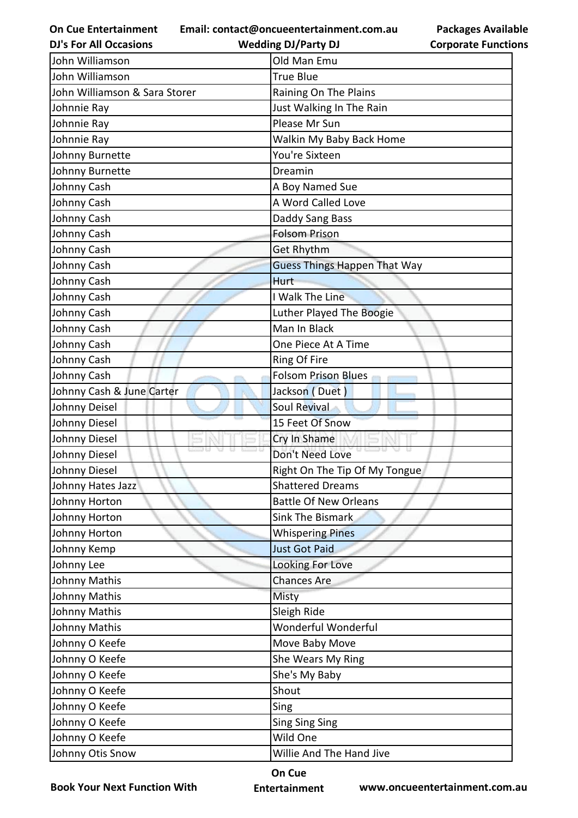**Email: contact@oncueentertainment.com.au**

**Wedding DJ/Party DJ** 

| <b>Packages Available</b>  |  |
|----------------------------|--|
| <b>Corporate Functions</b> |  |

| <b>DJ's For All Occasions</b> | <b>Wedding DJ/Party DJ</b>          | <b>Corporate Functio</b> |
|-------------------------------|-------------------------------------|--------------------------|
| John Williamson               | Old Man Emu                         |                          |
| John Williamson               | <b>True Blue</b>                    |                          |
| John Williamson & Sara Storer | Raining On The Plains               |                          |
| Johnnie Ray                   | Just Walking In The Rain            |                          |
| Johnnie Ray                   | Please Mr Sun                       |                          |
| Johnnie Ray                   | Walkin My Baby Back Home            |                          |
| Johnny Burnette               | You're Sixteen                      |                          |
| Johnny Burnette               | Dreamin                             |                          |
| Johnny Cash                   | A Boy Named Sue                     |                          |
| Johnny Cash                   | A Word Called Love                  |                          |
| Johnny Cash                   | Daddy Sang Bass                     |                          |
| Johnny Cash                   | <b>Folsom Prison</b>                |                          |
| Johnny Cash                   | Get Rhythm                          |                          |
| Johnny Cash                   | <b>Guess Things Happen That Way</b> |                          |
| Johnny Cash                   | <b>Hurt</b>                         |                          |
| Johnny Cash                   | I Walk The Line                     |                          |
| Johnny Cash                   | Luther Played The Boogie            |                          |
| Johnny Cash                   | Man In Black                        |                          |
| Johnny Cash                   | One Piece At A Time                 |                          |
| Johnny Cash                   | Ring Of Fire                        |                          |
| Johnny Cash                   | <b>Folsom Prison Blues</b>          |                          |
| Johnny Cash & June Carter     | Jackson (Duet)                      |                          |
| Johnny Deisel                 | Soul Revival                        |                          |
| Johnny Diesel                 | 15 Feet Of Snow                     |                          |
| Johnny Diesel                 | Cry In Shame                        |                          |
| Johnny Diesel                 | Don't Need Love                     |                          |
| Johnny Diesel                 | Right On The Tip Of My Tongue       |                          |
| Johnny Hates Jazz             | <b>Shattered Dreams</b>             |                          |
| Johnny Horton                 | <b>Battle Of New Orleans</b>        |                          |
| Johnny Horton                 | <b>Sink The Bismark</b>             |                          |
| Johnny Horton                 | <b>Whispering Pines</b>             |                          |
| Johnny Kemp                   | <b>Just Got Paid</b>                |                          |
| Johnny Lee                    | Looking For Love                    |                          |
| Johnny Mathis                 | <b>Chances Are</b>                  |                          |
| Johnny Mathis                 | Misty                               |                          |
| Johnny Mathis                 | Sleigh Ride                         |                          |
| Johnny Mathis                 | Wonderful Wonderful                 |                          |
| Johnny O Keefe                | Move Baby Move                      |                          |
| Johnny O Keefe                | She Wears My Ring                   |                          |
| Johnny O Keefe                | She's My Baby                       |                          |
| Johnny O Keefe                | Shout                               |                          |
| Johnny O Keefe                | Sing                                |                          |
| Johnny O Keefe                | <b>Sing Sing Sing</b>               |                          |
| Johnny O Keefe                | Wild One                            |                          |
| Johnny Otis Snow              | Willie And The Hand Jive            |                          |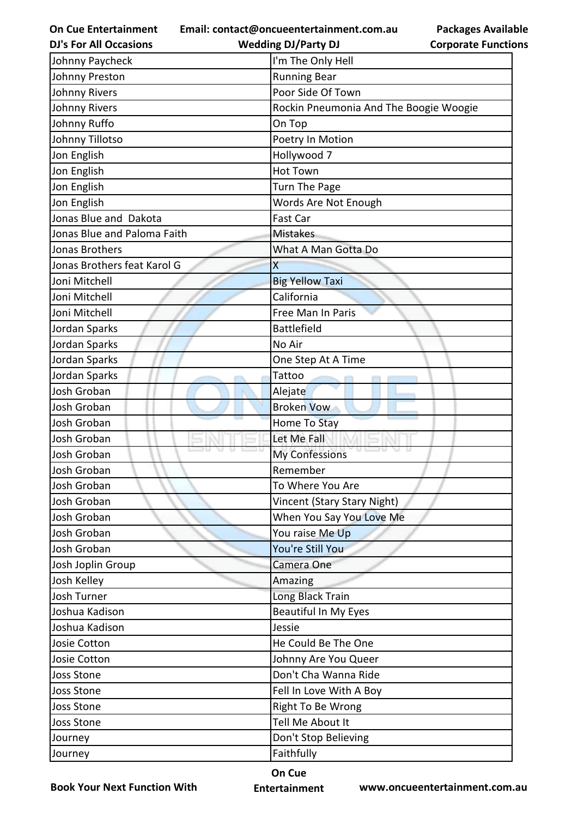**Email: contact@oncueentertainment.com.au**

**DJ's For All Occasions**

**Corporate Functions**

**Packages Available** 

| <b>DJ's For All Occasions</b> | <b>Wedding DJ/Party DJ</b>             | <b>Corporate Functio</b> |
|-------------------------------|----------------------------------------|--------------------------|
| Johnny Paycheck               | I'm The Only Hell                      |                          |
| Johnny Preston                | <b>Running Bear</b>                    |                          |
| <b>Johnny Rivers</b>          | Poor Side Of Town                      |                          |
| <b>Johnny Rivers</b>          | Rockin Pneumonia And The Boogie Woogie |                          |
| Johnny Ruffo                  | On Top                                 |                          |
| Johnny Tillotso               | Poetry In Motion                       |                          |
| Jon English                   | Hollywood 7                            |                          |
| Jon English                   | <b>Hot Town</b>                        |                          |
| Jon English                   | <b>Turn The Page</b>                   |                          |
| Jon English                   | Words Are Not Enough                   |                          |
| Jonas Blue and Dakota         | Fast Car                               |                          |
| Jonas Blue and Paloma Faith   | <b>Mistakes</b>                        |                          |
| Jonas Brothers                | What A Man Gotta Do                    |                          |
| Jonas Brothers feat Karol G   | X                                      |                          |
| Joni Mitchell                 | <b>Big Yellow Taxi</b>                 |                          |
| Joni Mitchell                 | California                             |                          |
| Joni Mitchell                 | Free Man In Paris                      |                          |
| Jordan Sparks                 | <b>Battlefield</b>                     |                          |
| Jordan Sparks                 | No Air                                 |                          |
| Jordan Sparks                 | One Step At A Time                     |                          |
| Jordan Sparks                 | Tattoo                                 |                          |
| Josh Groban                   | Alejate                                |                          |
| Josh Groban                   | <b>Broken Vow</b>                      |                          |
| Josh Groban                   | Home To Stay                           |                          |
| Josh Groban                   | Let Me Fall                            |                          |
| Josh Groban                   | u usu<br>My Confessions                |                          |
| Josh Groban                   | Remember                               |                          |
| Josh Groban                   | To Where You Are                       |                          |
| Josh Groban                   | Vincent (Stary Stary Night)            |                          |
| Josh Groban                   | When You Say You Love Me               |                          |
| Josh Groban                   | You raise Me Up                        |                          |
| Josh Groban                   | You're Still You                       |                          |
| Josh Joplin Group             | Camera One                             |                          |
| Josh Kelley                   | Amazing                                |                          |
| Josh Turner                   | Long Black Train                       |                          |
| Joshua Kadison                | <b>Beautiful In My Eyes</b>            |                          |
| Joshua Kadison                | Jessie                                 |                          |
| Josie Cotton                  | He Could Be The One                    |                          |
| Josie Cotton                  | Johnny Are You Queer                   |                          |
| <b>Joss Stone</b>             | Don't Cha Wanna Ride                   |                          |
| <b>Joss Stone</b>             | Fell In Love With A Boy                |                          |
| <b>Joss Stone</b>             | Right To Be Wrong                      |                          |
| <b>Joss Stone</b>             | Tell Me About It                       |                          |
| Journey                       | Don't Stop Believing                   |                          |
| Journey                       | Faithfully                             |                          |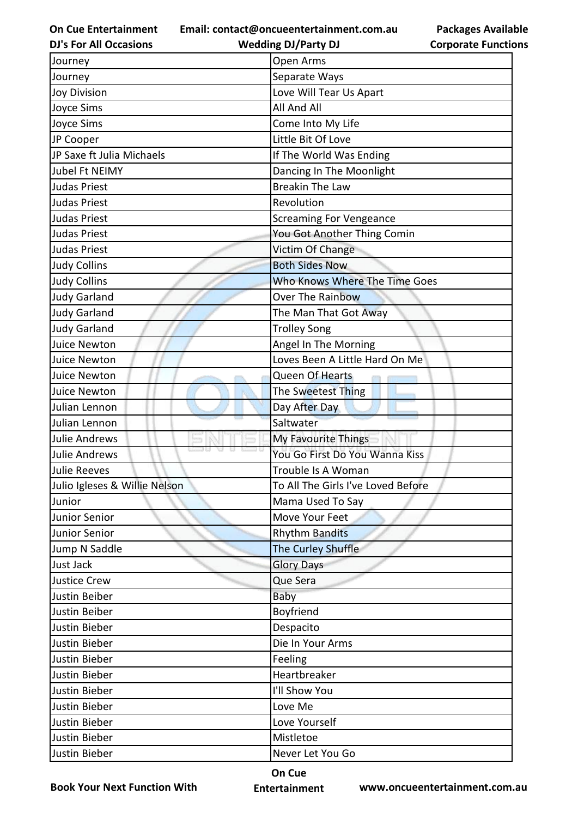**Email: contact@oncueentertainment.com.au**

| <b>DJ's For All Occasions</b> | <b>Wedding DJ/Party DJ</b>         | <b>Corporate Functio</b> |
|-------------------------------|------------------------------------|--------------------------|
| Journey                       | Open Arms                          |                          |
| Journey                       | Separate Ways                      |                          |
| <b>Joy Division</b>           | Love Will Tear Us Apart            |                          |
| Joyce Sims                    | All And All                        |                          |
| Joyce Sims                    | Come Into My Life                  |                          |
| JP Cooper                     | Little Bit Of Love                 |                          |
| JP Saxe ft Julia Michaels     | If The World Was Ending            |                          |
| Jubel Ft NEIMY                | Dancing In The Moonlight           |                          |
| <b>Judas Priest</b>           | <b>Breakin The Law</b>             |                          |
| <b>Judas Priest</b>           | Revolution                         |                          |
| <b>Judas Priest</b>           | <b>Screaming For Vengeance</b>     |                          |
| <b>Judas Priest</b>           | You Got Another Thing Comin        |                          |
| <b>Judas Priest</b>           | Victim Of Change                   |                          |
| <b>Judy Collins</b>           | <b>Both Sides Now</b>              |                          |
| <b>Judy Collins</b>           | Who Knows Where The Time Goes      |                          |
| <b>Judy Garland</b>           | <b>Over The Rainbow</b>            |                          |
| <b>Judy Garland</b>           | The Man That Got Away              |                          |
| <b>Judy Garland</b>           | <b>Trolley Song</b>                |                          |
| Juice Newton                  | Angel In The Morning               |                          |
| Juice Newton                  | Loves Been A Little Hard On Me     |                          |
| Juice Newton                  | Queen Of Hearts                    |                          |
| Juice Newton                  | The Sweetest Thing                 |                          |
| Julian Lennon                 | Day After Day                      |                          |
| Julian Lennon                 | Saltwater                          |                          |
| <b>Julie Andrews</b>          | My Favourite Things                |                          |
| <b>Julie Andrews</b>          | You Go First Do You Wanna Kiss     |                          |
| Julie Reeves                  | Trouble Is A Woman                 |                          |
| Julio Igleses & Willie Nelson | To All The Girls I've Loved Before |                          |
| Junior                        | Mama Used To Say                   |                          |
| Junior Senior                 | Move Your Feet                     |                          |
| Junior Senior                 | <b>Rhythm Bandits</b>              |                          |
| Jump N Saddle                 | The Curley Shuffle                 |                          |
| Just Jack                     | <b>Glory Days</b>                  |                          |
| <b>Justice Crew</b>           | Que Sera                           |                          |
| Justin Beiber                 | Baby                               |                          |
| Justin Beiber                 | Boyfriend                          |                          |
| Justin Bieber                 | Despacito                          |                          |
| Justin Bieber                 | Die In Your Arms                   |                          |
| Justin Bieber                 | Feeling                            |                          |
| Justin Bieber                 | Heartbreaker                       |                          |
| Justin Bieber                 | I'll Show You                      |                          |
| Justin Bieber                 | Love Me                            |                          |
| Justin Bieber                 | Love Yourself                      |                          |
| Justin Bieber                 | Mistletoe                          |                          |
| Justin Bieber                 | Never Let You Go                   |                          |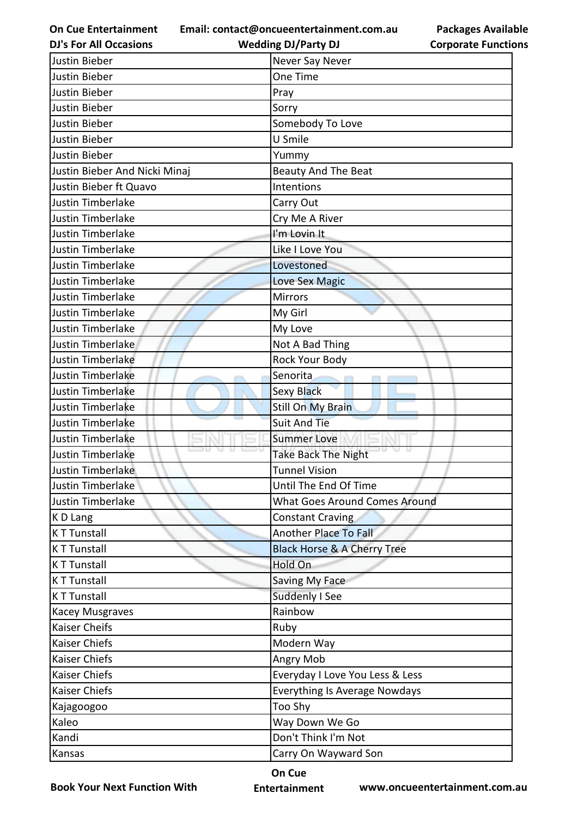**Email: contact@oncueentertainment.com.au**

**DJ's For All Occasions**

**Wedding DJ/Party DJ** 

| <b>Packages Available</b>  |
|----------------------------|
| <b>Corporate Functions</b> |

| Justin Bieber                 | Never Say Never                        |
|-------------------------------|----------------------------------------|
| Justin Bieber                 | One Time                               |
| Justin Bieber                 | Pray                                   |
| Justin Bieber                 | Sorry                                  |
| Justin Bieber                 | Somebody To Love                       |
| Justin Bieber                 | U Smile                                |
| Justin Bieber                 | Yummy                                  |
| Justin Bieber And Nicki Minaj | Beauty And The Beat                    |
| Justin Bieber ft Quavo        | Intentions                             |
| Justin Timberlake             | Carry Out                              |
| Justin Timberlake             | Cry Me A River                         |
| Justin Timberlake             | I'm Lovin It                           |
| <b>Justin Timberlake</b>      | Like I Love You                        |
| Justin Timberlake             | Lovestoned                             |
| Justin Timberlake             | <b>Love Sex Magic</b>                  |
| Justin Timberlake             | <b>Mirrors</b>                         |
| Justin Timberlake             | My Girl                                |
| Justin Timberlake             | My Love                                |
| Justin Timberlake             | Not A Bad Thing                        |
| Justin Timberlake             | Rock Your Body                         |
| Justin Timberlake             | Senorita<br><b>Sec. 19</b>             |
| Justin Timberlake             | Sexy Black                             |
| Justin Timberlake             | <b>Still On My Brain</b>               |
| Justin Timberlake             | <b>Suit And Tie</b>                    |
| Justin Timberlake             | <b>Summer Love</b>                     |
| Justin Timberlake             | <b>Take Back The Night</b>             |
| Justin Timberlake             | <b>Tunnel Vision</b>                   |
| Justin Timberlake             | Until The End Of Time                  |
| Justin Timberlake             | What Goes Around Comes Around          |
| K D Lang                      | <b>Constant Craving</b>                |
| <b>KT Tunstall</b>            | <b>Another Place To Fall</b>           |
| <b>KT Tunstall</b>            | <b>Black Horse &amp; A Cherry Tree</b> |
| <b>KT Tunstall</b>            | Hold On                                |
| <b>KT Tunstall</b>            | Saving My Face                         |
| <b>KT Tunstall</b>            | Suddenly I See                         |
| Kacey Musgraves               | Rainbow                                |
| Kaiser Cheifs                 | Ruby                                   |
| Kaiser Chiefs                 | Modern Way                             |
| Kaiser Chiefs                 | Angry Mob                              |
| Kaiser Chiefs                 | Everyday I Love You Less & Less        |
| Kaiser Chiefs                 | <b>Everything Is Average Nowdays</b>   |
| Kajagoogoo                    | Too Shy                                |
| Kaleo                         | Way Down We Go                         |
| Kandi                         | Don't Think I'm Not                    |
| Kansas                        | Carry On Wayward Son                   |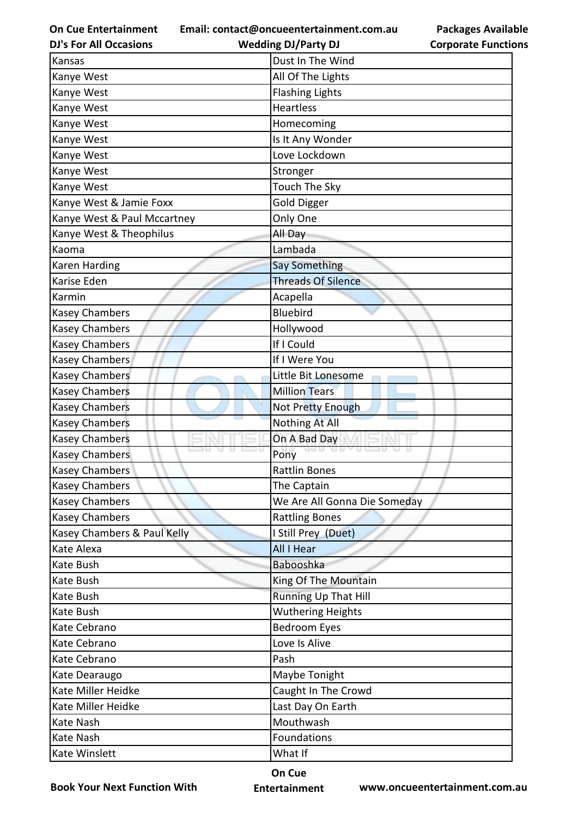**Email: contact@oncueentertainment.com.au**

**DJ's For All Occasions**

**Packages Available Corporate Functions**

| <b>Wedding DJ/Party DJ</b>   | <b>Corporate Functio</b> |
|------------------------------|--------------------------|
| Dust In The Wind             |                          |
| All Of The Lights            |                          |
| <b>Flashing Lights</b>       |                          |
| <b>Heartless</b>             |                          |
| Homecoming                   |                          |
| Is It Any Wonder             |                          |
| Love Lockdown                |                          |
| Stronger                     |                          |
| Touch The Sky                |                          |
| Gold Digger                  |                          |
| Only One                     |                          |
| All Day                      |                          |
| Lambada                      |                          |
| <b>Say Something</b>         |                          |
| <b>Threads Of Silence</b>    |                          |
| Acapella                     |                          |
| <b>Bluebird</b>              |                          |
| Hollywood                    |                          |
| If I Could                   |                          |
| If I Were You                |                          |
| Little Bit Lonesome          |                          |
| <b>Million Tears</b>         |                          |
| Not Pretty Enough            |                          |
| <b>Nothing At All</b>        |                          |
| On A Bad Day                 |                          |
| U US<br>Pony                 |                          |
| <b>Rattlin Bones</b>         |                          |
| The Captain                  |                          |
| We Are All Gonna Die Someday |                          |
| <b>Rattling Bones</b>        |                          |
| I Still Prey (Duet)          |                          |
| All I Hear                   |                          |
| Babooshka                    |                          |
| King Of The Mountain         |                          |
| <b>Running Up That Hill</b>  |                          |
| <b>Wuthering Heights</b>     |                          |
| <b>Bedroom Eyes</b>          |                          |
| Love Is Alive                |                          |
| Pash                         |                          |
| Maybe Tonight                |                          |
|                              |                          |
| Last Day On Earth            |                          |
| Mouthwash                    |                          |
| Foundations                  |                          |
| What If                      |                          |
|                              | Caught In The Crowd      |

**Book Your Next Function With**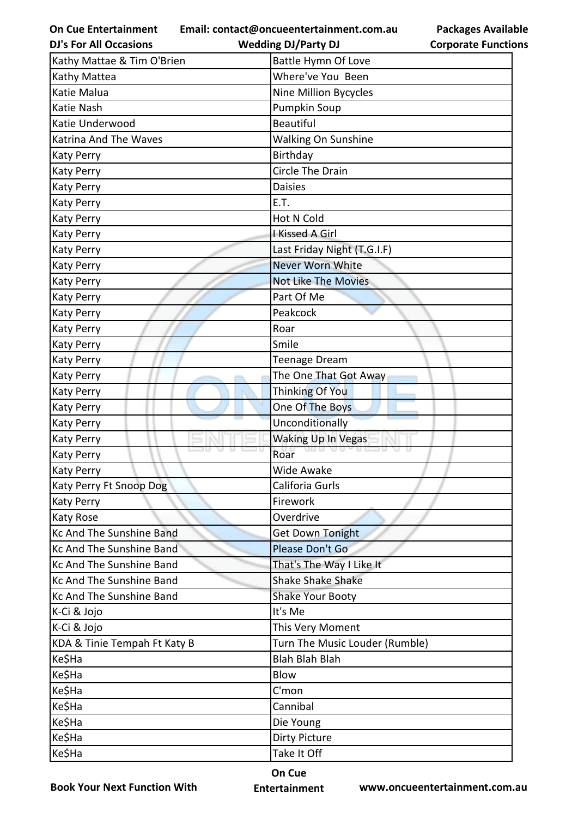**On Cue Entertainment Email: contact@oncueentertainment.com.au Wedding DJ/Party DJ** 

**Packages Available Corporate Functions**

| <b>DJ's For All Occasions</b> | <b>Wedding DJ/Party DJ</b>     | <b>Corporate Functio</b> |
|-------------------------------|--------------------------------|--------------------------|
| Kathy Mattae & Tim O'Brien    | <b>Battle Hymn Of Love</b>     |                          |
| Kathy Mattea                  | Where've You Been              |                          |
| Katie Malua                   | Nine Million Bycycles          |                          |
| Katie Nash                    | <b>Pumpkin Soup</b>            |                          |
| Katie Underwood               | <b>Beautiful</b>               |                          |
| Katrina And The Waves         | Walking On Sunshine            |                          |
| Katy Perry                    | Birthday                       |                          |
| <b>Katy Perry</b>             | <b>Circle The Drain</b>        |                          |
| <b>Katy Perry</b>             | <b>Daisies</b>                 |                          |
| <b>Katy Perry</b>             | E.T.                           |                          |
| Katy Perry                    | <b>Hot N Cold</b>              |                          |
| Katy Perry                    | I Kissed A Girl                |                          |
| <b>Katy Perry</b>             | Last Friday Night (T.G.I.F)    |                          |
| <b>Katy Perry</b>             | Never Worn White               |                          |
| Katy Perry                    | <b>Not Like The Movies</b>     |                          |
| Katy Perry                    | Part Of Me                     |                          |
| <b>Katy Perry</b>             | Peakcock                       |                          |
| <b>Katy Perry</b>             | Roar                           |                          |
| <b>Katy Perry</b>             | Smile                          |                          |
| Katy Perry                    | <b>Teenage Dream</b>           |                          |
| Katy Perry                    | The One That Got Away          |                          |
| <b>Katy Perry</b>             | Thinking Of You                |                          |
| <b>Katy Perry</b>             | One Of The Boys                |                          |
| <b>Katy Perry</b>             | Unconditionally                |                          |
| <b>Katy Perry</b>             | Waking Up In Vegas             |                          |
| <b>Katy Perry</b>             | Roar                           |                          |
| Katy Perry                    | Wide Awake                     |                          |
| Katy Perry Ft Snoop Dog       | Califoria Gurls                |                          |
| Katy Perry                    | Firework                       |                          |
| Katy Rose                     | Overdrive                      |                          |
| Kc And The Sunshine Band      | Get Down Tonight               |                          |
| Kc And The Sunshine Band      | Please Don't Go                |                          |
| Kc And The Sunshine Band      | That's The Way I Like It       |                          |
| Kc And The Sunshine Band      | <b>Shake Shake Shake</b>       |                          |
| Kc And The Sunshine Band      | <b>Shake Your Booty</b>        |                          |
| K-Ci & Jojo                   | It's Me                        |                          |
| K-Ci & Jojo                   | This Very Moment               |                          |
| KDA & Tinie Tempah Ft Katy B  | Turn The Music Louder (Rumble) |                          |
| Ke\$Ha                        | <b>Blah Blah Blah</b>          |                          |
| Ke\$Ha                        | Blow                           |                          |
| Ke\$Ha                        | C'mon                          |                          |
| Ke\$Ha                        | Cannibal                       |                          |
| Ke\$Ha                        | Die Young                      |                          |
| Ke\$Ha                        | <b>Dirty Picture</b>           |                          |
| Ke\$Ha                        | Take It Off                    |                          |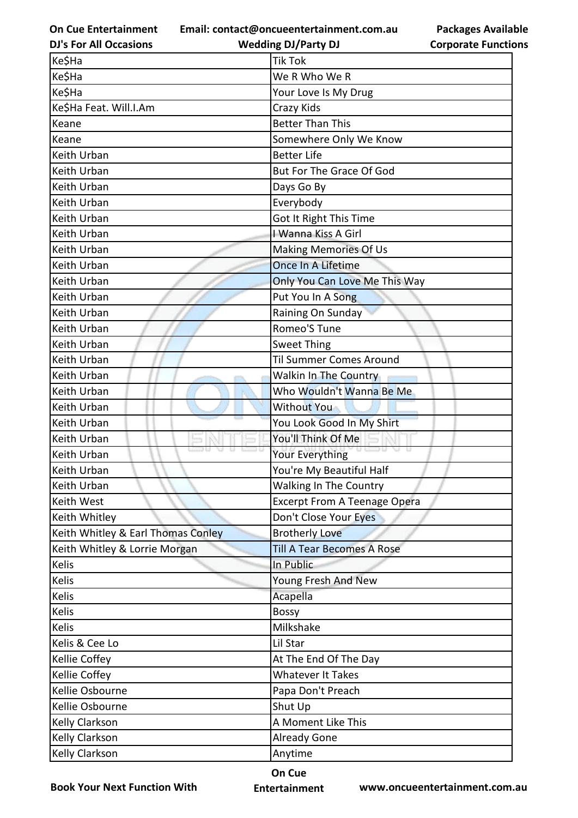**Email: contact@oncueentertainment.com.au**

**Packages Available Corporate Functions**

| <b>DJ's For All Occasions</b>      | <b>Wedding DJ/Party DJ</b>          | <b>Corporate Functio</b> |
|------------------------------------|-------------------------------------|--------------------------|
| Ke\$Ha                             | <b>Tik Tok</b>                      |                          |
| Ke\$Ha                             | We R Who We R                       |                          |
| Ke\$Ha                             | Your Love Is My Drug                |                          |
| Ke\$Ha Feat. Will.I.Am             | Crazy Kids                          |                          |
| Keane                              | <b>Better Than This</b>             |                          |
| Keane                              | Somewhere Only We Know              |                          |
| Keith Urban                        | <b>Better Life</b>                  |                          |
| Keith Urban                        | But For The Grace Of God            |                          |
| Keith Urban                        | Days Go By                          |                          |
| Keith Urban                        | Everybody                           |                          |
| Keith Urban                        | Got It Right This Time              |                          |
| Keith Urban                        | I Wanna Kiss A Girl                 |                          |
| Keith Urban                        | <b>Making Memories Of Us</b>        |                          |
| Keith Urban                        | Once In A Lifetime                  |                          |
| Keith Urban                        | Only You Can Love Me This Way       |                          |
| Keith Urban                        | Put You In A Song                   |                          |
| Keith Urban                        | Raining On Sunday                   |                          |
| Keith Urban                        | Romeo'S Tune                        |                          |
| Keith Urban                        | <b>Sweet Thing</b>                  |                          |
| Keith Urban                        | <b>Til Summer Comes Around</b>      |                          |
| Keith Urban                        | Walkin In The Country               |                          |
| Keith Urban                        | Who Wouldn't Wanna Be Me            |                          |
| Keith Urban                        | <b>Without You</b>                  |                          |
| Keith Urban                        | You Look Good In My Shirt           |                          |
| Keith Urban                        | You'll Think Of Me                  |                          |
| Keith Urban                        | 30 W<br>Your Everything             |                          |
| Keith Urban                        | You're My Beautiful Half            |                          |
| Keith Urban                        | <b>Walking In The Country</b>       |                          |
| Keith West                         | <b>Excerpt From A Teenage Opera</b> |                          |
| Keith Whitley                      | Don't Close Your Eyes               |                          |
| Keith Whitley & Earl Thomas Conley | <b>Brotherly Love</b>               |                          |
| Keith Whitley & Lorrie Morgan      | <b>Till A Tear Becomes A Rose</b>   |                          |
| Kelis                              | In Public                           |                          |
| Kelis                              | Young Fresh And New                 |                          |
| Kelis                              | Acapella                            |                          |
| Kelis                              | <b>Bossy</b>                        |                          |
| Kelis                              | Milkshake                           |                          |
| Kelis & Cee Lo                     | Lil Star                            |                          |
| Kellie Coffey                      | At The End Of The Day               |                          |
| Kellie Coffey                      | <b>Whatever It Takes</b>            |                          |
| Kellie Osbourne                    | Papa Don't Preach                   |                          |
| Kellie Osbourne                    | Shut Up                             |                          |
| Kelly Clarkson                     | A Moment Like This                  |                          |
| <b>Kelly Clarkson</b>              | <b>Already Gone</b>                 |                          |
| Kelly Clarkson                     | Anytime                             |                          |

**Book Your Next Function With**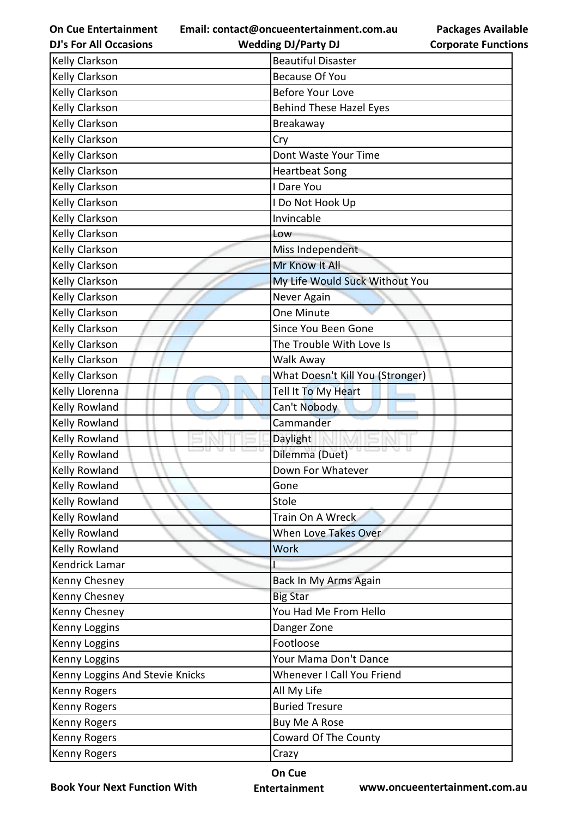**Email: contact@oncueentertainment.com.au Wedding DJ/Party DJ** 

**Packages Available Corporate Functions**

| <b>Kelly Clarkson</b>           | <b>Beautiful Disaster</b>        |
|---------------------------------|----------------------------------|
| <b>Kelly Clarkson</b>           | <b>Because Of You</b>            |
| Kelly Clarkson                  | <b>Before Your Love</b>          |
| Kelly Clarkson                  | <b>Behind These Hazel Eyes</b>   |
| <b>Kelly Clarkson</b>           | Breakaway                        |
| Kelly Clarkson                  | Cry                              |
| <b>Kelly Clarkson</b>           | Dont Waste Your Time             |
| Kelly Clarkson                  | <b>Heartbeat Song</b>            |
| Kelly Clarkson                  | I Dare You                       |
| Kelly Clarkson                  | I Do Not Hook Up                 |
| Kelly Clarkson                  | Invincable                       |
| Kelly Clarkson                  | Low                              |
| Kelly Clarkson                  | Miss Independent                 |
| Kelly Clarkson                  | Mr Know It All                   |
| Kelly Clarkson                  | My Life Would Suck Without You   |
| Kelly Clarkson                  | Never Again                      |
| Kelly Clarkson                  | One Minute                       |
| Kelly Clarkson                  | Since You Been Gone              |
| Kelly Clarkson                  | The Trouble With Love Is         |
| Kelly Clarkson                  | Walk Away                        |
| Kelly Clarkson                  | What Doesn't Kill You (Stronger) |
| Kelly Llorenna                  | Tell It To My Heart              |
| Kelly Rowland                   | Can't Nobody                     |
| Kelly Rowland                   | Cammander                        |
| Kelly Rowland                   | Daylight                         |
| Kelly Rowland                   | Dilemma (Duet)                   |
| <b>Kelly Rowland</b>            | Down For Whatever                |
| <b>Kelly Rowland</b>            | Gone                             |
| <b>Kelly Rowland</b>            | Stole                            |
| Kelly Rowland                   | Train On A Wreck                 |
| Kelly Rowland                   | When Love Takes Over             |
| Kelly Rowland                   | <b>Work</b>                      |
| Kendrick Lamar                  |                                  |
| Kenny Chesney                   | Back In My Arms Again            |
| Kenny Chesney                   | <b>Big Star</b>                  |
| Kenny Chesney                   | You Had Me From Hello            |
| Kenny Loggins                   | Danger Zone                      |
| Kenny Loggins                   | Footloose                        |
| Kenny Loggins                   | Your Mama Don't Dance            |
| Kenny Loggins And Stevie Knicks | Whenever I Call You Friend       |
| Kenny Rogers                    | All My Life                      |
| Kenny Rogers                    | <b>Buried Tresure</b>            |
| Kenny Rogers                    | Buy Me A Rose                    |
| Kenny Rogers                    | Coward Of The County             |
| Kenny Rogers                    | Crazy                            |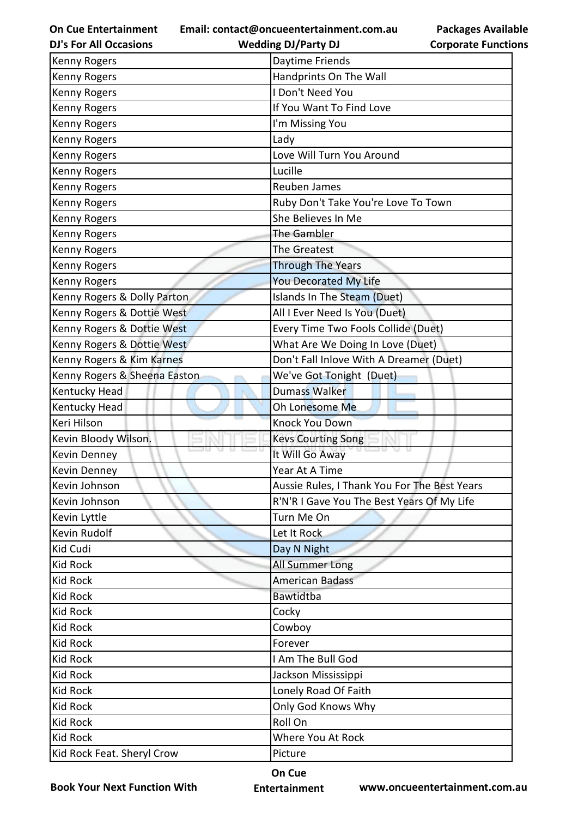**Email: contact@oncueentertainment.com.au**

**Packages Available Corporate Functions**

| <b>DJ's For All Occasions</b> | <b>Wedding DJ/Party DJ</b>                   | <b>Corporate Functio</b> |
|-------------------------------|----------------------------------------------|--------------------------|
| Kenny Rogers                  | Daytime Friends                              |                          |
| Kenny Rogers                  | Handprints On The Wall                       |                          |
| Kenny Rogers                  | I Don't Need You                             |                          |
| Kenny Rogers                  | If You Want To Find Love                     |                          |
| Kenny Rogers                  | I'm Missing You                              |                          |
| Kenny Rogers                  | Lady                                         |                          |
| Kenny Rogers                  | Love Will Turn You Around                    |                          |
| Kenny Rogers                  | Lucille                                      |                          |
| Kenny Rogers                  | Reuben James                                 |                          |
| Kenny Rogers                  | Ruby Don't Take You're Love To Town          |                          |
| Kenny Rogers                  | She Believes In Me                           |                          |
| Kenny Rogers                  | The Gambler                                  |                          |
| Kenny Rogers                  | The Greatest                                 |                          |
| Kenny Rogers                  | <b>Through The Years</b>                     |                          |
| Kenny Rogers                  | <b>You Decorated My Life</b>                 |                          |
| Kenny Rogers & Dolly Parton   | Islands In The Steam (Duet)                  |                          |
| Kenny Rogers & Dottie West    | All I Ever Need Is You (Duet)                |                          |
| Kenny Rogers & Dottie West    | Every Time Two Fools Collide (Duet)          |                          |
| Kenny Rogers & Dottie West    | What Are We Doing In Love (Duet)             |                          |
| Kenny Rogers & Kim Karnes     | Don't Fall Inlove With A Dreamer (Duet)      |                          |
| Kenny Rogers & Sheena Easton  | We've Got Tonight (Duet)                     |                          |
| Kentucky Head                 | <b>Dumass Walker</b>                         |                          |
| Kentucky Head                 | Oh Lonesome Me                               |                          |
| Keri Hilson                   | <b>Knock You Down</b>                        |                          |
| Kevin Bloody Wilson.          | <b>Kevs Courting Song</b>                    |                          |
| Kevin Denney                  | It Will Go Away                              |                          |
| Kevin Dennev                  | Year At A Time                               |                          |
| Kevin Johnson                 | Aussie Rules, I Thank You For The Best Years |                          |
| Kevin Johnson                 | R'N'R I Gave You The Best Years Of My Life   |                          |
| Kevin Lyttle                  | Turn Me On                                   |                          |
| Kevin Rudolf                  | Let It Rock                                  |                          |
| Kid Cudi                      | Day N Night                                  |                          |
| <b>Kid Rock</b>               | All Summer Long                              |                          |
| <b>Kid Rock</b>               | <b>American Badass</b>                       |                          |
| <b>Kid Rock</b>               | Bawtidtba                                    |                          |
| Kid Rock                      | Cocky                                        |                          |
| <b>Kid Rock</b>               | Cowboy                                       |                          |
| Kid Rock                      | Forever                                      |                          |
| <b>Kid Rock</b>               | I Am The Bull God                            |                          |
| <b>Kid Rock</b>               | Jackson Mississippi                          |                          |
| <b>Kid Rock</b>               | Lonely Road Of Faith                         |                          |
| <b>Kid Rock</b>               | Only God Knows Why                           |                          |
| Kid Rock                      | Roll On                                      |                          |
| <b>Kid Rock</b>               | Where You At Rock                            |                          |
| Kid Rock Feat. Sheryl Crow    | Picture                                      |                          |
|                               |                                              |                          |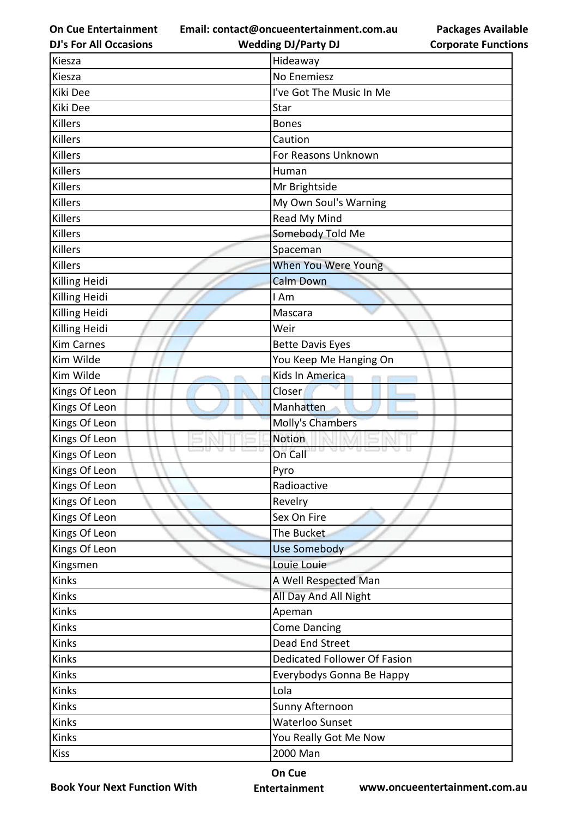**Email: contact@oncueentertainment.com.au Wedding DJ/Party DJ** 

**DJ's For All Occasions**

| <b>Corporate Functions</b> |  |
|----------------------------|--|

**Packages Available** 

| Kiesza            | Hideaway                     |
|-------------------|------------------------------|
| Kiesza            | No Enemiesz                  |
| Kiki Dee          | I've Got The Music In Me     |
| Kiki Dee          | Star                         |
| Killers           | <b>Bones</b>                 |
| Killers           | Caution                      |
| Killers           | For Reasons Unknown          |
| Killers           | Human                        |
| Killers           | Mr Brightside                |
| Killers           | My Own Soul's Warning        |
| Killers           | Read My Mind                 |
| Killers           | Somebody Told Me             |
| Killers           | Spaceman                     |
| Killers           | When You Were Young          |
| Killing Heidi     | <b>Calm Down</b>             |
| Killing Heidi     | I Am                         |
| Killing Heidi     | Mascara                      |
| Killing Heidi     | Weir                         |
| <b>Kim Carnes</b> | <b>Bette Davis Eyes</b>      |
| Kim Wilde         | You Keep Me Hanging On       |
| Kim Wilde         | Kids In America              |
| Kings Of Leon     | Closer                       |
| Kings Of Leon     | Manhatten                    |
| Kings Of Leon     | Molly's Chambers             |
| Kings Of Leon     | Notion                       |
| Kings Of Leon     | U 13<br>YU 13<br>On Call     |
| Kings Of Leon     | Pyro                         |
| Kings Of Leon     | Radioactive                  |
| Kings Of Leon     | Revelry                      |
| Kings Of Leon     | Sex On Fire                  |
| Kings Of Leon     | The Bucket                   |
| Kings Of Leon     | Use Somebody                 |
| Kingsmen          | Louie Louie                  |
| Kinks             | A Well Respected Man         |
| Kinks             | All Day And All Night        |
| Kinks             | Apeman                       |
| Kinks             | <b>Come Dancing</b>          |
| Kinks             | Dead End Street              |
| Kinks             | Dedicated Follower Of Fasion |
| Kinks             | Everybodys Gonna Be Happy    |
| Kinks             | Lola                         |
| Kinks             | Sunny Afternoon              |
| Kinks             | Waterloo Sunset              |
| Kinks             | You Really Got Me Now        |
| <b>Kiss</b>       | 2000 Man                     |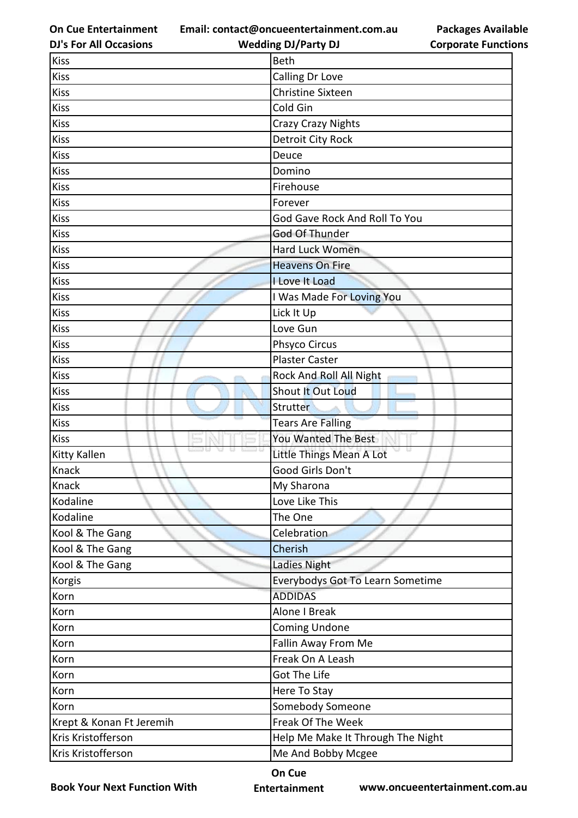**Email: contact@oncueentertainment.com.au**

**Packages Available Corporate Functions**

| <b>DJ's For All Occasions</b> | <b>Wedding DJ/Party DJ</b>        | <b>Corporate Functio</b> |
|-------------------------------|-----------------------------------|--------------------------|
| <b>Kiss</b>                   | <b>Beth</b>                       |                          |
| <b>Kiss</b>                   | Calling Dr Love                   |                          |
| <b>Kiss</b>                   | <b>Christine Sixteen</b>          |                          |
| <b>Kiss</b>                   | Cold Gin                          |                          |
| <b>Kiss</b>                   | <b>Crazy Crazy Nights</b>         |                          |
| <b>Kiss</b>                   | <b>Detroit City Rock</b>          |                          |
| <b>Kiss</b>                   | Deuce                             |                          |
| <b>Kiss</b>                   | Domino                            |                          |
| <b>Kiss</b>                   | Firehouse                         |                          |
| <b>Kiss</b>                   | Forever                           |                          |
| <b>Kiss</b>                   | God Gave Rock And Roll To You     |                          |
| <b>Kiss</b>                   | God Of Thunder                    |                          |
| <b>Kiss</b>                   | Hard Luck Women                   |                          |
| <b>Kiss</b>                   | <b>Heavens On Fire</b>            |                          |
| <b>Kiss</b>                   | I Love It Load                    |                          |
| <b>Kiss</b>                   | I Was Made For Loving You         |                          |
| <b>Kiss</b>                   | Lick It Up                        |                          |
| <b>Kiss</b>                   | Love Gun                          |                          |
| <b>Kiss</b>                   | Phsyco Circus                     |                          |
| <b>Kiss</b>                   | <b>Plaster Caster</b>             |                          |
| <b>Kiss</b>                   | Rock And Roll All Night           |                          |
| <b>Kiss</b>                   | Shout It Out Loud                 |                          |
| <b>Kiss</b>                   | Strutter                          |                          |
| <b>Kiss</b>                   | <b>Tears Are Falling</b>          |                          |
| <b>Kiss</b>                   | You Wanted The Best               |                          |
| <b>Kitty Kallen</b>           | Little Things Mean A Lot          | a a                      |
| <b>Knack</b>                  | Good Girls Don't                  |                          |
| Knack                         | My Sharona                        |                          |
| Kodaline                      | Love Like This                    |                          |
| Kodaline                      | The One                           |                          |
| Kool & The Gang               | Celebration                       |                          |
| Kool & The Gang               | Cherish                           |                          |
| Kool & The Gang               | Ladies Night                      |                          |
| Korgis                        | Everybodys Got To Learn Sometime  |                          |
| Korn                          | <b>ADDIDAS</b>                    |                          |
| Korn                          | Alone I Break                     |                          |
| Korn                          | <b>Coming Undone</b>              |                          |
| Korn                          | Fallin Away From Me               |                          |
| Korn                          | Freak On A Leash                  |                          |
| Korn                          | Got The Life                      |                          |
| Korn                          | Here To Stay                      |                          |
| Korn                          | Somebody Someone                  |                          |
| Krept & Konan Ft Jeremih      | Freak Of The Week                 |                          |
| Kris Kristofferson            | Help Me Make It Through The Night |                          |
| Kris Kristofferson            | Me And Bobby Mcgee                |                          |
|                               |                                   |                          |

**Book Your Next Function With**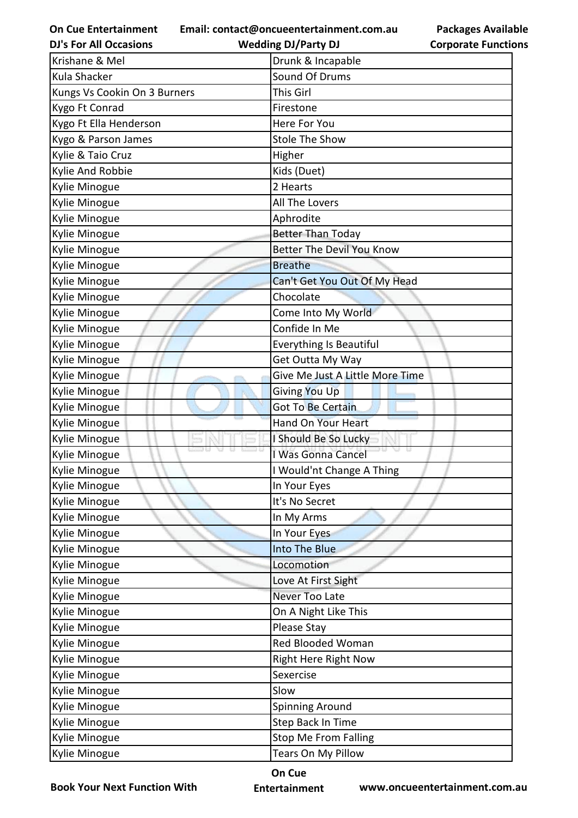**Email: contact@oncueentertainment.com.au**

**DJ's For All Occasions**

**Wedding DJ/Party DJ** 

**Packages Available Corporate Functions**

| Krishane & Mel               | Drunk & Incapable                |
|------------------------------|----------------------------------|
| Kula Shacker                 | Sound Of Drums                   |
| Kungs Vs Cookin On 3 Burners | This Girl                        |
| Kygo Ft Conrad               | Firestone                        |
| Kygo Ft Ella Henderson       | Here For You                     |
| Kygo & Parson James          | <b>Stole The Show</b>            |
| Kylie & Taio Cruz            | Higher                           |
| Kylie And Robbie             | Kids (Duet)                      |
| Kylie Minogue                | 2 Hearts                         |
| Kylie Minogue                | All The Lovers                   |
| Kylie Minogue                | Aphrodite                        |
| Kylie Minogue                | <b>Better Than Today</b>         |
| Kylie Minogue                | <b>Better The Devil You Know</b> |
| Kylie Minogue                | <b>Breathe</b>                   |
| Kylie Minogue                | Can't Get You Out Of My Head     |
| Kylie Minogue                | Chocolate                        |
| Kylie Minogue                | Come Into My World               |
| Kylie Minogue                | Confide In Me                    |
| Kylie Minogue                | Everything Is Beautiful          |
| Kylie Minogue                | Get Outta My Way                 |
| Kylie Minogue                | Give Me Just A Little More Time  |
| Kylie Minogue                | Giving You Up                    |
| Kylie Minogue                | <b>Got To Be Certain</b>         |
| Kylie Minogue                | <b>Hand On Your Heart</b>        |
| Kylie Minogue                | I Should Be So Lucky             |
| Kylie Minogue                | I Was Gonna Cancel               |
| Kylie Minogue                | I Would'nt Change A Thing        |
| Kylie Minogue                | In Your Eyes                     |
| Kylie Minogue                | It's No Secret                   |
| Kylie Minogue                | In My Arms                       |
| Kylie Minogue                | In Your Eyes                     |
| Kylie Minogue                | Into The Blue                    |
| Kylie Minogue                | Locomotion                       |
| Kylie Minogue                | Love At First Sight              |
| Kylie Minogue                | Never Too Late                   |
| Kylie Minogue                | On A Night Like This             |
| Kylie Minogue                | Please Stay                      |
| Kylie Minogue                | Red Blooded Woman                |
| Kylie Minogue                | <b>Right Here Right Now</b>      |
| Kylie Minogue                | Sexercise                        |
| Kylie Minogue                | Slow                             |
| Kylie Minogue                | <b>Spinning Around</b>           |
| Kylie Minogue                | Step Back In Time                |
| Kylie Minogue                | <b>Stop Me From Falling</b>      |
| Kylie Minogue                | Tears On My Pillow               |

**Book Your Next Function With**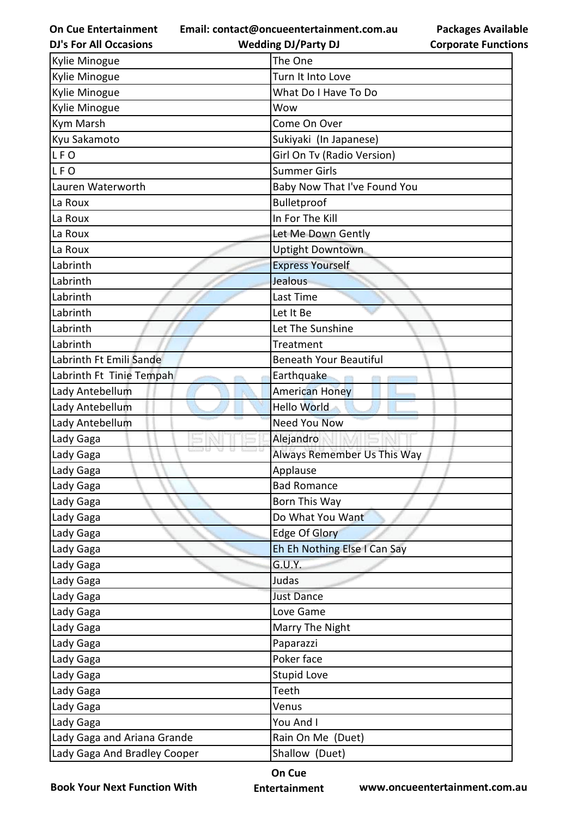**Email: contact@oncueentertainment.com.au Wedding DJ/Party DJ** 

**DJ's For All Occasions**

**Packages Available Corporate Functions**

| <b>Kylie Minogue</b>         | The One                       |
|------------------------------|-------------------------------|
| <b>Kylie Minogue</b>         | Turn It Into Love             |
| <b>Kylie Minogue</b>         | What Do I Have To Do          |
| <b>Kylie Minogue</b>         | Wow                           |
| Kym Marsh                    | Come On Over                  |
| Kyu Sakamoto                 | Sukiyaki (In Japanese)        |
| LFO                          | Girl On Tv (Radio Version)    |
| LFO                          | <b>Summer Girls</b>           |
| Lauren Waterworth            | Baby Now That I've Found You  |
| La Roux                      | Bulletproof                   |
| La Roux                      | In For The Kill               |
| La Roux                      | Let Me Down Gently            |
| La Roux                      | <b>Uptight Downtown</b>       |
| Labrinth                     | <b>Express Yourself</b>       |
| Labrinth                     | Jealous                       |
| Labrinth                     | Last Time                     |
| Labrinth                     | Let It Be                     |
| Labrinth                     | Let The Sunshine              |
| Labrinth                     | Treatment                     |
| Labrinth Ft Emili Sande      | <b>Beneath Your Beautiful</b> |
| Labrinth Ft Tinie Tempah     | Earthquake                    |
| Lady Antebellum              | <b>American Honey</b>         |
| Lady Antebellum              | <b>Hello World</b>            |
| Lady Antebellum              | <b>Need You Now</b>           |
| Lady Gaga                    | Alejandro                     |
| Lady Gaga                    | Always Remember Us This Way   |
| Lady Gaga                    | Applause                      |
| Lady Gaga                    | <b>Bad Romance</b>            |
| Lady Gaga                    | Born This Way                 |
| Lady Gaga                    | Do What You Want              |
| Lady Gaga                    | <b>Edge Of Glory</b>          |
| Lady Gaga                    | Eh Eh Nothing Else I Can Say  |
| Lady Gaga                    | G.U.Y.                        |
| Lady Gaga                    | Judas                         |
| Lady Gaga                    | <b>Just Dance</b>             |
| Lady Gaga                    | Love Game                     |
| Lady Gaga                    | Marry The Night               |
| Lady Gaga                    | Paparazzi                     |
| Lady Gaga                    | Poker face                    |
| Lady Gaga                    | <b>Stupid Love</b>            |
| Lady Gaga                    | Teeth                         |
| Lady Gaga                    | Venus                         |
| Lady Gaga                    | You And I                     |
| Lady Gaga and Ariana Grande  | Rain On Me (Duet)             |
| Lady Gaga And Bradley Cooper | Shallow (Duet)                |

**Book Your Next Function With**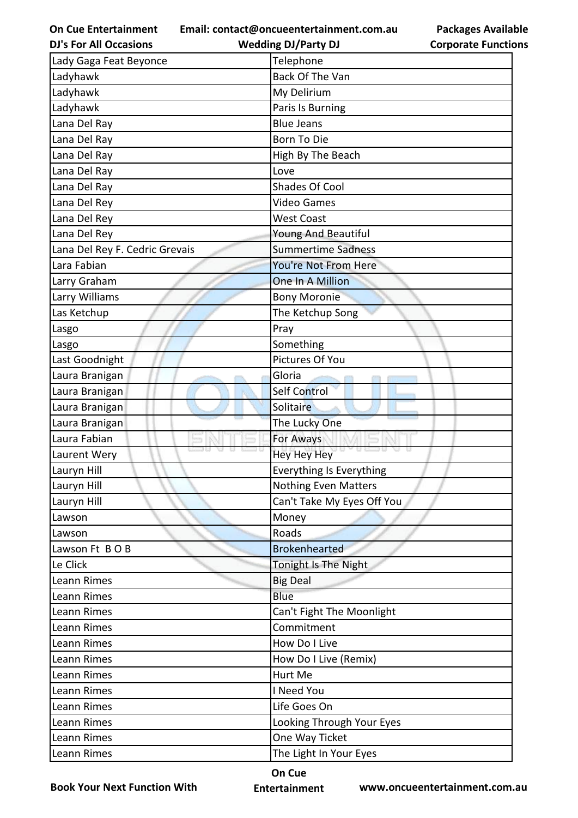**Email: contact@oncueentertainment.com.au**

**Packages Available Corporate Functions**

| <b>DJ's For All Occasions</b>  | <b>Wedding DJ/Party DJ</b>   | <b>Corporate Functio</b> |
|--------------------------------|------------------------------|--------------------------|
| Lady Gaga Feat Beyonce         | Telephone                    |                          |
| Ladyhawk                       | Back Of The Van              |                          |
| Ladyhawk                       | My Delirium                  |                          |
| Ladyhawk                       | Paris Is Burning             |                          |
| Lana Del Ray                   | <b>Blue Jeans</b>            |                          |
| Lana Del Ray                   | <b>Born To Die</b>           |                          |
| Lana Del Ray                   | High By The Beach            |                          |
| Lana Del Ray                   | Love                         |                          |
| Lana Del Ray                   | Shades Of Cool               |                          |
| Lana Del Rey                   | <b>Video Games</b>           |                          |
| Lana Del Rey                   | <b>West Coast</b>            |                          |
| Lana Del Rey                   | Young And Beautiful          |                          |
| Lana Del Rey F. Cedric Grevais | <b>Summertime Sadness</b>    |                          |
| Lara Fabian                    | You're Not From Here         |                          |
| Larry Graham                   | One In A Million             |                          |
| Larry Williams                 | <b>Bony Moronie</b>          |                          |
| Las Ketchup                    | The Ketchup Song             |                          |
| Lasgo                          | Pray                         |                          |
| Lasgo                          | Something                    |                          |
| Last Goodnight                 | Pictures Of You              |                          |
| Laura Branigan                 | Gloria                       |                          |
| Laura Branigan                 | Self Control                 |                          |
| Laura Branigan                 | Solitaire                    |                          |
| Laura Branigan                 | The Lucky One                |                          |
| Laura Fabian                   | For Aways                    |                          |
| Laurent Wery                   | <b>U 83 U</b><br>Hey Hey Hey |                          |
| Lauryn Hill                    | Everything Is Everything     |                          |
| Lauryn Hill                    | <b>Nothing Even Matters</b>  |                          |
| Lauryn Hill                    | Can't Take My Eyes Off You   |                          |
| Lawson                         | Money                        |                          |
| Lawson                         | Roads                        |                          |
| Lawson Ft BOB                  | <b>Brokenhearted</b>         |                          |
| Le Click                       | Tonight Is The Night         |                          |
| Leann Rimes                    | <b>Big Deal</b>              |                          |
| Leann Rimes                    | <b>Blue</b>                  |                          |
| Leann Rimes                    | Can't Fight The Moonlight    |                          |
| Leann Rimes                    | Commitment                   |                          |
| Leann Rimes                    | How Do I Live                |                          |
| Leann Rimes                    | How Do I Live (Remix)        |                          |
| Leann Rimes                    | Hurt Me                      |                          |
| Leann Rimes                    | I Need You                   |                          |
| Leann Rimes                    | Life Goes On                 |                          |
| Leann Rimes                    | Looking Through Your Eyes    |                          |
| Leann Rimes                    | One Way Ticket               |                          |
| Leann Rimes                    | The Light In Your Eyes       |                          |
|                                |                              |                          |

**Book Your Next Function With**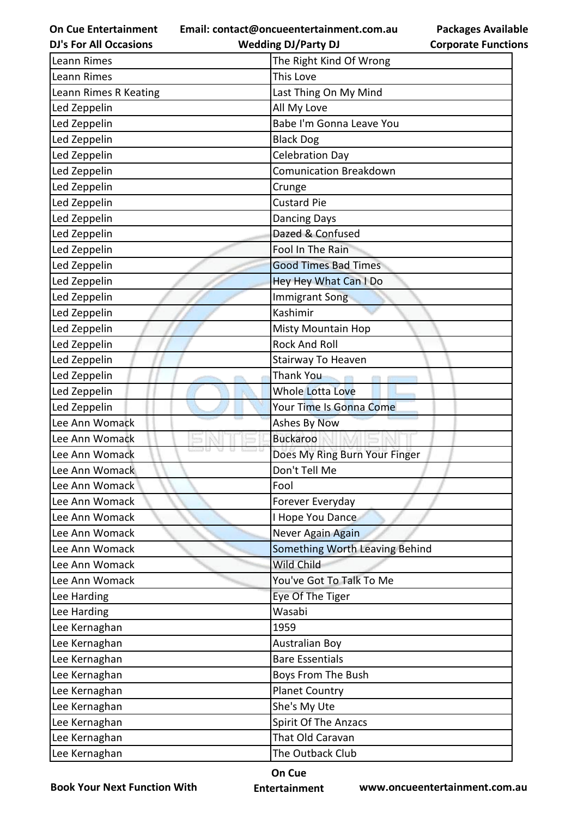**Email: contact@oncueentertainment.com.au**

**DJ's For All Occasions**

## **Packages Available Corporate Functions**

| <b>DJ's For All Occasions</b> | <b>Wedding DJ/Party DJ</b>     | <b>Corporate Functio</b> |
|-------------------------------|--------------------------------|--------------------------|
| Leann Rimes                   | The Right Kind Of Wrong        |                          |
| Leann Rimes                   | This Love                      |                          |
| Leann Rimes R Keating         | Last Thing On My Mind          |                          |
| Led Zeppelin                  | All My Love                    |                          |
| Led Zeppelin                  | Babe I'm Gonna Leave You       |                          |
| Led Zeppelin                  | <b>Black Dog</b>               |                          |
| Led Zeppelin                  | <b>Celebration Day</b>         |                          |
| Led Zeppelin                  | <b>Comunication Breakdown</b>  |                          |
| Led Zeppelin                  | Crunge                         |                          |
| Led Zeppelin                  | <b>Custard Pie</b>             |                          |
| Led Zeppelin                  | <b>Dancing Days</b>            |                          |
| Led Zeppelin                  | Dazed & Confused               |                          |
| Led Zeppelin                  | Fool In The Rain               |                          |
| Led Zeppelin                  | <b>Good Times Bad Times</b>    |                          |
| Led Zeppelin                  | Hey Hey What Can I Do          |                          |
| Led Zeppelin                  | <b>Immigrant Song</b>          |                          |
| Led Zeppelin                  | Kashimir                       |                          |
| Led Zeppelin                  | <b>Misty Mountain Hop</b>      |                          |
| Led Zeppelin                  | <b>Rock And Roll</b>           |                          |
| Led Zeppelin                  | Stairway To Heaven             |                          |
| Led Zeppelin                  | <b>Thank You</b>               |                          |
| Led Zeppelin                  | <b>Whole Lotta Love</b>        |                          |
| Led Zeppelin                  | Your Time Is Gonna Come        |                          |
| Lee Ann Womack                | <b>Ashes By Now</b>            |                          |
| Lee Ann Womack                | <b>Buckaroo</b>                |                          |
| Lee Ann Womack                | Does My Ring Burn Your Finger  |                          |
| Lee Ann Womack                | Don't Tell Me                  |                          |
| Lee Ann Womack                | Fool                           |                          |
| Lee Ann Womack                | Forever Everyday               |                          |
| Lee Ann Womack                | I Hope You Dance               |                          |
| Lee Ann Womack                | Never Again Again              |                          |
| Lee Ann Womack                | Something Worth Leaving Behind |                          |
| Lee Ann Womack                | Wild Child                     |                          |
| Lee Ann Womack                | You've Got To Talk To Me       |                          |
| Lee Harding                   | Eye Of The Tiger               |                          |
| Lee Harding                   | Wasabi                         |                          |
| Lee Kernaghan                 | 1959                           |                          |
| Lee Kernaghan                 | <b>Australian Boy</b>          |                          |
| Lee Kernaghan                 | <b>Bare Essentials</b>         |                          |
| Lee Kernaghan                 | Boys From The Bush             |                          |
| Lee Kernaghan                 | <b>Planet Country</b>          |                          |
| Lee Kernaghan                 | She's My Ute                   |                          |
| Lee Kernaghan                 | Spirit Of The Anzacs           |                          |
| Lee Kernaghan                 | That Old Caravan               |                          |
| Lee Kernaghan                 | The Outback Club               |                          |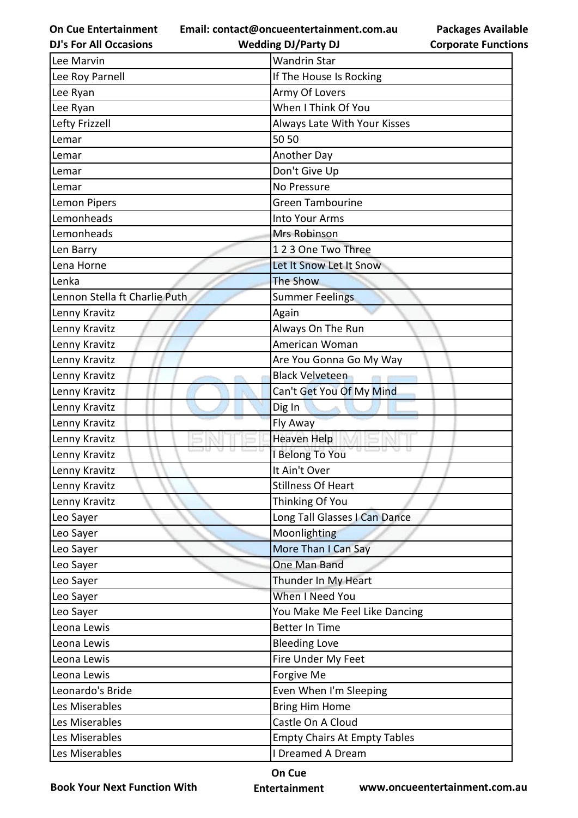**Email: contact@oncueentertainment.com.au**

| <b>DJ's For All Occasions</b> | <b>Wedding DJ/Party DJ</b>          | <b>Corporate Function</b> |
|-------------------------------|-------------------------------------|---------------------------|
| Lee Marvin                    | <b>Wandrin Star</b>                 |                           |
| Lee Roy Parnell               | If The House Is Rocking             |                           |
| Lee Ryan                      | Army Of Lovers                      |                           |
| Lee Ryan                      | When I Think Of You                 |                           |
| Lefty Frizzell                | Always Late With Your Kisses        |                           |
| Lemar                         | 50 50                               |                           |
| Lemar                         | Another Day                         |                           |
| Lemar                         | Don't Give Up                       |                           |
| Lemar                         | No Pressure                         |                           |
| Lemon Pipers                  | <b>Green Tambourine</b>             |                           |
| Lemonheads                    | Into Your Arms                      |                           |
| Lemonheads                    | Mrs Robinson                        |                           |
| Len Barry                     | 123 One Two Three                   |                           |
| Lena Horne                    | Let It Snow Let It Snow             |                           |
| Lenka                         | <b>The Show</b>                     |                           |
| Lennon Stella ft Charlie Puth | <b>Summer Feelings</b>              |                           |
| Lenny Kravitz                 | Again                               |                           |
| Lenny Kravitz                 | Always On The Run                   |                           |
| Lenny Kravitz                 | American Woman                      |                           |
| Lenny Kravitz                 | Are You Gonna Go My Way             |                           |
| Lenny Kravitz                 | <b>Black Velveteen</b>              |                           |
| Lenny Kravitz                 | Can't Get You Of My Mind            |                           |
| Lenny Kravitz                 | Dig In                              |                           |
| Lenny Kravitz                 | Fly Away                            |                           |
| Lenny Kravitz                 | <b>Heaven Help</b>                  |                           |
| Lenny Kravitz                 | I Belong To You                     |                           |
| Lenny Kravitz                 | It Ain't Over                       |                           |
| Lenny Kravitz                 | <b>Stillness Of Heart</b>           |                           |
| Lenny Kravitz                 | Thinking Of You                     |                           |
| Leo Sayer                     | Long Tall Glasses I Can Dance       |                           |
| Leo Sayer                     | Moonlighting                        |                           |
| Leo Sayer                     | More Than I Can Say                 |                           |
| Leo Sayer                     | One Man Band                        |                           |
| Leo Sayer                     | Thunder In My Heart                 |                           |
| Leo Sayer                     | When I Need You                     |                           |
| Leo Sayer                     | You Make Me Feel Like Dancing       |                           |
| Leona Lewis                   | <b>Better In Time</b>               |                           |
| Leona Lewis                   | <b>Bleeding Love</b>                |                           |
| Leona Lewis                   | Fire Under My Feet                  |                           |
| Leona Lewis                   | Forgive Me                          |                           |
| Leonardo's Bride              | Even When I'm Sleeping              |                           |
| Les Miserables                | <b>Bring Him Home</b>               |                           |
| Les Miserables                | Castle On A Cloud                   |                           |
| Les Miserables                | <b>Empty Chairs At Empty Tables</b> |                           |
| Les Miserables                | I Dreamed A Dream                   |                           |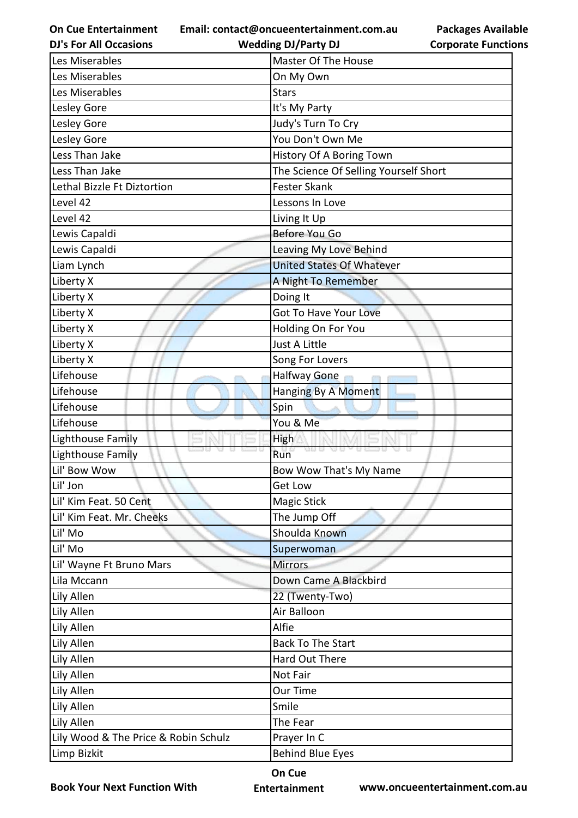**Email: contact@oncueentertainment.com.au**

**DJ's For All Occasions**

**Wedding DJ/Party DJ** 

| <b>Packages Available</b>  |  |
|----------------------------|--|
| <b>Corporate Functions</b> |  |

| Les Miserables                       | Master Of The House                   |
|--------------------------------------|---------------------------------------|
| Les Miserables                       | On My Own                             |
| Les Miserables                       | <b>Stars</b>                          |
| Lesley Gore                          | It's My Party                         |
| Lesley Gore                          | Judy's Turn To Cry                    |
| Lesley Gore                          | You Don't Own Me                      |
| Less Than Jake                       | History Of A Boring Town              |
| Less Than Jake                       | The Science Of Selling Yourself Short |
| Lethal Bizzle Ft Diztortion          | <b>Fester Skank</b>                   |
| Level 42                             | Lessons In Love                       |
| Level 42                             | Living It Up                          |
| Lewis Capaldi                        | Before You Go                         |
| Lewis Capaldi                        | Leaving My Love Behind                |
| Liam Lynch                           | <b>United States Of Whatever</b>      |
| Liberty X                            | A Night To Remember                   |
| Liberty X                            | Doing It                              |
| Liberty X                            | <b>Got To Have Your Love</b>          |
| Liberty X                            | Holding On For You                    |
| Liberty X                            | Just A Little                         |
| Liberty X                            | Song For Lovers                       |
| Lifehouse                            | Halfway Gone<br>CITY                  |
| Lifehouse                            | Hanging By A Moment                   |
| Lifehouse                            | Spin                                  |
| Lifehouse                            | You & Me                              |
| Lighthouse Family                    | <b>High</b>                           |
| 9 U I<br>Lighthouse Family           | Run                                   |
| Lil' Bow Wow                         | Bow Wow That's My Name                |
| Lil' Jon                             | Get Low                               |
| Lil' Kim Feat. 50 Cent               | <b>Magic Stick</b>                    |
| Lil' Kim Feat. Mr. Cheeks            | The Jump Off                          |
| Lil' Mo                              | Shoulda Known                         |
| Lil' Mo                              | Superwoman                            |
| Lil' Wayne Ft Bruno Mars             | <b>Mirrors</b>                        |
| Lila Mccann                          | Down Came A Blackbird                 |
| Lily Allen                           | 22 (Twenty-Two)                       |
| Lily Allen                           | Air Balloon                           |
| Lily Allen                           | Alfie                                 |
| Lily Allen                           | <b>Back To The Start</b>              |
| Lily Allen                           | Hard Out There                        |
| Lily Allen                           | Not Fair                              |
| Lily Allen                           | Our Time                              |
| Lily Allen                           | Smile                                 |
| Lily Allen                           | The Fear                              |
| Lily Wood & The Price & Robin Schulz | Prayer In C                           |
| Limp Bizkit                          | <b>Behind Blue Eyes</b>               |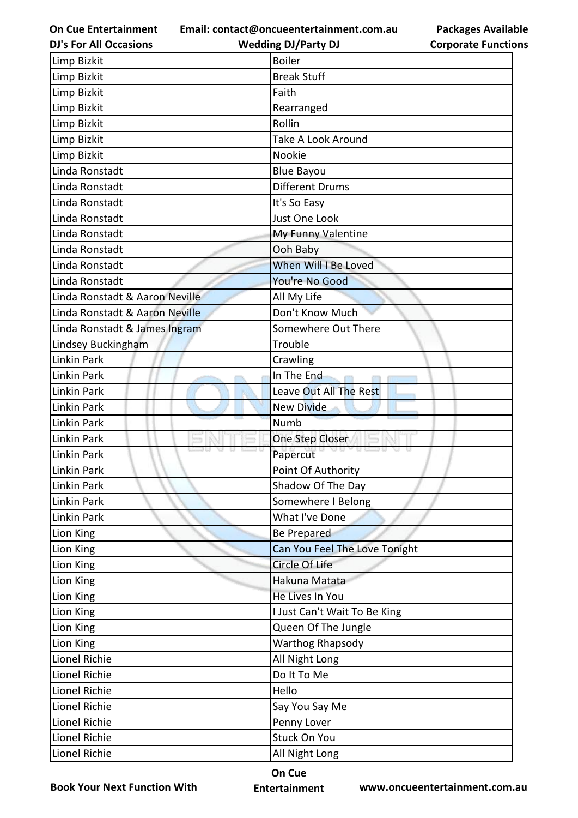**Email: contact@oncueentertainment.com.au**

**DJ's For All Occasions**

**Wedding DJ/Party DJ** 



| Limp Bizkit                    | <b>Boiler</b>                 |  |
|--------------------------------|-------------------------------|--|
| <b>Limp Bizkit</b>             | <b>Break Stuff</b>            |  |
| Limp Bizkit                    | Faith                         |  |
| Limp Bizkit                    | Rearranged                    |  |
| Limp Bizkit                    | Rollin                        |  |
| Limp Bizkit                    | Take A Look Around            |  |
| Limp Bizkit                    | Nookie                        |  |
| Linda Ronstadt                 | <b>Blue Bayou</b>             |  |
| Linda Ronstadt                 | <b>Different Drums</b>        |  |
| Linda Ronstadt                 | It's So Easy                  |  |
| Linda Ronstadt                 | Just One Look                 |  |
| Linda Ronstadt                 | My Funny Valentine            |  |
| Linda Ronstadt                 | Ooh Baby                      |  |
| Linda Ronstadt                 | When Will I Be Loved          |  |
| Linda Ronstadt                 | You're No Good                |  |
| Linda Ronstadt & Aaron Neville | All My Life                   |  |
| Linda Ronstadt & Aaron Neville | Don't Know Much               |  |
| Linda Ronstadt & James Ingram  | Somewhere Out There           |  |
| Lindsey Buckingham             | Trouble                       |  |
| Linkin Park                    | Crawling                      |  |
| Linkin Park                    | In The End<br><b>COLLE</b>    |  |
| Linkin Park                    | Leave Out All The Rest        |  |
| Linkin Park                    | <b>New Divide</b>             |  |
| <b>Linkin Park</b>             | <b>Numb</b>                   |  |
| Linkin Park                    | One Step Closer               |  |
| <b>Linkin Park</b>             | Papercut                      |  |
| Linkin Park                    | Point Of Authority            |  |
| Linkin Park                    | Shadow Of The Day             |  |
| Linkin Park                    | Somewhere I Belong            |  |
| Linkin Park                    | What I've Done                |  |
| Lion King                      | <b>Be Prepared</b>            |  |
| Lion King                      | Can You Feel The Love Tonight |  |
| Lion King                      | Circle Of Life                |  |
| Lion King                      | Hakuna Matata                 |  |
| Lion King                      | He Lives In You               |  |
| Lion King                      | I Just Can't Wait To Be King  |  |
| Lion King                      | Queen Of The Jungle           |  |
| Lion King                      | <b>Warthog Rhapsody</b>       |  |
| Lionel Richie                  | All Night Long                |  |
| Lionel Richie                  | Do It To Me                   |  |
| Lionel Richie                  | Hello                         |  |
| Lionel Richie                  | Say You Say Me                |  |
| Lionel Richie                  | Penny Lover                   |  |
| Lionel Richie                  | <b>Stuck On You</b>           |  |
| Lionel Richie                  | All Night Long                |  |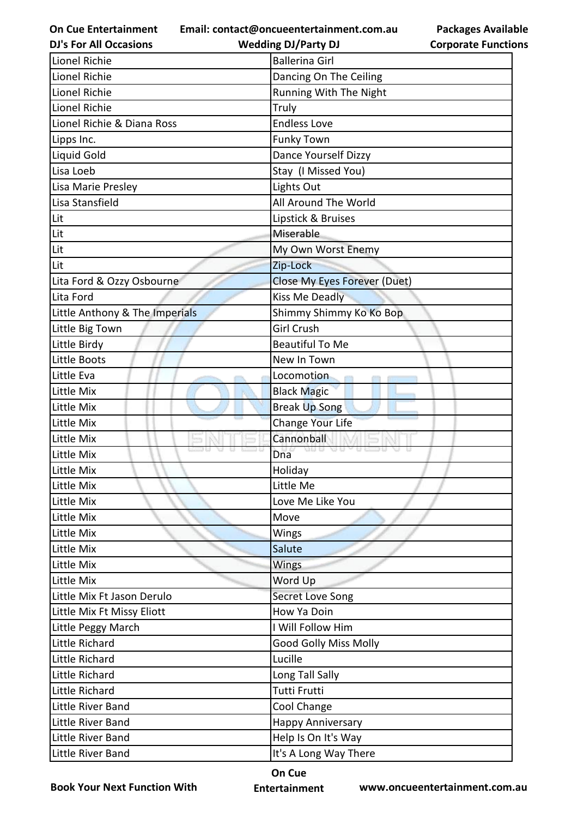**Email: contact@oncueentertainment.com.au Wedding DJ/Party DJ** 

**DJ's For All Occasions**

**Packages Available Corporate Functions**

| Lionel Richie                  | <b>Ballerina Girl</b>               |
|--------------------------------|-------------------------------------|
| Lionel Richie                  | Dancing On The Ceiling              |
| Lionel Richie                  | Running With The Night              |
| Lionel Richie                  | Truly                               |
| Lionel Richie & Diana Ross     | <b>Endless Love</b>                 |
| Lipps Inc.                     | <b>Funky Town</b>                   |
| Liquid Gold                    | <b>Dance Yourself Dizzy</b>         |
| Lisa Loeb                      | Stay (I Missed You)                 |
| Lisa Marie Presley             | Lights Out                          |
| Lisa Stansfield                | All Around The World                |
| Lit                            | Lipstick & Bruises                  |
| Lit                            | Miserable                           |
| Lit                            | My Own Worst Enemy                  |
| Lit                            | Zip-Lock                            |
| Lita Ford & Ozzy Osbourne      | <b>Close My Eyes Forever (Duet)</b> |
| Lita Ford                      | <b>Kiss Me Deadly</b>               |
| Little Anthony & The Imperials | Shimmy Shimmy Ko Ko Bop             |
| Little Big Town                | <b>Girl Crush</b>                   |
| Little Birdy                   | <b>Beautiful To Me</b>              |
| Little Boots                   | New In Town                         |
| Little Eva                     | Locomotion                          |
| Little Mix                     | <b>Black Magic</b>                  |
| Little Mix                     | <b>Break Up Song</b>                |
| Little Mix                     | Change Your Life                    |
| Little Mix                     | Cannonball                          |
| Little Mix                     | Dna                                 |
| Little Mix                     | Holiday                             |
| Little Mix                     | Little Me                           |
| Little Mix                     | Love Me Like You                    |
| Little Mix                     | Move                                |
| Little Mix                     | Wings                               |
| Little Mix                     | Salute                              |
| Little Mix                     | Wings                               |
| Little Mix                     | Word Up                             |
| Little Mix Ft Jason Derulo     | <b>Secret Love Song</b>             |
| Little Mix Ft Missy Eliott     | How Ya Doin                         |
| Little Peggy March             | I Will Follow Him                   |
| Little Richard                 | <b>Good Golly Miss Molly</b>        |
| Little Richard                 | Lucille                             |
| Little Richard                 | Long Tall Sally                     |
| Little Richard                 | Tutti Frutti                        |
| Little River Band              | Cool Change                         |
| Little River Band              | <b>Happy Anniversary</b>            |
| Little River Band              | Help Is On It's Way                 |
| Little River Band              | It's A Long Way There               |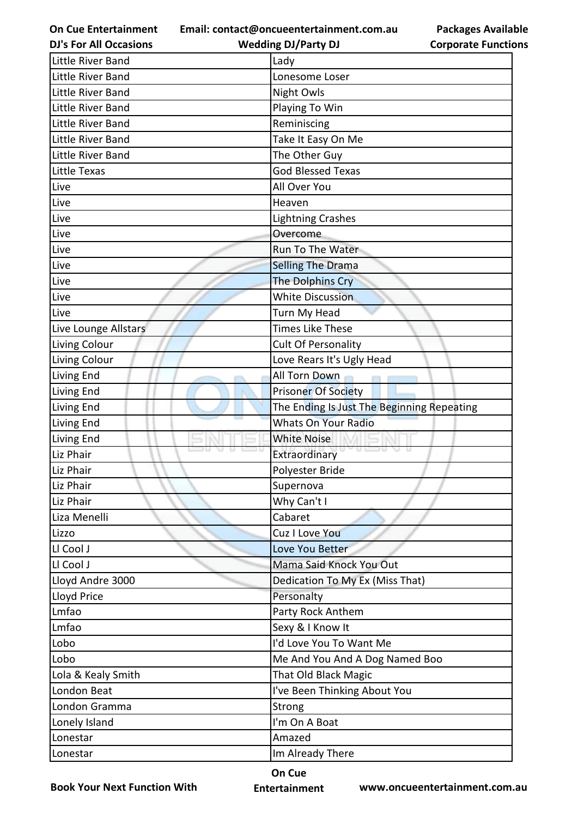**Email: contact@oncueentertainment.com.au**

**Packages Available Corporate Functions**

| <b>DJ's For All Occasions</b> | <b>Wedding DJ/Party DJ</b>                 | <b>Corporate Functio</b> |
|-------------------------------|--------------------------------------------|--------------------------|
| Little River Band             | Lady                                       |                          |
| Little River Band             | Lonesome Loser                             |                          |
| Little River Band             | <b>Night Owls</b>                          |                          |
| Little River Band             | Playing To Win                             |                          |
| Little River Band             | Reminiscing                                |                          |
| Little River Band             | Take It Easy On Me                         |                          |
| Little River Band             | The Other Guy                              |                          |
| Little Texas                  | <b>God Blessed Texas</b>                   |                          |
| Live                          | All Over You                               |                          |
| Live                          | Heaven                                     |                          |
| Live                          | <b>Lightning Crashes</b>                   |                          |
| Live                          | Overcome                                   |                          |
| Live                          | Run To The Water                           |                          |
| Live                          | <b>Selling The Drama</b>                   |                          |
| Live                          | <b>The Dolphins Cry</b>                    |                          |
| Live                          | <b>White Discussion</b>                    |                          |
| Live                          | Turn My Head                               |                          |
| Live Lounge Allstars          | <b>Times Like These</b>                    |                          |
| Living Colour                 | <b>Cult Of Personality</b>                 |                          |
| Living Colour                 | Love Rears It's Ugly Head                  |                          |
| Living End                    | All Torn Down                              |                          |
| Living End                    | <b>Prisoner Of Society</b>                 |                          |
| Living End                    | The Ending Is Just The Beginning Repeating |                          |
| Living End                    | <b>Whats On Your Radio</b>                 |                          |
| Living End                    | <b>White Noise</b>                         |                          |
| Liz Phair                     | <b>Extraordinary</b>                       |                          |
| Liz Phair                     | Polyester Bride                            |                          |
| Liz Phair                     | Supernova                                  |                          |
| Liz Phair                     | Why Can't I                                |                          |
| Liza Menelli                  | Cabaret                                    |                          |
| Lizzo                         | Cuz I Love You                             |                          |
| LI Cool J                     | Love You Better                            |                          |
| Ll Cool J                     | Mama Said Knock You Out                    |                          |
| Lloyd Andre 3000              | Dedication To My Ex (Miss That)            |                          |
| Lloyd Price                   | Personalty                                 |                          |
| Lmfao                         | Party Rock Anthem                          |                          |
| Lmfao                         | Sexy & I Know It                           |                          |
| Lobo                          | I'd Love You To Want Me                    |                          |
| Lobo                          | Me And You And A Dog Named Boo             |                          |
| Lola & Kealy Smith            | <b>That Old Black Magic</b>                |                          |
| London Beat                   | I've Been Thinking About You               |                          |
| London Gramma                 | Strong                                     |                          |
| Lonely Island                 | I'm On A Boat                              |                          |
| Lonestar                      | Amazed                                     |                          |
| Lonestar                      | Im Already There                           |                          |

**Book Your Next Function With**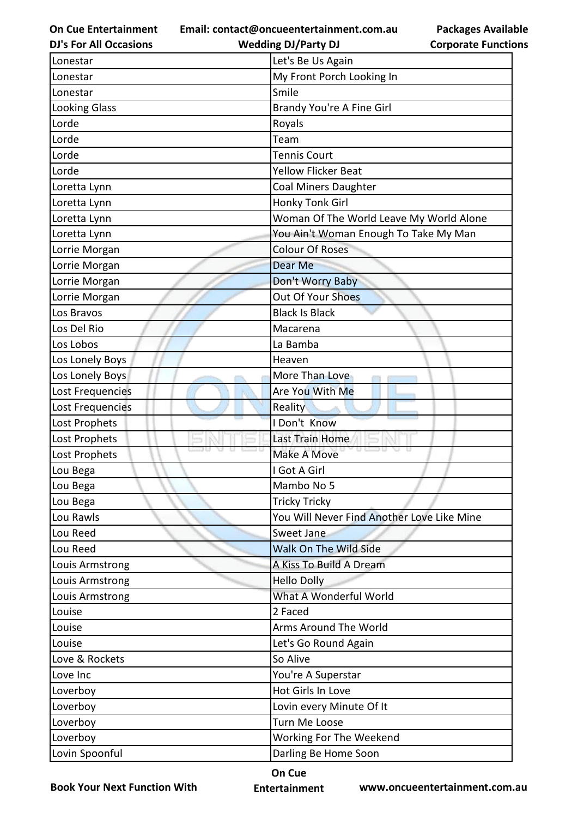**On Cue Entertainment DJ's For All Occasions**

**Email: contact@oncueentertainment.com.au Wedding DJ/Party DJ** 

Lonestar **Lonestar Let's Be Us Again** Lonestar My Front Porch Looking In Lonestar Smile Smile Looking Glass **Brandy You're A Fine Girl** Lorde Royals Lorde **Team** Lorde **Tennis Court** Lorde **The Contract of Contract Contract Contract Contract Contract Contract Contract Contract Contract Contract Contract Contract Contract Contract Contract Contract Contract Contract Contract Contract Contract Contract C** Loretta Lynn Coal Miners Daughter Loretta Lynn Honky Tonk Girl Loretta Lynn **Woman Of The World Leave My World Alone** Loretta Lynn You Ain't Woman Enough To Take My Man Lorrie Morgan Colour Of Roses Lorrie Morgan Dear Me Lorrie Morgan Don't Worry Baby Lorrie Morgan **Communist Communist Communist Communist Communist Communist Communist Communist Communist Communist Communist Communist Communist Communist Communist Communist Communist Communist Communist Communist Communi** Los Bravos Black Is Black Is Black Is Black Los Del Rio Macarena Macarena Los Lobos La Bamba Los Lonely Boys **Heaven** Los Lonely Boys More Than Love Lost Frequencies Are You With Me Lost Frequencies **Reality** Lost Prophets I Don't Know Lost Prophets **Last Train Home** Lost Prophets Make A Move Lou Bega **I Got A Girl** Lou Bega Mambo No 5 Lou Bega **Tricky Tricky** Tricky Tricky Lou Rawls You Will Never Find Another Love Like Mine Lou Reed Sweet Jane Lou Reed Walk On The Wild Side Louis Armstrong A Kiss To Build A Dream Louis Armstrong **Hello Dolly** Louis Armstrong **National Communist Communist Communist Communist Communist Communist Communist Communist Communist Communist Communist Communist Communist Communist Communist Communist Communist Communist Communist Commun** Louise 2 **Faced** Louise **Arms Around The World** Louise Let's Go Round Again Love & Rockets **So Alive** So Alive Love Inc Novel 2008 and Novel 2008 and Novel 2008 and Novel 2008 and Novel 2008 and Novel 2008 and Novel 2008 Loverboy Hot Girls In Love Loverboy Lovin every Minute Of It Loverboy Turn Me Loose Loverboy Working For The Weekend Lovin Spoonful **Lovin Spoonful** Darling Be Home Soon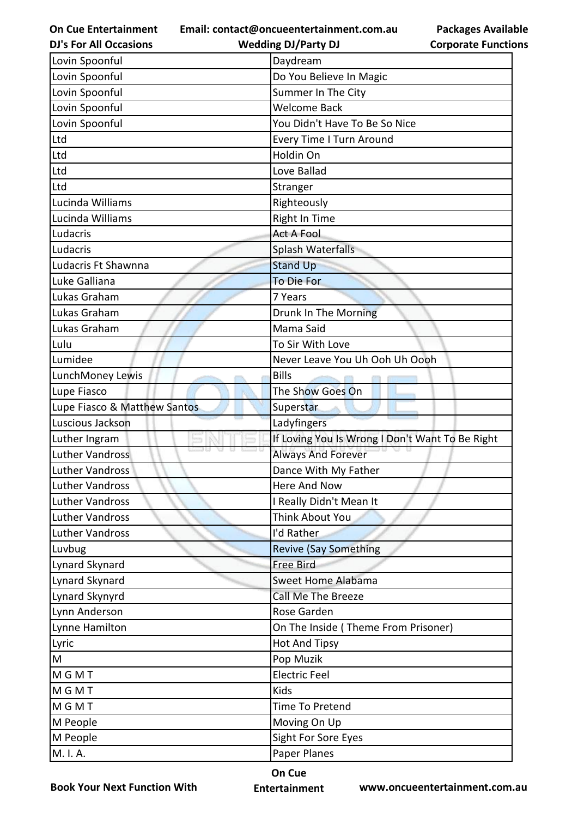**Email: contact@oncueentertainment.com.au**

**Wedding DJ/Party DJ** 

| <b>Packages Available</b>  |  |
|----------------------------|--|
| <b>Corporate Functions</b> |  |

| <b>DJ's For All Occasions</b> | <b>Wedding DJ/Party DJ</b>                      | <b>Corporate Functio</b> |
|-------------------------------|-------------------------------------------------|--------------------------|
| Lovin Spoonful                | Daydream                                        |                          |
| Lovin Spoonful                | Do You Believe In Magic                         |                          |
| Lovin Spoonful                | Summer In The City                              |                          |
| Lovin Spoonful                | <b>Welcome Back</b>                             |                          |
| Lovin Spoonful                | You Didn't Have To Be So Nice                   |                          |
| Ltd                           | Every Time I Turn Around                        |                          |
| Ltd                           | Holdin On                                       |                          |
| Ltd                           | Love Ballad                                     |                          |
| Ltd                           | Stranger                                        |                          |
| Lucinda Williams              | Righteously                                     |                          |
| Lucinda Williams              | Right In Time                                   |                          |
| Ludacris                      | <b>Act A Fool</b>                               |                          |
| Ludacris                      | Splash Waterfalls                               |                          |
| Ludacris Ft Shawnna           | <b>Stand Up</b>                                 |                          |
| Luke Galliana                 | To Die For                                      |                          |
| Lukas Graham                  | 7 Years                                         |                          |
| Lukas Graham                  | Drunk In The Morning                            |                          |
| Lukas Graham                  | Mama Said                                       |                          |
| Lulu                          | To Sir With Love                                |                          |
| Lumidee                       | Never Leave You Uh Ooh Uh Oooh                  |                          |
| LunchMoney Lewis              | <b>Bills</b>                                    |                          |
| Lupe Fiasco                   | The Show Goes On                                |                          |
| Lupe Fiasco & Matthew Santos  | Superstar                                       |                          |
| Luscious Jackson              | Ladyfingers                                     |                          |
| Luther Ingram                 | If Loving You Is Wrong I Don't Want To Be Right |                          |
| <b>Luther Vandross</b>        | <b>Always And Forever</b>                       |                          |
| Luther Vandross               | Dance With My Father                            |                          |
| <b>Luther Vandross</b>        | <b>Here And Now</b>                             |                          |
| <b>Luther Vandross</b>        | I Really Didn't Mean It                         |                          |
| <b>Luther Vandross</b>        | Think About You                                 |                          |
| <b>Luther Vandross</b>        | I'd Rather                                      |                          |
| Luvbug                        | <b>Revive (Say Something</b>                    |                          |
| Lynard Skynard                | <b>Free Bird</b>                                |                          |
| Lynard Skynard                | Sweet Home Alabama                              |                          |
| Lynard Skynyrd                | <b>Call Me The Breeze</b>                       |                          |
| Lynn Anderson                 | Rose Garden                                     |                          |
| Lynne Hamilton                | On The Inside (Theme From Prisoner)             |                          |
| Lyric                         | <b>Hot And Tipsy</b>                            |                          |
| M                             | Pop Muzik                                       |                          |
| <b>MGMT</b>                   | <b>Electric Feel</b>                            |                          |
| <b>MGMT</b>                   | Kids                                            |                          |
| <b>MGMT</b>                   | Time To Pretend                                 |                          |
| M People                      | Moving On Up                                    |                          |
| M People                      | Sight For Sore Eyes                             |                          |
| M. I. A.                      | Paper Planes                                    |                          |
|                               |                                                 |                          |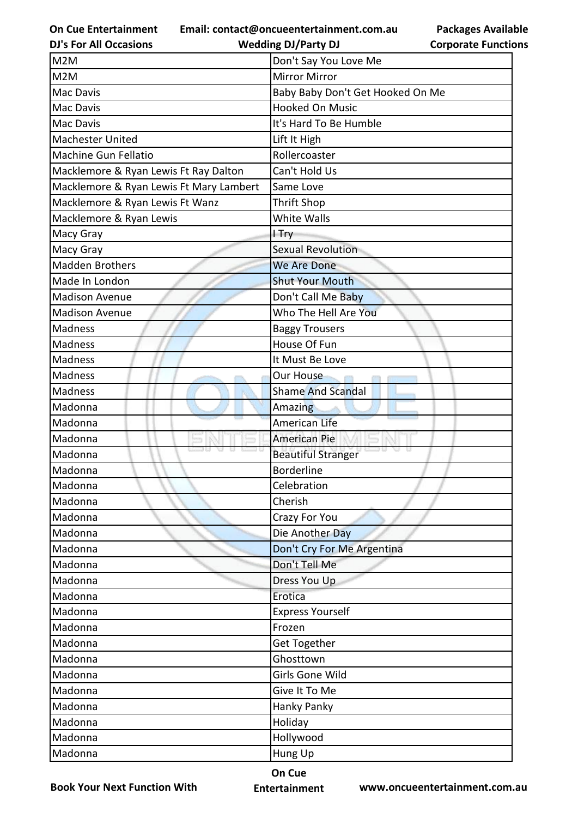**Email: contact@oncueentertainment.com.au**

**Packages Available Corporate Functions**

| <b>DJ's For All Occasions</b>           | <b>Wedding DJ/Party DJ</b>       | <b>Corporate Functio</b> |
|-----------------------------------------|----------------------------------|--------------------------|
| M2M                                     | Don't Say You Love Me            |                          |
| M2M                                     | <b>Mirror Mirror</b>             |                          |
| Mac Davis                               | Baby Baby Don't Get Hooked On Me |                          |
| Mac Davis                               | <b>Hooked On Music</b>           |                          |
| Mac Davis                               | It's Hard To Be Humble           |                          |
| Machester United                        | Lift It High                     |                          |
| <b>Machine Gun Fellatio</b>             | Rollercoaster                    |                          |
| Macklemore & Ryan Lewis Ft Ray Dalton   | Can't Hold Us                    |                          |
| Macklemore & Ryan Lewis Ft Mary Lambert | Same Love                        |                          |
| Macklemore & Ryan Lewis Ft Wanz         | <b>Thrift Shop</b>               |                          |
| Macklemore & Ryan Lewis                 | White Walls                      |                          |
| Macy Gray                               | I Try                            |                          |
| Macy Gray                               | <b>Sexual Revolution</b>         |                          |
| <b>Madden Brothers</b>                  | <b>We Are Done</b>               |                          |
| Made In London                          | <b>Shut Your Mouth</b>           |                          |
| <b>Madison Avenue</b>                   | Don't Call Me Baby               |                          |
| <b>Madison Avenue</b>                   | Who The Hell Are You             |                          |
| <b>Madness</b>                          | <b>Baggy Trousers</b>            |                          |
| <b>Madness</b>                          | House Of Fun                     |                          |
| <b>Madness</b>                          | It Must Be Love                  |                          |
| <b>Madness</b>                          | Our House                        |                          |
| <b>Madness</b>                          | <b>Shame And Scandal</b>         |                          |
| Madonna                                 | Amazing                          |                          |
| Madonna                                 | <b>American Life</b>             |                          |
| Madonna                                 | <b>American Pie</b>              |                          |
| Madonna                                 | <b>Beautiful Stranger</b>        |                          |
| Madonna                                 | <b>Borderline</b>                |                          |
| Madonna                                 | Celebration                      |                          |
| Madonna                                 | Cherish                          |                          |
| Madonna                                 | Crazy For You                    |                          |
| Madonna                                 | Die Another Day                  |                          |
| Madonna                                 | Don't Cry For Me Argentina       |                          |
| Madonna                                 | Don't Tell Me                    |                          |
| Madonna                                 | Dress You Up                     |                          |
| Madonna                                 | Erotica                          |                          |
| Madonna                                 | <b>Express Yourself</b>          |                          |
| Madonna                                 | Frozen                           |                          |
| Madonna                                 | Get Together                     |                          |
| Madonna                                 | Ghosttown                        |                          |
| Madonna                                 | Girls Gone Wild                  |                          |
| Madonna                                 | Give It To Me                    |                          |
| Madonna                                 | Hanky Panky                      |                          |
| Madonna                                 | Holiday                          |                          |
| Madonna                                 | Hollywood                        |                          |
| Madonna                                 | Hung Up                          |                          |

**Book Your Next Function With**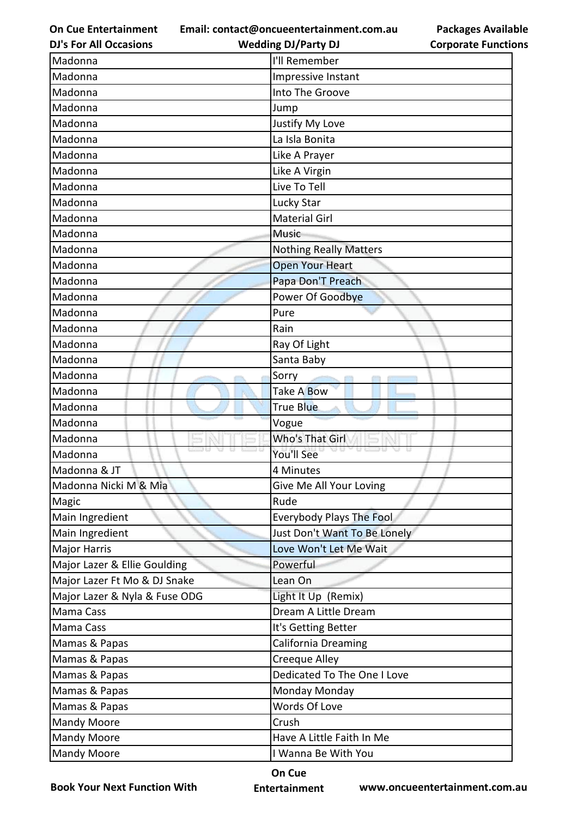**Email: contact@oncueentertainment.com.au Wedding DJ/Party DJ** 

**DJ's For All Occasions**

| <b>Packages Available</b>  |
|----------------------------|
| <b>Corporate Functions</b> |

| Madonna                       | I'll Remember                   |
|-------------------------------|---------------------------------|
| Madonna                       | Impressive Instant              |
| Madonna                       | Into The Groove                 |
| Madonna                       | Jump                            |
| Madonna                       | Justify My Love                 |
| Madonna                       | La Isla Bonita                  |
| Madonna                       | Like A Prayer                   |
| Madonna                       | Like A Virgin                   |
| Madonna                       | Live To Tell                    |
| Madonna                       | Lucky Star                      |
| Madonna                       | <b>Material Girl</b>            |
| Madonna                       | <b>Music</b>                    |
| Madonna                       | <b>Nothing Really Matters</b>   |
| Madonna                       | <b>Open Your Heart</b>          |
| Madonna                       | Papa Don'T Preach               |
| Madonna                       | Power Of Goodbye                |
| Madonna                       | Pure                            |
| Madonna                       | Rain                            |
| Madonna                       | Ray Of Light                    |
| Madonna                       | Santa Baby                      |
| Madonna                       | Sorry                           |
| Madonna                       | Take A Bow                      |
| Madonna                       | True Blue                       |
| Madonna                       | Vogue                           |
| Madonna                       | Who's That Girl                 |
| Madonna                       | You'll See                      |
| Madonna & JT                  | 4 Minutes                       |
| Madonna Nicki M & Mia         | Give Me All Your Loving         |
| Magic                         | Rude                            |
| Main Ingredient               | <b>Everybody Plays The Fool</b> |
| Main Ingredient               | Just Don't Want To Be Lonely    |
| <b>Major Harris</b>           | Love Won't Let Me Wait          |
| Major Lazer & Ellie Goulding  | Powerful                        |
| Major Lazer Ft Mo & DJ Snake  | Lean On                         |
| Major Lazer & Nyla & Fuse ODG | Light It Up (Remix)             |
| Mama Cass                     | Dream A Little Dream            |
| Mama Cass                     | It's Getting Better             |
| Mamas & Papas                 | California Dreaming             |
| Mamas & Papas                 | Creeque Alley                   |
| Mamas & Papas                 | Dedicated To The One I Love     |
| Mamas & Papas                 | Monday Monday                   |
| Mamas & Papas                 | Words Of Love                   |
| <b>Mandy Moore</b>            | Crush                           |
| <b>Mandy Moore</b>            | Have A Little Faith In Me       |
| <b>Mandy Moore</b>            | I Wanna Be With You             |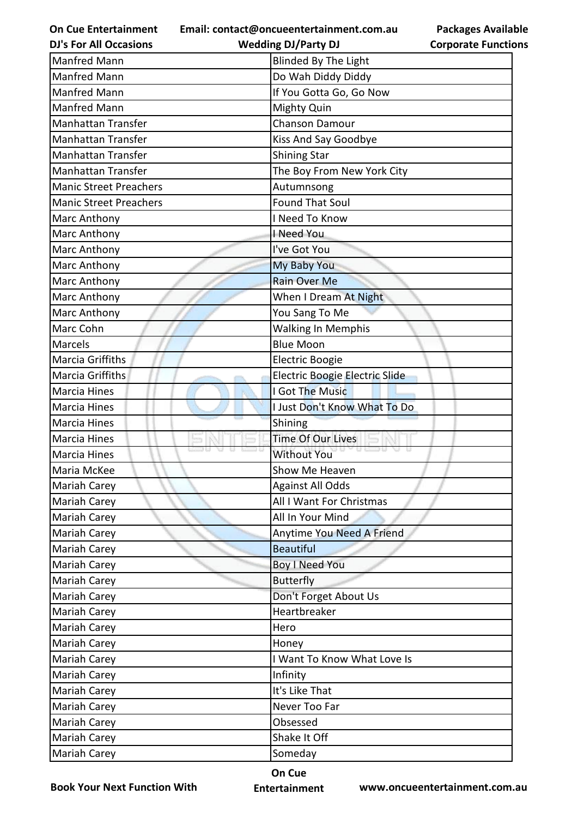| <b>On Cue Entertainment</b>   | Email: contact@oncueentertainment.com.au | <b>Packages Available</b>  |
|-------------------------------|------------------------------------------|----------------------------|
| <b>DJ's For All Occasions</b> | <b>Wedding DJ/Party DJ</b>               | <b>Corporate Functions</b> |
| Manfred Mann                  | <b>Blinded By The Light</b>              |                            |
| <b>Manfred Mann</b>           | Do Wah Diddy Diddy                       |                            |
| <b>Manfred Mann</b>           | If You Gotta Go, Go Now                  |                            |
| <b>Manfred Mann</b>           | Mighty Quin                              |                            |
| <b>Manhattan Transfer</b>     | Chanson Damour                           |                            |
| <b>Manhattan Transfer</b>     | Kiss And Say Goodbye                     |                            |
| Manhattan Transfer            | <b>Shining Star</b>                      |                            |
| <b>Manhattan Transfer</b>     | The Boy From New York City               |                            |
| <b>Manic Street Preachers</b> | Autumnsong                               |                            |
| <b>Manic Street Preachers</b> | <b>Found That Soul</b>                   |                            |
| Marc Anthony                  | I Need To Know                           |                            |
| Marc Anthony                  | I Need You                               |                            |
| Marc Anthony                  | I've Got You                             |                            |
| Marc Anthony                  | <b>My Baby You</b>                       |                            |
| Marc Anthony                  | <b>Rain Over Me</b>                      |                            |
| Marc Anthony                  | When I Dream At Night                    |                            |
| Marc Anthony                  | You Sang To Me                           |                            |
| Marc Cohn                     | <b>Walking In Memphis</b>                |                            |
| <b>Marcels</b>                | <b>Blue Moon</b>                         |                            |
| Marcia Griffiths              | Electric Boogie                          |                            |
| Marcia Griffiths              | Electric Boogie Electric Slide           |                            |
| <b>Marcia Hines</b>           | I Got The Music                          |                            |
| <b>Marcia Hines</b>           | I Just Don't Know What To Do             |                            |
| Marcia Hines                  | Shining                                  |                            |
| <b>Marcia Hines</b>           | <b>Time Of Our Lives</b>                 |                            |
| <b>Marcia Hines</b>           | <b>Without You</b>                       |                            |
| Maria McKee                   | Show Me Heaven                           |                            |
| Mariah Carey                  | <b>Against All Odds</b>                  |                            |
| Mariah Carey                  | All I Want For Christmas                 |                            |
| Mariah Carey                  | All In Your Mind                         |                            |
| Mariah Carey                  | Anytime You Need A Friend                |                            |
| Mariah Carey                  | <b>Beautiful</b>                         |                            |
| Mariah Carey                  | <b>Boy I Need You</b>                    |                            |
| Mariah Carey                  | <b>Butterfly</b>                         |                            |
| Mariah Carey                  | Don't Forget About Us                    |                            |
| Mariah Carey                  | Heartbreaker                             |                            |
| Mariah Carey                  | Hero                                     |                            |
| Mariah Carey                  | Honey                                    |                            |
| Mariah Carey                  | I Want To Know What Love Is              |                            |
| Mariah Carey                  | Infinity                                 |                            |
| Mariah Carey                  | It's Like That                           |                            |
| Mariah Carey                  | Never Too Far                            |                            |
| Mariah Carey                  | Obsessed                                 |                            |
| Mariah Carey                  | Shake It Off                             |                            |
| Mariah Carey                  | Someday                                  |                            |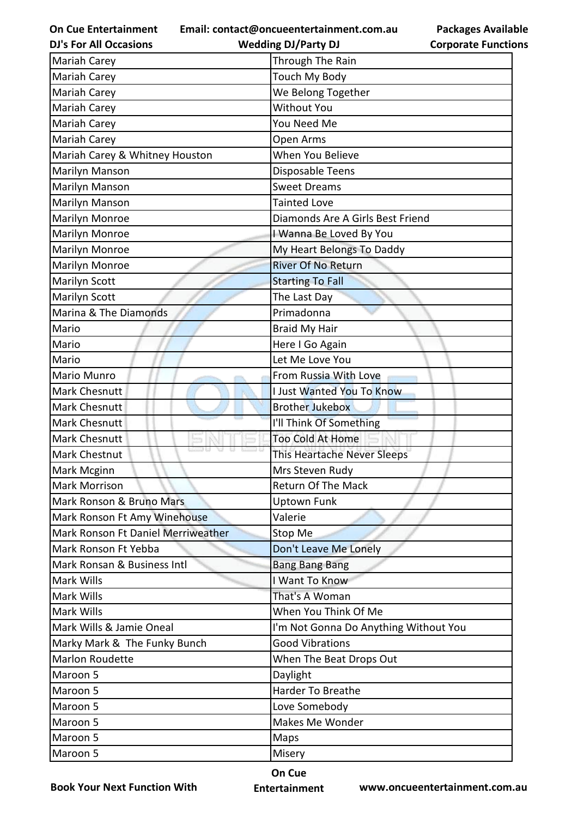**Email: contact@oncueentertainment.com.au**

**DJ's For All Occasions**

**Wedding DJ/Party DJ** 

|                            | <b>Packages Available</b> |
|----------------------------|---------------------------|
| <b>Corporate Functions</b> |                           |

| Through The Rain                      |
|---------------------------------------|
|                                       |
| Touch My Body                         |
| We Belong Together                    |
| <b>Without You</b>                    |
| You Need Me                           |
| Open Arms                             |
| When You Believe                      |
| Disposable Teens                      |
| <b>Sweet Dreams</b>                   |
| <b>Tainted Love</b>                   |
| Diamonds Are A Girls Best Friend      |
| I Wanna Be Loved By You               |
| My Heart Belongs To Daddy             |
| <b>River Of No Return</b>             |
| <b>Starting To Fall</b>               |
| The Last Day                          |
| Primadonna                            |
| <b>Braid My Hair</b>                  |
| Here I Go Again                       |
| Let Me Love You                       |
| From Russia With Love                 |
| <b>I Just Wanted You To Know</b>      |
| <b>Brother Jukebox</b>                |
| I'll Think Of Something               |
| Too Cold At Home                      |
| This Heartache Never Sleeps           |
| Mrs Steven Rudy                       |
| Return Of The Mack                    |
|                                       |
| <b>Uptown Funk</b>                    |
| Valerie                               |
| Stop Me                               |
| Don't Leave Me Lonely                 |
| <b>Bang Bang Bang</b>                 |
| I Want To Know                        |
| That's A Woman                        |
| When You Think Of Me                  |
| I'm Not Gonna Do Anything Without You |
| <b>Good Vibrations</b>                |
| When The Beat Drops Out               |
| Daylight                              |
| Harder To Breathe                     |
| Love Somebody                         |
| Makes Me Wonder                       |
| Maps                                  |
|                                       |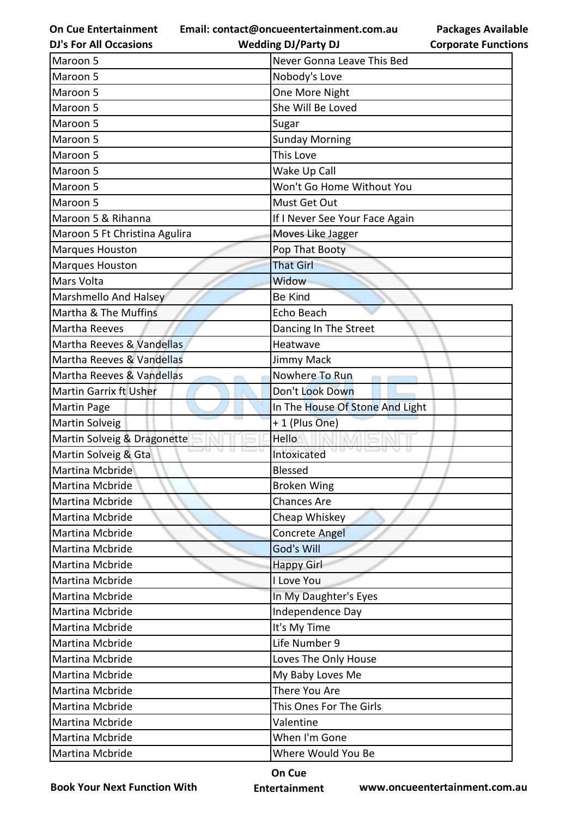**Email: contact@oncueentertainment.com.au**

**DJ's For All Occasions**

**Packages Available Corporate Functions**

| <b>Wedding DJ/Party DJ</b>     | <b>Corporate Functio</b>                          |
|--------------------------------|---------------------------------------------------|
| Never Gonna Leave This Bed     |                                                   |
| Nobody's Love                  |                                                   |
| One More Night                 |                                                   |
| She Will Be Loved              |                                                   |
| Sugar                          |                                                   |
| <b>Sunday Morning</b>          |                                                   |
| This Love                      |                                                   |
| Wake Up Call                   |                                                   |
| Won't Go Home Without You      |                                                   |
| Must Get Out                   |                                                   |
| If I Never See Your Face Again |                                                   |
| Moves Like Jagger              |                                                   |
| Pop That Booty                 |                                                   |
| <b>That Girl</b>               |                                                   |
| Widow                          |                                                   |
| <b>Be Kind</b>                 |                                                   |
| Echo Beach                     |                                                   |
| Dancing In The Street          |                                                   |
| Heatwave                       |                                                   |
| Jimmy Mack                     |                                                   |
| Nowhere To Run                 |                                                   |
| Don't Look Down                |                                                   |
|                                |                                                   |
|                                |                                                   |
| Hello                          |                                                   |
| Intoxicated                    |                                                   |
| <b>Blessed</b>                 |                                                   |
| <b>Broken Wing</b>             |                                                   |
| <b>Chances Are</b>             |                                                   |
| Cheap Whiskey                  |                                                   |
| <b>Concrete Angel</b>          |                                                   |
| God's Will                     |                                                   |
| <b>Happy Girl</b>              |                                                   |
| I Love You                     |                                                   |
| In My Daughter's Eyes          |                                                   |
| Independence Day               |                                                   |
| It's My Time                   |                                                   |
| Life Number 9                  |                                                   |
| Loves The Only House           |                                                   |
| My Baby Loves Me               |                                                   |
| There You Are                  |                                                   |
| This Ones For The Girls        |                                                   |
| Valentine                      |                                                   |
| When I'm Gone                  |                                                   |
| Where Would You Be             |                                                   |
|                                | In The House Of Stone And Light<br>+ 1 (Plus One) |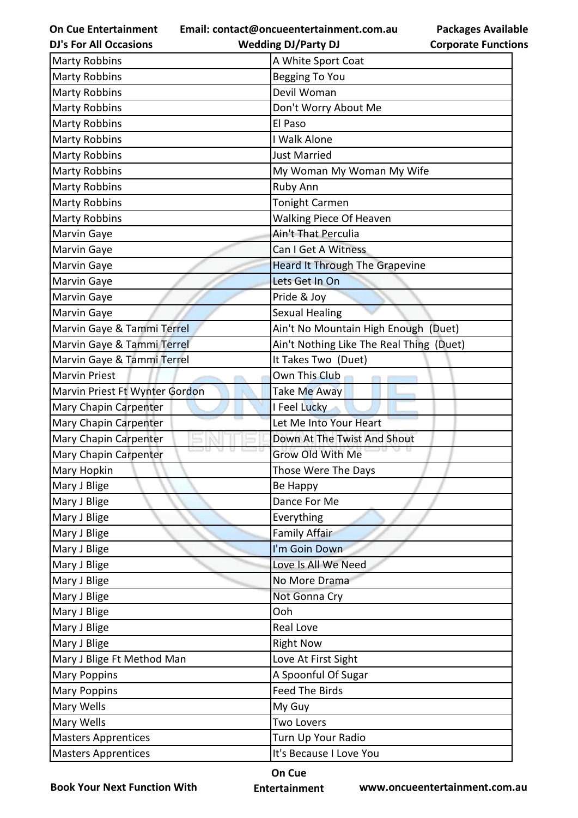**On Cue Entertainment Email: contact@oncueentertainment.com.au**

**Packages Available Corporate Functions**

| <b>DJ's For All Occasions</b>  | <b>Wedding DJ/Party DJ</b>               | <b>Corporate Functio</b> |
|--------------------------------|------------------------------------------|--------------------------|
| <b>Marty Robbins</b>           | A White Sport Coat                       |                          |
| <b>Marty Robbins</b>           | <b>Begging To You</b>                    |                          |
| <b>Marty Robbins</b>           | Devil Woman                              |                          |
| <b>Marty Robbins</b>           | Don't Worry About Me                     |                          |
| <b>Marty Robbins</b>           | El Paso                                  |                          |
| <b>Marty Robbins</b>           | I Walk Alone                             |                          |
| <b>Marty Robbins</b>           | <b>Just Married</b>                      |                          |
| <b>Marty Robbins</b>           | My Woman My Woman My Wife                |                          |
| <b>Marty Robbins</b>           | Ruby Ann                                 |                          |
| <b>Marty Robbins</b>           | <b>Tonight Carmen</b>                    |                          |
| <b>Marty Robbins</b>           | <b>Walking Piece Of Heaven</b>           |                          |
| Marvin Gaye                    | Ain't That Perculia                      |                          |
| Marvin Gaye                    | Can I Get A Witness                      |                          |
| Marvin Gaye                    | <b>Heard It Through The Grapevine</b>    |                          |
| Marvin Gaye                    | Lets Get In On                           |                          |
| Marvin Gaye                    | Pride & Joy                              |                          |
| Marvin Gaye                    | <b>Sexual Healing</b>                    |                          |
| Marvin Gaye & Tammi Terrel     | Ain't No Mountain High Enough (Duet)     |                          |
| Marvin Gaye & Tammi Terrel     | Ain't Nothing Like The Real Thing (Duet) |                          |
| Marvin Gaye & Tammi Terrel     | It Takes Two (Duet)                      |                          |
| <b>Marvin Priest</b>           | Own This Club                            |                          |
| Marvin Priest Ft Wynter Gordon | Take Me Away                             |                          |
| Mary Chapin Carpenter          | I Feel Lucky                             |                          |
| Mary Chapin Carpenter          | Let Me Into Your Heart                   |                          |
| Mary Chapin Carpenter          | Down At The Twist And Shout              |                          |
| Mary Chapin Carpenter          | Grow Old With Me                         |                          |
| Mary Hopkin                    | Those Were The Days                      |                          |
| Mary J Blige                   | Be Happy                                 |                          |
| Mary J Blige                   | Dance For Me                             |                          |
| Mary J Blige                   | Everything                               |                          |
| Mary J Blige                   | <b>Family Affair</b>                     |                          |
| Mary J Blige                   | I'm Goin Down                            |                          |
| Mary J Blige                   | Love Is All We Need                      |                          |
| Mary J Blige                   | No More Drama                            |                          |
| Mary J Blige                   | Not Gonna Cry                            |                          |
| Mary J Blige                   | Ooh                                      |                          |
| Mary J Blige                   | Real Love                                |                          |
| Mary J Blige                   | <b>Right Now</b>                         |                          |
| Mary J Blige Ft Method Man     | Love At First Sight                      |                          |
| <b>Mary Poppins</b>            | A Spoonful Of Sugar                      |                          |
| <b>Mary Poppins</b>            | <b>Feed The Birds</b>                    |                          |
| Mary Wells                     | My Guy                                   |                          |
| Mary Wells                     | <b>Two Lovers</b>                        |                          |
| <b>Masters Apprentices</b>     | Turn Up Your Radio                       |                          |
| <b>Masters Apprentices</b>     | It's Because I Love You                  |                          |

**Book Your Next Function With**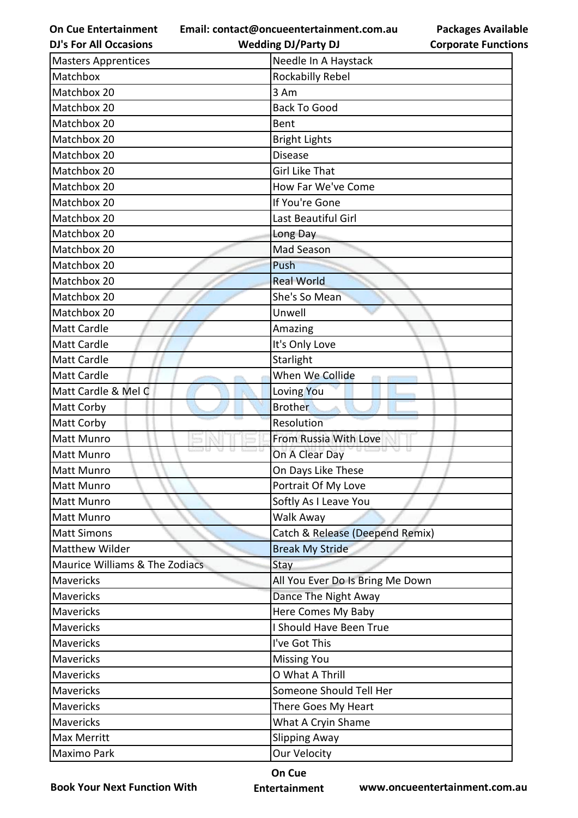**On Cue Entertainment DJ's For All Occasions**

**Email: contact@oncueentertainment.com.au**

**Packages Available Corporate Functions**

| <b>DJ's For All Occasions</b>             | <b>Wedding DJ/Party DJ</b>       | <b>Corporate Functio</b> |
|-------------------------------------------|----------------------------------|--------------------------|
| <b>Masters Apprentices</b>                | Needle In A Haystack             |                          |
| Matchbox                                  | Rockabilly Rebel                 |                          |
| Matchbox 20                               | 3 Am                             |                          |
| Matchbox 20                               | <b>Back To Good</b>              |                          |
| Matchbox 20                               | Bent                             |                          |
| Matchbox 20                               | <b>Bright Lights</b>             |                          |
| Matchbox 20                               | <b>Disease</b>                   |                          |
| Matchbox 20                               | <b>Girl Like That</b>            |                          |
| Matchbox 20                               | How Far We've Come               |                          |
| Matchbox 20                               | If You're Gone                   |                          |
| Matchbox 20                               | Last Beautiful Girl              |                          |
| Matchbox 20                               | Long Day                         |                          |
| Matchbox 20                               | Mad Season                       |                          |
| Matchbox 20                               | Push                             |                          |
| Matchbox 20                               | <b>Real World</b>                |                          |
| Matchbox 20                               | She's So Mean                    |                          |
| Matchbox 20                               | Unwell                           |                          |
| <b>Matt Cardle</b>                        | Amazing                          |                          |
| <b>Matt Cardle</b>                        | It's Only Love                   |                          |
| <b>Matt Cardle</b>                        | Starlight                        |                          |
| <b>Matt Cardle</b>                        | When We Collide                  |                          |
| Matt Cardle & Mel C                       | Loving You                       |                          |
| <b>Matt Corby</b>                         | <b>Brother</b>                   |                          |
| <b>Matt Corby</b>                         | Resolution                       |                          |
| <b>Matt Munro</b>                         | From Russia With Love            |                          |
| <b>Matt Munro</b>                         | On A Clear Day                   |                          |
| Matt Munro                                | On Days Like These               |                          |
| <b>Matt Munro</b>                         | Portrait Of My Love              |                          |
| <b>Matt Munro</b>                         | Softly As I Leave You            |                          |
| <b>Matt Munro</b>                         | Walk Away                        |                          |
| <b>Matt Simons</b>                        | Catch & Release (Deepend Remix)  |                          |
| Matthew Wilder                            | <b>Break My Stride</b>           |                          |
| <b>Maurice Williams &amp; The Zodiacs</b> | Stay                             |                          |
| Mavericks                                 | All You Ever Do Is Bring Me Down |                          |
| Mavericks                                 | Dance The Night Away             |                          |
| Mavericks                                 | Here Comes My Baby               |                          |
| Mavericks                                 | I Should Have Been True          |                          |
| Mavericks                                 | I've Got This                    |                          |
| <b>Mavericks</b>                          | <b>Missing You</b>               |                          |
| Mavericks                                 | O What A Thrill                  |                          |
| Mavericks                                 | Someone Should Tell Her          |                          |
| <b>Mavericks</b>                          | There Goes My Heart              |                          |
| Mavericks                                 | What A Cryin Shame               |                          |
| <b>Max Merritt</b>                        | <b>Slipping Away</b>             |                          |
| Maximo Park                               | <b>Our Velocity</b>              |                          |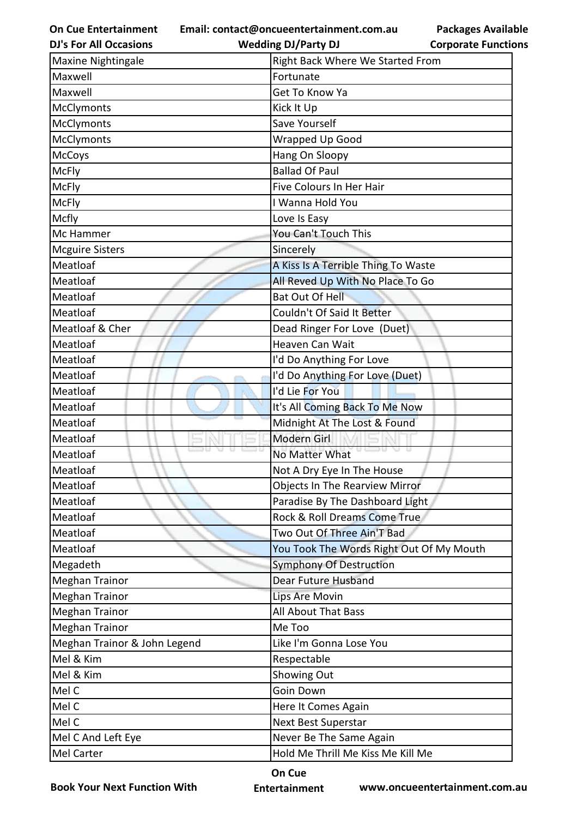**Email: contact@oncueentertainment.com.au**

**Packages Available Corporate Functions**

| You Took The Words Right Out Of My Mouth |
|------------------------------------------|
|                                          |
|                                          |
|                                          |
|                                          |
|                                          |
|                                          |
|                                          |
|                                          |
|                                          |
|                                          |
|                                          |
|                                          |
|                                          |
|                                          |

**Book Your Next Function With**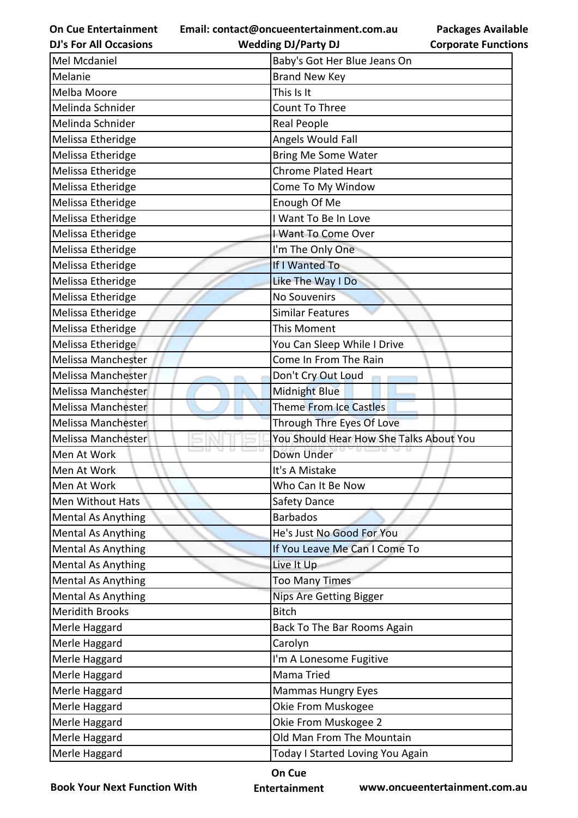**Email: contact@oncueentertainment.com.au Wedding DJ/Party DJ** 

**DJ's For All Occasions**

**Packages Available Corporate Functions**

| Mel Mcdaniel              | Baby's Got Her Blue Jeans On            |
|---------------------------|-----------------------------------------|
| Melanie                   | <b>Brand New Key</b>                    |
| Melba Moore               | This Is It                              |
| Melinda Schnider          | Count To Three                          |
| Melinda Schnider          | Real People                             |
| Melissa Etheridge         | Angels Would Fall                       |
| Melissa Etheridge         | <b>Bring Me Some Water</b>              |
| Melissa Etheridge         | Chrome Plated Heart                     |
| Melissa Etheridge         | Come To My Window                       |
| Melissa Etheridge         | Enough Of Me                            |
| Melissa Etheridge         | I Want To Be In Love                    |
| Melissa Etheridge         | I Want To Come Over                     |
| Melissa Etheridge         | I'm The Only One                        |
| Melissa Etheridge         | If I Wanted To                          |
| Melissa Etheridge         | Like The Way I Do                       |
| Melissa Etheridge         | No Souvenirs                            |
| Melissa Etheridge         | <b>Similar Features</b>                 |
| Melissa Etheridge         | This Moment                             |
| Melissa Etheridge         | You Can Sleep While I Drive             |
| Melissa Manchester        | Come In From The Rain                   |
| Melissa Manchester        | Don't Cry Out Loud                      |
| Melissa Manchester        | Midnight Blue                           |
| Melissa Manchester        | <b>Theme From Ice Castles</b>           |
| Melissa Manchester        | Through Thre Eyes Of Love               |
| Melissa Manchester        | You Should Hear How She Talks About You |
| Men At Work               | Down Under                              |
| Men At Work               | It's A Mistake                          |
| Men At Work               | Who Can It Be Now                       |
| Men Without Hats          | Safety Dance                            |
| <b>Mental As Anything</b> | <b>Barbados</b>                         |
| <b>Mental As Anything</b> | He's Just No Good For You               |
| <b>Mental As Anything</b> | If You Leave Me Can I Come To           |
| <b>Mental As Anything</b> | Live It Up                              |
| <b>Mental As Anything</b> | <b>Too Many Times</b>                   |
| <b>Mental As Anything</b> | <b>Nips Are Getting Bigger</b>          |
| <b>Meridith Brooks</b>    | <b>Bitch</b>                            |
| Merle Haggard             | Back To The Bar Rooms Again             |
| Merle Haggard             | Carolyn                                 |
| Merle Haggard             | I'm A Lonesome Fugitive                 |
| Merle Haggard             | Mama Tried                              |
| Merle Haggard             | Mammas Hungry Eyes                      |
| Merle Haggard             | Okie From Muskogee                      |
| Merle Haggard             | Okie From Muskogee 2                    |
| Merle Haggard             | Old Man From The Mountain               |
| Merle Haggard             | Today I Started Loving You Again        |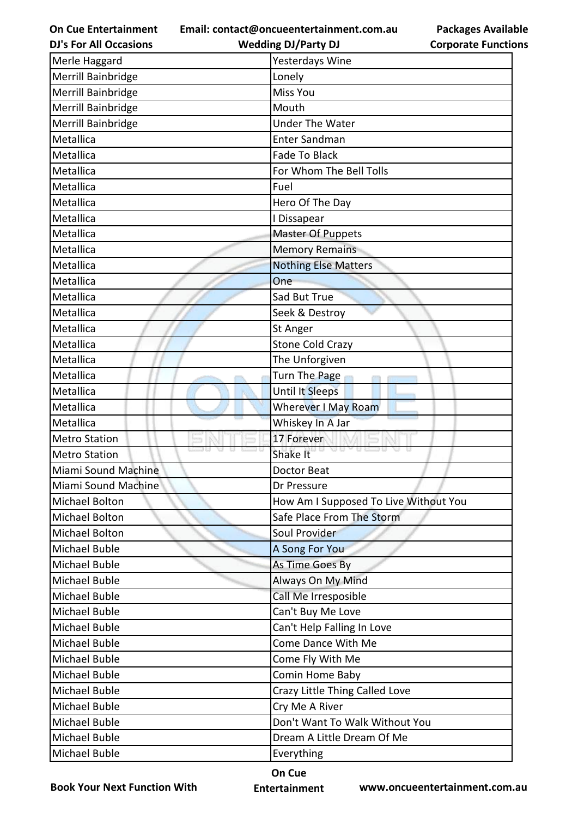**Email: contact@oncueentertainment.com.au Wedding DJ/Party DJ** 

**DJ's For All Occasions**

**Packages Available Corporate Functions**

| Merle Haggard        | Yesterdays Wine                       |
|----------------------|---------------------------------------|
| Merrill Bainbridge   | Lonely                                |
| Merrill Bainbridge   | Miss You                              |
| Merrill Bainbridge   | Mouth                                 |
| Merrill Bainbridge   | <b>Under The Water</b>                |
| Metallica            | <b>Enter Sandman</b>                  |
| Metallica            | <b>Fade To Black</b>                  |
| Metallica            | For Whom The Bell Tolls               |
| Metallica            | Fuel                                  |
| Metallica            | Hero Of The Day                       |
| Metallica            | I Dissapear                           |
| Metallica            | Master Of Puppets                     |
| Metallica            | <b>Memory Remains</b>                 |
| Metallica            | <b>Nothing Else Matters</b>           |
| Metallica            | One                                   |
| Metallica            | Sad But True                          |
| Metallica            | Seek & Destroy                        |
| Metallica            | St Anger                              |
| Metallica            | <b>Stone Cold Crazy</b>               |
| Metallica            | The Unforgiven                        |
| Metallica            | Turn The Page                         |
| Metallica            | <b>Until It Sleeps</b>                |
| Metallica            | Wherever I May Roam                   |
| Metallica            | Whiskey In A Jar                      |
| <b>Metro Station</b> | 17 Forever                            |
| <b>Metro Station</b> | Shake It                              |
| Miami Sound Machine  | Doctor Beat                           |
| Miami Sound Machine  | Dr Pressure                           |
| Michael Bolton       | How Am I Supposed To Live Without You |
| Michael Bolton       | Safe Place From The Storm             |
| Michael Bolton       | Soul Provider                         |
| Michael Buble        | A Song For You                        |
| <b>Michael Buble</b> | As Time Goes By                       |
| <b>Michael Buble</b> | Always On My Mind                     |
| <b>Michael Buble</b> | Call Me Irresposible                  |
| Michael Buble        | Can't Buy Me Love                     |
| <b>Michael Buble</b> | Can't Help Falling In Love            |
| Michael Buble        | Come Dance With Me                    |
| Michael Buble        | Come Fly With Me                      |
| Michael Buble        | Comin Home Baby                       |
| <b>Michael Buble</b> | Crazy Little Thing Called Love        |
| Michael Buble        | Cry Me A River                        |
| Michael Buble        | Don't Want To Walk Without You        |
| Michael Buble        | Dream A Little Dream Of Me            |
| Michael Buble        | Everything                            |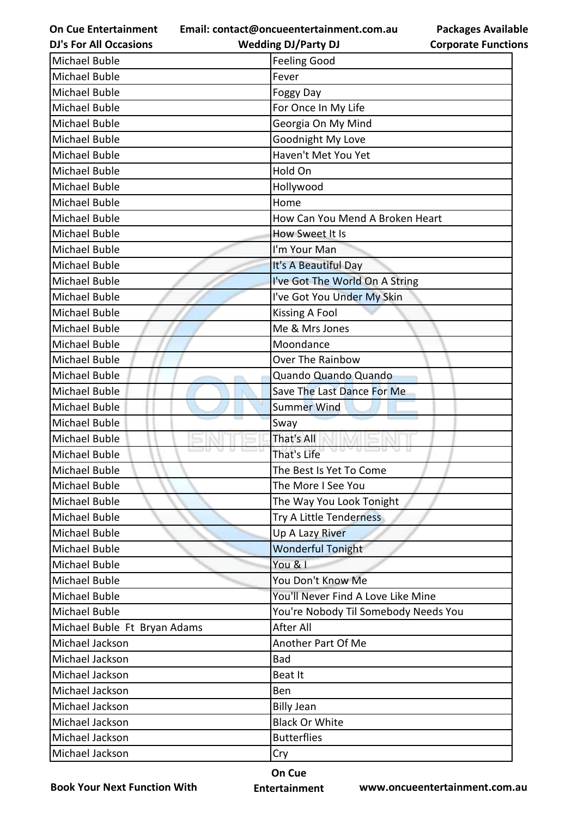**Email: contact@oncueentertainment.com.au Wedding DJ/Party DJ** 

**DJ's For All Occasions**

## **Packages Available Corporate Functions**

| <b>Michael Buble</b>         | <b>Feeling Good</b>                  |
|------------------------------|--------------------------------------|
| <b>Michael Buble</b>         | Fever                                |
| Michael Buble                | <b>Foggy Day</b>                     |
| Michael Buble                | For Once In My Life                  |
| <b>Michael Buble</b>         | Georgia On My Mind                   |
| Michael Buble                | Goodnight My Love                    |
| <b>Michael Buble</b>         | Haven't Met You Yet                  |
| <b>Michael Buble</b>         | Hold On                              |
| Michael Buble                | Hollywood                            |
| <b>Michael Buble</b>         | Home                                 |
| <b>Michael Buble</b>         | How Can You Mend A Broken Heart      |
| Michael Buble                | How Sweet It Is                      |
| Michael Buble                | I'm Your Man                         |
| Michael Buble                | It's A Beautiful Day                 |
| Michael Buble                | I've Got The World On A String       |
| Michael Buble                | I've Got You Under My Skin           |
| <b>Michael Buble</b>         | <b>Kissing A Fool</b>                |
| Michael Buble                | Me & Mrs Jones                       |
| <b>Michael Buble</b>         | Moondance                            |
| Michael Buble                | Over The Rainbow                     |
| Michael Buble                | Quando Quando Quando                 |
| <b>Michael Buble</b>         | Save The Last Dance For Me           |
| Michael Buble                | <b>Summer Wind</b>                   |
| Michael Buble                | Sway                                 |
| Michael Buble                | That's All                           |
| Michael Buble                | 733 T.C<br>That's Life               |
| Michael Buble                | The Best Is Yet To Come              |
| <b>Michael Buble</b>         | The More I See You                   |
| Michael Buble                | The Way You Look Tonight             |
| Michael Buble                | Try A Little Tenderness              |
| Michael Buble                | Up A Lazy River                      |
| Michael Buble                | <b>Wonderful Tonight</b>             |
| Michael Buble                | You & I                              |
| <b>Michael Buble</b>         | You Don't Know Me                    |
| <b>Michael Buble</b>         | You'll Never Find A Love Like Mine   |
| <b>Michael Buble</b>         | You're Nobody Til Somebody Needs You |
| Michael Buble Ft Bryan Adams | After All                            |
| Michael Jackson              | Another Part Of Me                   |
| Michael Jackson              | <b>Bad</b>                           |
| Michael Jackson              | Beat It                              |
| Michael Jackson              | Ben                                  |
| Michael Jackson              | <b>Billy Jean</b>                    |
| Michael Jackson              | <b>Black Or White</b>                |
| Michael Jackson              | <b>Butterflies</b>                   |
| Michael Jackson              | Cry                                  |

**Book Your Next Function With**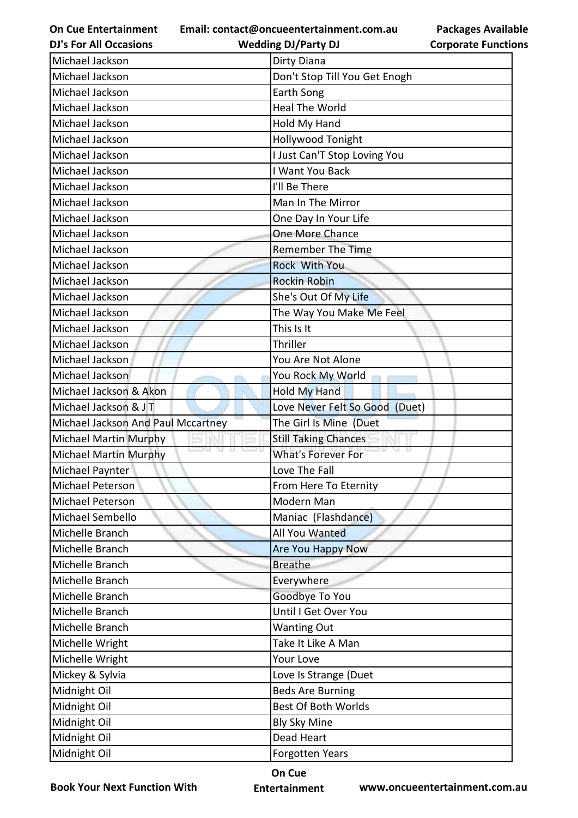**Email: contact@oncueentertainment.com.au Wedding DJ/Party DJ** 

**DJ's For All Occasions**

**Packages Available Corporate Functions**

| Michael Jackson                    | Dirty Diana                    |
|------------------------------------|--------------------------------|
| Michael Jackson                    | Don't Stop Till You Get Enogh  |
| Michael Jackson                    | Earth Song                     |
| Michael Jackson                    | <b>Heal The World</b>          |
| Michael Jackson                    | Hold My Hand                   |
| Michael Jackson                    | Hollywood Tonight              |
| Michael Jackson                    | I Just Can'T Stop Loving You   |
| Michael Jackson                    | I Want You Back                |
| Michael Jackson                    | I'll Be There                  |
| Michael Jackson                    | Man In The Mirror              |
| Michael Jackson                    | One Day In Your Life           |
| Michael Jackson                    | One More Chance                |
| Michael Jackson                    | <b>Remember The Time</b>       |
| Michael Jackson                    | Rock With You                  |
| Michael Jackson                    | <b>Rockin Robin</b>            |
| Michael Jackson                    | She's Out Of My Life           |
| Michael Jackson                    | The Way You Make Me Feel       |
| Michael Jackson                    | This Is It                     |
| Michael Jackson                    | Thriller                       |
| Michael Jackson                    | You Are Not Alone              |
| Michael Jackson                    | You Rock My World              |
| Michael Jackson & Akon             | <b>Hold My Hand</b>            |
| Michael Jackson & JT               | Love Never Felt So Good (Duet) |
| Michael Jackson And Paul Mccartney | The Girl Is Mine (Duet         |
| Michael Martin Murphy              | <b>Still Taking Chances</b>    |
| Michael Martin Murphy              | <b>What's Forever For</b>      |
| Michael Paynter                    | Love The Fall                  |
| Michael Peterson                   | From Here To Eternity          |
| Michael Peterson                   | Modern Man                     |
| Michael Sembello                   | Maniac (Flashdance)            |
| Michelle Branch                    | All You Wanted                 |
| Michelle Branch                    | Are You Happy Now              |
| Michelle Branch                    | <b>Breathe</b>                 |
| Michelle Branch                    | Everywhere                     |
| Michelle Branch                    | Goodbye To You                 |
| Michelle Branch                    | Until I Get Over You           |
| Michelle Branch                    | <b>Wanting Out</b>             |
| Michelle Wright                    | Take It Like A Man             |
| Michelle Wright                    | Your Love                      |
| Mickey & Sylvia                    | Love Is Strange (Duet          |
| Midnight Oil                       | <b>Beds Are Burning</b>        |
| Midnight Oil                       | <b>Best Of Both Worlds</b>     |
| Midnight Oil                       | <b>Bly Sky Mine</b>            |
| Midnight Oil                       | Dead Heart                     |
| Midnight Oil                       | <b>Forgotten Years</b>         |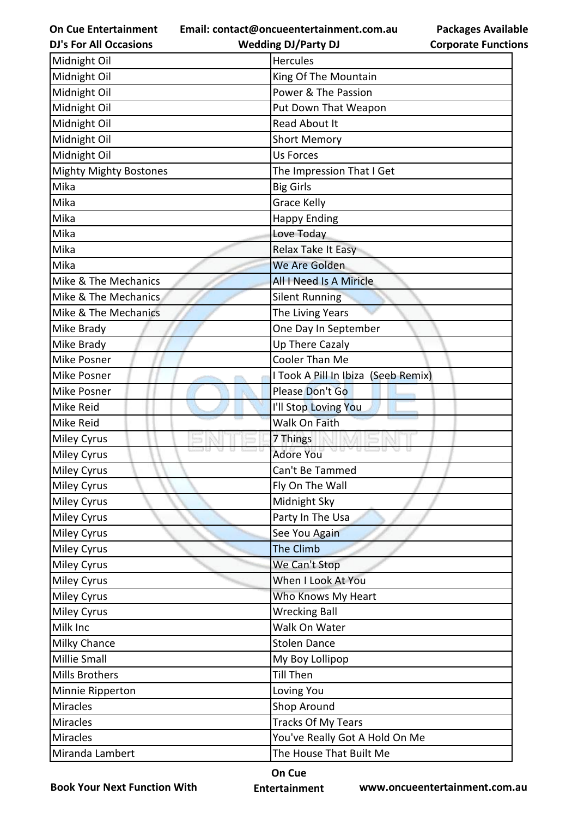**Email: contact@oncueentertainment.com.au Wedding DJ/Party DJ** 

**DJ's For All Occasions**

**Packages Available Corporate Functions**

| Midnight Oil                  | <b>Hercules</b>                     |
|-------------------------------|-------------------------------------|
| Midnight Oil                  | King Of The Mountain                |
| Midnight Oil                  | Power & The Passion                 |
| Midnight Oil                  | Put Down That Weapon                |
| Midnight Oil                  | Read About It                       |
| Midnight Oil                  | <b>Short Memory</b>                 |
| Midnight Oil                  | <b>Us Forces</b>                    |
| <b>Mighty Mighty Bostones</b> | The Impression That I Get           |
| Mika                          | <b>Big Girls</b>                    |
| Mika                          | <b>Grace Kelly</b>                  |
| Mika                          | <b>Happy Ending</b>                 |
| Mika                          | Love Today                          |
| Mika                          | Relax Take It Easy                  |
| Mika                          | We Are Golden                       |
| Mike & The Mechanics          | <b>All I Need Is A Miricle</b>      |
| Mike & The Mechanics          | <b>Silent Running</b>               |
| Mike & The Mechanics          | The Living Years                    |
| Mike Brady                    | One Day In September                |
| Mike Brady                    | Up There Cazaly                     |
| <b>Mike Posner</b>            | Cooler Than Me                      |
| <b>Mike Posner</b>            | I Took A Pill In Ibiza (Seeb Remix) |
| <b>Mike Posner</b>            | Please Don't Go                     |
| <b>Mike Reid</b>              | I'll Stop Loving You                |
| <b>Mike Reid</b>              | <b>Walk On Faith</b>                |
| <b>Miley Cyrus</b>            | 7 Things                            |
| <b>Miley Cyrus</b>            | <b>Adore You</b>                    |
| <b>Miley Cyrus</b>            | Can't Be Tammed                     |
| Miley Cyrus                   | Fly On The Wall                     |
| <b>Miley Cyrus</b>            | Midnight Sky                        |
| <b>Miley Cyrus</b>            | Party In The Usa                    |
| <b>Miley Cyrus</b>            | See You Again                       |
| <b>Miley Cyrus</b>            | The Climb                           |
| <b>Miley Cyrus</b>            | We Can't Stop                       |
| Miley Cyrus                   | When I Look At You                  |
| <b>Miley Cyrus</b>            | Who Knows My Heart                  |
| <b>Miley Cyrus</b>            | <b>Wrecking Ball</b>                |
| Milk Inc                      | Walk On Water                       |
| <b>Milky Chance</b>           | <b>Stolen Dance</b>                 |
| <b>Millie Small</b>           | My Boy Lollipop                     |
| <b>Mills Brothers</b>         | <b>Till Then</b>                    |
| Minnie Ripperton              | Loving You                          |
| <b>Miracles</b>               | Shop Around                         |
| <b>Miracles</b>               | <b>Tracks Of My Tears</b>           |
| <b>Miracles</b>               | You've Really Got A Hold On Me      |
| Miranda Lambert               | The House That Built Me             |

**Book Your Next Function With**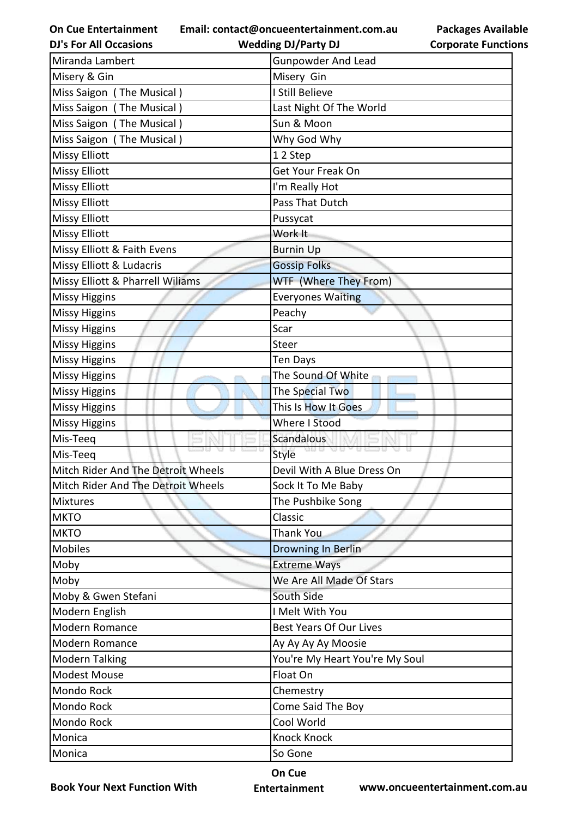**Email: contact@oncueentertainment.com.au**

**DJ's For All Occasions**

**Wedding DJ/Party DJ** 

**Packages Available Corporate Functions**

| Miranda Lambert                    | <b>Gunpowder And Lead</b>      |
|------------------------------------|--------------------------------|
| Misery & Gin                       | Misery Gin                     |
| Miss Saigon (The Musical)          | I Still Believe                |
| Miss Saigon (The Musical)          | Last Night Of The World        |
| Miss Saigon (The Musical)          | Sun & Moon                     |
| Miss Saigon (The Musical)          | Why God Why                    |
| <b>Missy Elliott</b>               | 12 Step                        |
| <b>Missy Elliott</b>               | Get Your Freak On              |
| <b>Missy Elliott</b>               | I'm Really Hot                 |
| <b>Missy Elliott</b>               | Pass That Dutch                |
| <b>Missy Elliott</b>               | Pussycat                       |
| <b>Missy Elliott</b>               | Work It                        |
| Missy Elliott & Faith Evens        | <b>Burnin Up</b>               |
| Missy Elliott & Ludacris           | <b>Gossip Folks</b>            |
| Missy Elliott & Pharrell Wiliams   | WTF (Where They From)          |
| <b>Missy Higgins</b>               | <b>Everyones Waiting</b>       |
| <b>Missy Higgins</b>               | Peachy                         |
| <b>Missy Higgins</b>               | Scar                           |
| <b>Missy Higgins</b>               | Steer                          |
| <b>Missy Higgins</b>               | Ten Days                       |
| <b>Missy Higgins</b>               | The Sound Of White             |
| <b>Missy Higgins</b>               | The Special Two                |
| <b>Missy Higgins</b>               | This Is How It Goes            |
| <b>Missy Higgins</b>               | Where I Stood                  |
| Mis-Teeq                           | Scandalous                     |
| Mis-Teeq                           | <b>Style</b>                   |
| Mitch Rider And The Detroit Wheels | Devil With A Blue Dress On     |
| Mitch Rider And The Detroit Wheels | Sock It To Me Baby             |
| <b>Mixtures</b>                    | The Pushbike Song              |
| <b>MKTO</b>                        | Classic                        |
| <b>MKTO</b>                        | <b>Thank You</b>               |
| <b>Mobiles</b>                     | Drowning In Berlin             |
| Moby                               | <b>Extreme Ways</b>            |
| Moby                               | We Are All Made Of Stars       |
| Moby & Gwen Stefani                | South Side                     |
| Modern English                     | I Melt With You                |
| Modern Romance                     | <b>Best Years Of Our Lives</b> |
| Modern Romance                     | Ay Ay Ay Ay Moosie             |
| <b>Modern Talking</b>              | You're My Heart You're My Soul |
| <b>Modest Mouse</b>                | Float On                       |
| Mondo Rock                         | Chemestry                      |
| Mondo Rock                         | Come Said The Boy              |
| Mondo Rock                         | Cool World                     |
| Monica                             | <b>Knock Knock</b>             |
| Monica                             | So Gone                        |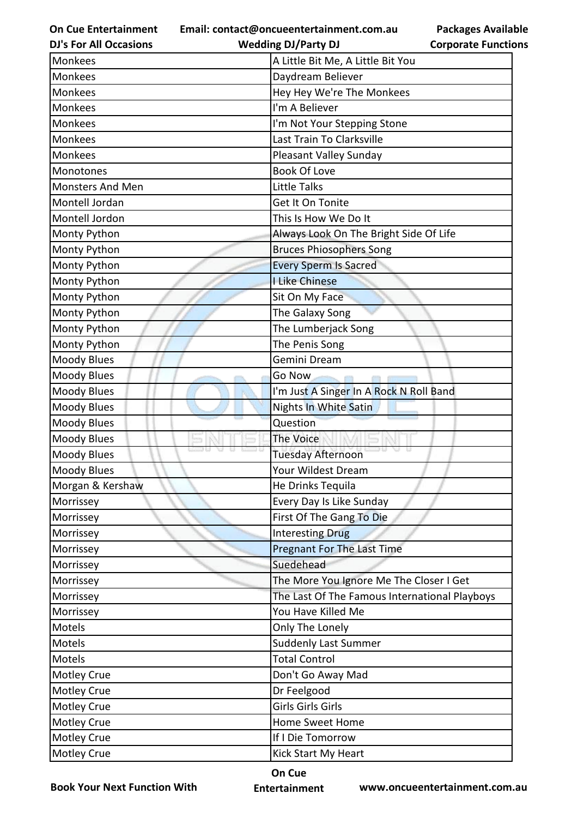**Email: contact@oncueentertainment.com.au**

**DJ's For All Occasions**

## **Packages Available Corporate Functions**

| <b>DJ's For All Occasions</b> | <b>Wedding DJ/Party DJ</b>                    | <b>Corporate Functio</b> |
|-------------------------------|-----------------------------------------------|--------------------------|
| Monkees                       | A Little Bit Me, A Little Bit You             |                          |
| <b>Monkees</b>                | Daydream Believer                             |                          |
| <b>Monkees</b>                | Hey Hey We're The Monkees                     |                          |
| Monkees                       | I'm A Believer                                |                          |
| <b>Monkees</b>                | I'm Not Your Stepping Stone                   |                          |
| <b>Monkees</b>                | Last Train To Clarksville                     |                          |
| Monkees                       | Pleasant Valley Sunday                        |                          |
| Monotones                     | <b>Book Of Love</b>                           |                          |
| <b>Monsters And Men</b>       | <b>Little Talks</b>                           |                          |
| Montell Jordan                | Get It On Tonite                              |                          |
| Montell Jordon                | This Is How We Do It                          |                          |
| Monty Python                  | Always Look On The Bright Side Of Life        |                          |
| Monty Python                  | <b>Bruces Phiosophers Song</b>                |                          |
| Monty Python                  | <b>Every Sperm Is Sacred</b>                  |                          |
| Monty Python                  | <b>I Like Chinese</b>                         |                          |
| Monty Python                  | Sit On My Face                                |                          |
| Monty Python                  | The Galaxy Song                               |                          |
| Monty Python                  | The Lumberjack Song                           |                          |
| Monty Python                  | The Penis Song                                |                          |
| <b>Moody Blues</b>            | Gemini Dream                                  |                          |
| <b>Moody Blues</b>            | Go Now                                        |                          |
| <b>Moody Blues</b>            | I'm Just A Singer In A Rock N Roll Band       |                          |
| <b>Moody Blues</b>            | Nights In White Satin                         |                          |
| <b>Moody Blues</b>            | Question                                      |                          |
| Moody Blues                   | <b>The Voice</b>                              |                          |
| <b>Moody Blues</b>            | <b>Tuesday Afternoon</b>                      |                          |
| Moody Blues                   | Your Wildest Dream                            |                          |
| Morgan & Kershaw              | He Drinks Tequila                             |                          |
| Morrissey                     | Every Day Is Like Sunday                      |                          |
| Morrissey                     | First Of The Gang To Die                      |                          |
| Morrissey                     | <b>Interesting Drug</b>                       |                          |
| Morrissey                     | Pregnant For The Last Time                    |                          |
| Morrissey                     | Suedehead                                     |                          |
| Morrissey                     | The More You Ignore Me The Closer I Get       |                          |
| Morrissey                     | The Last Of The Famous International Playboys |                          |
| Morrissey                     | You Have Killed Me                            |                          |
| Motels                        | Only The Lonely                               |                          |
| Motels                        | <b>Suddenly Last Summer</b>                   |                          |
| Motels                        | <b>Total Control</b>                          |                          |
| <b>Motley Crue</b>            | Don't Go Away Mad                             |                          |
| <b>Motley Crue</b>            | Dr Feelgood                                   |                          |
| <b>Motley Crue</b>            | Girls Girls Girls                             |                          |
| <b>Motley Crue</b>            | <b>Home Sweet Home</b>                        |                          |
| <b>Motley Crue</b>            | If I Die Tomorrow                             |                          |
| <b>Motley Crue</b>            | Kick Start My Heart                           |                          |

**Book Your Next Function With**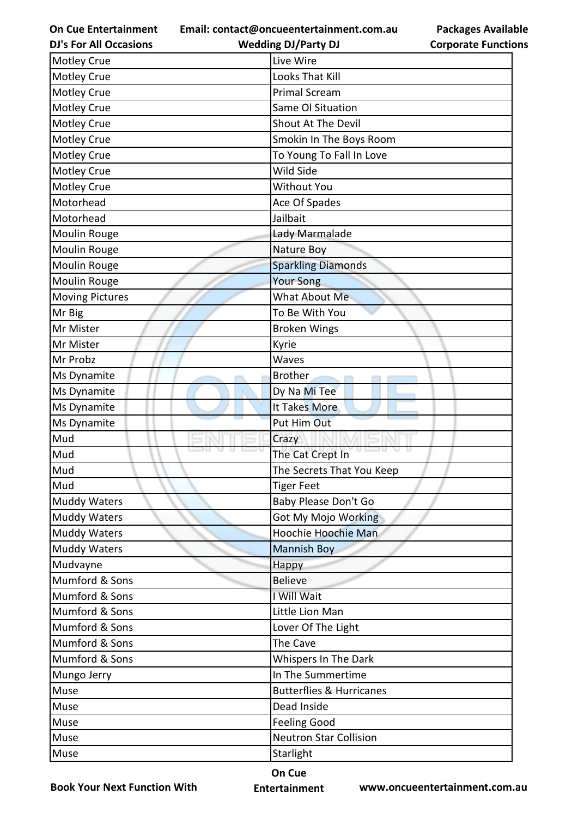**Email: contact@oncueentertainment.com.au Wedding DJ/Party DJ** 

**DJ's For All Occasions**

**Packages Available Corporate Functions**

| <b>Motley Crue</b>     | Live Wire                           |
|------------------------|-------------------------------------|
| Motley Crue            | Looks That Kill                     |
| <b>Motley Crue</b>     | <b>Primal Scream</b>                |
| <b>Motley Crue</b>     | Same Ol Situation                   |
| Motley Crue            | Shout At The Devil                  |
| <b>Motley Crue</b>     | Smokin In The Boys Room             |
| <b>Motley Crue</b>     | To Young To Fall In Love            |
| <b>Motley Crue</b>     | Wild Side                           |
| Motley Crue            | <b>Without You</b>                  |
| Motorhead              | Ace Of Spades                       |
| Motorhead              | Jailbait                            |
| Moulin Rouge           | Lady Marmalade                      |
| Moulin Rouge           | Nature Boy                          |
| Moulin Rouge           | <b>Sparkling Diamonds</b>           |
| <b>Moulin Rouge</b>    | <b>Your Song</b>                    |
| <b>Moving Pictures</b> | What About Me                       |
| Mr Big                 | To Be With You                      |
| Mr Mister              | <b>Broken Wings</b>                 |
| Mr Mister              | Kyrie                               |
| Mr Probz               | Waves                               |
| Ms Dynamite            | <b>Brother</b>                      |
| Ms Dynamite            | Dy Na Mi Tee                        |
| Ms Dynamite            | It Takes More                       |
| Ms Dynamite            | Put Him Out                         |
| Mud                    | Crazy                               |
| Mud                    | The Cat Crept In                    |
| Mud                    | The Secrets That You Keep           |
| Mud                    | <b>Tiger Feet</b>                   |
| <b>Muddy Waters</b>    | Baby Please Don't Go                |
| <b>Muddy Waters</b>    | Got My Mojo Working                 |
| <b>Muddy Waters</b>    | Hoochie Hoochie Man                 |
| <b>Muddy Waters</b>    | <b>Mannish Boy</b>                  |
| Mudvayne               | Happy                               |
| Mumford & Sons         | <b>Believe</b>                      |
| Mumford & Sons         | I Will Wait                         |
| Mumford & Sons         | Little Lion Man                     |
| Mumford & Sons         | Lover Of The Light                  |
| Mumford & Sons         | The Cave                            |
| Mumford & Sons         | Whispers In The Dark                |
| Mungo Jerry            | In The Summertime                   |
| Muse                   | <b>Butterflies &amp; Hurricanes</b> |
| Muse                   | Dead Inside                         |
| Muse                   | <b>Feeling Good</b>                 |
| Muse                   | <b>Neutron Star Collision</b>       |
| Muse                   | Starlight                           |

**Book Your Next Function With**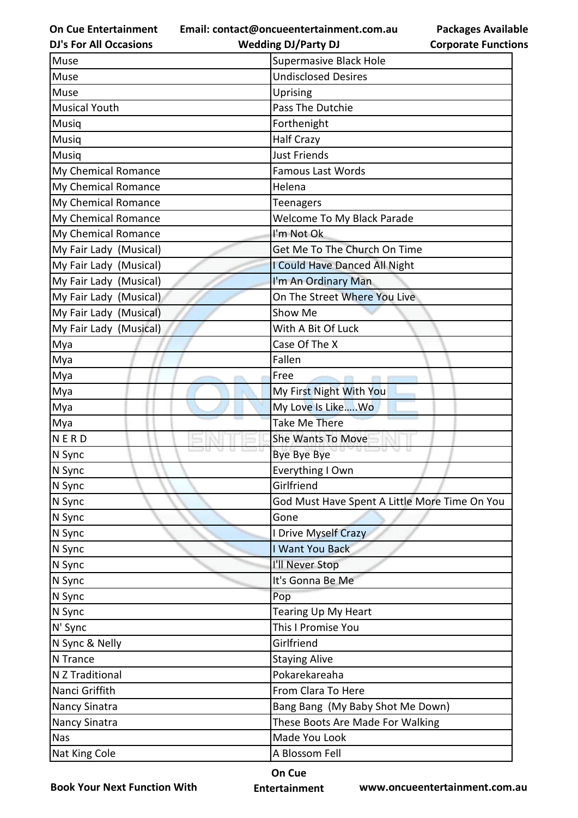**Email: contact@oncueentertainment.com.au Wedding DJ/Party DJ** 

**DJ's For All Occasions**

| com.au | rackage   |  |
|--------|-----------|--|
|        | Cornorata |  |

**Packages Available Corporate Functions**

| Muse                   | <b>Supermasive Black Hole</b>                 |
|------------------------|-----------------------------------------------|
| Muse                   | <b>Undisclosed Desires</b>                    |
| Muse                   | Uprising                                      |
| <b>Musical Youth</b>   | Pass The Dutchie                              |
| Musiq                  | Forthenight                                   |
| Musiq                  | <b>Half Crazy</b>                             |
| Musiq                  | <b>Just Friends</b>                           |
| My Chemical Romance    | Famous Last Words                             |
| My Chemical Romance    | Helena                                        |
| My Chemical Romance    | Teenagers                                     |
| My Chemical Romance    | Welcome To My Black Parade                    |
| My Chemical Romance    | I'm Not Ok                                    |
| My Fair Lady (Musical) | Get Me To The Church On Time                  |
| My Fair Lady (Musical) | I Could Have Danced All Night                 |
| My Fair Lady (Musical) | I'm An Ordinary Man                           |
| My Fair Lady (Musical) | On The Street Where You Live                  |
| My Fair Lady (Musical) | Show Me                                       |
| My Fair Lady (Musical) | With A Bit Of Luck                            |
| Mya                    | Case Of The X                                 |
| Mya                    | Fallen                                        |
| Mya                    | Free                                          |
| Mya                    | My First Night With You                       |
| Mya                    | My Love Is LikeWo                             |
| Mya                    | Take Me There                                 |
| NERD                   | <b>She Wants To Move</b>                      |
| N Sync                 | Bye Bye Bye                                   |
| N Sync                 | Everything I Own                              |
| N Sync                 | Girlfriend                                    |
| N Sync                 | God Must Have Spent A Little More Time On You |
| N Sync                 | Gone                                          |
| N Sync                 | I Drive Myself Crazy                          |
| N Sync                 | I Want You Back                               |
| N Sync                 | I'll Never Stop                               |
| N Sync                 | It's Gonna Be Me                              |
| N Sync                 | Pop                                           |
| N Sync                 | Tearing Up My Heart                           |
| N' Sync                | This I Promise You                            |
| N Sync & Nelly         | Girlfriend                                    |
| N Trance               | <b>Staying Alive</b>                          |
| N Z Traditional        | Pokarekareaha                                 |
| Nanci Griffith         | From Clara To Here                            |
| <b>Nancy Sinatra</b>   | Bang Bang (My Baby Shot Me Down)              |
| Nancy Sinatra          | These Boots Are Made For Walking              |
| <b>Nas</b>             | Made You Look                                 |
| Nat King Cole          | A Blossom Fell                                |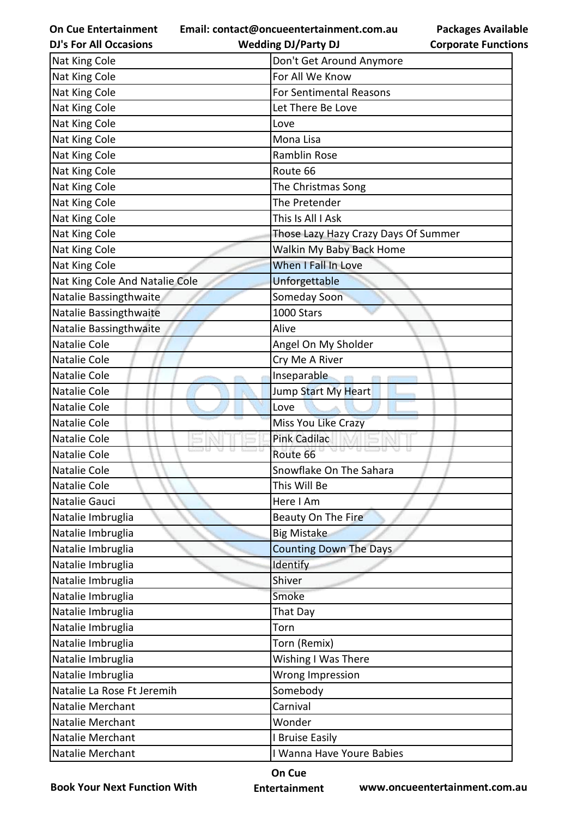**Email: contact@oncueentertainment.com.au**

**DJ's For All Occasions**

| act@oncueentertainment.com.au |           |
|-------------------------------|-----------|
| <b>Wedding DJ/Party DJ</b>    | <b>Co</b> |

**Packages Available Corporate Functions**

| Nat King Cole                  | Don't Get Around Anymore             |
|--------------------------------|--------------------------------------|
| Nat King Cole                  | For All We Know                      |
| Nat King Cole                  | <b>For Sentimental Reasons</b>       |
| Nat King Cole                  | Let There Be Love                    |
| Nat King Cole                  | Love                                 |
| Nat King Cole                  | Mona Lisa                            |
| Nat King Cole                  | <b>Ramblin Rose</b>                  |
| Nat King Cole                  | Route 66                             |
| Nat King Cole                  | The Christmas Song                   |
| Nat King Cole                  | The Pretender                        |
| Nat King Cole                  | This Is All I Ask                    |
| Nat King Cole                  | Those Lazy Hazy Crazy Days Of Summer |
| Nat King Cole                  | Walkin My Baby Back Home             |
| Nat King Cole                  | When I Fall In Love                  |
| Nat King Cole And Natalie Cole | Unforgettable                        |
| Natalie Bassingthwaite         | Someday Soon                         |
| Natalie Bassingthwaite         | 1000 Stars                           |
| Natalie Bassingthwaite         | Alive                                |
| Natalie Cole                   | Angel On My Sholder                  |
| Natalie Cole                   | Cry Me A River                       |
| Natalie Cole                   | Inseparable                          |
| Natalie Cole                   | Jump Start My Heart                  |
| Natalie Cole                   | Love                                 |
| Natalie Cole                   | Miss You Like Crazy                  |
| <b>Natalie Cole</b>            | <b>Pink Cadilac</b>                  |
| Natalie Cole                   | <b>0.5300</b><br>Route 66            |
| Natalie Cole                   | Snowflake On The Sahara              |
| Natalie Cole                   | This Will Be                         |
| Natalie Gauci                  | Here I Am                            |
| Natalie Imbruglia              | Beauty On The Fire                   |
| Natalie Imbruglia              | <b>Big Mistake</b>                   |
| Natalie Imbruglia              | <b>Counting Down The Days</b>        |
| Natalie Imbruglia              | Identify                             |
| Natalie Imbruglia              | Shiver                               |
| Natalie Imbruglia              | Smoke                                |
| Natalie Imbruglia              | That Day                             |
| Natalie Imbruglia              | Torn                                 |
| Natalie Imbruglia              | Torn (Remix)                         |
| Natalie Imbruglia              | Wishing I Was There                  |
| Natalie Imbruglia              | Wrong Impression                     |
| Natalie La Rose Ft Jeremih     | Somebody                             |
| Natalie Merchant               | Carnival                             |
| Natalie Merchant               | Wonder                               |
| Natalie Merchant               | I Bruise Easily                      |
| Natalie Merchant               | I Wanna Have Youre Babies            |

**Book Your Next Function With**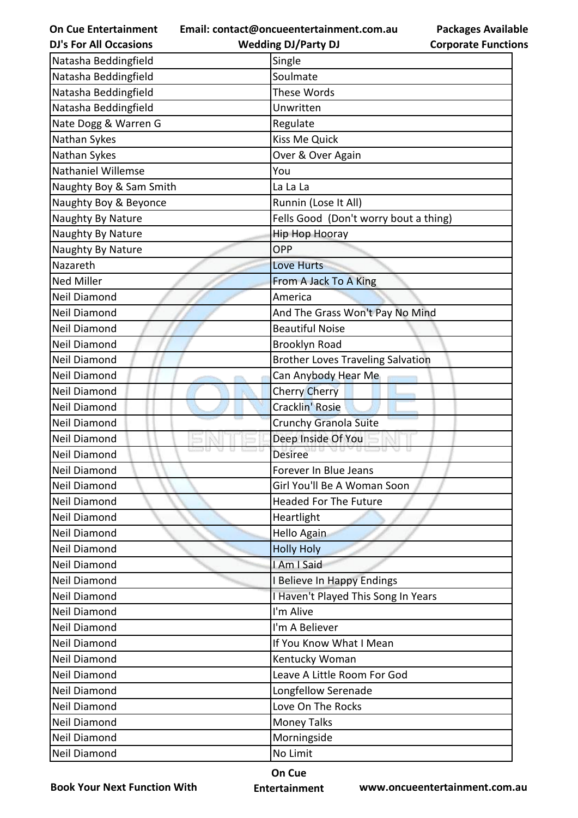| <b>On Cue Entertainment</b>   | Email: contact@oncueentertainment.com.au<br><b>Packages Available</b> |
|-------------------------------|-----------------------------------------------------------------------|
| <b>DJ's For All Occasions</b> | <b>Wedding DJ/Party DJ</b><br><b>Corporate Functions</b>              |
| Natasha Beddingfield          | Single                                                                |
| Natasha Beddingfield          | Soulmate                                                              |
| Natasha Beddingfield          | These Words                                                           |
| Natasha Beddingfield          | Unwritten                                                             |
| Nate Dogg & Warren G          | Regulate                                                              |
| Nathan Sykes                  | Kiss Me Quick                                                         |
| Nathan Sykes                  | Over & Over Again                                                     |
| Nathaniel Willemse            | You                                                                   |
| Naughty Boy & Sam Smith       | La La La                                                              |
| Naughty Boy & Beyonce         | Runnin (Lose It All)                                                  |
| Naughty By Nature             | Fells Good (Don't worry bout a thing)                                 |
| Naughty By Nature             | <b>Hip Hop Hooray</b>                                                 |
| Naughty By Nature             | OPP                                                                   |
| Nazareth                      | <b>Love Hurts</b>                                                     |
| <b>Ned Miller</b>             | From A Jack To A King                                                 |
| <b>Neil Diamond</b>           | America                                                               |
| Neil Diamond                  | And The Grass Won't Pay No Mind                                       |
| <b>Neil Diamond</b>           | <b>Beautiful Noise</b>                                                |
| <b>Neil Diamond</b>           | <b>Brooklyn Road</b>                                                  |
| <b>Neil Diamond</b>           | <b>Brother Loves Traveling Salvation</b>                              |
| <b>Neil Diamond</b>           | Can Anybody Hear Me                                                   |
| <b>Neil Diamond</b>           | <b>Cherry Cherry</b>                                                  |
| <b>Neil Diamond</b>           | Cracklin' Rosie                                                       |
| Neil Diamond                  | <b>Crunchy Granola Suite</b>                                          |
| Neil Diamond                  | Deep Inside Of You                                                    |
| Neil Diamond                  | Desiree                                                               |
| Neil Diamond                  | Forever In Blue Jeans                                                 |
| <b>Neil Diamond</b>           | Girl You'll Be A Woman Soon                                           |
| <b>Neil Diamond</b>           | <b>Headed For The Future</b>                                          |
| Neil Diamond                  | Heartlight                                                            |
| <b>Neil Diamond</b>           | Hello Again                                                           |
| <b>Neil Diamond</b>           | <b>Holly Holy</b>                                                     |
| <b>Neil Diamond</b>           | I Am I Said                                                           |
| <b>Neil Diamond</b>           | I Believe In Happy Endings                                            |
| Neil Diamond                  | I Haven't Played This Song In Years                                   |
| <b>Neil Diamond</b>           | I'm Alive                                                             |
| <b>Neil Diamond</b>           | I'm A Believer                                                        |
| Neil Diamond                  | If You Know What I Mean                                               |
| <b>Neil Diamond</b>           | Kentucky Woman                                                        |
| Neil Diamond                  | Leave A Little Room For God                                           |
| <b>Neil Diamond</b>           | Longfellow Serenade                                                   |
| Neil Diamond                  | Love On The Rocks                                                     |
| Neil Diamond                  | <b>Money Talks</b>                                                    |
| <b>Neil Diamond</b>           | Morningside                                                           |
| Neil Diamond                  | No Limit                                                              |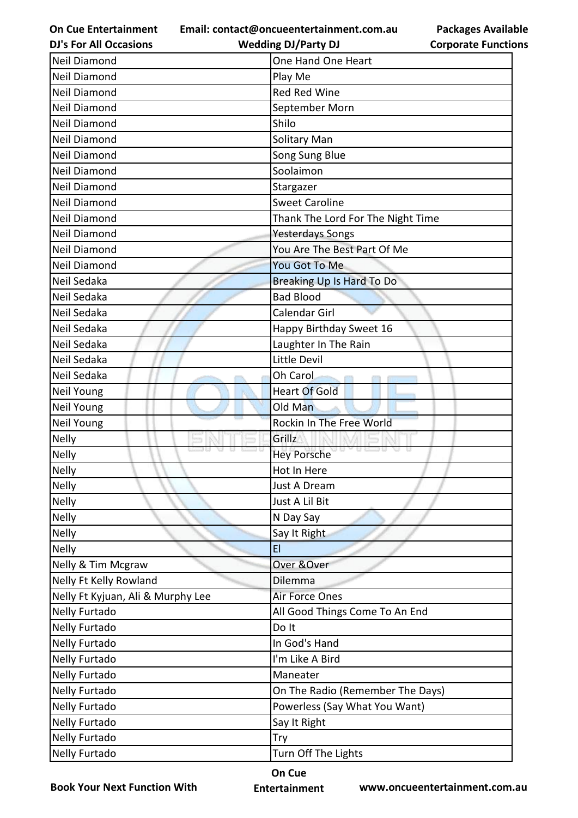**Email: contact@oncueentertainment.com.au**

**DJ's For All Occasions**

| . .                        |  |
|----------------------------|--|
| <b>Corporate Functions</b> |  |

**Packages Available** 

| <b>DJ's For All Occasions</b>     | <b>Wedding DJ/Party DJ</b>          | <b>Corporate Functio</b> |
|-----------------------------------|-------------------------------------|--------------------------|
| Neil Diamond                      | One Hand One Heart                  |                          |
| Neil Diamond                      | Play Me                             |                          |
| <b>Neil Diamond</b>               | Red Red Wine                        |                          |
| Neil Diamond                      | September Morn                      |                          |
| <b>Neil Diamond</b>               | Shilo                               |                          |
| Neil Diamond                      | Solitary Man                        |                          |
| <b>Neil Diamond</b>               | Song Sung Blue                      |                          |
| <b>Neil Diamond</b>               | Soolaimon                           |                          |
| Neil Diamond                      | Stargazer                           |                          |
| Neil Diamond                      | <b>Sweet Caroline</b>               |                          |
| Neil Diamond                      | Thank The Lord For The Night Time   |                          |
| Neil Diamond                      | <b>Yesterdays Songs</b>             |                          |
| Neil Diamond                      | You Are The Best Part Of Me         |                          |
| Neil Diamond                      | You Got To Me                       |                          |
| Neil Sedaka                       | Breaking Up Is Hard To Do           |                          |
| Neil Sedaka                       | <b>Bad Blood</b>                    |                          |
| Neil Sedaka                       | Calendar Girl                       |                          |
| Neil Sedaka                       | Happy Birthday Sweet 16             |                          |
| Neil Sedaka                       | Laughter In The Rain                |                          |
| Neil Sedaka                       | Little Devil                        |                          |
| Neil Sedaka                       | Oh Carol                            |                          |
| Neil Young                        | <b>Heart Of Gold</b>                |                          |
| Neil Young                        | Old Man                             |                          |
| <b>Neil Young</b>                 | Rockin In The Free World            |                          |
| <b>Nelly</b>                      | Grillz                              |                          |
| <b>Nelly</b>                      | <b>0.5300</b><br><b>Hey Porsche</b> |                          |
| Nelly                             | Hot In Here                         |                          |
| Nelly                             | Just A Dream                        |                          |
| <b>Nelly</b>                      | Just A Lil Bit                      |                          |
| <b>Nelly</b>                      | N Day Say                           |                          |
| <b>Nelly</b>                      | Say It Right                        |                          |
| <b>Nelly</b>                      | E1                                  |                          |
| Nelly & Tim Mcgraw                | Over & Over                         |                          |
| Nelly Ft Kelly Rowland            | Dilemma                             |                          |
| Nelly Ft Kyjuan, Ali & Murphy Lee | Air Force Ones                      |                          |
| <b>Nelly Furtado</b>              | All Good Things Come To An End      |                          |
| Nelly Furtado                     | Do It                               |                          |
| <b>Nelly Furtado</b>              | In God's Hand                       |                          |
| <b>Nelly Furtado</b>              | I'm Like A Bird                     |                          |
| Nelly Furtado                     | Maneater                            |                          |
| <b>Nelly Furtado</b>              | On The Radio (Remember The Days)    |                          |
| Nelly Furtado                     | Powerless (Say What You Want)       |                          |
| Nelly Furtado                     | Say It Right                        |                          |
| <b>Nelly Furtado</b>              | Try                                 |                          |
| Nelly Furtado                     | Turn Off The Lights                 |                          |
|                                   |                                     |                          |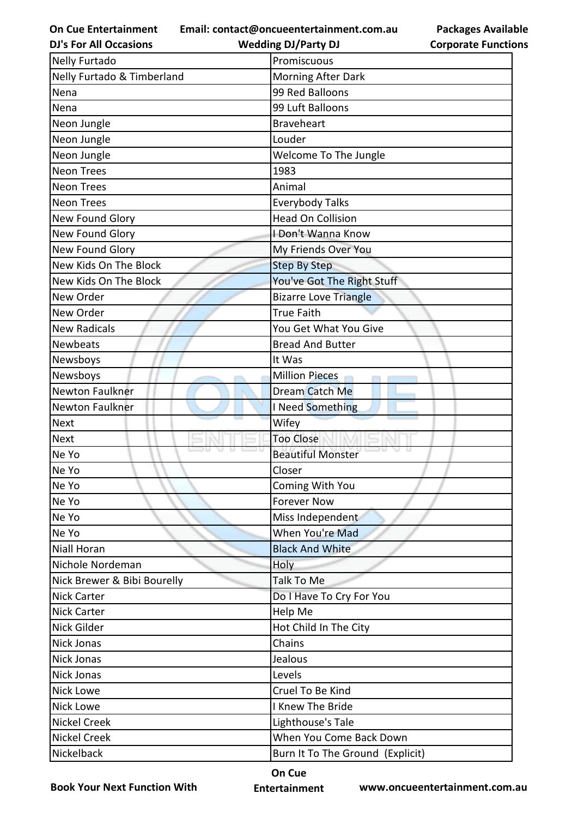**Email: contact@oncueentertainment.com.au**

**Packages Available** 

| <b>Wedding DJ/Party DJ</b>       | <b>Corporate Functio</b> |
|----------------------------------|--------------------------|
| Promiscuous                      |                          |
| <b>Morning After Dark</b>        |                          |
| 99 Red Balloons                  |                          |
| 99 Luft Balloons                 |                          |
| <b>Braveheart</b>                |                          |
| Louder                           |                          |
| Welcome To The Jungle            |                          |
| 1983                             |                          |
| Animal                           |                          |
| <b>Everybody Talks</b>           |                          |
| <b>Head On Collision</b>         |                          |
| I Don't Wanna Know               |                          |
| My Friends Over You              |                          |
| <b>Step By Step</b>              |                          |
| You've Got The Right Stuff       |                          |
| <b>Bizarre Love Triangle</b>     |                          |
| <b>True Faith</b>                |                          |
| You Get What You Give            |                          |
| <b>Bread And Butter</b>          |                          |
| It Was                           |                          |
| <b>Million Pieces</b>            |                          |
| Dream Catch Me                   |                          |
| I Need Something                 |                          |
| Wifey                            |                          |
| <b>Too Close</b>                 |                          |
| <b>Beautiful Monster</b>         |                          |
| Closer                           |                          |
| Coming With You                  |                          |
| <b>Forever Now</b>               |                          |
| Miss Independent                 |                          |
| When You're Mad                  |                          |
| <b>Black And White</b>           |                          |
| Holy                             |                          |
| Talk To Me                       |                          |
| Do I Have To Cry For You         |                          |
| Help Me                          |                          |
| Hot Child In The City            |                          |
| Chains                           |                          |
| Jealous                          |                          |
| Levels                           |                          |
| Cruel To Be Kind                 |                          |
| I Knew The Bride                 |                          |
| Lighthouse's Tale                |                          |
| When You Come Back Down          |                          |
| Burn It To The Ground (Explicit) |                          |
|                                  |                          |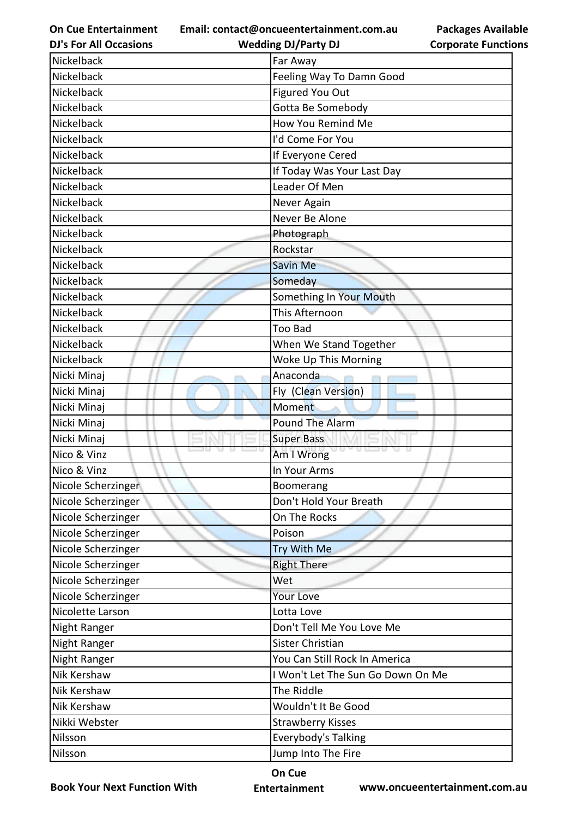**Email: contact@oncueentertainment.com.au**

**Packages Available Corporate Functions**

| <b>DJ's For All Occasions</b> | <b>Wedding DJ/Party DJ</b>        | <b>Corporate Functio</b> |
|-------------------------------|-----------------------------------|--------------------------|
| Nickelback                    | Far Away                          |                          |
| Nickelback                    | Feeling Way To Damn Good          |                          |
| Nickelback                    | Figured You Out                   |                          |
| Nickelback                    | Gotta Be Somebody                 |                          |
| Nickelback                    | How You Remind Me                 |                          |
| Nickelback                    | I'd Come For You                  |                          |
| Nickelback                    | If Everyone Cered                 |                          |
| Nickelback                    | If Today Was Your Last Day        |                          |
| Nickelback                    | Leader Of Men                     |                          |
| Nickelback                    | Never Again                       |                          |
| Nickelback                    | Never Be Alone                    |                          |
| Nickelback                    | Photograph                        |                          |
| Nickelback                    | Rockstar                          |                          |
| Nickelback                    | <b>Savin Me</b>                   |                          |
| Nickelback                    | Someday                           |                          |
| Nickelback                    | Something In Your Mouth           |                          |
| Nickelback                    | This Afternoon                    |                          |
| Nickelback                    | <b>Too Bad</b>                    |                          |
| Nickelback                    | When We Stand Together            |                          |
| Nickelback                    | Woke Up This Morning              |                          |
| Nicki Minaj                   | Anaconda                          |                          |
| Nicki Minaj                   | Fly (Clean Version)               |                          |
| Nicki Minaj                   | Moment                            |                          |
| Nicki Minaj                   | <b>Pound The Alarm</b>            |                          |
| Nicki Minaj                   | <b>Super Bass</b>                 |                          |
| Nico & Vinz                   | Am I Wrong                        |                          |
| Nico & Vinz                   | In Your Arms                      |                          |
| Nicole Scherzinger            | Boomerang                         |                          |
| Nicole Scherzinger            | Don't Hold Your Breath            |                          |
| Nicole Scherzinger            | On The Rocks                      |                          |
| Nicole Scherzinger            | Poison                            |                          |
| Nicole Scherzinger            | Try With Me                       |                          |
| Nicole Scherzinger            | <b>Right There</b>                |                          |
| Nicole Scherzinger            | Wet                               |                          |
| Nicole Scherzinger            | Your Love                         |                          |
| Nicolette Larson              | Lotta Love                        |                          |
| Night Ranger                  | Don't Tell Me You Love Me         |                          |
| Night Ranger                  | Sister Christian                  |                          |
| Night Ranger                  | You Can Still Rock In America     |                          |
| Nik Kershaw                   | I Won't Let The Sun Go Down On Me |                          |
| Nik Kershaw                   | The Riddle                        |                          |
| Nik Kershaw                   | Wouldn't It Be Good               |                          |
| Nikki Webster                 | <b>Strawberry Kisses</b>          |                          |
| Nilsson                       | <b>Everybody's Talking</b>        |                          |
| Nilsson                       | Jump Into The Fire                |                          |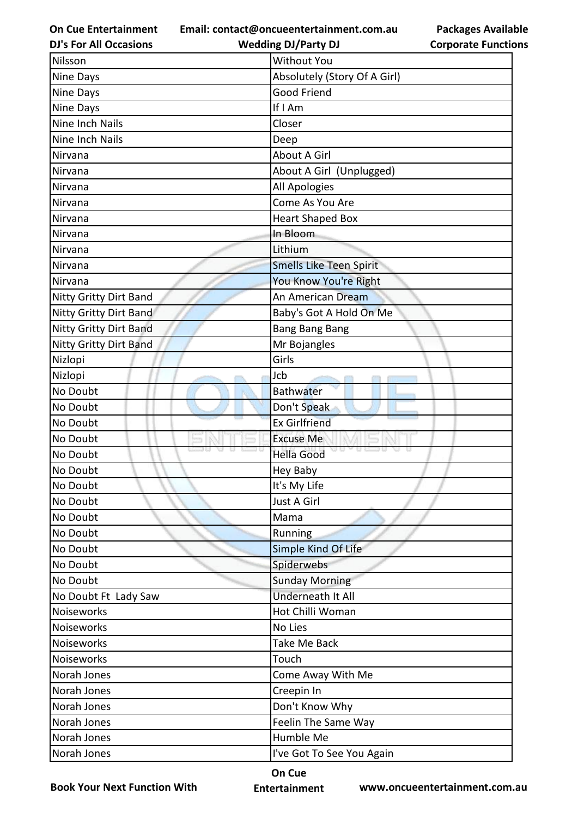**Email: contact@oncueentertainment.com.au Wedding DJ/Party DJ** 

**DJ's For All Occasions**

| <b>Packages Available</b>  |  |
|----------------------------|--|
| <b>Corporate Functions</b> |  |

| Nilsson                       | <b>Without You</b>             |
|-------------------------------|--------------------------------|
| Nine Days                     | Absolutely (Story Of A Girl)   |
| Nine Days                     | Good Friend                    |
| Nine Days                     | If I Am                        |
| <b>Nine Inch Nails</b>        | Closer                         |
| Nine Inch Nails               | Deep                           |
| Nirvana                       | About A Girl                   |
| Nirvana                       | About A Girl (Unplugged)       |
| Nirvana                       | All Apologies                  |
| Nirvana                       | Come As You Are                |
| Nirvana                       | <b>Heart Shaped Box</b>        |
| Nirvana                       | In Bloom                       |
| Nirvana                       | Lithium                        |
| Nirvana                       | <b>Smells Like Teen Spirit</b> |
| Nirvana                       | You Know You're Right          |
| Nitty Gritty Dirt Band        | An American Dream              |
| <b>Nitty Gritty Dirt Band</b> | Baby's Got A Hold On Me        |
| <b>Nitty Gritty Dirt Band</b> | <b>Bang Bang Bang</b>          |
| Nitty Gritty Dirt Band        | Mr Bojangles                   |
| Nizlopi                       | Girls                          |
| Nizlopi                       | Jcb                            |
| No Doubt                      | <b>Bathwater</b>               |
| No Doubt                      | Don't Speak                    |
| No Doubt                      | <b>Ex Girlfriend</b>           |
| No Doubt                      | <b>Excuse Me</b>               |
| No Doubt                      | <b>Hella Good</b>              |
| No Doubt                      | <b>Hey Baby</b>                |
| No Doubt                      | It's My Life                   |
| No Doubt                      | Just A Girl                    |
| No Doubt                      | Mama                           |
| No Doubt                      | Running                        |
| No Doubt                      | Simple Kind Of Life            |
| No Doubt                      | Spiderwebs                     |
| No Doubt                      | <b>Sunday Morning</b>          |
| No Doubt Ft Lady Saw          | Underneath It All              |
| Noiseworks                    | Hot Chilli Woman               |
| Noiseworks                    | No Lies                        |
| Noiseworks                    | Take Me Back                   |
| Noiseworks                    | Touch                          |
| Norah Jones                   | Come Away With Me              |
| Norah Jones                   | Creepin In                     |
| Norah Jones                   | Don't Know Why                 |
| Norah Jones                   | Feelin The Same Way            |
| Norah Jones                   | Humble Me                      |
| Norah Jones                   | I've Got To See You Again      |

**Book Your Next Function With**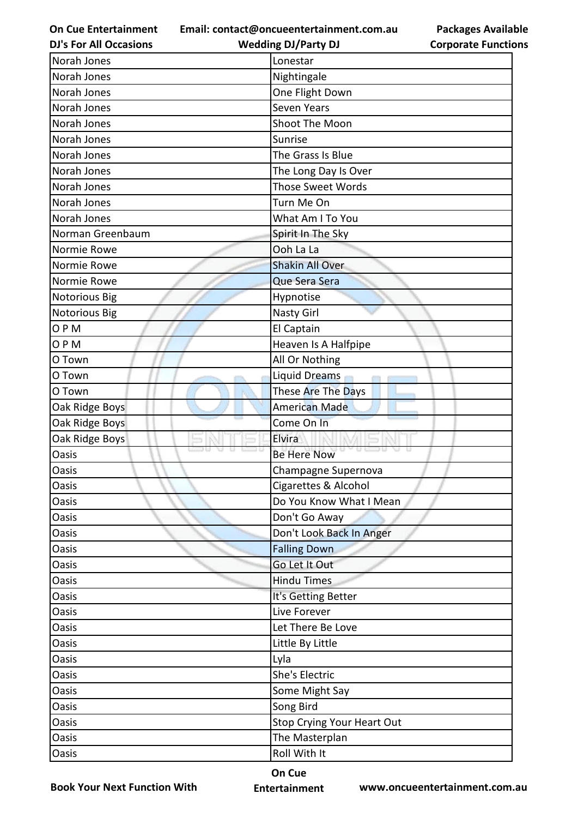**Email: contact@oncueentertainment.com.au Wedding DJ/Party DJ** 

**DJ's For All Occasions**

**Packages Available Corporate Functions**

| Norah Jones          | Lonestar                   |
|----------------------|----------------------------|
| Norah Jones          | Nightingale                |
| Norah Jones          | One Flight Down            |
| Norah Jones          | Seven Years                |
| Norah Jones          | Shoot The Moon             |
| Norah Jones          | Sunrise                    |
| Norah Jones          | The Grass Is Blue          |
| Norah Jones          | The Long Day Is Over       |
| Norah Jones          | <b>Those Sweet Words</b>   |
| Norah Jones          | Turn Me On                 |
| Norah Jones          | What Am I To You           |
| Norman Greenbaum     | Spirit In The Sky          |
| Normie Rowe          | Ooh La La                  |
| Normie Rowe          | <b>Shakin All Over</b>     |
| Normie Rowe          | Que Sera Sera              |
| <b>Notorious Big</b> | Hypnotise                  |
| <b>Notorious Big</b> | Nasty Girl                 |
| OPM                  | El Captain                 |
| OPM                  | Heaven Is A Halfpipe       |
| O Town               | All Or Nothing             |
| O Town               | <b>Liquid Dreams</b>       |
| O Town               | These Are The Days         |
| Oak Ridge Boys       | <b>American Made</b>       |
| Oak Ridge Boys       | Come On In                 |
| Oak Ridge Boys       | Elvira                     |
| <b>Oasis</b>         | <b>Be Here Now</b>         |
| <b>Oasis</b>         | Champagne Supernova        |
| Oasis                | Cigarettes & Alcohol       |
| Oasis                | Do You Know What I Mean    |
| Oasis                | Don't Go Away              |
| Oasis                | Don't Look Back In Anger   |
| Oasis                | <b>Falling Down</b>        |
| <b>Oasis</b>         | Go Let It Out              |
| <b>Oasis</b>         | <b>Hindu Times</b>         |
| Oasis                | It's Getting Better        |
| Oasis                | Live Forever               |
| Oasis                | Let There Be Love          |
| <b>Oasis</b>         | Little By Little           |
| Oasis                | Lyla                       |
| Oasis                | She's Electric             |
| Oasis                | Some Might Say             |
| <b>Oasis</b>         | Song Bird                  |
| <b>Oasis</b>         | Stop Crying Your Heart Out |
| <b>Oasis</b>         | The Masterplan             |
| Oasis                | Roll With It               |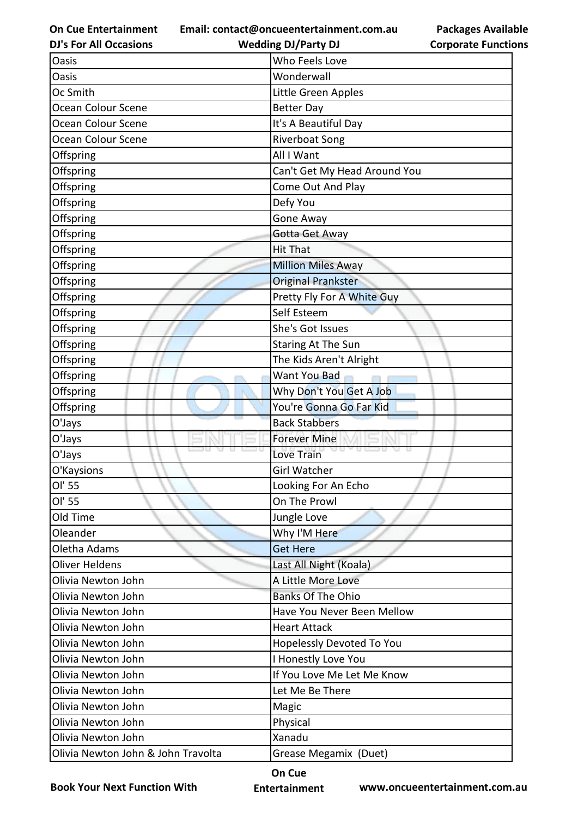**Email: contact@oncueentertainment.com.au**

**DJ's For All Occasions**

**Packages Available Corporate Functions**

| <b>DJ's For All Occasions</b>      | <b>Wedding DJ/Party DJ</b>   | <b>Corporate Functio</b> |
|------------------------------------|------------------------------|--------------------------|
| Oasis                              | Who Feels Love               |                          |
| Oasis                              | Wonderwall                   |                          |
| Oc Smith                           | Little Green Apples          |                          |
| Ocean Colour Scene                 | <b>Better Day</b>            |                          |
| Ocean Colour Scene                 | It's A Beautiful Day         |                          |
| Ocean Colour Scene                 | <b>Riverboat Song</b>        |                          |
| Offspring                          | All I Want                   |                          |
| Offspring                          | Can't Get My Head Around You |                          |
| Offspring                          | Come Out And Play            |                          |
| Offspring                          | Defy You                     |                          |
| Offspring                          | Gone Away                    |                          |
| Offspring                          | Gotta Get Away               |                          |
| Offspring                          | <b>Hit That</b>              |                          |
| Offspring                          | <b>Million Miles Away</b>    |                          |
| Offspring                          | <b>Original Prankster</b>    |                          |
| Offspring                          | Pretty Fly For A White Guy   |                          |
| Offspring                          | Self Esteem                  |                          |
| Offspring                          | She's Got Issues             |                          |
| Offspring                          | <b>Staring At The Sun</b>    |                          |
| Offspring                          | The Kids Aren't Alright      |                          |
| Offspring                          | Want You Bad                 |                          |
| Offspring                          | Why Don't You Get A Job      |                          |
| Offspring                          | You're Gonna Go Far Kid      |                          |
| O'Jays                             | <b>Back Stabbers</b>         |                          |
| O'Jays                             | <b>Forever Mine</b>          |                          |
| O'Jays                             | <b>Love Train</b>            |                          |
| O'Kaysions                         | <b>Girl Watcher</b>          |                          |
| Ol' 55                             | Looking For An Echo          |                          |
| Ol' 55                             | On The Prowl                 |                          |
| Old Time                           | Jungle Love                  |                          |
| Oleander                           | Why I'M Here                 |                          |
| Oletha Adams                       | <b>Get Here</b>              |                          |
| <b>Oliver Heldens</b>              | Last All Night (Koala)       |                          |
| Olivia Newton John                 | A Little More Love           |                          |
| Olivia Newton John                 | <b>Banks Of The Ohio</b>     |                          |
| Olivia Newton John                 | Have You Never Been Mellow   |                          |
| Olivia Newton John                 | <b>Heart Attack</b>          |                          |
| Olivia Newton John                 | Hopelessly Devoted To You    |                          |
| Olivia Newton John                 | I Honestly Love You          |                          |
| Olivia Newton John                 | If You Love Me Let Me Know   |                          |
| Olivia Newton John                 | Let Me Be There              |                          |
| Olivia Newton John                 | Magic                        |                          |
| Olivia Newton John                 | Physical                     |                          |
| Olivia Newton John                 | Xanadu                       |                          |
| Olivia Newton John & John Travolta | Grease Megamix (Duet)        |                          |

**Book Your Next Function With**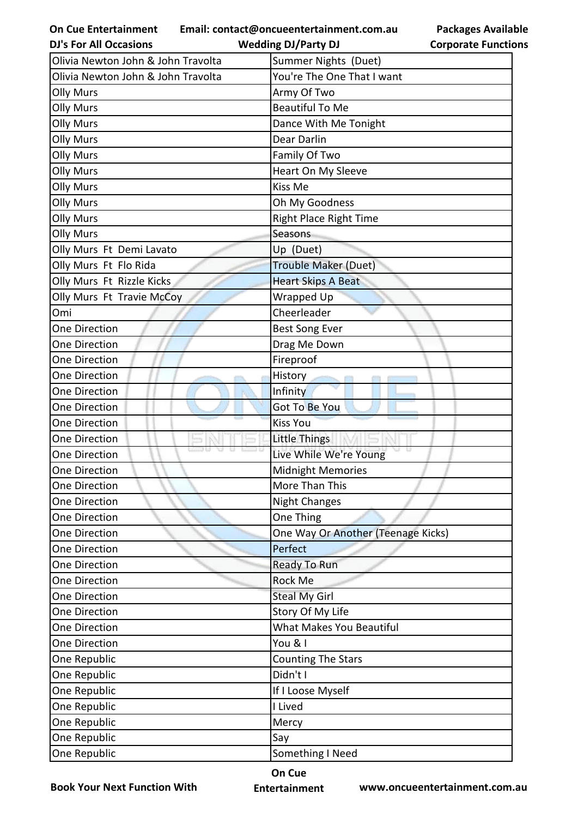**Email: contact@oncueentertainment.com.au Wedding DJ/Party DJ** 

**DJ's For All Occasions**

**Corporate Functions**

**Packages Available** 

| Olivia Newton John & John Travolta | Summer Nights (Duet)               |
|------------------------------------|------------------------------------|
| Olivia Newton John & John Travolta | You're The One That I want         |
| <b>Olly Murs</b>                   | Army Of Two                        |
| <b>Olly Murs</b>                   | <b>Beautiful To Me</b>             |
| <b>Olly Murs</b>                   | Dance With Me Tonight              |
| <b>Olly Murs</b>                   | Dear Darlin                        |
| <b>Olly Murs</b>                   | Family Of Two                      |
| <b>Olly Murs</b>                   | Heart On My Sleeve                 |
| <b>Olly Murs</b>                   | Kiss Me                            |
| <b>Olly Murs</b>                   | Oh My Goodness                     |
| <b>Olly Murs</b>                   | <b>Right Place Right Time</b>      |
| <b>Olly Murs</b>                   | Seasons                            |
| Olly Murs Ft Demi Lavato           | Up (Duet)                          |
| Olly Murs Ft Flo Rida              | Trouble Maker (Duet)               |
| Olly Murs Ft Rizzle Kicks          | <b>Heart Skips A Beat</b>          |
| Olly Murs Ft Travie McCoy          | Wrapped Up                         |
| Omi                                | Cheerleader                        |
| <b>One Direction</b>               | <b>Best Song Ever</b>              |
| <b>One Direction</b>               | Drag Me Down                       |
| One Direction                      | Fireproof                          |
| One Direction                      | <b>History</b><br>ann.             |
| One Direction                      | Infinity                           |
| <b>One Direction</b>               | <b>Got To Be You</b>               |
| One Direction                      | <b>Kiss You</b>                    |
| One Direction                      | Little Things                      |
| One Direction                      | Live While We're Young             |
| One Direction                      | <b>Midnight Memories</b>           |
| One Direction                      | More Than This                     |
| One Direction                      | <b>Night Changes</b>               |
| One Direction                      | One Thing                          |
| One Direction                      | One Way Or Another (Teenage Kicks) |
| One Direction                      | Perfect                            |
| <b>One Direction</b>               | Ready To Run                       |
| <b>One Direction</b>               | Rock Me                            |
| One Direction                      | <b>Steal My Girl</b>               |
| <b>One Direction</b>               | Story Of My Life                   |
| One Direction                      | What Makes You Beautiful           |
| One Direction                      | You & I                            |
| One Republic                       | <b>Counting The Stars</b>          |
| One Republic                       | Didn't I                           |
| One Republic                       | If I Loose Myself                  |
| One Republic                       | I Lived                            |
| One Republic                       | Mercy                              |
| One Republic                       | Say                                |
| One Republic                       | Something I Need                   |

**Book Your Next Function With**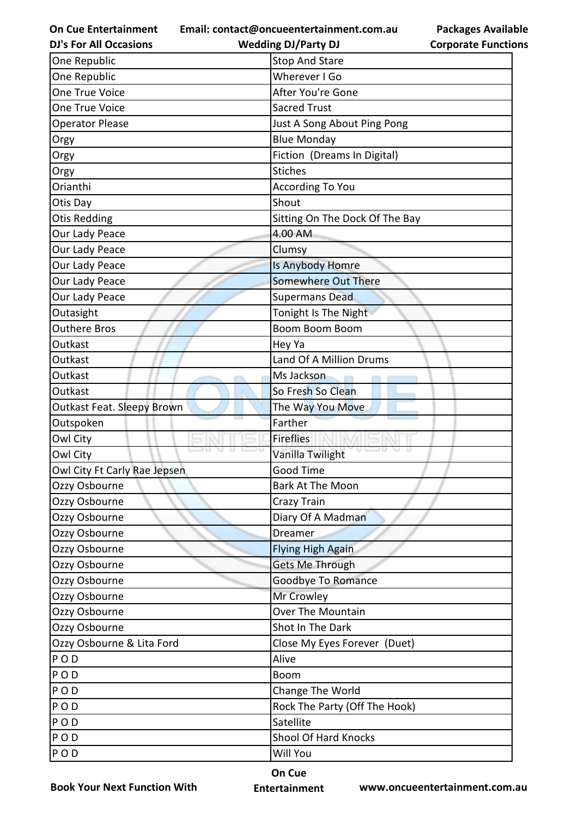**Email: contact@oncueentertainment.com.au**

**Packages Available Corporate Functions**

| <b>DJ's For All Occasions</b> | <b>Wedding DJ/Party DJ</b>     | <b>Corporate Functio</b> |
|-------------------------------|--------------------------------|--------------------------|
| One Republic                  | <b>Stop And Stare</b>          |                          |
| One Republic                  | Wherever I Go                  |                          |
| One True Voice                | After You're Gone              |                          |
| One True Voice                | <b>Sacred Trust</b>            |                          |
| <b>Operator Please</b>        | Just A Song About Ping Pong    |                          |
| Orgy                          | <b>Blue Monday</b>             |                          |
| Orgy                          | Fiction (Dreams In Digital)    |                          |
| Orgy                          | <b>Stiches</b>                 |                          |
| Orianthi                      | <b>According To You</b>        |                          |
| Otis Day                      | Shout                          |                          |
| <b>Otis Redding</b>           | Sitting On The Dock Of The Bay |                          |
| Our Lady Peace                | 4.00 AM                        |                          |
| Our Lady Peace                | Clumsy                         |                          |
| Our Lady Peace                | Is Anybody Homre               |                          |
| Our Lady Peace                | <b>Somewhere Out There</b>     |                          |
| Our Lady Peace                | <b>Supermans Dead</b>          |                          |
| Outasight                     | Tonight Is The Night           |                          |
| <b>Outhere Bros</b>           | <b>Boom Boom Boom</b>          |                          |
| Outkast                       | Hey Ya                         |                          |
| Outkast                       | Land Of A Million Drums        |                          |
| Outkast                       | Ms Jackson                     |                          |
| Outkast                       | So Fresh So Clean              |                          |
| Outkast Feat. Sleepy Brown    | The Way You Move               |                          |
| Outspoken                     | Farther                        |                          |
| Owl City                      | <b>Fireflies</b>               |                          |
| Owl City                      | Vanilla Twilight               |                          |
| Owl City Ft Carly Rae Jepsen  | Good Time                      |                          |
| Ozzy Osbourne                 | <b>Bark At The Moon</b>        |                          |
| Ozzy Osbourne                 | Crazy Train                    |                          |
| Ozzy Osbourne                 | Diary Of A Madman              |                          |
| Ozzy Osbourne                 | <b>Dreamer</b>                 |                          |
| Ozzy Osbourne                 | <b>Flying High Again</b>       |                          |
| Ozzy Osbourne                 | <b>Gets Me Through</b>         |                          |
| Ozzy Osbourne                 | Goodbye To Romance             |                          |
| Ozzy Osbourne                 | Mr Crowley                     |                          |
| Ozzy Osbourne                 | Over The Mountain              |                          |
| Ozzy Osbourne                 | Shot In The Dark               |                          |
| Ozzy Osbourne & Lita Ford     | Close My Eyes Forever (Duet)   |                          |
| POD                           | Alive                          |                          |
| POD                           | <b>Boom</b>                    |                          |
| POD                           | Change The World               |                          |
| <b>POD</b>                    | Rock The Party (Off The Hook)  |                          |
| POD                           | Satellite                      |                          |
| <b>POD</b>                    | Shool Of Hard Knocks           |                          |
| POD                           | Will You                       |                          |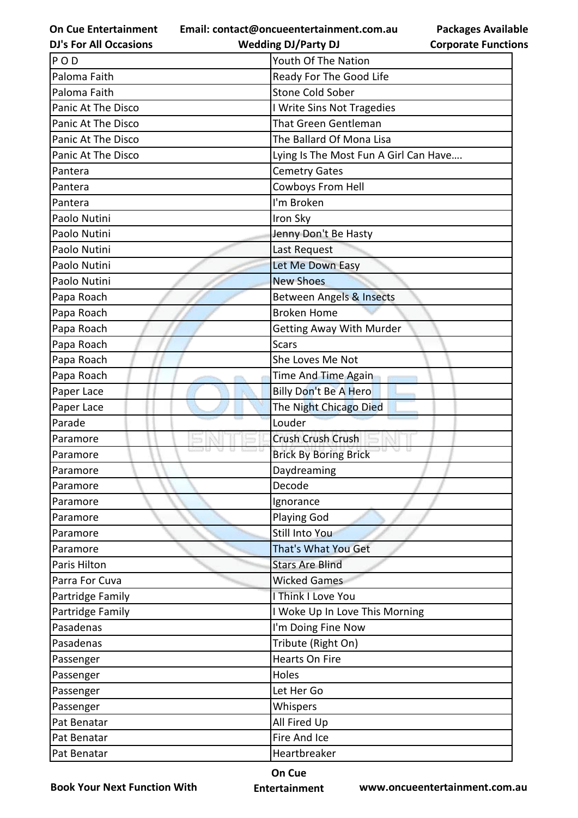**Email: contact@oncueentertainment.com.au**

**DJ's For All Occasions**

| u | <b>Packages Available</b>  |
|---|----------------------------|
|   | <b>Corporate Functions</b> |

| <b>DJ's For All Occasions</b> | <b>Wedding DJ/Party DJ</b>            | <b>Corporate Functio</b> |
|-------------------------------|---------------------------------------|--------------------------|
| POD                           | Youth Of The Nation                   |                          |
| Paloma Faith                  | Ready For The Good Life               |                          |
| Paloma Faith                  | <b>Stone Cold Sober</b>               |                          |
| Panic At The Disco            | I Write Sins Not Tragedies            |                          |
| Panic At The Disco            | <b>That Green Gentleman</b>           |                          |
| Panic At The Disco            | The Ballard Of Mona Lisa              |                          |
| Panic At The Disco            | Lying Is The Most Fun A Girl Can Have |                          |
| Pantera                       | <b>Cemetry Gates</b>                  |                          |
| Pantera                       | Cowboys From Hell                     |                          |
| Pantera                       | I'm Broken                            |                          |
| Paolo Nutini                  | Iron Sky                              |                          |
| Paolo Nutini                  | Jenny Don't Be Hasty                  |                          |
| Paolo Nutini                  | Last Request                          |                          |
| Paolo Nutini                  | Let Me Down Easy                      |                          |
| Paolo Nutini                  | <b>New Shoes</b>                      |                          |
| Papa Roach                    | Between Angels & Insects              |                          |
| Papa Roach                    | <b>Broken Home</b>                    |                          |
| Papa Roach                    | <b>Getting Away With Murder</b>       |                          |
| Papa Roach                    | <b>Scars</b>                          |                          |
| Papa Roach                    | She Loves Me Not                      |                          |
| Papa Roach                    | Time And Time Again                   |                          |
| Paper Lace                    | Billy Don't Be A Hero                 |                          |
| Paper Lace                    | The Night Chicago Died                |                          |
| Parade                        | Louder                                |                          |
| Paramore                      | Crush Crush Crush                     |                          |
| Paramore                      | <b>Brick By Boring Brick</b>          |                          |
| Paramore                      | Daydreaming                           |                          |
| Paramore                      | Decode                                |                          |
| Paramore                      | Ignorance                             |                          |
| Paramore                      | <b>Playing God</b>                    |                          |
| Paramore                      | <b>Still Into You</b>                 |                          |
| Paramore                      | That's What You Get                   |                          |
| Paris Hilton                  | <b>Stars Are Blind</b>                |                          |
| Parra For Cuva                | <b>Wicked Games</b>                   |                          |
| Partridge Family              | I Think I Love You                    |                          |
| Partridge Family              | I Woke Up In Love This Morning        |                          |
| Pasadenas                     | I'm Doing Fine Now                    |                          |
| Pasadenas                     | Tribute (Right On)                    |                          |
| Passenger                     | <b>Hearts On Fire</b>                 |                          |
| Passenger                     | Holes                                 |                          |
| Passenger                     | Let Her Go                            |                          |
| Passenger                     | Whispers                              |                          |
| Pat Benatar                   | All Fired Up                          |                          |
| Pat Benatar                   | Fire And Ice                          |                          |
| Pat Benatar                   | Heartbreaker                          |                          |

**Book Your Next Function With**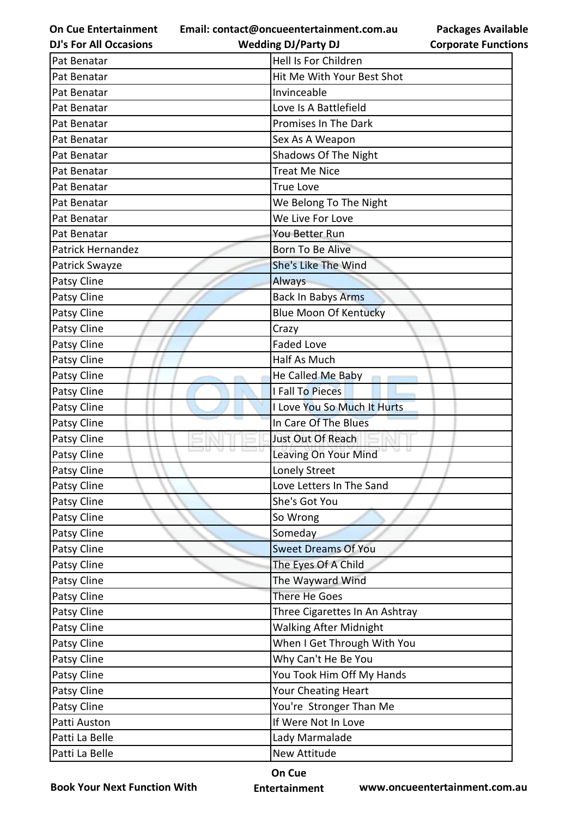**Email: contact@oncueentertainment.com.au Wedding DJ/Party DJ** 

**DJ's For All Occasions**

**Packages Available Corporate Functions**

| Pat Benatar       | Hell Is For Children           |
|-------------------|--------------------------------|
| Pat Benatar       | Hit Me With Your Best Shot     |
| Pat Benatar       | Invinceable                    |
| Pat Benatar       | Love Is A Battlefield          |
| Pat Benatar       | Promises In The Dark           |
| Pat Benatar       | Sex As A Weapon                |
| Pat Benatar       | Shadows Of The Night           |
| Pat Benatar       | <b>Treat Me Nice</b>           |
| Pat Benatar       | <b>True Love</b>               |
| Pat Benatar       | We Belong To The Night         |
| Pat Benatar       | We Live For Love               |
| Pat Benatar       | You Better Run                 |
| Patrick Hernandez | Born To Be Alive               |
| Patrick Swayze    | She's Like The Wind            |
| Patsy Cline       | <b>Always</b>                  |
| Patsy Cline       | <b>Back In Babys Arms</b>      |
| Patsy Cline       | <b>Blue Moon Of Kentucky</b>   |
| Patsy Cline       | Crazy                          |
| Patsy Cline       | <b>Faded Love</b>              |
| Patsy Cline       | Half As Much                   |
| Patsy Cline       | He Called Me Baby              |
| Patsy Cline       | I Fall To Pieces               |
| Patsy Cline       | I Love You So Much It Hurts    |
| Patsy Cline       | In Care Of The Blues           |
| Patsy Cline       | Just Out Of Reach              |
| Patsy Cline       | Leaving On Your Mind           |
| Patsy Cline       | Lonely Street                  |
| Patsy Cline       | Love Letters In The Sand       |
| Patsy Cline       | She's Got You                  |
| Patsy Cline       | So Wrong                       |
| Patsy Cline       | Someday                        |
| Patsy Cline       | <b>Sweet Dreams Of You</b>     |
| Patsy Cline       | The Eyes Of A Child            |
| Patsy Cline       | The Wayward Wind               |
| Patsy Cline       | There He Goes                  |
| Patsy Cline       | Three Cigarettes In An Ashtray |
| Patsy Cline       | <b>Walking After Midnight</b>  |
| Patsy Cline       | When I Get Through With You    |
| Patsy Cline       | Why Can't He Be You            |
| Patsy Cline       | You Took Him Off My Hands      |
| Patsy Cline       | Your Cheating Heart            |
| Patsy Cline       | You're Stronger Than Me        |
| Patti Auston      | If Were Not In Love            |
| Patti La Belle    | Lady Marmalade                 |
| Patti La Belle    | New Attitude                   |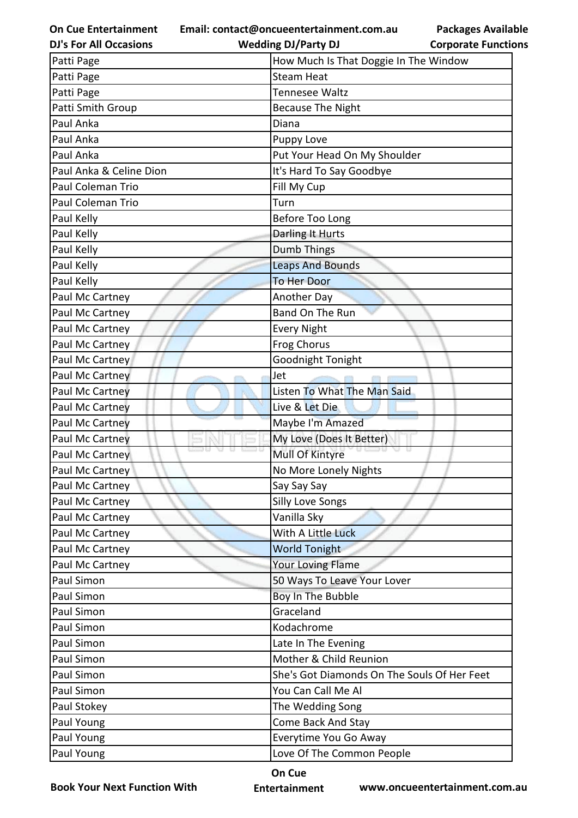**Email: contact@oncueentertainment.com.au**

**Packages Available Corporate Functions**

| <b>DJ's For All Occasions</b> | <b>Wedding DJ/Party DJ</b>                  | <b>Corporate Functio</b> |
|-------------------------------|---------------------------------------------|--------------------------|
| Patti Page                    | How Much Is That Doggie In The Window       |                          |
| Patti Page                    | <b>Steam Heat</b>                           |                          |
| Patti Page                    | <b>Tennesee Waltz</b>                       |                          |
| Patti Smith Group             | <b>Because The Night</b>                    |                          |
| Paul Anka                     | Diana                                       |                          |
| Paul Anka                     | Puppy Love                                  |                          |
| Paul Anka                     | Put Your Head On My Shoulder                |                          |
| Paul Anka & Celine Dion       | It's Hard To Say Goodbye                    |                          |
| Paul Coleman Trio             | Fill My Cup                                 |                          |
| Paul Coleman Trio             | Turn                                        |                          |
| Paul Kelly                    | Before Too Long                             |                          |
| Paul Kelly                    | Darling It Hurts                            |                          |
| Paul Kelly                    | <b>Dumb Things</b>                          |                          |
| Paul Kelly                    | <b>Leaps And Bounds</b>                     |                          |
| Paul Kelly                    | <b>To Her Door</b>                          |                          |
| Paul Mc Cartney               | Another Day                                 |                          |
| Paul Mc Cartney               | Band On The Run                             |                          |
| Paul Mc Cartney               | <b>Every Night</b>                          |                          |
| Paul Mc Cartney               | Frog Chorus                                 |                          |
| Paul Mc Cartney               | Goodnight Tonight                           |                          |
| Paul Mc Cartney               | Jet                                         |                          |
| Paul Mc Cartney               | Listen To What The Man Said                 |                          |
| Paul Mc Cartney               | Live & Let Die                              |                          |
| Paul Mc Cartney               | Maybe I'm Amazed                            |                          |
| Paul Mc Cartney               | My Love (Does It Better)                    |                          |
| Paul Mc Cartney               | Mull Of Kintyre                             |                          |
| Paul Mc Cartney               | No More Lonely Nights                       |                          |
| Paul Mc Cartney               | Say Say Say                                 |                          |
| Paul Mc Cartney               | <b>Silly Love Songs</b>                     |                          |
| Paul Mc Cartney               | Vanilla Sky                                 |                          |
| Paul Mc Cartney               | With A Little Luck                          |                          |
| Paul Mc Cartney               | <b>World Tonight</b>                        |                          |
| Paul Mc Cartney               | <b>Your Loving Flame</b>                    |                          |
| Paul Simon                    | 50 Ways To Leave Your Lover                 |                          |
| Paul Simon                    | Boy In The Bubble                           |                          |
| Paul Simon                    | Graceland                                   |                          |
| Paul Simon                    | Kodachrome                                  |                          |
| Paul Simon                    | Late In The Evening                         |                          |
| Paul Simon                    | Mother & Child Reunion                      |                          |
| Paul Simon                    | She's Got Diamonds On The Souls Of Her Feet |                          |
| Paul Simon                    | You Can Call Me Al                          |                          |
| Paul Stokey                   | The Wedding Song                            |                          |
| Paul Young                    | Come Back And Stay                          |                          |
| Paul Young                    | Everytime You Go Away                       |                          |
| Paul Young                    | Love Of The Common People                   |                          |
|                               |                                             |                          |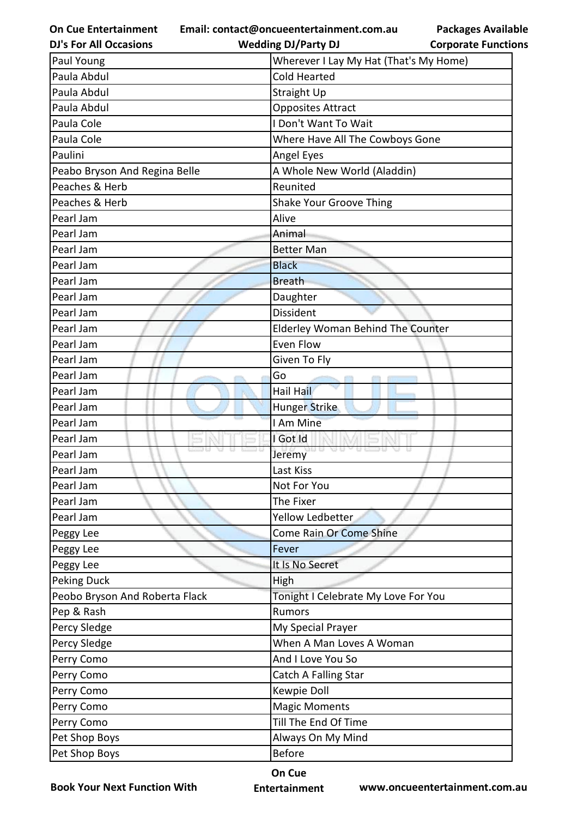**Email: contact@oncueentertainment.com.au**

**Packages Available Corporate Functions**

| <b>DJ's For All Occasions</b>  | <b>Wedding DJ/Party DJ</b>               | <b>Corporate Functio</b> |
|--------------------------------|------------------------------------------|--------------------------|
| Paul Young                     | Wherever I Lay My Hat (That's My Home)   |                          |
| Paula Abdul                    | <b>Cold Hearted</b>                      |                          |
| Paula Abdul                    | <b>Straight Up</b>                       |                          |
| Paula Abdul                    | <b>Opposites Attract</b>                 |                          |
| Paula Cole                     | I Don't Want To Wait                     |                          |
| Paula Cole                     | Where Have All The Cowboys Gone          |                          |
| Paulini                        | Angel Eyes                               |                          |
| Peabo Bryson And Regina Belle  | A Whole New World (Aladdin)              |                          |
| Peaches & Herb                 | Reunited                                 |                          |
| Peaches & Herb                 | <b>Shake Your Groove Thing</b>           |                          |
| Pearl Jam                      | Alive                                    |                          |
| Pearl Jam                      | Animal                                   |                          |
| Pearl Jam                      | <b>Better Man</b>                        |                          |
| Pearl Jam                      | <b>Black</b>                             |                          |
| Pearl Jam                      | <b>Breath</b>                            |                          |
| Pearl Jam                      | Daughter                                 |                          |
| Pearl Jam                      | Dissident                                |                          |
| Pearl Jam                      | <b>Elderley Woman Behind The Counter</b> |                          |
| Pearl Jam                      | Even Flow                                |                          |
| Pearl Jam                      | Given To Fly                             |                          |
| Pearl Jam                      | Go                                       |                          |
| Pearl Jam                      | Hail Hail                                |                          |
| Pearl Jam                      | Hunger Strike                            |                          |
| Pearl Jam                      | I Am Mine                                |                          |
| Pearl Jam                      | I Got Id                                 |                          |
| Pearl Jam                      | Jeremy                                   |                          |
| Pearl Jam                      | Last Kiss                                |                          |
| Pearl Jam                      | Not For You                              |                          |
| Pearl Jam                      | The Fixer                                |                          |
| Pearl Jam                      | Yellow Ledbetter                         |                          |
| Peggy Lee                      | Come Rain Or Come Shine                  |                          |
| Peggy Lee                      | Fever                                    |                          |
| Peggy Lee                      | It Is No Secret                          |                          |
| <b>Peking Duck</b>             | High                                     |                          |
| Peobo Bryson And Roberta Flack | Tonight I Celebrate My Love For You      |                          |
| Pep & Rash                     | Rumors                                   |                          |
| Percy Sledge                   | My Special Prayer                        |                          |
| Percy Sledge                   | When A Man Loves A Woman                 |                          |
| Perry Como                     | And I Love You So                        |                          |
| Perry Como                     | Catch A Falling Star                     |                          |
| Perry Como                     | Kewpie Doll                              |                          |
| Perry Como                     | <b>Magic Moments</b>                     |                          |
| Perry Como                     | Till The End Of Time                     |                          |
| Pet Shop Boys                  | Always On My Mind                        |                          |
| Pet Shop Boys                  | <b>Before</b>                            |                          |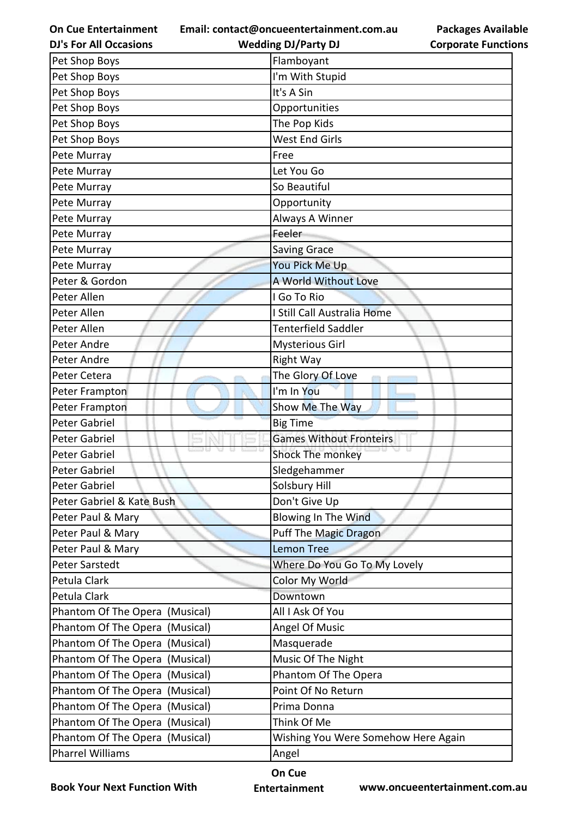**Email: contact@oncueentertainment.com.au Wedding DJ/Party DJ** 

**DJ's For All Occasions**

**Packages Available Corporate Functions**

| Pet Shop Boys                     | Flamboyant                          |
|-----------------------------------|-------------------------------------|
| Pet Shop Boys                     | I'm With Stupid                     |
| Pet Shop Boys                     | It's A Sin                          |
| Pet Shop Boys                     | Opportunities                       |
| Pet Shop Boys                     | The Pop Kids                        |
| Pet Shop Boys                     | West End Girls                      |
| Pete Murray                       | Free                                |
| Pete Murray                       | Let You Go                          |
| Pete Murray                       | So Beautiful                        |
| Pete Murray                       | Opportunity                         |
| Pete Murray                       | Always A Winner                     |
| Pete Murray                       | Feeler                              |
| Pete Murray                       | <b>Saving Grace</b>                 |
| Pete Murray                       | You Pick Me Up                      |
| Peter & Gordon                    | A World Without Love                |
| Peter Allen                       | I Go To Rio                         |
| Peter Allen                       | I Still Call Australia Home         |
| Peter Allen                       | <b>Tenterfield Saddler</b>          |
| Peter Andre                       | <b>Mysterious Girl</b>              |
| Peter Andre                       | <b>Right Way</b>                    |
| Peter Cetera                      | The Glory Of Love                   |
| Peter Frampton                    | I'm In You                          |
| Peter Frampton                    | Show Me The Way                     |
| Peter Gabriel                     | <b>Big Time</b>                     |
| Peter Gabriel                     | <b>Games Without Fronteirs</b>      |
| <b>Peter Gabriel</b>              | Shock The monkey                    |
| Peter Gabriel                     | Sledgehammer                        |
| Peter Gabriel                     | Solsbury Hill                       |
| Peter Gabriel & Kate Bush         | Don't Give Up                       |
| Peter Paul & Mary                 | Blowing In The Wind                 |
| Peter Paul & Mary                 | <b>Puff The Magic Dragon</b>        |
| Peter Paul & Mary                 | <b>Lemon Tree</b>                   |
| <b>Peter Sarstedt</b>             | Where Do You Go To My Lovely        |
| Petula Clark                      | Color My World                      |
| Petula Clark                      | Downtown                            |
| Phantom Of The Opera<br>(Musical) | All I Ask Of You                    |
| Phantom Of The Opera<br>(Musical) | Angel Of Music                      |
| Phantom Of The Opera<br>(Musical) | Masquerade                          |
| Phantom Of The Opera<br>(Musical) | Music Of The Night                  |
| Phantom Of The Opera<br>(Musical) | Phantom Of The Opera                |
| Phantom Of The Opera<br>(Musical) | Point Of No Return                  |
| Phantom Of The Opera<br>(Musical) | Prima Donna                         |
| Phantom Of The Opera<br>(Musical) | Think Of Me                         |
| Phantom Of The Opera<br>(Musical) | Wishing You Were Somehow Here Again |
| <b>Pharrel Williams</b>           | Angel                               |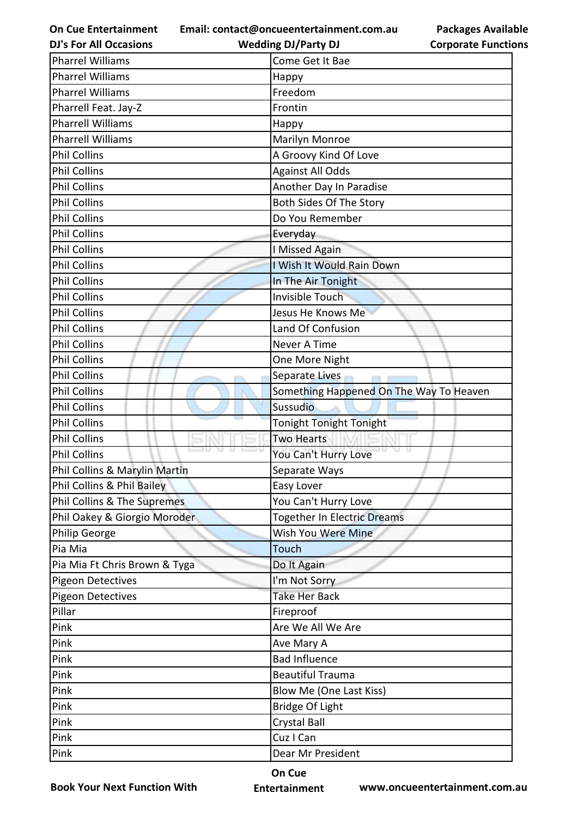**Email: contact@oncueentertainment.com.au**

**DJ's For All Occasions**

**Wedding DJ/Party DJ** 

| <b>Packages Available</b>  |
|----------------------------|
| <b>Corporate Functions</b> |

| <b>Pharrel Williams</b>       | Come Get It Bae                         |
|-------------------------------|-----------------------------------------|
| <b>Pharrel Williams</b>       | Happy                                   |
| <b>Pharrel Williams</b>       | Freedom                                 |
| Pharrell Feat. Jay-Z          | Frontin                                 |
| <b>Pharrell Williams</b>      | Happy                                   |
| <b>Pharrell Williams</b>      | Marilyn Monroe                          |
| <b>Phil Collins</b>           | A Groovy Kind Of Love                   |
| <b>Phil Collins</b>           | <b>Against All Odds</b>                 |
| <b>Phil Collins</b>           | Another Day In Paradise                 |
| <b>Phil Collins</b>           | Both Sides Of The Story                 |
| <b>Phil Collins</b>           | Do You Remember                         |
| <b>Phil Collins</b>           | Everyday                                |
| <b>Phil Collins</b>           | I Missed Again                          |
| <b>Phil Collins</b>           | I Wish It Would Rain Down               |
| <b>Phil Collins</b>           | In The Air Tonight                      |
| <b>Phil Collins</b>           | <b>Invisible Touch</b>                  |
| <b>Phil Collins</b>           | Jesus He Knows Me                       |
| <b>Phil Collins</b>           | Land Of Confusion                       |
| <b>Phil Collins</b>           | Never A Time                            |
| <b>Phil Collins</b>           | One More Night                          |
| <b>Phil Collins</b>           | Separate Lives<br><b>College</b>        |
| <b>Phil Collins</b>           | Something Happened On The Way To Heaven |
| <b>Phil Collins</b>           | Sussudio                                |
| <b>Phil Collins</b>           | <b>Tonight Tonight Tonight</b>          |
| <b>Phil Collins</b>           | <b>Two Hearts</b>                       |
| <b>Phil Collins</b>           | You Can't Hurry Love                    |
| Phil Collins & Marylin Martin | Separate Ways                           |
| Phil Collins & Phil Bailey    | Easy Lover                              |
| Phil Collins & The Supremes   | You Can't Hurry Love                    |
| Phil Oakey & Giorgio Moroder  | <b>Together In Electric Dreams</b>      |
| Philip George                 | Wish You Were Mine                      |
| Pia Mia                       | <b>Touch</b>                            |
| Pia Mia Ft Chris Brown & Tyga | Do It Again                             |
| <b>Pigeon Detectives</b>      | I'm Not Sorry                           |
| <b>Pigeon Detectives</b>      | <b>Take Her Back</b>                    |
| Pillar                        | Fireproof                               |
| Pink                          | Are We All We Are                       |
| Pink                          | Ave Mary A                              |
| Pink                          | <b>Bad Influence</b>                    |
| Pink                          | <b>Beautiful Trauma</b>                 |
| Pink                          | Blow Me (One Last Kiss)                 |
| Pink                          | Bridge Of Light                         |
| Pink                          | <b>Crystal Ball</b>                     |
| Pink                          | Cuz I Can                               |
| Pink                          | Dear Mr President                       |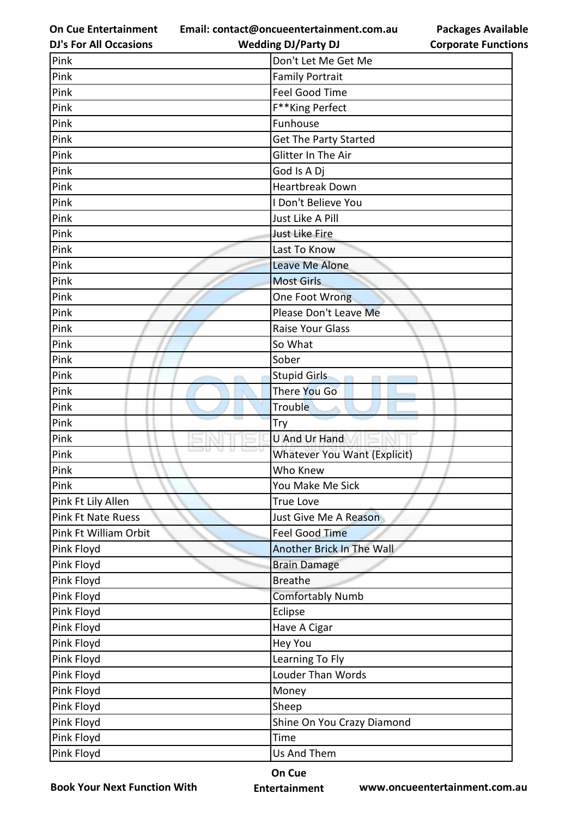**Email: contact@oncueentertainment.com.au**

**Packages Available Corporate Functions**

| <b>DJ's For All Occasions</b> | <b>Wedding DJ/Party DJ</b>          | <b>Corporate Functio</b> |
|-------------------------------|-------------------------------------|--------------------------|
| Pink                          | Don't Let Me Get Me                 |                          |
| Pink                          | <b>Family Portrait</b>              |                          |
| Pink                          | <b>Feel Good Time</b>               |                          |
| Pink                          | F**King Perfect                     |                          |
| Pink                          | Funhouse                            |                          |
| Pink                          | Get The Party Started               |                          |
| Pink                          | Glitter In The Air                  |                          |
| Pink                          | God Is A Dj                         |                          |
| Pink                          | <b>Heartbreak Down</b>              |                          |
| Pink                          | I Don't Believe You                 |                          |
| Pink                          | Just Like A Pill                    |                          |
| Pink                          | Just Like Fire                      |                          |
| Pink                          | Last To Know                        |                          |
| Pink                          | Leave Me Alone                      |                          |
| Pink                          | <b>Most Girls</b>                   |                          |
| Pink                          | One Foot Wrong                      |                          |
| Pink                          | Please Don't Leave Me               |                          |
| Pink                          | <b>Raise Your Glass</b>             |                          |
| Pink                          | So What                             |                          |
| Pink                          | Sober                               |                          |
| Pink                          | <b>Stupid Girls</b>                 |                          |
| Pink                          | There You Go                        |                          |
| Pink                          | Trouble                             |                          |
| Pink                          | Try                                 |                          |
| Pink                          | <b>U And Ur Hand</b>                |                          |
| Pink                          | <b>Whatever You Want (Explicit)</b> |                          |
| Pink                          | Who Knew                            |                          |
| Pink                          | You Make Me Sick                    |                          |
| Pink Ft Lily Allen            | <b>True Love</b>                    |                          |
| Pink Ft Nate Ruess            | Just Give Me A Reason               |                          |
| Pink Ft William Orbit         | <b>Feel Good Time</b>               |                          |
| Pink Floyd                    | Another Brick In The Wall           |                          |
| Pink Floyd                    | <b>Brain Damage</b>                 |                          |
| Pink Floyd                    | <b>Breathe</b>                      |                          |
| Pink Floyd                    | <b>Comfortably Numb</b>             |                          |
| Pink Floyd                    | Eclipse                             |                          |
| Pink Floyd                    | Have A Cigar                        |                          |
| Pink Floyd                    | <b>Hey You</b>                      |                          |
| Pink Floyd                    | Learning To Fly                     |                          |
| Pink Floyd                    | Louder Than Words                   |                          |
| Pink Floyd                    | Money                               |                          |
| Pink Floyd                    | Sheep                               |                          |
| Pink Floyd                    | Shine On You Crazy Diamond          |                          |
| Pink Floyd                    | Time                                |                          |
| Pink Floyd                    | Us And Them                         |                          |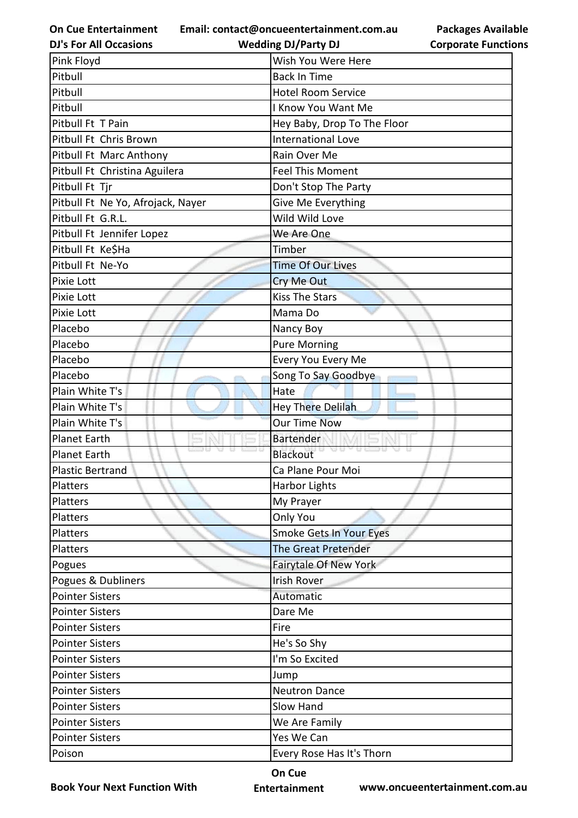**Email: contact@oncueentertainment.com.au**

**DJ's For All Occasions**

| . | .         |
|---|-----------|
|   | Corporate |

**Packages Available Functions** 

| <b>DJ's For All Occasions</b>     | <b>Wedding DJ/Party DJ</b>  | <b>Corporate Function</b> |
|-----------------------------------|-----------------------------|---------------------------|
| Pink Floyd                        | Wish You Were Here          |                           |
| Pitbull                           | <b>Back In Time</b>         |                           |
| Pitbull                           | <b>Hotel Room Service</b>   |                           |
| Pitbull                           | I Know You Want Me          |                           |
| Pitbull Ft T Pain                 | Hey Baby, Drop To The Floor |                           |
| Pitbull Ft Chris Brown            | <b>International Love</b>   |                           |
| Pitbull Ft Marc Anthony           | Rain Over Me                |                           |
| Pitbull Ft Christina Aguilera     | <b>Feel This Moment</b>     |                           |
| Pitbull Ft Tjr                    | Don't Stop The Party        |                           |
| Pitbull Ft Ne Yo, Afrojack, Nayer | Give Me Everything          |                           |
| Pitbull Ft G.R.L.                 | Wild Wild Love              |                           |
| Pitbull Ft Jennifer Lopez         | We Are One                  |                           |
| Pitbull Ft Ke\$Ha                 | Timber                      |                           |
| Pitbull Ft Ne-Yo                  | <b>Time Of Our Lives</b>    |                           |
| Pixie Lott                        | Cry Me Out                  |                           |
| Pixie Lott                        | <b>Kiss The Stars</b>       |                           |
| Pixie Lott                        | Mama Do                     |                           |
| Placebo                           | Nancy Boy                   |                           |
| Placebo                           | <b>Pure Morning</b>         |                           |
| Placebo                           | Every You Every Me          |                           |
| Placebo                           | Song To Say Goodbye         |                           |
| Plain White T's                   | Hate                        |                           |
| Plain White T's                   | <b>Hey There Delilah</b>    |                           |
| Plain White T's                   | <b>Our Time Now</b>         |                           |
| <b>Planet Earth</b>               | <b>Bartender</b>            |                           |
| <b>Planet Earth</b>               | Anakoc<br>Blackout          |                           |
| <b>Plastic Bertrand</b>           | Ca Plane Pour Moi           |                           |
| Platters                          | <b>Harbor Lights</b>        |                           |
| Platters                          | My Prayer                   |                           |
| Platters                          | Only You                    |                           |
| Platters                          | Smoke Gets In Your Eyes     |                           |
| Platters                          | <b>The Great Pretender</b>  |                           |
| Pogues                            | Fairytale Of New York       |                           |
| Pogues & Dubliners                | <b>Irish Rover</b>          |                           |
| <b>Pointer Sisters</b>            | Automatic                   |                           |
| <b>Pointer Sisters</b>            | Dare Me                     |                           |
| <b>Pointer Sisters</b>            | Fire                        |                           |
| <b>Pointer Sisters</b>            | He's So Shy                 |                           |
| <b>Pointer Sisters</b>            | I'm So Excited              |                           |
| <b>Pointer Sisters</b>            | Jump                        |                           |
| <b>Pointer Sisters</b>            | <b>Neutron Dance</b>        |                           |
| <b>Pointer Sisters</b>            | Slow Hand                   |                           |
| <b>Pointer Sisters</b>            | We Are Family               |                           |
| <b>Pointer Sisters</b>            | Yes We Can                  |                           |
| Poison                            | Every Rose Has It's Thorn   |                           |
|                                   |                             |                           |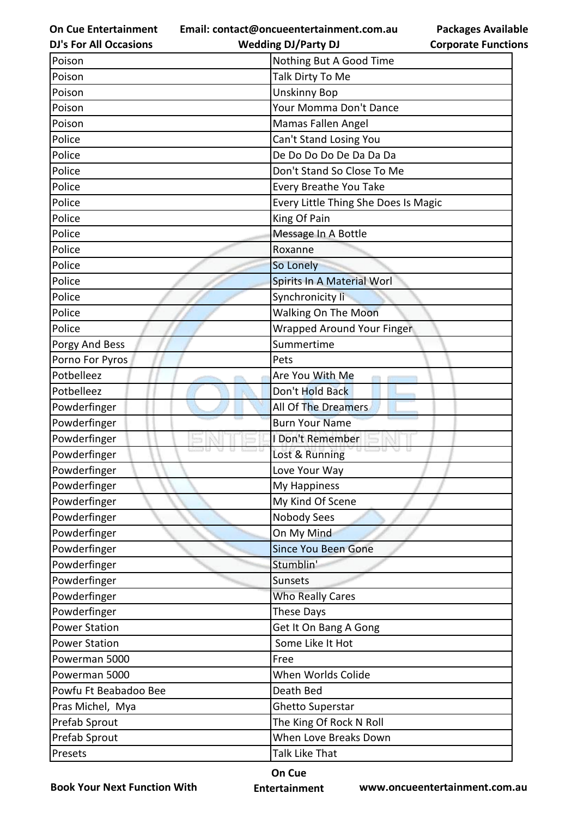**Email: contact@oncueentertainment.com.au**

**Packages Available Corporate Functions**

| <b>DJ's For All Occasions</b> | <b>Wedding DJ/Party DJ</b>           | <b>Corporate Functio</b> |
|-------------------------------|--------------------------------------|--------------------------|
| Poison                        | Nothing But A Good Time              |                          |
| Poison                        | Talk Dirty To Me                     |                          |
| Poison                        | <b>Unskinny Bop</b>                  |                          |
| Poison                        | Your Momma Don't Dance               |                          |
| Poison                        | Mamas Fallen Angel                   |                          |
| Police                        | Can't Stand Losing You               |                          |
| Police                        | De Do Do Do De Da Da Da              |                          |
| Police                        | Don't Stand So Close To Me           |                          |
| Police                        | Every Breathe You Take               |                          |
| Police                        | Every Little Thing She Does Is Magic |                          |
| Police                        | King Of Pain                         |                          |
| Police                        | Message In A Bottle                  |                          |
| Police                        | Roxanne                              |                          |
| Police                        | So Lonely                            |                          |
| Police                        | Spirits In A Material Worl           |                          |
| Police                        | Synchronicity li                     |                          |
| Police                        | <b>Walking On The Moon</b>           |                          |
| Police                        | Wrapped Around Your Finger           |                          |
| Porgy And Bess                | Summertime                           |                          |
| Porno For Pyros               | Pets                                 |                          |
| Potbelleez                    | Are You With Me                      |                          |
| Potbelleez                    | Don't Hold Back                      |                          |
| Powderfinger                  | All Of The Dreamers                  |                          |
| Powderfinger                  | <b>Burn Your Name</b>                |                          |
| Powderfinger                  | I Don't Remember                     |                          |
| Powderfinger                  | Lost & Running                       |                          |
| Powderfinger                  | Love Your Way                        |                          |
| Powderfinger                  | My Happiness                         |                          |
| Powderfinger                  | My Kind Of Scene                     |                          |
| Powderfinger                  | Nobody Sees                          |                          |
| Powderfinger                  | On My Mind                           |                          |
| Powderfinger                  | <b>Since You Been Gone</b>           |                          |
| Powderfinger                  | Stumblin'                            |                          |
| Powderfinger                  | Sunsets                              |                          |
| Powderfinger                  | <b>Who Really Cares</b>              |                          |
| Powderfinger                  | These Days                           |                          |
| <b>Power Station</b>          | Get It On Bang A Gong                |                          |
| <b>Power Station</b>          | Some Like It Hot                     |                          |
| Powerman 5000                 | Free                                 |                          |
| Powerman 5000                 | When Worlds Colide                   |                          |
| Powfu Ft Beabadoo Bee         | Death Bed                            |                          |
| Pras Michel, Mya              | Ghetto Superstar                     |                          |
| Prefab Sprout                 | The King Of Rock N Roll              |                          |
| Prefab Sprout                 | When Love Breaks Down                |                          |
| Presets                       | Talk Like That                       |                          |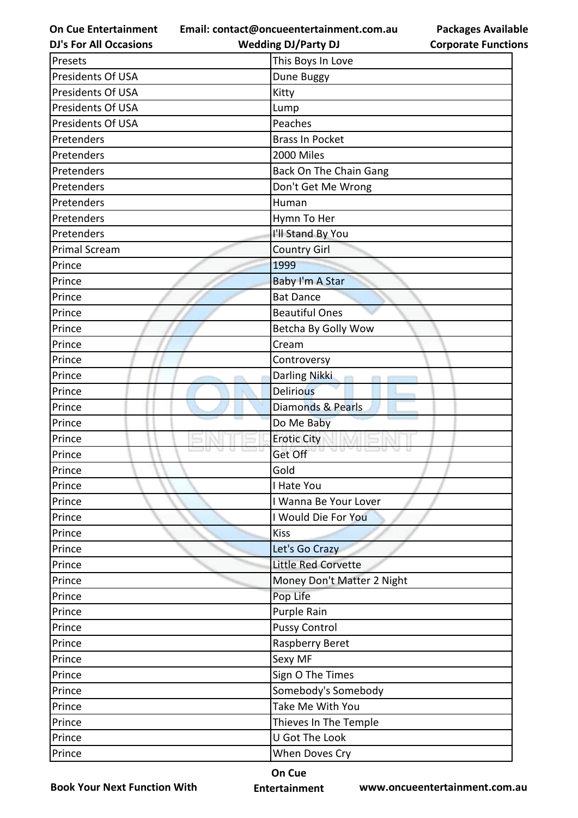**Email: contact@oncueentertainment.com.au**

**DJ's For All Occasions**

**Wedding DJ/Party DJ** 



| Presets                       | This Boys In Love                 |
|-------------------------------|-----------------------------------|
| Presidents Of USA             | Dune Buggy                        |
| Presidents Of USA             | Kitty                             |
| Presidents Of USA             | Lump                              |
| Presidents Of USA             | Peaches                           |
| Pretenders                    | <b>Brass In Pocket</b>            |
| Pretenders                    | 2000 Miles                        |
| Pretenders                    | Back On The Chain Gang            |
| Pretenders                    | Don't Get Me Wrong                |
| Pretenders                    | Human                             |
| Pretenders                    | Hymn To Her                       |
| Pretenders                    | I'll Stand By You                 |
| <b>Primal Scream</b>          | <b>Country Girl</b>               |
| Prince                        | 1999                              |
| Prince                        | <b>Baby I'm A Star</b>            |
| Prince                        | <b>Bat Dance</b>                  |
| Prince                        | <b>Beautiful Ones</b>             |
| Prince                        | Betcha By Golly Wow               |
| Prince                        | Cream                             |
| Prince                        | Controversy                       |
| Prince                        | Darling Nikki<br>m<br><b>COTT</b> |
| Prince                        | <b>Delirious</b>                  |
| Prince                        | Diamonds & Pearls                 |
| Prince                        | Do Me Baby                        |
| Prince                        | <b>Erotic City</b>                |
| ED 63.<br>va.<br>u.<br>Prince | Get Off                           |
| Prince                        | Gold                              |
| Prince                        | I Hate You                        |
| Prince                        | I Wanna Be Your Lover             |
| Prince                        | I Would Die For You               |
| Prince                        | <b>Kiss</b>                       |
| Prince                        | Let's Go Crazy                    |
| Prince                        | <b>Little Red Corvette</b>        |
| Prince                        | Money Don't Matter 2 Night        |
| Prince                        | Pop Life                          |
| Prince                        | Purple Rain                       |
| Prince                        | <b>Pussy Control</b>              |
| Prince                        | Raspberry Beret                   |
| Prince                        | Sexy MF                           |
| Prince                        | Sign O The Times                  |
| Prince                        | Somebody's Somebody               |
| Prince                        | Take Me With You                  |
| Prince                        | Thieves In The Temple             |
| Prince                        | U Got The Look                    |
| Prince                        | When Doves Cry                    |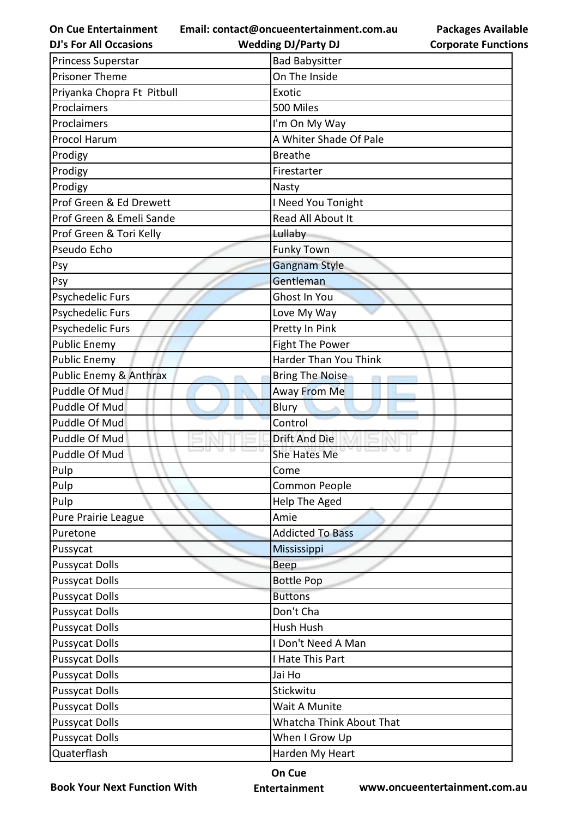**Email: contact@oncueentertainment.com.au Wedding DJ/Party DJ** 

**DJ's For All Occasions**

**Corporate Functions**

**Packages Available** 

| Princess Superstar         | <b>Bad Babysitter</b>    |
|----------------------------|--------------------------|
| <b>Prisoner Theme</b>      | On The Inside            |
| Priyanka Chopra Ft Pitbull | Exotic                   |
| Proclaimers                | 500 Miles                |
| Proclaimers                | I'm On My Way            |
| Procol Harum               | A Whiter Shade Of Pale   |
| Prodigy                    | <b>Breathe</b>           |
| Prodigy                    | Firestarter              |
| Prodigy                    | Nasty                    |
| Prof Green & Ed Drewett    | I Need You Tonight       |
| Prof Green & Emeli Sande   | Read All About It        |
| Prof Green & Tori Kelly    | Lullaby                  |
| Pseudo Echo                | <b>Funky Town</b>        |
| Psy                        | Gangnam Style            |
| Psy                        | Gentleman                |
| Psychedelic Furs           | Ghost In You             |
| Psychedelic Furs           | Love My Way              |
| Psychedelic Furs           | Pretty In Pink           |
| <b>Public Enemy</b>        | Fight The Power          |
| <b>Public Enemy</b>        | Harder Than You Think    |
| Public Enemy & Anthrax     | <b>Bring The Noise</b>   |
| Puddle Of Mud              | Away From Me             |
| Puddle Of Mud              | Blury                    |
| Puddle Of Mud              | Control                  |
| Puddle Of Mud              | <b>Drift And Die</b>     |
| Puddle Of Mud              | She Hates Me             |
| Pulp                       | Come                     |
| <b>Pulp</b>                | Common People            |
| Pulp                       | Help The Aged            |
| Pure Prairie League        | Amie                     |
| Puretone                   | <b>Addicted To Bass</b>  |
| Pussycat                   | Mississippi              |
| <b>Pussycat Dolls</b>      | Beep                     |
| <b>Pussycat Dolls</b>      | <b>Bottle Pop</b>        |
| <b>Pussycat Dolls</b>      | <b>Buttons</b>           |
| <b>Pussycat Dolls</b>      | Don't Cha                |
| <b>Pussycat Dolls</b>      | Hush Hush                |
| <b>Pussycat Dolls</b>      | I Don't Need A Man       |
| <b>Pussycat Dolls</b>      | I Hate This Part         |
| <b>Pussycat Dolls</b>      | Jai Ho                   |
| <b>Pussycat Dolls</b>      | Stickwitu                |
| <b>Pussycat Dolls</b>      | Wait A Munite            |
| <b>Pussycat Dolls</b>      | Whatcha Think About That |
| <b>Pussycat Dolls</b>      | When I Grow Up           |
| Quaterflash                | Harden My Heart          |

**Book Your Next Function With**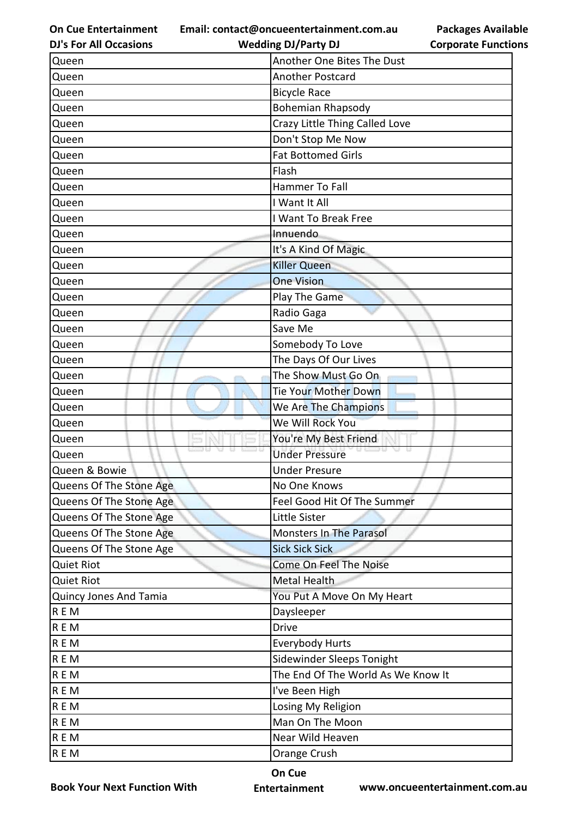**On Cue Entertainment Email: contact@oncueentertainment.com.au**

**Packages Available Corporate Functions**

| <b>DJ's For All Occasions</b> | <b>Wedding DJ/Party DJ</b>         | <b>Corporate Function</b> |
|-------------------------------|------------------------------------|---------------------------|
| Queen                         | Another One Bites The Dust         |                           |
| Queen                         | <b>Another Postcard</b>            |                           |
| Queen                         | <b>Bicycle Race</b>                |                           |
| Queen                         | <b>Bohemian Rhapsody</b>           |                           |
| Queen                         | Crazy Little Thing Called Love     |                           |
| Queen                         | Don't Stop Me Now                  |                           |
| Queen                         | <b>Fat Bottomed Girls</b>          |                           |
| Queen                         | Flash                              |                           |
| Queen                         | Hammer To Fall                     |                           |
| Queen                         | I Want It All                      |                           |
| Queen                         | I Want To Break Free               |                           |
| Queen                         | Innuendo                           |                           |
| Queen                         | It's A Kind Of Magic               |                           |
| Queen                         | <b>Killer Queen</b>                |                           |
| Queen                         | <b>One Vision</b>                  |                           |
| Queen                         | Play The Game                      |                           |
| Queen                         | Radio Gaga                         |                           |
| Queen                         | Save Me                            |                           |
| Queen                         | Somebody To Love                   |                           |
| Queen                         | The Days Of Our Lives              |                           |
| Queen                         | The Show Must Go On                |                           |
| Queen                         | Tie Your Mother Down               |                           |
| Queen                         | We Are The Champions               |                           |
| Queen                         | We Will Rock You                   |                           |
| Queen                         | You're My Best Friend              |                           |
| Queen                         | <b>Under Pressure</b>              |                           |
| Queen & Bowie                 | <b>Under Presure</b>               |                           |
| Queens Of The Stone Age       | No One Knows                       |                           |
| Queens Of The Stone Age       | Feel Good Hit Of The Summer        |                           |
| Queens Of The Stone Age       | Little Sister                      |                           |
| Queens Of The Stone Age       | <b>Monsters In The Parasol</b>     |                           |
| Queens Of The Stone Age       | <b>Sick Sick Sick</b>              |                           |
| <b>Quiet Riot</b>             | Come On Feel The Noise             |                           |
| <b>Quiet Riot</b>             | Metal Health                       |                           |
| Quincy Jones And Tamia        | You Put A Move On My Heart         |                           |
| R E M                         | Daysleeper                         |                           |
| R E M                         | <b>Drive</b>                       |                           |
| <b>REM</b>                    | <b>Everybody Hurts</b>             |                           |
| REM                           | Sidewinder Sleeps Tonight          |                           |
| <b>REM</b>                    | The End Of The World As We Know It |                           |
| <b>REM</b>                    | I've Been High                     |                           |
| <b>REM</b>                    | Losing My Religion                 |                           |
| REM                           | Man On The Moon                    |                           |
| <b>REM</b>                    | Near Wild Heaven                   |                           |
| R E M                         | Orange Crush                       |                           |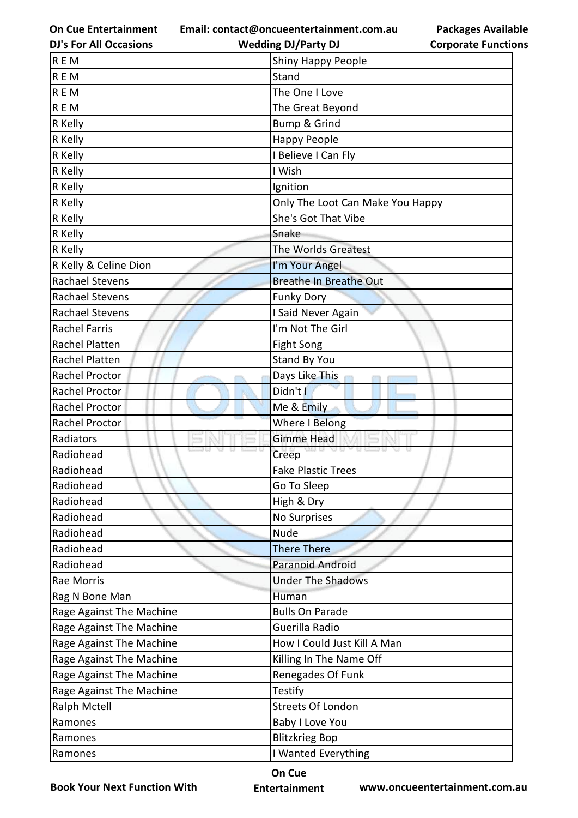**Email: contact@oncueentertainment.com.au**

**DJ's For All Occasions**

**Packages Available Corporate Functions**

| <b>DJ's For All Occasions</b> | <b>Wedding DJ/Party DJ</b>       | <b>Corporate Functio</b> |
|-------------------------------|----------------------------------|--------------------------|
| <b>REM</b>                    | <b>Shiny Happy People</b>        |                          |
| <b>REM</b>                    | Stand                            |                          |
| <b>REM</b>                    | The One I Love                   |                          |
| <b>REM</b>                    | The Great Beyond                 |                          |
| R Kelly                       | <b>Bump &amp; Grind</b>          |                          |
| R Kelly                       | Happy People                     |                          |
| R Kelly                       | I Believe I Can Fly              |                          |
| R Kelly                       | I Wish                           |                          |
| R Kelly                       | Ignition                         |                          |
| R Kelly                       | Only The Loot Can Make You Happy |                          |
| R Kelly                       | She's Got That Vibe              |                          |
| R Kelly                       | Snake                            |                          |
| R Kelly                       | The Worlds Greatest              |                          |
| R Kelly & Celine Dion         | I'm Your Angel                   |                          |
| <b>Rachael Stevens</b>        | <b>Breathe In Breathe Out</b>    |                          |
| Rachael Stevens               | <b>Funky Dory</b>                |                          |
| Rachael Stevens               | I Said Never Again               |                          |
| <b>Rachel Farris</b>          | I'm Not The Girl                 |                          |
| <b>Rachel Platten</b>         | Fight Song                       |                          |
| Rachel Platten                | <b>Stand By You</b>              |                          |
| Rachel Proctor                | Days Like This                   |                          |
| Rachel Proctor                | Didn't I                         |                          |
| Rachel Proctor                | Me & Emily                       |                          |
| Rachel Proctor                | Where I Belong                   |                          |
| Radiators                     | <b>Gimme Head</b>                |                          |
| Radiohead                     | U US<br>Creep                    |                          |
| Radiohead                     | <b>Fake Plastic Trees</b>        |                          |
| Radiohead                     | Go To Sleep                      |                          |
| Radiohead                     | High & Dry                       |                          |
| Radiohead                     | No Surprises                     |                          |
| Radiohead                     | <b>Nude</b>                      |                          |
| Radiohead                     | <b>There There</b>               |                          |
| Radiohead                     | Paranoid Android                 |                          |
| Rae Morris                    | <b>Under The Shadows</b>         |                          |
| Rag N Bone Man                | Human                            |                          |
| Rage Against The Machine      | <b>Bulls On Parade</b>           |                          |
| Rage Against The Machine      | Guerilla Radio                   |                          |
| Rage Against The Machine      | How I Could Just Kill A Man      |                          |
| Rage Against The Machine      | Killing In The Name Off          |                          |
| Rage Against The Machine      | Renegades Of Funk                |                          |
| Rage Against The Machine      | <b>Testify</b>                   |                          |
| Ralph Mctell                  | <b>Streets Of London</b>         |                          |
| Ramones                       | Baby I Love You                  |                          |
| Ramones                       | <b>Blitzkrieg Bop</b>            |                          |
| Ramones                       | I Wanted Everything              |                          |

**Book Your Next Function With**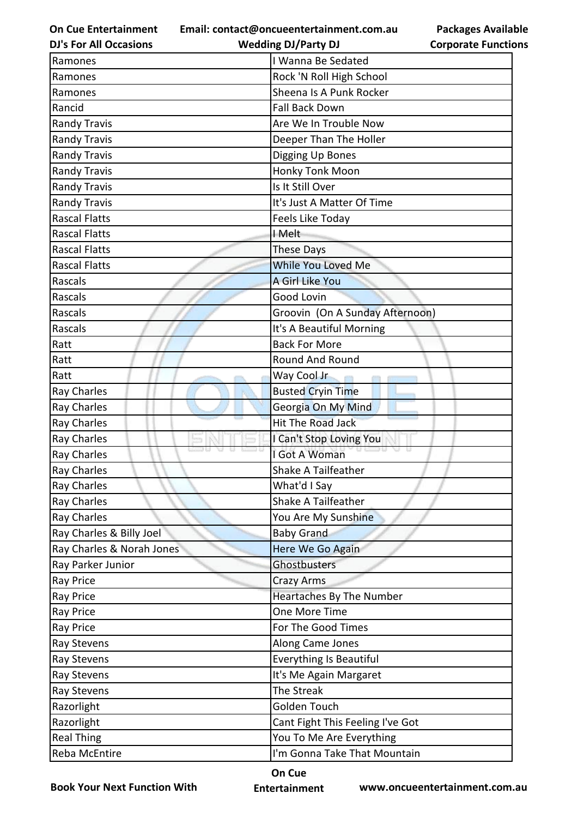**On Cue Entertainment Email: contact@oncueentertainment.com.au**

| <b>Packages Available</b>  |
|----------------------------|
| <b>Corporate Functions</b> |

| <b>DJ's For All Occasions</b> | <b>Wedding DJ/Party DJ</b>       | <b>Corporate Functio</b> |
|-------------------------------|----------------------------------|--------------------------|
| Ramones                       | I Wanna Be Sedated               |                          |
| Ramones                       | Rock 'N Roll High School         |                          |
| Ramones                       | Sheena Is A Punk Rocker          |                          |
| Rancid                        | <b>Fall Back Down</b>            |                          |
| <b>Randy Travis</b>           | Are We In Trouble Now            |                          |
| <b>Randy Travis</b>           | Deeper Than The Holler           |                          |
| <b>Randy Travis</b>           | Digging Up Bones                 |                          |
| <b>Randy Travis</b>           | Honky Tonk Moon                  |                          |
| <b>Randy Travis</b>           | Is It Still Over                 |                          |
| <b>Randy Travis</b>           | It's Just A Matter Of Time       |                          |
| <b>Rascal Flatts</b>          | Feels Like Today                 |                          |
| <b>Rascal Flatts</b>          | I Melt                           |                          |
| <b>Rascal Flatts</b>          | <b>These Days</b>                |                          |
| <b>Rascal Flatts</b>          | While You Loved Me               |                          |
| Rascals                       | A Girl Like You                  |                          |
| Rascals                       | Good Lovin                       |                          |
| Rascals                       | Groovin (On A Sunday Afternoon)  |                          |
| Rascals                       | It's A Beautiful Morning         |                          |
| Ratt                          | <b>Back For More</b>             |                          |
| Ratt                          | Round And Round                  |                          |
| Ratt                          | Way Cool Jr                      |                          |
| Ray Charles                   | <b>Busted Cryin Time</b>         |                          |
| <b>Ray Charles</b>            | Georgia On My Mind               |                          |
| <b>Ray Charles</b>            | <b>Hit The Road Jack</b>         |                          |
| Ray Charles                   | I Can't Stop Loving You          |                          |
| <b>Ray Charles</b>            | I Got A Woman                    |                          |
| Ray Charles                   | Shake A Tailfeather              |                          |
| <b>Ray Charles</b>            | What'd I Say                     |                          |
| <b>Ray Charles</b>            | Shake A Tailfeather              |                          |
| <b>Ray Charles</b>            | You Are My Sunshine              |                          |
| Ray Charles & Billy Joel      | <b>Baby Grand</b>                |                          |
| Ray Charles & Norah Jones     | Here We Go Again                 |                          |
| Ray Parker Junior             | Ghostbusters                     |                          |
| <b>Ray Price</b>              | Crazy Arms                       |                          |
| <b>Ray Price</b>              | Heartaches By The Number         |                          |
| <b>Ray Price</b>              | One More Time                    |                          |
| <b>Ray Price</b>              | For The Good Times               |                          |
| Ray Stevens                   | Along Came Jones                 |                          |
| Ray Stevens                   | <b>Everything Is Beautiful</b>   |                          |
| Ray Stevens                   | It's Me Again Margaret           |                          |
| Ray Stevens                   | The Streak                       |                          |
| Razorlight                    | Golden Touch                     |                          |
| Razorlight                    | Cant Fight This Feeling I've Got |                          |
| <b>Real Thing</b>             | You To Me Are Everything         |                          |
| Reba McEntire                 | I'm Gonna Take That Mountain     |                          |
|                               |                                  |                          |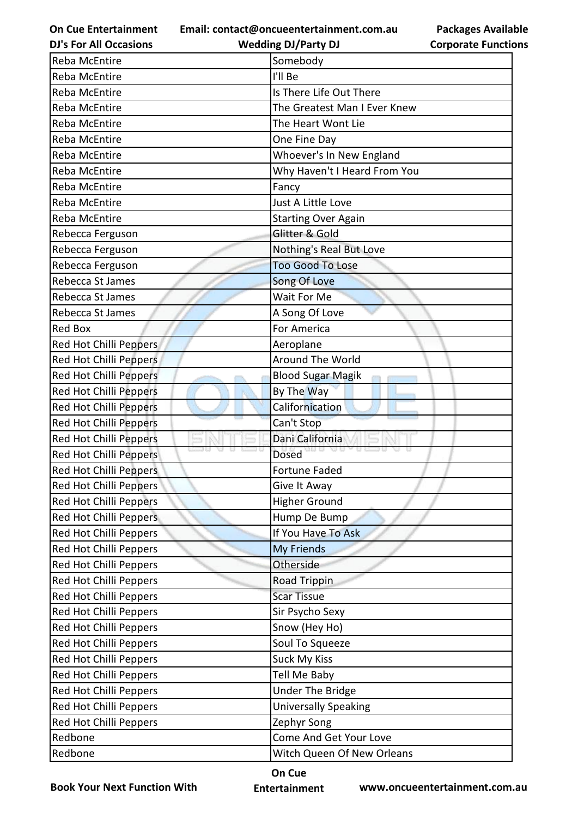**Email: contact@oncueentertainment.com.au Wedding DJ/Party DJ** 

**DJ's For All Occasions**

**Packages Available Corporate Functions**

| Reba McEntire          | Somebody                     |
|------------------------|------------------------------|
| <b>Reba McEntire</b>   | I'll Be                      |
| Reba McEntire          | Is There Life Out There      |
| Reba McEntire          | The Greatest Man I Ever Knew |
| Reba McEntire          | The Heart Wont Lie           |
| Reba McEntire          | One Fine Day                 |
| Reba McEntire          | Whoever's In New England     |
| Reba McEntire          | Why Haven't I Heard From You |
| Reba McEntire          | Fancy                        |
| Reba McEntire          | Just A Little Love           |
| Reba McEntire          | <b>Starting Over Again</b>   |
| Rebecca Ferguson       | Glitter & Gold               |
| Rebecca Ferguson       | Nothing's Real But Love      |
| Rebecca Ferguson       | <b>Too Good To Lose</b>      |
| Rebecca St James       | Song Of Love                 |
| Rebecca St James       | Wait For Me                  |
| Rebecca St James       | A Song Of Love               |
| <b>Red Box</b>         | For America                  |
| Red Hot Chilli Peppers | Aeroplane                    |
| Red Hot Chilli Peppers | Around The World             |
| Red Hot Chilli Peppers | <b>Blood Sugar Magik</b>     |
| Red Hot Chilli Peppers | By The Way                   |
| Red Hot Chilli Peppers | Californication              |
| Red Hot Chilli Peppers | Can't Stop                   |
| Red Hot Chilli Peppers | Dani California              |
| Red Hot Chilli Peppers | <b>Dosed</b>                 |
| Red Hot Chilli Peppers | <b>Fortune Faded</b>         |
| Red Hot Chilli Peppers | Give It Away                 |
| Red Hot Chilli Peppers | <b>Higher Ground</b>         |
| Red Hot Chilli Peppers | Hump De Bump                 |
| Red Hot Chilli Peppers | If You Have To Ask           |
| Red Hot Chilli Peppers | My Friends                   |
| Red Hot Chilli Peppers | Otherside                    |
| Red Hot Chilli Peppers | Road Trippin                 |
| Red Hot Chilli Peppers | <b>Scar Tissue</b>           |
| Red Hot Chilli Peppers | Sir Psycho Sexy              |
| Red Hot Chilli Peppers | Snow (Hey Ho)                |
| Red Hot Chilli Peppers | Soul To Squeeze              |
| Red Hot Chilli Peppers | <b>Suck My Kiss</b>          |
| Red Hot Chilli Peppers | Tell Me Baby                 |
| Red Hot Chilli Peppers | <b>Under The Bridge</b>      |
| Red Hot Chilli Peppers | <b>Universally Speaking</b>  |
| Red Hot Chilli Peppers | Zephyr Song                  |
| Redbone                | Come And Get Your Love       |
| Redbone                | Witch Queen Of New Orleans   |

**Book Your Next Function With**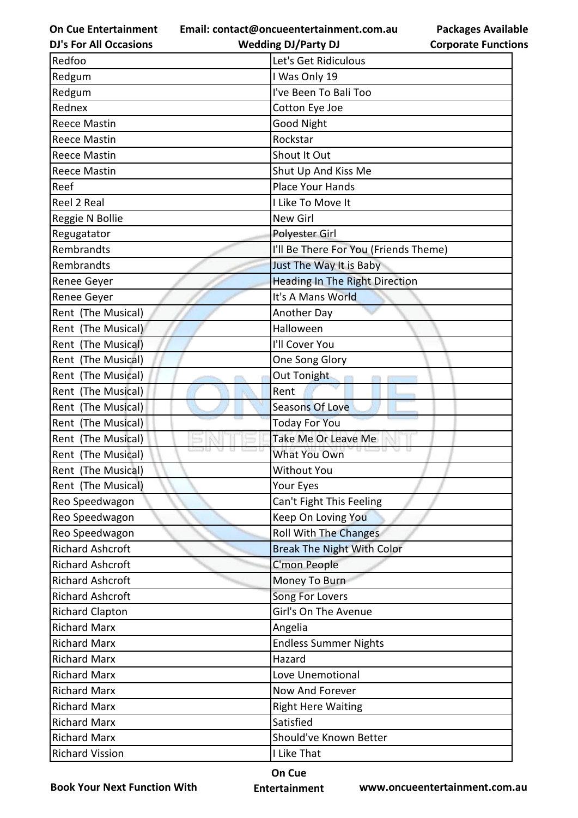**On Cue Entertainment Email: contact@oncueentertainment.com.au**

**Packages Available Corporate Functions**

| <b>DJ's For All Occasions</b> | <b>Wedding DJ/Party DJ</b>            | <b>Corporate Functio</b> |
|-------------------------------|---------------------------------------|--------------------------|
| Redfoo                        | Let's Get Ridiculous                  |                          |
| Redgum                        | I Was Only 19                         |                          |
| Redgum                        | I've Been To Bali Too                 |                          |
| Rednex                        | Cotton Eye Joe                        |                          |
| <b>Reece Mastin</b>           | <b>Good Night</b>                     |                          |
| <b>Reece Mastin</b>           | Rockstar                              |                          |
| <b>Reece Mastin</b>           | Shout It Out                          |                          |
| <b>Reece Mastin</b>           | Shut Up And Kiss Me                   |                          |
| Reef                          | Place Your Hands                      |                          |
| Reel 2 Real                   | I Like To Move It                     |                          |
| Reggie N Bollie               | <b>New Girl</b>                       |                          |
| Regugatator                   | <b>Polyester Girl</b>                 |                          |
| Rembrandts                    | I'll Be There For You (Friends Theme) |                          |
| Rembrandts                    | Just The Way It is Baby               |                          |
| Renee Geyer                   | <b>Heading In The Right Direction</b> |                          |
| Renee Geyer                   | It's A Mans World                     |                          |
| Rent (The Musical)            | Another Day                           |                          |
| Rent (The Musical)            | Halloween                             |                          |
| Rent (The Musical)            | I'll Cover You                        |                          |
| Rent (The Musical)            | One Song Glory                        |                          |
| Rent (The Musical)            | Out Tonight                           |                          |
| Rent (The Musical)            | Rent                                  |                          |
| Rent (The Musical)            | <b>Seasons Of Love</b>                |                          |
| Rent (The Musical)            | <b>Today For You</b>                  |                          |
| Rent (The Musical)            | Take Me Or Leave Me                   |                          |
| Rent (The Musical)            | What You Own                          |                          |
| Rent (The Musical)            | Without You                           |                          |
| Rent (The Musical)            | Your Eyes                             |                          |
| Reo Speedwagon                | Can't Fight This Feeling              |                          |
| Reo Speedwagon                | Keep On Loving You                    |                          |
| Reo Speedwagon                | <b>Roll With The Changes</b>          |                          |
| <b>Richard Ashcroft</b>       | <b>Break The Night With Color</b>     |                          |
| <b>Richard Ashcroft</b>       | C'mon People                          |                          |
| <b>Richard Ashcroft</b>       | Money To Burn                         |                          |
| <b>Richard Ashcroft</b>       | Song For Lovers                       |                          |
| <b>Richard Clapton</b>        | Girl's On The Avenue                  |                          |
| <b>Richard Marx</b>           | Angelia                               |                          |
| <b>Richard Marx</b>           | <b>Endless Summer Nights</b>          |                          |
| <b>Richard Marx</b>           | Hazard                                |                          |
| <b>Richard Marx</b>           | Love Unemotional                      |                          |
| <b>Richard Marx</b>           | Now And Forever                       |                          |
| <b>Richard Marx</b>           | <b>Right Here Waiting</b>             |                          |
| <b>Richard Marx</b>           | Satisfied                             |                          |
| <b>Richard Marx</b>           | Should've Known Better                |                          |
| <b>Richard Vission</b>        | I Like That                           |                          |
|                               |                                       |                          |

**Book Your Next Function With**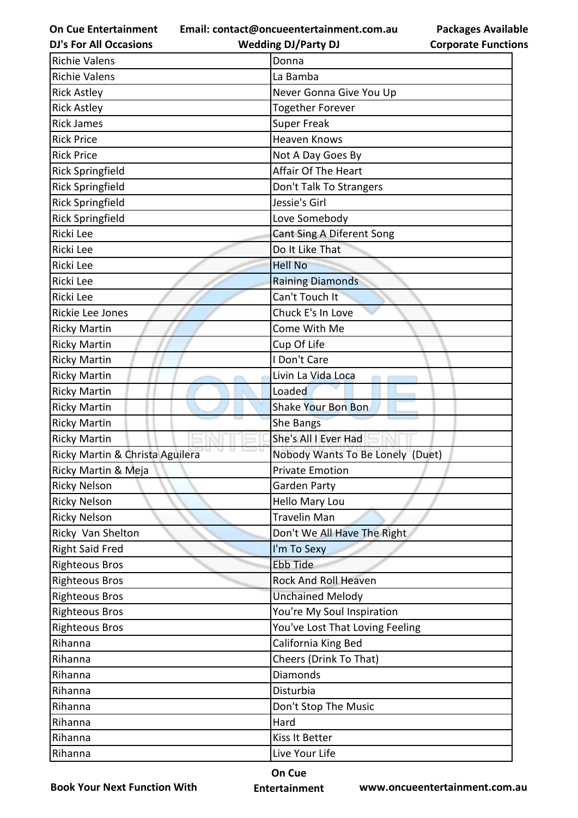**Email: contact@oncueentertainment.com.au**

**DJ's For All Occasions**

**Wedding DJ/Party DJ** 

**Packages Available Corporate Functions**

| <b>Richie Valens</b>            | Donna                            |
|---------------------------------|----------------------------------|
| <b>Richie Valens</b>            | La Bamba                         |
| <b>Rick Astley</b>              | Never Gonna Give You Up          |
| <b>Rick Astley</b>              | Together Forever                 |
| <b>Rick James</b>               | <b>Super Freak</b>               |
| <b>Rick Price</b>               | <b>Heaven Knows</b>              |
| <b>Rick Price</b>               | Not A Day Goes By                |
| <b>Rick Springfield</b>         | Affair Of The Heart              |
| <b>Rick Springfield</b>         | Don't Talk To Strangers          |
| <b>Rick Springfield</b>         | Jessie's Girl                    |
| <b>Rick Springfield</b>         | Love Somebody                    |
| Ricki Lee                       | Cant Sing A Diferent Song        |
| Ricki Lee                       | Do It Like That                  |
| Ricki Lee                       | <b>Hell No</b>                   |
| Ricki Lee                       | <b>Raining Diamonds</b>          |
| Ricki Lee                       | Can't Touch It                   |
| Rickie Lee Jones                | Chuck E's In Love                |
| <b>Ricky Martin</b>             | Come With Me                     |
| <b>Ricky Martin</b>             | Cup Of Life                      |
| <b>Ricky Martin</b>             | I Don't Care                     |
| <b>Ricky Martin</b>             | Livin La Vida Loca               |
| <b>Ricky Martin</b>             | Loaded                           |
| <b>Ricky Martin</b>             | Shake Your Bon Bon               |
| <b>Ricky Martin</b>             | She Bangs                        |
| <b>Ricky Martin</b>             | She's All I Ever Had             |
| Ricky Martin & Christa Aguilera | Nobody Wants To Be Lonely (Duet) |
| Ricky Martin & Meja             | <b>Private Emotion</b>           |
| <b>Ricky Nelson</b>             | Garden Party                     |
| <b>Ricky Nelson</b>             | Hello Mary Lou                   |
| <b>Ricky Nelson</b>             | <b>Travelin Man</b>              |
| Ricky Van Shelton               | Don't We All Have The Right      |
| <b>Right Said Fred</b>          | I'm To Sexy                      |
| <b>Righteous Bros</b>           | <b>Ebb Tide</b>                  |
| <b>Righteous Bros</b>           | Rock And Roll Heaven             |
| <b>Righteous Bros</b>           | <b>Unchained Melody</b>          |
| <b>Righteous Bros</b>           | You're My Soul Inspiration       |
| <b>Righteous Bros</b>           | You've Lost That Loving Feeling  |
| Rihanna                         | California King Bed              |
| Rihanna                         | Cheers (Drink To That)           |
| Rihanna                         | <b>Diamonds</b>                  |
| Rihanna                         | Disturbia                        |
| Rihanna                         | Don't Stop The Music             |
| Rihanna                         | Hard                             |
| Rihanna                         | Kiss It Better                   |
| Rihanna                         | Live Your Life                   |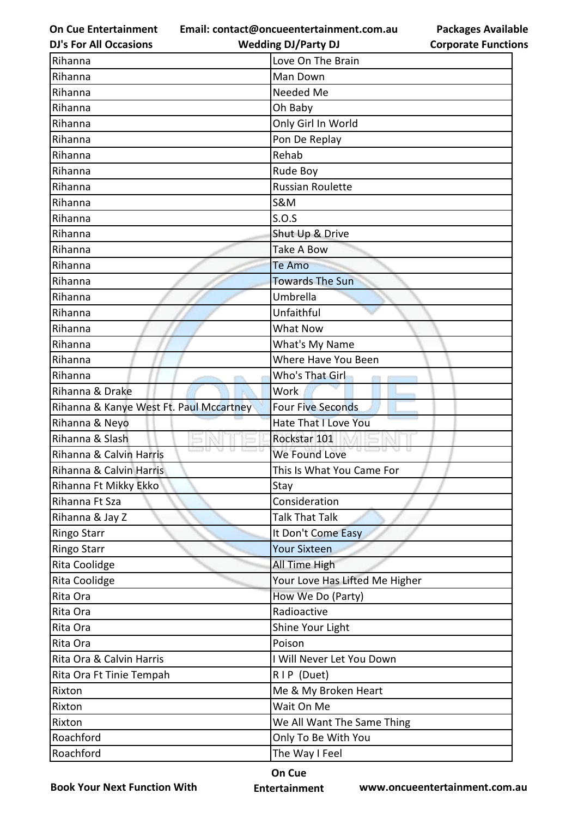**Email: contact@oncueentertainment.com.au**

**Corporate Functions**

**Packages Available** 

| <b>DJ's For All Occasions</b>           | <b>Wedding DJ/Party DJ</b><br><b>Corporate Functio</b> |
|-----------------------------------------|--------------------------------------------------------|
| Rihanna                                 | Love On The Brain                                      |
| Rihanna                                 | Man Down                                               |
| Rihanna                                 | Needed Me                                              |
| Rihanna                                 | Oh Baby                                                |
| Rihanna                                 | Only Girl In World                                     |
| Rihanna                                 | Pon De Replay                                          |
| Rihanna                                 | Rehab                                                  |
| Rihanna                                 | Rude Boy                                               |
| Rihanna                                 | <b>Russian Roulette</b>                                |
| Rihanna                                 | <b>S&amp;M</b>                                         |
| Rihanna                                 | S.O.S                                                  |
| Rihanna                                 | Shut Up & Drive                                        |
| Rihanna                                 | <b>Take A Bow</b>                                      |
| Rihanna                                 | <b>Te Amo</b>                                          |
| Rihanna                                 | <b>Towards The Sun</b>                                 |
| Rihanna                                 | Umbrella                                               |
| Rihanna                                 | Unfaithful                                             |
| Rihanna                                 | What Now                                               |
| Rihanna                                 | What's My Name                                         |
| Rihanna                                 | Where Have You Been                                    |
| Rihanna                                 | Who's That Girl                                        |
| Rihanna & Drake                         | Work                                                   |
| Rihanna & Kanye West Ft. Paul Mccartney | <b>Four Five Seconds</b>                               |
| Rihanna & Neyo                          | <b>Hate That I Love You</b>                            |
| Rihanna & Slash                         | Rockstar 101                                           |
| Rihanna & Calvin Harris                 | 82 ISSO U<br>We Found Love                             |
| Rihanna & Calvin Harris                 | This Is What You Came For                              |
| Rihanna Ft Mikky Ekko                   | Stay                                                   |
| Rihanna Ft Sza                          | Consideration                                          |
| Rihanna & Jay Z                         | <b>Talk That Talk</b>                                  |
| <b>Ringo Starr</b>                      | It Don't Come Easy                                     |
| <b>Ringo Starr</b>                      | <b>Your Sixteen</b>                                    |
| Rita Coolidge                           | All Time High                                          |
| Rita Coolidge                           | Your Love Has Lifted Me Higher                         |
| Rita Ora                                | How We Do (Party)                                      |
| Rita Ora                                | Radioactive                                            |
| Rita Ora                                | Shine Your Light                                       |
| Rita Ora                                | Poison                                                 |
| Rita Ora & Calvin Harris                | I Will Never Let You Down                              |
| Rita Ora Ft Tinie Tempah                | RIP (Duet)                                             |
| Rixton                                  | Me & My Broken Heart                                   |
| Rixton                                  | Wait On Me                                             |
| Rixton                                  | We All Want The Same Thing                             |
| Roachford                               | Only To Be With You                                    |
| Roachford                               | The Way I Feel                                         |
|                                         |                                                        |

**Book Your Next Function With**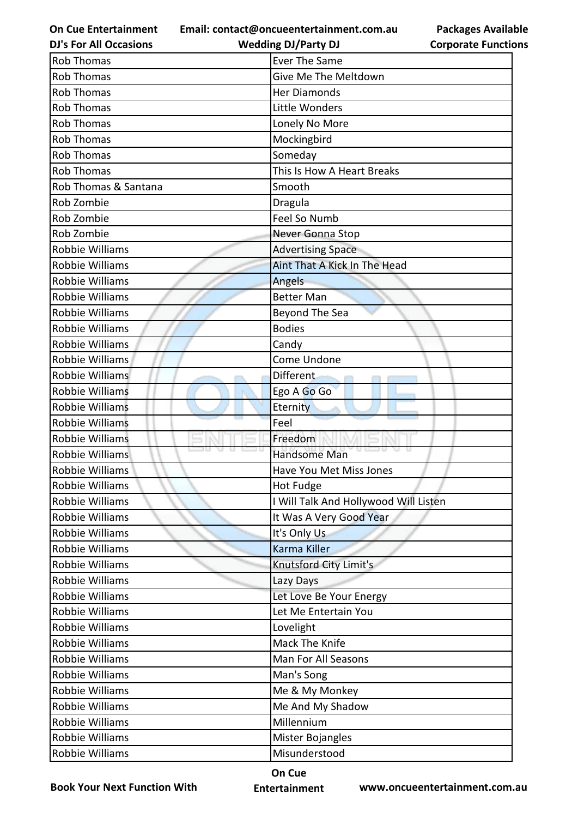**Email: contact@oncueentertainment.com.au**

|  | <b>DJ's For All Occasions</b> |
|--|-------------------------------|
|  |                               |

**Corporate Functions**

**Packages Available** 

| <b>DJ's For All Occasions</b> | <b>Wedding DJ/Party DJ</b>            | <b>Corporate Functio</b> |
|-------------------------------|---------------------------------------|--------------------------|
| <b>Rob Thomas</b>             | <b>Ever The Same</b>                  |                          |
| <b>Rob Thomas</b>             | Give Me The Meltdown                  |                          |
| <b>Rob Thomas</b>             | <b>Her Diamonds</b>                   |                          |
| <b>Rob Thomas</b>             | Little Wonders                        |                          |
| <b>Rob Thomas</b>             | Lonely No More                        |                          |
| <b>Rob Thomas</b>             | Mockingbird                           |                          |
| <b>Rob Thomas</b>             | Someday                               |                          |
| <b>Rob Thomas</b>             | This Is How A Heart Breaks            |                          |
| Rob Thomas & Santana          | Smooth                                |                          |
| Rob Zombie                    | Dragula                               |                          |
| Rob Zombie                    | Feel So Numb                          |                          |
| Rob Zombie                    | Never Gonna Stop                      |                          |
| Robbie Williams               | <b>Advertising Space</b>              |                          |
| Robbie Williams               | Aint That A Kick In The Head          |                          |
| <b>Robbie Williams</b>        | Angels                                |                          |
| <b>Robbie Williams</b>        | <b>Better Man</b>                     |                          |
| Robbie Williams               | Beyond The Sea                        |                          |
| <b>Robbie Williams</b>        | <b>Bodies</b>                         |                          |
| <b>Robbie Williams</b>        | Candy                                 |                          |
| Robbie Williams               | Come Undone                           |                          |
| Robbie Williams               | <b>Different</b>                      |                          |
| Robbie Williams               | Ego A Go Go                           |                          |
| <b>Robbie Williams</b>        | Eternity                              |                          |
| <b>Robbie Williams</b>        | Feel                                  |                          |
| <b>Robbie Williams</b>        | Freedom                               |                          |
| Robbie Williams               | Handsome Man                          |                          |
| Robbie Williams               | Have You Met Miss Jones               |                          |
| Robbie Williams               | <b>Hot Fudge</b>                      |                          |
| Robbie Williams               | I Will Talk And Hollywood Will Listen |                          |
| <b>Robbie Williams</b>        | It Was A Very Good Year               |                          |
| Robbie Williams               | It's Only Us                          |                          |
| Robbie Williams               | Karma Killer                          |                          |
| Robbie Williams               | Knutsford City Limit's                |                          |
| Robbie Williams               | Lazy Days                             |                          |
| Robbie Williams               | Let Love Be Your Energy               |                          |
| Robbie Williams               | Let Me Entertain You                  |                          |
| Robbie Williams               | Lovelight                             |                          |
| Robbie Williams               | Mack The Knife                        |                          |
| Robbie Williams               | Man For All Seasons                   |                          |
| Robbie Williams               | Man's Song                            |                          |
| Robbie Williams               | Me & My Monkey                        |                          |
| Robbie Williams               | Me And My Shadow                      |                          |
| Robbie Williams               | Millennium                            |                          |
| Robbie Williams               | Mister Bojangles                      |                          |
| Robbie Williams               | Misunderstood                         |                          |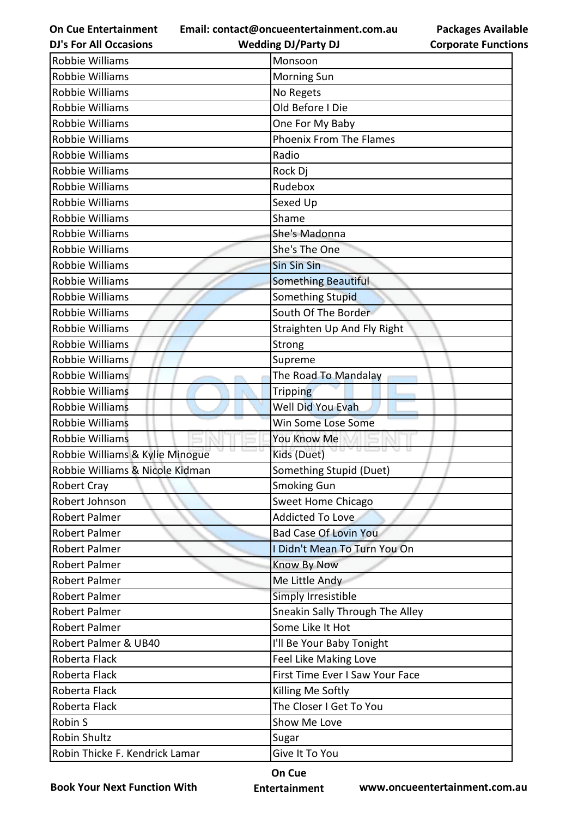**Email: contact@oncueentertainment.com.au Wedding DJ/Party DJ** 

**DJ's For All Occasions**

**Packages Available Corporate Functions**

| Robbie Williams                 | Monsoon                         |
|---------------------------------|---------------------------------|
| <b>Robbie Williams</b>          | <b>Morning Sun</b>              |
| Robbie Williams                 | No Regets                       |
| Robbie Williams                 | Old Before I Die                |
| Robbie Williams                 | One For My Baby                 |
| Robbie Williams                 | <b>Phoenix From The Flames</b>  |
| Robbie Williams                 | Radio                           |
| Robbie Williams                 | Rock Dj                         |
| <b>Robbie Williams</b>          | Rudebox                         |
| Robbie Williams                 | Sexed Up                        |
| Robbie Williams                 | Shame                           |
| <b>Robbie Williams</b>          | She's Madonna                   |
| Robbie Williams                 | She's The One                   |
| Robbie Williams                 | <b>Sin Sin Sin</b>              |
| Robbie Williams                 | <b>Something Beautiful</b>      |
| Robbie Williams                 | <b>Something Stupid</b>         |
| Robbie Williams                 | South Of The Border             |
| Robbie Williams                 | Straighten Up And Fly Right     |
| Robbie Williams                 | Strong                          |
| Robbie Williams                 | Supreme                         |
| Robbie Williams                 | The Road To Mandalay            |
| Robbie Williams                 | Tripping                        |
| <b>Robbie Williams</b>          | Well Did You Evah               |
| <b>Robbie Williams</b>          | Win Some Lose Some              |
| Robbie Williams                 | You Know Me                     |
| Robbie Williams & Kylie Minogue | Kids (Duet)                     |
| Robbie Williams & Nicole Kidman | Something Stupid (Duet)         |
| <b>Robert Cray</b>              | <b>Smoking Gun</b>              |
| Robert Johnson                  | Sweet Home Chicago              |
| <b>Robert Palmer</b>            | <b>Addicted To Love</b>         |
| <b>Robert Palmer</b>            | <b>Bad Case Of Lovin You</b>    |
| <b>Robert Palmer</b>            | I Didn't Mean To Turn You On    |
| <b>Robert Palmer</b>            | <b>Know By Now</b>              |
| <b>Robert Palmer</b>            | Me Little Andy                  |
| Robert Palmer                   | Simply Irresistible             |
| <b>Robert Palmer</b>            | Sneakin Sally Through The Alley |
| <b>Robert Palmer</b>            | Some Like It Hot                |
| Robert Palmer & UB40            | I'll Be Your Baby Tonight       |
| Roberta Flack                   | Feel Like Making Love           |
| Roberta Flack                   | First Time Ever I Saw Your Face |
| Roberta Flack                   | Killing Me Softly               |
| Roberta Flack                   | The Closer I Get To You         |
| Robin S                         | Show Me Love                    |
| <b>Robin Shultz</b>             | Sugar                           |
| Robin Thicke F. Kendrick Lamar  | Give It To You                  |

**Book Your Next Function With**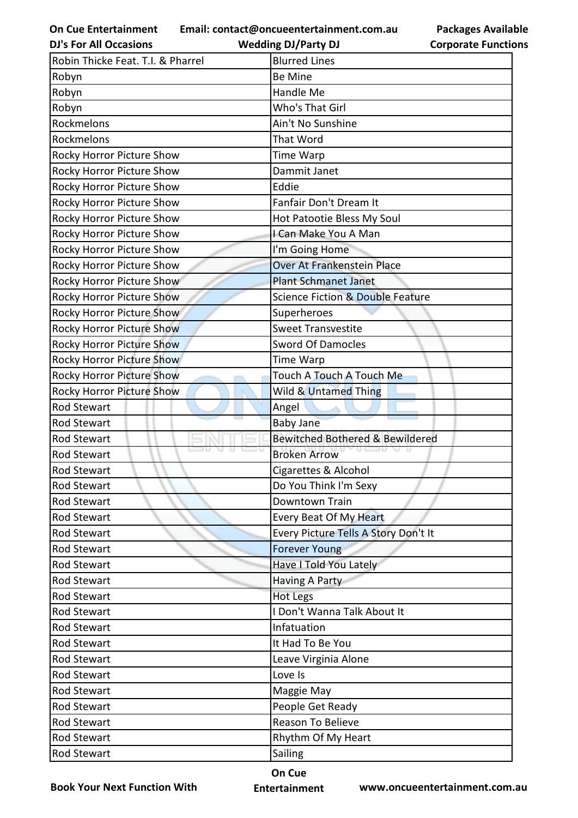**Email: contact@oncueentertainment.com.au Wedding DJ/Party DJ** 

**DJ's For All Occasions**

**Packages Available Corporate Functions**

| Robin Thicke Feat. T.I. & Pharrel | <b>Blurred Lines</b>                        |
|-----------------------------------|---------------------------------------------|
| Robyn                             | <b>Be Mine</b>                              |
| Robyn                             | Handle Me                                   |
| Robyn                             | Who's That Girl                             |
| Rockmelons                        | Ain't No Sunshine                           |
| Rockmelons                        | That Word                                   |
| Rocky Horror Picture Show         | <b>Time Warp</b>                            |
| Rocky Horror Picture Show         | Dammit Janet                                |
| Rocky Horror Picture Show         | Eddie                                       |
| Rocky Horror Picture Show         | Fanfair Don't Dream It                      |
| Rocky Horror Picture Show         | Hot Patootie Bless My Soul                  |
| Rocky Horror Picture Show         | I Can Make You A Man                        |
| Rocky Horror Picture Show         | I'm Going Home                              |
| Rocky Horror Picture Show         | Over At Frankenstein Place                  |
| Rocky Horror Picture Show         | <b>Plant Schmanet Janet</b>                 |
| Rocky Horror Picture Show         | <b>Science Fiction &amp; Double Feature</b> |
| Rocky Horror Picture Show         | Superheroes                                 |
| Rocky Horror Picture Show         | <b>Sweet Transvestite</b>                   |
| <b>Rocky Horror Picture Show</b>  | <b>Sword Of Damocles</b>                    |
| Rocky Horror Picture Show         | <b>Time Warp</b>                            |
| Rocky Horror Picture Show         | Touch A Touch A Touch Me                    |
| Rocky Horror Picture Show         | Wild & Untamed Thing                        |
| <b>Rod Stewart</b>                | Angel                                       |
| Rod Stewart                       | <b>Baby Jane</b>                            |
| <b>Rod Stewart</b>                | Bewitched Bothered & Bewildered             |
| <b>Rod Stewart</b>                | <b>Broken Arrow</b>                         |
| <b>Rod Stewart</b>                | Cigarettes & Alcohol                        |
| <b>Rod Stewart</b>                | Do You Think I'm Sexy                       |
| <b>Rod Stewart</b>                | Downtown Train                              |
| Rod Stewart                       | Every Beat Of My Heart                      |
| <b>Rod Stewart</b>                | Every Picture Tells A Story Don't It        |
| Rod Stewart                       | <b>Forever Young</b>                        |
| Rod Stewart                       | Have I Told You Lately                      |
| Rod Stewart                       | <b>Having A Party</b>                       |
| Rod Stewart                       | Hot Legs                                    |
| Rod Stewart                       | I Don't Wanna Talk About It                 |
| <b>Rod Stewart</b>                | Infatuation                                 |
| Rod Stewart                       | It Had To Be You                            |
| Rod Stewart                       | Leave Virginia Alone                        |
| Rod Stewart                       | Love Is                                     |
| Rod Stewart                       | Maggie May                                  |
| Rod Stewart                       | People Get Ready                            |
| Rod Stewart                       | Reason To Believe                           |
| Rod Stewart                       | Rhythm Of My Heart                          |
| Rod Stewart                       | Sailing                                     |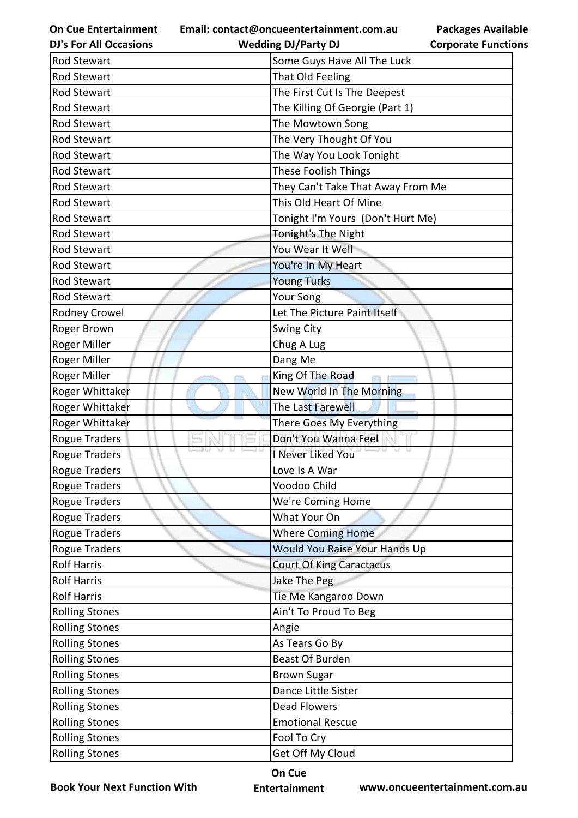**Email: contact@oncueentertainment.com.au Wedding DJ/Party DJ** 

**DJ's For All Occasions**

**Corporate Functions**

**Packages Available** 

| Rod Stewart           | Some Guys Have All The Luck       |
|-----------------------|-----------------------------------|
| <b>Rod Stewart</b>    | That Old Feeling                  |
| <b>Rod Stewart</b>    | The First Cut Is The Deepest      |
| <b>Rod Stewart</b>    | The Killing Of Georgie (Part 1)   |
| Rod Stewart           | The Mowtown Song                  |
| Rod Stewart           | The Very Thought Of You           |
| Rod Stewart           | The Way You Look Tonight          |
| Rod Stewart           | These Foolish Things              |
| <b>Rod Stewart</b>    | They Can't Take That Away From Me |
| Rod Stewart           | This Old Heart Of Mine            |
| Rod Stewart           | Tonight I'm Yours (Don't Hurt Me) |
| Rod Stewart           | Tonight's The Night               |
| Rod Stewart           | You Wear It Well                  |
| Rod Stewart           | You're In My Heart                |
| Rod Stewart           | <b>Young Turks</b>                |
| <b>Rod Stewart</b>    | Your Song                         |
| Rodney Crowel         | Let The Picture Paint Itself      |
| Roger Brown           | Swing City                        |
| Roger Miller          | Chug A Lug                        |
| Roger Miller          | Dang Me                           |
| Roger Miller          | King Of The Road                  |
| Roger Whittaker       | New World In The Morning          |
| Roger Whittaker       | The Last Farewell                 |
| Roger Whittaker       | There Goes My Everything          |
| <b>Rogue Traders</b>  | Don't You Wanna Feel              |
| <b>Rogue Traders</b>  | I Never Liked You                 |
| Rogue Traders         | Love Is A War                     |
| Rogue Traders         | Voodoo Child                      |
| Rogue Traders         | We're Coming Home                 |
| Rogue Traders         | What Your On                      |
| Rogue Traders         | Where Coming Home                 |
| Rogue Traders         | Would You Raise Your Hands Up     |
| <b>Rolf Harris</b>    | <b>Court Of King Caractacus</b>   |
| <b>Rolf Harris</b>    | Jake The Peg                      |
| <b>Rolf Harris</b>    | Tie Me Kangaroo Down              |
| <b>Rolling Stones</b> | Ain't To Proud To Beg             |
| <b>Rolling Stones</b> | Angie                             |
| <b>Rolling Stones</b> | As Tears Go By                    |
| <b>Rolling Stones</b> | Beast Of Burden                   |
| <b>Rolling Stones</b> | <b>Brown Sugar</b>                |
| <b>Rolling Stones</b> | Dance Little Sister               |
| <b>Rolling Stones</b> | <b>Dead Flowers</b>               |
| <b>Rolling Stones</b> | <b>Emotional Rescue</b>           |
| <b>Rolling Stones</b> | Fool To Cry                       |
| <b>Rolling Stones</b> | Get Off My Cloud                  |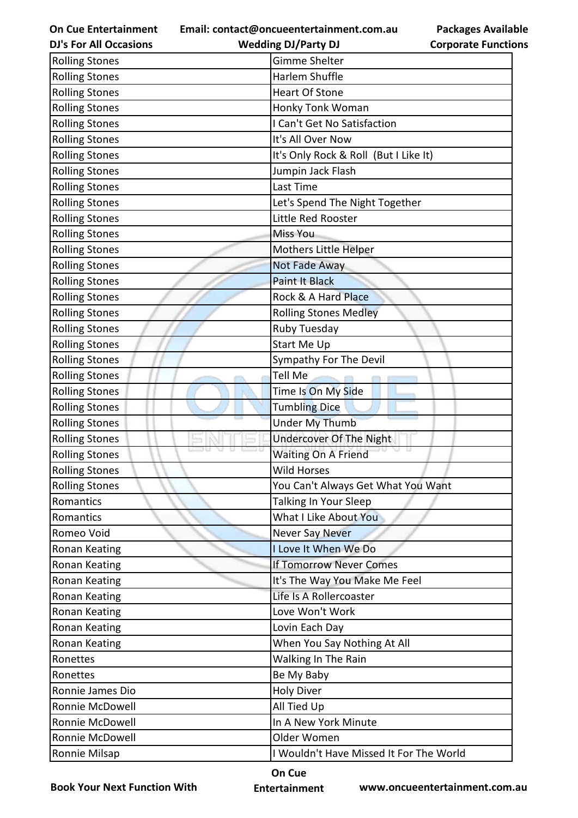**Email: contact@oncueentertainment.com.au**

**DJ's For All Occasions**

## **Packages Available Corporate Functions**

| <b>DJ's For All Occasions</b> | <b>Wedding DJ/Party DJ</b>              | <b>Corporate Functio</b> |
|-------------------------------|-----------------------------------------|--------------------------|
| <b>Rolling Stones</b>         | Gimme Shelter                           |                          |
| <b>Rolling Stones</b>         | Harlem Shuffle                          |                          |
| <b>Rolling Stones</b>         | <b>Heart Of Stone</b>                   |                          |
| <b>Rolling Stones</b>         | Honky Tonk Woman                        |                          |
| <b>Rolling Stones</b>         | I Can't Get No Satisfaction             |                          |
| <b>Rolling Stones</b>         | It's All Over Now                       |                          |
| <b>Rolling Stones</b>         | It's Only Rock & Roll (But I Like It)   |                          |
| <b>Rolling Stones</b>         | Jumpin Jack Flash                       |                          |
| <b>Rolling Stones</b>         | Last Time                               |                          |
| <b>Rolling Stones</b>         | Let's Spend The Night Together          |                          |
| <b>Rolling Stones</b>         | Little Red Rooster                      |                          |
| <b>Rolling Stones</b>         | <b>Miss You</b>                         |                          |
| <b>Rolling Stones</b>         | Mothers Little Helper                   |                          |
| <b>Rolling Stones</b>         | Not Fade Away                           |                          |
| <b>Rolling Stones</b>         | <b>Paint It Black</b>                   |                          |
| <b>Rolling Stones</b>         | Rock & A Hard Place                     |                          |
| <b>Rolling Stones</b>         | <b>Rolling Stones Medley</b>            |                          |
| <b>Rolling Stones</b>         | <b>Ruby Tuesday</b>                     |                          |
| <b>Rolling Stones</b>         | Start Me Up                             |                          |
| <b>Rolling Stones</b>         | Sympathy For The Devil                  |                          |
| <b>Rolling Stones</b>         | <b>Tell Me</b>                          |                          |
| <b>Rolling Stones</b>         | Time Is On My Side                      |                          |
| <b>Rolling Stones</b>         | <b>Tumbling Dice</b>                    |                          |
| <b>Rolling Stones</b>         | Under My Thumb                          |                          |
| <b>Rolling Stones</b>         | <b>Undercover Of The Night</b>          |                          |
| <b>Rolling Stones</b>         | <b>Waiting On A Friend</b>              |                          |
| <b>Rolling Stones</b>         | <b>Wild Horses</b>                      |                          |
| <b>Rolling Stones</b>         | You Can't Always Get What You Want      |                          |
| Romantics                     | Talking In Your Sleep                   |                          |
| Romantics                     | What I Like About You                   |                          |
| Romeo Void                    | <b>Never Say Never</b>                  |                          |
| <b>Ronan Keating</b>          | I Love It When We Do                    |                          |
| Ronan Keating                 | <b>If Tomorrow Never Comes</b>          |                          |
| Ronan Keating                 | It's The Way You Make Me Feel           |                          |
| <b>Ronan Keating</b>          | Life Is A Rollercoaster                 |                          |
| Ronan Keating                 | Love Won't Work                         |                          |
| Ronan Keating                 | Lovin Each Day                          |                          |
| Ronan Keating                 | When You Say Nothing At All             |                          |
| Ronettes                      | Walking In The Rain                     |                          |
| Ronettes                      | Be My Baby                              |                          |
| Ronnie James Dio              | <b>Holy Diver</b>                       |                          |
| Ronnie McDowell               | All Tied Up                             |                          |
| Ronnie McDowell               | In A New York Minute                    |                          |
| Ronnie McDowell               | Older Women                             |                          |
| Ronnie Milsap                 | I Wouldn't Have Missed It For The World |                          |

**Book Your Next Function With**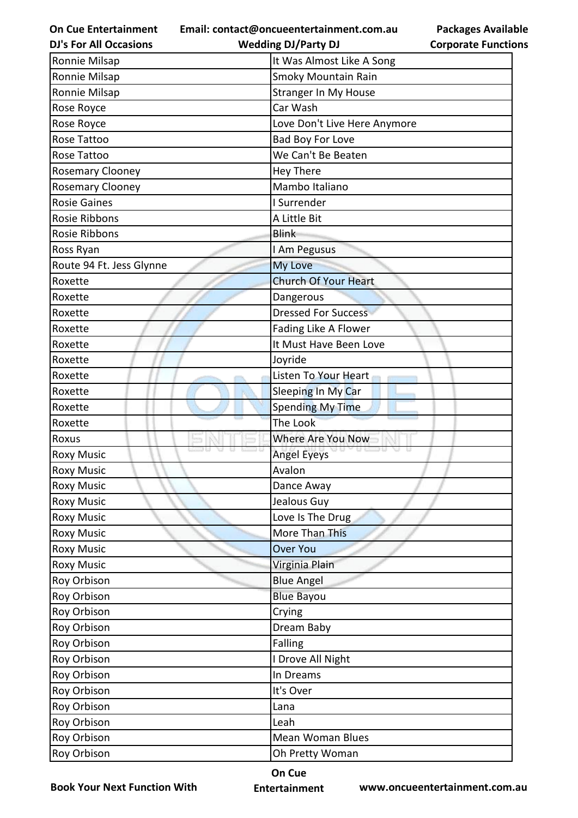**On Cue Entertainment Email: contact@oncueentertainment.com.au**

**Packages Available Corporate Functions**

| It Was Almost Like A Song<br>Ronnie Milsap<br>Ronnie Milsap<br>Smoky Mountain Rain<br>Ronnie Milsap<br><b>Stranger In My House</b><br>Rose Royce<br>Car Wash<br>Rose Royce<br>Love Don't Live Here Anymore<br>Rose Tattoo<br>Bad Boy For Love<br>We Can't Be Beaten<br>Rose Tattoo<br><b>Rosemary Clooney</b><br>Hey There<br>Mambo Italiano<br><b>Rosemary Clooney</b><br><b>Rosie Gaines</b><br>I Surrender<br>Rosie Ribbons<br>A Little Bit<br><b>Rosie Ribbons</b><br><b>Blink</b><br>Ross Ryan<br>I Am Pegusus<br>Route 94 Ft. Jess Glynne<br>My Love<br><b>Church Of Your Heart</b><br>Roxette<br>Roxette<br>Dangerous<br><b>Dressed For Success</b><br>Roxette<br>Fading Like A Flower<br>Roxette<br>It Must Have Been Love<br>Roxette<br>Joyride<br>Roxette<br>Listen To Your Heart<br>Roxette<br>Sleeping In My Car<br>Roxette<br><b>Spending My Time</b><br>Roxette<br>The Look<br>Roxette<br>Where Are You Now<br>Roxus<br>unio U<br><b>Angel Eyeys</b><br><b>Roxy Music</b><br><b>Roxy Music</b><br>Avalon<br><b>Roxy Music</b><br>Dance Away<br>Jealous Guy<br><b>Roxy Music</b><br>Love Is The Drug<br><b>Roxy Music</b><br>More Than This<br><b>Roxy Music</b><br>Over You<br><b>Roxy Music</b><br><b>Roxy Music</b><br>Virginia Plain<br>Roy Orbison<br><b>Blue Angel</b><br>Roy Orbison<br><b>Blue Bayou</b><br>Roy Orbison<br>Crying<br>Roy Orbison<br>Dream Baby<br>Roy Orbison<br><b>Falling</b><br>Roy Orbison<br>I Drove All Night | <b>DJ's For All Occasions</b> | <b>Wedding DJ/Party DJ</b> | <b>Corporate Functio</b> |
|----------------------------------------------------------------------------------------------------------------------------------------------------------------------------------------------------------------------------------------------------------------------------------------------------------------------------------------------------------------------------------------------------------------------------------------------------------------------------------------------------------------------------------------------------------------------------------------------------------------------------------------------------------------------------------------------------------------------------------------------------------------------------------------------------------------------------------------------------------------------------------------------------------------------------------------------------------------------------------------------------------------------------------------------------------------------------------------------------------------------------------------------------------------------------------------------------------------------------------------------------------------------------------------------------------------------------------------------------------------------------------------------------------------------------------------------------------|-------------------------------|----------------------------|--------------------------|
|                                                                                                                                                                                                                                                                                                                                                                                                                                                                                                                                                                                                                                                                                                                                                                                                                                                                                                                                                                                                                                                                                                                                                                                                                                                                                                                                                                                                                                                          |                               |                            |                          |
|                                                                                                                                                                                                                                                                                                                                                                                                                                                                                                                                                                                                                                                                                                                                                                                                                                                                                                                                                                                                                                                                                                                                                                                                                                                                                                                                                                                                                                                          |                               |                            |                          |
|                                                                                                                                                                                                                                                                                                                                                                                                                                                                                                                                                                                                                                                                                                                                                                                                                                                                                                                                                                                                                                                                                                                                                                                                                                                                                                                                                                                                                                                          |                               |                            |                          |
|                                                                                                                                                                                                                                                                                                                                                                                                                                                                                                                                                                                                                                                                                                                                                                                                                                                                                                                                                                                                                                                                                                                                                                                                                                                                                                                                                                                                                                                          |                               |                            |                          |
|                                                                                                                                                                                                                                                                                                                                                                                                                                                                                                                                                                                                                                                                                                                                                                                                                                                                                                                                                                                                                                                                                                                                                                                                                                                                                                                                                                                                                                                          |                               |                            |                          |
|                                                                                                                                                                                                                                                                                                                                                                                                                                                                                                                                                                                                                                                                                                                                                                                                                                                                                                                                                                                                                                                                                                                                                                                                                                                                                                                                                                                                                                                          |                               |                            |                          |
|                                                                                                                                                                                                                                                                                                                                                                                                                                                                                                                                                                                                                                                                                                                                                                                                                                                                                                                                                                                                                                                                                                                                                                                                                                                                                                                                                                                                                                                          |                               |                            |                          |
|                                                                                                                                                                                                                                                                                                                                                                                                                                                                                                                                                                                                                                                                                                                                                                                                                                                                                                                                                                                                                                                                                                                                                                                                                                                                                                                                                                                                                                                          |                               |                            |                          |
|                                                                                                                                                                                                                                                                                                                                                                                                                                                                                                                                                                                                                                                                                                                                                                                                                                                                                                                                                                                                                                                                                                                                                                                                                                                                                                                                                                                                                                                          |                               |                            |                          |
|                                                                                                                                                                                                                                                                                                                                                                                                                                                                                                                                                                                                                                                                                                                                                                                                                                                                                                                                                                                                                                                                                                                                                                                                                                                                                                                                                                                                                                                          |                               |                            |                          |
|                                                                                                                                                                                                                                                                                                                                                                                                                                                                                                                                                                                                                                                                                                                                                                                                                                                                                                                                                                                                                                                                                                                                                                                                                                                                                                                                                                                                                                                          |                               |                            |                          |
|                                                                                                                                                                                                                                                                                                                                                                                                                                                                                                                                                                                                                                                                                                                                                                                                                                                                                                                                                                                                                                                                                                                                                                                                                                                                                                                                                                                                                                                          |                               |                            |                          |
|                                                                                                                                                                                                                                                                                                                                                                                                                                                                                                                                                                                                                                                                                                                                                                                                                                                                                                                                                                                                                                                                                                                                                                                                                                                                                                                                                                                                                                                          |                               |                            |                          |
|                                                                                                                                                                                                                                                                                                                                                                                                                                                                                                                                                                                                                                                                                                                                                                                                                                                                                                                                                                                                                                                                                                                                                                                                                                                                                                                                                                                                                                                          |                               |                            |                          |
|                                                                                                                                                                                                                                                                                                                                                                                                                                                                                                                                                                                                                                                                                                                                                                                                                                                                                                                                                                                                                                                                                                                                                                                                                                                                                                                                                                                                                                                          |                               |                            |                          |
|                                                                                                                                                                                                                                                                                                                                                                                                                                                                                                                                                                                                                                                                                                                                                                                                                                                                                                                                                                                                                                                                                                                                                                                                                                                                                                                                                                                                                                                          |                               |                            |                          |
|                                                                                                                                                                                                                                                                                                                                                                                                                                                                                                                                                                                                                                                                                                                                                                                                                                                                                                                                                                                                                                                                                                                                                                                                                                                                                                                                                                                                                                                          |                               |                            |                          |
|                                                                                                                                                                                                                                                                                                                                                                                                                                                                                                                                                                                                                                                                                                                                                                                                                                                                                                                                                                                                                                                                                                                                                                                                                                                                                                                                                                                                                                                          |                               |                            |                          |
|                                                                                                                                                                                                                                                                                                                                                                                                                                                                                                                                                                                                                                                                                                                                                                                                                                                                                                                                                                                                                                                                                                                                                                                                                                                                                                                                                                                                                                                          |                               |                            |                          |
|                                                                                                                                                                                                                                                                                                                                                                                                                                                                                                                                                                                                                                                                                                                                                                                                                                                                                                                                                                                                                                                                                                                                                                                                                                                                                                                                                                                                                                                          |                               |                            |                          |
|                                                                                                                                                                                                                                                                                                                                                                                                                                                                                                                                                                                                                                                                                                                                                                                                                                                                                                                                                                                                                                                                                                                                                                                                                                                                                                                                                                                                                                                          |                               |                            |                          |
|                                                                                                                                                                                                                                                                                                                                                                                                                                                                                                                                                                                                                                                                                                                                                                                                                                                                                                                                                                                                                                                                                                                                                                                                                                                                                                                                                                                                                                                          |                               |                            |                          |
|                                                                                                                                                                                                                                                                                                                                                                                                                                                                                                                                                                                                                                                                                                                                                                                                                                                                                                                                                                                                                                                                                                                                                                                                                                                                                                                                                                                                                                                          |                               |                            |                          |
|                                                                                                                                                                                                                                                                                                                                                                                                                                                                                                                                                                                                                                                                                                                                                                                                                                                                                                                                                                                                                                                                                                                                                                                                                                                                                                                                                                                                                                                          |                               |                            |                          |
|                                                                                                                                                                                                                                                                                                                                                                                                                                                                                                                                                                                                                                                                                                                                                                                                                                                                                                                                                                                                                                                                                                                                                                                                                                                                                                                                                                                                                                                          |                               |                            |                          |
|                                                                                                                                                                                                                                                                                                                                                                                                                                                                                                                                                                                                                                                                                                                                                                                                                                                                                                                                                                                                                                                                                                                                                                                                                                                                                                                                                                                                                                                          |                               |                            |                          |
|                                                                                                                                                                                                                                                                                                                                                                                                                                                                                                                                                                                                                                                                                                                                                                                                                                                                                                                                                                                                                                                                                                                                                                                                                                                                                                                                                                                                                                                          |                               |                            |                          |
|                                                                                                                                                                                                                                                                                                                                                                                                                                                                                                                                                                                                                                                                                                                                                                                                                                                                                                                                                                                                                                                                                                                                                                                                                                                                                                                                                                                                                                                          |                               |                            |                          |
|                                                                                                                                                                                                                                                                                                                                                                                                                                                                                                                                                                                                                                                                                                                                                                                                                                                                                                                                                                                                                                                                                                                                                                                                                                                                                                                                                                                                                                                          |                               |                            |                          |
|                                                                                                                                                                                                                                                                                                                                                                                                                                                                                                                                                                                                                                                                                                                                                                                                                                                                                                                                                                                                                                                                                                                                                                                                                                                                                                                                                                                                                                                          |                               |                            |                          |
|                                                                                                                                                                                                                                                                                                                                                                                                                                                                                                                                                                                                                                                                                                                                                                                                                                                                                                                                                                                                                                                                                                                                                                                                                                                                                                                                                                                                                                                          |                               |                            |                          |
|                                                                                                                                                                                                                                                                                                                                                                                                                                                                                                                                                                                                                                                                                                                                                                                                                                                                                                                                                                                                                                                                                                                                                                                                                                                                                                                                                                                                                                                          |                               |                            |                          |
|                                                                                                                                                                                                                                                                                                                                                                                                                                                                                                                                                                                                                                                                                                                                                                                                                                                                                                                                                                                                                                                                                                                                                                                                                                                                                                                                                                                                                                                          |                               |                            |                          |
|                                                                                                                                                                                                                                                                                                                                                                                                                                                                                                                                                                                                                                                                                                                                                                                                                                                                                                                                                                                                                                                                                                                                                                                                                                                                                                                                                                                                                                                          |                               |                            |                          |
|                                                                                                                                                                                                                                                                                                                                                                                                                                                                                                                                                                                                                                                                                                                                                                                                                                                                                                                                                                                                                                                                                                                                                                                                                                                                                                                                                                                                                                                          |                               |                            |                          |
|                                                                                                                                                                                                                                                                                                                                                                                                                                                                                                                                                                                                                                                                                                                                                                                                                                                                                                                                                                                                                                                                                                                                                                                                                                                                                                                                                                                                                                                          |                               |                            |                          |
|                                                                                                                                                                                                                                                                                                                                                                                                                                                                                                                                                                                                                                                                                                                                                                                                                                                                                                                                                                                                                                                                                                                                                                                                                                                                                                                                                                                                                                                          |                               |                            |                          |
|                                                                                                                                                                                                                                                                                                                                                                                                                                                                                                                                                                                                                                                                                                                                                                                                                                                                                                                                                                                                                                                                                                                                                                                                                                                                                                                                                                                                                                                          |                               |                            |                          |
|                                                                                                                                                                                                                                                                                                                                                                                                                                                                                                                                                                                                                                                                                                                                                                                                                                                                                                                                                                                                                                                                                                                                                                                                                                                                                                                                                                                                                                                          |                               |                            |                          |
|                                                                                                                                                                                                                                                                                                                                                                                                                                                                                                                                                                                                                                                                                                                                                                                                                                                                                                                                                                                                                                                                                                                                                                                                                                                                                                                                                                                                                                                          | Roy Orbison                   | In Dreams                  |                          |
| Roy Orbison<br>It's Over                                                                                                                                                                                                                                                                                                                                                                                                                                                                                                                                                                                                                                                                                                                                                                                                                                                                                                                                                                                                                                                                                                                                                                                                                                                                                                                                                                                                                                 |                               |                            |                          |
| Roy Orbison<br>Lana                                                                                                                                                                                                                                                                                                                                                                                                                                                                                                                                                                                                                                                                                                                                                                                                                                                                                                                                                                                                                                                                                                                                                                                                                                                                                                                                                                                                                                      |                               |                            |                          |
| Roy Orbison<br>Leah                                                                                                                                                                                                                                                                                                                                                                                                                                                                                                                                                                                                                                                                                                                                                                                                                                                                                                                                                                                                                                                                                                                                                                                                                                                                                                                                                                                                                                      |                               |                            |                          |
| Roy Orbison<br><b>Mean Woman Blues</b>                                                                                                                                                                                                                                                                                                                                                                                                                                                                                                                                                                                                                                                                                                                                                                                                                                                                                                                                                                                                                                                                                                                                                                                                                                                                                                                                                                                                                   |                               |                            |                          |
| Roy Orbison<br>Oh Pretty Woman                                                                                                                                                                                                                                                                                                                                                                                                                                                                                                                                                                                                                                                                                                                                                                                                                                                                                                                                                                                                                                                                                                                                                                                                                                                                                                                                                                                                                           |                               |                            |                          |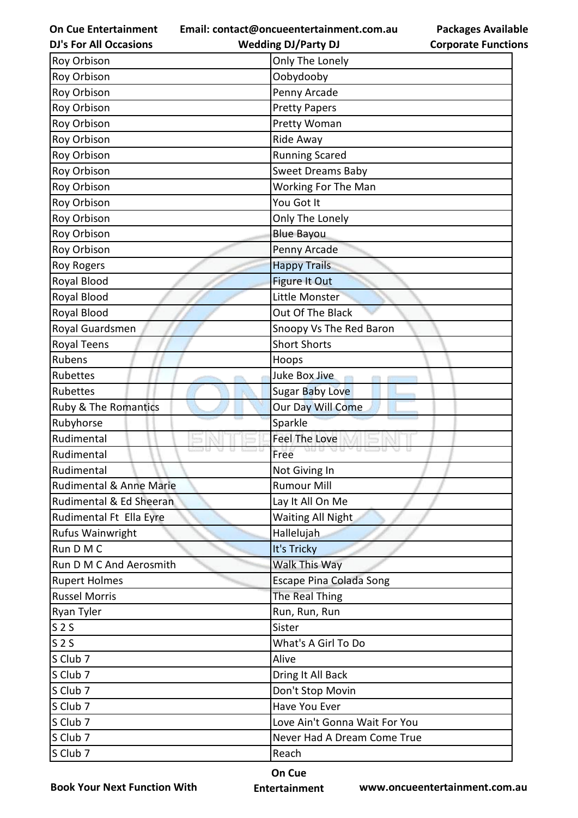**Email: contact@oncueentertainment.com.au**

**DJ's For All Occasions**

**Packages Available Corporate Functions**

| <b>DJ's For All Occasions</b> | <b>Wedding DJ/Party DJ</b>          | <b>Corporate Functio</b> |
|-------------------------------|-------------------------------------|--------------------------|
| Roy Orbison                   | Only The Lonely                     |                          |
| Roy Orbison                   | Oobydooby                           |                          |
| Roy Orbison                   | Penny Arcade                        |                          |
| Roy Orbison                   | <b>Pretty Papers</b>                |                          |
| Roy Orbison                   | Pretty Woman                        |                          |
| Roy Orbison                   | Ride Away                           |                          |
| Roy Orbison                   | <b>Running Scared</b>               |                          |
| Roy Orbison                   | <b>Sweet Dreams Baby</b>            |                          |
| Roy Orbison                   | Working For The Man                 |                          |
| Roy Orbison                   | You Got It                          |                          |
| Roy Orbison                   | Only The Lonely                     |                          |
| Roy Orbison                   | <b>Blue Bayou</b>                   |                          |
| Roy Orbison                   | Penny Arcade                        |                          |
| <b>Roy Rogers</b>             | <b>Happy Trails</b>                 |                          |
| Royal Blood                   | <b>Figure It Out</b>                |                          |
| Royal Blood                   | Little Monster                      |                          |
| Royal Blood                   | Out Of The Black                    |                          |
| Royal Guardsmen               | Snoopy Vs The Red Baron             |                          |
| Royal Teens                   | <b>Short Shorts</b>                 |                          |
| Rubens                        | Hoops                               |                          |
| Rubettes                      | Juke Box Jive                       |                          |
| Rubettes                      | <b>Sugar Baby Love</b>              |                          |
| Ruby & The Romantics          | Our Day Will Come                   |                          |
| Rubyhorse                     | Sparkle                             |                          |
| Rudimental                    | <b>Feel The Love</b>                |                          |
| Rudimental                    | <b>O</b> m<br>us e<br>YU 12<br>Free |                          |
| Rudimental                    | Not Giving In                       |                          |
| Rudimental & Anne Marie       | <b>Rumour Mill</b>                  |                          |
| Rudimental & Ed Sheeran       | Lay It All On Me                    |                          |
| Rudimental Ft Ella Eyre       | <b>Waiting All Night</b>            |                          |
| Rufus Wainwright              | Hallelujah                          |                          |
| Run D M C                     | It's Tricky                         |                          |
| Run D M C And Aerosmith       | Walk This Way                       |                          |
| <b>Rupert Holmes</b>          | <b>Escape Pina Colada Song</b>      |                          |
| <b>Russel Morris</b>          | The Real Thing                      |                          |
| Ryan Tyler                    | Run, Run, Run                       |                          |
| S <sub>2</sub> S              | Sister                              |                          |
| S <sub>2</sub> S              | What's A Girl To Do                 |                          |
| S Club 7                      | Alive                               |                          |
| S Club 7                      | Dring It All Back                   |                          |
| S Club 7                      | Don't Stop Movin                    |                          |
| S Club 7                      | Have You Ever                       |                          |
| S Club 7                      | Love Ain't Gonna Wait For You       |                          |
| S Club 7                      | Never Had A Dream Come True         |                          |
| S Club 7                      | Reach                               |                          |
|                               |                                     |                          |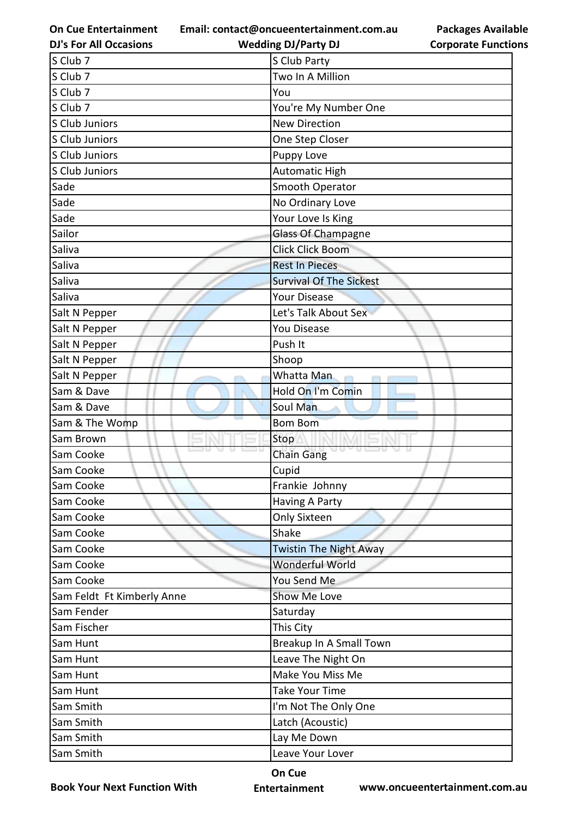**On Cue Entertainment DJ's For All Occasions**

**Email: contact@oncueentertainment.com.au Wedding DJ/Party DJ** 

| S Club 7                   | S Club Party                   |
|----------------------------|--------------------------------|
| S Club 7                   | Two In A Million               |
| S Club 7                   | You                            |
| S Club 7                   | You're My Number One           |
| S Club Juniors             | <b>New Direction</b>           |
| S Club Juniors             | One Step Closer                |
| S Club Juniors             | Puppy Love                     |
| S Club Juniors             | Automatic High                 |
| Sade                       | Smooth Operator                |
| Sade                       | No Ordinary Love               |
| Sade                       | Your Love Is King              |
| Sailor                     | <b>Glass Of Champagne</b>      |
| Saliva                     | <b>Click Click Boom</b>        |
| Saliva                     | <b>Rest In Pieces</b>          |
| Saliva                     | <b>Survival Of The Sickest</b> |
| Saliva                     | Your Disease                   |
| Salt N Pepper              | Let's Talk About Sex           |
| Salt N Pepper              | <b>You Disease</b>             |
| Salt N Pepper              | Push It                        |
| Salt N Pepper              | Shoop                          |
| Salt N Pepper              | Whatta Man                     |
| Sam & Dave                 | Hold On I'm Comin              |
| Sam & Dave                 | Soul Man                       |
| Sam & The Womp             | <b>Bom Bom</b>                 |
| Sam Brown                  | Stop                           |
| Sam Cooke                  | <b>Chain Gang</b>              |
| Sam Cooke                  | Cupid                          |
| lSam Cooke                 | Frankie Johnny                 |
| Sam Cooke                  | Having A Party                 |
| Sam Cooke                  | <b>Only Sixteen</b>            |
| Sam Cooke                  | Shake                          |
| Sam Cooke                  | <b>Twistin The Night Away</b>  |
| Sam Cooke                  | Wonderful World                |
| Sam Cooke                  | You Send Me                    |
| Sam Feldt Ft Kimberly Anne | Show Me Love                   |
| Sam Fender                 | Saturday                       |
| Sam Fischer                | This City                      |
| Sam Hunt                   | Breakup In A Small Town        |
| Sam Hunt                   | Leave The Night On             |
| Sam Hunt                   | Make You Miss Me               |
| Sam Hunt                   | <b>Take Your Time</b>          |
| Sam Smith                  | I'm Not The Only One           |
| Sam Smith                  | Latch (Acoustic)               |
| Sam Smith                  | Lay Me Down                    |
| Sam Smith                  | Leave Your Lover               |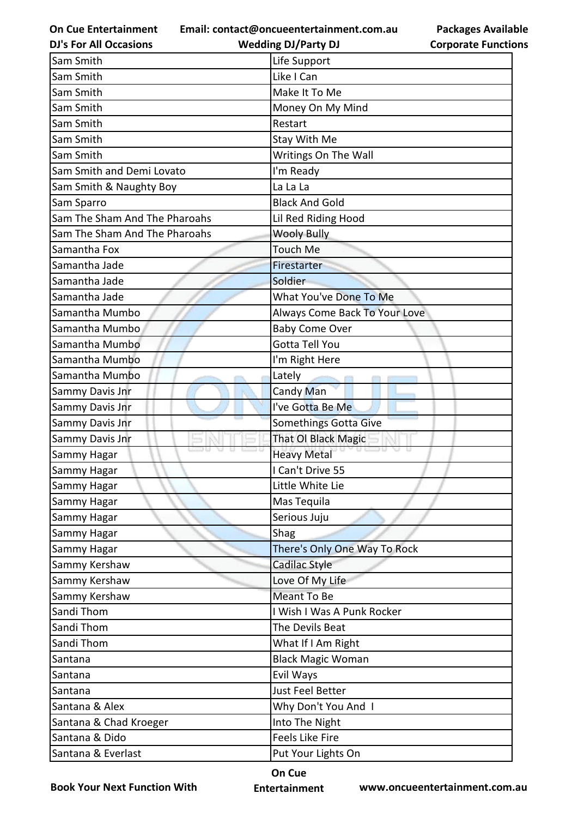**Email: contact@oncueentertainment.com.au Wedding DJ/Party DJ** 

**DJ's For All Occasions**

**Packages Available Corporate Functions**

| Sam Smith                     | Life Support                  |
|-------------------------------|-------------------------------|
| Sam Smith                     | Like I Can                    |
| Sam Smith                     | Make It To Me                 |
| Sam Smith                     | Money On My Mind              |
| Sam Smith                     | Restart                       |
| Sam Smith                     | Stay With Me                  |
| Sam Smith                     | Writings On The Wall          |
| Sam Smith and Demi Lovato     | I'm Ready                     |
| Sam Smith & Naughty Boy       | La La La                      |
| Sam Sparro                    | <b>Black And Gold</b>         |
| Sam The Sham And The Pharoahs | Lil Red Riding Hood           |
| Sam The Sham And The Pharoahs | <b>Wooly Bully</b>            |
| Samantha Fox                  | <b>Touch Me</b>               |
| Samantha Jade                 | Firestarter                   |
| Samantha Jade                 | Soldier                       |
| Samantha Jade                 | What You've Done To Me        |
| Samantha Mumbo                | Always Come Back To Your Love |
| Samantha Mumbo                | <b>Baby Come Over</b>         |
| Samantha Mumbo                | <b>Gotta Tell You</b>         |
| Samantha Mumbo                | I'm Right Here                |
| Samantha Mumbo                | Lately                        |
| Sammy Davis Jnr               | Candy Man                     |
| Sammy Davis Jnr               | I've Gotta Be Me              |
| Sammy Davis Jnr               | Somethings Gotta Give         |
| Sammy Davis Jnr               | That OI Black Magic           |
| Sammy Hagar                   | <b>Heavy Metal</b>            |
| Sammy Hagar                   | I Can't Drive 55              |
| Sammy Hagar                   | Little White Lie              |
| Sammy Hagar                   | Mas Tequila                   |
| Sammy Hagar                   | Serious Juju                  |
| Sammy Hagar                   | Shag                          |
| Sammy Hagar                   | There's Only One Way To Rock  |
| Sammy Kershaw                 | Cadilac Style                 |
| Sammy Kershaw                 | Love Of My Life               |
| Sammy Kershaw                 | Meant To Be                   |
| Sandi Thom                    | I Wish I Was A Punk Rocker    |
| Sandi Thom                    | The Devils Beat               |
| Sandi Thom                    | What If I Am Right            |
| Santana                       | <b>Black Magic Woman</b>      |
| Santana                       | Evil Ways                     |
| Santana                       | Just Feel Better              |
| Santana & Alex                | Why Don't You And I           |
| Santana & Chad Kroeger        | Into The Night                |
| Santana & Dido                | <b>Feels Like Fire</b>        |
| Santana & Everlast            | Put Your Lights On            |

**Book Your Next Function With**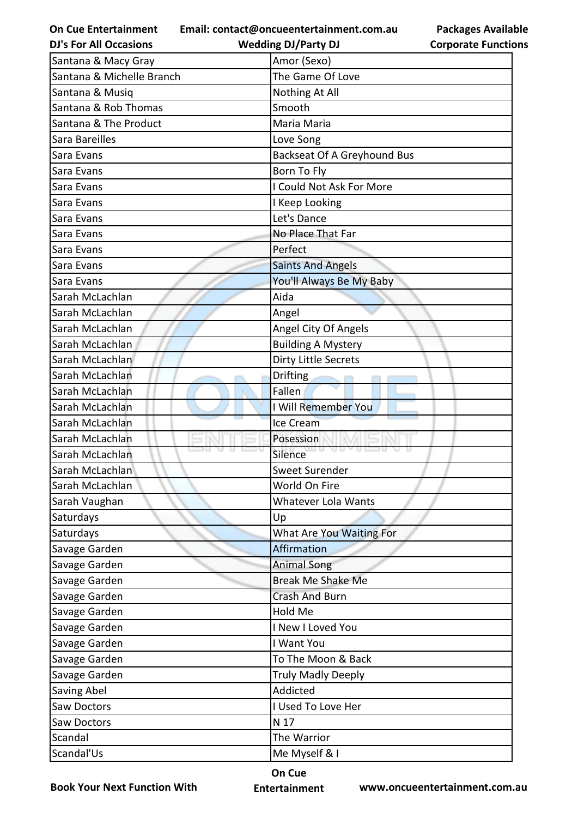**Email: contact@oncueentertainment.com.au**

**Packages Available Corporate Functions**

| <b>DJ's For All Occasions</b> | <b>Wedding DJ/Party DJ</b>         | <b>Corporate Function</b> |
|-------------------------------|------------------------------------|---------------------------|
| Santana & Macy Gray           | Amor (Sexo)                        |                           |
| Santana & Michelle Branch     | The Game Of Love                   |                           |
| Santana & Musiq               | Nothing At All                     |                           |
| Santana & Rob Thomas          | Smooth                             |                           |
| Santana & The Product         | Maria Maria                        |                           |
| Sara Bareilles                | Love Song                          |                           |
| Sara Evans                    | <b>Backseat Of A Greyhound Bus</b> |                           |
| Sara Evans                    | Born To Fly                        |                           |
| Sara Evans                    | I Could Not Ask For More           |                           |
| Sara Evans                    | I Keep Looking                     |                           |
| Sara Evans                    | Let's Dance                        |                           |
| Sara Evans                    | No Place That Far                  |                           |
| Sara Evans                    | Perfect                            |                           |
| Sara Evans                    | <b>Saints And Angels</b>           |                           |
| Sara Evans                    | You'll Always Be My Baby           |                           |
| Sarah McLachlan               | Aida                               |                           |
| Sarah McLachlan               | Angel                              |                           |
| Sarah McLachlan               | Angel City Of Angels               |                           |
| Sarah McLachlan               | <b>Building A Mystery</b>          |                           |
| Sarah McLachlan               | <b>Dirty Little Secrets</b>        |                           |
| Sarah McLachlan               | <b>Drifting</b>                    |                           |
| Sarah McLachlan               | Fallen                             |                           |
| Sarah McLachlan               | I Will Remember You                |                           |
| Sarah McLachlan               | Ice Cream                          |                           |
| Sarah McLachlan               | Posession                          |                           |
| Sarah McLachlan               | 18 A.B<br>Silence                  |                           |
| Sarah McLachlan               | <b>Sweet Surender</b>              |                           |
| Sarah McLachlan               | World On Fire                      |                           |
| Sarah Vaughan                 | <b>Whatever Lola Wants</b>         |                           |
| Saturdays                     | Up                                 |                           |
| Saturdays                     | What Are You Waiting For           |                           |
| Savage Garden                 | Affirmation                        |                           |
| Savage Garden                 | <b>Animal Song</b>                 |                           |
| Savage Garden                 | <b>Break Me Shake Me</b>           |                           |
| Savage Garden                 | <b>Crash And Burn</b>              |                           |
| Savage Garden                 | Hold Me                            |                           |
| Savage Garden                 | I New I Loved You                  |                           |
| Savage Garden                 | I Want You                         |                           |
| Savage Garden                 | To The Moon & Back                 |                           |
| Savage Garden                 | <b>Truly Madly Deeply</b>          |                           |
| Saving Abel                   | Addicted                           |                           |
| Saw Doctors                   | I Used To Love Her                 |                           |
| Saw Doctors                   | N 17                               |                           |
| Scandal                       | The Warrior                        |                           |
| Scandal'Us                    | Me Myself & I                      |                           |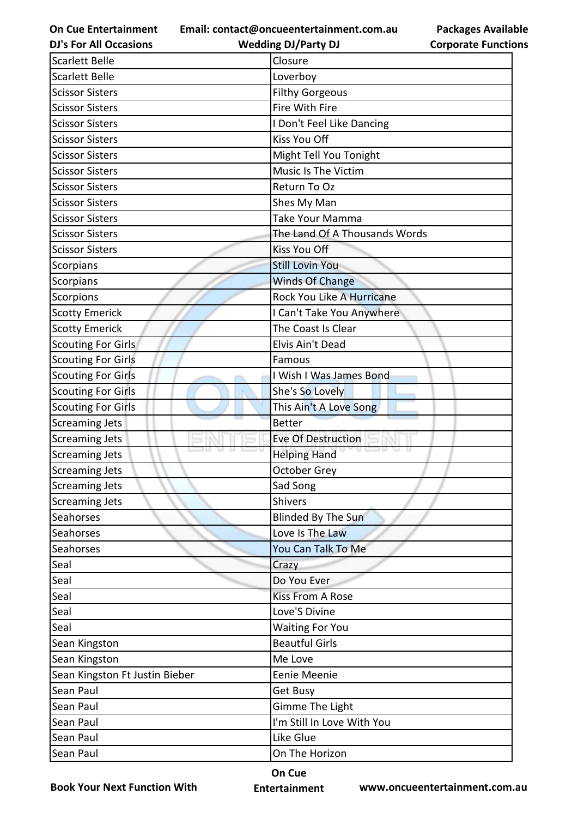**Email: contact@oncueentertainment.com.au Wedding DJ/Party DJ** 

**DJ's For All Occasions**

**Packages Available Corporate Functions**

| <b>Scarlett Belle</b><br>Loverboy<br><b>Scissor Sisters</b><br><b>Filthy Gorgeous</b><br>Fire With Fire<br><b>Scissor Sisters</b><br>I Don't Feel Like Dancing<br><b>Scissor Sisters</b><br><b>Kiss You Off</b><br><b>Scissor Sisters</b><br>Might Tell You Tonight<br><b>Scissor Sisters</b><br>Music Is The Victim<br><b>Scissor Sisters</b><br><b>Scissor Sisters</b><br>Return To Oz<br><b>Scissor Sisters</b><br>Shes My Man<br><b>Scissor Sisters</b><br><b>Take Your Mamma</b><br>The Land Of A Thousands Words<br><b>Scissor Sisters</b><br><b>Kiss You Off</b><br><b>Scissor Sisters</b><br><b>Still Lovin You</b><br>Scorpians<br><b>Winds Of Change</b><br>Scorpians<br>Scorpions<br>Rock You Like A Hurricane<br><b>Scotty Emerick</b><br>I Can't Take You Anywhere<br><b>Scotty Emerick</b><br>The Coast Is Clear<br><b>Scouting For Girls</b><br>Elvis Ain't Dead<br><b>Scouting For Girls</b><br>Famous<br><b>Scouting For Girls</b><br>I Wish I Was James Bond<br><b>Scouting For Girls</b><br>She's So Lovely<br><b>Scouting For Girls</b><br>This Ain't A Love Song<br><b>Screaming Jets</b><br><b>Better</b><br><b>Screaming Jets</b><br>Eve Of Destruction<br><b>Helping Hand</b><br><b>Screaming Jets</b><br><b>October Grey</b><br>Screaming Jets<br>Sad Song<br>Shivers<br>Blinded By The Sun<br>Seahorses<br>Love Is The Law<br>You Can Talk To Me<br>Seal<br>Crazy<br>Do You Ever<br>Seal<br>Seal<br><b>Kiss From A Rose</b><br>Seal<br>Love'S Divine<br>Seal<br><b>Waiting For You</b><br><b>Beautful Girls</b><br>Sean Kingston<br>Me Love<br>Sean Kingston Ft Justin Bieber<br>Eenie Meenie<br>Sean Paul<br>Get Busy<br>Gimme The Light<br>I'm Still In Love With You<br>Sean Paul | <b>Scarlett Belle</b> | Closure |
|----------------------------------------------------------------------------------------------------------------------------------------------------------------------------------------------------------------------------------------------------------------------------------------------------------------------------------------------------------------------------------------------------------------------------------------------------------------------------------------------------------------------------------------------------------------------------------------------------------------------------------------------------------------------------------------------------------------------------------------------------------------------------------------------------------------------------------------------------------------------------------------------------------------------------------------------------------------------------------------------------------------------------------------------------------------------------------------------------------------------------------------------------------------------------------------------------------------------------------------------------------------------------------------------------------------------------------------------------------------------------------------------------------------------------------------------------------------------------------------------------------------------------------------------------------------------------------------------------------------------------------------------------------------------------------------------------------------|-----------------------|---------|
|                                                                                                                                                                                                                                                                                                                                                                                                                                                                                                                                                                                                                                                                                                                                                                                                                                                                                                                                                                                                                                                                                                                                                                                                                                                                                                                                                                                                                                                                                                                                                                                                                                                                                                                |                       |         |
|                                                                                                                                                                                                                                                                                                                                                                                                                                                                                                                                                                                                                                                                                                                                                                                                                                                                                                                                                                                                                                                                                                                                                                                                                                                                                                                                                                                                                                                                                                                                                                                                                                                                                                                |                       |         |
|                                                                                                                                                                                                                                                                                                                                                                                                                                                                                                                                                                                                                                                                                                                                                                                                                                                                                                                                                                                                                                                                                                                                                                                                                                                                                                                                                                                                                                                                                                                                                                                                                                                                                                                |                       |         |
|                                                                                                                                                                                                                                                                                                                                                                                                                                                                                                                                                                                                                                                                                                                                                                                                                                                                                                                                                                                                                                                                                                                                                                                                                                                                                                                                                                                                                                                                                                                                                                                                                                                                                                                |                       |         |
|                                                                                                                                                                                                                                                                                                                                                                                                                                                                                                                                                                                                                                                                                                                                                                                                                                                                                                                                                                                                                                                                                                                                                                                                                                                                                                                                                                                                                                                                                                                                                                                                                                                                                                                |                       |         |
|                                                                                                                                                                                                                                                                                                                                                                                                                                                                                                                                                                                                                                                                                                                                                                                                                                                                                                                                                                                                                                                                                                                                                                                                                                                                                                                                                                                                                                                                                                                                                                                                                                                                                                                |                       |         |
|                                                                                                                                                                                                                                                                                                                                                                                                                                                                                                                                                                                                                                                                                                                                                                                                                                                                                                                                                                                                                                                                                                                                                                                                                                                                                                                                                                                                                                                                                                                                                                                                                                                                                                                |                       |         |
|                                                                                                                                                                                                                                                                                                                                                                                                                                                                                                                                                                                                                                                                                                                                                                                                                                                                                                                                                                                                                                                                                                                                                                                                                                                                                                                                                                                                                                                                                                                                                                                                                                                                                                                |                       |         |
|                                                                                                                                                                                                                                                                                                                                                                                                                                                                                                                                                                                                                                                                                                                                                                                                                                                                                                                                                                                                                                                                                                                                                                                                                                                                                                                                                                                                                                                                                                                                                                                                                                                                                                                |                       |         |
|                                                                                                                                                                                                                                                                                                                                                                                                                                                                                                                                                                                                                                                                                                                                                                                                                                                                                                                                                                                                                                                                                                                                                                                                                                                                                                                                                                                                                                                                                                                                                                                                                                                                                                                |                       |         |
|                                                                                                                                                                                                                                                                                                                                                                                                                                                                                                                                                                                                                                                                                                                                                                                                                                                                                                                                                                                                                                                                                                                                                                                                                                                                                                                                                                                                                                                                                                                                                                                                                                                                                                                |                       |         |
|                                                                                                                                                                                                                                                                                                                                                                                                                                                                                                                                                                                                                                                                                                                                                                                                                                                                                                                                                                                                                                                                                                                                                                                                                                                                                                                                                                                                                                                                                                                                                                                                                                                                                                                |                       |         |
|                                                                                                                                                                                                                                                                                                                                                                                                                                                                                                                                                                                                                                                                                                                                                                                                                                                                                                                                                                                                                                                                                                                                                                                                                                                                                                                                                                                                                                                                                                                                                                                                                                                                                                                |                       |         |
|                                                                                                                                                                                                                                                                                                                                                                                                                                                                                                                                                                                                                                                                                                                                                                                                                                                                                                                                                                                                                                                                                                                                                                                                                                                                                                                                                                                                                                                                                                                                                                                                                                                                                                                |                       |         |
|                                                                                                                                                                                                                                                                                                                                                                                                                                                                                                                                                                                                                                                                                                                                                                                                                                                                                                                                                                                                                                                                                                                                                                                                                                                                                                                                                                                                                                                                                                                                                                                                                                                                                                                |                       |         |
|                                                                                                                                                                                                                                                                                                                                                                                                                                                                                                                                                                                                                                                                                                                                                                                                                                                                                                                                                                                                                                                                                                                                                                                                                                                                                                                                                                                                                                                                                                                                                                                                                                                                                                                |                       |         |
|                                                                                                                                                                                                                                                                                                                                                                                                                                                                                                                                                                                                                                                                                                                                                                                                                                                                                                                                                                                                                                                                                                                                                                                                                                                                                                                                                                                                                                                                                                                                                                                                                                                                                                                |                       |         |
|                                                                                                                                                                                                                                                                                                                                                                                                                                                                                                                                                                                                                                                                                                                                                                                                                                                                                                                                                                                                                                                                                                                                                                                                                                                                                                                                                                                                                                                                                                                                                                                                                                                                                                                |                       |         |
|                                                                                                                                                                                                                                                                                                                                                                                                                                                                                                                                                                                                                                                                                                                                                                                                                                                                                                                                                                                                                                                                                                                                                                                                                                                                                                                                                                                                                                                                                                                                                                                                                                                                                                                |                       |         |
|                                                                                                                                                                                                                                                                                                                                                                                                                                                                                                                                                                                                                                                                                                                                                                                                                                                                                                                                                                                                                                                                                                                                                                                                                                                                                                                                                                                                                                                                                                                                                                                                                                                                                                                |                       |         |
|                                                                                                                                                                                                                                                                                                                                                                                                                                                                                                                                                                                                                                                                                                                                                                                                                                                                                                                                                                                                                                                                                                                                                                                                                                                                                                                                                                                                                                                                                                                                                                                                                                                                                                                |                       |         |
|                                                                                                                                                                                                                                                                                                                                                                                                                                                                                                                                                                                                                                                                                                                                                                                                                                                                                                                                                                                                                                                                                                                                                                                                                                                                                                                                                                                                                                                                                                                                                                                                                                                                                                                |                       |         |
|                                                                                                                                                                                                                                                                                                                                                                                                                                                                                                                                                                                                                                                                                                                                                                                                                                                                                                                                                                                                                                                                                                                                                                                                                                                                                                                                                                                                                                                                                                                                                                                                                                                                                                                |                       |         |
|                                                                                                                                                                                                                                                                                                                                                                                                                                                                                                                                                                                                                                                                                                                                                                                                                                                                                                                                                                                                                                                                                                                                                                                                                                                                                                                                                                                                                                                                                                                                                                                                                                                                                                                |                       |         |
|                                                                                                                                                                                                                                                                                                                                                                                                                                                                                                                                                                                                                                                                                                                                                                                                                                                                                                                                                                                                                                                                                                                                                                                                                                                                                                                                                                                                                                                                                                                                                                                                                                                                                                                |                       |         |
|                                                                                                                                                                                                                                                                                                                                                                                                                                                                                                                                                                                                                                                                                                                                                                                                                                                                                                                                                                                                                                                                                                                                                                                                                                                                                                                                                                                                                                                                                                                                                                                                                                                                                                                | <b>Screaming Jets</b> |         |
|                                                                                                                                                                                                                                                                                                                                                                                                                                                                                                                                                                                                                                                                                                                                                                                                                                                                                                                                                                                                                                                                                                                                                                                                                                                                                                                                                                                                                                                                                                                                                                                                                                                                                                                |                       |         |
|                                                                                                                                                                                                                                                                                                                                                                                                                                                                                                                                                                                                                                                                                                                                                                                                                                                                                                                                                                                                                                                                                                                                                                                                                                                                                                                                                                                                                                                                                                                                                                                                                                                                                                                | <b>Screaming Jets</b> |         |
|                                                                                                                                                                                                                                                                                                                                                                                                                                                                                                                                                                                                                                                                                                                                                                                                                                                                                                                                                                                                                                                                                                                                                                                                                                                                                                                                                                                                                                                                                                                                                                                                                                                                                                                |                       |         |
|                                                                                                                                                                                                                                                                                                                                                                                                                                                                                                                                                                                                                                                                                                                                                                                                                                                                                                                                                                                                                                                                                                                                                                                                                                                                                                                                                                                                                                                                                                                                                                                                                                                                                                                | Seahorses             |         |
|                                                                                                                                                                                                                                                                                                                                                                                                                                                                                                                                                                                                                                                                                                                                                                                                                                                                                                                                                                                                                                                                                                                                                                                                                                                                                                                                                                                                                                                                                                                                                                                                                                                                                                                | Seahorses             |         |
|                                                                                                                                                                                                                                                                                                                                                                                                                                                                                                                                                                                                                                                                                                                                                                                                                                                                                                                                                                                                                                                                                                                                                                                                                                                                                                                                                                                                                                                                                                                                                                                                                                                                                                                |                       |         |
|                                                                                                                                                                                                                                                                                                                                                                                                                                                                                                                                                                                                                                                                                                                                                                                                                                                                                                                                                                                                                                                                                                                                                                                                                                                                                                                                                                                                                                                                                                                                                                                                                                                                                                                |                       |         |
|                                                                                                                                                                                                                                                                                                                                                                                                                                                                                                                                                                                                                                                                                                                                                                                                                                                                                                                                                                                                                                                                                                                                                                                                                                                                                                                                                                                                                                                                                                                                                                                                                                                                                                                |                       |         |
|                                                                                                                                                                                                                                                                                                                                                                                                                                                                                                                                                                                                                                                                                                                                                                                                                                                                                                                                                                                                                                                                                                                                                                                                                                                                                                                                                                                                                                                                                                                                                                                                                                                                                                                |                       |         |
|                                                                                                                                                                                                                                                                                                                                                                                                                                                                                                                                                                                                                                                                                                                                                                                                                                                                                                                                                                                                                                                                                                                                                                                                                                                                                                                                                                                                                                                                                                                                                                                                                                                                                                                |                       |         |
|                                                                                                                                                                                                                                                                                                                                                                                                                                                                                                                                                                                                                                                                                                                                                                                                                                                                                                                                                                                                                                                                                                                                                                                                                                                                                                                                                                                                                                                                                                                                                                                                                                                                                                                |                       |         |
|                                                                                                                                                                                                                                                                                                                                                                                                                                                                                                                                                                                                                                                                                                                                                                                                                                                                                                                                                                                                                                                                                                                                                                                                                                                                                                                                                                                                                                                                                                                                                                                                                                                                                                                | Sean Kingston         |         |
|                                                                                                                                                                                                                                                                                                                                                                                                                                                                                                                                                                                                                                                                                                                                                                                                                                                                                                                                                                                                                                                                                                                                                                                                                                                                                                                                                                                                                                                                                                                                                                                                                                                                                                                |                       |         |
|                                                                                                                                                                                                                                                                                                                                                                                                                                                                                                                                                                                                                                                                                                                                                                                                                                                                                                                                                                                                                                                                                                                                                                                                                                                                                                                                                                                                                                                                                                                                                                                                                                                                                                                |                       |         |
|                                                                                                                                                                                                                                                                                                                                                                                                                                                                                                                                                                                                                                                                                                                                                                                                                                                                                                                                                                                                                                                                                                                                                                                                                                                                                                                                                                                                                                                                                                                                                                                                                                                                                                                | Sean Paul             |         |
|                                                                                                                                                                                                                                                                                                                                                                                                                                                                                                                                                                                                                                                                                                                                                                                                                                                                                                                                                                                                                                                                                                                                                                                                                                                                                                                                                                                                                                                                                                                                                                                                                                                                                                                |                       |         |
| Like Glue<br>Sean Paul                                                                                                                                                                                                                                                                                                                                                                                                                                                                                                                                                                                                                                                                                                                                                                                                                                                                                                                                                                                                                                                                                                                                                                                                                                                                                                                                                                                                                                                                                                                                                                                                                                                                                         |                       |         |
| On The Horizon<br>Sean Paul                                                                                                                                                                                                                                                                                                                                                                                                                                                                                                                                                                                                                                                                                                                                                                                                                                                                                                                                                                                                                                                                                                                                                                                                                                                                                                                                                                                                                                                                                                                                                                                                                                                                                    |                       |         |

**Book Your Next Function With**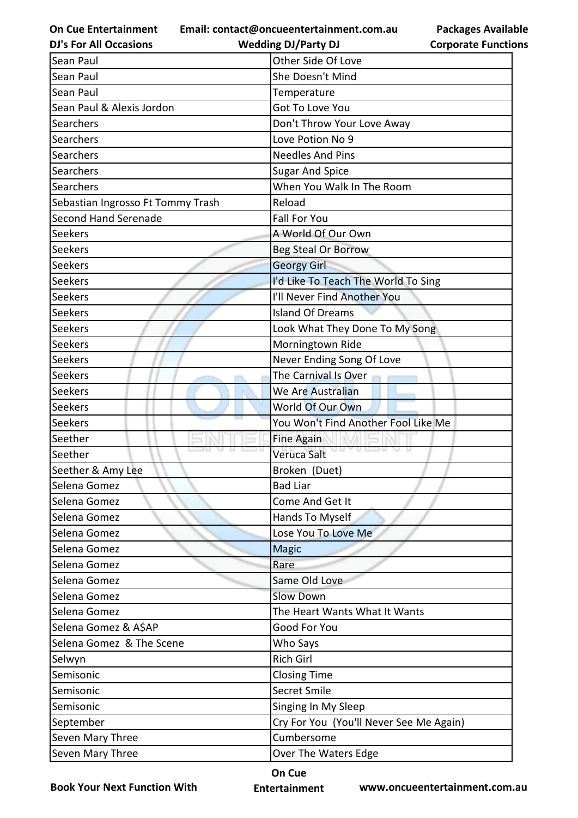**Email: contact@oncueentertainment.com.au**

| com.au | <b>Package</b> |  |
|--------|----------------|--|
|        | Cornorate      |  |

**Packages Available Corporate Functions**

| <b>DJ's For All Occasions</b>     | <b>Wedding DJ/Party DJ</b>              | <b>Corporate Functio</b> |
|-----------------------------------|-----------------------------------------|--------------------------|
| Sean Paul                         | Other Side Of Love                      |                          |
| Sean Paul                         | She Doesn't Mind                        |                          |
| Sean Paul                         | Temperature                             |                          |
| Sean Paul & Alexis Jordon         | Got To Love You                         |                          |
| Searchers                         | Don't Throw Your Love Away              |                          |
| Searchers                         | Love Potion No 9                        |                          |
| Searchers                         | <b>Needles And Pins</b>                 |                          |
| Searchers                         | <b>Sugar And Spice</b>                  |                          |
| Searchers                         | When You Walk In The Room               |                          |
| Sebastian Ingrosso Ft Tommy Trash | Reload                                  |                          |
| Second Hand Serenade              | <b>Fall For You</b>                     |                          |
| <b>Seekers</b>                    | A World Of Our Own                      |                          |
| Seekers                           | <b>Beg Steal Or Borrow</b>              |                          |
| <b>Seekers</b>                    | <b>Georgy Girl</b>                      |                          |
| Seekers                           | I'd Like To Teach The World To Sing     |                          |
| Seekers                           | I'll Never Find Another You             |                          |
| <b>Seekers</b>                    | <b>Island Of Dreams</b>                 |                          |
| <b>Seekers</b>                    | Look What They Done To My Song          |                          |
| <b>Seekers</b>                    | Morningtown Ride                        |                          |
| <b>Seekers</b>                    | Never Ending Song Of Love               |                          |
| <b>Seekers</b>                    | The Carnival Is Over                    |                          |
| Seekers                           | We Are Australian                       |                          |
| Seekers                           | World Of Our Own                        |                          |
| Seekers                           | You Won't Find Another Fool Like Me     |                          |
| Seether                           | <b>Fine Again</b>                       |                          |
| Seether                           | <b>Veruca Salt</b>                      |                          |
| Seether & Amy Lee                 | Broken (Duet)                           |                          |
| Selena Gomez                      | <b>Bad Liar</b>                         |                          |
| Selena Gomez                      | Come And Get It                         |                          |
| Selena Gomez                      | Hands To Myself                         |                          |
| Selena Gomez                      | Lose You To Love Me                     |                          |
| Selena Gomez                      | <b>Magic</b>                            |                          |
| Selena Gomez                      | Rare                                    |                          |
| Selena Gomez                      | Same Old Love                           |                          |
| Selena Gomez                      | <b>Slow Down</b>                        |                          |
| Selena Gomez                      | The Heart Wants What It Wants           |                          |
| Selena Gomez & A\$AP              | Good For You                            |                          |
| Selena Gomez & The Scene          | Who Says                                |                          |
| Selwyn                            | <b>Rich Girl</b>                        |                          |
| Semisonic                         | <b>Closing Time</b>                     |                          |
| Semisonic                         | Secret Smile                            |                          |
| Semisonic                         | Singing In My Sleep                     |                          |
| September                         | Cry For You (You'll Never See Me Again) |                          |
| Seven Mary Three                  | Cumbersome                              |                          |
| Seven Mary Three                  | Over The Waters Edge                    |                          |

**Book Your Next Function With**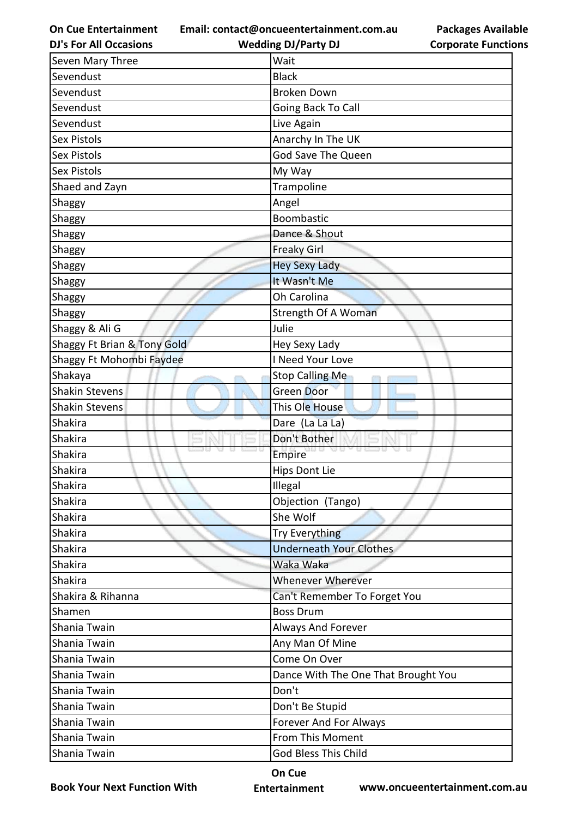**Email: contact@oncueentertainment.com.au Wedding DJ/Party DJ** 

**DJ's For All Occasions**

**Corporate Functions**

**Packages Available** 

| Seven Mary Three            | Wait                                |
|-----------------------------|-------------------------------------|
| Sevendust                   | <b>Black</b>                        |
| Sevendust                   | <b>Broken Down</b>                  |
| Sevendust                   | Going Back To Call                  |
| Sevendust                   | Live Again                          |
| <b>Sex Pistols</b>          | Anarchy In The UK                   |
| <b>Sex Pistols</b>          | <b>God Save The Queen</b>           |
| <b>Sex Pistols</b>          | My Way                              |
| Shaed and Zayn              | Trampoline                          |
| Shaggy                      | Angel                               |
| Shaggy                      | <b>Boombastic</b>                   |
| Shaggy                      | Dance & Shout                       |
| Shaggy                      | <b>Freaky Girl</b>                  |
| Shaggy                      | <b>Hey Sexy Lady</b>                |
| Shaggy                      | It Wasn't Me                        |
| Shaggy                      | Oh Carolina                         |
| Shaggy                      | Strength Of A Woman                 |
| Shaggy & Ali G              | Julie                               |
| Shaggy Ft Brian & Tony Gold | Hey Sexy Lady                       |
| Shaggy Ft Mohombi Faydee    | I Need Your Love                    |
| Shakaya                     | <b>Stop Calling Me</b>              |
| <b>Shakin Stevens</b>       | <b>Green Door</b>                   |
| <b>Shakin Stevens</b>       | This Ole House                      |
| Shakira                     | Dare (La La La)                     |
| Shakira                     | Don't Bother                        |
| Shakira                     | Empire                              |
| Shakira                     | <b>Hips Dont Lie</b>                |
| Shakira                     | Illegal                             |
| Shakira                     | Objection (Tango)                   |
| Shakira                     | She Wolf                            |
| Shakira                     | <b>Try Everything</b>               |
| Shakira                     | <b>Underneath Your Clothes</b>      |
| Shakira                     | Waka Waka                           |
| Shakira                     | <b>Whenever Wherever</b>            |
| Shakira & Rihanna           | Can't Remember To Forget You        |
| Shamen                      | <b>Boss Drum</b>                    |
| Shania Twain                | Always And Forever                  |
| Shania Twain                | Any Man Of Mine                     |
| Shania Twain                | Come On Over                        |
| Shania Twain                | Dance With The One That Brought You |
| Shania Twain                | Don't                               |
| Shania Twain                | Don't Be Stupid                     |
| Shania Twain                | <b>Forever And For Always</b>       |
| Shania Twain                | From This Moment                    |
| Shania Twain                | <b>God Bless This Child</b>         |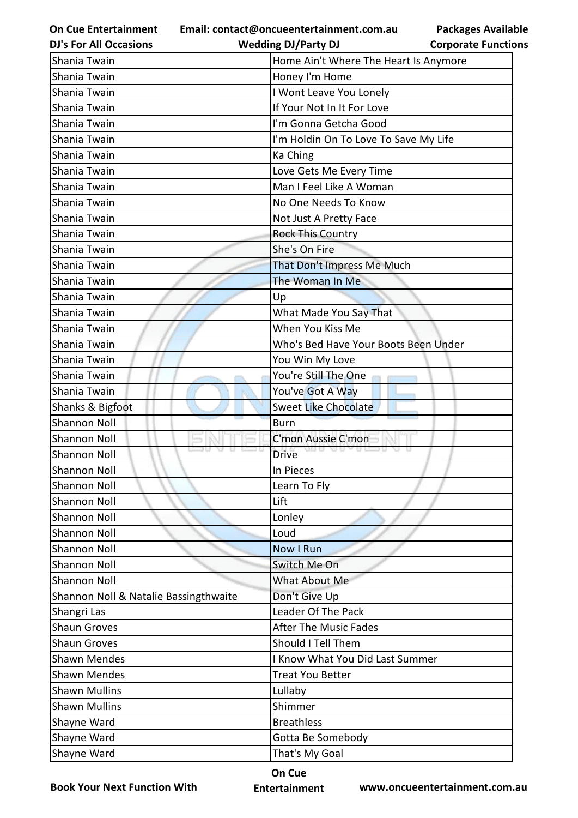**Email: contact@oncueentertainment.com.au**

**Packages Available** 

| <b>DJ's For All Occasions</b>         | <b>Wedding DJ/Party DJ</b>            | <b>Corporate Functions</b> |
|---------------------------------------|---------------------------------------|----------------------------|
| Shania Twain                          | Home Ain't Where The Heart Is Anymore |                            |
| Shania Twain                          | Honey I'm Home                        |                            |
| Shania Twain                          | I Wont Leave You Lonely               |                            |
| Shania Twain                          | If Your Not In It For Love            |                            |
| Shania Twain                          | I'm Gonna Getcha Good                 |                            |
| Shania Twain                          | I'm Holdin On To Love To Save My Life |                            |
| Shania Twain                          | Ka Ching                              |                            |
| Shania Twain                          | Love Gets Me Every Time               |                            |
| Shania Twain                          | Man I Feel Like A Woman               |                            |
| Shania Twain                          | No One Needs To Know                  |                            |
| Shania Twain                          | Not Just A Pretty Face                |                            |
| Shania Twain                          | <b>Rock This Country</b>              |                            |
| Shania Twain                          | She's On Fire                         |                            |
| Shania Twain                          | That Don't Impress Me Much            |                            |
| Shania Twain                          | The Woman In Me                       |                            |
| Shania Twain                          | Up                                    |                            |
| Shania Twain                          | What Made You Say That                |                            |
| Shania Twain                          | When You Kiss Me                      |                            |
| Shania Twain                          | Who's Bed Have Your Boots Been Under  |                            |
| Shania Twain                          | You Win My Love                       |                            |
| Shania Twain                          | You're Still The One                  |                            |
| Shania Twain                          | You've Got A Way                      |                            |
| Shanks & Bigfoot                      | <b>Sweet Like Chocolate</b>           |                            |
| <b>Shannon Noll</b>                   | <b>Burn</b>                           |                            |
| <b>Shannon Noll</b>                   | C'mon Aussie C'mon                    |                            |
| <b>Shannon Noll</b>                   | <b>Drive</b>                          |                            |
| <b>Shannon Noll</b>                   | In Pieces                             |                            |
| <b>Shannon Noll</b>                   | Learn To Fly                          |                            |
| <b>Shannon Noll</b>                   | Lift                                  |                            |
| <b>Shannon Noll</b>                   | Lonley                                |                            |
| <b>Shannon Noll</b>                   | Loud                                  |                            |
| <b>Shannon Noll</b>                   | Now I Run                             |                            |
| <b>Shannon Noll</b>                   | Switch Me On                          |                            |
| <b>Shannon Noll</b>                   | What About Me                         |                            |
| Shannon Noll & Natalie Bassingthwaite | Don't Give Up                         |                            |
| Shangri Las                           | Leader Of The Pack                    |                            |
| <b>Shaun Groves</b>                   | <b>After The Music Fades</b>          |                            |
| <b>Shaun Groves</b>                   | Should I Tell Them                    |                            |
| <b>Shawn Mendes</b>                   | I Know What You Did Last Summer       |                            |
| <b>Shawn Mendes</b>                   | <b>Treat You Better</b>               |                            |
| <b>Shawn Mullins</b>                  | Lullaby                               |                            |
| <b>Shawn Mullins</b>                  | Shimmer                               |                            |
| Shayne Ward                           | <b>Breathless</b>                     |                            |
| Shayne Ward                           | Gotta Be Somebody                     |                            |
| Shayne Ward                           | That's My Goal                        |                            |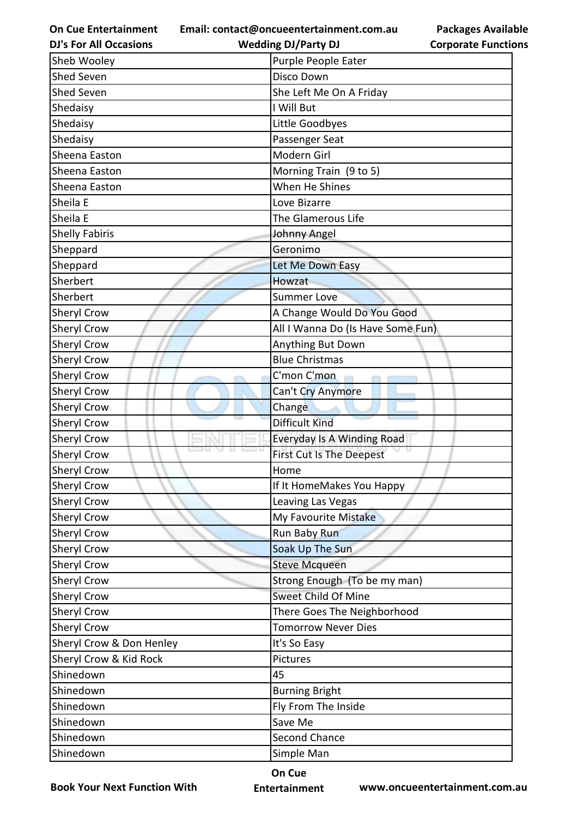**Email: contact@oncueentertainment.com.au**

|  | <b>DJ's For All Occasions</b> |
|--|-------------------------------|
|  |                               |

**Packages Available Corporate Functions**

| <b>DJ's For All Occasions</b> | <b>Wedding DJ/Party DJ</b>        | <b>Corporate Functio</b> |
|-------------------------------|-----------------------------------|--------------------------|
| Sheb Wooley                   | Purple People Eater               |                          |
| Shed Seven                    | Disco Down                        |                          |
| <b>Shed Seven</b>             | She Left Me On A Friday           |                          |
| Shedaisy                      | I Will But                        |                          |
| Shedaisy                      | Little Goodbyes                   |                          |
| Shedaisy                      | Passenger Seat                    |                          |
| Sheena Easton                 | Modern Girl                       |                          |
| Sheena Easton                 | Morning Train (9 to 5)            |                          |
| Sheena Easton                 | When He Shines                    |                          |
| Sheila E                      | Love Bizarre                      |                          |
| Sheila E                      | The Glamerous Life                |                          |
| <b>Shelly Fabiris</b>         | Johnny Angel                      |                          |
| Sheppard                      | Geronimo                          |                          |
| Sheppard                      | Let Me Down Easy                  |                          |
| Sherbert                      | Howzat                            |                          |
| Sherbert                      | <b>Summer Love</b>                |                          |
| Sheryl Crow                   | A Change Would Do You Good        |                          |
| Sheryl Crow                   | All I Wanna Do (Is Have Some Fun) |                          |
| Sheryl Crow                   | Anything But Down                 |                          |
| Sheryl Crow                   | <b>Blue Christmas</b>             |                          |
| Sheryl Crow                   | C'mon C'mon                       |                          |
| Sheryl Crow                   | Can't Cry Anymore                 |                          |
| Sheryl Crow                   | Change                            |                          |
| Sheryl Crow                   | <b>Difficult Kind</b>             |                          |
| Sheryl Crow                   | Everyday Is A Winding Road        |                          |
| Sheryl Crow                   | <b>First Cut Is The Deepest</b>   |                          |
| <b>Sheryl Crow</b>            | Home                              |                          |
| <b>Sheryl Crow</b>            | If It HomeMakes You Happy         |                          |
| <b>Sheryl Crow</b>            | Leaving Las Vegas                 |                          |
| Sheryl Crow                   | My Favourite Mistake              |                          |
| <b>Sheryl Crow</b>            | Run Baby Run                      |                          |
| Sheryl Crow                   | Soak Up The Sun                   |                          |
| Sheryl Crow                   | <b>Steve Mcqueen</b>              |                          |
| Sheryl Crow                   | Strong Enough (To be my man)      |                          |
| Sheryl Crow                   | Sweet Child Of Mine               |                          |
| <b>Sheryl Crow</b>            | There Goes The Neighborhood       |                          |
| Sheryl Crow                   | <b>Tomorrow Never Dies</b>        |                          |
| Sheryl Crow & Don Henley      | It's So Easy                      |                          |
| Sheryl Crow & Kid Rock        | Pictures                          |                          |
| Shinedown                     | 45                                |                          |
| Shinedown                     | <b>Burning Bright</b>             |                          |
| Shinedown                     | Fly From The Inside               |                          |
| Shinedown                     | Save Me                           |                          |
| Shinedown                     | Second Chance                     |                          |
| Shinedown                     | Simple Man                        |                          |

**Book Your Next Function With**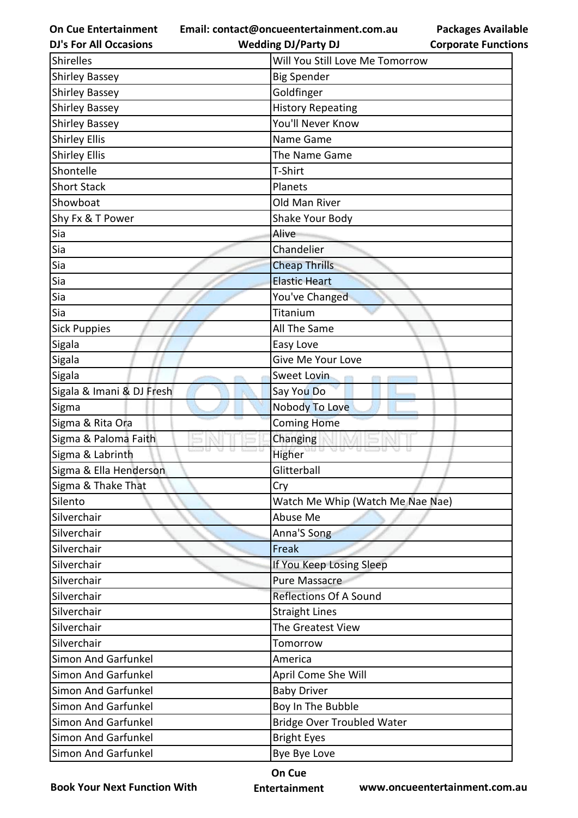**On Cue Entertainment Email: contact@oncueentertainment.com.au**

**Packages Available Corporate Functions**

| <b>DJ's For All Occasions</b> | <b>Wedding DJ/Party DJ</b>        | <b>Corporate Function</b> |
|-------------------------------|-----------------------------------|---------------------------|
| <b>Shirelles</b>              | Will You Still Love Me Tomorrow   |                           |
| <b>Shirley Bassey</b>         | <b>Big Spender</b>                |                           |
| <b>Shirley Bassey</b>         | Goldfinger                        |                           |
| <b>Shirley Bassey</b>         | <b>History Repeating</b>          |                           |
| <b>Shirley Bassey</b>         | You'll Never Know                 |                           |
| <b>Shirley Ellis</b>          | Name Game                         |                           |
| <b>Shirley Ellis</b>          | The Name Game                     |                           |
| Shontelle                     | T-Shirt                           |                           |
| <b>Short Stack</b>            | Planets                           |                           |
| Showboat                      | Old Man River                     |                           |
| Shy Fx & T Power              | Shake Your Body                   |                           |
| Sia                           | Alive                             |                           |
| Sia                           | Chandelier                        |                           |
| Sia                           | <b>Cheap Thrills</b>              |                           |
| Sia                           | <b>Elastic Heart</b>              |                           |
| Sia                           | You've Changed                    |                           |
| Sia                           | Titanium                          |                           |
| <b>Sick Puppies</b>           | All The Same                      |                           |
| Sigala                        | Easy Love                         |                           |
| Sigala                        | Give Me Your Love                 |                           |
| Sigala                        | Sweet Lovin                       |                           |
| Sigala & Imani & DJ Fresh     | Say You Do                        |                           |
| Sigma                         | Nobody To Love                    |                           |
| Sigma & Rita Ora              | <b>Coming Home</b>                |                           |
| Sigma & Paloma Faith          | Changing                          |                           |
| Sigma & Labrinth              | Higher                            |                           |
| Sigma & Ella Henderson        | Glitterball                       |                           |
| Sigma & Thake That            | Cry                               |                           |
| Silento                       | Watch Me Whip (Watch Me Nae Nae)  |                           |
| Silverchair                   | Abuse Me                          |                           |
| Silverchair                   | Anna'S Song                       |                           |
| Silverchair                   | Freak                             |                           |
| Silverchair                   | If You Keep Losing Sleep          |                           |
| Silverchair                   | <b>Pure Massacre</b>              |                           |
| Silverchair                   | <b>Reflections Of A Sound</b>     |                           |
| Silverchair                   | <b>Straight Lines</b>             |                           |
| Silverchair                   | The Greatest View                 |                           |
| Silverchair                   | Tomorrow                          |                           |
| Simon And Garfunkel           | America                           |                           |
| Simon And Garfunkel           | April Come She Will               |                           |
| <b>Simon And Garfunkel</b>    | <b>Baby Driver</b>                |                           |
| Simon And Garfunkel           | Boy In The Bubble                 |                           |
| Simon And Garfunkel           | <b>Bridge Over Troubled Water</b> |                           |
| <b>Simon And Garfunkel</b>    | <b>Bright Eyes</b>                |                           |
| Simon And Garfunkel           | Bye Bye Love                      |                           |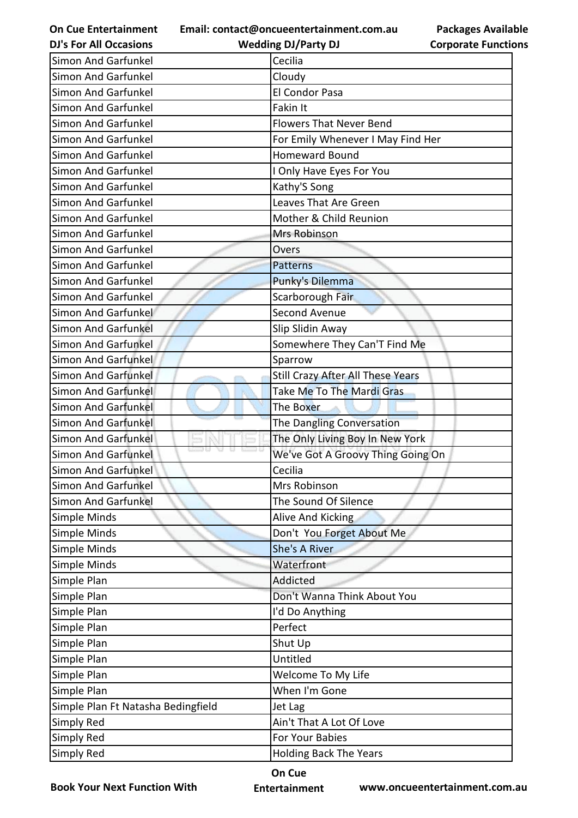**Email: contact@oncueentertainment.com.au**

**DJ's For All Occasions**

**Wedding DJ/Party DJ** 

**Packages Available Corporate Functions**

| Simon And Garfunkel                | Cecilia                           |
|------------------------------------|-----------------------------------|
| Simon And Garfunkel                | Cloudy                            |
| Simon And Garfunkel                | El Condor Pasa                    |
| Simon And Garfunkel                | Fakin It                          |
| Simon And Garfunkel                | <b>Flowers That Never Bend</b>    |
| <b>Simon And Garfunkel</b>         | For Emily Whenever I May Find Her |
| Simon And Garfunkel                | <b>Homeward Bound</b>             |
| Simon And Garfunkel                | I Only Have Eyes For You          |
| <b>Simon And Garfunkel</b>         | Kathy'S Song                      |
| Simon And Garfunkel                | Leaves That Are Green             |
| Simon And Garfunkel                | Mother & Child Reunion            |
| Simon And Garfunkel                | Mrs Robinson                      |
| Simon And Garfunkel                | Overs                             |
| Simon And Garfunkel                | <b>Patterns</b>                   |
| <b>Simon And Garfunkel</b>         | Punky's Dilemma                   |
| Simon And Garfunkel                | Scarborough Fair                  |
| Simon And Garfunkel                | Second Avenue                     |
| <b>Simon And Garfunkel</b>         | Slip Slidin Away                  |
| <b>Simon And Garfunkel</b>         | Somewhere They Can'T Find Me      |
| <b>Simon And Garfunkel</b>         | Sparrow                           |
| Simon And Garfunkel                | Still Crazy After All These Years |
| Simon And Garfunkel                | Take Me To The Mardi Gras         |
| Simon And Garfunkel                | The Boxer                         |
| Simon And Garfunkel                | The Dangling Conversation         |
| Simon And Garfunkel                | The Only Living Boy In New York   |
| Simon And Garfunkel                | We've Got A Groovy Thing Going On |
| Simon And Garfunkel                | Cecilia                           |
| Simon And Garfunkel                | Mrs Robinson                      |
| Simon And Garfunkel                | The Sound Of Silence              |
| Simple Minds                       | Alive And Kicking                 |
| Simple Minds                       | Don't You Forget About Me         |
| Simple Minds                       | She's A River                     |
| Simple Minds                       | Waterfront                        |
| Simple Plan                        | Addicted                          |
| Simple Plan                        | Don't Wanna Think About You       |
| Simple Plan                        | I'd Do Anything                   |
| Simple Plan                        | Perfect                           |
| Simple Plan                        | Shut Up                           |
| Simple Plan                        | Untitled                          |
| Simple Plan                        | Welcome To My Life                |
| Simple Plan                        | When I'm Gone                     |
| Simple Plan Ft Natasha Bedingfield | Jet Lag                           |
| Simply Red                         | Ain't That A Lot Of Love          |
| Simply Red                         | For Your Babies                   |
| Simply Red                         | <b>Holding Back The Years</b>     |

**Book Your Next Function With**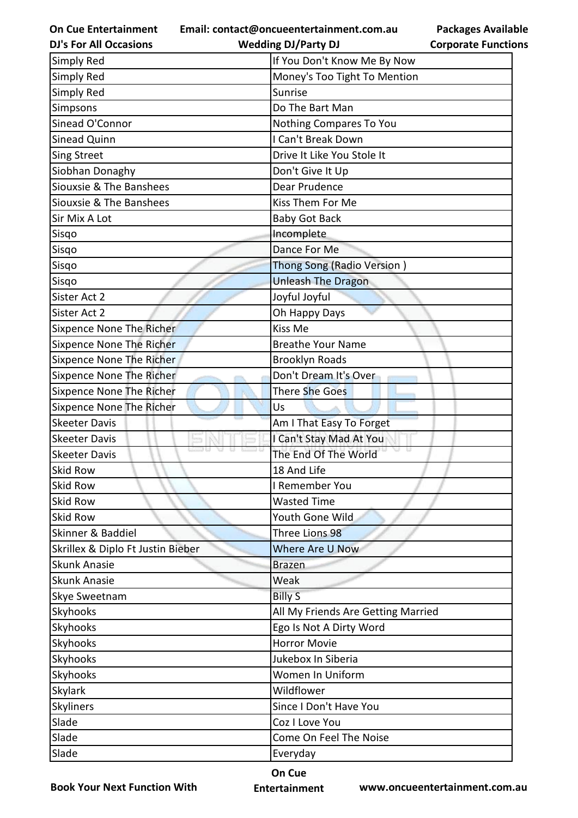**Email: contact@oncueentertainment.com.au Wedding DJ/Party DJ** 

**DJ's For All Occasions**

**Corporate Functions**

**Packages Available** 

| <b>Simply Red</b>                 | If You Don't Know Me By Now        |
|-----------------------------------|------------------------------------|
| <b>Simply Red</b>                 | Money's Too Tight To Mention       |
| <b>Simply Red</b>                 | Sunrise                            |
| Simpsons                          | Do The Bart Man                    |
| Sinead O'Connor                   | Nothing Compares To You            |
| Sinead Quinn                      | I Can't Break Down                 |
| <b>Sing Street</b>                | Drive It Like You Stole It         |
| Siobhan Donaghy                   | Don't Give It Up                   |
| Siouxsie & The Banshees           | Dear Prudence                      |
| Siouxsie & The Banshees           | Kiss Them For Me                   |
| Sir Mix A Lot                     | <b>Baby Got Back</b>               |
| Sisqo                             | Incomplete                         |
| Sisqo                             | Dance For Me                       |
| Sisgo                             | Thong Song (Radio Version)         |
| Sisqo                             | <b>Unleash The Dragon</b>          |
| Sister Act 2                      | Joyful Joyful                      |
| Sister Act 2                      | Oh Happy Days                      |
| Sixpence None The Richer          | Kiss Me                            |
| <b>Sixpence None The Richer</b>   | <b>Breathe Your Name</b>           |
| <b>Sixpence None The Richer</b>   | <b>Brooklyn Roads</b>              |
| Sixpence None The Richer          | Don't Dream It's Over              |
| <b>Sixpence None The Richer</b>   | There She Goes                     |
| <b>Sixpence None The Richer</b>   | Us                                 |
| <b>Skeeter Davis</b>              | Am I That Easy To Forget           |
| <b>Skeeter Davis</b>              | I Can't Stay Mad At You            |
| <b>Skeeter Davis</b>              | The End Of The World               |
| <b>Skid Row</b>                   | 18 And Life                        |
| <b>Skid Row</b>                   | I Remember You                     |
| <b>Skid Row</b>                   | <b>Wasted Time</b>                 |
| <b>Skid Row</b>                   | Youth Gone Wild                    |
| Skinner & Baddiel                 | Three Lions 98                     |
| Skrillex & Diplo Ft Justin Bieber | Where Are U Now                    |
| <b>Skunk Anasie</b>               | <b>Brazen</b>                      |
| <b>Skunk Anasie</b>               | Weak                               |
| Skye Sweetnam                     | <b>Billy S</b>                     |
| Skyhooks                          | All My Friends Are Getting Married |
| <b>Skyhooks</b>                   | Ego Is Not A Dirty Word            |
| <b>Skyhooks</b>                   | <b>Horror Movie</b>                |
| <b>Skyhooks</b>                   | Jukebox In Siberia                 |
| <b>Skyhooks</b>                   | Women In Uniform                   |
| <b>Skylark</b>                    | Wildflower                         |
| Skyliners                         | Since I Don't Have You             |
| Slade                             | Coz I Love You                     |
| Slade                             | Come On Feel The Noise             |
| Slade                             | Everyday                           |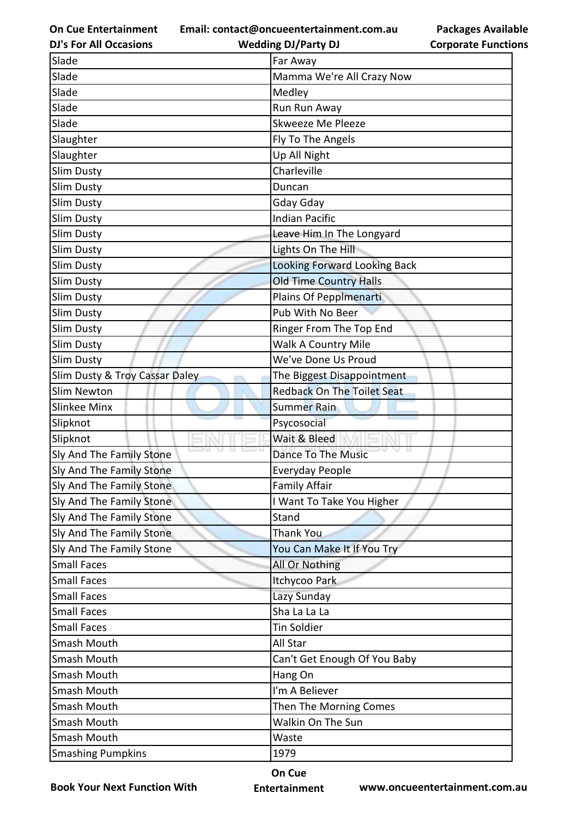**Email: contact@oncueentertainment.com.au**

|                            | <b>Packages Available</b> |
|----------------------------|---------------------------|
| <b>Corporate Functions</b> |                           |

| <b>DJ's For All Occasions</b>  | <b>Wedding DJ/Party DJ</b>          | <b>Corporate Functio</b> |
|--------------------------------|-------------------------------------|--------------------------|
| Slade                          | Far Away                            |                          |
| Slade                          | Mamma We're All Crazy Now           |                          |
| Slade                          | Medley                              |                          |
| Slade                          | Run Run Away                        |                          |
| Slade                          | Skweeze Me Pleeze                   |                          |
| Slaughter                      | Fly To The Angels                   |                          |
| Slaughter                      | Up All Night                        |                          |
| <b>Slim Dusty</b>              | Charleville                         |                          |
| Slim Dusty                     | Duncan                              |                          |
| <b>Slim Dusty</b>              | Gday Gday                           |                          |
| Slim Dusty                     | <b>Indian Pacific</b>               |                          |
| <b>Slim Dusty</b>              | Leave Him In The Longyard           |                          |
| Slim Dusty                     | Lights On The Hill                  |                          |
| Slim Dusty                     | <b>Looking Forward Looking Back</b> |                          |
| Slim Dusty                     | <b>Old Time Country Halls</b>       |                          |
| Slim Dusty                     | Plains Of Pepplmenarti              |                          |
| Slim Dusty                     | Pub With No Beer                    |                          |
| <b>Slim Dusty</b>              | Ringer From The Top End             |                          |
| Slim Dusty                     | Walk A Country Mile                 |                          |
| Slim Dusty                     | We've Done Us Proud                 |                          |
| Slim Dusty & Troy Cassar Daley | The Biggest Disappointment          |                          |
| <b>Slim Newton</b>             | <b>Redback On The Toilet Seat</b>   |                          |
| Slinkee Minx                   | <b>Summer Rain</b>                  |                          |
| Slipknot                       | Psycosocial                         |                          |
| Slipknot                       | Wait & Bleed                        |                          |
| Sly And The Family Stone       | <b>Dance To The Music</b>           |                          |
| Sly And The Family Stone       | Everyday People                     |                          |
| Sly And The Family Stone       | <b>Family Affair</b>                |                          |
| Sly And The Family Stone       | I Want To Take You Higher           |                          |
| Sly And The Family Stone       | Stand                               |                          |
| Sly And The Family Stone       | <b>Thank You</b>                    |                          |
| Sly And The Family Stone       | You Can Make It If You Try          |                          |
| <b>Small Faces</b>             | All Or Nothing                      |                          |
| <b>Small Faces</b>             | Itchycoo Park                       |                          |
| <b>Small Faces</b>             | Lazy Sunday                         |                          |
| <b>Small Faces</b>             | Sha La La La                        |                          |
| <b>Small Faces</b>             | <b>Tin Soldier</b>                  |                          |
| Smash Mouth                    | All Star                            |                          |
| Smash Mouth                    | Can't Get Enough Of You Baby        |                          |
| Smash Mouth                    | Hang On                             |                          |
| Smash Mouth                    | I'm A Believer                      |                          |
| Smash Mouth                    | Then The Morning Comes              |                          |
| Smash Mouth                    | Walkin On The Sun                   |                          |
| Smash Mouth                    | Waste                               |                          |
| <b>Smashing Pumpkins</b>       | 1979                                |                          |

**Book Your Next Function With**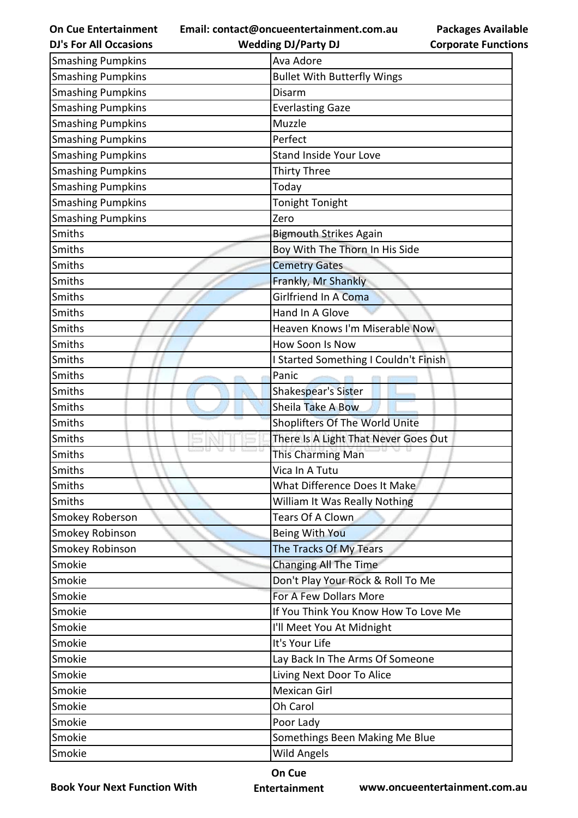| <b>On Cue Entertainment</b>   |
|-------------------------------|
| <b>DJ's For All Occasions</b> |

**Email: contact@oncueentertainment.com.au**

**Wedding DJ/Party DJ** 

| <b>Smashing Pumpkins</b> | Ava Adore                             |
|--------------------------|---------------------------------------|
| <b>Smashing Pumpkins</b> | <b>Bullet With Butterfly Wings</b>    |
| <b>Smashing Pumpkins</b> | Disarm                                |
| <b>Smashing Pumpkins</b> | <b>Everlasting Gaze</b>               |
| <b>Smashing Pumpkins</b> | Muzzle                                |
| <b>Smashing Pumpkins</b> | Perfect                               |
| <b>Smashing Pumpkins</b> | <b>Stand Inside Your Love</b>         |
| <b>Smashing Pumpkins</b> | <b>Thirty Three</b>                   |
| <b>Smashing Pumpkins</b> | Today                                 |
| <b>Smashing Pumpkins</b> | Tonight Tonight                       |
| <b>Smashing Pumpkins</b> | Zero                                  |
| Smiths                   | <b>Bigmouth Strikes Again</b>         |
| Smiths                   | Boy With The Thorn In His Side        |
| Smiths                   | <b>Cemetry Gates</b>                  |
| Smiths                   | Frankly, Mr Shankly                   |
| Smiths                   | Girlfriend In A Coma                  |
| Smiths                   | Hand In A Glove                       |
| Smiths                   | Heaven Knows I'm Miserable Now        |
| Smiths                   | How Soon Is Now                       |
| Smiths                   | I Started Something I Couldn't Finish |
| Smiths                   | Panic                                 |
| Smiths                   | <b>Shakespear's Sister</b>            |
| Smiths                   | Sheila Take A Bow                     |
| Smiths                   | Shoplifters Of The World Unite        |
| Smiths                   | There Is A Light That Never Goes Out  |
| Smiths                   | This Charming Man                     |
| Smiths                   | Vica In A Tutu                        |
| Smiths                   | What Difference Does It Make          |
| Smiths                   | William It Was Really Nothing         |
| Smokey Roberson          | Tears Of A Clown                      |
| Smokey Robinson          | Being With You                        |
| Smokey Robinson          | The Tracks Of My Tears                |
| Smokie                   | Changing All The Time                 |
| Smokie                   | Don't Play Your Rock & Roll To Me     |
| Smokie                   | For A Few Dollars More                |
| Smokie                   | If You Think You Know How To Love Me  |
| Smokie                   | I'll Meet You At Midnight             |
| Smokie                   | It's Your Life                        |
| Smokie                   | Lay Back In The Arms Of Someone       |
| Smokie                   | Living Next Door To Alice             |
| Smokie                   | Mexican Girl                          |
| Smokie                   | Oh Carol                              |
| Smokie                   | Poor Lady                             |
| Smokie                   | Somethings Been Making Me Blue        |
| Smokie                   | <b>Wild Angels</b>                    |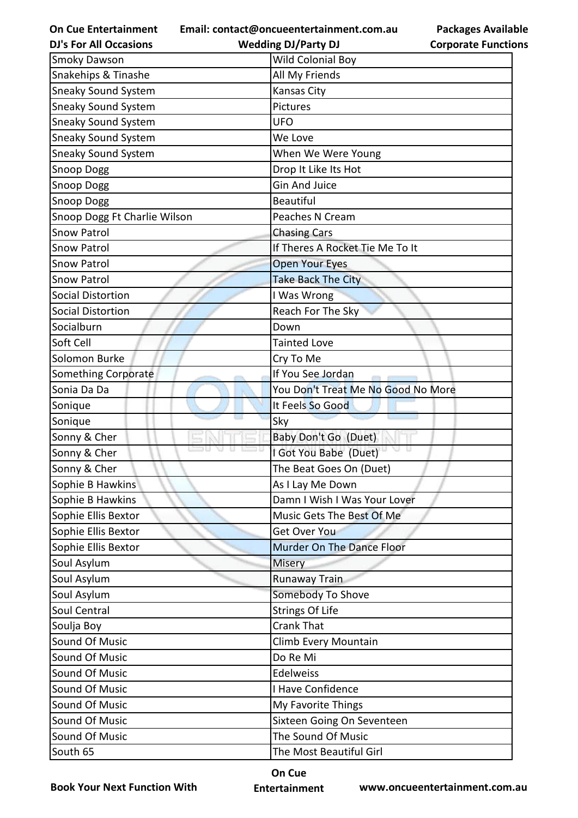| <b>On Cue Entertainment</b><br><b>DJ's For All Occasions</b> | Email: contact@oncueentertainment.com.au<br><b>Packages Available</b><br><b>Wedding DJ/Party DJ</b><br><b>Corporate Functions</b> |
|--------------------------------------------------------------|-----------------------------------------------------------------------------------------------------------------------------------|
| <b>Smoky Dawson</b>                                          | Wild Colonial Boy                                                                                                                 |
| Snakehips & Tinashe                                          | All My Friends                                                                                                                    |
| <b>Sneaky Sound System</b>                                   | Kansas City                                                                                                                       |
| <b>Sneaky Sound System</b>                                   | Pictures                                                                                                                          |
| <b>Sneaky Sound System</b>                                   | <b>UFO</b>                                                                                                                        |
| <b>Sneaky Sound System</b>                                   | We Love                                                                                                                           |
| Sneaky Sound System                                          | When We Were Young                                                                                                                |
| Snoop Dogg                                                   | Drop It Like Its Hot                                                                                                              |
| <b>Snoop Dogg</b>                                            | <b>Gin And Juice</b>                                                                                                              |
| <b>Snoop Dogg</b>                                            | <b>Beautiful</b>                                                                                                                  |
| Snoop Dogg Ft Charlie Wilson                                 | Peaches N Cream                                                                                                                   |
| <b>Snow Patrol</b>                                           | <b>Chasing Cars</b>                                                                                                               |
| <b>Snow Patrol</b>                                           | If Theres A Rocket Tie Me To It                                                                                                   |
| <b>Snow Patrol</b>                                           | <b>Open Your Eyes</b>                                                                                                             |
| <b>Snow Patrol</b>                                           | Take Back The City                                                                                                                |
| <b>Social Distortion</b>                                     | I Was Wrong                                                                                                                       |
| <b>Social Distortion</b>                                     | Reach For The Sky                                                                                                                 |
| Socialburn                                                   | Down                                                                                                                              |
| Soft Cell                                                    | <b>Tainted Love</b>                                                                                                               |
| Solomon Burke                                                | Cry To Me                                                                                                                         |
| Something Corporate                                          | If You See Jordan                                                                                                                 |
| Sonia Da Da                                                  | You Don't Treat Me No Good No More                                                                                                |
| Sonique                                                      | It Feels So Good                                                                                                                  |
| Sonique                                                      | Sky                                                                                                                               |
| Sonny & Cher                                                 | Baby Don't Go (Duet)                                                                                                              |
| Sonny & Cher                                                 | I Got You Babe (Duet)                                                                                                             |
| Sonny & Cher                                                 | The Beat Goes On (Duet)                                                                                                           |
| Sophie B Hawkins                                             | As I Lay Me Down                                                                                                                  |
| Sophie B Hawkins                                             | Damn I Wish I Was Your Lover                                                                                                      |
| Sophie Ellis Bextor                                          | Music Gets The Best Of Me                                                                                                         |
| Sophie Ellis Bextor                                          | Get Over You                                                                                                                      |
| Sophie Ellis Bextor                                          | Murder On The Dance Floor                                                                                                         |
| Soul Asylum                                                  | <b>Misery</b>                                                                                                                     |
| Soul Asylum                                                  | <b>Runaway Train</b>                                                                                                              |
| Soul Asylum                                                  | Somebody To Shove                                                                                                                 |
| Soul Central                                                 | <b>Strings Of Life</b>                                                                                                            |
| Soulja Boy                                                   | <b>Crank That</b>                                                                                                                 |
| Sound Of Music                                               | Climb Every Mountain                                                                                                              |
| Sound Of Music                                               | Do Re Mi                                                                                                                          |
| Sound Of Music                                               | Edelweiss                                                                                                                         |
| Sound Of Music                                               | I Have Confidence                                                                                                                 |
| Sound Of Music                                               | My Favorite Things                                                                                                                |
| Sound Of Music                                               | Sixteen Going On Seventeen                                                                                                        |
| Sound Of Music                                               | The Sound Of Music                                                                                                                |

South 65 The Most Beautiful Girl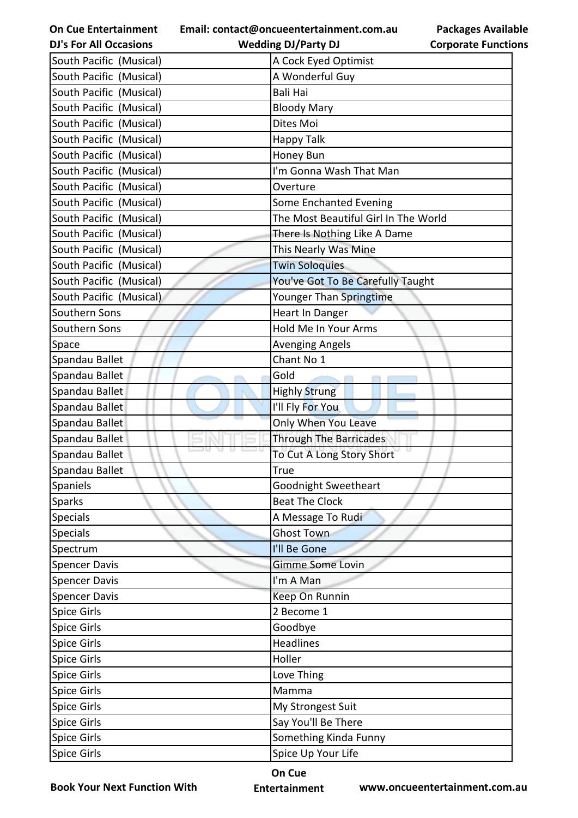| <b>On Cue Entertainment</b>   | Email: contact@oncueentertainment.com.au | <b>Packages Available</b>  |
|-------------------------------|------------------------------------------|----------------------------|
| <b>DJ's For All Occasions</b> | <b>Wedding DJ/Party DJ</b>               | <b>Corporate Functions</b> |
| South Pacific (Musical)       | A Cock Eyed Optimist                     |                            |
| South Pacific (Musical)       | A Wonderful Guy                          |                            |
| South Pacific (Musical)       | <b>Bali Hai</b>                          |                            |
| South Pacific (Musical)       | <b>Bloody Mary</b>                       |                            |
| South Pacific (Musical)       | Dites Moi                                |                            |
| South Pacific (Musical)       | Happy Talk                               |                            |
| South Pacific (Musical)       | Honey Bun                                |                            |
| South Pacific (Musical)       | I'm Gonna Wash That Man                  |                            |
| South Pacific (Musical)       | Overture                                 |                            |
| South Pacific (Musical)       | Some Enchanted Evening                   |                            |
| South Pacific (Musical)       | The Most Beautiful Girl In The World     |                            |
| South Pacific (Musical)       | There Is Nothing Like A Dame             |                            |
| South Pacific (Musical)       | This Nearly Was Mine                     |                            |
| South Pacific (Musical)       | <b>Twin Soloquies</b>                    |                            |
| South Pacific (Musical)       | You've Got To Be Carefully Taught        |                            |
| South Pacific (Musical)       | Younger Than Springtime                  |                            |
| Southern Sons                 | Heart In Danger                          |                            |
| Southern Sons                 | Hold Me In Your Arms                     |                            |
| Space                         | <b>Avenging Angels</b>                   |                            |
| Spandau Ballet                | Chant No 1                               |                            |
| Spandau Ballet                | Gold                                     |                            |
| Spandau Ballet                | <b>Highly Strung</b>                     |                            |
| Spandau Ballet                | I'll Fly For You                         |                            |
| Spandau Ballet                | Only When You Leave                      |                            |
| Spandau Ballet                | <b>Through The Barricades</b>            |                            |
| Spandau Ballet                | To Cut A Long Story Short                |                            |
| Spandau Ballet                | True                                     |                            |
| <b>Spaniels</b>               | Goodnight Sweetheart                     |                            |
| Sparks                        | <b>Beat The Clock</b>                    |                            |
| <b>Specials</b>               | A Message To Rudi                        |                            |
| <b>Specials</b>               | <b>Ghost Town</b>                        |                            |
| Spectrum                      | I'll Be Gone                             |                            |
| <b>Spencer Davis</b>          | Gimme Some Lovin                         |                            |
| <b>Spencer Davis</b>          | I'm A Man                                |                            |
| <b>Spencer Davis</b>          | Keep On Runnin                           |                            |
| <b>Spice Girls</b>            | 2 Become 1                               |                            |
| <b>Spice Girls</b>            | Goodbye                                  |                            |
| <b>Spice Girls</b>            | <b>Headlines</b>                         |                            |
| <b>Spice Girls</b>            | Holler                                   |                            |
| <b>Spice Girls</b>            | Love Thing                               |                            |
| <b>Spice Girls</b>            | Mamma                                    |                            |
| <b>Spice Girls</b>            | My Strongest Suit                        |                            |
| <b>Spice Girls</b>            | Say You'll Be There                      |                            |
| <b>Spice Girls</b>            | Something Kinda Funny                    |                            |
| <b>Spice Girls</b>            | Spice Up Your Life                       |                            |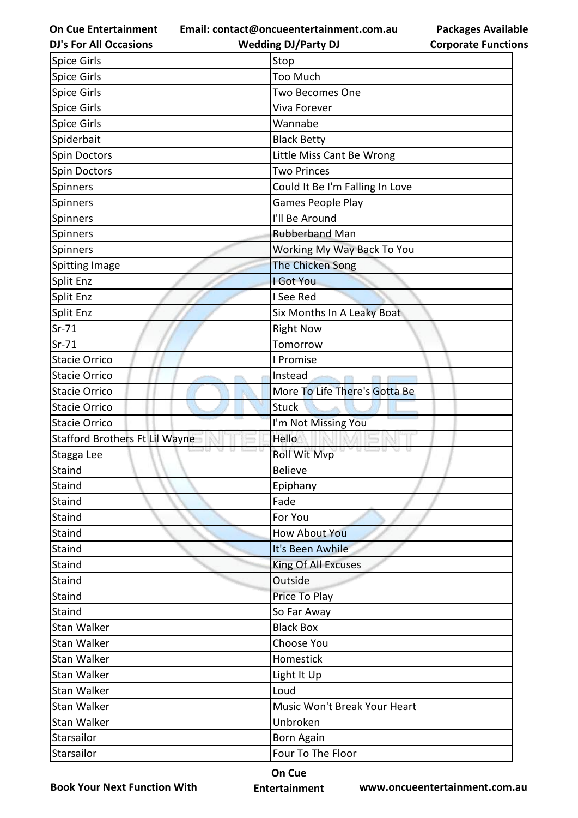**Email: contact@oncueentertainment.com.au**

**DJ's For All Occasions**

**Packages Available Corporate Functions**

| Stop<br>Too Much<br><b>Two Becomes One</b><br>Viva Forever<br>Wannabe<br>Spiderbait<br><b>Black Betty</b><br>Little Miss Cant Be Wrong<br>Spin Doctors<br><b>Two Princes</b><br>Spin Doctors<br>Could It Be I'm Falling In Love<br>Games People Play<br>Spinners<br>I'll Be Around<br>Spinners<br><b>Rubberband Man</b><br>Spinners<br>Working My Way Back To You<br>Spinners<br>The Chicken Song<br>I Got You<br>Split Enz<br>I See Red<br>Split Enz<br>Six Months In A Leaky Boat<br><b>Right Now</b><br>Tomorrow<br>I Promise<br>Instead<br>More To Life There's Gotta Be<br><b>Stuck</b><br>I'm Not Missing You<br>Hello<br>y u co u<br><b>Roll Wit Mvp</b><br><b>Believe</b><br>Epiphany<br>Fade<br>For You<br><b>How About You</b><br>It's Been Awhile<br>Staind<br>King Of All Excuses<br>Staind<br>Outside<br>Price To Play<br>So Far Away<br><b>Black Box</b><br>Stan Walker<br>Stan Walker<br>Choose You<br>Homestick<br>Stan Walker<br>Light It Up<br>Loud<br>Music Won't Break Your Heart<br>Unbroken<br>Stan Walker<br>Born Again<br>Four To The Floor | <b>DJ's For All Occasions</b>         | <b>Wedding DJ/Party DJ</b> | <b>Corporate Functio</b> |
|---------------------------------------------------------------------------------------------------------------------------------------------------------------------------------------------------------------------------------------------------------------------------------------------------------------------------------------------------------------------------------------------------------------------------------------------------------------------------------------------------------------------------------------------------------------------------------------------------------------------------------------------------------------------------------------------------------------------------------------------------------------------------------------------------------------------------------------------------------------------------------------------------------------------------------------------------------------------------------------------------------------------------------------------------------------------|---------------------------------------|----------------------------|--------------------------|
|                                                                                                                                                                                                                                                                                                                                                                                                                                                                                                                                                                                                                                                                                                                                                                                                                                                                                                                                                                                                                                                                     | <b>Spice Girls</b>                    |                            |                          |
|                                                                                                                                                                                                                                                                                                                                                                                                                                                                                                                                                                                                                                                                                                                                                                                                                                                                                                                                                                                                                                                                     | <b>Spice Girls</b>                    |                            |                          |
|                                                                                                                                                                                                                                                                                                                                                                                                                                                                                                                                                                                                                                                                                                                                                                                                                                                                                                                                                                                                                                                                     | Spice Girls                           |                            |                          |
|                                                                                                                                                                                                                                                                                                                                                                                                                                                                                                                                                                                                                                                                                                                                                                                                                                                                                                                                                                                                                                                                     | <b>Spice Girls</b>                    |                            |                          |
|                                                                                                                                                                                                                                                                                                                                                                                                                                                                                                                                                                                                                                                                                                                                                                                                                                                                                                                                                                                                                                                                     | <b>Spice Girls</b>                    |                            |                          |
|                                                                                                                                                                                                                                                                                                                                                                                                                                                                                                                                                                                                                                                                                                                                                                                                                                                                                                                                                                                                                                                                     |                                       |                            |                          |
|                                                                                                                                                                                                                                                                                                                                                                                                                                                                                                                                                                                                                                                                                                                                                                                                                                                                                                                                                                                                                                                                     |                                       |                            |                          |
|                                                                                                                                                                                                                                                                                                                                                                                                                                                                                                                                                                                                                                                                                                                                                                                                                                                                                                                                                                                                                                                                     |                                       |                            |                          |
|                                                                                                                                                                                                                                                                                                                                                                                                                                                                                                                                                                                                                                                                                                                                                                                                                                                                                                                                                                                                                                                                     | Spinners                              |                            |                          |
|                                                                                                                                                                                                                                                                                                                                                                                                                                                                                                                                                                                                                                                                                                                                                                                                                                                                                                                                                                                                                                                                     |                                       |                            |                          |
|                                                                                                                                                                                                                                                                                                                                                                                                                                                                                                                                                                                                                                                                                                                                                                                                                                                                                                                                                                                                                                                                     |                                       |                            |                          |
|                                                                                                                                                                                                                                                                                                                                                                                                                                                                                                                                                                                                                                                                                                                                                                                                                                                                                                                                                                                                                                                                     |                                       |                            |                          |
|                                                                                                                                                                                                                                                                                                                                                                                                                                                                                                                                                                                                                                                                                                                                                                                                                                                                                                                                                                                                                                                                     |                                       |                            |                          |
|                                                                                                                                                                                                                                                                                                                                                                                                                                                                                                                                                                                                                                                                                                                                                                                                                                                                                                                                                                                                                                                                     | <b>Spitting Image</b>                 |                            |                          |
|                                                                                                                                                                                                                                                                                                                                                                                                                                                                                                                                                                                                                                                                                                                                                                                                                                                                                                                                                                                                                                                                     | Split Enz                             |                            |                          |
|                                                                                                                                                                                                                                                                                                                                                                                                                                                                                                                                                                                                                                                                                                                                                                                                                                                                                                                                                                                                                                                                     |                                       |                            |                          |
|                                                                                                                                                                                                                                                                                                                                                                                                                                                                                                                                                                                                                                                                                                                                                                                                                                                                                                                                                                                                                                                                     |                                       |                            |                          |
|                                                                                                                                                                                                                                                                                                                                                                                                                                                                                                                                                                                                                                                                                                                                                                                                                                                                                                                                                                                                                                                                     | $Sr-71$                               |                            |                          |
|                                                                                                                                                                                                                                                                                                                                                                                                                                                                                                                                                                                                                                                                                                                                                                                                                                                                                                                                                                                                                                                                     | $Sr-71$                               |                            |                          |
|                                                                                                                                                                                                                                                                                                                                                                                                                                                                                                                                                                                                                                                                                                                                                                                                                                                                                                                                                                                                                                                                     | <b>Stacie Orrico</b>                  |                            |                          |
|                                                                                                                                                                                                                                                                                                                                                                                                                                                                                                                                                                                                                                                                                                                                                                                                                                                                                                                                                                                                                                                                     | <b>Stacie Orrico</b>                  |                            |                          |
|                                                                                                                                                                                                                                                                                                                                                                                                                                                                                                                                                                                                                                                                                                                                                                                                                                                                                                                                                                                                                                                                     | <b>Stacie Orrico</b>                  |                            |                          |
|                                                                                                                                                                                                                                                                                                                                                                                                                                                                                                                                                                                                                                                                                                                                                                                                                                                                                                                                                                                                                                                                     | <b>Stacie Orrico</b>                  |                            |                          |
|                                                                                                                                                                                                                                                                                                                                                                                                                                                                                                                                                                                                                                                                                                                                                                                                                                                                                                                                                                                                                                                                     | <b>Stacie Orrico</b>                  |                            |                          |
|                                                                                                                                                                                                                                                                                                                                                                                                                                                                                                                                                                                                                                                                                                                                                                                                                                                                                                                                                                                                                                                                     | <b>Stafford Brothers Ft Lil Wayne</b> |                            |                          |
|                                                                                                                                                                                                                                                                                                                                                                                                                                                                                                                                                                                                                                                                                                                                                                                                                                                                                                                                                                                                                                                                     | Stagga Lee                            |                            |                          |
|                                                                                                                                                                                                                                                                                                                                                                                                                                                                                                                                                                                                                                                                                                                                                                                                                                                                                                                                                                                                                                                                     | Staind                                |                            |                          |
|                                                                                                                                                                                                                                                                                                                                                                                                                                                                                                                                                                                                                                                                                                                                                                                                                                                                                                                                                                                                                                                                     | Staind                                |                            |                          |
|                                                                                                                                                                                                                                                                                                                                                                                                                                                                                                                                                                                                                                                                                                                                                                                                                                                                                                                                                                                                                                                                     | Staind                                |                            |                          |
|                                                                                                                                                                                                                                                                                                                                                                                                                                                                                                                                                                                                                                                                                                                                                                                                                                                                                                                                                                                                                                                                     | Staind                                |                            |                          |
|                                                                                                                                                                                                                                                                                                                                                                                                                                                                                                                                                                                                                                                                                                                                                                                                                                                                                                                                                                                                                                                                     | Staind                                |                            |                          |
|                                                                                                                                                                                                                                                                                                                                                                                                                                                                                                                                                                                                                                                                                                                                                                                                                                                                                                                                                                                                                                                                     |                                       |                            |                          |
|                                                                                                                                                                                                                                                                                                                                                                                                                                                                                                                                                                                                                                                                                                                                                                                                                                                                                                                                                                                                                                                                     |                                       |                            |                          |
|                                                                                                                                                                                                                                                                                                                                                                                                                                                                                                                                                                                                                                                                                                                                                                                                                                                                                                                                                                                                                                                                     | Staind                                |                            |                          |
|                                                                                                                                                                                                                                                                                                                                                                                                                                                                                                                                                                                                                                                                                                                                                                                                                                                                                                                                                                                                                                                                     | Staind                                |                            |                          |
|                                                                                                                                                                                                                                                                                                                                                                                                                                                                                                                                                                                                                                                                                                                                                                                                                                                                                                                                                                                                                                                                     | Staind                                |                            |                          |
|                                                                                                                                                                                                                                                                                                                                                                                                                                                                                                                                                                                                                                                                                                                                                                                                                                                                                                                                                                                                                                                                     |                                       |                            |                          |
|                                                                                                                                                                                                                                                                                                                                                                                                                                                                                                                                                                                                                                                                                                                                                                                                                                                                                                                                                                                                                                                                     |                                       |                            |                          |
|                                                                                                                                                                                                                                                                                                                                                                                                                                                                                                                                                                                                                                                                                                                                                                                                                                                                                                                                                                                                                                                                     | Stan Walker                           |                            |                          |
|                                                                                                                                                                                                                                                                                                                                                                                                                                                                                                                                                                                                                                                                                                                                                                                                                                                                                                                                                                                                                                                                     |                                       |                            |                          |
|                                                                                                                                                                                                                                                                                                                                                                                                                                                                                                                                                                                                                                                                                                                                                                                                                                                                                                                                                                                                                                                                     | Stan Walker                           |                            |                          |
|                                                                                                                                                                                                                                                                                                                                                                                                                                                                                                                                                                                                                                                                                                                                                                                                                                                                                                                                                                                                                                                                     | Stan Walker                           |                            |                          |
|                                                                                                                                                                                                                                                                                                                                                                                                                                                                                                                                                                                                                                                                                                                                                                                                                                                                                                                                                                                                                                                                     |                                       |                            |                          |
|                                                                                                                                                                                                                                                                                                                                                                                                                                                                                                                                                                                                                                                                                                                                                                                                                                                                                                                                                                                                                                                                     | Starsailor                            |                            |                          |
|                                                                                                                                                                                                                                                                                                                                                                                                                                                                                                                                                                                                                                                                                                                                                                                                                                                                                                                                                                                                                                                                     | Starsailor                            |                            |                          |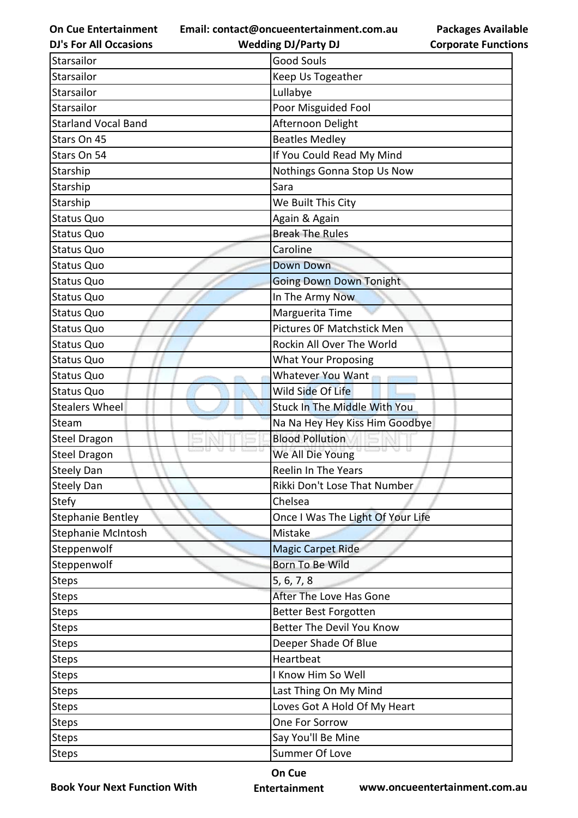**Email: contact@oncueentertainment.com.au**

**Packages Available Corporate Functions**

| <b>DJ's For All Occasions</b> | <b>Wedding DJ/Party DJ</b>          | <b>Corporate Functio</b> |  |
|-------------------------------|-------------------------------------|--------------------------|--|
| Starsailor                    | <b>Good Souls</b>                   |                          |  |
| <b>Starsailor</b>             | Keep Us Togeather                   |                          |  |
| Starsailor                    | Lullabye                            |                          |  |
| <b>Starsailor</b>             | Poor Misguided Fool                 |                          |  |
| <b>Starland Vocal Band</b>    | Afternoon Delight                   |                          |  |
| Stars On 45                   | <b>Beatles Medley</b>               |                          |  |
| Stars On 54                   | If You Could Read My Mind           |                          |  |
| Starship                      | Nothings Gonna Stop Us Now          |                          |  |
| Starship                      | Sara                                |                          |  |
| Starship                      | We Built This City                  |                          |  |
| Status Quo                    | Again & Again                       |                          |  |
| Status Quo                    | <b>Break The Rules</b>              |                          |  |
| <b>Status Quo</b>             | Caroline                            |                          |  |
| Status Quo                    | <b>Down Down</b>                    |                          |  |
| <b>Status Quo</b>             | <b>Going Down Down Tonight</b>      |                          |  |
| Status Quo                    | In The Army Now                     |                          |  |
| Status Quo                    | Marguerita Time                     |                          |  |
| Status Quo                    | Pictures OF Matchstick Men          |                          |  |
| Status Quo                    | Rockin All Over The World           |                          |  |
| <b>Status Quo</b>             | <b>What Your Proposing</b>          |                          |  |
| Status Quo                    | Whatever You Want                   |                          |  |
| <b>Status Quo</b>             | Wild Side Of Life                   |                          |  |
| <b>Stealers Wheel</b>         | <b>Stuck In The Middle With You</b> |                          |  |
| Steam                         | Na Na Hey Hey Kiss Him Goodbye      |                          |  |
| <b>Steel Dragon</b>           | <b>Blood Pollution</b>              |                          |  |
| <b>Steel Dragon</b>           | We All Die Young                    |                          |  |
| <b>Steely Dan</b>             | <b>Reelin In The Years</b>          |                          |  |
| <b>Steely Dan</b>             | Rikki Don't Lose That Number        |                          |  |
| <b>Stefy</b>                  | Chelsea                             |                          |  |
| Stephanie Bentley             | Once I Was The Light Of Your Life   |                          |  |
| Stephanie McIntosh            | Mistake                             |                          |  |
| Steppenwolf                   | <b>Magic Carpet Ride</b>            |                          |  |
| Steppenwolf                   | <b>Born To Be Wild</b>              |                          |  |
| <b>Steps</b>                  | 5, 6, 7, 8                          |                          |  |
| <b>Steps</b>                  | After The Love Has Gone             |                          |  |
| <b>Steps</b>                  | Better Best Forgotten               |                          |  |
| <b>Steps</b>                  | Better The Devil You Know           |                          |  |
| <b>Steps</b>                  | Deeper Shade Of Blue                |                          |  |
| <b>Steps</b>                  | Heartbeat                           |                          |  |
| <b>Steps</b>                  | I Know Him So Well                  |                          |  |
| <b>Steps</b>                  | Last Thing On My Mind               |                          |  |
| <b>Steps</b>                  | Loves Got A Hold Of My Heart        |                          |  |
| <b>Steps</b>                  | One For Sorrow                      |                          |  |
| <b>Steps</b>                  | Say You'll Be Mine                  |                          |  |
| Steps                         | Summer Of Love                      |                          |  |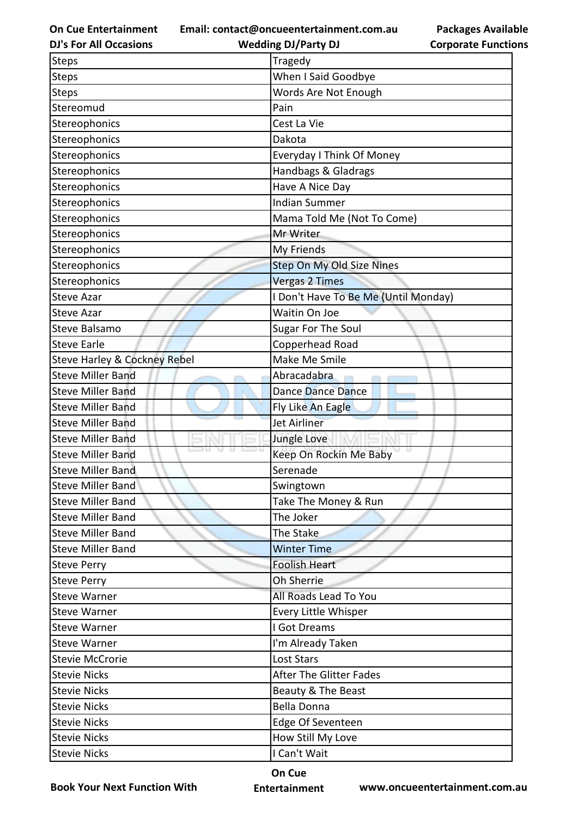**Email: contact@oncueentertainment.com.au**

**Packages Available Corporate Functions**

| <b>DJ's For All Occasions</b>           | <b>Wedding DJ/Party DJ</b>           | <b>Corporate Functio</b> |  |
|-----------------------------------------|--------------------------------------|--------------------------|--|
| Steps                                   | Tragedy                              |                          |  |
| <b>Steps</b>                            | When I Said Goodbye                  |                          |  |
| <b>Steps</b>                            | Words Are Not Enough                 |                          |  |
| Stereomud                               | Pain                                 |                          |  |
| Stereophonics                           | Cest La Vie                          |                          |  |
| Stereophonics                           | Dakota                               |                          |  |
| Stereophonics                           | Everyday I Think Of Money            |                          |  |
| Stereophonics                           | Handbags & Gladrags                  |                          |  |
| Stereophonics                           | Have A Nice Day                      |                          |  |
| Stereophonics                           | <b>Indian Summer</b>                 |                          |  |
| Stereophonics                           | Mama Told Me (Not To Come)           |                          |  |
| Stereophonics                           | Mr Writer                            |                          |  |
| Stereophonics                           | My Friends                           |                          |  |
| Stereophonics                           | Step On My Old Size Nines            |                          |  |
| Stereophonics                           | <b>Vergas 2 Times</b>                |                          |  |
| <b>Steve Azar</b>                       | I Don't Have To Be Me (Until Monday) |                          |  |
| <b>Steve Azar</b>                       | Waitin On Joe                        |                          |  |
| Steve Balsamo                           | Sugar For The Soul                   |                          |  |
| <b>Steve Earle</b>                      | Copperhead Road                      |                          |  |
| <b>Steve Harley &amp; Cockney Rebel</b> | Make Me Smile                        |                          |  |
| <b>Steve Miller Band</b>                | Abracadabra                          |                          |  |
| <b>Steve Miller Band</b>                | Dance Dance Dance                    |                          |  |
| <b>Steve Miller Band</b>                | Fly Like An Eagle                    |                          |  |
| <b>Steve Miller Band</b>                | <b>Jet Airliner</b>                  |                          |  |
| <b>Steve Miller Band</b>                | Jungle Love                          |                          |  |
| <b>Steve Miller Band</b>                | Keep On Rockin Me Baby               |                          |  |
| <b>Steve Miller Band</b>                | Serenade                             |                          |  |
| <b>Steve Miller Band</b>                | Swingtown                            |                          |  |
| <b>Steve Miller Band</b>                | Take The Money & Run                 |                          |  |
| <b>Steve Miller Band</b>                | The Joker                            |                          |  |
| <b>Steve Miller Band</b>                | The Stake                            |                          |  |
| <b>Steve Miller Band</b>                | <b>Winter Time</b>                   |                          |  |
| <b>Steve Perry</b>                      | <b>Foolish Heart</b>                 |                          |  |
| <b>Steve Perry</b>                      | Oh Sherrie                           |                          |  |
| <b>Steve Warner</b>                     | All Roads Lead To You                |                          |  |
| <b>Steve Warner</b>                     | Every Little Whisper                 |                          |  |
| <b>Steve Warner</b>                     | I Got Dreams                         |                          |  |
| <b>Steve Warner</b>                     | I'm Already Taken                    |                          |  |
| <b>Stevie McCrorie</b>                  | <b>Lost Stars</b>                    |                          |  |
| <b>Stevie Nicks</b>                     | <b>After The Glitter Fades</b>       |                          |  |
| <b>Stevie Nicks</b>                     | Beauty & The Beast                   |                          |  |
| <b>Stevie Nicks</b>                     | <b>Bella Donna</b>                   |                          |  |
| <b>Stevie Nicks</b>                     | Edge Of Seventeen                    |                          |  |
| <b>Stevie Nicks</b>                     | How Still My Love                    |                          |  |
| <b>Stevie Nicks</b>                     | I Can't Wait                         |                          |  |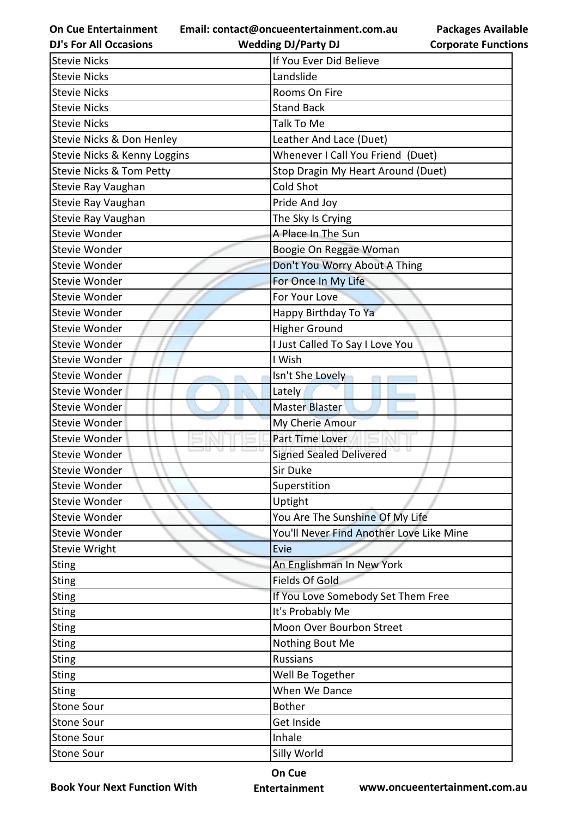**Email: contact@oncueentertainment.com.au**

**DJ's For All Occasions**

**Wedding DJ/Party DJ** 

**Packages Available Corporate Functions**

| <b>Stevie Nicks</b>          | If You Ever Did Believe                  |
|------------------------------|------------------------------------------|
| <b>Stevie Nicks</b>          | Landslide                                |
| <b>Stevie Nicks</b>          | Rooms On Fire                            |
| <b>Stevie Nicks</b>          | <b>Stand Back</b>                        |
| <b>Stevie Nicks</b>          | Talk To Me                               |
| Stevie Nicks & Don Henley    | Leather And Lace (Duet)                  |
| Stevie Nicks & Kenny Loggins | Whenever I Call You Friend (Duet)        |
| Stevie Nicks & Tom Petty     | Stop Dragin My Heart Around (Duet)       |
| Stevie Ray Vaughan           | <b>Cold Shot</b>                         |
| Stevie Ray Vaughan           | Pride And Joy                            |
| Stevie Ray Vaughan           | The Sky Is Crying                        |
| Stevie Wonder                | A Place In The Sun                       |
| Stevie Wonder                | Boogie On Reggae Woman                   |
| Stevie Wonder                | Don't You Worry About A Thing            |
| Stevie Wonder                | For Once In My Life                      |
| Stevie Wonder                | For Your Love                            |
| Stevie Wonder                | Happy Birthday To Ya                     |
| Stevie Wonder                | <b>Higher Ground</b>                     |
| Stevie Wonder                | I Just Called To Say I Love You          |
| Stevie Wonder                | I Wish                                   |
| Stevie Wonder                | Isn't She Lovely                         |
| Stevie Wonder                | Lately                                   |
| <b>Stevie Wonder</b>         | <b>Master Blaster</b>                    |
| <b>Stevie Wonder</b>         | My Cherie Amour                          |
| Stevie Wonder                | Part Time Lover                          |
| Stevie Wonder                | <b>Signed Sealed Delivered</b>           |
| <b>Stevie Wonder</b>         | Sir Duke                                 |
| <b>Stevie Wonder</b>         | Superstition                             |
| Stevie Wonder                | Uptight                                  |
| Stevie Wonder                | You Are The Sunshine Of My Life          |
| Stevie Wonder                | You'll Never Find Another Love Like Mine |
| <b>Stevie Wright</b>         | Evie                                     |
| <b>Sting</b>                 | An Englishman In New York                |
| <b>Sting</b>                 | Fields Of Gold                           |
| <b>Sting</b>                 | If You Love Somebody Set Them Free       |
| <b>Sting</b>                 | It's Probably Me                         |
| <b>Sting</b>                 | Moon Over Bourbon Street                 |
| <b>Sting</b>                 | Nothing Bout Me                          |
| Sting                        | Russians                                 |
| <b>Sting</b>                 | Well Be Together                         |
| <b>Sting</b>                 | When We Dance                            |
| <b>Stone Sour</b>            | <b>Bother</b>                            |
| <b>Stone Sour</b>            | Get Inside                               |
| <b>Stone Sour</b>            | Inhale                                   |
| <b>Stone Sour</b>            | Silly World                              |

**Book Your Next Function With**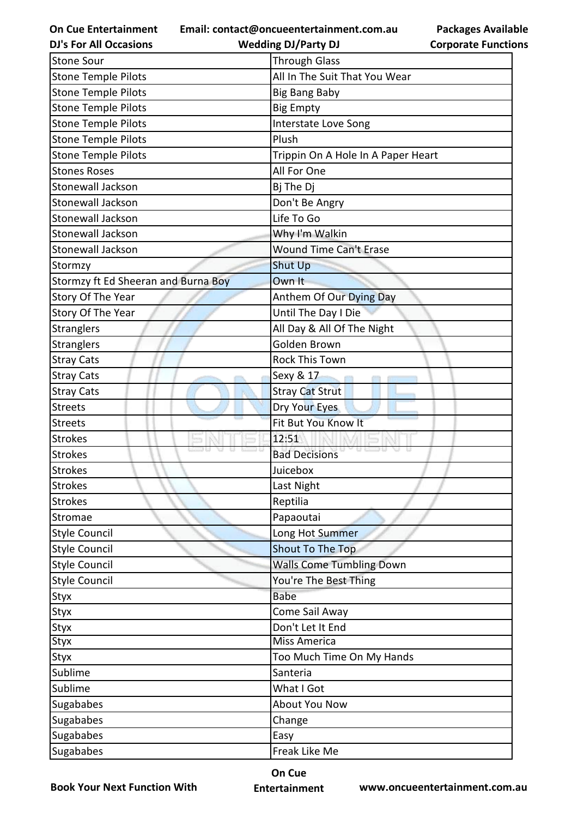**Email: contact@oncueentertainment.com.au**

**DJ's For All Occasions**

**Packages Available Corporate Functions**

| <b>DJ's For All Occasions</b>       | <b>Wedding DJ/Party DJ</b>         | <b>Corporate Functio</b> |
|-------------------------------------|------------------------------------|--------------------------|
| <b>Stone Sour</b>                   | <b>Through Glass</b>               |                          |
| <b>Stone Temple Pilots</b>          | All In The Suit That You Wear      |                          |
| <b>Stone Temple Pilots</b>          | <b>Big Bang Baby</b>               |                          |
| <b>Stone Temple Pilots</b>          | <b>Big Empty</b>                   |                          |
| <b>Stone Temple Pilots</b>          | Interstate Love Song               |                          |
| <b>Stone Temple Pilots</b>          | Plush                              |                          |
| <b>Stone Temple Pilots</b>          | Trippin On A Hole In A Paper Heart |                          |
| <b>Stones Roses</b>                 | All For One                        |                          |
| Stonewall Jackson                   | Bj The Dj                          |                          |
| Stonewall Jackson                   | Don't Be Angry                     |                          |
| Stonewall Jackson                   | Life To Go                         |                          |
| Stonewall Jackson                   | Why I'm Walkin                     |                          |
| Stonewall Jackson                   | <b>Wound Time Can't Erase</b>      |                          |
| Stormzy                             | <b>Shut Up</b>                     |                          |
| Stormzy ft Ed Sheeran and Burna Boy | Own It                             |                          |
| Story Of The Year                   | Anthem Of Our Dying Day            |                          |
| Story Of The Year                   | Until The Day I Die                |                          |
| Stranglers                          | All Day & All Of The Night         |                          |
| Stranglers                          | Golden Brown                       |                          |
| <b>Stray Cats</b>                   | <b>Rock This Town</b>              |                          |
| <b>Stray Cats</b>                   | Sexy & 17                          |                          |
| <b>Stray Cats</b>                   | <b>Stray Cat Strut</b>             |                          |
| <b>Streets</b>                      | Dry Your Eyes                      |                          |
| <b>Streets</b>                      | Fit But You Know It                |                          |
| <b>Strokes</b>                      | 12:51                              |                          |
| <b>Strokes</b>                      | <b>Bad Decisions</b>               |                          |
| <b>Strokes</b>                      | Juicebox                           |                          |
| <b>Strokes</b>                      | Last Night                         |                          |
| <b>Strokes</b>                      | Reptilia                           |                          |
| Stromae                             | Papaoutai                          |                          |
| <b>Style Council</b>                | Long Hot Summer                    |                          |
| <b>Style Council</b>                | <b>Shout To The Top</b>            |                          |
| <b>Style Council</b>                | <b>Walls Come Tumbling Down</b>    |                          |
| <b>Style Council</b>                | You're The Best Thing              |                          |
| Styx                                | <b>Babe</b>                        |                          |
| Styx                                | Come Sail Away                     |                          |
| Styx                                | Don't Let It End                   |                          |
| Styx                                | Miss America                       |                          |
| Styx                                | Too Much Time On My Hands          |                          |
| Sublime                             | Santeria                           |                          |
| Sublime                             | What I Got                         |                          |
| Sugababes                           | About You Now                      |                          |
| Sugababes                           | Change                             |                          |
| Sugababes                           | Easy                               |                          |
| Sugababes                           | Freak Like Me                      |                          |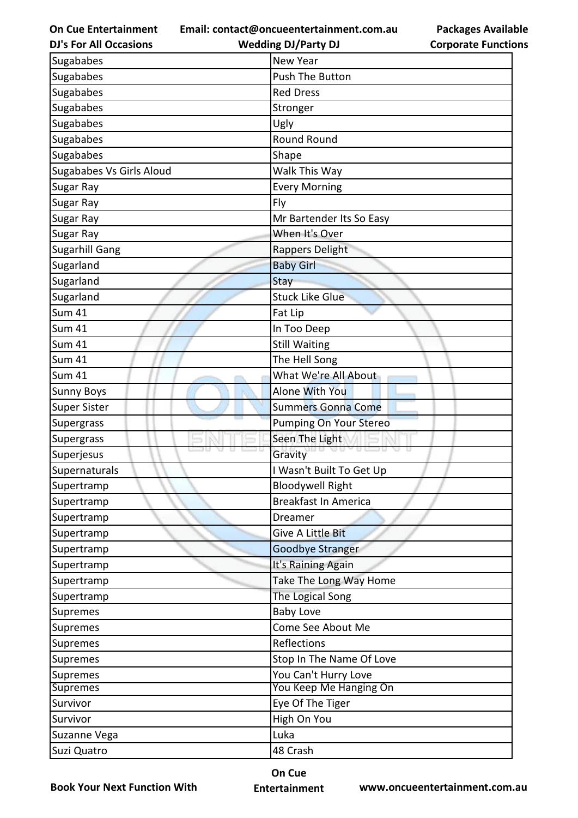**Email: contact@oncueentertainment.com.au**

| <b>DJ's For All Occasions</b>   | <b>Wedding DJ/Party DJ</b>    | <b>Corporate Functio</b> |
|---------------------------------|-------------------------------|--------------------------|
| Sugababes                       | <b>New Year</b>               |                          |
| Sugababes                       | Push The Button               |                          |
| Sugababes                       | <b>Red Dress</b>              |                          |
| Sugababes                       | Stronger                      |                          |
| Sugababes                       | Ugly                          |                          |
| Sugababes                       | Round Round                   |                          |
| Sugababes                       | Shape                         |                          |
| <b>Sugababes Vs Girls Aloud</b> | Walk This Way                 |                          |
| Sugar Ray                       | <b>Every Morning</b>          |                          |
| Sugar Ray                       | Fly                           |                          |
| Sugar Ray                       | Mr Bartender Its So Easy      |                          |
| Sugar Ray                       | When It's Over                |                          |
| <b>Sugarhill Gang</b>           | Rappers Delight               |                          |
| Sugarland                       | <b>Baby Girl</b>              |                          |
| Sugarland                       | Stay                          |                          |
| Sugarland                       | <b>Stuck Like Glue</b>        |                          |
| <b>Sum 41</b>                   | Fat Lip                       |                          |
| <b>Sum 41</b>                   | In Too Deep                   |                          |
| <b>Sum 41</b>                   | <b>Still Waiting</b>          |                          |
| <b>Sum 41</b>                   | The Hell Song                 |                          |
| <b>Sum 41</b>                   | What We're All About          |                          |
| <b>Sunny Boys</b>               | Alone With You                |                          |
| <b>Super Sister</b>             | <b>Summers Gonna Come</b>     |                          |
| Supergrass                      | <b>Pumping On Your Stereo</b> |                          |
| Supergrass                      | Seen The Light                |                          |
| Superjesus                      | <b>DEST</b><br>u u<br>Gravity |                          |
| Supernaturals                   | I Wasn't Built To Get Up      |                          |
| Supertramp                      | <b>Bloodywell Right</b>       |                          |
| Supertramp                      | <b>Breakfast In America</b>   |                          |
| Supertramp                      | Dreamer                       |                          |
| Supertramp                      | Give A Little Bit             |                          |
| Supertramp                      | <b>Goodbye Stranger</b>       |                          |
| Supertramp                      | It's Raining Again            |                          |
| Supertramp                      | Take The Long Way Home        |                          |
| Supertramp                      | The Logical Song              |                          |
| Supremes                        | <b>Baby Love</b>              |                          |
| Supremes                        | Come See About Me             |                          |
| Supremes                        | Reflections                   |                          |
| Supremes                        | Stop In The Name Of Love      |                          |
| <b>Supremes</b>                 | You Can't Hurry Love          |                          |
| <b>Supremes</b>                 | You Keep Me Hanging On        |                          |
| Survivor                        | Eye Of The Tiger              |                          |
| Survivor                        | High On You                   |                          |
| Suzanne Vega                    | Luka                          |                          |
| Suzi Quatro                     | 48 Crash                      |                          |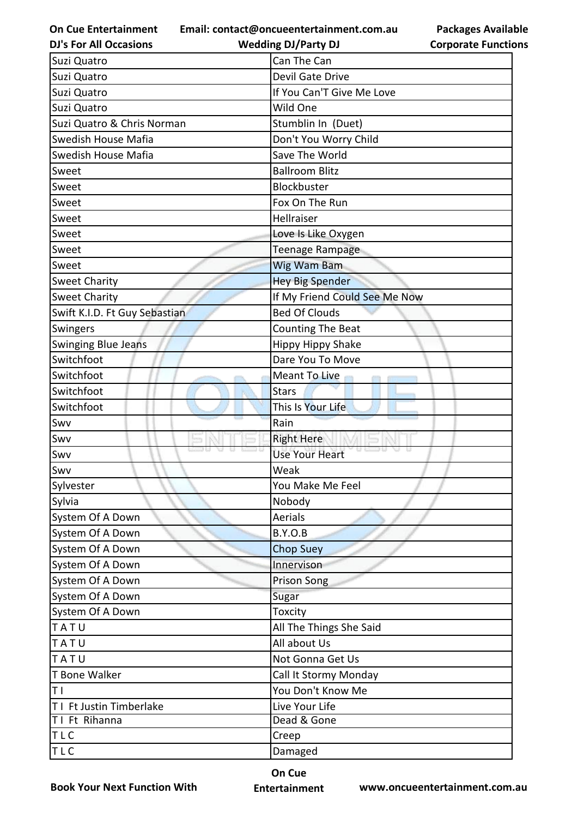**On Cue Entertainment DJ's For All Occasions**

**Email: contact@oncueentertainment.com.au Wedding DJ/Party DJ** 

|                               | Can The Can                             |
|-------------------------------|-----------------------------------------|
| Suzi Quatro<br>Suzi Quatro    | Devil Gate Drive                        |
| Suzi Quatro                   | If You Can'T Give Me Love               |
| Suzi Quatro                   | Wild One                                |
| Suzi Quatro & Chris Norman    |                                         |
| Swedish House Mafia           | Stumblin In (Duet)                      |
| Swedish House Mafia           | Don't You Worry Child<br>Save The World |
|                               |                                         |
| Sweet                         | <b>Ballroom Blitz</b><br>Blockbuster    |
| Sweet                         |                                         |
| Sweet                         | Fox On The Run                          |
| Sweet                         | Hellraiser                              |
| Sweet                         | Love Is Like Oxygen                     |
| Sweet                         | Teenage Rampage                         |
| Sweet                         | <b>Wig Wam Bam</b>                      |
| <b>Sweet Charity</b>          | <b>Hey Big Spender</b>                  |
| <b>Sweet Charity</b>          | If My Friend Could See Me Now           |
| Swift K.I.D. Ft Guy Sebastian | <b>Bed Of Clouds</b>                    |
| Swingers                      | <b>Counting The Beat</b>                |
| Swinging Blue Jeans           | <b>Hippy Hippy Shake</b>                |
| Switchfoot                    | Dare You To Move                        |
| Switchfoot                    | Meant To Live                           |
| Switchfoot                    | <b>Stars</b>                            |
| Switchfoot                    | This Is Your Life                       |
| Swv                           | Rain                                    |
| Swv                           | <b>Right Here</b>                       |
| Swv                           | <b>Use Your Heart</b>                   |
| Swv                           | Weak                                    |
| Sylvester                     | You Make Me Feel                        |
| Sylvia                        | Nobody                                  |
| System Of A Down              | Aerials                                 |
| System Of A Down              | B.Y.O.B                                 |
| System Of A Down              | <b>Chop Suey</b>                        |
| System Of A Down              | Innervison                              |
| System Of A Down              | Prison Song                             |
| System Of A Down              | Sugar                                   |
| System Of A Down              | Toxcity                                 |
| TATU                          | All The Things She Said                 |
| TATU                          | All about Us                            |
| TATU                          | Not Gonna Get Us                        |
| T Bone Walker                 | Call It Stormy Monday                   |
| T I                           | You Don't Know Me                       |
| T1 Ft Justin Timberlake       | Live Your Life                          |
| TI Ft Rihanna                 | Dead & Gone                             |
| TLC                           | Creep                                   |
| TLC                           | Damaged                                 |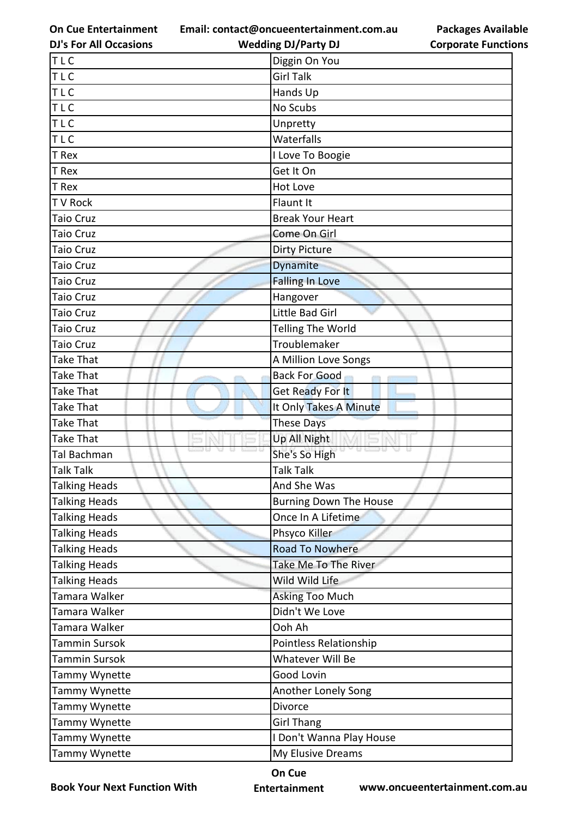**Email: contact@oncueentertainment.com.au Wedding DJ/Party DJ** 

**DJ's For All Occasions**

**Packages Available Corporate Functions**

| TLC                  | Diggin On You                 |
|----------------------|-------------------------------|
| TLC                  | <b>Girl Talk</b>              |
| TLC                  | Hands Up                      |
| <b>TLC</b>           | No Scubs                      |
| <b>TLC</b>           | Unpretty                      |
| <b>TLC</b>           | Waterfalls                    |
| T Rex                | I Love To Boogie              |
| T Rex                | Get It On                     |
| T Rex                | <b>Hot Love</b>               |
| T V Rock             | Flaunt It                     |
| <b>Taio Cruz</b>     | <b>Break Your Heart</b>       |
| <b>Taio Cruz</b>     | Come On Girl                  |
| <b>Taio Cruz</b>     | <b>Dirty Picture</b>          |
| <b>Taio Cruz</b>     | Dynamite                      |
| <b>Taio Cruz</b>     | <b>Falling In Love</b>        |
| <b>Taio Cruz</b>     | Hangover                      |
| <b>Taio Cruz</b>     | Little Bad Girl               |
| <b>Taio Cruz</b>     | <b>Telling The World</b>      |
| <b>Taio Cruz</b>     | Troublemaker                  |
| <b>Take That</b>     | A Million Love Songs          |
| <b>Take That</b>     | <b>Back For Good</b>          |
| <b>Take That</b>     | Get Ready For It              |
| <b>Take That</b>     | It Only Takes A Minute        |
| <b>Take That</b>     | <b>These Days</b>             |
| <b>Take That</b>     | Up All Night                  |
| Tal Bachman          | She's So High                 |
| <b>Talk Talk</b>     | <b>Talk Talk</b>              |
| <b>Talking Heads</b> | And She Was                   |
| <b>Talking Heads</b> | <b>Burning Down The House</b> |
| <b>Talking Heads</b> | Once In A Lifetime            |
| <b>Talking Heads</b> | Phsyco Killer                 |
| <b>Talking Heads</b> | <b>Road To Nowhere</b>        |
| <b>Talking Heads</b> | Take Me To The River          |
| <b>Talking Heads</b> | Wild Wild Life                |
| Tamara Walker        | Asking Too Much               |
| Tamara Walker        | Didn't We Love                |
| Tamara Walker        | Ooh Ah                        |
| Tammin Sursok        | Pointless Relationship        |
| <b>Tammin Sursok</b> | Whatever Will Be              |
| Tammy Wynette        | Good Lovin                    |
| Tammy Wynette        | Another Lonely Song           |
| Tammy Wynette        | Divorce                       |
| Tammy Wynette        | <b>Girl Thang</b>             |
| Tammy Wynette        | I Don't Wanna Play House      |
|                      |                               |

**Book Your Next Function With**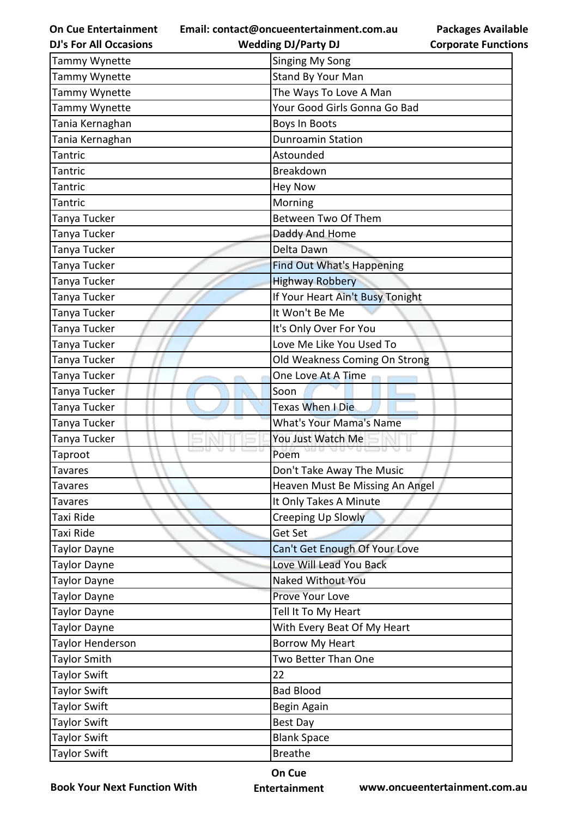**Email: contact@oncueentertainment.com.au Wedding DJ/Party DJ** 

**DJ's For All Occasions**

## **Packages Available Corporate Functions**

| Tammy Wynette                | <b>Singing My Song</b>                             |
|------------------------------|----------------------------------------------------|
| Tammy Wynette                | Stand By Your Man                                  |
| Tammy Wynette                | The Ways To Love A Man                             |
| Tammy Wynette                | Your Good Girls Gonna Go Bad                       |
| Tania Kernaghan              | <b>Boys In Boots</b>                               |
| Tania Kernaghan              | <b>Dunroamin Station</b>                           |
| Tantric                      | Astounded                                          |
| Tantric                      | Breakdown                                          |
| Tantric                      | <b>Hey Now</b>                                     |
| Tantric                      | Morning                                            |
| Tanya Tucker                 | Between Two Of Them                                |
| Tanya Tucker                 | Daddy And Home                                     |
| Tanya Tucker                 | Delta Dawn                                         |
| Tanya Tucker                 | Find Out What's Happening                          |
| Tanya Tucker                 |                                                    |
|                              | <b>Highway Robbery</b>                             |
| Tanya Tucker                 | If Your Heart Ain't Busy Tonight<br>It Won't Be Me |
| Tanya Tucker                 |                                                    |
| Tanya Tucker                 | It's Only Over For You                             |
| Tanya Tucker                 | Love Me Like You Used To                           |
| Tanya Tucker                 | Old Weakness Coming On Strong                      |
| Tanya Tucker                 | One Love At A Time                                 |
| Tanya Tucker<br>Tanya Tucker | Soon<br>Texas When I Die                           |
| Tanya Tucker                 | <b>What's Your Mama's Name</b>                     |
| Tanya Tucker                 | You Just Watch Me                                  |
| Taproot                      | Poem                                               |
| Tavares                      | Don't Take Away The Music                          |
| Tavares                      | Heaven Must Be Missing An Angel                    |
| Tavares                      | It Only Takes A Minute                             |
| Taxi Ride                    | Creeping Up Slowly                                 |
| Taxi Ride                    | <b>Get Set</b>                                     |
| Taylor Dayne                 | Can't Get Enough Of Your Love                      |
| Taylor Dayne                 | Love Will Lead You Back                            |
| Taylor Dayne                 | Naked Without You                                  |
| Taylor Dayne                 | Prove Your Love                                    |
| Taylor Dayne                 | Tell It To My Heart                                |
| Taylor Dayne                 | With Every Beat Of My Heart                        |
| Taylor Henderson             | <b>Borrow My Heart</b>                             |
| Taylor Smith                 | Two Better Than One                                |
| Taylor Swift                 | 22                                                 |
| Taylor Swift                 | <b>Bad Blood</b>                                   |
| Taylor Swift                 | Begin Again                                        |
| Taylor Swift                 | <b>Best Day</b>                                    |
| <b>Taylor Swift</b>          | <b>Blank Space</b>                                 |
| <b>Taylor Swift</b>          | <b>Breathe</b>                                     |
|                              |                                                    |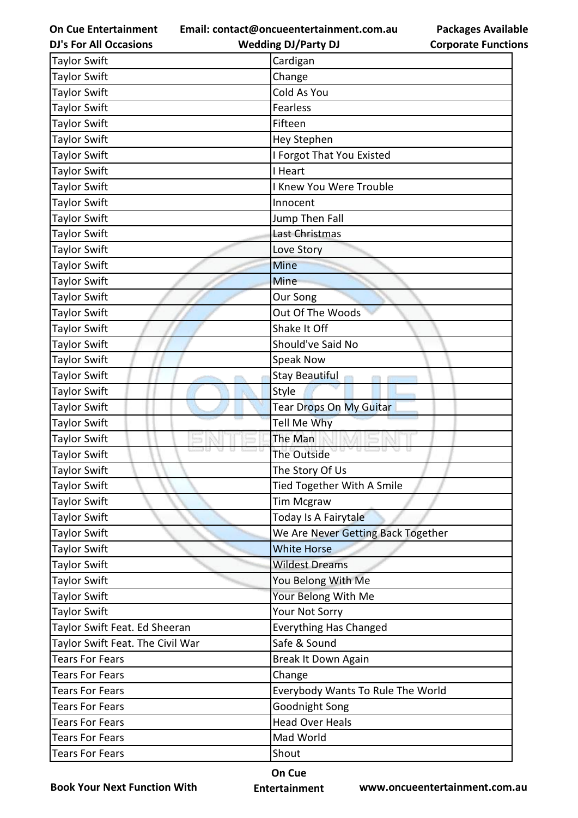**Email: contact@oncueentertainment.com.au**

**DJ's For All Occasions**

**Wedding DJ/Party DJ** 

**Packages Available Corporate Functions**

| <b>Taylor Swift</b>              | Cardigan                           |
|----------------------------------|------------------------------------|
| <b>Taylor Swift</b>              | Change                             |
| <b>Taylor Swift</b>              | Cold As You                        |
| <b>Taylor Swift</b>              | <b>Fearless</b>                    |
| <b>Taylor Swift</b>              | Fifteen                            |
| <b>Taylor Swift</b>              | Hey Stephen                        |
| Taylor Swift                     | I Forgot That You Existed          |
| <b>Taylor Swift</b>              | I Heart                            |
| <b>Taylor Swift</b>              | I Knew You Were Trouble            |
| <b>Taylor Swift</b>              | Innocent                           |
| <b>Taylor Swift</b>              | Jump Then Fall                     |
| <b>Taylor Swift</b>              | Last Christmas                     |
| <b>Taylor Swift</b>              | Love Story                         |
| Taylor Swift                     | <b>Mine</b>                        |
| <b>Taylor Swift</b>              | <b>Mine</b>                        |
| <b>Taylor Swift</b>              | Our Song                           |
| <b>Taylor Swift</b>              | Out Of The Woods                   |
| <b>Taylor Swift</b>              | Shake It Off                       |
| <b>Taylor Swift</b>              | Should've Said No                  |
| <b>Taylor Swift</b>              | <b>Speak Now</b>                   |
| <b>Taylor Swift</b>              | <b>Stay Beautiful</b>              |
| <b>Taylor Swift</b>              | Style                              |
| <b>Taylor Swift</b>              | Tear Drops On My Guitar            |
| <b>Taylor Swift</b>              | Tell Me Why                        |
| <b>Taylor Swift</b>              | The Man                            |
| <b>Taylor Swift</b>              | The Outside                        |
| <b>Taylor Swift</b>              | The Story Of Us                    |
| <b>Taylor Swift</b>              | Tied Together With A Smile         |
| <b>Taylor Swift</b>              | <b>Tim Mcgraw</b>                  |
| <b>Taylor Swift</b>              | Today Is A Fairytale               |
| <b>Taylor Swift</b>              | We Are Never Getting Back Together |
| <b>Taylor Swift</b>              | <b>White Horse</b>                 |
| <b>Taylor Swift</b>              | <b>Wildest Dreams</b>              |
| <b>Taylor Swift</b>              | You Belong With Me                 |
| <b>Taylor Swift</b>              | Your Belong With Me                |
| <b>Taylor Swift</b>              | Your Not Sorry                     |
| Taylor Swift Feat. Ed Sheeran    | <b>Everything Has Changed</b>      |
| Taylor Swift Feat. The Civil War | Safe & Sound                       |
| <b>Tears For Fears</b>           | Break It Down Again                |
| <b>Tears For Fears</b>           | Change                             |
| <b>Tears For Fears</b>           | Everybody Wants To Rule The World  |
| <b>Tears For Fears</b>           | Goodnight Song                     |
| <b>Tears For Fears</b>           | <b>Head Over Heals</b>             |
| <b>Tears For Fears</b>           | Mad World                          |
| <b>Tears For Fears</b>           | Shout                              |

**Book Your Next Function With**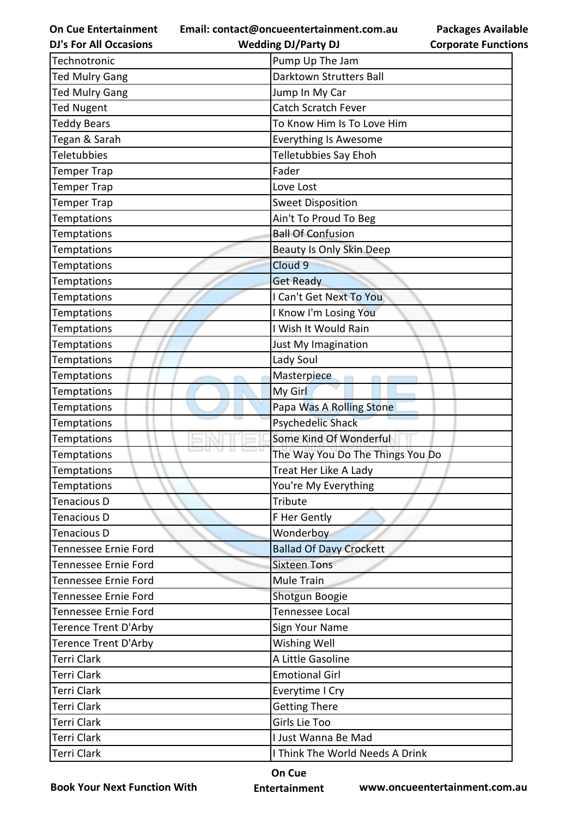**Email: contact@oncueentertainment.com.au**

**DJ's For All Occasions**

**Packages Available Corporate Functions**

| <b>DJ's For All Occasions</b> | <b>Wedding DJ/Party DJ</b>       | <b>Corporate Functio</b> |
|-------------------------------|----------------------------------|--------------------------|
| Technotronic                  | Pump Up The Jam                  |                          |
| <b>Ted Mulry Gang</b>         | Darktown Strutters Ball          |                          |
| <b>Ted Mulry Gang</b>         | Jump In My Car                   |                          |
| <b>Ted Nugent</b>             | Catch Scratch Fever              |                          |
| <b>Teddy Bears</b>            | To Know Him Is To Love Him       |                          |
| Tegan & Sarah                 | <b>Everything Is Awesome</b>     |                          |
| <b>Teletubbies</b>            | Telletubbies Say Ehoh            |                          |
| <b>Temper Trap</b>            | Fader                            |                          |
| <b>Temper Trap</b>            | Love Lost                        |                          |
| <b>Temper Trap</b>            | <b>Sweet Disposition</b>         |                          |
| Temptations                   | Ain't To Proud To Beg            |                          |
| Temptations                   | <b>Ball Of Confusion</b>         |                          |
| Temptations                   | <b>Beauty Is Only Skin Deep</b>  |                          |
| <b>Temptations</b>            | Cloud 9                          |                          |
| Temptations                   | <b>Get Ready</b>                 |                          |
| <b>Temptations</b>            | I Can't Get Next To You          |                          |
| Temptations                   | I Know I'm Losing You            |                          |
| Temptations                   | I Wish It Would Rain             |                          |
| Temptations                   | Just My Imagination              |                          |
| Temptations                   | Lady Soul                        |                          |
| <b>Temptations</b>            | Masterpiece                      |                          |
| Temptations                   | My Girl                          |                          |
| Temptations                   | Papa Was A Rolling Stone         |                          |
| <b>Temptations</b>            | <b>Psychedelic Shack</b>         |                          |
| Temptations                   | Some Kind Of Wonderful           |                          |
| Temptations                   | The Way You Do The Things You Do |                          |
| Temptations                   | Treat Her Like A Lady            |                          |
| Temptations                   | You're My Everything             |                          |
| Tenacious D                   | <b>Tribute</b>                   |                          |
| <b>Tenacious D</b>            | F Her Gently                     |                          |
| <b>Tenacious D</b>            | Wonderboy                        |                          |
| Tennessee Ernie Ford          | <b>Ballad Of Davy Crockett</b>   |                          |
| Tennessee Ernie Ford          | <b>Sixteen Tons</b>              |                          |
| Tennessee Ernie Ford          | Mule Train                       |                          |
| Tennessee Ernie Ford          | Shotgun Boogie                   |                          |
| Tennessee Ernie Ford          | Tennessee Local                  |                          |
| <b>Terence Trent D'Arby</b>   | Sign Your Name                   |                          |
| <b>Terence Trent D'Arby</b>   | Wishing Well                     |                          |
| <b>Terri Clark</b>            | A Little Gasoline                |                          |
| Terri Clark                   | <b>Emotional Girl</b>            |                          |
| <b>Terri Clark</b>            | Everytime I Cry                  |                          |
| Terri Clark                   | <b>Getting There</b>             |                          |
| Terri Clark                   | Girls Lie Too                    |                          |
| <b>Terri Clark</b>            | I Just Wanna Be Mad              |                          |
| Terri Clark                   | I Think The World Needs A Drink  |                          |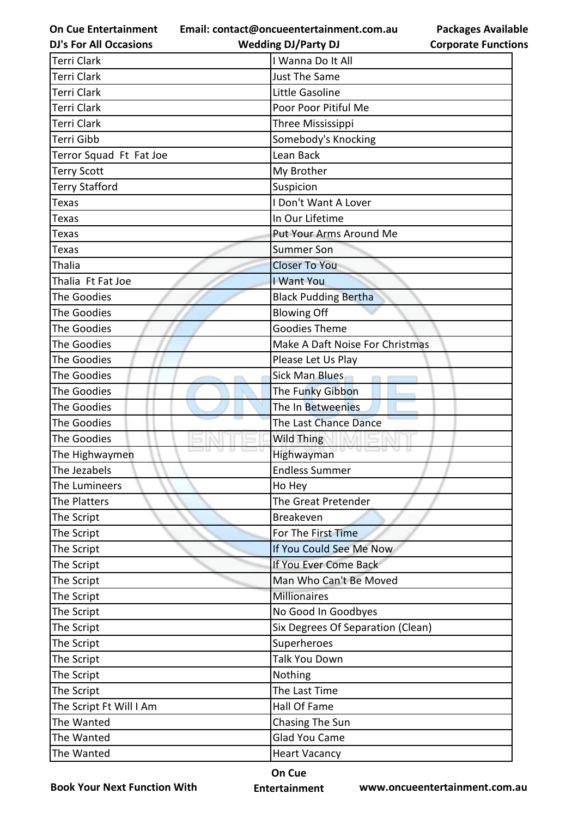**On Cue Entertainment Email: contact@oncueentertainment.com.au Wedding DJ/Party DJ** 

| <b>DJ's For All Occasions</b> |  |
|-------------------------------|--|
|-------------------------------|--|

| <b>Packages Available</b>  |
|----------------------------|
| <b>Corporate Functions</b> |

| Terri Clark             | I Wanna Do It All                 |
|-------------------------|-----------------------------------|
| Terri Clark             | <b>Just The Same</b>              |
| Terri Clark             | Little Gasoline                   |
| <b>Terri Clark</b>      | Poor Poor Pitiful Me              |
| <b>Terri Clark</b>      | Three Mississippi                 |
| <b>Terri Gibb</b>       | Somebody's Knocking               |
| Terror Squad Ft Fat Joe | Lean Back                         |
| <b>Terry Scott</b>      | My Brother                        |
| <b>Terry Stafford</b>   | Suspicion                         |
| <b>Texas</b>            | I Don't Want A Lover              |
| Texas                   | In Our Lifetime                   |
| Texas                   | Put Your Arms Around Me           |
| <b>Texas</b>            | <b>Summer Son</b>                 |
| <b>Thalia</b>           | <b>Closer To You</b>              |
| Thalia Ft Fat Joe       | I Want You                        |
| The Goodies             | <b>Black Pudding Bertha</b>       |
| The Goodies             | <b>Blowing Off</b>                |
| The Goodies             | <b>Goodies Theme</b>              |
| The Goodies             | Make A Daft Noise For Christmas   |
| The Goodies             | Please Let Us Play                |
| The Goodies             | <b>Sick Man Blues</b>             |
| The Goodies             | The Funky Gibbon                  |
| The Goodies             | The In Betweenies                 |
| The Goodies             | The Last Chance Dance             |
| The Goodies             | <b>Wild Thing</b>                 |
| The Highwaymen          | Highwayman                        |
| The Jezabels            | <b>Endless Summer</b>             |
| The Lumineers           | Ho Hey                            |
| The Platters            | The Great Pretender               |
| The Script              | <b>Breakeven</b>                  |
| The Script              | For The First Time                |
| The Script              | If You Could See Me Now           |
| The Script              | If You Ever Come Back             |
| The Script              | Man Who Can't Be Moved            |
| The Script              | <b>Millionaires</b>               |
| The Script              | No Good In Goodbyes               |
| The Script              | Six Degrees Of Separation (Clean) |
| The Script              | Superheroes                       |
| The Script              | Talk You Down                     |
| The Script              | Nothing                           |
| The Script              | The Last Time                     |
| The Script Ft Will I Am | Hall Of Fame                      |
| The Wanted              | Chasing The Sun                   |
| The Wanted              | Glad You Came                     |
| The Wanted              | <b>Heart Vacancy</b>              |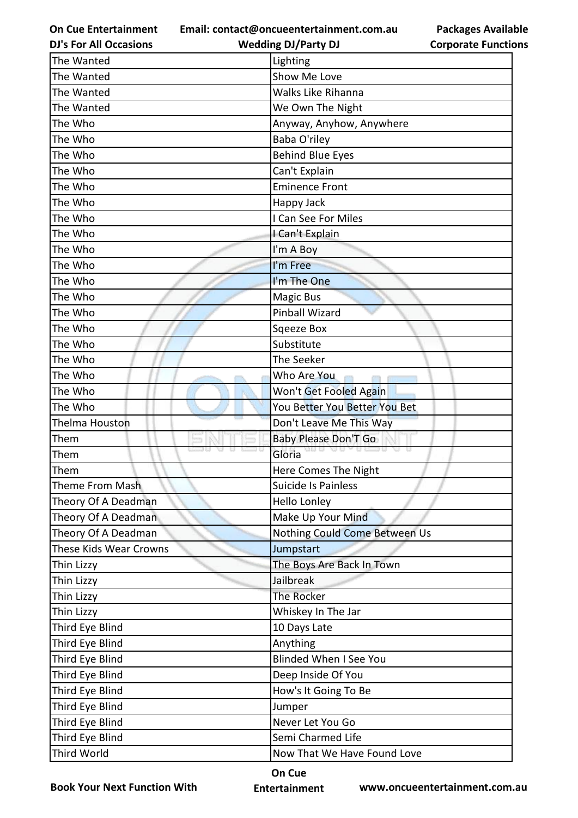**Email: contact@oncueentertainment.com.au Wedding DJ/Party DJ** 

**DJ's For All Occasions**

**Packages Available Corporate Functions**

| The Wanted             | Lighting                      |
|------------------------|-------------------------------|
| The Wanted             | Show Me Love                  |
| The Wanted             | Walks Like Rihanna            |
| The Wanted             | We Own The Night              |
| The Who                | Anyway, Anyhow, Anywhere      |
| The Who                | Baba O'riley                  |
| The Who                | <b>Behind Blue Eyes</b>       |
| The Who                | Can't Explain                 |
| The Who                | <b>Eminence Front</b>         |
| The Who                | Happy Jack                    |
| The Who                | I Can See For Miles           |
| The Who                | I Can't Explain               |
| The Who                | I'm A Boy                     |
| The Who                | I'm Free                      |
| The Who                | I'm The One                   |
| The Who                | Magic Bus                     |
| The Who                | <b>Pinball Wizard</b>         |
| The Who                | Sqeeze Box                    |
| The Who                | Substitute                    |
| The Who                | The Seeker                    |
| The Who                | Who Are You<br><b>COLLE</b>   |
| The Who                | Won't Get Fooled Again        |
| The Who                | You Better You Better You Bet |
| Thelma Houston         | Don't Leave Me This Way       |
| Them                   | <b>Baby Please Don'T Go</b>   |
| D U<br>u<br>Them       | 65 D U<br>Gloria              |
| Them                   | Here Comes The Night          |
| Theme From Mash        | Suicide Is Painless           |
| Theory Of A Deadman    | <b>Hello Lonley</b>           |
| Theory Of A Deadman    | Make Up Your Mind             |
| Theory Of A Deadman    | Nothing Could Come Between Us |
| These Kids Wear Crowns | Jumpstart                     |
| Thin Lizzy             | The Boys Are Back In Town     |
| Thin Lizzy             | Jailbreak                     |
| Thin Lizzy             | The Rocker                    |
| Thin Lizzy             | Whiskey In The Jar            |
| Third Eye Blind        | 10 Days Late                  |
| Third Eye Blind        | Anything                      |
| Third Eye Blind        | <b>Blinded When I See You</b> |
| Third Eye Blind        | Deep Inside Of You            |
| Third Eye Blind        | How's It Going To Be          |
| Third Eye Blind        | Jumper                        |
| Third Eye Blind        | Never Let You Go              |
| Third Eye Blind        | Semi Charmed Life             |
| Third World            | Now That We Have Found Love   |

**Book Your Next Function With**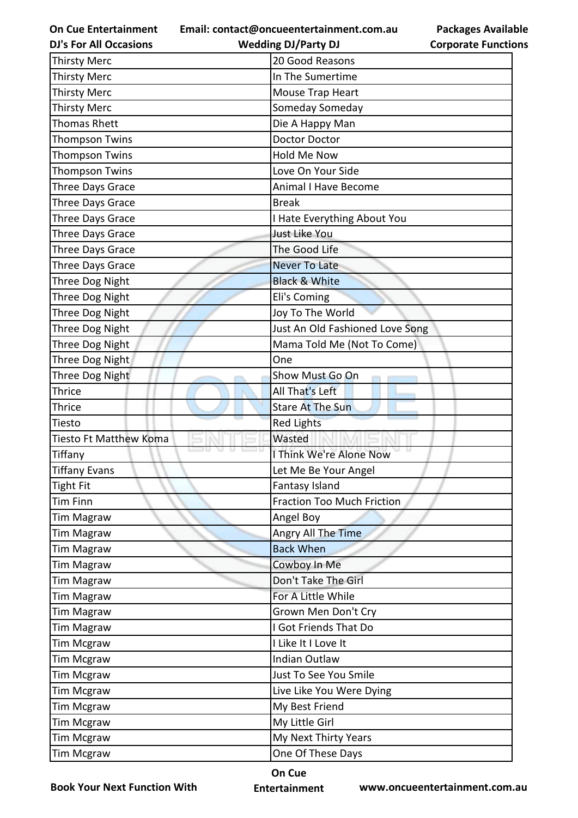**Email: contact@oncueentertainment.com.au**

**DJ's For All Occasions**

| act@011cucc11cc1.ammlc11c.com.au | . . |
|----------------------------------|-----|
| <b>Wedding DJ/Party DJ</b>       | Cor |

**Packages Available Corporate Functions**

| <b>Thirsty Merc</b>    | 20 Good Reasons                   |
|------------------------|-----------------------------------|
| <b>Thirsty Merc</b>    | In The Sumertime                  |
| <b>Thirsty Merc</b>    | Mouse Trap Heart                  |
| <b>Thirsty Merc</b>    | Someday Someday                   |
| <b>Thomas Rhett</b>    | Die A Happy Man                   |
| <b>Thompson Twins</b>  | Doctor Doctor                     |
| <b>Thompson Twins</b>  | <b>Hold Me Now</b>                |
| <b>Thompson Twins</b>  | Love On Your Side                 |
| Three Days Grace       | <b>Animal I Have Become</b>       |
| Three Days Grace       | <b>Break</b>                      |
| Three Days Grace       | I Hate Everything About You       |
| Three Days Grace       | Just Like You                     |
| Three Days Grace       | The Good Life                     |
| Three Days Grace       | <b>Never To Late</b>              |
| Three Dog Night        | <b>Black &amp; White</b>          |
| Three Dog Night        | Eli's Coming                      |
| Three Dog Night        | Joy To The World                  |
| Three Dog Night        | Just An Old Fashioned Love Song   |
| Three Dog Night        | Mama Told Me (Not To Come)        |
| Three Dog Night        | One                               |
| Three Dog Night        | Show Must Go On                   |
| <b>Thrice</b>          | All That's Left                   |
| <b>Thrice</b>          | <b>Stare At The Sun</b>           |
| Tiesto                 | <b>Red Lights</b>                 |
| Tiesto Ft Matthew Koma | Wasted                            |
| Tiffany                | I Think We're Alone Now           |
| <b>Tiffany Evans</b>   | Let Me Be Your Angel              |
| Tight Fit              | Fantasy Island                    |
| <b>Tim Finn</b>        | <b>Fraction Too Much Friction</b> |
| <b>Tim Magraw</b>      | Angel Boy                         |
| <b>Tim Magraw</b>      | Angry All The Time                |
| <b>Tim Magraw</b>      | <b>Back When</b>                  |
| <b>Tim Magraw</b>      | Cowboy In Me                      |
| <b>Tim Magraw</b>      | Don't Take The Girl               |
| <b>Tim Magraw</b>      | For A Little While                |
| <b>Tim Magraw</b>      | Grown Men Don't Cry               |
| <b>Tim Magraw</b>      | I Got Friends That Do             |
| <b>Tim Mcgraw</b>      | I Like It I Love It               |
| <b>Tim Mcgraw</b>      | Indian Outlaw                     |
| <b>Tim Mcgraw</b>      | Just To See You Smile             |
| <b>Tim Mcgraw</b>      | Live Like You Were Dying          |
| <b>Tim Mcgraw</b>      | My Best Friend                    |
| <b>Tim Mcgraw</b>      | My Little Girl                    |
| <b>Tim Mcgraw</b>      | My Next Thirty Years              |
| <b>Tim Mcgraw</b>      | One Of These Days                 |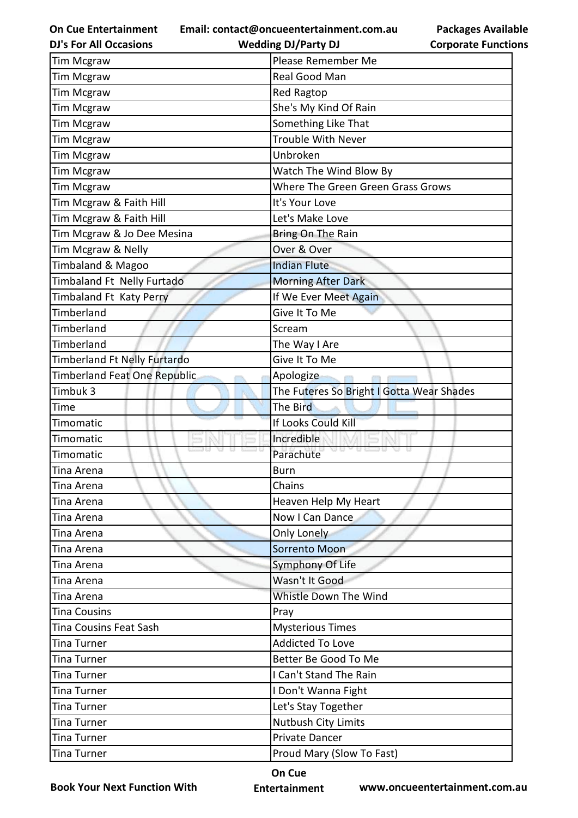**Email: contact@oncueentertainment.com.au Wedding DJ/Party DJ** 

**DJ's For All Occasions**

**Packages Available Corporate Functions**

| <b>Tim Mcgraw</b>            | Please Remember Me                        |
|------------------------------|-------------------------------------------|
| Tim Mcgraw                   | Real Good Man                             |
| Tim Mcgraw                   | <b>Red Ragtop</b>                         |
| Tim Mcgraw                   | She's My Kind Of Rain                     |
| Tim Mcgraw                   | Something Like That                       |
| Tim Mcgraw                   | Trouble With Never                        |
| Tim Mcgraw                   | Unbroken                                  |
| Tim Mcgraw                   | Watch The Wind Blow By                    |
| Tim Mcgraw                   | Where The Green Green Grass Grows         |
| Tim Mcgraw & Faith Hill      | It's Your Love                            |
| Tim Mcgraw & Faith Hill      | Let's Make Love                           |
| Tim Mcgraw & Jo Dee Mesina   | Bring On The Rain                         |
| Tim Mcgraw & Nelly           | Over & Over                               |
| Timbaland & Magoo            | <b>Indian Flute</b>                       |
| Timbaland Ft Nelly Furtado   | <b>Morning After Dark</b>                 |
| Timbaland Ft Katy Perry      | If We Ever Meet Again                     |
| Timberland                   | Give It To Me                             |
| Timberland                   | Scream                                    |
| Timberland                   | The Way I Are                             |
| Timberland Ft Nelly Furtardo | Give It To Me                             |
| Timberland Feat One Republic | Apologize                                 |
| Timbuk 3                     | The Futeres So Bright I Gotta Wear Shades |
| Time                         | The Bird                                  |
| Timomatic                    | If Looks Could Kill                       |
| Timomatic                    | Incredible                                |
| Timomatic                    | a a<br>Parachute                          |
| Tina Arena                   | <b>Burn</b>                               |
| Tina Arena                   | Chains                                    |
| Tina Arena                   | Heaven Help My Heart                      |
| Tina Arena                   | Now I Can Dance                           |
| Tina Arena                   | Only Lonely                               |
| Tina Arena                   | Sorrento Moon                             |
| Tina Arena                   | Symphony Of Life                          |
| Tina Arena                   | Wasn't It Good                            |
| Tina Arena                   | Whistle Down The Wind                     |
| <b>Tina Cousins</b>          | Pray                                      |
| Tina Cousins Feat Sash       | <b>Mysterious Times</b>                   |
| Tina Turner                  | <b>Addicted To Love</b>                   |
| Tina Turner                  | Better Be Good To Me                      |
| Tina Turner                  | I Can't Stand The Rain                    |
| Tina Turner                  | I Don't Wanna Fight                       |
| Tina Turner                  | Let's Stay Together                       |
| Tina Turner                  | Nutbush City Limits                       |
| Tina Turner                  | Private Dancer                            |
| Tina Turner                  | Proud Mary (Slow To Fast)                 |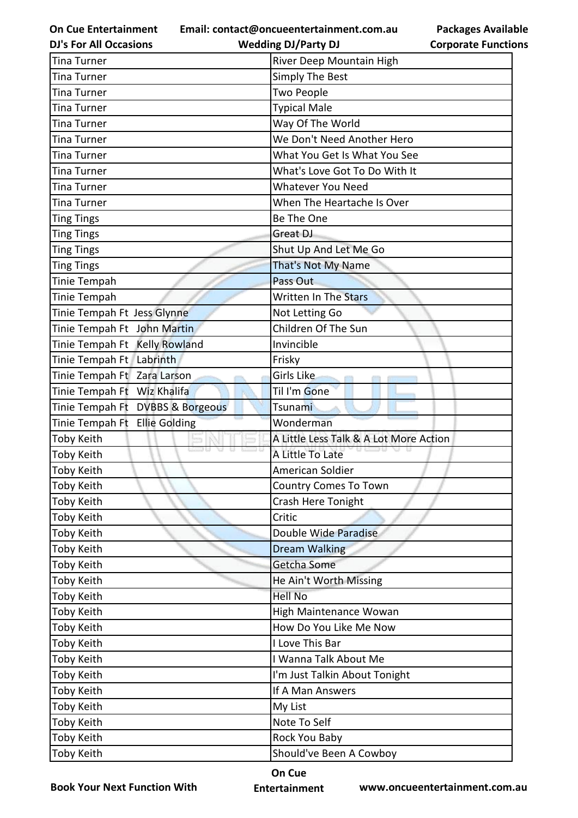**Email: contact@oncueentertainment.com.au**

**DJ's For All Occasions**

**Packages Available Corporate Functions**

| <b>DJ's For All Occasions</b>    | <b>Wedding DJ/Party DJ</b>             | <b>Corporate Functio</b> |
|----------------------------------|----------------------------------------|--------------------------|
| <b>Tina Turner</b>               | River Deep Mountain High               |                          |
| Tina Turner                      | <b>Simply The Best</b>                 |                          |
| Tina Turner                      | <b>Two People</b>                      |                          |
| Tina Turner                      | <b>Typical Male</b>                    |                          |
| <b>Tina Turner</b>               | Way Of The World                       |                          |
| Tina Turner                      | We Don't Need Another Hero             |                          |
| Tina Turner                      | What You Get Is What You See           |                          |
| Tina Turner                      | What's Love Got To Do With It          |                          |
| Tina Turner                      | <b>Whatever You Need</b>               |                          |
| Tina Turner                      | When The Heartache Is Over             |                          |
| <b>Ting Tings</b>                | Be The One                             |                          |
| <b>Ting Tings</b>                | Great DJ                               |                          |
| <b>Ting Tings</b>                | Shut Up And Let Me Go                  |                          |
| <b>Ting Tings</b>                | That's Not My Name                     |                          |
| Tinie Tempah                     | Pass Out                               |                          |
| Tinie Tempah                     | <b>Written In The Stars</b>            |                          |
| Tinie Tempah Ft Jess Glynne      | Not Letting Go                         |                          |
| Tinie Tempah Ft John Martin      | Children Of The Sun                    |                          |
| Tinie Tempah Ft Kelly Rowland    | Invincible                             |                          |
| Tinie Tempah Ft Labrinth         | Frisky                                 |                          |
| Tinie Tempah Ft Zara Larson      | Girls Like                             |                          |
| Tinie Tempah Ft Wiz Khalifa      | Til I'm Gone                           |                          |
| Tinie Tempah Ft DVBBS & Borgeous | Tsunami                                |                          |
| Tinie Tempah Ft Ellie Golding    | Wonderman                              |                          |
| <b>Toby Keith</b>                | A Little Less Talk & A Lot More Action |                          |
| Toby Keith                       | A Little To Late                       |                          |
| <b>Toby Keith</b>                | American Soldier                       |                          |
| Toby Keith                       | <b>Country Comes To Town</b>           |                          |
| Toby Keith                       | Crash Here Tonight                     |                          |
| Toby Keith                       | Critic                                 |                          |
| Toby Keith                       | Double Wide Paradise                   |                          |
| Toby Keith                       | <b>Dream Walking</b>                   |                          |
| Toby Keith                       | Getcha Some                            |                          |
| Toby Keith                       | He Ain't Worth Missing                 |                          |
| Toby Keith                       | <b>Hell No</b>                         |                          |
| Toby Keith                       | High Maintenance Wowan                 |                          |
| Toby Keith                       | How Do You Like Me Now                 |                          |
| Toby Keith                       | I Love This Bar                        |                          |
| Toby Keith                       | I Wanna Talk About Me                  |                          |
| Toby Keith                       | I'm Just Talkin About Tonight          |                          |
| Toby Keith                       | If A Man Answers                       |                          |
| Toby Keith                       | My List                                |                          |
| Toby Keith                       | Note To Self                           |                          |
| Toby Keith                       | Rock You Baby                          |                          |
| Toby Keith                       | Should've Been A Cowboy                |                          |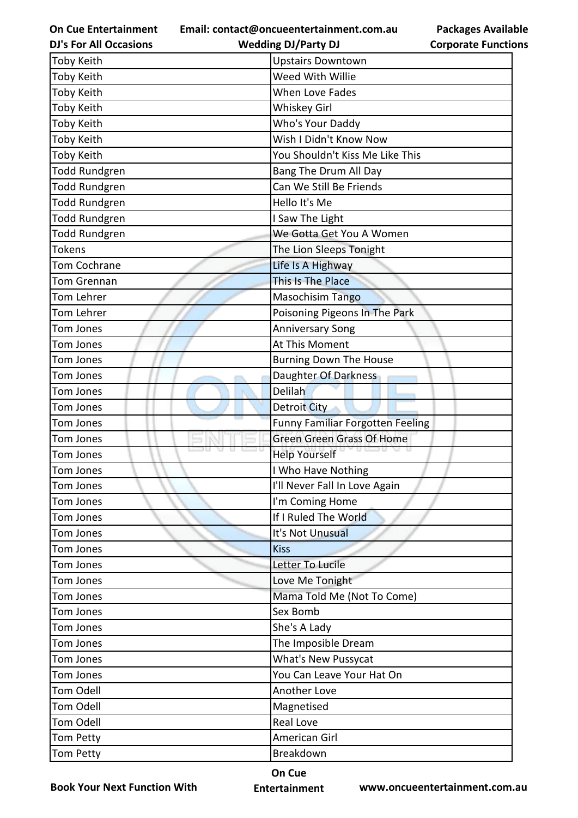**On Cue Entertainment Email: contact@oncueentertainment.com.au**

| .au | <b>Packages Available</b> |
|-----|---------------------------|
|     | Cornorate Functions       |

| <b>DJ's For All Occasions</b> | <b>Wedding DJ/Party DJ</b>       | <b>Corporate Functions</b> |
|-------------------------------|----------------------------------|----------------------------|
| Toby Keith                    | <b>Upstairs Downtown</b>         |                            |
| Toby Keith                    | Weed With Willie                 |                            |
| Toby Keith                    | <b>When Love Fades</b>           |                            |
| Toby Keith                    | <b>Whiskey Girl</b>              |                            |
| Toby Keith                    | Who's Your Daddy                 |                            |
| Toby Keith                    | Wish I Didn't Know Now           |                            |
| Toby Keith                    | You Shouldn't Kiss Me Like This  |                            |
| <b>Todd Rundgren</b>          | Bang The Drum All Day            |                            |
| <b>Todd Rundgren</b>          | Can We Still Be Friends          |                            |
| <b>Todd Rundgren</b>          | Hello It's Me                    |                            |
| <b>Todd Rundgren</b>          | I Saw The Light                  |                            |
| <b>Todd Rundgren</b>          | We Gotta Get You A Women         |                            |
| <b>Tokens</b>                 | The Lion Sleeps Tonight          |                            |
| <b>Tom Cochrane</b>           | Life Is A Highway                |                            |
| Tom Grennan                   | This Is The Place                |                            |
| Tom Lehrer                    | Masochisim Tango                 |                            |
| Tom Lehrer                    | Poisoning Pigeons In The Park    |                            |
| <b>Tom Jones</b>              | <b>Anniversary Song</b>          |                            |
| <b>Tom Jones</b>              | At This Moment                   |                            |
| Tom Jones                     | <b>Burning Down The House</b>    |                            |
| Tom Jones                     | Daughter Of Darkness             |                            |
| Tom Jones                     | <b>Delilah</b>                   |                            |
| <b>Tom Jones</b>              | <b>Detroit City</b>              |                            |
| <b>Tom Jones</b>              | Funny Familiar Forgotten Feeling |                            |
| <b>Tom Jones</b>              | <b>Green Green Grass Of Home</b> |                            |
| Tom Jones                     | <b>Help Yourself</b>             |                            |
| Tom Jones                     | I Who Have Nothing               |                            |
| Tom Jones                     | I'll Never Fall In Love Again    |                            |
| Tom Jones                     | I'm Coming Home                  |                            |
| Tom Jones                     | If I Ruled The World             |                            |
| Tom Jones                     | It's Not Unusual                 |                            |
| Tom Jones                     | <b>Kiss</b>                      |                            |
| Tom Jones                     | Letter To Lucile                 |                            |
| Tom Jones                     | Love Me Tonight                  |                            |
| Tom Jones                     | Mama Told Me (Not To Come)       |                            |
| Tom Jones                     | Sex Bomb                         |                            |
| Tom Jones                     | She's A Lady                     |                            |
| Tom Jones                     | The Imposible Dream              |                            |
| Tom Jones                     | What's New Pussycat              |                            |
| Tom Jones                     | You Can Leave Your Hat On        |                            |
| <b>Tom Odell</b>              | Another Love                     |                            |
| Tom Odell                     | Magnetised                       |                            |
| <b>Tom Odell</b>              | Real Love                        |                            |
| <b>Tom Petty</b>              | American Girl                    |                            |
| Tom Petty                     | Breakdown                        |                            |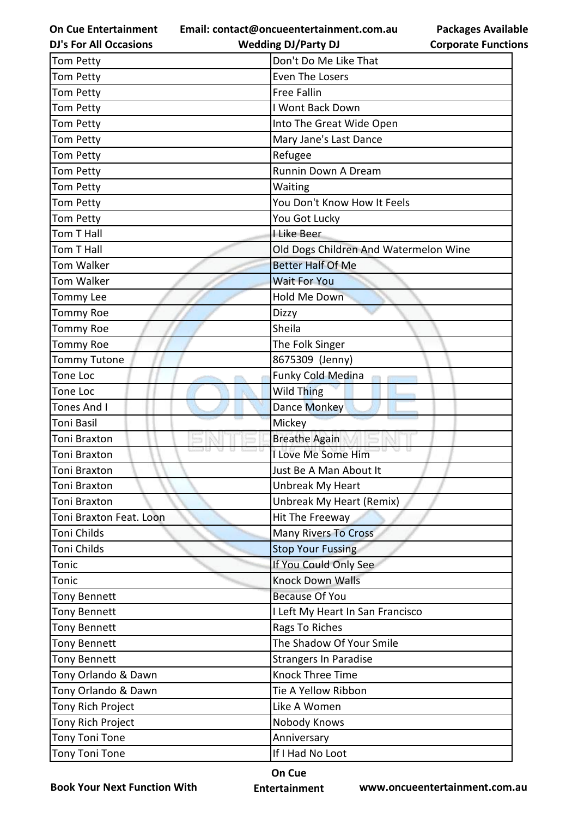**Email: contact@oncueentertainment.com.au**

**Packages Available Corporate Functions**

| <b>DJ's For All Occasions</b> | <b>Wedding DJ/Party DJ</b>            | <b>Corporate Functio</b> |
|-------------------------------|---------------------------------------|--------------------------|
| <b>Tom Petty</b>              | Don't Do Me Like That                 |                          |
| <b>Tom Petty</b>              | Even The Losers                       |                          |
| <b>Tom Petty</b>              | <b>Free Fallin</b>                    |                          |
| Tom Petty                     | I Wont Back Down                      |                          |
| <b>Tom Petty</b>              | Into The Great Wide Open              |                          |
| <b>Tom Petty</b>              | Mary Jane's Last Dance                |                          |
| Tom Petty                     | Refugee                               |                          |
| <b>Tom Petty</b>              | Runnin Down A Dream                   |                          |
| <b>Tom Petty</b>              | Waiting                               |                          |
| Tom Petty                     | You Don't Know How It Feels           |                          |
| Tom Petty                     | You Got Lucky                         |                          |
| Tom T Hall                    | I Like Beer                           |                          |
| Tom T Hall                    | Old Dogs Children And Watermelon Wine |                          |
| Tom Walker                    | <b>Better Half Of Me</b>              |                          |
| <b>Tom Walker</b>             | <b>Wait For You</b>                   |                          |
| Tommy Lee                     | Hold Me Down                          |                          |
| <b>Tommy Roe</b>              | Dizzy                                 |                          |
| <b>Tommy Roe</b>              | Sheila                                |                          |
| <b>Tommy Roe</b>              | The Folk Singer                       |                          |
| <b>Tommy Tutone</b>           | 8675309 (Jenny)                       |                          |
| Tone Loc                      | Funky Cold Medina                     |                          |
| Tone Loc                      | <b>Wild Thing</b>                     |                          |
| <b>Tones And I</b>            | Dance Monkey                          |                          |
| Toni Basil                    | Mickey                                |                          |
| Toni Braxton                  | <b>Breathe Again</b>                  |                          |
| <b>Toni Braxton</b>           | I Love Me Some Him                    |                          |
| Toni Braxton                  | Just Be A Man About It                |                          |
| Toni Braxton                  | Unbreak My Heart                      |                          |
| Toni Braxton                  | Unbreak My Heart (Remix)              |                          |
| Toni Braxton Feat. Loon       | Hit The Freeway                       |                          |
| Toni Childs                   | <b>Many Rivers To Cross</b>           |                          |
| Toni Childs                   | <b>Stop Your Fussing</b>              |                          |
| Tonic                         | If You Could Only See                 |                          |
| Tonic                         | <b>Knock Down Walls</b>               |                          |
| Tony Bennett                  | <b>Because Of You</b>                 |                          |
| <b>Tony Bennett</b>           | I Left My Heart In San Francisco      |                          |
| <b>Tony Bennett</b>           | Rags To Riches                        |                          |
| <b>Tony Bennett</b>           | The Shadow Of Your Smile              |                          |
| <b>Tony Bennett</b>           | <b>Strangers In Paradise</b>          |                          |
| Tony Orlando & Dawn           | Knock Three Time                      |                          |
| Tony Orlando & Dawn           | Tie A Yellow Ribbon                   |                          |
| Tony Rich Project             | Like A Women                          |                          |
| Tony Rich Project             | Nobody Knows                          |                          |
| Tony Toni Tone                | Anniversary                           |                          |
| <b>Tony Toni Tone</b>         | If I Had No Loot                      |                          |
|                               |                                       |                          |

**Book Your Next Function With**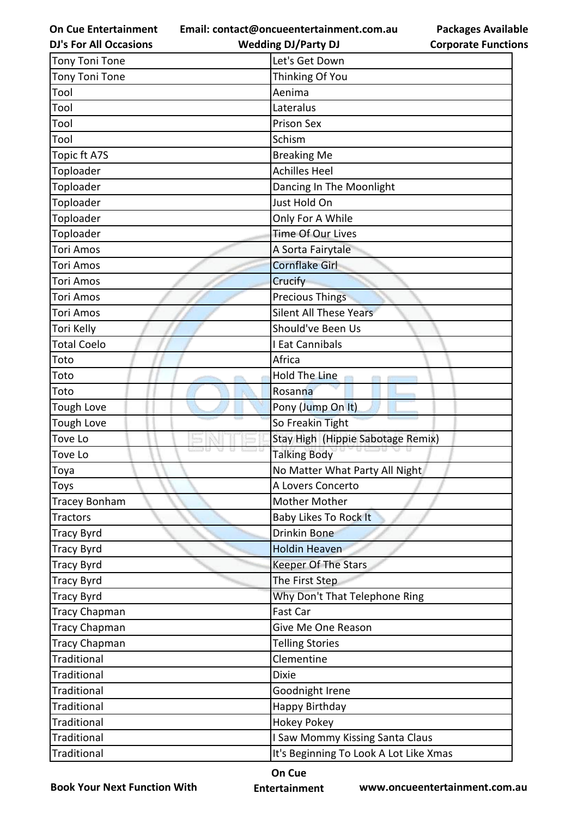**Email: contact@oncueentertainment.com.au Wedding DJ/Party DJ** 

**DJ's For All Occasions**

**Packages Available Corporate Functions**

| <b>Tony Toni Tone</b> | Let's Get Down                         |
|-----------------------|----------------------------------------|
| <b>Tony Toni Tone</b> | Thinking Of You                        |
| Tool                  | Aenima                                 |
| Tool                  | Lateralus                              |
| Tool                  | <b>Prison Sex</b>                      |
| Tool                  | Schism                                 |
| Topic ft A7S          | <b>Breaking Me</b>                     |
| Toploader             | <b>Achilles Heel</b>                   |
| Toploader             | Dancing In The Moonlight               |
| Toploader             | Just Hold On                           |
| Toploader             | Only For A While                       |
| Toploader             | Time Of Our Lives                      |
| <b>Tori Amos</b>      | A Sorta Fairytale                      |
| <b>Tori Amos</b>      | <b>Cornflake Girl</b>                  |
| <b>Tori Amos</b>      | Crucify                                |
| Tori Amos             | <b>Precious Things</b>                 |
| <b>Tori Amos</b>      | <b>Silent All These Years</b>          |
| Tori Kelly            | Should've Been Us                      |
| <b>Total Coelo</b>    | I Eat Cannibals                        |
| Toto                  | Africa                                 |
| Toto                  | Hold The Line                          |
| Toto                  | Rosanna                                |
| <b>Tough Love</b>     | Pony (Jump On It)                      |
| Tough Love            | So Freakin Tight                       |
| Tove Lo               | Stay High (Hippie Sabotage Remix)      |
| Tove Lo               | <b>Talking Body</b>                    |
| Toya                  | No Matter What Party All Night         |
| <b>Toys</b>           | A Lovers Concerto                      |
| <b>Tracey Bonham</b>  | <b>Mother Mother</b>                   |
| <b>Tractors</b>       | <b>Baby Likes To Rock It</b>           |
| <b>Tracy Byrd</b>     | <b>Drinkin Bone</b>                    |
| <b>Tracy Byrd</b>     | <b>Holdin Heaven</b>                   |
| <b>Tracy Byrd</b>     | <b>Keeper Of The Stars</b>             |
| <b>Tracy Byrd</b>     | The First Step                         |
| <b>Tracy Byrd</b>     | Why Don't That Telephone Ring          |
| <b>Tracy Chapman</b>  | Fast Car                               |
| <b>Tracy Chapman</b>  | Give Me One Reason                     |
| <b>Tracy Chapman</b>  | <b>Telling Stories</b>                 |
| <b>Traditional</b>    | Clementine                             |
| Traditional           | <b>Dixie</b>                           |
| <b>Traditional</b>    | Goodnight Irene                        |
| <b>Traditional</b>    | Happy Birthday                         |
| Traditional           | <b>Hokey Pokey</b>                     |
| Traditional           | I Saw Mommy Kissing Santa Claus        |
| Traditional           | It's Beginning To Look A Lot Like Xmas |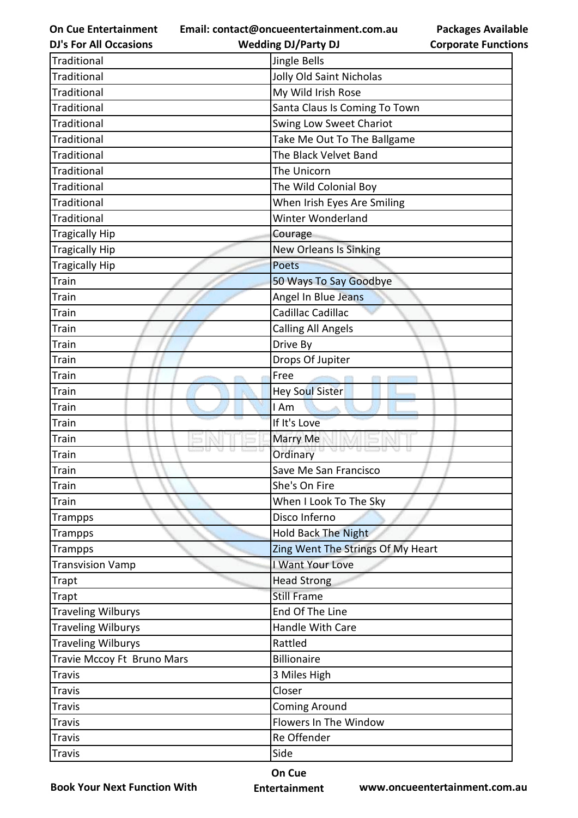**Email: contact@oncueentertainment.com.au**

**Wedding DJ/Party DJ** 

| <b>DJ's For All Occasions</b> | <b>Wedding DJ/Party DJ</b>        | <b>Corporate Functio</b> |
|-------------------------------|-----------------------------------|--------------------------|
| <b>Traditional</b>            | Jingle Bells                      |                          |
| <b>Traditional</b>            | Jolly Old Saint Nicholas          |                          |
| <b>Traditional</b>            | My Wild Irish Rose                |                          |
| Traditional                   | Santa Claus Is Coming To Town     |                          |
| <b>Traditional</b>            | Swing Low Sweet Chariot           |                          |
| <b>Traditional</b>            | Take Me Out To The Ballgame       |                          |
| <b>Traditional</b>            | The Black Velvet Band             |                          |
| <b>Traditional</b>            | The Unicorn                       |                          |
| <b>Traditional</b>            | The Wild Colonial Boy             |                          |
| <b>Traditional</b>            | When Irish Eyes Are Smiling       |                          |
| <b>Traditional</b>            | Winter Wonderland                 |                          |
| <b>Tragically Hip</b>         | Courage                           |                          |
| Tragically Hip                | <b>New Orleans Is Sinking</b>     |                          |
| <b>Tragically Hip</b>         | <b>Poets</b>                      |                          |
| <b>Train</b>                  | 50 Ways To Say Goodbye            |                          |
| Train                         | Angel In Blue Jeans               |                          |
| Train                         | Cadillac Cadillac                 |                          |
| Train                         | <b>Calling All Angels</b>         |                          |
| Train                         | Drive By                          |                          |
| Train                         | Drops Of Jupiter                  |                          |
| <b>Train</b>                  | Free                              |                          |
| Train                         | <b>Hey Soul Sister</b>            |                          |
| Train                         | I Am                              |                          |
| <b>Train</b>                  | If It's Love                      |                          |
| <b>Train</b>                  | Marry Me                          |                          |
| Train                         | Ordinary                          |                          |
| Train                         | Save Me San Francisco             |                          |
| <b>Train</b>                  | She's On Fire                     |                          |
| Train                         | When I Look To The Sky            |                          |
| Trampps                       | Disco Inferno                     |                          |
| <b>Trampps</b>                | <b>Hold Back The Night</b>        |                          |
| <b>Trampps</b>                | Zing Went The Strings Of My Heart |                          |
| <b>Transvision Vamp</b>       | I Want Your Love                  |                          |
| Trapt                         | <b>Head Strong</b>                |                          |
| Trapt                         | <b>Still Frame</b>                |                          |
| <b>Traveling Wilburys</b>     | End Of The Line                   |                          |
| <b>Traveling Wilburys</b>     | Handle With Care                  |                          |
| <b>Traveling Wilburys</b>     | Rattled                           |                          |
| Travie Mccoy Ft Bruno Mars    | <b>Billionaire</b>                |                          |
| <b>Travis</b>                 | 3 Miles High                      |                          |
| <b>Travis</b>                 | Closer                            |                          |
| Travis                        | <b>Coming Around</b>              |                          |
| Travis                        | Flowers In The Window             |                          |
| Travis                        | Re Offender                       |                          |
| <b>Travis</b>                 | Side                              |                          |
|                               |                                   |                          |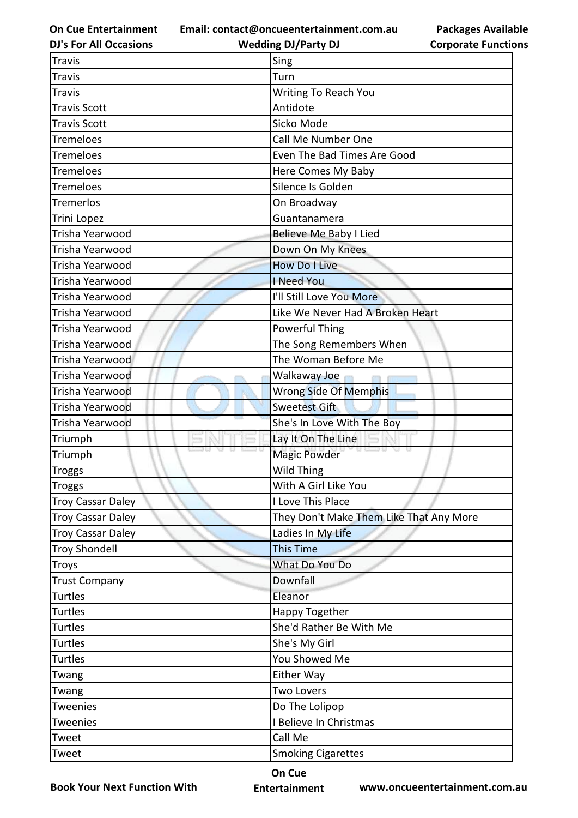**Email: contact@oncueentertainment.com.au Wedding DJ/Party DJ** 

**DJ's For All Occasions**

**Packages Available Corporate Functions**

| <b>Travis</b>            | Sing                                    |
|--------------------------|-----------------------------------------|
| <b>Travis</b>            | Turn                                    |
| <b>Travis</b>            | <b>Writing To Reach You</b>             |
| <b>Travis Scott</b>      | Antidote                                |
| <b>Travis Scott</b>      | Sicko Mode                              |
| Tremeloes                | Call Me Number One                      |
| Tremeloes                | Even The Bad Times Are Good             |
| Tremeloes                | Here Comes My Baby                      |
| Tremeloes                | Silence Is Golden                       |
| <b>Tremerlos</b>         | On Broadway                             |
| Trini Lopez              | Guantanamera                            |
| Trisha Yearwood          | Believe Me Baby I Lied                  |
| Trisha Yearwood          | Down On My Knees                        |
| Trisha Yearwood          | <b>How Do I Live</b>                    |
| Trisha Yearwood          | I Need You                              |
| Trisha Yearwood          | I'll Still Love You More                |
| Trisha Yearwood          | Like We Never Had A Broken Heart        |
| Trisha Yearwood          | <b>Powerful Thing</b>                   |
| Trisha Yearwood          | The Song Remembers When                 |
| Trisha Yearwood          | The Woman Before Me                     |
| Trisha Yearwood          | Walkaway Joe                            |
| Trisha Yearwood          | Wrong Side Of Memphis                   |
| Trisha Yearwood          | <b>Sweetest Gift</b>                    |
| Trisha Yearwood          | She's In Love With The Boy              |
| Triumph                  | Lay It On The Line                      |
| Triumph                  | <b>Magic Powder</b>                     |
| <b>Troggs</b>            | Wild Thing                              |
| <b>Troggs</b>            | With A Girl Like You                    |
| <b>Troy Cassar Daley</b> | I Love This Place                       |
| <b>Troy Cassar Daley</b> | They Don't Make Them Like That Any More |
| <b>Troy Cassar Daley</b> | Ladies In My Life                       |
| <b>Troy Shondell</b>     | <b>This Time</b>                        |
| <b>Troys</b>             | What Do You Do                          |
| <b>Trust Company</b>     | Downfall                                |
| <b>Turtles</b>           | Eleanor                                 |
| <b>Turtles</b>           | Happy Together                          |
| <b>Turtles</b>           | She'd Rather Be With Me                 |
| <b>Turtles</b>           | She's My Girl                           |
| <b>Turtles</b>           | You Showed Me                           |
| Twang                    | Either Way                              |
| Twang                    | <b>Two Lovers</b>                       |
| Tweenies                 | Do The Lolipop                          |
| <b>Tweenies</b>          | I Believe In Christmas                  |
| Tweet                    | Call Me                                 |
| Tweet                    | <b>Smoking Cigarettes</b>               |

**Book Your Next Function With**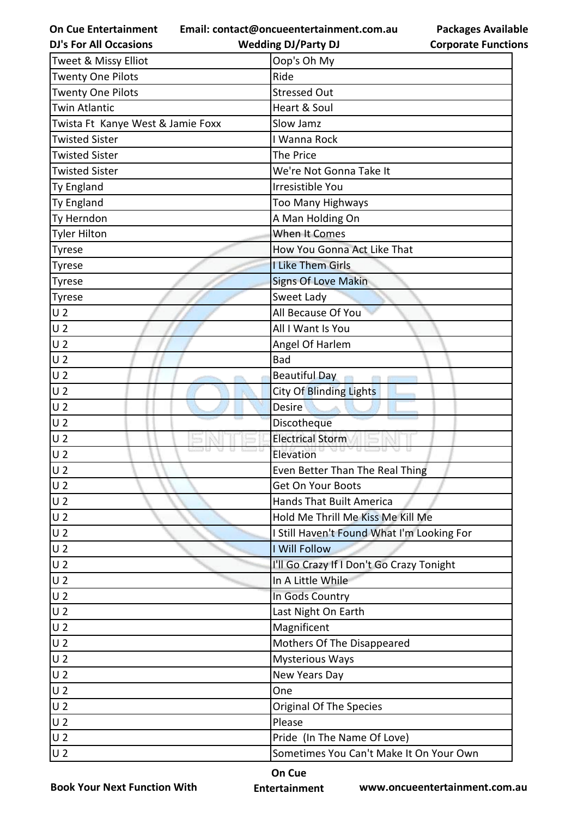**Email: contact@oncueentertainment.com.au Wedding DJ/Party DJ** 

**DJ's For All Occasions**

**Packages Available Corporate Functions**

| Tweet & Missy Elliot              | Oop's Oh My                                |
|-----------------------------------|--------------------------------------------|
| <b>Twenty One Pilots</b>          | Ride                                       |
| <b>Twenty One Pilots</b>          | <b>Stressed Out</b>                        |
| <b>Twin Atlantic</b>              | Heart & Soul                               |
| Twista Ft Kanye West & Jamie Foxx | Slow Jamz                                  |
| <b>Twisted Sister</b>             | I Wanna Rock                               |
| <b>Twisted Sister</b>             | The Price                                  |
| <b>Twisted Sister</b>             | We're Not Gonna Take It                    |
| Ty England                        | Irresistible You                           |
| Ty England                        | <b>Too Many Highways</b>                   |
| Ty Herndon                        | A Man Holding On                           |
| <b>Tyler Hilton</b>               | When It Comes                              |
| Tyrese                            | How You Gonna Act Like That                |
| Tyrese                            | I Like Them Girls                          |
| <b>Tyrese</b>                     | <b>Signs Of Love Makin</b>                 |
| <b>Tyrese</b>                     | Sweet Lady                                 |
| U <sub>2</sub>                    | All Because Of You                         |
| U <sub>2</sub>                    | All I Want Is You                          |
| U <sub>2</sub>                    | Angel Of Harlem                            |
| U <sub>2</sub>                    | <b>Bad</b>                                 |
| U <sub>2</sub>                    | <b>Beautiful Day</b>                       |
| U <sub>2</sub>                    | <b>City Of Blinding Lights</b>             |
| U <sub>2</sub>                    | Desire                                     |
| U <sub>2</sub>                    | Discotheque                                |
| U <sub>2</sub>                    | <b>Electrical Storm</b>                    |
| U <sub>2</sub>                    | Elevation                                  |
| U <sub>2</sub>                    | Even Better Than The Real Thing            |
| lu 2                              | Get On Your Boots                          |
| U <sub>2</sub>                    | <b>Hands That Built America</b>            |
| U <sub>2</sub>                    | Hold Me Thrill Me Kiss Me Kill Me          |
| U <sub>2</sub>                    | I Still Haven't Found What I'm Looking For |
| U <sub>2</sub>                    | I Will Follow                              |
| U <sub>2</sub>                    | I'll Go Crazy If I Don't Go Crazy Tonight  |
| U <sub>2</sub>                    | In A Little While                          |
| U <sub>2</sub>                    | In Gods Country                            |
| U <sub>2</sub>                    | Last Night On Earth                        |
| U <sub>2</sub>                    | Magnificent                                |
| U <sub>2</sub>                    | Mothers Of The Disappeared                 |
| U <sub>2</sub>                    | <b>Mysterious Ways</b>                     |
| U <sub>2</sub>                    | New Years Day                              |
| U <sub>2</sub>                    | One                                        |
| U <sub>2</sub>                    | Original Of The Species                    |
| U <sub>2</sub>                    | Please                                     |
| U <sub>2</sub>                    | Pride (In The Name Of Love)                |
| U <sub>2</sub>                    | Sometimes You Can't Make It On Your Own    |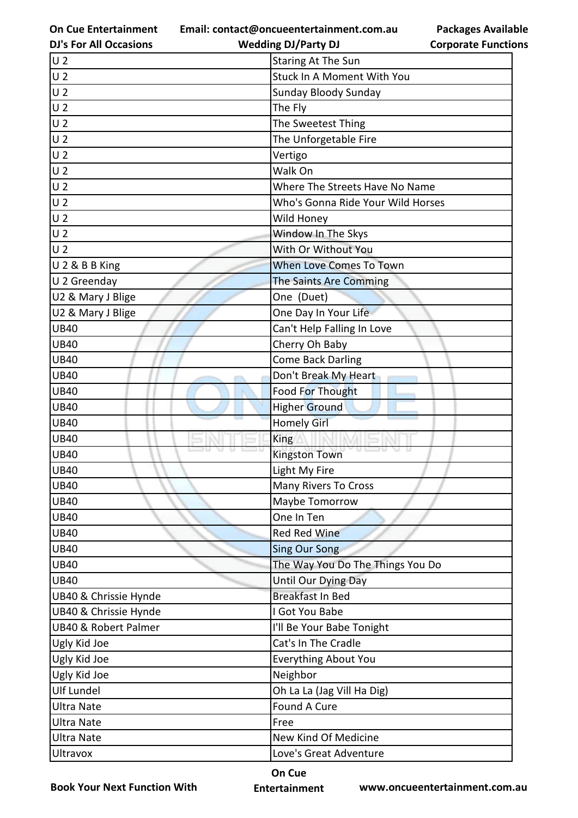**Email: contact@oncueentertainment.com.au**

**DJ's For All Occasions**

## **Wedding DJ/Party DJ**

|                            | <b>Packages Available</b> |
|----------------------------|---------------------------|
| <b>Corporate Functions</b> |                           |

| U <sub>2</sub>        | <b>Staring At The Sun</b>         |
|-----------------------|-----------------------------------|
| U <sub>2</sub>        | Stuck In A Moment With You        |
| U <sub>2</sub>        | Sunday Bloody Sunday              |
| U <sub>2</sub>        | The Fly                           |
| U <sub>2</sub>        | The Sweetest Thing                |
| U <sub>2</sub>        | The Unforgetable Fire             |
| U <sub>2</sub>        | Vertigo                           |
| U <sub>2</sub>        | Walk On                           |
| U <sub>2</sub>        | Where The Streets Have No Name    |
| U <sub>2</sub>        | Who's Gonna Ride Your Wild Horses |
| U <sub>2</sub>        | Wild Honey                        |
| U <sub>2</sub>        | Window In The Skys                |
| U <sub>2</sub>        | With Or Without You               |
| U 2 & B B King        | When Love Comes To Town           |
| U 2 Greenday          | The Saints Are Comming            |
| U2 & Mary J Blige     | One (Duet)                        |
| U2 & Mary J Blige     | One Day In Your Life              |
| <b>UB40</b>           | Can't Help Falling In Love        |
| <b>UB40</b>           | Cherry Oh Baby                    |
| <b>UB40</b>           | <b>Come Back Darling</b>          |
| <b>UB40</b>           | Don't Break My Heart              |
| <b>UB40</b>           | <b>Food For Thought</b>           |
| <b>UB40</b>           | <b>Higher Ground</b>              |
| <b>UB40</b>           | <b>Homely Girl</b>                |
| <b>UB40</b>           | King                              |
| <b>UB40</b>           | <b>Kingston Town</b>              |
| <b>UB40</b>           | Light My Fire                     |
| <b>UB40</b>           | Many Rivers To Cross              |
| UB40                  | Maybe Tomorrow                    |
| <b>UB40</b>           | One In Ten                        |
| <b>UB40</b>           | Red Red Wine                      |
| <b>UB40</b>           | <b>Sing Our Song</b>              |
| <b>UB40</b>           | The Way You Do The Things You Do  |
| <b>UB40</b>           | Until Our Dying Day               |
| UB40 & Chrissie Hynde | <b>Breakfast In Bed</b>           |
| UB40 & Chrissie Hynde | I Got You Babe                    |
| UB40 & Robert Palmer  | I'll Be Your Babe Tonight         |
| Ugly Kid Joe          | Cat's In The Cradle               |
| Ugly Kid Joe          | <b>Everything About You</b>       |
| Ugly Kid Joe          | Neighbor                          |
| Ulf Lundel            | Oh La La (Jag Vill Ha Dig)        |
| Ultra Nate            | Found A Cure                      |
| Ultra Nate            | Free                              |
| Ultra Nate            | New Kind Of Medicine              |
| Ultravox              | Love's Great Adventure            |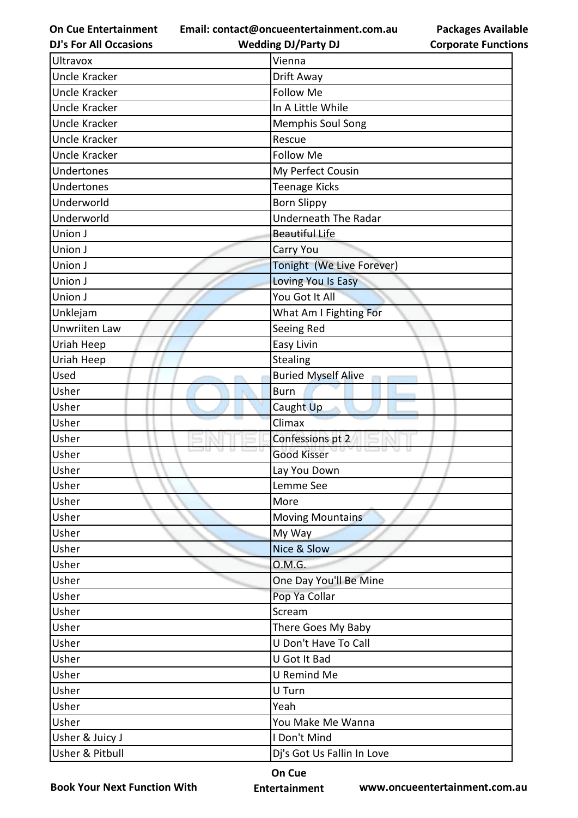**Email: contact@oncueentertainment.com.au Wedding DJ/Party DJ** 

**DJ's For All Occasions**

| <b>Packages Available</b>  |
|----------------------------|
| <b>Corporate Functions</b> |

| Ultravox             | Vienna                      |
|----------------------|-----------------------------|
| Uncle Kracker        | Drift Away                  |
| <b>Uncle Kracker</b> | <b>Follow Me</b>            |
| Uncle Kracker        | In A Little While           |
| Uncle Kracker        | Memphis Soul Song           |
| Uncle Kracker        | Rescue                      |
| Uncle Kracker        | Follow Me                   |
| Undertones           | My Perfect Cousin           |
| Undertones           | <b>Teenage Kicks</b>        |
| Underworld           | <b>Born Slippy</b>          |
| Underworld           | <b>Underneath The Radar</b> |
| Union J              | <b>Beautiful Life</b>       |
| Union J              | Carry You                   |
| Union J              | Tonight (We Live Forever)   |
| Union J              | Loving You Is Easy          |
| Union J              | You Got It All              |
| Unklejam             | What Am I Fighting For      |
| <b>Unwriiten Law</b> | Seeing Red                  |
| Uriah Heep           | Easy Livin                  |
| Uriah Heep           | <b>Stealing</b>             |
| Used                 | <b>Buried Myself Alive</b>  |
| Usher                | <b>Burn</b>                 |
| Usher                | Caught Up                   |
| Usher                | Climax                      |
| Usher                | Confessions pt 2            |
| Usher                | <b>Good Kisser</b>          |
| Usher                | Lay You Down                |
| Usher                | Lemme See                   |
| Usher                | More                        |
| Usher                | Moving Mountains            |
| Usher                | My Way                      |
| Usher                | Nice & Slow                 |
| Usher                | 0.M.G.                      |
| Usher                | One Day You'll Be Mine      |
| Usher                | Pop Ya Collar               |
| Usher                | Scream                      |
| Usher                | There Goes My Baby          |
| Usher                | U Don't Have To Call        |
| Usher                | U Got It Bad                |
| Usher                | U Remind Me                 |
| Usher                | U Turn                      |
| Usher                | Yeah                        |
| Usher                | You Make Me Wanna           |
| Usher & Juicy J      | I Don't Mind                |
| Usher & Pitbull      | Dj's Got Us Fallin In Love  |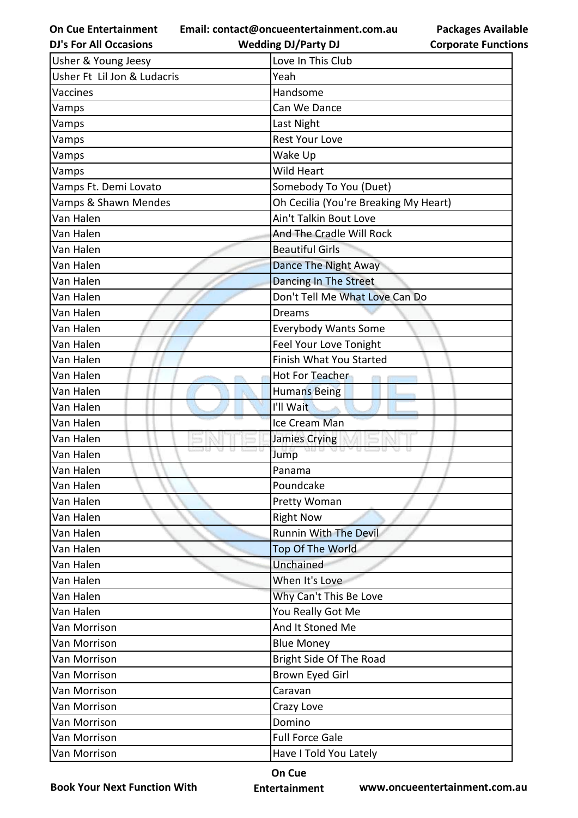**Email: contact@oncueentertainment.com.au**

**DJ's For All Occasions**

**Wedding DJ/Party DJ** 

| <b>Packages Available</b>  |
|----------------------------|
| <b>Corporate Functions</b> |

| Usher & Young Jeesy         | Love In This Club                     |
|-----------------------------|---------------------------------------|
| Usher Ft Lil Jon & Ludacris | Yeah                                  |
| Vaccines                    | Handsome                              |
| Vamps                       | Can We Dance                          |
| Vamps                       | Last Night                            |
| Vamps                       | <b>Rest Your Love</b>                 |
| Vamps                       | Wake Up                               |
| Vamps                       | <b>Wild Heart</b>                     |
| Vamps Ft. Demi Lovato       | Somebody To You (Duet)                |
| Vamps & Shawn Mendes        | Oh Cecilia (You're Breaking My Heart) |
| Van Halen                   | Ain't Talkin Bout Love                |
| Van Halen                   | And The Cradle Will Rock              |
| Van Halen                   | <b>Beautiful Girls</b>                |
| Van Halen                   | Dance The Night Away                  |
| Van Halen                   | <b>Dancing In The Street</b>          |
| Van Halen                   | Don't Tell Me What Love Can Do        |
| Van Halen                   | <b>Dreams</b>                         |
| Van Halen                   | <b>Everybody Wants Some</b>           |
| Van Halen                   | Feel Your Love Tonight                |
| Van Halen                   | Finish What You Started               |
| Van Halen                   | Hot For Teacher                       |
| Van Halen                   | <b>Humans Being</b>                   |
| Van Halen                   | I'll Wait                             |
| Van Halen                   | Ice Cream Man                         |
| Van Halen                   | Jamies Crying                         |
| Van Halen                   | an es m<br><b>U LED U</b><br>Jump     |
| Van Halen                   | Panama                                |
| Van Halen                   | Poundcake                             |
| Van Halen                   | Pretty Woman                          |
| Van Halen                   | <b>Right Now</b>                      |
| Van Halen                   | <b>Runnin With The Devil</b>          |
| Van Halen                   | Top Of The World                      |
| Van Halen                   | Unchained                             |
| Van Halen                   | When It's Love                        |
| Van Halen                   | Why Can't This Be Love                |
| Van Halen                   | You Really Got Me                     |
| Van Morrison                | And It Stoned Me                      |
| Van Morrison                | <b>Blue Money</b>                     |
| Van Morrison                | Bright Side Of The Road               |
| Van Morrison                | Brown Eyed Girl                       |
| Van Morrison                | Caravan                               |
| Van Morrison                | Crazy Love                            |
| Van Morrison                | Domino                                |
| Van Morrison                | <b>Full Force Gale</b>                |
| Van Morrison                | Have I Told You Lately                |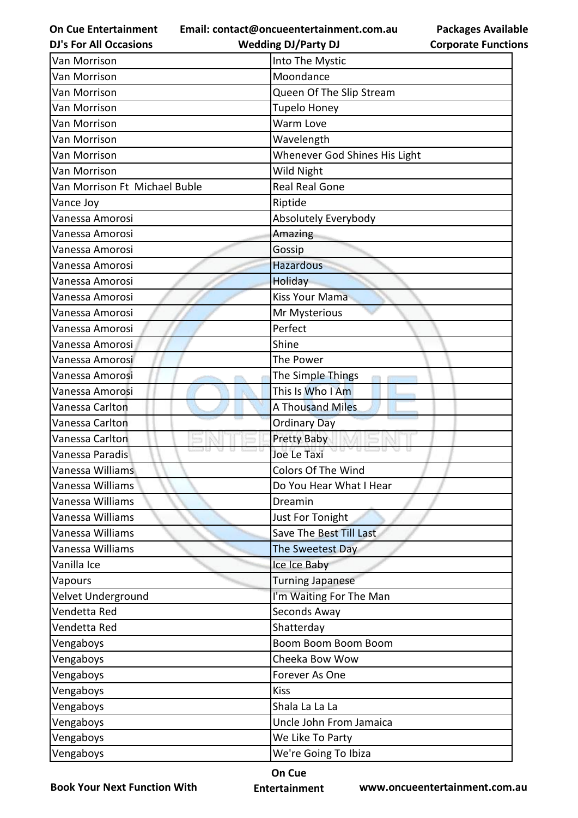**Email: contact@oncueentertainment.com.au**

|  |  | <b>DJ's For All Occasions</b> |
|--|--|-------------------------------|
|--|--|-------------------------------|

**Packages Available Corporate Functions**

| <b>DJ's For All Occasions</b> | <b>Wedding DJ/Party DJ</b>    | <b>Corporate Functio</b> |
|-------------------------------|-------------------------------|--------------------------|
| Van Morrison                  | Into The Mystic               |                          |
| Van Morrison                  | Moondance                     |                          |
| Van Morrison                  | Queen Of The Slip Stream      |                          |
| Van Morrison                  | <b>Tupelo Honey</b>           |                          |
| Van Morrison                  | Warm Love                     |                          |
| Van Morrison                  | Wavelength                    |                          |
| Van Morrison                  | Whenever God Shines His Light |                          |
| Van Morrison                  | Wild Night                    |                          |
| Van Morrison Ft Michael Buble | <b>Real Real Gone</b>         |                          |
| Vance Joy                     | Riptide                       |                          |
| Vanessa Amorosi               | Absolutely Everybody          |                          |
| Vanessa Amorosi               | Amazing                       |                          |
| Vanessa Amorosi               | Gossip                        |                          |
| Vanessa Amorosi               | <b>Hazardous</b>              |                          |
| Vanessa Amorosi               | Holiday                       |                          |
| Vanessa Amorosi               | <b>Kiss Your Mama</b>         |                          |
| Vanessa Amorosi               | Mr Mysterious                 |                          |
| Vanessa Amorosi               | Perfect                       |                          |
| Vanessa Amorosi               | Shine                         |                          |
| Vanessa Amorosi               | The Power                     |                          |
| Vanessa Amorosi               | The Simple Things             |                          |
| Vanessa Amorosi               | This Is Who I Am              |                          |
| Vanessa Carlton               | <b>A Thousand Miles</b>       |                          |
| Vanessa Carlton               | <b>Ordinary Day</b>           |                          |
| Vanessa Carlton               | <b>Pretty Baby</b>            |                          |
| Vanessa Paradis               | u u<br>Joe Le Taxi            |                          |
| Vanessa Williams              | Colors Of The Wind            |                          |
| Vanessa Williams              | Do You Hear What I Hear       |                          |
| Vanessa Williams              | Dreamin                       |                          |
| Vanessa Williams              | Just For Tonight              |                          |
| Vanessa Williams              | Save The Best Till Last       |                          |
| Vanessa Williams              | The Sweetest Day              |                          |
| Vanilla Ice                   | Ice Ice Baby                  |                          |
| Vapours                       | <b>Turning Japanese</b>       |                          |
| Velvet Underground            | I'm Waiting For The Man       |                          |
| Vendetta Red                  | Seconds Away                  |                          |
| Vendetta Red                  | Shatterday                    |                          |
| Vengaboys                     | Boom Boom Boom Boom           |                          |
| Vengaboys                     | Cheeka Bow Wow                |                          |
| Vengaboys                     | Forever As One                |                          |
| Vengaboys                     | <b>Kiss</b>                   |                          |
| Vengaboys                     | Shala La La La                |                          |
| Vengaboys                     | Uncle John From Jamaica       |                          |
| Vengaboys                     | We Like To Party              |                          |
| Vengaboys                     | We're Going To Ibiza          |                          |
|                               |                               |                          |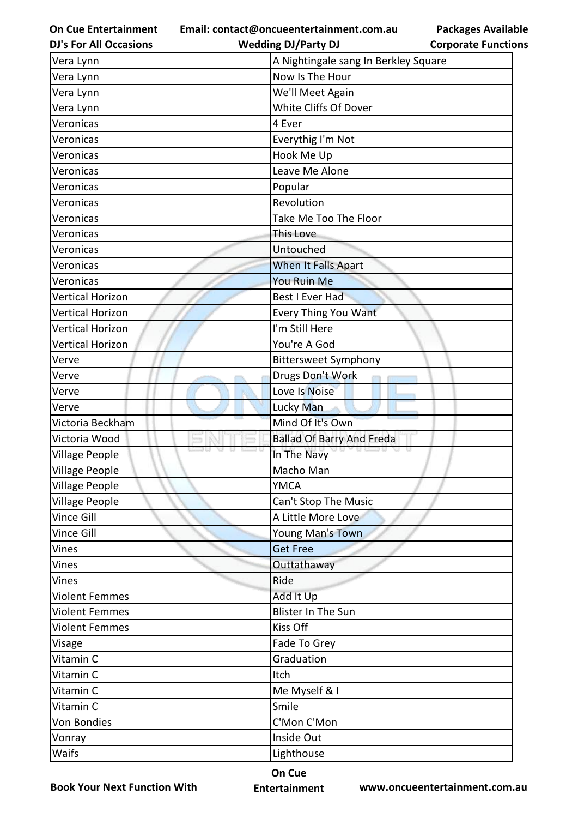**Email: contact@oncueentertainment.com.au**

| <b>DJ's For All Occasions</b> | <b>Wedding DJ/Party DJ</b>           | <b>Corporate Functio</b> |
|-------------------------------|--------------------------------------|--------------------------|
| Vera Lynn                     | A Nightingale sang In Berkley Square |                          |
| Vera Lynn                     | Now Is The Hour                      |                          |
| Vera Lynn                     | We'll Meet Again                     |                          |
| Vera Lynn                     | White Cliffs Of Dover                |                          |
| Veronicas                     | 4 Ever                               |                          |
| Veronicas                     | Everythig I'm Not                    |                          |
| Veronicas                     | Hook Me Up                           |                          |
| Veronicas                     | Leave Me Alone                       |                          |
| Veronicas                     | Popular                              |                          |
| Veronicas                     | Revolution                           |                          |
| Veronicas                     | Take Me Too The Floor                |                          |
| Veronicas                     | This Love                            |                          |
| Veronicas                     | Untouched                            |                          |
| Veronicas                     | When It Falls Apart                  |                          |
| Veronicas                     | <b>You Ruin Me</b>                   |                          |
| <b>Vertical Horizon</b>       | <b>Best I Ever Had</b>               |                          |
| <b>Vertical Horizon</b>       | <b>Every Thing You Want</b>          |                          |
| <b>Vertical Horizon</b>       | I'm Still Here                       |                          |
| <b>Vertical Horizon</b>       | You're A God                         |                          |
| Verve                         | <b>Bittersweet Symphony</b>          |                          |
| Verve                         | Drugs Don't Work                     |                          |
| Verve                         | Love Is Noise                        |                          |
| Verve                         | Lucky Man                            |                          |
| Victoria Beckham              | Mind Of It's Own                     |                          |
| Victoria Wood                 | <b>Ballad Of Barry And Freda</b>     |                          |
| Village People                | In The Navy                          |                          |
| <b>Village People</b>         | Macho Man                            |                          |
| Village People                | <b>YMCA</b>                          |                          |
| Village People                | Can't Stop The Music                 |                          |
| Vince Gill                    | A Little More Love                   |                          |
| Vince Gill                    | Young Man's Town                     |                          |
| Vines                         | <b>Get Free</b>                      |                          |
| Vines                         | Outtathaway                          |                          |
| Vines                         | Ride                                 |                          |
| <b>Violent Femmes</b>         | Add It Up                            |                          |
| Violent Femmes                | Blister In The Sun                   |                          |
| <b>Violent Femmes</b>         | Kiss Off                             |                          |
| Visage                        | Fade To Grey                         |                          |
| Vitamin C                     | Graduation                           |                          |
| Vitamin C                     | Itch                                 |                          |
| Vitamin C                     | Me Myself & I                        |                          |
| Vitamin C                     | Smile                                |                          |
| Von Bondies                   | C'Mon C'Mon                          |                          |
| Vonray                        | Inside Out                           |                          |
| Waifs                         | Lighthouse                           |                          |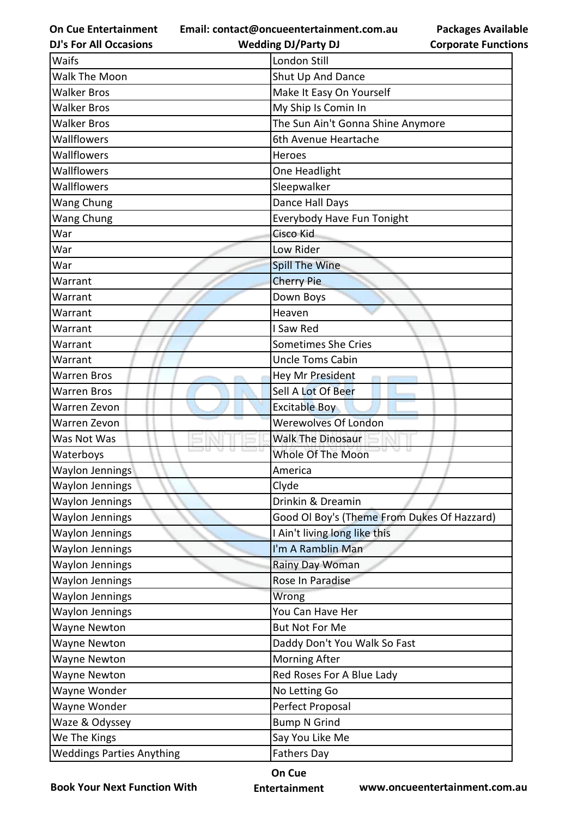**Email: contact@oncueentertainment.com.au**

|  | <b>DJ's For All Occasions</b> |  |
|--|-------------------------------|--|
|  |                               |  |

## **Packages Available Corporate Functions**

| <b>DJ's For All Occasions</b> | <b>Wedding DJ/Party DJ</b>                  | <b>Corporate Functio</b> |
|-------------------------------|---------------------------------------------|--------------------------|
| Waifs                         | London Still                                |                          |
| Walk The Moon                 | Shut Up And Dance                           |                          |
| <b>Walker Bros</b>            | Make It Easy On Yourself                    |                          |
| <b>Walker Bros</b>            | My Ship Is Comin In                         |                          |
| <b>Walker Bros</b>            | The Sun Ain't Gonna Shine Anymore           |                          |
| Wallflowers                   | 6th Avenue Heartache                        |                          |
| Wallflowers                   | Heroes                                      |                          |
| Wallflowers                   | One Headlight                               |                          |
| Wallflowers                   | Sleepwalker                                 |                          |
| Wang Chung                    | Dance Hall Days                             |                          |
| Wang Chung                    | Everybody Have Fun Tonight                  |                          |
| War                           | Cisco Kid                                   |                          |
| War                           | Low Rider                                   |                          |
| War                           | <b>Spill The Wine</b>                       |                          |
| Warrant                       | <b>Cherry Pie</b>                           |                          |
| Warrant                       | Down Boys                                   |                          |
| Warrant                       | Heaven                                      |                          |
| Warrant                       | I Saw Red                                   |                          |
| Warrant                       | <b>Sometimes She Cries</b>                  |                          |
| Warrant                       | <b>Uncle Toms Cabin</b>                     |                          |
| Warren Bros                   | <b>Hey Mr President</b>                     |                          |
| Warren Bros                   | Sell A Lot Of Beer                          |                          |
| Warren Zevon                  | <b>Excitable Boy</b>                        |                          |
| Warren Zevon                  | <b>Werewolves Of London</b>                 |                          |
| Was Not Was                   | <b>Walk The Dinosaur</b>                    |                          |
| Waterboys                     | Whole Of The Moon                           |                          |
| <b>Waylon Jennings</b>        | America                                     |                          |
| Waylon Jennings               | Clyde                                       |                          |
| Waylon Jennings               | Drinkin & Dreamin                           |                          |
| Waylon Jennings               | Good Ol Boy's (Theme From Dukes Of Hazzard) |                          |
| Waylon Jennings               | I Ain't living long like this               |                          |
| Waylon Jennings               | I'm A Ramblin Man                           |                          |
| Waylon Jennings               | Rainy Day Woman                             |                          |
| Waylon Jennings               | Rose In Paradise                            |                          |
| Waylon Jennings               | Wrong                                       |                          |
| Waylon Jennings               | You Can Have Her                            |                          |
| Wayne Newton                  | <b>But Not For Me</b>                       |                          |
| Wayne Newton                  | Daddy Don't You Walk So Fast                |                          |
| Wayne Newton                  | Morning After                               |                          |
| Wayne Newton                  | Red Roses For A Blue Lady                   |                          |
| Wayne Wonder                  | No Letting Go                               |                          |
| Wayne Wonder                  | Perfect Proposal                            |                          |
| Waze & Odyssey                | <b>Bump N Grind</b>                         |                          |
| We The Kings                  | Say You Like Me                             |                          |
| Weddings Parties Anything     | <b>Fathers Day</b>                          |                          |

**Book Your Next Function With**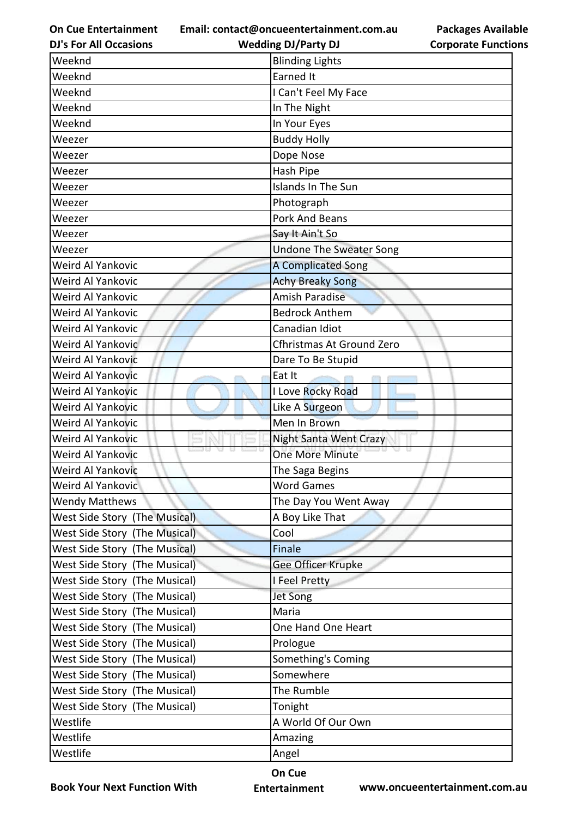**Email: contact@oncueentertainment.com.au Wedding DJ/Party DJ** 

**DJ's For All Occasions**

| <b>Corporate Functions</b> |  |
|----------------------------|--|

**Packages Available** 

| Weeknd                        | <b>Blinding Lights</b>         |
|-------------------------------|--------------------------------|
| Weeknd                        | <b>Earned It</b>               |
| Weeknd                        | I Can't Feel My Face           |
| Weeknd                        | In The Night                   |
| Weeknd                        | In Your Eyes                   |
| Weezer                        | <b>Buddy Holly</b>             |
| Weezer                        | Dope Nose                      |
| Weezer                        | Hash Pipe                      |
| Weezer                        | Islands In The Sun             |
| Weezer                        | Photograph                     |
| Weezer                        | <b>Pork And Beans</b>          |
| Weezer                        | Say It Ain't So                |
| Weezer                        | <b>Undone The Sweater Song</b> |
| Weird Al Yankovic             | <b>A Complicated Song</b>      |
| Weird Al Yankovic             | <b>Achy Breaky Song</b>        |
| Weird Al Yankovic             | <b>Amish Paradise</b>          |
| Weird Al Yankovic             | <b>Bedrock Anthem</b>          |
| Weird Al Yankovic             | Canadian Idiot                 |
| Weird Al Yankovic             | Cfhristmas At Ground Zero      |
| Weird Al Yankovic             | Dare To Be Stupid              |
| Weird Al Yankovic             | Eat It                         |
| Weird Al Yankovic             | I Love Rocky Road              |
| Weird Al Yankovic             | Like A Surgeon                 |
| Weird Al Yankovic             | Men In Brown                   |
| Weird Al Yankovic             | <b>Night Santa Went Crazy</b>  |
| Weird Al Yankovic             | <b>One More Minute</b>         |
| Weird Al Yankovic             | The Saga Begins                |
| Weird Al Yankovic             | <b>Word Games</b>              |
| <b>Wendy Matthews</b>         | The Day You Went Away          |
| West Side Story (The Musical) | A Boy Like That                |
| West Side Story (The Musical) | Cool                           |
| West Side Story (The Musical) | Finale                         |
| West Side Story (The Musical) | Gee Officer Krupke             |
| West Side Story (The Musical) | I Feel Pretty                  |
| West Side Story (The Musical) | Jet Song                       |
| West Side Story (The Musical) | Maria                          |
| West Side Story (The Musical) | One Hand One Heart             |
| West Side Story (The Musical) | Prologue                       |
| West Side Story (The Musical) | Something's Coming             |
| West Side Story (The Musical) | Somewhere                      |
| West Side Story (The Musical) | The Rumble                     |
| West Side Story (The Musical) | Tonight                        |
| Westlife                      | A World Of Our Own             |
| Westlife                      | Amazing                        |
| Westlife                      | Angel                          |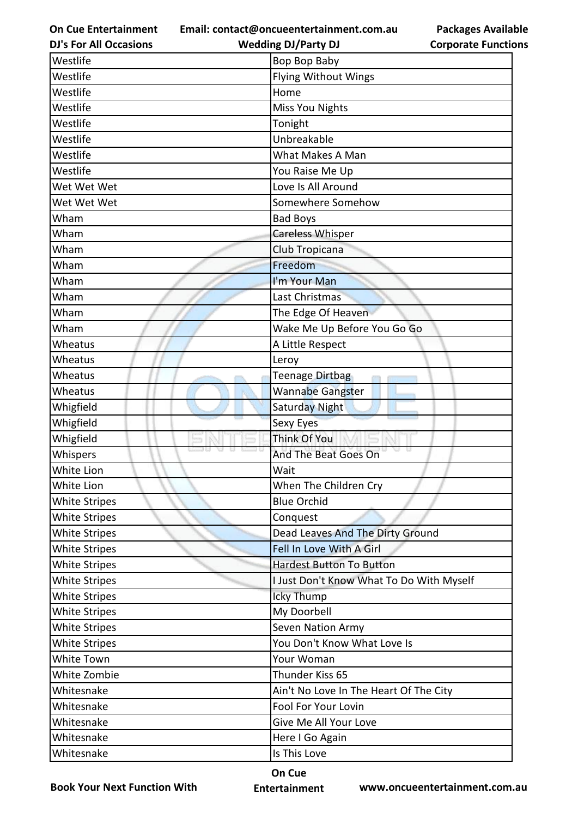**Email: contact@oncueentertainment.com.au**

| <b>DJ's For All Occasions</b> | <b>Wedding DJ/Party DJ</b>               | <b>Corporate Functio</b> |
|-------------------------------|------------------------------------------|--------------------------|
| Westlife                      | Bop Bop Baby                             |                          |
| Westlife                      | Flying Without Wings                     |                          |
| Westlife                      | Home                                     |                          |
| Westlife                      | <b>Miss You Nights</b>                   |                          |
| Westlife                      | Tonight                                  |                          |
| Westlife                      | Unbreakable                              |                          |
| Westlife                      | What Makes A Man                         |                          |
| Westlife                      | You Raise Me Up                          |                          |
| Wet Wet Wet                   | Love Is All Around                       |                          |
| Wet Wet Wet                   | Somewhere Somehow                        |                          |
| Wham                          | <b>Bad Boys</b>                          |                          |
| Wham                          | <b>Careless Whisper</b>                  |                          |
| Wham                          | Club Tropicana                           |                          |
| Wham                          | Freedom                                  |                          |
| Wham                          | I'm Your Man                             |                          |
| Wham                          | Last Christmas                           |                          |
| Wham                          | The Edge Of Heaven                       |                          |
| Wham                          | Wake Me Up Before You Go Go              |                          |
| Wheatus                       | A Little Respect                         |                          |
| Wheatus                       | Leroy                                    |                          |
| Wheatus                       | Teenage Dirtbag                          |                          |
| Wheatus                       | Wannabe Gangster                         |                          |
| Whigfield                     | <b>Saturday Night</b>                    |                          |
| Whigfield                     | Sexy Eyes                                |                          |
| Whigfield                     | Think Of You                             |                          |
| Whispers                      | And The Beat Goes On                     |                          |
| White Lion                    | Wait                                     |                          |
| White Lion                    | When The Children Cry                    |                          |
| <b>White Stripes</b>          | <b>Blue Orchid</b>                       |                          |
| <b>White Stripes</b>          | Conquest                                 |                          |
| <b>White Stripes</b>          | Dead Leaves And The Dirty Ground         |                          |
| <b>White Stripes</b>          | Fell In Love With A Girl                 |                          |
| <b>White Stripes</b>          | <b>Hardest Button To Button</b>          |                          |
| <b>White Stripes</b>          | I Just Don't Know What To Do With Myself |                          |
| <b>White Stripes</b>          | Icky Thump                               |                          |
| <b>White Stripes</b>          | My Doorbell                              |                          |
| <b>White Stripes</b>          | Seven Nation Army                        |                          |
| <b>White Stripes</b>          | You Don't Know What Love Is              |                          |
| White Town                    | Your Woman                               |                          |
| White Zombie                  | Thunder Kiss 65                          |                          |
| Whitesnake                    | Ain't No Love In The Heart Of The City   |                          |
| Whitesnake                    | Fool For Your Lovin                      |                          |
| Whitesnake                    | Give Me All Your Love                    |                          |
| Whitesnake                    | Here I Go Again                          |                          |
| Whitesnake                    | Is This Love                             |                          |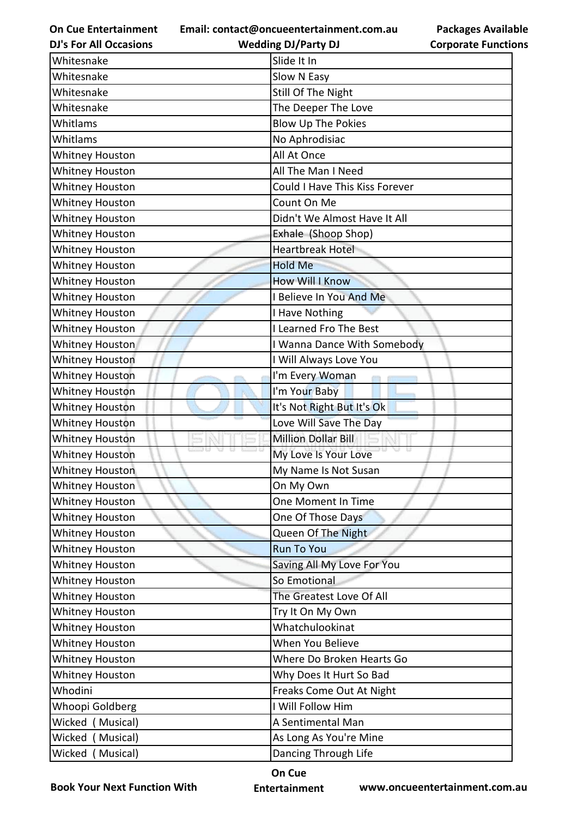**Email: contact@oncueentertainment.com.au Wedding DJ/Party DJ** 

**DJ's For All Occasions**

**Packages Available Corporate Functions**

| Whitesnake             | Slide It In                      |
|------------------------|----------------------------------|
| Whitesnake             | Slow N Easy                      |
| Whitesnake             | Still Of The Night               |
| Whitesnake             | The Deeper The Love              |
| Whitlams               | <b>Blow Up The Pokies</b>        |
| Whitlams               | No Aphrodisiac                   |
| <b>Whitney Houston</b> | All At Once                      |
| Whitney Houston        | All The Man I Need               |
| Whitney Houston        | Could I Have This Kiss Forever   |
| Whitney Houston        | Count On Me                      |
| Whitney Houston        | Didn't We Almost Have It All     |
| <b>Whitney Houston</b> | Exhale (Shoop Shop)              |
| Whitney Houston        | <b>Heartbreak Hotel</b>          |
| Whitney Houston        | <b>Hold Me</b>                   |
| Whitney Houston        | <b>How Will I Know</b>           |
| Whitney Houston        | I Believe In You And Me          |
| Whitney Houston        | I Have Nothing                   |
| Whitney Houston        | I Learned Fro The Best           |
| Whitney Houston        | I Wanna Dance With Somebody      |
| Whitney Houston        | I Will Always Love You           |
| <b>Whitney Houston</b> | I'm Every Woman                  |
| <b>Whitney Houston</b> | I'm Your Baby                    |
| <b>Whitney Houston</b> | It's Not Right But It's Ok       |
| <b>Whitney Houston</b> | Love Will Save The Day           |
| <b>Whitney Houston</b> | <b>Million Dollar Bill</b>       |
| <b>Whitney Houston</b> | DU.<br>a<br>My Love Is Your Love |
| <b>Whitney Houston</b> | My Name Is Not Susan             |
| Whitney Houston        | On My Own                        |
| Whitney Houston        | One Moment In Time               |
| Whitney Houston        | One Of Those Days                |
| Whitney Houston        | Queen Of The Night               |
| <b>Whitney Houston</b> | <b>Run To You</b>                |
| <b>Whitney Houston</b> | Saving All My Love For You       |
| <b>Whitney Houston</b> | So Emotional                     |
| Whitney Houston        | The Greatest Love Of All         |
| <b>Whitney Houston</b> | Try It On My Own                 |
| Whitney Houston        | Whatchulookinat                  |
| Whitney Houston        | When You Believe                 |
| <b>Whitney Houston</b> | Where Do Broken Hearts Go        |
| Whitney Houston        | Why Does It Hurt So Bad          |
| Whodini                | Freaks Come Out At Night         |
| Whoopi Goldberg        | I Will Follow Him                |
| Wicked (Musical)       | A Sentimental Man                |
| Wicked (Musical)       | As Long As You're Mine           |
| Wicked (Musical)       | Dancing Through Life             |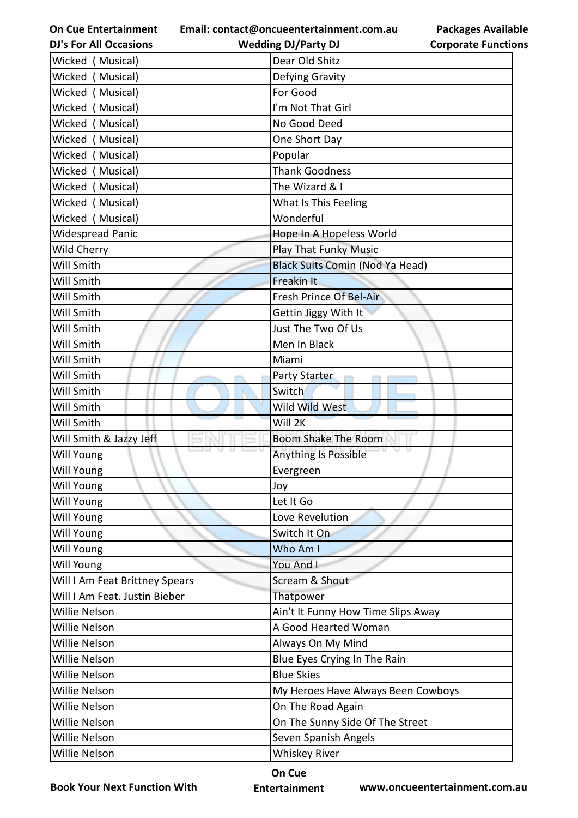**Email: contact@oncueentertainment.com.au**

**DJ's For All Occasions Wedding DJ/Party DJ** 

**Packages Available Corporate Functions**

| Wicked (Musical)               | Dear Old Shitz                         |
|--------------------------------|----------------------------------------|
| Wicked<br>(Musical)            | Defying Gravity                        |
| Wicked (Musical)               | For Good                               |
| Wicked (Musical)               | I'm Not That Girl                      |
| (Musical)<br>Wicked            | No Good Deed                           |
| Wicked (Musical)               | One Short Day                          |
| Wicked (Musical)               | Popular                                |
| Wicked (Musical)               | <b>Thank Goodness</b>                  |
| Wicked (Musical)               | The Wizard & I                         |
| Wicked (Musical)               | What Is This Feeling                   |
| Wicked (Musical)               | Wonderful                              |
| <b>Widespread Panic</b>        | Hope In A Hopeless World               |
| Wild Cherry                    | <b>Play That Funky Music</b>           |
| Will Smith                     | <b>Black Suits Comin (Nod Ya Head)</b> |
| Will Smith                     | <b>Freakin It</b>                      |
| Will Smith                     | Fresh Prince Of Bel-Air                |
| Will Smith                     | Gettin Jiggy With It                   |
| Will Smith                     | Just The Two Of Us                     |
| Will Smith                     | Men In Black                           |
| Will Smith                     | Miami                                  |
| Will Smith                     | Party Starter                          |
| Will Smith                     | Switch                                 |
| Will Smith                     | Wild Wild West                         |
| Will Smith                     | Will 2K                                |
| Will Smith & Jazzy Jeff        | Boom Shake The Room                    |
| Will Young                     | Anything Is Possible                   |
| Will Young                     | Evergreen                              |
| <b>Will Young</b>              | Joy                                    |
| <b>Will Young</b>              | Let It Go                              |
| Will Young                     | Love Revelution                        |
| <b>Will Young</b>              | Switch It On                           |
| Will Young                     | Who Am I                               |
| Will Young                     | You And I                              |
| Will I Am Feat Brittney Spears | Scream & Shout                         |
| Will I Am Feat. Justin Bieber  | Thatpower                              |
| Willie Nelson                  | Ain't It Funny How Time Slips Away     |
| Willie Nelson                  | A Good Hearted Woman                   |
| Willie Nelson                  | Always On My Mind                      |
| Willie Nelson                  | Blue Eyes Crying In The Rain           |
| Willie Nelson                  | <b>Blue Skies</b>                      |
| Willie Nelson                  | My Heroes Have Always Been Cowboys     |
| Willie Nelson                  | On The Road Again                      |
| Willie Nelson                  | On The Sunny Side Of The Street        |
| Willie Nelson                  | Seven Spanish Angels                   |
| Willie Nelson                  | <b>Whiskey River</b>                   |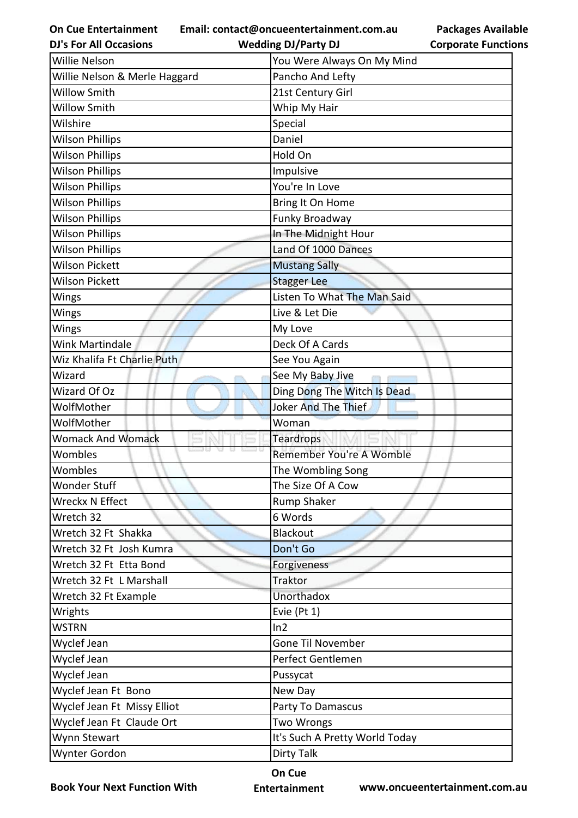**Email: contact@oncueentertainment.com.au**

|                            | <b>Packages Available</b> |
|----------------------------|---------------------------|
| <b>Corporate Functions</b> |                           |

| <b>DJ's For All Occasions</b> | <b>Wedding DJ/Party DJ</b>     | <b>Corporate Functio</b> |
|-------------------------------|--------------------------------|--------------------------|
| Willie Nelson                 | You Were Always On My Mind     |                          |
| Willie Nelson & Merle Haggard | Pancho And Lefty               |                          |
| <b>Willow Smith</b>           | 21st Century Girl              |                          |
| <b>Willow Smith</b>           | Whip My Hair                   |                          |
| Wilshire                      | Special                        |                          |
| <b>Wilson Phillips</b>        | Daniel                         |                          |
| <b>Wilson Phillips</b>        | Hold On                        |                          |
| <b>Wilson Phillips</b>        | Impulsive                      |                          |
| <b>Wilson Phillips</b>        | You're In Love                 |                          |
| <b>Wilson Phillips</b>        | Bring It On Home               |                          |
| <b>Wilson Phillips</b>        | Funky Broadway                 |                          |
| <b>Wilson Phillips</b>        | In The Midnight Hour           |                          |
| <b>Wilson Phillips</b>        | Land Of 1000 Dances            |                          |
| Wilson Pickett                | <b>Mustang Sally</b>           |                          |
| <b>Wilson Pickett</b>         | <b>Stagger Lee</b>             |                          |
| Wings                         | Listen To What The Man Said    |                          |
| Wings                         | Live & Let Die                 |                          |
| Wings                         | My Love                        |                          |
| Wink Martindale               | Deck Of A Cards                |                          |
| Wiz Khalifa Ft Charlie Puth   | See You Again                  |                          |
| Wizard                        | See My Baby Jive               |                          |
| Wizard Of Oz                  | Ding Dong The Witch Is Dead    |                          |
| WolfMother                    | Joker And The Thief            |                          |
| WolfMother                    | Woman                          |                          |
| <b>Womack And Womack</b>      | Teardrops                      |                          |
| Wombles                       | Remember You're A Womble       |                          |
| Wombles                       | The Wombling Song              |                          |
| <b>Wonder Stuff</b>           | The Size Of A Cow              |                          |
| Wreckx N Effect               | Rump Shaker                    |                          |
| Wretch 32                     | 6 Words                        |                          |
| Wretch 32 Ft Shakka           | <b>Blackout</b>                |                          |
| Wretch 32 Ft Josh Kumra       | Don't Go                       |                          |
| Wretch 32 Ft Etta Bond        | Forgiveness                    |                          |
| Wretch 32 Ft L Marshall       | Traktor                        |                          |
| Wretch 32 Ft Example          | Unorthadox                     |                          |
| Wrights                       | Evie (Pt 1)                    |                          |
| <b>WSTRN</b>                  | ln2                            |                          |
| Wyclef Jean                   | Gone Til November              |                          |
| Wyclef Jean                   | Perfect Gentlemen              |                          |
| Wyclef Jean                   | Pussycat                       |                          |
| Wyclef Jean Ft Bono           | New Day                        |                          |
| Wyclef Jean Ft Missy Elliot   | Party To Damascus              |                          |
| Wyclef Jean Ft Claude Ort     | Two Wrongs                     |                          |
| Wynn Stewart                  | It's Such A Pretty World Today |                          |
| Wynter Gordon                 | <b>Dirty Talk</b>              |                          |
|                               |                                |                          |

**Book Your Next Function With**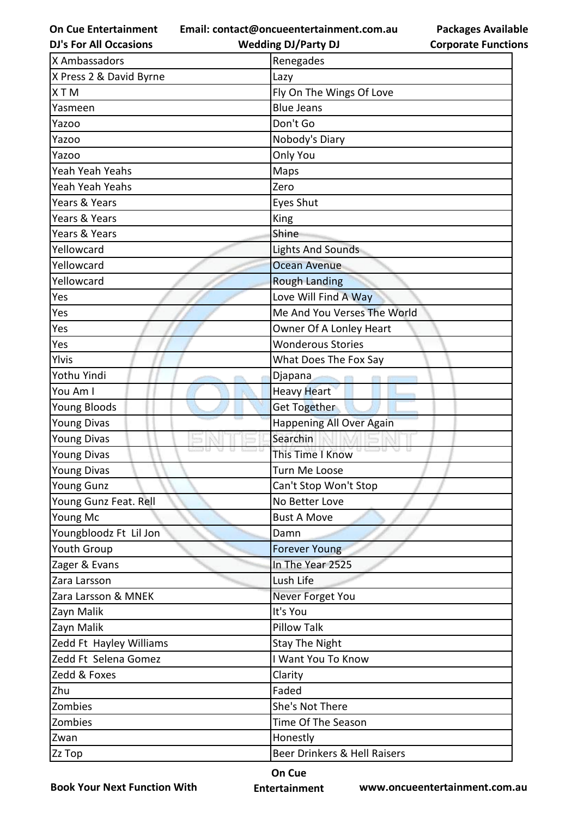**Email: contact@oncueentertainment.com.au**

| <b>Packages Available</b>  |
|----------------------------|
| <b>Corporate Functions</b> |

| <b>DJ's For All Occasions</b> | <b>Wedding DJ/Party DJ</b>   | <b>Corporate Functio</b> |
|-------------------------------|------------------------------|--------------------------|
| X Ambassadors                 | Renegades                    |                          |
| X Press 2 & David Byrne       | Lazy                         |                          |
| <b>XTM</b>                    | Fly On The Wings Of Love     |                          |
| Yasmeen                       | <b>Blue Jeans</b>            |                          |
| Yazoo                         | Don't Go                     |                          |
| Yazoo                         | Nobody's Diary               |                          |
| Yazoo                         | Only You                     |                          |
| Yeah Yeah Yeahs               | Maps                         |                          |
| Yeah Yeah Yeahs               | Zero                         |                          |
| Years & Years                 | Eyes Shut                    |                          |
| Years & Years                 | King                         |                          |
| Years & Years                 | Shine                        |                          |
| Yellowcard                    | <b>Lights And Sounds</b>     |                          |
| Yellowcard                    | <b>Ocean Avenue</b>          |                          |
| Yellowcard                    | <b>Rough Landing</b>         |                          |
| Yes                           | Love Will Find A Way         |                          |
| Yes                           | Me And You Verses The World  |                          |
| Yes                           | Owner Of A Lonley Heart      |                          |
| Yes                           | <b>Wonderous Stories</b>     |                          |
| Ylvis                         | What Does The Fox Say        |                          |
| Yothu Yindi                   | Djapana                      |                          |
| You Am I                      | <b>Heavy Heart</b>           |                          |
| Young Bloods                  | Get Together                 |                          |
| <b>Young Divas</b>            | Happening All Over Again     |                          |
| <b>Young Divas</b>            | Searchin                     |                          |
| <b>Young Divas</b>            | This Time I Know             |                          |
| <b>Young Divas</b>            | Turn Me Loose                |                          |
| <b>Young Gunz</b>             | Can't Stop Won't Stop        |                          |
| Young Gunz Feat. Rell         | No Better Love               |                          |
| Young Mc                      | <b>Bust A Move</b>           |                          |
| Youngbloodz Ft Lil Jon        | Damn                         |                          |
| Youth Group                   | <b>Forever Young</b>         |                          |
| Zager & Evans                 | In The Year 2525             |                          |
| Zara Larsson                  | Lush Life                    |                          |
| Zara Larsson & MNEK           | Never Forget You             |                          |
| Zayn Malik                    | It's You                     |                          |
| Zayn Malik                    | <b>Pillow Talk</b>           |                          |
| Zedd Ft Hayley Williams       | <b>Stay The Night</b>        |                          |
| Zedd Ft Selena Gomez          | I Want You To Know           |                          |
| Zedd & Foxes                  | Clarity                      |                          |
| Zhu                           | Faded                        |                          |
| Zombies                       | She's Not There              |                          |
| Zombies                       | Time Of The Season           |                          |
| Zwan                          | Honestly                     |                          |
| Zz Top                        | Beer Drinkers & Hell Raisers |                          |